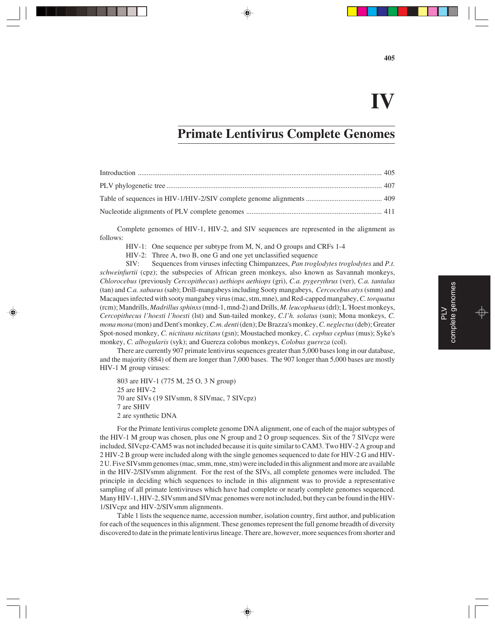### **IV**

### **Primate Lentivirus Complete Genomes**

Complete genomes of HIV-1, HIV-2, and SIV sequences are represented in the alignment as follows:

HIV-1: One sequence per subtype from M, N, and O groups and CRFs 1-4

HIV-2: Three A, two B, one G and one yet unclassified sequence

SIV: Sequences from viruses infecting Chimpanzees, *Pan troglodytes troglodytes* and *P.t. schweinfurtii* (cpz); the subspecies of African green monkeys, also known as Savannah monkeys, *Chlorocebus* (previously *Cercopithecus*) *aethiops aethiops* (gri), *C.a. pygerythrus* (ver), *C.a. tantalus* (tan) and *C.a. sabaeus* (sab); Drill-mangabeys including Sooty mangabeys, *Cercocebus atys* (smm) and Macaques infected with sooty mangabey virus (mac, stm, mne), and Red-capped mangabey, *C. torquatus* (rcm); Mandrills, *Madrillus sphinxs* (mnd-1, mnd-2) and Drills, *M. leucophaeus* (drl); L*'*Hoest monkeys, *Cercopithecus l'hoesti l'hoesti* (lst) and Sun-tailed monkey, *C.l'h. solatus* (sun); Mona monkeys, *C. mona mona* (mon) and Dent's monkey, *C.m. denti* (den); De Brazza's monkey, *C. neglectus* (deb); Greater Spot-nosed monkey, *C. nictitans nictitans* (gsn); Moustached monkey, *C. cephus cephus* (mus); Syke's monkey, *C. albogularis* (syk); and Guereza colobus monkeys, *Colobus guereza* (col).

There are currently 907 primate lentivirus sequences greater than 5,000 bases long in our database, and the majority (884) of them are longer than 7,000 bases. The 907 longer than 5,000 bases are mostly HIV-1 M group viruses:

803 are HIV-1 (775 M, 25 O, 3 N group) 25 are HIV-2 70 are SIVs (19 SIVsmm, 8 SIVmac, 7 SIVcpz) 7 are SHIV 2 are synthetic DNA

For the Primate lentivirus complete genome DNA alignment, one of each of the major subtypes of the HIV-1 M group was chosen, plus one N group and 2 O group sequences. Six of the 7 SIVcpz were included, SIVcpz-CAM5 was not included because it is quite similar to CAM3. Two HIV-2 A group and 2 HIV-2 B group were included along with the single genomes sequenced to date for HIV-2 G and HIV-2 U. Five SIVsmm genomes (mac, smm, mne, stm) were included in this alignment and more are available in the HIV-2/SIVsmm alignment. For the rest of the SIVs, all complete genomes were included. The principle in deciding which sequences to include in this alignment was to provide a representative sampling of all primate lentiviruses which have had complete or nearly complete genomes sequenced. Many HIV-1, HIV-2, SIVsmm and SIVmac genomes were not included, but they can be found in the HIV-1/SIVcpz and HIV-2/SIVsmm alignments.

Table 1 lists the sequence name, accession number, isolation country, first author, and publication for each of the sequences in this alignment. These genomes represent the full genome breadth of diversity discovered to date in the primate lentivirus lineage. There are, however, more sequences from shorter and  $\geq$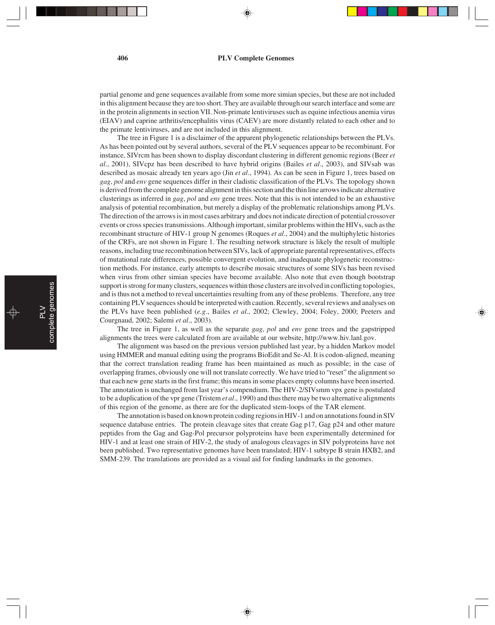partial genome and gene sequences available from some more simian species, but these are not included in this alignment because they are too short. They are available through our search interface and some are in the protein alignments in section VII. Non-primate lentiviruses such as equine infectious anemia virus (EIAV) and caprine arthritis/encephalitis virus (CAEV) are more distantly related to each other and to the primate lentiviruses, and are not included in this alignment.

The tree in Figure 1 is a disclaimer of the apparent phylogenetic relationships between the PLVs. As has been pointed out by several authors, several of the PLV sequences appear to be recombinant. For instance, SIVrcm has been shown to display discordant clustering in different genomic regions (Beer *et al*., 2001), SIVcpz has been described to have hybrid origins (Bailes *et al*., 2003), and SIVsab was described as mosaic already ten years ago (Jin *et al*., 1994). As can be seen in Figure 1, trees based on *gag*, *pol* and *env* gene sequences differ in their cladistic classification of the PLVs. The topology shown is derived from the complete genome alignment in this section and the thin line arrows indicate alternative clusterings as inferred in *gag*, *pol* and *env* gene trees. Note that this is not intended to be an exhaustive analysis of potential recombination, but merely a display of the problematic relationships among PLVs. The direction of the arrows is in most cases arbitrary and does not indicate direction of potential crossover events or cross species transmissions. Although important, similar problems within the HIVs, such as the recombinant structure of HIV-1 group N genomes (Roques *et al*., 2004) and the multiphyletic histories of the CRFs, are not shown in Figure 1. The resulting network structure is likely the result of multiple reasons, including true recombination between SIVs, lack of appropriate parental representatives, effects of mutational rate differences, possible convergent evolution, and inadequate phylogenetic reconstruction methods. For instance, early attempts to describe mosaic structures of some SIVs has been revised when virus from other simian species have become available. Also note that even though bootstrap support is strong for many clusters, sequences within those clusters are involved in conflicting topologies, and is thus not a method to reveal uncertainties resulting from any of these problems. Therefore, any tree containing PLV sequences should be interpreted with caution. Recently, several reviews and analyses on the PLVs have been published (*e.g*., Bailes *et al*., 2002; Clewley, 2004; Foley, 2000; Peeters and Courgnaud, 2002; Salemi *et al*., 2003).

The tree in Figure 1, as well as the separate *gag*, *pol* and *env* gene trees and the gapstripped alignments the trees were calculated from are available at our website, http://www.hiv.lanl.gov.

The alignment was based on the previous version published last year, by a hidden Markov model using HMMER and manual editing using the programs BioEdit and Se-Al. It is codon-aligned, meaning that the correct translation reading frame has been maintained as much as possible; in the case of overlapping frames, obviously one will not translate correctly. We have tried to "reset" the alignment so that each new gene starts in the first frame; this means in some places empty columns have been inserted. The annotation is unchanged from last year's compendium. The HIV-2/SIVsmm vpx gene is postulated to be a duplication of the vpr gene (Tristem *et al*., 1990) and thus there may be two alternative alignments of this region of the genome, as there are for the duplicated stem-loops of the TAR element.

The annotation is based on known protein coding regions in HIV-1 and on annotations found in SIV sequence database entries. The protein cleavage sites that create Gag p17, Gag p24 and other mature peptides from the Gag and Gag-Pol precursor polyproteins have been experimentally determined for HIV-1 and at least one strain of HIV-2, the study of analogous cleavages in SIV polyproteins have not been published. Two representative genomes have been translated; HIV-1 subtype B strain HXB2, and SMM-239. The translations are provided as a visual aid for finding landmarks in the genomes.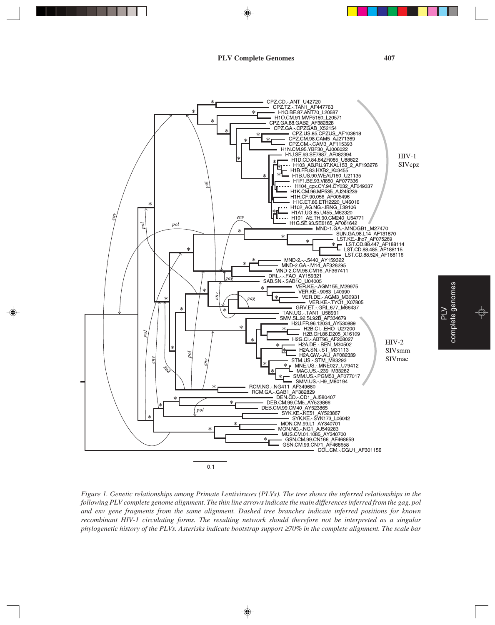





*Figure 1. Genetic relationships among Primate Lentiviruses (PLVs). The tree shows the inferred relationships in the following PLV complete genome alignment. The thin line arrows indicate the main differences inferred from the gag, pol and env gene fragments from the same alignment. Dashed tree branches indicate inferred positions for known recombinant HIV-1 circulating forms. The resulting network should therefore not be interpreted as a singular phylogenetic history of the PLVs. Asterisks indicate bootstrap support ≥70% in the complete alignment. The scale bar* 

complete genomes complete genomes Œ

PLV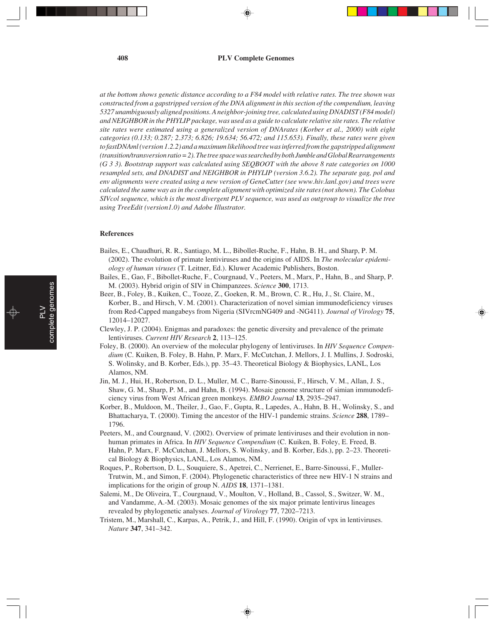### **408 PLV Complete Genomes**

*at the bottom shows genetic distance according to a F84 model with relative rates. The tree shown was constructed from a gapstripped version of the DNA alignment in this section of the compendium, leaving 5327 unambiguously aligned positions. A neighbor-joining tree, calculated using DNADIST (F84 model) and NEIGHBOR in the PHYLIP package, was used as a guide to calculate relative site rates. The relative site rates were estimated using a generalized version of DNArates (Korber et al., 2000) with eight categories (0.133; 0.287; 2.373; 6.826; 19.634; 56.472; and 115.653). Finally, these rates were given to fastDNAml (version 1.2.2) and a maximum likelihood tree was inferred from the gapstripped alignment (transition/transversion ratio = 2). The tree space was searched by both Jumble and Global Rearrangements (G 3 3). Bootstrap support was calculated using SEQBOOT with the above 8 rate categories on 1000 resampled sets, and DNADIST and NEIGHBOR in PHYLIP (version 3.6.2). The separate gag, pol and env alignments were created using a new version of GeneCutter (see www.hiv.lanl.gov) and trees were calculated the same way as in the complete alignment with optimized site rates (not shown). The Colobus SIVcol sequence, which is the most divergent PLV sequence, was used as outgroup to visualize the tree using TreeEdit (version1.0) and Adobe Illustrator.*

### **References**

- Bailes, E., Chaudhuri, R. R., Santiago, M. L., Bibollet-Ruche, F., Hahn, B. H., and Sharp, P. M. (2002). The evolution of primate lentiviruses and the origins of AIDS. In *The molecular epidemiology of human viruses* (T. Leitner, Ed.). Kluwer Academic Publishers, Boston.
- Bailes, E., Gao, F., Bibollet-Ruche, F., Courgnaud, V., Peeters, M., Marx, P., Hahn, B., and Sharp, P. M. (2003). Hybrid origin of SIV in Chimpanzees. *Science* **300**, 1713.
- Beer, B., Foley, B., Kuiken, C., Tooze, Z., Goeken, R. M., Brown, C. R., Hu, J., St. Claire, M., Korber, B., and Hirsch, V. M. (2001). Characterization of novel simian immunodeficiency viruses from Red-Capped mangabeys from Nigeria (SIVrcmNG409 and -NG411). *Journal of Virology* **75**, 12014–12027.
- Clewley, J. P. (2004). Enigmas and paradoxes: the genetic diversity and prevalence of the primate lentiviruses. *Current HIV Research* **2**, 113–125.
- Foley, B. (2000). An overview of the molecular phylogeny of lentiviruses. In *HIV Sequence Compendium* (C. Kuiken, B. Foley, B. Hahn, P. Marx, F. McCutchan, J. Mellors, J. I. Mullins, J. Sodroski, S. Wolinsky, and B. Korber, Eds.), pp. 35–43. Theoretical Biology & Biophysics, LANL, Los Alamos, NM.
- Jin, M. J., Hui, H., Robertson, D. L., Muller, M. C., Barre-Sinoussi, F., Hirsch, V. M., Allan, J. S., Shaw, G. M., Sharp, P. M., and Hahn, B. (1994). Mosaic genome structure of simian immunodeficiency virus from West African green monkeys. *EMBO Journal* **13**, 2935–2947.
- Korber, B., Muldoon, M., Theiler, J., Gao, F., Gupta, R., Lapedes, A., Hahn, B. H., Wolinsky, S., and Bhattacharya, T. (2000). Timing the ancestor of the HIV-1 pandemic strains. *Science* **288**, 1789– 1796.
- Peeters, M., and Courgnaud, V. (2002). Overview of primate lentiviruses and their evolution in nonhuman primates in Africa. In *HIV Sequence Compendium* (C. Kuiken, B. Foley, E. Freed, B. Hahn, P. Marx, F. McCutchan, J. Mellors, S. Wolinsky, and B. Korber, Eds.), pp. 2–23. Theoretical Biology & Biophysics, LANL, Los Alamos, NM.
- Roques, P., Robertson, D. L., Souquiere, S., Apetrei, C., Nerrienet, E., Barre-Sinoussi, F., Muller-Trutwin, M., and Simon, F. (2004). Phylogenetic characteristics of three new HIV-1 N strains and implications for the origin of group N. *AIDS* **18**, 1371–1381.
- Salemi, M., De Oliveira, T., Courgnaud, V., Moulton, V., Holland, B., Cassol, S., Switzer, W. M., and Vandamme, A.-M. (2003). Mosaic genomes of the six major primate lentivirus lineages revealed by phylogenetic analyses. *Journal of Virology* **77**, 7202–7213.
- Tristem, M., Marshall, C., Karpas, A., Petrik, J., and Hill, F. (1990). Origin of vpx in lentiviruses. *Nature* **347**, 341–342.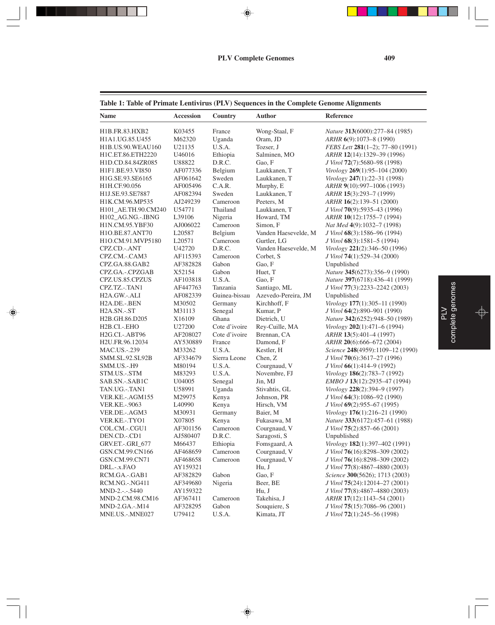⊕

PLV<br>complete genomes complete genomes

♦

### **Table 1: Table of Primate Lentivirus (PLV) Sequences in the Complete Genome Alignments**

. . .

◈

Ξ

| Name                        | <b>Accession</b> | Country       | Author               | Reference                        |
|-----------------------------|------------------|---------------|----------------------|----------------------------------|
| H1B.FR.83.HXB2              | K03455           | France        | Wong-Staal, F        | Nature 313(6000):277-84 (1985)   |
| H1A1.UG.85.U455             | M62320           | Uganda        | Oram, JD             | ARHR 6(9):1073-8 (1990)          |
| H1B.US.90.WEAU160           | U21135           | U.S.A.        | Tozser, J            | FEBS Lett 281(1-2); 77-80 (1991) |
| H1C.ET.86.ETH2220           | U46016           | Ethiopia      | Salminen, MO         | ARHR 12(14):1329-39 (1996)       |
| H1D.CD.84.84ZR085           | U88822           | D.R.C.        | Gao, F               | J Virol 72(7):5680-98 (1998)     |
| H1F1.BE.93.VI850            | AF077336         | Belgium       | Laukkanen, T         | Virology 269(1):95-104 (2000)    |
| H1G.SE.93.SE6165            | AF061642         | Sweden        | Laukkanen, T         | Virology 247(1):22-31 (1998)     |
| H1H.CF.90.056               | AF005496         | C.A.R.        | Murphy, E            | ARHR 9(10):997-1006 (1993)       |
| H1J.SE.93.SE7887            | AF082394         | Sweden        | Laukkanen, T         | ARHR 15(3):293-7 (1999)          |
| H1K.CM.96.MP535             | AJ249239         | Cameroon      | Peeters, M           | ARHR 16(2):139-51 (2000)         |
| H101_AE.TH.90.CM240         | U54771           | Thailand      | Laukkanen, T         | J Virol 70(9):5935-43 (1996)     |
| H102_AG.NG.-.IBNG           | L39106           | Nigeria       | Howard, TM           | ARHR 10(12):1755-7 (1994)        |
| H1N.CM.95.YBF30             | AJ006022         | Cameroon      | Simon, F             | Nat Med 4(9):1032-7 (1998)       |
| H1O.BE.87.ANT70             | L20587           | Belgium       | Vanden Haesevelde, M | J Virol 68(3):1586-96 (1994)     |
| H1O.CM.91.MVP5180           | L20571           | Cameroon      | Gurtler, LG          | J Virol 68(3):1581–5 (1994)      |
| CPZ.CD.-.ANT                | U42720           | D.R.C.        | Vanden Haesevelde, M | Virology 221(2):346-50 (1996)    |
| CPZ.CM.-.CAM3               | AF115393         | Cameroon      | Corbet, S            | J Virol 74(1):529-34 (2000)      |
| CPZ.GA.88.GAB2              | AF382828         | Gabon         | Gao, F               | Unpublished                      |
| CPZ.GA.-.CPZGAB             | X52154           | Gabon         | Huet, T              | Nature 345(6273):356-9 (1990)    |
| CPZ.US.85.CPZUS             | AF103818         | U.S.A.        | Gao, F               | Nature 397(6718):436-41 (1999)   |
| CPZ.TZ.-.TAN1               | AF447763         | Tanzania      | Santiago, ML         | J Virol 77(3):2233-2242 (2003)   |
| H <sub>2</sub> A.GW.-.ALI   | AF082339         | Guinea-bissau | Azevedo-Pereira, JM  | Unpublished                      |
| H <sub>2</sub> A.DE.-.BEN   | M30502           | Germany       | Kirchhoff, F         | Virology 177(1):305-11 (1990)    |
| H <sub>2</sub> A.SN.-.ST    | M31113           | Senegal       | Kumar, P             | J Virol 64(2):890-901 (1990)     |
| H2B.GH.86.D205              | X16109           | Ghana         | Dietrich, U          | Nature 342(6252):948-50 (1989)   |
| H <sub>2</sub> B.CI.-.EHO   | U27200           | Cote d'ivoire | Rey-Cuille, MA       | Virology 202(1):471-6 (1994)     |
| H <sub>2</sub> G.CI.-.ABT96 | AF208027         | Cote d'ivoire | Brennan, CA          | ARHR 13(5):401-4 (1997)          |
| H2U.FR.96.12034             | AY530889         | France        | Damond, F            | ARHR 20(6):666-672 (2004)        |
| <b>MAC.US.-.239</b>         | M33262           | U.S.A.        | Kestler, H           | Science 248(4959):1109-12 (1990) |
| SMM.SL.92.SL92B             | AF334679         | Sierra Leone  | Chen, Z              | J Virol 70(6):3617-27 (1996)     |
| SMM.US.-.H9                 | M80194           | U.S.A.        | Courgnaud, V         | J Virol 66(1):414-9 (1992)       |
| STM.US.-.STM                | M83293           | U.S.A.        | Novembre, FJ         | Virology 186(2):783-7 (1992)     |
| SAB.SN.-.SAB1C              | U04005           | Senegal       | Jin, MJ              | EMBO J 13(12):2935-47 (1994)     |
| TAN.UG.-.TAN1               | U58991           | Uganda        | Stivahtis, GL        | Virology 228(2):394-9 (1997)     |
| VER.KE.-.AGM155             | M29975           | Kenya         | Johnson, PR          | J Virol 64(3):1086–92 (1990)     |
| <b>VER.KE.-.9063</b>        | L40990           | Kenya         | Hirsch, VM           | J Virol 69(2):955–67 (1995)      |
| VER.DE.-.AGM3               | M30931           | Germany       | Baier, M             | Virology 176(1):216-21 (1990)    |
| VER.KE.-.TYO1               | X07805           | Kenya         | Fukasawa, M          | Nature 333(6172):457-61 (1988)   |
| COL.CM.-.CGU1               | AF301156         | Cameroon      | Courgnaud, V         | J Virol 75(2):857-66 (2001)      |
| DEN.CD.-.CD1                | AJ580407         | D.R.C.        | Saragosti, S         | Unpublished                      |
| GRV.ET.-.GRI_677            | M66437           | Ethiopia      | Fomsgaard, A         | Virology 182(1):397-402 (1991)   |
| GSN.CM.99.CN166             | AF468659         | Cameroon      | Courgnaud, V         | J Virol 76(16):8298-309 (2002)   |
| GSN.CM.99.CN71              | AF468658         | Cameroon      | Courgnaud, V         | J Virol 76(16):8298-309 (2002)   |
| DRL.-.x.FAO                 | AY159321         |               | Hu, J                | J Virol 77(8):4867-4880 (2003)   |
| RCM.GA.-.GAB1               | AF382829         | Gabon         | Gao, F               | Science 300(5626); 1713 (2003)   |
| <b>RCM.NG.-.NG411</b>       | AF349680         | Nigeria       | Beer, BE             | J Virol 75(24):12014-27 (2001)   |
| MND-2 .- .- . 5440          | AY159322         |               | Hu, J                | J Virol 77(8):4867-4880 (2003)   |
| MND-2.CM.98.CM16            | AF367411         | Cameroon      | Takehisa, J          | ARHR 17(12):1143-54 (2001)       |
| MND-2.GA.-.M14              | AF328295         | Gabon         | Souquiere, S         | J Virol 75(15):7086-96 (2001)    |
| MNE.US.-.MNE027             | U79412           | U.S.A.        | Kimata, JT           | J Virol 72(1):245-56 (1998)      |

 $\Rightarrow$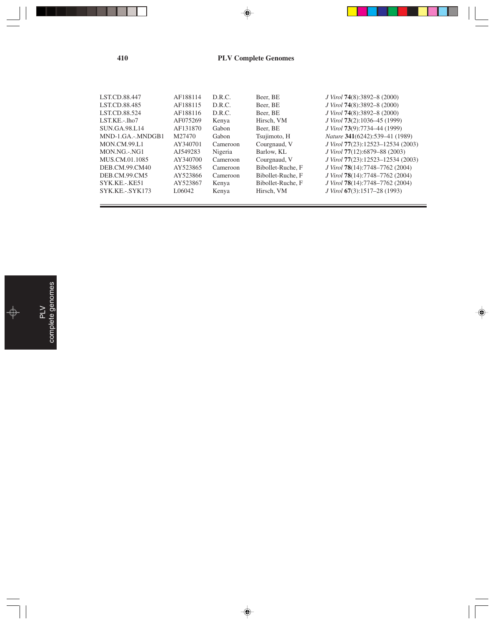### **410 PLV Complete Genomes**

⊕

| LST.CD.88.447     | AF188114 | D.R.C.   | Beer, BE          | J Virol 74(8):3892-8 (2000)       |
|-------------------|----------|----------|-------------------|-----------------------------------|
| LST.CD.88.485     | AF188115 | D.R.C.   | Beer, BE          | J Virol 74(8):3892-8 (2000)       |
| LST.CD.88.524     | AF188116 | D.R.C.   | Beer, BE          | J Virol 74(8):3892-8 (2000)       |
| LST.KE.-.lho7     | AF075269 | Kenya    | Hirsch, VM        | J Virol 73(2):1036–45 (1999)      |
| SUN.GA.98.L14     | AF131870 | Gabon    | Beer, BE          | J Virol 73(9):7734–44 (1999)      |
| MND-1.GA.-.MNDGB1 | M27470   | Gabon    | Tsujimoto, H      | Nature 341(6242):539-41 (1989)    |
| MON.CM.99.L1      | AY340701 | Cameroon | Courgnaud, V      | J Virol 77(23):12523-12534 (2003) |
| MON.NG.-.NG1      | AJ549283 | Nigeria  | Barlow, KL        | J Virol 77(12):6879–88 (2003)     |
| MUS.CM.01.1085    | AY340700 | Cameroon | Courgnaud, V      | J Virol 77(23):12523-12534 (2003) |
| DEB.CM.99.CM40    | AY523865 | Cameroon | Bibollet-Ruche, F | J Virol 78(14):7748-7762 (2004)   |
| DEB.CM.99.CM5     | AY523866 | Cameroon | Bibollet-Ruche, F | J Virol 78(14):7748-7762 (2004)   |
| SYK.KE.-.KE51     | AY523867 | Kenya    | Bibollet-Ruche, F | J Virol 78(14):7748-7762 (2004)   |
| SYK.KE.-.SYK173   | L06042   | Kenya    | Hirsch, VM        | J Virol 67(3):1517–28 (1993)      |
|                   |          |          |                   |                                   |

 $\color{red}\blacklozenge$ 

♠

 $\overline{\phantom{0}}$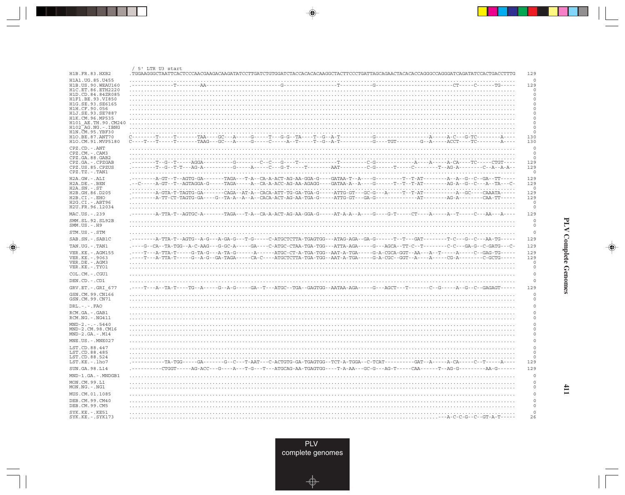| H1B.FR.83.HXB2                                                                 | / 5' LTR U3 start                                                                                                                                                                                                                                                                                                                                                                                                                                      |
|--------------------------------------------------------------------------------|--------------------------------------------------------------------------------------------------------------------------------------------------------------------------------------------------------------------------------------------------------------------------------------------------------------------------------------------------------------------------------------------------------------------------------------------------------|
| H1A1.UG.85.U455<br>H1B.US.90.WEAU160<br>H1C.ET.86.ETH2220<br>H1D.CD.84.84ZR085 |                                                                                                                                                                                                                                                                                                                                                                                                                                                        |
| H1F1.BE.93.VI850<br>H1G.SE.93.SE6165<br>H1H.CF.90.056                          |                                                                                                                                                                                                                                                                                                                                                                                                                                                        |
| H1J.SE.93.SE7887<br>H1K.CM.96.MP535                                            |                                                                                                                                                                                                                                                                                                                                                                                                                                                        |
| H101 AE.TH.90.CM240<br>H102 AG.NG.-.IBNG<br>H1N. CM. 95. YBF30                 |                                                                                                                                                                                                                                                                                                                                                                                                                                                        |
| H10.BE.87.ANT70<br>H1O.CM.91.MVP5180<br>CPZ.CD. - . ANT                        | $C-\dots+T-\dots-T-\dots-T-\dots+T\text{AAG}-\dots+T\text{AAG}-\dots+G-\dots+G-\dots-C-\dots+A-\dots-T-\dots-T-\text{G-A-T}-\dots+T-\text{G-A-T}-\dots+T-\text{G-T}-\dots+G-\text{A-T}-\dots+G-\text{A-T}-\dots+G-\text{A-T}-\dots+G-\text{A-T}-\dots+G-\text{A-T}-\dots+G-\text{A-T}-\dots+G-\text{A-T}-\dots+G-\text{A-T}-\dots+G-\text{A-T}-\dots+G-\text{A-T}-\dots+G-\text{A-T}-\dots+G-\text{A-T}-\dots+G-\text{A-T}-\dots+G-\text{A-T}-$<br>130 |
| $CPZ.CM. - . CAM3$<br>CPZ.GA.88.GAB2                                           |                                                                                                                                                                                                                                                                                                                                                                                                                                                        |
| CPZ.GA. - . CPZGAB<br>CPZ.US.85.CPZUS<br>CPZ.TZ.-.TAN1                         | 129<br>129                                                                                                                                                                                                                                                                                                                                                                                                                                             |
| H2A.GW.-.ALI<br>$H2A.DE. -.BEN$<br>$H2A.SN.-.ST$                               | 129<br>.--C-----A-GT--T--AGTAGGA-G-----TAGA-----A--CA-A-ACC-AG-AA-AGAGG----GATAA-A--A----G------T--T--T-AT-------AG-A--G--C---A--TA---C-<br>129                                                                                                                                                                                                                                                                                                        |
| H2B.GH.86.D205<br>H2B.CI.-.EHO                                                 | 129<br>129                                                                                                                                                                                                                                                                                                                                                                                                                                             |
| H2G.CI.-.ABT96<br>H2U.FR.96.12034                                              |                                                                                                                                                                                                                                                                                                                                                                                                                                                        |
| MAC.US.-.239<br>SMM.SL.92.SL92B<br>$SMM.US. - . H9$                            |                                                                                                                                                                                                                                                                                                                                                                                                                                                        |
| STM.US.-.STM                                                                   |                                                                                                                                                                                                                                                                                                                                                                                                                                                        |
| SAB.SN.-.SAB1C                                                                 | 129                                                                                                                                                                                                                                                                                                                                                                                                                                                    |
|                                                                                |                                                                                                                                                                                                                                                                                                                                                                                                                                                        |
| TAN.UG. - . TAN1                                                               | .----G--CA--TA-TGG--A-C-AAG---G-GC-A-----GA----C-ATGC-CTAA-TGA-TGG---ATTA-AGA-----G---AGCA--TT-C--T--------C-C---GA-G--C-GATG---C-                                                                                                                                                                                                                                                                                                                     |
| VER. KE. - . AGM155<br>VER. KE. - . 9063<br>VER.DE. - . AGM3                   | .----T---A-TTA-T-----G-TA-G---A-TA-G------A----A-----ATGC-CT-A-TGA-TGG--AAT-A-TGA-----G-A-CGCA-GGT--AA---A--T----A----C--GAG-TG-----<br>129<br>129                                                                                                                                                                                                                                                                                                     |
| VER.KE. - . TYO1<br>COL.CM. - . CGU1                                           |                                                                                                                                                                                                                                                                                                                                                                                                                                                        |
| DEN.CD. - .CD1                                                                 |                                                                                                                                                                                                                                                                                                                                                                                                                                                        |
| GRV.ET. - . GRI 677                                                            | .----T---A--TA-T----TG--A-----G--A-G-----GA--T---ATGC--TGA--GAGTGG--AATAA-AGA-----G---AGCT---T-------C--G-----A--G--C--GAGAGT-----                                                                                                                                                                                                                                                                                                                     |
| GSN.CM.99.CN166<br>GSN.CM.99.CN71                                              |                                                                                                                                                                                                                                                                                                                                                                                                                                                        |
| $DRL$ . - . - . $FAO$                                                          |                                                                                                                                                                                                                                                                                                                                                                                                                                                        |
| RCM.GA.-.GAB1<br>$RCM.NG. - . NG411$                                           |                                                                                                                                                                                                                                                                                                                                                                                                                                                        |
| $MND-2. - - - 5440$<br>MND-2.CM.98.CM16<br>$MND-2.GA.-.M14$                    |                                                                                                                                                                                                                                                                                                                                                                                                                                                        |
| MNE.US. - . MNE027                                                             |                                                                                                                                                                                                                                                                                                                                                                                                                                                        |
| LST.CD.88.447<br>LST.CD.88.485<br>LST.CD.88.524                                |                                                                                                                                                                                                                                                                                                                                                                                                                                                        |
| LST.KE.-.lho7                                                                  | .----------TA-TGG-----GA-------G--C---T-AAT---C-ACTGTG-GA-TGAGTGG--TCT-A-TGGA--C-TCAT---------GAT--A-----A-CA-----C--T-----A----<br>129                                                                                                                                                                                                                                                                                                                |
| SUN.GA.98.L14                                                                  |                                                                                                                                                                                                                                                                                                                                                                                                                                                        |
| MND-1.GA.-.MNDGB1                                                              |                                                                                                                                                                                                                                                                                                                                                                                                                                                        |
| MON.CM.99.L1<br>MON.NG.-.NG1                                                   |                                                                                                                                                                                                                                                                                                                                                                                                                                                        |
| MUS.CM.01.1085                                                                 |                                                                                                                                                                                                                                                                                                                                                                                                                                                        |
| DEB.CM.99.CM40<br>DEB.CM.99.CM5<br>$SYK.KE. - .KE51$                           |                                                                                                                                                                                                                                                                                                                                                                                                                                                        |

<u>a shekara ta 1989 na shekara ta 1989 na shekara ta 1989 na shekara ta 1989 na shekara ta 1989 na shekara ta 1989 na shekara ta 1989 na shekara ta 1989 na shekara ta 1989 na shekara ta 1989 na shekara ta 1989 na shekara ta</u>

 $\overrightarrow{\phantom{a}}$ 

 $\overline{\mathbb{F}}$ 

٦

**PLV Complete Genomes** 

 $\begin{picture}(20,5) \put(0,0){\line(1,0){10}} \put(15,0){\line(1,0){10}} \put(15,0){\line(1,0){10}} \put(15,0){\line(1,0){10}} \put(15,0){\line(1,0){10}} \put(15,0){\line(1,0){10}} \put(15,0){\line(1,0){10}} \put(15,0){\line(1,0){10}} \put(15,0){\line(1,0){10}} \put(15,0){\line(1,0){10}} \put(15,0){\line(1,0){10}} \put(15,0){\line(1,$ 

 $\frac{1}{\sqrt{2\pi}}\int_{0}^{\pi}\frac{1}{\sqrt{2\pi}}\left( \frac{1}{2}\frac{1}{2}\frac{1}{2}\frac{1}{2}\frac{1}{2}\frac{1}{2}\frac{1}{2}\frac{1}{2}\frac{1}{2}\frac{1}{2}\frac{1}{2}\frac{1}{2}\frac{1}{2}\frac{1}{2}\frac{1}{2}\frac{1}{2}\frac{1}{2}\frac{1}{2}\frac{1}{2}\frac{1}{2}\frac{1}{2}\frac{1}{2}\frac{1}{2}\frac{1}{2}\frac{1}{2}\frac{1}{2}\frac{1}{2}\frac{1}{2}\frac{1}{2}\frac{1}{2}\frac{1}{$ 

<u>a mana</u>

л

 $\frac{411}{11}$ 

PLV<br>complete genomes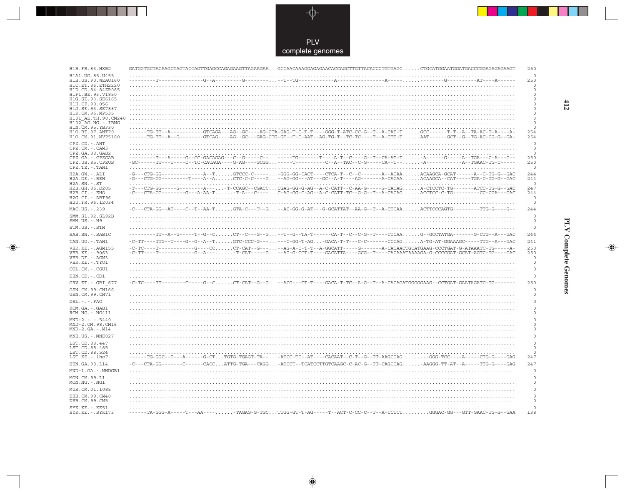

---

 $\Rightarrow$ 

| H1B.FR.83.HXB2                                             | $GATGGTGCTACAAGCTAGTACCAGTTGAGCCAGAGAAGTTAGAAGAA. GCCAACAAAGGAGAGAACACCCCGCTTGTTACACCCCTGTGAGCC CTGCATGGAATGGATGGCCGGAGAGAGAGATG$                                                                                                                          | 250                                        |
|------------------------------------------------------------|------------------------------------------------------------------------------------------------------------------------------------------------------------------------------------------------------------------------------------------------------------|--------------------------------------------|
| H1A1.UG.85.U455<br>H1B. US. 90. WEAU160                    |                                                                                                                                                                                                                                                            | $\circ$<br>250                             |
| H1C.ET.86.ETH2220<br>H1D.CD.84.84ZR085<br>H1F1.BE.93.VI850 |                                                                                                                                                                                                                                                            | $\circ$<br>$\circ$<br>$\circ$              |
| H1G.SE.93.SE6165                                           |                                                                                                                                                                                                                                                            | $\mathsf{O}\xspace$<br>0                   |
| H1H.CF.90.056<br>H1J.SE.93.SE7887                          |                                                                                                                                                                                                                                                            | $\mathsf{O}\xspace$                        |
| H1K.CM.96.MP535<br>H101 AE.TH.90.CM240                     |                                                                                                                                                                                                                                                            | $\mathsf{O}\xspace$<br>$\mathsf{O}\xspace$ |
| $H102-AG.NG. - .IBNG$<br>H1N.CM.95.YBF30                   |                                                                                                                                                                                                                                                            | $\circ$<br>$\circ$                         |
| H10.BE.87.ANT70<br>H1O.CM.91.MVP5180                       | ------TG-TT--A----------GTCAGA---AG--GC----AG-CTA-GAG-T-C-T-T----GGG-T-ATC-CC-G--T--A-CAT-TGCC------T-T--A--TA-AC-T-A----A-<br>-----TG-TT--A--G--------GTCAG----AG--GC---GAG-CTG-GT--T-C-AAT--AG-TG-T--TC-TC----T--A-CTT-TAAT------GCT--G--TG-AC-CG-G--GA- | 254<br>254                                 |
| CPZ.CD. - . ANT<br>CPZ.CM.-.CAM3                           |                                                                                                                                                                                                                                                            | $\Omega$<br>$\circ$                        |
| CPZ.GA.88.GAB2<br>CPZ.GA.-.CPZGAB                          | ---T---A-----G--CC-GACAGAG---C--G-----C-------TG-------T----A-T--C----G--T--CA-AT-T-A-----G----A--TGA---C-A---G--                                                                                                                                          | $\circ$<br>250                             |
| CPZ.US.85.CPZUS<br>$CPZ.TZ.-.TAN1$                         | -GC------TT---T---C--TC-CACAGA----G-AG----GCGG-----T--------C--A--TAC--C-G-----CA--T--A------------A--TGAAC-TG-C-----                                                                                                                                      | 250<br>$\circ$                             |
| $H2A.GW.-.ALI$                                             | -G---CTG-GG-------------A--TGTCCC-C------GGG-GG-CACT----CTCA-T--C--C-------A--ACAAACAAGCA-GCAT------A--C-TG-G--GAC                                                                                                                                         | 244                                        |
| H2A.DE. - . BEN<br>$H2A.SN.-.ST$                           | -G---CTG-GG---------T----A--ACTC-C-C----G--AG-GG---AT---GC--A-T----AG---------A-CACAAACAAGCA--CAT-----TGA-C-TG-G--GAC                                                                                                                                      | 244<br>$\circ$                             |
| H2B.GH.86.D205<br>$H2B.CI.-.EHO$                           | -T---CTG-GG-----G--------A----T-CCAGC--CGACCCGAG-GG-G-AG--A-C-CATT--C-AA-G-----G-CACAGA-CTCCTC-TG-------ATCC-TG-G-GAC<br>-C---CTA-GG--------G---A-AA-T-T-A---C----C-AG-GG-C-AG--A-C-CATT-TC--G-G--T--A-CACAGACCTCC-C-TG--------CC-CGA---GAC                | 247<br>244                                 |
| H2G.CI.-.ABT96<br>H2U.FR.96.12034                          |                                                                                                                                                                                                                                                            | $\circ$<br>$\circ$                         |
| MAC.US. - . 239                                            | -C---CTA-GG--AT----C--T--AA-TGTA-C---T--G--AC-GG-G-AT---G-GCATTAT--AA-G--T--A-CTCAAACTTCCCAGTG--------TTG-G---G--                                                                                                                                          | 244                                        |
| SMM. SL. 92. SL92B<br>$SMM.US.-.H9$                        |                                                                                                                                                                                                                                                            | $\mathsf{O}\xspace$<br>$\mathsf{O}\xspace$ |
| STM.US.-.STM                                               |                                                                                                                                                                                                                                                            | $\,$ $\,$ $\,$                             |
| SAB.SN.-.SAB1C                                             | ---------TT--A--G-----T--G--CCT--C---G--G--T--G--TA-T------CA-T--C--C-G--T----CTCAAG--GCCTATGA-------G-CTG--A---GAC                                                                                                                                        | 244                                        |
|                                                            |                                                                                                                                                                                                                                                            |                                            |
| TAN.UG. - . TAN1                                           |                                                                                                                                                                                                                                                            | 241                                        |
| VER. KE. - . AGM155<br>VER.KE. - . 9063                    | -C-TC----T-----------G---CCCT-CAT--G----AG-A-C-T-T--A-GGCATT-----G-------A-CACAACTGCATGAAG-CCCTGAT-G-ATAAATC-TG-----A-<br>-C-TT----T-----------G--A--- -T-CAT----G--AG-G-CCT-T---GACATTA----GCG--T----CACAAATAAAAGA-G-CCCCGAT-GCAT-AGTC-TG----GAC          | 250<br>250                                 |
| VER.DE. - . AGM3<br>VER.KE. - . TYO1                       |                                                                                                                                                                                                                                                            | $\circ$<br>$\circ$                         |
| COL.CM. - . CGU1                                           |                                                                                                                                                                                                                                                            | $\circ$                                    |
| DEN.CD. - .CD1                                             |                                                                                                                                                                                                                                                            | $\circ$                                    |
| GRV.ET. - . GRI 677                                        |                                                                                                                                                                                                                                                            | 250                                        |
| GSN.CM.99.CN166<br>GSN.CM.99.CN71                          |                                                                                                                                                                                                                                                            | $\Omega$<br>$\mathbf 0$                    |
| $DRL - - -$ . FAO                                          |                                                                                                                                                                                                                                                            | $\Omega$                                   |
| RCM.GA. - . GAB1<br>RCM.NG. - . NG411                      |                                                                                                                                                                                                                                                            | $\mathbf 0$<br>$\mathbf 0$                 |
| $MND-2. - - - 5440$                                        |                                                                                                                                                                                                                                                            | $\mathbf 0$                                |
| MND-2.CM.98.CM16<br>$MND-2.GA.-.M14$                       |                                                                                                                                                                                                                                                            | 0<br>$\mathbb O$                           |
| MNE.US. - . MNE027                                         |                                                                                                                                                                                                                                                            | $\mathbf 0$                                |
| LST.CD.88.447                                              |                                                                                                                                                                                                                                                            | $\mathbf 0$                                |
| LST.CD.88.485<br>LST.CD.88.524<br>LST.KE.-.lho7            |                                                                                                                                                                                                                                                            | 0<br>$\Omega$                              |
| SUN.GA.98.L14                                              | ------TG-GGC--T---A------G-CTTGTG-TGAGT-TA---ATCC-TC--AT----CACAAT--C-T--G--TT-AAGCCAG---GGG-TCC----A-----CTG-G----GAG<br>-C---CTA-GG-------C------CACCATTG-TGA---CAGG-ATCCT--TCATCCTTGTCAAGC-C-AC-G--TT-CAGCCAG-AAGGG-TT-AT--A-----TTG-G----GAG           | 247<br>247                                 |
| MND-1.GA.-.MNDGB1                                          |                                                                                                                                                                                                                                                            | $\mathbf 0$                                |
| MON.CM.99.L1<br>MON.NG.-.NG1                               |                                                                                                                                                                                                                                                            | 0<br>$\mathbf 0$                           |
| MUS.CM.01.1085                                             |                                                                                                                                                                                                                                                            | $\mathbf 0$                                |
| DEB.CM.99.CM40                                             |                                                                                                                                                                                                                                                            | $\circ$                                    |
| DEB.CM.99.CM5<br>SYK.KE. - . KE51<br>SYK.KE. - . SYK173    |                                                                                                                                                                                                                                                            | $\mathsf{O}\xspace$<br>$\Omega$<br>138     |

 $\blacklozenge$ 

## **PLV Complete Genomes**

 $\Rightarrow$ 

 $\overline{\phantom{0}}$ 

 $\frac{412}{2}$ 

 $\Box$ 

▆▆▅▅▅

- 1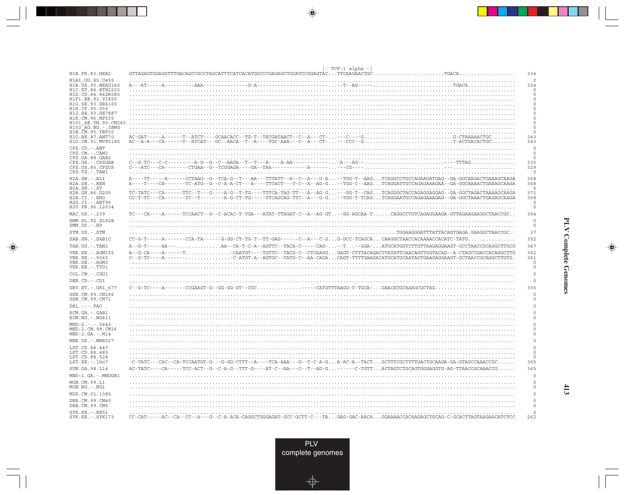|                                                                                | - TCF-1 alpha -                                                                                                                                                                                                                                             |                                       |
|--------------------------------------------------------------------------------|-------------------------------------------------------------------------------------------------------------------------------------------------------------------------------------------------------------------------------------------------------------|---------------------------------------|
| H1B.FR.83.HXB2                                                                 | GTTAGAGTGGAGGTTTGACAGCCGCCTAGCATTTCATCACATGGCCCGAGAGCTGCATCCGGAGTACTTCAAGAACTGC.                                                                                                                                                                            | 334<br>$\circ$                        |
| H1A1.UG.85.U455<br>H1B.US.90.WEAU160<br>H1C.ET.86.ETH2220<br>H1D.CD.84.84ZR085 |                                                                                                                                                                                                                                                             | 334<br>$\Omega$<br>$\circ$            |
| H1F1.BE.93.VI850<br>H1G.SE.93.SE6165<br>H1H.CF.90.056                          |                                                                                                                                                                                                                                                             | $\circ$<br>$\circ$<br>$\Omega$        |
| H1J.SE.93.SE7887<br>H1K.CM.96.MP535<br>H101 AE.TH.90.CM240                     |                                                                                                                                                                                                                                                             | $\Omega$<br>$\mathbf 0$<br>$\Omega$   |
| H102 AG.NG.-.IBNG<br>H1N.CM.95.YBF30<br>H10.BE.87.ANT70<br>H1O.CM.91.MVP5180   |                                                                                                                                                                                                                                                             | $\mathbf 0$<br>$\Omega$<br>343<br>343 |
| $\texttt{CPZ}$ . $\texttt{CD}$ .<br>- . ANT<br>CPZ.CM.-.CAM3<br>CPZ.GA.88.GAB2 |                                                                                                                                                                                                                                                             | $\Omega$<br>$\circ$<br>$\circ$        |
| CPZ.GA. - . CPZGAB<br>CPZ.US.85.CPZUS<br>CPZ.TZ.-.TAN1                         | $C-c-G-TC-c-C----P-c-G-c-C-ABGA--T-c-A-A-A----P-AA----P-AA----P-AG--$                                                                                                                                                                                       | 335<br>329<br>$\circ$                 |
| H2A.GW.-.ALI<br>$H2A.DE. -.BEN$<br>$H2A.SN.-.ST$                               | A----TT-----A-----CCTAAG--G--TCA-G--T---AA---TTTATT--A--C--A---G-A--TGG-T--AAGTCAGGCCTGCCAGAAGATGAG--GA-GGCAAGACTGAAAGCAAGA<br>A----T----CA------TC-ATG--G--C-A-A-CT---A----TTCACT---T-C--A--AG-G--TGG-C--AAGTCAGGATTGCCAGAGAAAGAA--GA-GGCAAAACTGAAAGCAAGA  | 368<br>368<br>$\Omega$                |
| H2B.GH.86.D205<br>H2B.CI.-.EHO<br>H2G.CI.-.ABT96                               | TC-TATC---CA------TTC--T---G----A-G--T-TG----TTTCA-TAG-TT---A--AG-G---GG-T--CAGTCAGGGCTACCAGAGGAGGAG--GA-GGCTAGACTAAAAGCAAGA<br>CC-T-TC---CA-------TC--T-------A-G-CT-TG-----TTCAGCAG-TTC--A---G-G--TGG-T-TCAGTCAGGAATGCCAGAGAAAGAG--GA-GGCTAAACTGAGAGCAAGA | 371<br>368<br>$\Omega$                |
| H2U.FR.96.12034                                                                |                                                                                                                                                                                                                                                             | $\circ$                               |
| MAC.US.-.239                                                                   | . TCCAACT--G--C-ACAC-T-TGA---ATAT-TTAGAT-C--A--AG-GT---GG-AGCAA-T-------CAGGCCTGTCAGAGGAAGA-GTTAGAAGGAAGGCTAACCGC                                                                                                                                           | 364                                   |
| SMM.SL.92.SL92B<br>$SMM.US.-.H9$                                               |                                                                                                                                                                                                                                                             | $\circ$<br>$\circ$                    |
| STM.US.-.STM                                                                   | $\ldots \ldots \ldots \ldots \ldots \ldots \ldots \ldots \ldots$ . TGGAAGGGATTTATTACAGTGAGA . GAAGGCTAACCGC                                                                                                                                                 | 37                                    |
| SAB.SN.-.SAB1C                                                                 | $CC-G-T---A---CCA-TA---CCA-TA---G-GG-CT-TG-T---T-GAG---C-A---C-G. G-GCC-TCAGCACAAGGCTAACCACAAAACCACACATC-TATG$                                                                                                                                              | 352                                   |
| TAN.UG. - . TAN1                                                               | AA--CA-T-C-A--AGTTC--TACA-C-----CAG---T--GGA-ATGCATGGTCTTGTTAAGAGGAAGT-GCCTAACCGCAGGCTTGCG<br>A - - G - T - - - - - AA - - - .                                                                                                                              | 347                                   |
| VER. KE. - . AGM155<br>VER. KE. - . 9063<br>VER.DE. - . AGM3                   | A--G-CA-----A------TCAATGT---TGTTC--TACG-C--CTCAAGGGAGT-CTTTACAGACTTATATTCAACAGTTGGTACAG--A-CTAGCCGACCACAGGCTTG<br>$C--G-TC---A---A---A---A---A.\\ \label{C-GT-H}$                                                                                          | 362<br>361<br>$\circ$                 |
| VER.KE. - . TYO1                                                               |                                                                                                                                                                                                                                                             | $\Omega$                              |
| COL.CM.-.CGU1                                                                  |                                                                                                                                                                                                                                                             | $\circ$                               |
| DEN.CD. - . CD1                                                                |                                                                                                                                                                                                                                                             | $\circ$                               |
| GRV.ET. - . GRI 677<br>GSN.CM.99.CN166                                         | $C$ --G-TC----A-------CCGAAGT-G--GG-GG-GT--CGC-----CATGTTTAAGG-C-TGCA-GAACATGCAAAGCGCTAG                                                                                                                                                                    | 335<br>$\Omega$                       |
| GSN.CM.99.CN71                                                                 |                                                                                                                                                                                                                                                             | $\circ$                               |
| $DRL$ . - . - . $FAO$                                                          |                                                                                                                                                                                                                                                             | $\mathbf 0$                           |
| RCM.GA.-.GAB1<br>RCM.NG. - . NG411                                             |                                                                                                                                                                                                                                                             | $\Omega$<br>$\Omega$                  |
| $MND-2. - - - 5440$<br>MND-2.CM.98.CM16<br>$MND-2.GA.-.M14$                    |                                                                                                                                                                                                                                                             | $\mathbf 0$<br>$\circ$<br>$\mathbf 0$ |
| MNE.US. - . MNE027                                                             |                                                                                                                                                                                                                                                             | $\mathbf 0$                           |
| LST.CD.88.447                                                                  |                                                                                                                                                                                                                                                             | $\Omega$                              |
| LST.CD.88.485<br>LST.CD.88.524<br>LST.KE.-.lho7                                | $-C-TATC---CAC--CA-TCCAATGT-G---G-G-G-CTTT-A---TCA-AAA---G--T-C-A-G. A-AC-A--TACT. GCTTTCGCTTTTGACTGCAAGA-GA-GTTAGCCAAACCGC.$                                                                                                                               | $\mathbf 0$<br>$\circ$<br>365         |
| SUN.GA.98.L14                                                                  | AC-TATC----CA-----TCC-ACT--G--C-A-G--TTT-G----AT-C--AA---C--T--AG-G------C-TGTTACTAGTCTGCAGTGGAGGTG-AG-TTAACCGCAAACCG                                                                                                                                       | 365                                   |
| MND-1.GA.-.MNDGB1                                                              |                                                                                                                                                                                                                                                             | $\circ$                               |
| MON.CM.99.L1<br>MON.NG.-.NG1                                                   |                                                                                                                                                                                                                                                             | $\Omega$<br>$\mathbf 0$               |
| MUS.CM.01.1085                                                                 |                                                                                                                                                                                                                                                             | $\mathbf 0$                           |
| DEB.CM.99.CM40<br>DEB.CM.99.CM5                                                |                                                                                                                                                                                                                                                             | $\Omega$<br>$\circ$                   |
| $SYK.KE. - .KE51$<br>SYK.KE. - . SYK173                                        | CC-CAT-----AC--CA--CC--A---G--C-A-ACA-CAGGCTGGGAGAT-GCC-GCTT-C---TAGAG-GAC-AACAGGAAAACCACAAGAGCTGCAG-C-GCACTTAGTAAGAACATCTCC                                                                                                                                | $\Omega$<br>262                       |

<u>a shekara ta 1989 na shekara ta 1989 na shekara ta 1989 na shekara ta 1989 na shekara ta 1989 na shekara ta 1989 na shekara ta 1989 na shekara ta 1989 na shekara ta 1989 na shekara ta 1989 na shekara ta 1989 na shekara ta</u>

 $\overline{\blacklozenge}$ 

 $\overline{\mathbb{F}}$ 

 $\begin{picture}(20,5) \put(0,0){\line(1,0){10}} \put(15,0){\line(1,0){10}} \put(15,0){\line(1,0){10}} \put(15,0){\line(1,0){10}} \put(15,0){\line(1,0){10}} \put(15,0){\line(1,0){10}} \put(15,0){\line(1,0){10}} \put(15,0){\line(1,0){10}} \put(15,0){\line(1,0){10}} \put(15,0){\line(1,0){10}} \put(15,0){\line(1,0){10}} \put(15,0){\line(1,$ 

 $\frac{1}{\sqrt{2\pi}}\int_{0}^{\pi}\frac{1}{\sqrt{2\pi}}\left( \frac{1}{2}\frac{1}{2}\frac{1}{2}\frac{1}{2}\frac{1}{2}\frac{1}{2}\frac{1}{2}\frac{1}{2}\frac{1}{2}\frac{1}{2}\frac{1}{2}\frac{1}{2}\frac{1}{2}\frac{1}{2}\frac{1}{2}\frac{1}{2}\frac{1}{2}\frac{1}{2}\frac{1}{2}\frac{1}{2}\frac{1}{2}\frac{1}{2}\frac{1}{2}\frac{1}{2}\frac{1}{2}\frac{1}{2}\frac{1}{2}\frac{1}{2}\frac{1}{2}\frac{1}{2}\frac{1}{$ 

 $\Box$ 

T E EI

 $\mathbf{I}$ 

PLV<br>complete genomes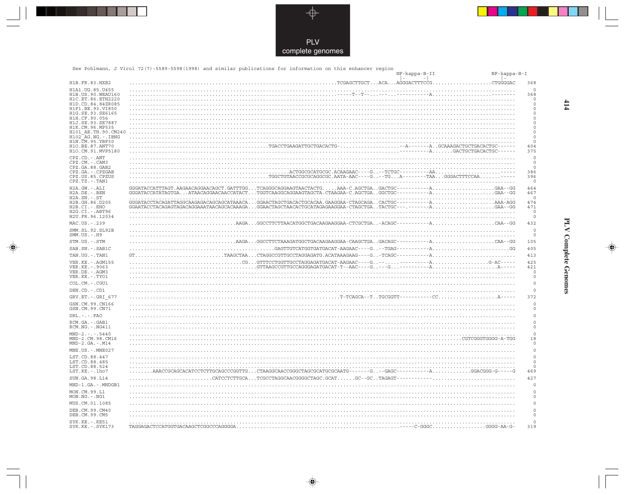

---

 $\overrightarrow{\mathbf{\P}}$ 

 $\frac{1}{\sqrt{2}}$ 

|                                               | See Pohlmann, J Virol 72(7):5589-5598(1998) and similar publications for information on this enhancer region | NF-kappa-B-II |                                                    | NF-kappa-B-I           |
|-----------------------------------------------|--------------------------------------------------------------------------------------------------------------|---------------|----------------------------------------------------|------------------------|
| H1B.FR.83.HXB2                                |                                                                                                              | $-1$          | $\overline{\phantom{a}}$<br>CTGGGGAC               | 368                    |
| H1A1.UG.85.U455                               |                                                                                                              |               |                                                    | $\mathbf 0$            |
| H1B. US. 90. WEAU160                          |                                                                                                              |               |                                                    | 368                    |
| H1C.ET.86.ETH2220                             |                                                                                                              |               |                                                    | 0<br>0                 |
| H1D.CD.84.84ZR085<br>H1F1.BE.93.VI850         |                                                                                                              |               |                                                    | 0                      |
| H1G.SE.93.SE6165                              |                                                                                                              |               |                                                    | $\circ$                |
| H1H.CF.90.056<br>H1J.SE.93.SE7887             |                                                                                                              |               |                                                    | $\circ$<br>$\mathbf 0$ |
| H1K.CM.96.MP535                               |                                                                                                              |               |                                                    | $\mathbf 0$            |
| H101 AE.TH.90.CM240<br>$H102-AG.NG. - . IBNG$ |                                                                                                              |               |                                                    | $\mathbf 0$<br>0       |
| H1N.CM.95.YBF30                               |                                                                                                              |               |                                                    | $\mathbf 0$            |
| H1O.BE.87.ANT70<br>H1O.CM.91.MVP5180          |                                                                                                              |               | ---AGACTGCTGACACTGC------                          | 404<br>375             |
| CPZ.CD. - . ANT                               |                                                                                                              |               |                                                    | $\circ$                |
| CPZ.CM. - . CAM3<br>CPZ.GA.88.GAB2            |                                                                                                              |               |                                                    | $\circ$<br>$\mathbf 0$ |
| CPZ.GA. - . CPZGAB                            |                                                                                                              |               |                                                    | 386                    |
| CPZ.US.85.CPZUS<br>CPZ.TZ.-.TAN1              | $\ldots \ldots \ldots \ldots$ TGGCTGTAACCGCGCAGGCGC.AATA-AAC----G--TGA--------TAAGGGACTTTCCAA-----           |               |                                                    | 396<br>$\mathbf 0$     |
| H2A.GW.-.ALI                                  | GGGATACCATTTAGT.AAGAACAGGAACAGCT.GATTTGGTCAGGGCAGGAAGTAACTACTGAAA-C.AGCTGAGACTGC----------AGAA--GG           |               |                                                    | 464                    |
| H2A.DE. - .BEN<br>$H2A.SN.-.ST$               | GGGATACCATATAGTGAATAACAGGAACAACCATACTTGGTCAAGGCAGGAAGTAGCTA.CTAAGAA-C.AGCTGAGGCTGC-----------AGAA--GG        |               |                                                    | 467<br>$\Omega$        |
| H2B.GH.86.D205                                | GGGATACCTACAGATTAGGCAAGAGACAGCATAAACAGGAACTAGCTGACACTGCACAA.GAAGGAA-CTAGCAGACACTGC----------AAAA-AGG         |               |                                                    | 474                    |
| H2B.CI.-.EHO<br>H2G.CI. - . ABT96             | GGAATACCTACAGAGTAGACAGGAAATAACAGCACAAAGAGGAACTAGCTAACACTGCATAGAGAAGGAA-CTAGCTGATACTGC---.-------AGAA--GG     |               |                                                    | 471<br>$\circ$         |
| H2U.FR.96.12034                               |                                                                                                              |               |                                                    | $\circ$                |
| MAC.US.-.239                                  | .AAGAGGCCTTCTTAACATGGCTGACAAGAAGGAA-CTCGCTGAACAGC-----------A                                                |               | . CAA--GG                                          | 432                    |
| SMM.SL.92.SL92B<br>$SMM.US.-.H9$              |                                                                                                              |               |                                                    | $\circ$<br>$\circ$     |
| STM.US.-.STM                                  | AAGAGGCCTTCTAAAGATGGCTGACAAGAAGGAA-CAAGCTGAGACAGC-----------A                                                |               | . CAA--GG                                          | 105                    |
| SAB.SN.-.SAB1C                                | $\ldots \ldots \ldots \ldots \ldots \ldots$ GAGTTGTCATGGTGATGACAT-AAGAAC----G $\ldots$ --TGAG-----------A .  |               | . GG                                               | 405                    |
| TAN.UG. - . TAN1                              |                                                                                                              |               |                                                    | 413                    |
| VER. KE. - . AGM155                           | CGGTTTCCTGGTTGCCTAGGAGATGACAT-AAGAAC----G------------A.                                                      |               |                                                    | 425                    |
| VER.KE. - . 9063                              |                                                                                                              |               |                                                    | 421                    |
| VER.DE. - . AGM3<br>VER.KE. - . TYO1          |                                                                                                              |               |                                                    | $\circ$<br>0           |
| COL.CM. - . CGU1                              |                                                                                                              |               |                                                    | $\circ$                |
| DEN.CD. - .CD1                                |                                                                                                              |               |                                                    | $\circ$                |
| GRV.ET. - . GRI 677                           | $\ldots$ T-TCAGCA--TTGCGGTT----------CC.                                                                     |               |                                                    | 372                    |
| GSN.CM.99.CN166                               |                                                                                                              |               |                                                    | $\mathbf 0$            |
| GSN.CM.99.CN71                                |                                                                                                              |               |                                                    | $\mathbf 0$            |
| $DRL$ . - . - . $FAO$                         |                                                                                                              |               |                                                    | $\mathbf 0$            |
| RCM.GA. - . GAB1                              |                                                                                                              |               |                                                    | $\circ$                |
| RCM.NG. - . NG411                             |                                                                                                              |               |                                                    | $\circ$                |
| $MND-2. - - - 5440$<br>MND-2.CM.98.CM16       |                                                                                                              |               | $\ldots \ldots \ldots \ldots$ . CGTCGGGTGGGG-A-TGG | $\circ$<br>18          |
| $MND-2.GA.-.M14$                              |                                                                                                              |               |                                                    | $\circ$                |
| MNE.US. - . MNE027                            |                                                                                                              |               |                                                    | $\circ$                |
| LST.CD.88.447                                 |                                                                                                              |               |                                                    | $\circ$                |
| LST.CD.88.485<br>LST.CD.88.524                |                                                                                                              |               |                                                    | $\circ$<br>$\Omega$    |
| LST.KE.-.lho7                                 | .AAACCGCAGCACATCCTCTTGCAGCCCGGTTGCTAAGGCAACCGGGCTAGCGCATGCGCAATG------G--GAGC----------AGGACGGG              |               |                                                    | 469                    |
| SUN.GA.98.L14                                 | .CATCCTCTTGCATCGCCTAGGCAACGGGGCTAGC.GCATGC--GCTAGAGT----                                                     |               |                                                    | 427                    |
| MND-1.GA.-.MNDGB1                             |                                                                                                              |               |                                                    | $\circ$                |
| MON.CM.99.L1                                  |                                                                                                              |               |                                                    | $\mathbf 0$            |
| MON.NG. - . NG1                               |                                                                                                              |               |                                                    | $\mathbf 0$            |
| MUS.CM.01.1085                                |                                                                                                              |               |                                                    | $\circ$                |
| DEB.CM.99.CM40<br>DEB.CM.99.CM5               |                                                                                                              |               |                                                    | $\circ$<br>$\circ$     |
| SYK.KE. - . KE51<br>$SYK$ $KR$ - $SYK173$     | TUCATGGTGACAAGCTCGGCCCAGGGGA                                                                                 |               | $C - G G G C$<br>$G G G G - \Delta \Delta - G -$   | $\Omega$<br>319        |

 $\blacklozenge$ 

## **PLV Complete Genomes**

 $\Rightarrow$ 

 $\frac{1}{\sqrt{2}}$ 

 $\frac{414}{4}$ 

 $\blacksquare$ 

<u> Service Service Service Service Service Service Service Service Service Service Service Service Se</u>

- 1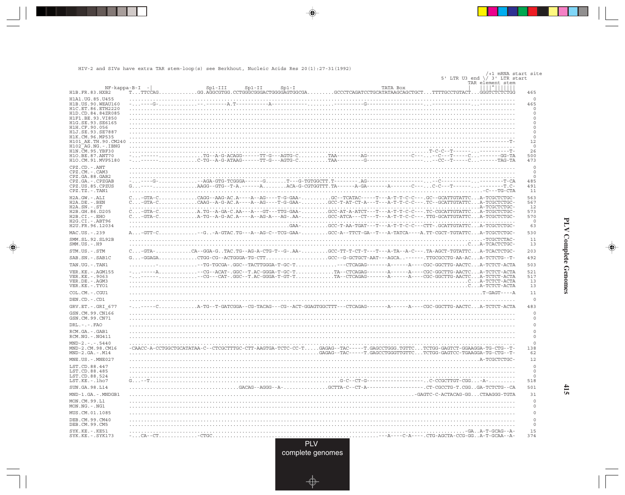HIV-2 and SIVs have extra TAR stem-loop(s) see Berkhout, Nucleic Acids Res 20(1): 27-31(1992)

. . .

 $\bigoplus$ 

| TAR element stem<br>$NF - kappa - B - I$ -<br>TATA Box<br>$Sp1-II$<br>$Sp1-I$<br>$Sp1-III$<br>TTTCCAGGG.AGGCGTGG.CCTGGGCGGACTGGGGAGTGGCGAGCCCTCAGATCCTGCATATAAGCAGCTGCTTTTTGCCTGTACTGGGTCTCTCGG<br>H1B.FR.83.HXB2<br>465<br>$\circ$<br>H1A1.UG.85.U455<br>H1B.US.90.WEAU160<br>-------A--------<br>and the state of the state of the<br>465<br>H1C.ET.86.ETH2220<br>$\circ$<br>H1D.CD.84.84ZR085<br>$\mathbf 0$<br>$\Omega$<br>H1F1.BE.93.VI850<br>$\mathbf 0$<br>H1G.SE.93.SE6165<br>H1H.CF.90.056<br>$\Omega$<br>H1J.SE.93.SE7887<br>$\circ$<br>$\mathbb O$<br>H1K.CM.96.MP535<br>H101 AE.TH.90.CM240<br>12<br>$\circ$<br>H102 AG.NG.-.IBNG<br>26<br>H1N. CM. 95. YBF30<br>$\mathbf{T} - \mathbf{C} - \mathbf{C} - - \mathbf{T}$<br>. TG--A-G-ACAGG------TT-G---AGTG-C. TAA--------AG-----------------C--- --C---T-----C. -------GG-TA<br>500<br>H10.BE.87.ANT70<br>H1O.CM.91.MVP5180<br>473<br>CPZ.CD. - . ANT<br>$\circ$<br>CPZ.CM. - . CAM3<br>$\Omega$<br>CPZ.GA.88.GAB2<br>$\mathbf 0$<br>CPZ.GA. - . CPZGAB<br>485<br>AAGG--GTG--T-A.-------AACA-G-CGTGGTTT.TA------A-GA-------A-------C---C-C---T---------------T.C-<br>CPZ.US.85.CPZUS<br>491<br>$CPZ.TZ.-.TAN1$<br>11<br>C-GTA-CCAGG--AAG-AC.A----A--AG----T-G-GAA-GC--TCATAC-----T---A-T-T-C-C---.GC--GCATTGTATTCA-TCGCTCTGC-<br>H2A.GW.-.ALI<br>563<br>H2A.DE. - .BEN<br>C-GTA-CCAAG--A-G-AC.A----A--AG----T-G-GAA-GCC-T-AT-CT-A---T---A-T-T-C-C---.TC--GCATTGTATTCA-TCGCTCTGC-<br>567<br>$H2A.SN.-.ST$<br>12<br>C-GTA-CA.TG--A-GA-C.AA---A---GT---TTG-GAA-GCC-AT-A-ATCT---T---A-T-T-C-C---.TC-CGCATTGTATTCA-TCGCTCTGC-<br>573<br>H2B.GH.86.D205<br>C-GTA-CA-TG--A-G-AC.A----A--AG-A---AG-AA-GCC-ATCA---CT---T---A-T-T-C-C---.TTG-GCATTGTATTCA-TCGCTCTGC-<br>570<br>H2B.CI.-.EHO<br>H2G.CI. - . ABT96<br>$\circ$<br>H2U.FR.96.12034<br>63<br>-G-A-GTAC.TG---A--AG-C--TCG-GAA-GCC-A--TTCT-GA--T---A-TATCA----A.TT-CGCT-TGTATTCA-TCGCTCTGC-<br>MAC.US.-.239<br>530<br>11<br>SMM.SL.92.SL92B<br>. - TCGCTCTAC-<br>$SMM.US. - . H9$<br>13<br>$C.\ldots$ -GTA- $\ldots\ldots\ldots\ldots$ CA--GGA-G $\ldots$ TAC.TG--AG-A-CTG-T--G-.AA- $\ldots\ldots\ldots\ldots$ GCC-TT-T-CT-T---T---A-TA--A-C---.TA-AGCT-TGTATTCA-TCACTCTGC-<br>STM.US.-.STM<br>203<br>$\texttt{G}\dots\texttt{-GGAGA}\dots\ldots\ldots\ldots\texttt{CTGG-GG}-\texttt{ACTGGGA-TG-CTT}\dots\ldots\ldots\ldots\ldots\ldots\texttt{GCC-G-GCTGCT-AAT---AGCA}\dots\texttt{----}\dots\texttt{TTGGGCTG-AA-AC}\dots\texttt{A--TCTCTG-T-T-CTGCT}\dots\texttt{G--}\dots\texttt{G--}\dots\texttt{G--}\dots\texttt{G--}\dots\texttt{G--}\dots\texttt{G--}\dots\texttt{G--}\dots\texttt{G--}\dots\texttt{G--}\dots\texttt{G--}\dots\texttt{G--}\dots\texttt{G--}\dots\$<br>SAB.SN. - . SAB1C<br>492<br>503<br>TAN.UG. - . TAN1<br>$\ldots \ldots \ldots$ - TG-TGCGA- .GGC--TACTTGGGA-T-GC-T $\ldots \ldots \ldots \ldots \ldots$ - - - CTCAGAG------- - A----- - A---- CGC-GGCTTG-AACTC. A-TCTCT-ACTA<br>---A--CG--ACAT-.GGC--T.AC-GGGA-T-GC-TTA--CTCAGAG-------A-----A----CGC-GGCTTG-AACTCA-TCTCT-ACTA<br>VER. KE. - . AGM155<br>521<br>----CG---CAT-.GGC--T.AC-GGGA-T-GT-TTA--CTCAGAG-------A-----A----CGC-GGCTTG-AACTCA-TCTCT-ACTA<br>517<br>VER. KE. - . 9063<br>VER.DE. - . AGM3<br>13<br>VER.KE. - . TYO1<br>13<br>COL.CM. - . CGU1<br>11<br>DEN.CD. - .CD1<br>$\circ$<br>GRV.ET. - . GRI 677<br>483<br>- T-GATCGGA - - CG - TACAG - - - CG - - ACT - GGAGTGGCTTT - - - CTCAGAG -<br>GSN.CM.99.CN166<br>$\circ$<br>GSN.CM.99.CN71<br>$\circ$<br>$DRL$ . - . - . $FAO$<br>$\circ$<br>$\mathbf 0$<br>RCM.GA. - . GAB1<br>RCM.NG. - . NG411<br>$\circ$<br>$\Omega$<br>$MND-2. - - - 5440$<br>MND-2.CM.98.CM16<br>-CAACC-A-CCTGGCTGCATATAA-C--CTCGCTTTGC-CTT-AAGTGA-TCTC-CC-TGAGAG--TAC-----T.GAGCCTGGG.TGTTCTCTGG-GAGTCT-GGAAGGA-TG-CTG--T-<br>138<br>GAGAG--TAC-----T.GAGCCTGGGTTGTTCTCTGG-GAGTCC-TGAAGGA-TG-CTG--T-<br>$MND-2.GA.-.M14$<br>62<br>MNE.US. - . MNE027<br>12<br>LST.CD.88.447<br>$\circ$<br>LST.CD.88.485<br>$\circ$<br>LST.CD.88.524<br>$\mathbf 0$<br>LST.KE.-.lho7<br>. G-C--CT-G---<br>------C-CCGCTTGT-CGG-A-<br>518<br>SUN.GA.98.L14<br>.GACAG--AGGG--A-GCTTA-C--CT-A--<br>--------.CT-CGCCTG-T.CGGGA-TCTCTG--CA<br>501<br>MND-1.GA.-.MNDGB1<br>31<br>. -GAGTC-C-ACTACAG-GG. CTAAGGG-TGTA<br>MON.CM.99.L1<br>$\circ$<br>$\circ$<br>$MON.NG. -.NG1$<br>$\mathbf 0$<br>MUS.CM.01.1085<br>DEB. CM. 99. CM40<br>$\circ$<br>DEB.CM.99.CM5<br>$\circ$<br>15<br>SYK.KE. - . KE51<br>374<br>SYK.KE. - . SYK173<br>-CA--CT-CTGC<br><b>PLV</b> |  | SCC DELIMIOUC, |  | /+1 mRNA start site<br>5' LTR U3 end $\setminus$ 3' LTR start |  |
|----------------------------------------------------------------------------------------------------------------------------------------------------------------------------------------------------------------------------------------------------------------------------------------------------------------------------------------------------------------------------------------------------------------------------------------------------------------------------------------------------------------------------------------------------------------------------------------------------------------------------------------------------------------------------------------------------------------------------------------------------------------------------------------------------------------------------------------------------------------------------------------------------------------------------------------------------------------------------------------------------------------------------------------------------------------------------------------------------------------------------------------------------------------------------------------------------------------------------------------------------------------------------------------------------------------------------------------------------------------------------------------------------------------------------------------------------------------------------------------------------------------------------------------------------------------------------------------------------------------------------------------------------------------------------------------------------------------------------------------------------------------------------------------------------------------------------------------------------------------------------------------------------------------------------------------------------------------------------------------------------------------------------------------------------------------------------------------------------------------------------------------------------------------------------------------------------------------------------------------------------------------------------------------------------------------------------------------------------------------------------------------------------------------------------------------------------------------------------------------------------------------------------------------------------------------------------------------------------------------------------------------------------------------------------------------------------------------------------------------------------------------------------------------------------------------------------------------------------------------------------------------------------------------------------------------------------------------------------------------------------------------------------------------------------------------------------------------------------------------------------------------------------------------------------------------------------------------------------------------------------------------------------------------------------------------------------------------------------------------------------------------------------------------------------------------------------------------------------------------------------------------------------------------------------------------------------------------------------------------------------------------------------------------------------------------------------------------------------------------------------------------------------------------------------------------------------------------------------------------------------------------------------------------------------------------------------------------------------------------------------------------------------------------------------------------------------------------------------------------------------------------------------------------------------------------------------------------------------------------------------------------------------------------------------------------------------------------------------------------------------------------------------------------------------------------------------------------------------|--|----------------|--|---------------------------------------------------------------|--|
|                                                                                                                                                                                                                                                                                                                                                                                                                                                                                                                                                                                                                                                                                                                                                                                                                                                                                                                                                                                                                                                                                                                                                                                                                                                                                                                                                                                                                                                                                                                                                                                                                                                                                                                                                                                                                                                                                                                                                                                                                                                                                                                                                                                                                                                                                                                                                                                                                                                                                                                                                                                                                                                                                                                                                                                                                                                                                                                                                                                                                                                                                                                                                                                                                                                                                                                                                                                                                                                                                                                                                                                                                                                                                                                                                                                                                                                                                                                                                                                                                                                                                                                                                                                                                                                                                                                                                                                                                                                                            |  |                |  |                                                               |  |
|                                                                                                                                                                                                                                                                                                                                                                                                                                                                                                                                                                                                                                                                                                                                                                                                                                                                                                                                                                                                                                                                                                                                                                                                                                                                                                                                                                                                                                                                                                                                                                                                                                                                                                                                                                                                                                                                                                                                                                                                                                                                                                                                                                                                                                                                                                                                                                                                                                                                                                                                                                                                                                                                                                                                                                                                                                                                                                                                                                                                                                                                                                                                                                                                                                                                                                                                                                                                                                                                                                                                                                                                                                                                                                                                                                                                                                                                                                                                                                                                                                                                                                                                                                                                                                                                                                                                                                                                                                                                            |  |                |  |                                                               |  |
|                                                                                                                                                                                                                                                                                                                                                                                                                                                                                                                                                                                                                                                                                                                                                                                                                                                                                                                                                                                                                                                                                                                                                                                                                                                                                                                                                                                                                                                                                                                                                                                                                                                                                                                                                                                                                                                                                                                                                                                                                                                                                                                                                                                                                                                                                                                                                                                                                                                                                                                                                                                                                                                                                                                                                                                                                                                                                                                                                                                                                                                                                                                                                                                                                                                                                                                                                                                                                                                                                                                                                                                                                                                                                                                                                                                                                                                                                                                                                                                                                                                                                                                                                                                                                                                                                                                                                                                                                                                                            |  |                |  |                                                               |  |
|                                                                                                                                                                                                                                                                                                                                                                                                                                                                                                                                                                                                                                                                                                                                                                                                                                                                                                                                                                                                                                                                                                                                                                                                                                                                                                                                                                                                                                                                                                                                                                                                                                                                                                                                                                                                                                                                                                                                                                                                                                                                                                                                                                                                                                                                                                                                                                                                                                                                                                                                                                                                                                                                                                                                                                                                                                                                                                                                                                                                                                                                                                                                                                                                                                                                                                                                                                                                                                                                                                                                                                                                                                                                                                                                                                                                                                                                                                                                                                                                                                                                                                                                                                                                                                                                                                                                                                                                                                                                            |  |                |  |                                                               |  |
|                                                                                                                                                                                                                                                                                                                                                                                                                                                                                                                                                                                                                                                                                                                                                                                                                                                                                                                                                                                                                                                                                                                                                                                                                                                                                                                                                                                                                                                                                                                                                                                                                                                                                                                                                                                                                                                                                                                                                                                                                                                                                                                                                                                                                                                                                                                                                                                                                                                                                                                                                                                                                                                                                                                                                                                                                                                                                                                                                                                                                                                                                                                                                                                                                                                                                                                                                                                                                                                                                                                                                                                                                                                                                                                                                                                                                                                                                                                                                                                                                                                                                                                                                                                                                                                                                                                                                                                                                                                                            |  |                |  |                                                               |  |
|                                                                                                                                                                                                                                                                                                                                                                                                                                                                                                                                                                                                                                                                                                                                                                                                                                                                                                                                                                                                                                                                                                                                                                                                                                                                                                                                                                                                                                                                                                                                                                                                                                                                                                                                                                                                                                                                                                                                                                                                                                                                                                                                                                                                                                                                                                                                                                                                                                                                                                                                                                                                                                                                                                                                                                                                                                                                                                                                                                                                                                                                                                                                                                                                                                                                                                                                                                                                                                                                                                                                                                                                                                                                                                                                                                                                                                                                                                                                                                                                                                                                                                                                                                                                                                                                                                                                                                                                                                                                            |  |                |  |                                                               |  |
|                                                                                                                                                                                                                                                                                                                                                                                                                                                                                                                                                                                                                                                                                                                                                                                                                                                                                                                                                                                                                                                                                                                                                                                                                                                                                                                                                                                                                                                                                                                                                                                                                                                                                                                                                                                                                                                                                                                                                                                                                                                                                                                                                                                                                                                                                                                                                                                                                                                                                                                                                                                                                                                                                                                                                                                                                                                                                                                                                                                                                                                                                                                                                                                                                                                                                                                                                                                                                                                                                                                                                                                                                                                                                                                                                                                                                                                                                                                                                                                                                                                                                                                                                                                                                                                                                                                                                                                                                                                                            |  |                |  |                                                               |  |
|                                                                                                                                                                                                                                                                                                                                                                                                                                                                                                                                                                                                                                                                                                                                                                                                                                                                                                                                                                                                                                                                                                                                                                                                                                                                                                                                                                                                                                                                                                                                                                                                                                                                                                                                                                                                                                                                                                                                                                                                                                                                                                                                                                                                                                                                                                                                                                                                                                                                                                                                                                                                                                                                                                                                                                                                                                                                                                                                                                                                                                                                                                                                                                                                                                                                                                                                                                                                                                                                                                                                                                                                                                                                                                                                                                                                                                                                                                                                                                                                                                                                                                                                                                                                                                                                                                                                                                                                                                                                            |  |                |  |                                                               |  |
|                                                                                                                                                                                                                                                                                                                                                                                                                                                                                                                                                                                                                                                                                                                                                                                                                                                                                                                                                                                                                                                                                                                                                                                                                                                                                                                                                                                                                                                                                                                                                                                                                                                                                                                                                                                                                                                                                                                                                                                                                                                                                                                                                                                                                                                                                                                                                                                                                                                                                                                                                                                                                                                                                                                                                                                                                                                                                                                                                                                                                                                                                                                                                                                                                                                                                                                                                                                                                                                                                                                                                                                                                                                                                                                                                                                                                                                                                                                                                                                                                                                                                                                                                                                                                                                                                                                                                                                                                                                                            |  |                |  |                                                               |  |
|                                                                                                                                                                                                                                                                                                                                                                                                                                                                                                                                                                                                                                                                                                                                                                                                                                                                                                                                                                                                                                                                                                                                                                                                                                                                                                                                                                                                                                                                                                                                                                                                                                                                                                                                                                                                                                                                                                                                                                                                                                                                                                                                                                                                                                                                                                                                                                                                                                                                                                                                                                                                                                                                                                                                                                                                                                                                                                                                                                                                                                                                                                                                                                                                                                                                                                                                                                                                                                                                                                                                                                                                                                                                                                                                                                                                                                                                                                                                                                                                                                                                                                                                                                                                                                                                                                                                                                                                                                                                            |  |                |  |                                                               |  |
|                                                                                                                                                                                                                                                                                                                                                                                                                                                                                                                                                                                                                                                                                                                                                                                                                                                                                                                                                                                                                                                                                                                                                                                                                                                                                                                                                                                                                                                                                                                                                                                                                                                                                                                                                                                                                                                                                                                                                                                                                                                                                                                                                                                                                                                                                                                                                                                                                                                                                                                                                                                                                                                                                                                                                                                                                                                                                                                                                                                                                                                                                                                                                                                                                                                                                                                                                                                                                                                                                                                                                                                                                                                                                                                                                                                                                                                                                                                                                                                                                                                                                                                                                                                                                                                                                                                                                                                                                                                                            |  |                |  |                                                               |  |
|                                                                                                                                                                                                                                                                                                                                                                                                                                                                                                                                                                                                                                                                                                                                                                                                                                                                                                                                                                                                                                                                                                                                                                                                                                                                                                                                                                                                                                                                                                                                                                                                                                                                                                                                                                                                                                                                                                                                                                                                                                                                                                                                                                                                                                                                                                                                                                                                                                                                                                                                                                                                                                                                                                                                                                                                                                                                                                                                                                                                                                                                                                                                                                                                                                                                                                                                                                                                                                                                                                                                                                                                                                                                                                                                                                                                                                                                                                                                                                                                                                                                                                                                                                                                                                                                                                                                                                                                                                                                            |  |                |  |                                                               |  |
|                                                                                                                                                                                                                                                                                                                                                                                                                                                                                                                                                                                                                                                                                                                                                                                                                                                                                                                                                                                                                                                                                                                                                                                                                                                                                                                                                                                                                                                                                                                                                                                                                                                                                                                                                                                                                                                                                                                                                                                                                                                                                                                                                                                                                                                                                                                                                                                                                                                                                                                                                                                                                                                                                                                                                                                                                                                                                                                                                                                                                                                                                                                                                                                                                                                                                                                                                                                                                                                                                                                                                                                                                                                                                                                                                                                                                                                                                                                                                                                                                                                                                                                                                                                                                                                                                                                                                                                                                                                                            |  |                |  |                                                               |  |
|                                                                                                                                                                                                                                                                                                                                                                                                                                                                                                                                                                                                                                                                                                                                                                                                                                                                                                                                                                                                                                                                                                                                                                                                                                                                                                                                                                                                                                                                                                                                                                                                                                                                                                                                                                                                                                                                                                                                                                                                                                                                                                                                                                                                                                                                                                                                                                                                                                                                                                                                                                                                                                                                                                                                                                                                                                                                                                                                                                                                                                                                                                                                                                                                                                                                                                                                                                                                                                                                                                                                                                                                                                                                                                                                                                                                                                                                                                                                                                                                                                                                                                                                                                                                                                                                                                                                                                                                                                                                            |  |                |  |                                                               |  |
|                                                                                                                                                                                                                                                                                                                                                                                                                                                                                                                                                                                                                                                                                                                                                                                                                                                                                                                                                                                                                                                                                                                                                                                                                                                                                                                                                                                                                                                                                                                                                                                                                                                                                                                                                                                                                                                                                                                                                                                                                                                                                                                                                                                                                                                                                                                                                                                                                                                                                                                                                                                                                                                                                                                                                                                                                                                                                                                                                                                                                                                                                                                                                                                                                                                                                                                                                                                                                                                                                                                                                                                                                                                                                                                                                                                                                                                                                                                                                                                                                                                                                                                                                                                                                                                                                                                                                                                                                                                                            |  |                |  |                                                               |  |
|                                                                                                                                                                                                                                                                                                                                                                                                                                                                                                                                                                                                                                                                                                                                                                                                                                                                                                                                                                                                                                                                                                                                                                                                                                                                                                                                                                                                                                                                                                                                                                                                                                                                                                                                                                                                                                                                                                                                                                                                                                                                                                                                                                                                                                                                                                                                                                                                                                                                                                                                                                                                                                                                                                                                                                                                                                                                                                                                                                                                                                                                                                                                                                                                                                                                                                                                                                                                                                                                                                                                                                                                                                                                                                                                                                                                                                                                                                                                                                                                                                                                                                                                                                                                                                                                                                                                                                                                                                                                            |  |                |  |                                                               |  |
|                                                                                                                                                                                                                                                                                                                                                                                                                                                                                                                                                                                                                                                                                                                                                                                                                                                                                                                                                                                                                                                                                                                                                                                                                                                                                                                                                                                                                                                                                                                                                                                                                                                                                                                                                                                                                                                                                                                                                                                                                                                                                                                                                                                                                                                                                                                                                                                                                                                                                                                                                                                                                                                                                                                                                                                                                                                                                                                                                                                                                                                                                                                                                                                                                                                                                                                                                                                                                                                                                                                                                                                                                                                                                                                                                                                                                                                                                                                                                                                                                                                                                                                                                                                                                                                                                                                                                                                                                                                                            |  |                |  |                                                               |  |
|                                                                                                                                                                                                                                                                                                                                                                                                                                                                                                                                                                                                                                                                                                                                                                                                                                                                                                                                                                                                                                                                                                                                                                                                                                                                                                                                                                                                                                                                                                                                                                                                                                                                                                                                                                                                                                                                                                                                                                                                                                                                                                                                                                                                                                                                                                                                                                                                                                                                                                                                                                                                                                                                                                                                                                                                                                                                                                                                                                                                                                                                                                                                                                                                                                                                                                                                                                                                                                                                                                                                                                                                                                                                                                                                                                                                                                                                                                                                                                                                                                                                                                                                                                                                                                                                                                                                                                                                                                                                            |  |                |  |                                                               |  |
|                                                                                                                                                                                                                                                                                                                                                                                                                                                                                                                                                                                                                                                                                                                                                                                                                                                                                                                                                                                                                                                                                                                                                                                                                                                                                                                                                                                                                                                                                                                                                                                                                                                                                                                                                                                                                                                                                                                                                                                                                                                                                                                                                                                                                                                                                                                                                                                                                                                                                                                                                                                                                                                                                                                                                                                                                                                                                                                                                                                                                                                                                                                                                                                                                                                                                                                                                                                                                                                                                                                                                                                                                                                                                                                                                                                                                                                                                                                                                                                                                                                                                                                                                                                                                                                                                                                                                                                                                                                                            |  |                |  |                                                               |  |
|                                                                                                                                                                                                                                                                                                                                                                                                                                                                                                                                                                                                                                                                                                                                                                                                                                                                                                                                                                                                                                                                                                                                                                                                                                                                                                                                                                                                                                                                                                                                                                                                                                                                                                                                                                                                                                                                                                                                                                                                                                                                                                                                                                                                                                                                                                                                                                                                                                                                                                                                                                                                                                                                                                                                                                                                                                                                                                                                                                                                                                                                                                                                                                                                                                                                                                                                                                                                                                                                                                                                                                                                                                                                                                                                                                                                                                                                                                                                                                                                                                                                                                                                                                                                                                                                                                                                                                                                                                                                            |  |                |  |                                                               |  |
|                                                                                                                                                                                                                                                                                                                                                                                                                                                                                                                                                                                                                                                                                                                                                                                                                                                                                                                                                                                                                                                                                                                                                                                                                                                                                                                                                                                                                                                                                                                                                                                                                                                                                                                                                                                                                                                                                                                                                                                                                                                                                                                                                                                                                                                                                                                                                                                                                                                                                                                                                                                                                                                                                                                                                                                                                                                                                                                                                                                                                                                                                                                                                                                                                                                                                                                                                                                                                                                                                                                                                                                                                                                                                                                                                                                                                                                                                                                                                                                                                                                                                                                                                                                                                                                                                                                                                                                                                                                                            |  |                |  |                                                               |  |
|                                                                                                                                                                                                                                                                                                                                                                                                                                                                                                                                                                                                                                                                                                                                                                                                                                                                                                                                                                                                                                                                                                                                                                                                                                                                                                                                                                                                                                                                                                                                                                                                                                                                                                                                                                                                                                                                                                                                                                                                                                                                                                                                                                                                                                                                                                                                                                                                                                                                                                                                                                                                                                                                                                                                                                                                                                                                                                                                                                                                                                                                                                                                                                                                                                                                                                                                                                                                                                                                                                                                                                                                                                                                                                                                                                                                                                                                                                                                                                                                                                                                                                                                                                                                                                                                                                                                                                                                                                                                            |  |                |  |                                                               |  |
|                                                                                                                                                                                                                                                                                                                                                                                                                                                                                                                                                                                                                                                                                                                                                                                                                                                                                                                                                                                                                                                                                                                                                                                                                                                                                                                                                                                                                                                                                                                                                                                                                                                                                                                                                                                                                                                                                                                                                                                                                                                                                                                                                                                                                                                                                                                                                                                                                                                                                                                                                                                                                                                                                                                                                                                                                                                                                                                                                                                                                                                                                                                                                                                                                                                                                                                                                                                                                                                                                                                                                                                                                                                                                                                                                                                                                                                                                                                                                                                                                                                                                                                                                                                                                                                                                                                                                                                                                                                                            |  |                |  |                                                               |  |
|                                                                                                                                                                                                                                                                                                                                                                                                                                                                                                                                                                                                                                                                                                                                                                                                                                                                                                                                                                                                                                                                                                                                                                                                                                                                                                                                                                                                                                                                                                                                                                                                                                                                                                                                                                                                                                                                                                                                                                                                                                                                                                                                                                                                                                                                                                                                                                                                                                                                                                                                                                                                                                                                                                                                                                                                                                                                                                                                                                                                                                                                                                                                                                                                                                                                                                                                                                                                                                                                                                                                                                                                                                                                                                                                                                                                                                                                                                                                                                                                                                                                                                                                                                                                                                                                                                                                                                                                                                                                            |  |                |  |                                                               |  |
|                                                                                                                                                                                                                                                                                                                                                                                                                                                                                                                                                                                                                                                                                                                                                                                                                                                                                                                                                                                                                                                                                                                                                                                                                                                                                                                                                                                                                                                                                                                                                                                                                                                                                                                                                                                                                                                                                                                                                                                                                                                                                                                                                                                                                                                                                                                                                                                                                                                                                                                                                                                                                                                                                                                                                                                                                                                                                                                                                                                                                                                                                                                                                                                                                                                                                                                                                                                                                                                                                                                                                                                                                                                                                                                                                                                                                                                                                                                                                                                                                                                                                                                                                                                                                                                                                                                                                                                                                                                                            |  |                |  |                                                               |  |
|                                                                                                                                                                                                                                                                                                                                                                                                                                                                                                                                                                                                                                                                                                                                                                                                                                                                                                                                                                                                                                                                                                                                                                                                                                                                                                                                                                                                                                                                                                                                                                                                                                                                                                                                                                                                                                                                                                                                                                                                                                                                                                                                                                                                                                                                                                                                                                                                                                                                                                                                                                                                                                                                                                                                                                                                                                                                                                                                                                                                                                                                                                                                                                                                                                                                                                                                                                                                                                                                                                                                                                                                                                                                                                                                                                                                                                                                                                                                                                                                                                                                                                                                                                                                                                                                                                                                                                                                                                                                            |  |                |  |                                                               |  |
|                                                                                                                                                                                                                                                                                                                                                                                                                                                                                                                                                                                                                                                                                                                                                                                                                                                                                                                                                                                                                                                                                                                                                                                                                                                                                                                                                                                                                                                                                                                                                                                                                                                                                                                                                                                                                                                                                                                                                                                                                                                                                                                                                                                                                                                                                                                                                                                                                                                                                                                                                                                                                                                                                                                                                                                                                                                                                                                                                                                                                                                                                                                                                                                                                                                                                                                                                                                                                                                                                                                                                                                                                                                                                                                                                                                                                                                                                                                                                                                                                                                                                                                                                                                                                                                                                                                                                                                                                                                                            |  |                |  |                                                               |  |
|                                                                                                                                                                                                                                                                                                                                                                                                                                                                                                                                                                                                                                                                                                                                                                                                                                                                                                                                                                                                                                                                                                                                                                                                                                                                                                                                                                                                                                                                                                                                                                                                                                                                                                                                                                                                                                                                                                                                                                                                                                                                                                                                                                                                                                                                                                                                                                                                                                                                                                                                                                                                                                                                                                                                                                                                                                                                                                                                                                                                                                                                                                                                                                                                                                                                                                                                                                                                                                                                                                                                                                                                                                                                                                                                                                                                                                                                                                                                                                                                                                                                                                                                                                                                                                                                                                                                                                                                                                                                            |  |                |  |                                                               |  |
|                                                                                                                                                                                                                                                                                                                                                                                                                                                                                                                                                                                                                                                                                                                                                                                                                                                                                                                                                                                                                                                                                                                                                                                                                                                                                                                                                                                                                                                                                                                                                                                                                                                                                                                                                                                                                                                                                                                                                                                                                                                                                                                                                                                                                                                                                                                                                                                                                                                                                                                                                                                                                                                                                                                                                                                                                                                                                                                                                                                                                                                                                                                                                                                                                                                                                                                                                                                                                                                                                                                                                                                                                                                                                                                                                                                                                                                                                                                                                                                                                                                                                                                                                                                                                                                                                                                                                                                                                                                                            |  |                |  |                                                               |  |
|                                                                                                                                                                                                                                                                                                                                                                                                                                                                                                                                                                                                                                                                                                                                                                                                                                                                                                                                                                                                                                                                                                                                                                                                                                                                                                                                                                                                                                                                                                                                                                                                                                                                                                                                                                                                                                                                                                                                                                                                                                                                                                                                                                                                                                                                                                                                                                                                                                                                                                                                                                                                                                                                                                                                                                                                                                                                                                                                                                                                                                                                                                                                                                                                                                                                                                                                                                                                                                                                                                                                                                                                                                                                                                                                                                                                                                                                                                                                                                                                                                                                                                                                                                                                                                                                                                                                                                                                                                                                            |  |                |  |                                                               |  |
|                                                                                                                                                                                                                                                                                                                                                                                                                                                                                                                                                                                                                                                                                                                                                                                                                                                                                                                                                                                                                                                                                                                                                                                                                                                                                                                                                                                                                                                                                                                                                                                                                                                                                                                                                                                                                                                                                                                                                                                                                                                                                                                                                                                                                                                                                                                                                                                                                                                                                                                                                                                                                                                                                                                                                                                                                                                                                                                                                                                                                                                                                                                                                                                                                                                                                                                                                                                                                                                                                                                                                                                                                                                                                                                                                                                                                                                                                                                                                                                                                                                                                                                                                                                                                                                                                                                                                                                                                                                                            |  |                |  |                                                               |  |
|                                                                                                                                                                                                                                                                                                                                                                                                                                                                                                                                                                                                                                                                                                                                                                                                                                                                                                                                                                                                                                                                                                                                                                                                                                                                                                                                                                                                                                                                                                                                                                                                                                                                                                                                                                                                                                                                                                                                                                                                                                                                                                                                                                                                                                                                                                                                                                                                                                                                                                                                                                                                                                                                                                                                                                                                                                                                                                                                                                                                                                                                                                                                                                                                                                                                                                                                                                                                                                                                                                                                                                                                                                                                                                                                                                                                                                                                                                                                                                                                                                                                                                                                                                                                                                                                                                                                                                                                                                                                            |  |                |  |                                                               |  |
|                                                                                                                                                                                                                                                                                                                                                                                                                                                                                                                                                                                                                                                                                                                                                                                                                                                                                                                                                                                                                                                                                                                                                                                                                                                                                                                                                                                                                                                                                                                                                                                                                                                                                                                                                                                                                                                                                                                                                                                                                                                                                                                                                                                                                                                                                                                                                                                                                                                                                                                                                                                                                                                                                                                                                                                                                                                                                                                                                                                                                                                                                                                                                                                                                                                                                                                                                                                                                                                                                                                                                                                                                                                                                                                                                                                                                                                                                                                                                                                                                                                                                                                                                                                                                                                                                                                                                                                                                                                                            |  |                |  |                                                               |  |
|                                                                                                                                                                                                                                                                                                                                                                                                                                                                                                                                                                                                                                                                                                                                                                                                                                                                                                                                                                                                                                                                                                                                                                                                                                                                                                                                                                                                                                                                                                                                                                                                                                                                                                                                                                                                                                                                                                                                                                                                                                                                                                                                                                                                                                                                                                                                                                                                                                                                                                                                                                                                                                                                                                                                                                                                                                                                                                                                                                                                                                                                                                                                                                                                                                                                                                                                                                                                                                                                                                                                                                                                                                                                                                                                                                                                                                                                                                                                                                                                                                                                                                                                                                                                                                                                                                                                                                                                                                                                            |  |                |  |                                                               |  |
|                                                                                                                                                                                                                                                                                                                                                                                                                                                                                                                                                                                                                                                                                                                                                                                                                                                                                                                                                                                                                                                                                                                                                                                                                                                                                                                                                                                                                                                                                                                                                                                                                                                                                                                                                                                                                                                                                                                                                                                                                                                                                                                                                                                                                                                                                                                                                                                                                                                                                                                                                                                                                                                                                                                                                                                                                                                                                                                                                                                                                                                                                                                                                                                                                                                                                                                                                                                                                                                                                                                                                                                                                                                                                                                                                                                                                                                                                                                                                                                                                                                                                                                                                                                                                                                                                                                                                                                                                                                                            |  |                |  |                                                               |  |
|                                                                                                                                                                                                                                                                                                                                                                                                                                                                                                                                                                                                                                                                                                                                                                                                                                                                                                                                                                                                                                                                                                                                                                                                                                                                                                                                                                                                                                                                                                                                                                                                                                                                                                                                                                                                                                                                                                                                                                                                                                                                                                                                                                                                                                                                                                                                                                                                                                                                                                                                                                                                                                                                                                                                                                                                                                                                                                                                                                                                                                                                                                                                                                                                                                                                                                                                                                                                                                                                                                                                                                                                                                                                                                                                                                                                                                                                                                                                                                                                                                                                                                                                                                                                                                                                                                                                                                                                                                                                            |  |                |  |                                                               |  |
|                                                                                                                                                                                                                                                                                                                                                                                                                                                                                                                                                                                                                                                                                                                                                                                                                                                                                                                                                                                                                                                                                                                                                                                                                                                                                                                                                                                                                                                                                                                                                                                                                                                                                                                                                                                                                                                                                                                                                                                                                                                                                                                                                                                                                                                                                                                                                                                                                                                                                                                                                                                                                                                                                                                                                                                                                                                                                                                                                                                                                                                                                                                                                                                                                                                                                                                                                                                                                                                                                                                                                                                                                                                                                                                                                                                                                                                                                                                                                                                                                                                                                                                                                                                                                                                                                                                                                                                                                                                                            |  |                |  |                                                               |  |
|                                                                                                                                                                                                                                                                                                                                                                                                                                                                                                                                                                                                                                                                                                                                                                                                                                                                                                                                                                                                                                                                                                                                                                                                                                                                                                                                                                                                                                                                                                                                                                                                                                                                                                                                                                                                                                                                                                                                                                                                                                                                                                                                                                                                                                                                                                                                                                                                                                                                                                                                                                                                                                                                                                                                                                                                                                                                                                                                                                                                                                                                                                                                                                                                                                                                                                                                                                                                                                                                                                                                                                                                                                                                                                                                                                                                                                                                                                                                                                                                                                                                                                                                                                                                                                                                                                                                                                                                                                                                            |  |                |  |                                                               |  |
|                                                                                                                                                                                                                                                                                                                                                                                                                                                                                                                                                                                                                                                                                                                                                                                                                                                                                                                                                                                                                                                                                                                                                                                                                                                                                                                                                                                                                                                                                                                                                                                                                                                                                                                                                                                                                                                                                                                                                                                                                                                                                                                                                                                                                                                                                                                                                                                                                                                                                                                                                                                                                                                                                                                                                                                                                                                                                                                                                                                                                                                                                                                                                                                                                                                                                                                                                                                                                                                                                                                                                                                                                                                                                                                                                                                                                                                                                                                                                                                                                                                                                                                                                                                                                                                                                                                                                                                                                                                                            |  |                |  |                                                               |  |
|                                                                                                                                                                                                                                                                                                                                                                                                                                                                                                                                                                                                                                                                                                                                                                                                                                                                                                                                                                                                                                                                                                                                                                                                                                                                                                                                                                                                                                                                                                                                                                                                                                                                                                                                                                                                                                                                                                                                                                                                                                                                                                                                                                                                                                                                                                                                                                                                                                                                                                                                                                                                                                                                                                                                                                                                                                                                                                                                                                                                                                                                                                                                                                                                                                                                                                                                                                                                                                                                                                                                                                                                                                                                                                                                                                                                                                                                                                                                                                                                                                                                                                                                                                                                                                                                                                                                                                                                                                                                            |  |                |  |                                                               |  |
|                                                                                                                                                                                                                                                                                                                                                                                                                                                                                                                                                                                                                                                                                                                                                                                                                                                                                                                                                                                                                                                                                                                                                                                                                                                                                                                                                                                                                                                                                                                                                                                                                                                                                                                                                                                                                                                                                                                                                                                                                                                                                                                                                                                                                                                                                                                                                                                                                                                                                                                                                                                                                                                                                                                                                                                                                                                                                                                                                                                                                                                                                                                                                                                                                                                                                                                                                                                                                                                                                                                                                                                                                                                                                                                                                                                                                                                                                                                                                                                                                                                                                                                                                                                                                                                                                                                                                                                                                                                                            |  |                |  |                                                               |  |
|                                                                                                                                                                                                                                                                                                                                                                                                                                                                                                                                                                                                                                                                                                                                                                                                                                                                                                                                                                                                                                                                                                                                                                                                                                                                                                                                                                                                                                                                                                                                                                                                                                                                                                                                                                                                                                                                                                                                                                                                                                                                                                                                                                                                                                                                                                                                                                                                                                                                                                                                                                                                                                                                                                                                                                                                                                                                                                                                                                                                                                                                                                                                                                                                                                                                                                                                                                                                                                                                                                                                                                                                                                                                                                                                                                                                                                                                                                                                                                                                                                                                                                                                                                                                                                                                                                                                                                                                                                                                            |  |                |  |                                                               |  |
|                                                                                                                                                                                                                                                                                                                                                                                                                                                                                                                                                                                                                                                                                                                                                                                                                                                                                                                                                                                                                                                                                                                                                                                                                                                                                                                                                                                                                                                                                                                                                                                                                                                                                                                                                                                                                                                                                                                                                                                                                                                                                                                                                                                                                                                                                                                                                                                                                                                                                                                                                                                                                                                                                                                                                                                                                                                                                                                                                                                                                                                                                                                                                                                                                                                                                                                                                                                                                                                                                                                                                                                                                                                                                                                                                                                                                                                                                                                                                                                                                                                                                                                                                                                                                                                                                                                                                                                                                                                                            |  |                |  |                                                               |  |
|                                                                                                                                                                                                                                                                                                                                                                                                                                                                                                                                                                                                                                                                                                                                                                                                                                                                                                                                                                                                                                                                                                                                                                                                                                                                                                                                                                                                                                                                                                                                                                                                                                                                                                                                                                                                                                                                                                                                                                                                                                                                                                                                                                                                                                                                                                                                                                                                                                                                                                                                                                                                                                                                                                                                                                                                                                                                                                                                                                                                                                                                                                                                                                                                                                                                                                                                                                                                                                                                                                                                                                                                                                                                                                                                                                                                                                                                                                                                                                                                                                                                                                                                                                                                                                                                                                                                                                                                                                                                            |  |                |  |                                                               |  |
|                                                                                                                                                                                                                                                                                                                                                                                                                                                                                                                                                                                                                                                                                                                                                                                                                                                                                                                                                                                                                                                                                                                                                                                                                                                                                                                                                                                                                                                                                                                                                                                                                                                                                                                                                                                                                                                                                                                                                                                                                                                                                                                                                                                                                                                                                                                                                                                                                                                                                                                                                                                                                                                                                                                                                                                                                                                                                                                                                                                                                                                                                                                                                                                                                                                                                                                                                                                                                                                                                                                                                                                                                                                                                                                                                                                                                                                                                                                                                                                                                                                                                                                                                                                                                                                                                                                                                                                                                                                                            |  |                |  |                                                               |  |
|                                                                                                                                                                                                                                                                                                                                                                                                                                                                                                                                                                                                                                                                                                                                                                                                                                                                                                                                                                                                                                                                                                                                                                                                                                                                                                                                                                                                                                                                                                                                                                                                                                                                                                                                                                                                                                                                                                                                                                                                                                                                                                                                                                                                                                                                                                                                                                                                                                                                                                                                                                                                                                                                                                                                                                                                                                                                                                                                                                                                                                                                                                                                                                                                                                                                                                                                                                                                                                                                                                                                                                                                                                                                                                                                                                                                                                                                                                                                                                                                                                                                                                                                                                                                                                                                                                                                                                                                                                                                            |  |                |  |                                                               |  |
|                                                                                                                                                                                                                                                                                                                                                                                                                                                                                                                                                                                                                                                                                                                                                                                                                                                                                                                                                                                                                                                                                                                                                                                                                                                                                                                                                                                                                                                                                                                                                                                                                                                                                                                                                                                                                                                                                                                                                                                                                                                                                                                                                                                                                                                                                                                                                                                                                                                                                                                                                                                                                                                                                                                                                                                                                                                                                                                                                                                                                                                                                                                                                                                                                                                                                                                                                                                                                                                                                                                                                                                                                                                                                                                                                                                                                                                                                                                                                                                                                                                                                                                                                                                                                                                                                                                                                                                                                                                                            |  |                |  |                                                               |  |
|                                                                                                                                                                                                                                                                                                                                                                                                                                                                                                                                                                                                                                                                                                                                                                                                                                                                                                                                                                                                                                                                                                                                                                                                                                                                                                                                                                                                                                                                                                                                                                                                                                                                                                                                                                                                                                                                                                                                                                                                                                                                                                                                                                                                                                                                                                                                                                                                                                                                                                                                                                                                                                                                                                                                                                                                                                                                                                                                                                                                                                                                                                                                                                                                                                                                                                                                                                                                                                                                                                                                                                                                                                                                                                                                                                                                                                                                                                                                                                                                                                                                                                                                                                                                                                                                                                                                                                                                                                                                            |  |                |  |                                                               |  |
|                                                                                                                                                                                                                                                                                                                                                                                                                                                                                                                                                                                                                                                                                                                                                                                                                                                                                                                                                                                                                                                                                                                                                                                                                                                                                                                                                                                                                                                                                                                                                                                                                                                                                                                                                                                                                                                                                                                                                                                                                                                                                                                                                                                                                                                                                                                                                                                                                                                                                                                                                                                                                                                                                                                                                                                                                                                                                                                                                                                                                                                                                                                                                                                                                                                                                                                                                                                                                                                                                                                                                                                                                                                                                                                                                                                                                                                                                                                                                                                                                                                                                                                                                                                                                                                                                                                                                                                                                                                                            |  |                |  |                                                               |  |
|                                                                                                                                                                                                                                                                                                                                                                                                                                                                                                                                                                                                                                                                                                                                                                                                                                                                                                                                                                                                                                                                                                                                                                                                                                                                                                                                                                                                                                                                                                                                                                                                                                                                                                                                                                                                                                                                                                                                                                                                                                                                                                                                                                                                                                                                                                                                                                                                                                                                                                                                                                                                                                                                                                                                                                                                                                                                                                                                                                                                                                                                                                                                                                                                                                                                                                                                                                                                                                                                                                                                                                                                                                                                                                                                                                                                                                                                                                                                                                                                                                                                                                                                                                                                                                                                                                                                                                                                                                                                            |  |                |  |                                                               |  |
|                                                                                                                                                                                                                                                                                                                                                                                                                                                                                                                                                                                                                                                                                                                                                                                                                                                                                                                                                                                                                                                                                                                                                                                                                                                                                                                                                                                                                                                                                                                                                                                                                                                                                                                                                                                                                                                                                                                                                                                                                                                                                                                                                                                                                                                                                                                                                                                                                                                                                                                                                                                                                                                                                                                                                                                                                                                                                                                                                                                                                                                                                                                                                                                                                                                                                                                                                                                                                                                                                                                                                                                                                                                                                                                                                                                                                                                                                                                                                                                                                                                                                                                                                                                                                                                                                                                                                                                                                                                                            |  |                |  |                                                               |  |

 $\overline{\bigoplus}$ 

**PLV Complete Genomes** 

 $\Rightarrow$ 

 $415$ 

complete genomes

☜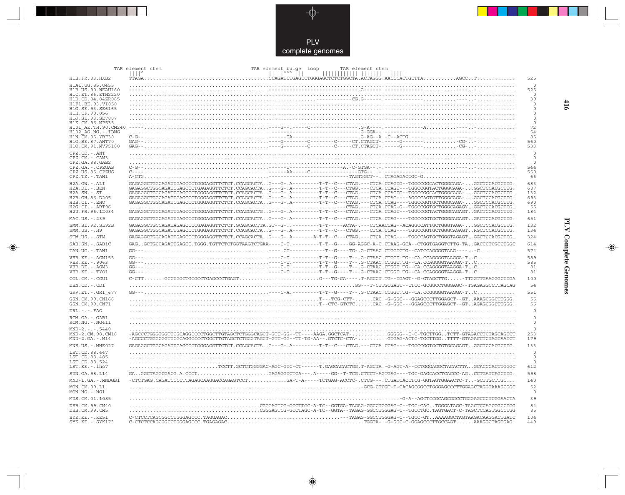

---

 $\begin{picture}(120,140)(-6.5,14.0) \put(0,0){\vector(0,1){10}} \put(15,0){\vector(0,1){10}} \put(15,0){\vector(0,1){10}} \put(15,0){\vector(0,1){10}} \put(15,0){\vector(0,1){10}} \put(15,0){\vector(0,1){10}} \put(15,0){\vector(0,1){10}} \put(15,0){\vector(0,1){10}} \put(15,0){\vector(0,1){10}} \put(15,0){\vector(0,1){10}} \put(15,0){\vector(0,1){10}}$ 

 $\mathbb{R}$ 

|                                                              | TAR element bulge loop<br>TAR element stem<br>TAR element stem                                                                                                                                                                                             |                              |
|--------------------------------------------------------------|------------------------------------------------------------------------------------------------------------------------------------------------------------------------------------------------------------------------------------------------------------|------------------------------|
| H1B.FR.83.HXB2                                               |                                                                                                                                                                                                                                                            | 525                          |
| H1A1.UG.85.U455<br>H1B. US. 90. WEAU160<br>H1C.ET.86.ETH2220 |                                                                                                                                                                                                                                                            | $\mathbf 0$<br>525<br>$\cap$ |
| H1D.CD.84.84ZR085<br>H1F1.BE.93.VI850                        |                                                                                                                                                                                                                                                            | 39<br>$\Omega$               |
| H1G.SE.93.SE6165<br>H1H.CF.90.056                            |                                                                                                                                                                                                                                                            | $\Omega$<br>$\Omega$         |
| H1J.SE.93.SE7887                                             |                                                                                                                                                                                                                                                            | $\circ$                      |
| H1K.CM.96.MP535<br>H101 AE.TH.90.CM240<br>H102 AG.NG.-.IBNG  |                                                                                                                                                                                                                                                            | 0<br>72<br>54                |
| H1N. CM. 95. YBF30<br>H10.BE.87.ANT70<br>H1O.CM.91.MVP5180   |                                                                                                                                                                                                                                                            | 85<br>560<br>533             |
| CPZ.CD. - . ANT                                              |                                                                                                                                                                                                                                                            | $\Omega$                     |
| CPZ.CM. - . CAM3                                             |                                                                                                                                                                                                                                                            | $\Omega$                     |
| CPZ.GA.88.GAB2<br>CPZ.GA. - . CPZGAB                         |                                                                                                                                                                                                                                                            | $\Omega$<br>544              |
| CPZ.US.85.CPZUS                                              |                                                                                                                                                                                                                                                            | 550                          |
| $CPZ.TZ.-.TAN1$<br>H2A.GW.-.ALI                              | GAGAGGCTGGCAGATTGAGCCCTGGGAGGTTCTCT.CCAGCACTAG---G-.A--------T-T--C---CTAG.---CTCA.CCAGTG--TGGCCGGCACTGGGCAGA-GGCTCCACGCTTG.                                                                                                                               | 66<br>683                    |
| $H2A.DE. -.BEN$                                              | GAGAGGCTGGCAGATCGAGCCCTGAGAGGTTCTCT.CCAGCACTAG---G-.A--------T-T--C--CTGG.---CTCA.CCAGT---TGGCCGGTACTGGGCAGA-GGCTCCACGCTTG.                                                                                                                                | 687                          |
| $H2A.SN.-.ST$                                                | GAGAGGCTGGCAGATTGAGCCCTGGGAGGTTCTCT.CCAGCACTAG---G-.A--------T-T--C---CTAG.---CTCA.CCAGTG--TGGCCGGCACTGGGCAGA-GGCTCCACGCTTG.<br>GAGAGGCTGGCAGATTGAGCCCTGGGAGGTTCTCT.CCAGCACTAG---G-.A-------T-T-C---CTAG.---CTCA.CCAG----AGGCCAGTGTTGGGCAGA-GGCTCCACGCTTG. | 132                          |
| H2B.GH.86.D205<br>H2B.CI.-.EHO                               | GAGAGGCTGGCAGATCGAGCCCTGGGAGGTTCTCT.CCAGCACTAG---G-.A--------T-T-C---CTAG.---CTCA.CCAG----TGGCCGGTGCTGGGCAGA-GGCTCCACGCTTG.                                                                                                                                | 693<br>690                   |
| H2G.CI.-.ABT96                                               |                                                                                                                                                                                                                                                            | 55                           |
| H2U.FR.96.12034                                              | GAGAGGCTGGCAGATTGAGCCCTGGGAGGTTCTCT.CCAGCACTGG---G-.A--------T-T--C---CTAG.---CTCA.CCAGT---TGGCCGGTACTGGGCAGAGTGACTCCACGCTTG.                                                                                                                              | 184                          |
| MAC.US.-.239<br>SMM.SL.92.SL92B                              | GAGAGGCTGGCAGATTGAGCCCTGGGAGGTTCTCT.CCAGCACTAG---G-.A--------T-T--C---CTAG.---CTCA.CCAG----TGGCCGGTGCTGGGCAGAGTGACTCCACGCTTG.<br>GAGAGGCTGCCAGATAGAGCCCCGAGAGGTTCTCT.GCAGCACTTA.GT--G--------T-T----ACTA-.--CTCAACCAG--ACAGGCCATTGCTGGGTAGA-GGCTCCACGCTTG. | 651<br>132                   |
| $SMM.US. - .H9$                                              | GAGAGGCTGGCAGATTGAGCCCTGGGAGGTTCTCT.CCAGCACTAG---G-.A--------T-T--C---CTGG.---CTCA.CCAG----TGGCCGGTGCTGGGCAGAGTRGCTCCACGCTTG.                                                                                                                              | 134                          |
| STM.US.-.STM                                                 | GAGAGGCTGGCAGATTGAGCCCTGGGAGGTTCTCT.CCAGCACTAG---G-.A-------A-T-T--C---CTAG.---CTCA.CCAG----TGGCCAGTGCTGGGTAGAGTGGCTCCACGCTTG.                                                                                                                             | 324                          |
| SAB.SN. - . SAB1C                                            | GAGGCTGCCAGATTGAGCC.TGGG.TGTTCTCTGGTAAGTCTGAA----C-T.--------T-T--G---GG-AGGC-A-C.CTAAG-GCA--CTGGTGAGGTCTTG-TAGACCCTCGCCTGGC                                                                                                                               | 614                          |
| TAN.UG. - . TAN1                                             |                                                                                                                                                                                                                                                            | 574                          |
| VER. KE. - . AGM155<br>VER.KE. - . 9063                      |                                                                                                                                                                                                                                                            | 589<br>585                   |
| VER.DE. - . AGM3                                             |                                                                                                                                                                                                                                                            | 81                           |
| VER.KE. - . TYO1                                             |                                                                                                                                                                                                                                                            | 81                           |
| COL.CM. - . CGU1                                             |                                                                                                                                                                                                                                                            | 100                          |
| DEN.CD. - .CD1                                               |                                                                                                                                                                                                                                                            | 54                           |
| GRV.ET. - .GRI 677<br>GSN.CM.99.CN166                        | $\ldots\ldots\ldots\ldots\ldots\ldots\ldots\ldots\ldots\ldots\ldots\ldots$ T---TCG-CTT- $\ldots\ldots$ . CAC . -G-GGC---GGAGCCCTTGGAGCT--GT AAAGCGGCCTGGG .                                                                                                | 551<br>56                    |
| GSN.CM.99.CN71                                               |                                                                                                                                                                                                                                                            | 56                           |
| $DRL$ . - . - . $FAO$                                        |                                                                                                                                                                                                                                                            | $\circ$                      |
| RCM.GA. - . GAB1<br>RCM.NG.-.NG411                           |                                                                                                                                                                                                                                                            | $\Omega$<br>$\mathbf 0$      |
| $MND-2. - - - 5440$<br>MND-2.CM.98.CM16<br>$MND-2.GA.-.M14$  | -AGCCCTGGGTGGTTCGCAGGCCCCTGGCTTGTAGCTCTGGGCAGCT-GTC-GG--TT----AAGA.GGCTCAT-GGGGG--C-C-TGCTTGGTCTT-GTAGACCTCTAGCAGTCT<br>-AGCCCTGGGCGGTTCGCAGGCCCCTGGCTTGTAGCTCTGGGTAGCT-GTC-GG--TT-TG-AA--.GTCTC-CTA-GTGAG-ACTC-TGCTTGGTTTT-GTAGACCTCTAGCAATCT             | $\circ$<br>253<br>179        |
| $MNE. US. - . MNE027$                                        | GAGAGGCTGGCAGATTGAGCCCTGGGAGGTTCTCT.CCAGCACTAG---G-.A--------T-T--C---CTAG.---CTCA.CCAG----TGGCCGGTGCTGTGCAGAGTGCCTCCACGCTTG                                                                                                                               | 133                          |
| LST.CD.88.447<br>LST.CD.88.485                               |                                                                                                                                                                                                                                                            | $\Omega$<br>$\circ$          |
| LST.CD.88.524                                                |                                                                                                                                                                                                                                                            | $\Omega$                     |
| $LST.KE. - Lh07$                                             | TCCTT.GCTCTGGGGAC-AGC-GTC-CT------T.GAGCACACTGG.T-AGCTA.-G-AGT-A--CCTGGGAGGCTACACTTAGCACCCACCTGGGC                                                                                                                                                         | 612                          |
| SUN.GA.98.L14                                                |                                                                                                                                                                                                                                                            | 598                          |
| MND-1.GA.-.MNDGB1                                            |                                                                                                                                                                                                                                                            | 140                          |
| MON.CM.99.L1<br>MON.NG.-.NG1                                 |                                                                                                                                                                                                                                                            | 52<br>$\circ$                |
| MUS.CM.01.1085                                               |                                                                                                                                                                                                                                                            | 39                           |
| DEB. CM. 99. CM40<br>DEB.CM.99.CM5                           | CGGAGTCG-GCCTTGC-A-TC--GGTGA-TAGAG-GGCCTGGGAG-C--TGC-CACTGGGATAGC-TAGCTCCAGCGGCCTGG                                                                                                                                                                        | 84<br>85                     |
| $SYK.KE. - .KE51$<br>$SYK.KE. - .SYK173$                     |                                                                                                                                                                                                                                                            | 104<br>449                   |

 $\blacklozenge$ 

**PLV Complete Genomes 416 PLV Complete Genomes** 

 $\Rightarrow$ 

 $\overline{\phantom{0}}$ 

416

 $\Box$ 

<u> 1999 - 1999 - 1999 - 1999 - 1999 - 1999 - 1999 - 1999 - 1999 - 1999 - 1999 - 1999 - 1999 - 1999 - 1999 - 199</u>

 $\mathbf{I}$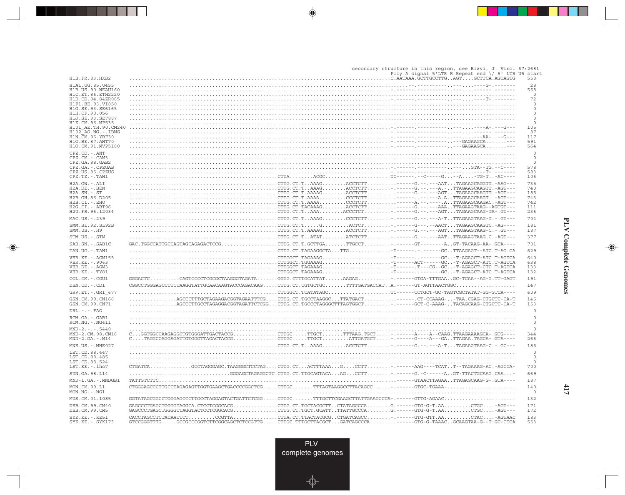secondary structure in this region, see Rizvi, J. Virol 67:2681<br>Poly A signal 5'LTR R Repeat end \/ 5' LTR U5 start Poly A signal 5'LTR R Repeat end \/ 5' LTR U5 start H1B.FR.83.HXB2 ........................................................................................C.AATAAA.GCTTGCCTTG..AGT....GCTTCA.AGTAGTG 558 H1A1.UG.85.U455 ..............................................................................................--.----------..---....----G-.------- 28 H1B.US.90.WEAU160 ........................................................................................-.------.----------..---....------.------- 558 H1C.ET.86.ETH2220 .................................................................................................................................. 0 H1D.CD.84.84ZR085 ........................................................................................-.------.----------..---....----T-.------- 72 H1F1.BE.93.VI850 .................................................................................................................................. 0 H1G.SE.93.SE6165 .................................................................................................................................. 0 H1H.CF.90.056 .................................................................................................................................. 0 H1J.SE.93.SE7887 .................................................................................................................................. 0 H1K.CM.96.MP535 .................................................................................................................................. 0 H101\_AE.TH.90.CM240 ........................................................................................-.------.----------..---....----A-.---G--- 105 H102\_AG.NG.-.IBNG ........................................................................................-.------.----------..---....------.------- 87 H1N.CM.95.YBF30 ........................................................................................-.------.----------..---....---AA-..--G--- 117 H1O.BE.87.ANT70 ........................................................................................-.------.----------..---GAGAAGCA.......--- 591 H1O.CM.91.MVP5180 ........................................................................................-.------.----------..---GAGAAGCA.......--- 564 CPZ.CD.-.ANT .................................................................................................................................. 0 CPZ.CM.-.CAM3 .................................................................................................................................. 0 CPZ.GA.88.GAB2 .................................................................................................................................. 0 CPZ.GA.-.CPZGAB ........................................................................................-.------.----------..---...GTA--TG.--C---- 578 CPZ.US.85.CPZUS ........................................................................................-.------.----------..---....----T-.------- 583 CPZ.TZ.-.TAN1 ..................................................CTTA........ACGC......................TC------.--C-----G...--A....-TG-T..-AC---- 106 H2A.GW.-.ALI ..................................................CTTG.CT.T..AAAG........ACCTCTT..........------G.--.---AAT...TAGAAGCAGGTT.-AAG--- 735 H2A.DE.-.BEN ..................................................CTTG.CT.T..AAAG........ACCTCTT........-.------G.--.---A.-..TTAGAAGCAAGTT.-AGT--- 740 H2A.SN.-.ST ..................................................CTTG.CT.T.AAAAG........ACCTCTT..........------G.--.---AGT...TAGAAGCAAGTT.-AGT--- 185 H2B.GH.86.D205 ..................................................CTTG.CT.T.AAAA.........CCCTCTT..........------..--.---A.A..TTAGAAGCAAGT..-AGT--- 743 H2B.CI.-.EHO ..................................................CTTG.CT.T.AAAA.........CCCTCTT..........------A.--.----.A..TTAGAAGCAAGAC.-AGT--- 742 H2G.CI.-.ABT96 ..................................................CTTG.CT.TACAAAG........ACCTCTT..........------G.--.---AAA..TTAGAAGTAAG--AGTGT--- 111 H2U.FR.96.12034 ..................................................CTTG.CT.T..AAA........ACCCTCT.........-.------G.--.---AGT...TAGAAGCAAG-TA-.GT--- 236 MAC.US.-.239 ..................................................CTTG.CT.T..AAAG........CCCTCTT........-.------G.--.---A-T..TTAGAAGTAAG-T.-.GT--- 704 SMM.SL.92.SL92B ..................................................CTTG.CT.T.....G.........ACTCT.........-.------G---.--AACT...TAGAAGCAAGTC.-AG---- 181 SMM.US.-.H9 ..................................................CTTG.CT.T.AAAAG........ACCTCTT........-.------G.--.---AGT...TAGAAGTAAG-C.-.GT--- 187 STM.US.-.STM ..................................................CTTG.CT.T..ATAT........ATCTCTT........-.------G.--.---AAT..TTAGAAGTAAG.C.-AGT--- 377 SAB.SN.-.SAB1C GAC.TGGCCATTGCCAGTAGCAGAGACTCCG...................CTTG.CT.T.GCTTGA.......TTGCCT.........-.------GT--------A..GT-TACAAG-AA-.GCA---- 701 TAN.UG.-.TAN1 ..................................................CTTG.CT.TAGAAGGCTA...TTG..............-T------.-.------GC..TTAAGAGT--ATC.T-AG.CA 629 VER.KE.-.AGM155 ..................................................CTTGGCT.TAGAAAG.......................-T------..-------GC..-T-AGAGCT-ATC.T-AGTCA 640 VER.KE.-.9063 ..................................................CTTGGCT.TGGAAAG.......................-T------ACT------GC..-T-AGAGCT-ATC.T-AGTCA 638 VER.DE.-.AGM3 ..................................................CTTGGCT.TAGAAAG.......................-T------.T---CG--GC..-T-AGAGCT-CTC.T-AGTCA 133 VER.KE.-.TYO1 ..................................................CTTGGCT.TAGAAAG.......................-T------..-------GC..-T-AGAGCT-ATC.T-AGTCA 132 COL.CM.-.CGU1 GGGACTC..........CAGTCCCCTCGCGCTAAGGGTAGATA.......GGTG.CTTTGCATTAT......AAGAG...........-.------GTGA-TTTGAA..GC-TCAA--AG-G.TT-GAGT 191 DEN.CD.-.CD1 CGGCCTGGGAGCCCTCTAAGGTATTGCAACAAGTACCCAGACAAG.....CTTG.CT.CGTGCTGC.......TTTTGATGACCAT..A.------GT-AGTTAACTGGC.................... 147 GRV.ET.-.GRI\_677 ..................................................CTTGGCT.TCATATAGC.....................TC------CCTGCT-GC-TAGTCGCTATAT-GG-GTCA---- 609 GSN.CM.99.CN166 ................AGCCCTTTGCTAGAAGACGGTAGAATTTCG....CTTG.CT.TGCCTAAGGC...TTATGACT...........------.CT-CCAAAG-..-TAA.CGAG-CTGCTC-CA-T 146 GSN.CM.99.CN71 ................AGCCCTTGCCTAGAGGACGGTAGATTCTCGG...CTTG.CT.TGCCCTAGGGCTTTAGTGGCT.........-.------GCT-C-AAAG-..TACAGCAAG-CTGCTC-CA-T 153 DRL.-.-.FAO .................................................................................................................................. 0 RCM.GA.-.GAB1 .................................................................................................................................. 0 RCM.NG.-.NG411 .................................................................................................................................. 0 MND-2.-.-.5440 .................................................................................................................................. 0 MND-2.CM.98.CM16 C...GGTGGCCAAGAGGCTGTGGGATTGACTACCG...............CTTGC.....TTGCT.......TTTAAG.TGCT.....-.------A----A--CAAG.TTAAGAAAAGCA-.GTG---- 344 MND-2.GA.-.M14 C....TAGGCCAGGAGATTGTGGGTTAGACTACCG...............CTTGC.....TTGCT.........ATTGATGCT.....-.------G----A---GA..TTAGAA.TAGCA-.GTA---- 266 MNE.US.-.MNE027 ..................................................CTTG.CT.T..AAAG........ACCTCTT........-.------G.--.---A-T...TAGAAGTAAG-C.-.GC--- 185  $\texttt{LST.CD}.88.447 \newline \texttt{LST.CD}.88.485 \newline \texttt{0} \newline \texttt{LST.CD}.88.485 \newline \texttt{0} \newline \texttt{0} \newline \texttt{LST.CD}.88.485 \newline \texttt{1} \newline \texttt{1} \newline \texttt{1} \newline \texttt{1} \newline \texttt{1} \newline \texttt{1} \newline \texttt{1} \newline \texttt{1} \newline \texttt{1} \newline \texttt{1} \newline \texttt{1} \newline \texttt{1} \newline \texttt{1} \newline \texttt{1} \newline \texttt{1} \newline \texttt{1} \newline$ SUN.GA.98.L14 ..................................GGGAGCTAGAGGCTC.CTTG.CT.TTGCAGTACA...AG...CCTT........-.------G.-C------A..GT-TTACTGCAAG.CAA...- 669 MND-1.GA.-.MNDGB1 TATTGTCTTC................................................................................------GTAACTTAGAA..TTAGAGCAAG-G-.GTA---- 187 MON.CM.99.L1 CTGGGAGCCCTTGCCTAGAGAGTTGGTGAAGCTGACCCCGGCTCG.....CTTGC.......TTTAGTAAGGCCTTACAGCC......-.------GTGC-TGAAA-....................... 140 MON.NG.-.NG1 .................................................................................................................................. 0 MUS.CM.01.1085 GGTATAGCGGCCTGGGAGCCCTTGCCTAGGAGTACTGATTCTCGG.....CTTGC.......TTTGCTTCGAAGCTTATTGAAGCCCA-.------GTTG-AGAAC........................ 132 DEB.CM.99.CM40 GAGCCCTGAGCTGGGGTAGGCA.CTCCTCGGCACG...............CTTG.CT.TGCTACGCTT..CTATAGCCCA........G.------GTG-G-T.AA.........CTGC....-AGT--- 171 DEB.CM.99.CM5 GAGCCCTGAGCTGGGGTTAGGTACTCCTCGGCACG...............CTTG.CT.TGCT.GCATT..TTATTGCCCA........G.------GTG-G-T.AA.........CTGC....-AGT--- 172  $\texttt{SYK.KE.-.KE51}\hspace{1.5cm}\texttt{CACCTAGCCTTCACAATTCT~\dots\dots\dots\texttt{CCGTTA~\dots\dots\dots\texttt{CTTA~CT.TTACTACCGG.}\hspace{1.5cm}.CTGACGCC~\dots\dots\dots\texttt{----GTG-GTT.AA~\dots\dots\texttt{-CTAC~\dots\dots\texttt{-GGTA}}\hspace{1.5cm}\texttt{0.183}}\hspace{1.5cm}\texttt{SYK.KE.-.SYK173}\hspace{1.5cm}\texttt{GTCCGGGTTTG~\dots\dots\texttt{GCGGGGTCTTCGGCAGCTCTTCGTTG~\dots\dots\text$ 

 $\overline{M}$ **PLV Complete Genomes Complete Genomes** 

**417**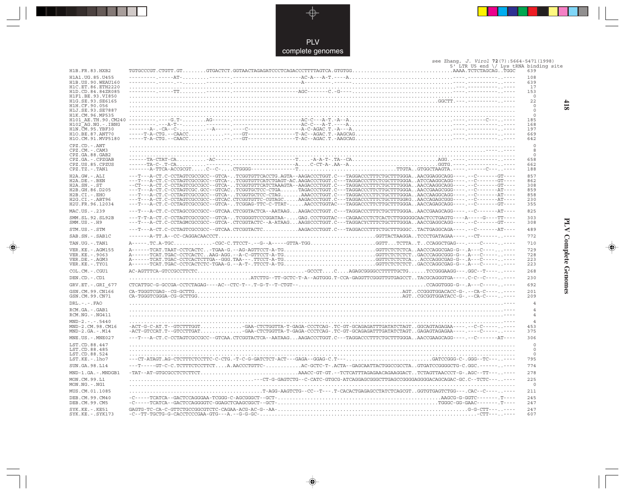

. . .

 $\Rightarrow$ 

### see Zhang, J. Virol 72(7):5664-5471(1998)<br>5' LTR U5 end \/ Lys tRNA binding site

| H1B.FR.83.HXB2                          |                                                                                                                                                                                                                                                            | uin uu umu | ə uniya bilidiliy<br>639 |
|-----------------------------------------|------------------------------------------------------------------------------------------------------------------------------------------------------------------------------------------------------------------------------------------------------------|------------|--------------------------|
| H1A1.UG.85.U455                         |                                                                                                                                                                                                                                                            |            | 108                      |
| H1B.US.90.WEAU160<br>H1C.ET.86.ETH2220  |                                                                                                                                                                                                                                                            |            | 639<br>17                |
| H1D.CD.84.84ZR085                       |                                                                                                                                                                                                                                                            |            | 153                      |
| H1F1.BE.93.VI850<br>H1G.SE.93.SE6165    |                                                                                                                                                                                                                                                            |            | $\Omega$<br>22           |
| H1H.CF.90.056                           |                                                                                                                                                                                                                                                            |            | 0                        |
| H1J.SE.93.SE7887                        |                                                                                                                                                                                                                                                            |            | $\mathbf 0$              |
| H1K.CM.96.MP535                         |                                                                                                                                                                                                                                                            |            | 0<br>185                 |
|                                         |                                                                                                                                                                                                                                                            |            | 168                      |
|                                         |                                                                                                                                                                                                                                                            |            | 197<br>669               |
|                                         | H10. RB. TH. 90. CM240<br>H102_AG. NG. - . IBNG<br>H102_AG. NG. - . IBNG<br>H102_AG. NG. - . IBNG<br>H10. RB. TH. 90. CM240<br>H10. RB. ST. APT? (2002)<br>H10. RB. ST. APT? (2003)<br>H10. RB. ST. APT? (2003)<br>H10. RB. ST. APT? (2003)<br>H           |            | 642                      |
| CPZ.CD. - . ANT                         |                                                                                                                                                                                                                                                            |            | $\circ$                  |
| CPZ.CM. - . CAM3<br>CPZ.GA.88.GAB2      |                                                                                                                                                                                                                                                            |            | 8<br>$\mathbf 0$         |
| CPZ.GA. - . CPZGAB                      |                                                                                                                                                                                                                                                            |            | 658                      |
| CPZ.US.85.CPZUS<br>CPZ.TZ.-.TAN1        |                                                                                                                                                                                                                                                            |            | 662<br>188               |
| H2A.GW.-.ALI                            | ---T---A-CT.C-CCTAGTCGCCGCC--GTCA-TCGGTGTTCACCTG.AGTA--AAGACCCTGGT.C---TAGGACCCTTTCTGCTTTGGGAAACGGAGGCAGG----.--C------GT----                                                                                                                              |            | 857                      |
| H2A.DE. - .BEN                          | ---T---A-CT.C-CCTAGTCGCCGCC--GTCA-TCGGTGTTCATCTGAGT-AC.AAGACCCTGGT.C---TAGGACCCTTCTCGCTTTGGGAATCCAAGGCAGG----.--C------GT----                                                                                                                              |            | 862                      |
| $H2A.SN.-.ST$                           | --CT---A-CT.C-CCTAGTCGCCGCC--GTCA-TCGGTGTTCATCTAAAGTA--AAGACCCTGGT.C---TAGGACCCTTTCTGCTTTGGGAAACCAAGGCAGG----.--C-------GT----                                                                                                                             |            | 308                      |
| H2B.GH.86.D205<br>H2B.CI.-.EHO          | ---T---A-CT.C-CCTAGTCGC.GCC--GTCACTCGGTGCTCC-CTGATAGACCCTGGT.C---TAGGACCCTTCTTGCTTTGGGAAACCGAAGCGGG-------------AT----<br>---T---A-CT.C-CCTAGTCGCCGCC--GTCA-TCGGTGCTCC-CTAGAAACCCTGGT.C---TAGGACCCCTTCTGCTTTGGGAAACCAAGGCAGG----.--C-------AT----          |            | 859<br>858               |
| H2G.CI. - . ABT96                       | ---T---A-CT.C-CCTAGTCGCCGCC--GTCAC.CTCGGTGTTC-CGTAGCAAGACCCTGGT.C---TAGGACCCTTTCTGCTTTGGRGAACCAGAGCGGG----.--C-------AT----                                                                                                                                |            | 230                      |
| H2U.FR.96.12034                         | ---T---A-CT.C-CCTAGTCGCCGCC--GTCA-TCGGAG-TTC-C-TTAT-AACCCTGGTAC---TAGGACCCTTCTTGCTTTGGGAAACCAGAGCAGG----.--C-------GT----                                                                                                                                  |            | 355                      |
| MAC.US.-.239                            | ---T---A-CT.C-CCTAGCCGCCGCC--GTCAA.CTCGGTACTCA--AATAAGAAGACCCTGGT.C---TAGGACCCTTTCTGCTTTGGGAAACCGAAGCAGG----.--C-------AT----                                                                                                                              |            | 825                      |
| SMM. SL. 92. SL92B<br>$SMM. US. - . H9$ | ---T--A-CT.C-CCTAGTCGCCGCC--GTCA-TCGGGGTCCCGGATAA-GAG.CCCTGGTAC---CAGAACCCTCTCACTCTTGGGGGCAACTCCTGAGTG----A----G----TT----<br>---T---A-CT.C-CCTAGMCGCCGCC--GTCA-.CTCGGTACTC--A-ATAAGAAGSCCCTGGT.C---TAGGACYCTTTCTGCTTTGGGAAACCGAGGCAGG----.--C------GT---- |            | 303<br>308               |
| STM.US.-.STM                            | ---T---A-CT.C-CCTAGTCGCCGCC--GTCAA.CTCGGTACTCAAGACCCTGGT.C---TAGGACCCTTTCTGCTTTGGGCTACTGAGGCAGA----.--C-------AT----                                                                                                                                       |            | 489                      |
| SAB.SN.-.SAB1C                          |                                                                                                                                                                                                                                                            |            | 772                      |
| TAN.UG. - . TAN1                        |                                                                                                                                                                                                                                                            |            | 710                      |
| VER. KE. - . AGM155                     | A------TCAT.TAAT-CCTCACTC-TGAA-G.--AG-AGTTCCT-A-TGGGTTCTCTCAAACCCAGGCGAG-G--.A---C--------                                                                                                                                                                 |            | 729<br>728               |
| VER. KE. - . 9063<br>VER.DE. - . AGM3   | A------TCAT.TGAC-CCTCACTCTTGA--GGG.TAA---.TTCCT-A-TGGGTTCTCTCTAACCCAGGCGAG-G--.A---C---------                                                                                                                                                              |            | 223                      |
| VER.KE. - . TYO1                        | A------TCAT.TGAC-CCTCACTCTC-TGAA-G.--A-T-.TTCCT-A-TGGGTTCTCTCTCTGACCCAGGCGAG-G--.A---C---------                                                                                                                                                            |            | 223                      |
| COL.CM.-.CGU1                           |                                                                                                                                                                                                                                                            |            | 268                      |
| DEN.CD. - .CD1                          |                                                                                                                                                                                                                                                            |            | 230                      |
| GRV.ET. - . GRI 677                     |                                                                                                                                                                                                                                                            |            | 692                      |
| GSN.CM.99.CN166<br>GSN.CM.99.CN71       |                                                                                                                                                                                                                                                            |            | 201<br>209               |
| $DRL$ . - . - . $FAO$                   |                                                                                                                                                                                                                                                            |            | $\overline{4}$           |
| RCM.GA.-.GAB1<br>RCM.NG. - . NG411      |                                                                                                                                                                                                                                                            |            | $\overline{4}$<br>4      |
| $MND-2. - - - 5440$<br>MND-2.CM.98.CM16 | -ACT-G-C-AT.T--GTCTTTGGTGAA-CTCTGGTTA-T-GAGA-CCCTCAG-.TC-GT-GCAGAGATTTGATATCTAGTGGCAGTAGAGAA----.--C-C--------                                                                                                                                             |            | $\overline{4}$<br>453    |
| $MND-2.GA.-.M14$                        |                                                                                                                                                                                                                                                            |            | 375                      |
| MNE.US.-.MNE027                         | ---T---A-CT.C-CCTAGTCGCCGCC--GTCAA.CTCGGTACTCA--AATAAGAAGACCCTGGT.C---TAGGACCCTTTCTGCTTTGGGAAACCGAAGCAGG----.--C------AT----                                                                                                                               |            | 306                      |
| LST.CD.88.447                           |                                                                                                                                                                                                                                                            |            | $\Omega$                 |
| LST.CD.88.485<br>LST.CD.88.524          |                                                                                                                                                                                                                                                            |            | $\mathbf 0$<br>$\circ$   |
| LST.KE. - . lho7                        | ---CT-ATAGT.AG-CTCTTTCTCCTTC-C-CTG.-T-C-G-GATCTCT-ACT---GAGA--GGAG-C.T---GATCCGGG-C-.GGG--TC-------                                                                                                                                                        |            | 795                      |
| SUN. GA. 98. L14                        | ---T-----GT-C-C.TCTTTCTCCTTCTA.AACCCTGTTC-AC-GCTC-T-.ACTA--GAGCAATTACTGGCCGCCTAGTGATCCGGGGCTG-C.GGC.----------                                                                                                                                             |            | 774                      |
| MND-1.GA.-.MNDGB1                       |                                                                                                                                                                                                                                                            |            | 278                      |
| MON.CM.99.L1<br>$MON.NG. -.NG1$         |                                                                                                                                                                                                                                                            |            | 225<br>$\mathbf 0$       |
| MUS.CM.01.1085                          | T-AGG-AAGTCTG--CC--T---.T-CACACTGAGAGCCTATCTCAGCGTGGTGTGAGTCTGG---.CAC--C--------                                                                                                                                                                          |            | 211                      |
| DEB. CM. 99. CM40<br>DEB.CM.99.CM5      |                                                                                                                                                                                                                                                            |            | 245<br>247               |
| $SYK.KE. - .KE51$<br>SYK.KE. - . SYK173 |                                                                                                                                                                                                                                                            |            | 247<br>607               |

 $\Rightarrow$ 

 $418$ 

**PLV Complete Genomes 418 PLV Complete Genomes** 

 $\begin{picture}(20,5) \put(0,0){\line(1,0){10}} \put(15,0){\line(1,0){10}} \put(15,0){\line(1,0){10}} \put(15,0){\line(1,0){10}} \put(15,0){\line(1,0){10}} \put(15,0){\line(1,0){10}} \put(15,0){\line(1,0){10}} \put(15,0){\line(1,0){10}} \put(15,0){\line(1,0){10}} \put(15,0){\line(1,0){10}} \put(15,0){\line(1,0){10}} \put(15,0){\line(1,$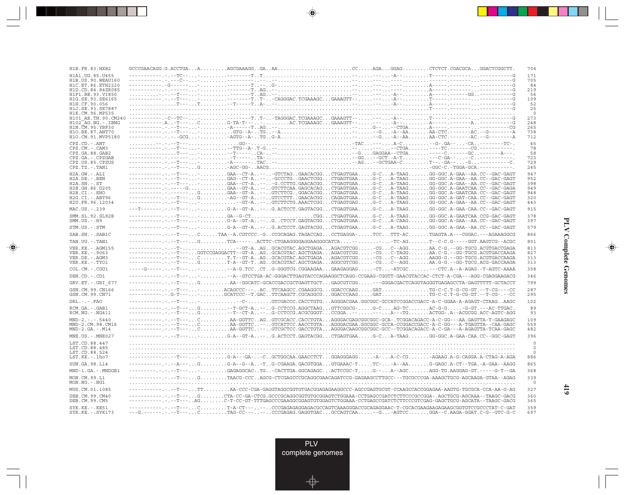| H1B.FR.83.HXB2                            |                                                                                                                                                                                                                                                                                                                                                                                                                                                                                                                                            |  |  | 704             |
|-------------------------------------------|--------------------------------------------------------------------------------------------------------------------------------------------------------------------------------------------------------------------------------------------------------------------------------------------------------------------------------------------------------------------------------------------------------------------------------------------------------------------------------------------------------------------------------------------|--|--|-----------------|
| H1A1.UG.85.U455                           |                                                                                                                                                                                                                                                                                                                                                                                                                                                                                                                                            |  |  | 171             |
| H1B. US. 90. WEAU160<br>H1C.ET.86.ETH2220 |                                                                                                                                                                                                                                                                                                                                                                                                                                                                                                                                            |  |  | 705<br>84       |
| H1D.CD.84.84ZR085                         |                                                                                                                                                                                                                                                                                                                                                                                                                                                                                                                                            |  |  | 219             |
| H1F1.BE.93.VI850<br>H1G.SE.93.SE6165      |                                                                                                                                                                                                                                                                                                                                                                                                                                                                                                                                            |  |  | 56<br>109       |
| H1H.CF.90.056                             |                                                                                                                                                                                                                                                                                                                                                                                                                                                                                                                                            |  |  | 52              |
| H1J.SE.93.SE7887                          |                                                                                                                                                                                                                                                                                                                                                                                                                                                                                                                                            |  |  | 25              |
| H1K.CM.96.MP535<br>H101 AE.TH.90.CM240    |                                                                                                                                                                                                                                                                                                                                                                                                                                                                                                                                            |  |  | $\circ$<br>273  |
| $H102-AG.NG. - .IBNG$                     |                                                                                                                                                                                                                                                                                                                                                                                                                                                                                                                                            |  |  | 248             |
| H1N.CM.95.YBF30                           |                                                                                                                                                                                                                                                                                                                                                                                                                                                                                                                                            |  |  | 265             |
| H10.BE.87.ANT70<br>H1O.CM.91.MVP5180      |                                                                                                                                                                                                                                                                                                                                                                                                                                                                                                                                            |  |  | 738<br>712      |
| CPZ.CD. - . ANT                           | $\texttt{GG} = \texttt{G} + \texttt{G} + \texttt{G} + \texttt{G} + \texttt{G} + \texttt{G} + \texttt{G} + \texttt{G} + \texttt{G} + \texttt{G} + \texttt{G} + \texttt{G} + \texttt{G} + \texttt{G} + \texttt{G} + \texttt{G} + \texttt{G} + \texttt{G} + \texttt{G} + \texttt{G} + \texttt{G} + \texttt{G} + \texttt{G} + \texttt{G} + \texttt{G} + \texttt{G} + \texttt{G} + \texttt{G} + \texttt{G} + \texttt{G} + \text$                                                                                                                |  |  |                 |
| CPZ.CM.-.CAM3                             |                                                                                                                                                                                                                                                                                                                                                                                                                                                                                                                                            |  |  | $\frac{45}{78}$ |
| CPZ.GA.88.GAB2<br>CPZ.GA. - . CPZGAB      |                                                                                                                                                                                                                                                                                                                                                                                                                                                                                                                                            |  |  | 58<br>723       |
| CPZ.US.85.CPZUS                           |                                                                                                                                                                                                                                                                                                                                                                                                                                                                                                                                            |  |  | 729             |
| $CPZ.TZ.-.TAN1$                           |                                                                                                                                                                                                                                                                                                                                                                                                                                                                                                                                            |  |  | 245             |
| H2A.GW.-.ALI                              | -----------.---T----GAA--CT-A---GTCTAGGAACACGGCTGAGTGAAG-CA-TAAGGG-GGC.A-GAA--AA.CC--GAC-GAGT                                                                                                                                                                                                                                                                                                                                                                                                                                              |  |  | 947             |
| H2A.DE. - .BEN<br>$H2A.SN.-.ST$           | -----------.-.-T----GAG--CT-A--GCCCTGGAACTCGGCTGAGTGAAG-CA-TAAGGG-GGC.A-GAA--AA.CC--GAC-GAGT                                                                                                                                                                                                                                                                                                                                                                                                                                               |  |  | 952<br>398      |
| H2B.GH.86.D205                            | -------------CGAA--GT-A--GTCTTCAA.GAGCACAGCTGAGTGAAG-CA-TAAGGG-GGC.A-GAATCAA.CC--GAC-GAGA                                                                                                                                                                                                                                                                                                                                                                                                                                                  |  |  | 949             |
| $H2B.CI.-EHO$                             |                                                                                                                                                                                                                                                                                                                                                                                                                                                                                                                                            |  |  | 948             |
| H2G.CI. - . ABT96<br>H2U.FR.96.12034      |                                                                                                                                                                                                                                                                                                                                                                                                                                                                                                                                            |  |  | 320<br>443      |
| MAC.US.-.239                              | ---T-------.-.--T---G-A--GT-A--G.ACTCCT.GAGTACGGCTGAGTGAAG-CA-TAAGGG-GGC.A-GAA-CAA.CC--GAC-GAGT                                                                                                                                                                                                                                                                                                                                                                                                                                            |  |  | 915             |
| SMM.SL.92.SL92B                           |                                                                                                                                                                                                                                                                                                                                                                                                                                                                                                                                            |  |  | 378             |
| $SMM.US.-.H9$                             | -T----G-A--GT-A--GCTCCT.GAGTACGGCTGAGTGAAG-CA-CAAGGG-GGC.A-GAA--AA.CC--GAC-GAGT                                                                                                                                                                                                                                                                                                                                                                                                                                                            |  |  | 397             |
| STM.US.-.STM                              | -T----G-A--GT-A--G.ACTCCT.GAGTACGGCTGAGTGAAG-CA-TAAGGG-GGC.A-GAA--AA.CC--GAC-GAGT                                                                                                                                                                                                                                                                                                                                                                                                                                                          |  |  | 579             |
| SAB.SN.-.SAB1C                            | .-.--T---CTAA--A.CGTCCC.-GCCGCAGAG.TAGACCAGCCTGAGGA-TCCTTT-ACTGAGTA.A---CGGAC.---AGAAAGGCG                                                                                                                                                                                                                                                                                                                                                                                                                                                 |  |  | 866             |
| TAN.UG. - . TAN1                          | ----------------------GTCA-----ACTTC-CTGAAGGGGAAGGGCATCA------TC-AGT--C-C.G----GGT.AAGTCG--ACGC                                                                                                                                                                                                                                                                                                                                                                                                                                            |  |  | 801             |
| VER. KE. - . AGM155                       | -----------.-.-T--GT-AAGGCACGTAC.AGCTGAGAAGACGTCGG-CGC--AGGAA.C-G.--GG-TGCG.ACGTGACCGAGA                                                                                                                                                                                                                                                                                                                                                                                                                                                   |  |  | 813             |
| VER. KE. - . 9063<br>VER.DE. - . AGM3     | -----------.-.-T---GGTCCGAGGACTT--GT-AAGGCACGTAC.AGCTGAGAAGACGTCGG-CGC-TAGGAA.C-G.--GG-TGCG.ACGTGACCAAGA<br>-----------.---------CT.T--GT-AAGGCACGTAC.AGCTGAGAAGACGTCGG-CGC--AGGAAGG-G.--GG-TGCG.ACGTGACCAAGA                                                                                                                                                                                                                                                                                                                              |  |  | 827<br>313      |
| VER.KE. - . TYO1                          | -----------.-.-T---GT-A--GT-TAGGCACGTAC.AGCTGAGAAGGCGTCGG-CGC--AGGAA.G-G.--GG-TGCG.ACG-GACCAAGA                                                                                                                                                                                                                                                                                                                                                                                                                                            |  |  | 313             |
| COL.CM. - . CGU1                          | $\hbox{\tt---G----------------------A-G. TCC. . CT. .G-GGTCG. CGGAAGAA.GAAGAGAGA.-CT. - ATCGC. --TCC.A.-A-AGAG. -T-AGTC-AAAA.$                                                                                                                                                                                                                                                                                                                                                                                                             |  |  | 358             |
| DEN.CD. - . CD1                           | -T-----A--GTCCTGA-AC-GGGACTTGAGTACCCAGAAGGCTCAGG-CCGAAG-CGGTT-GAACGTACCAC-CTCT-A-CGA---AGG-CGAGGAAGACG                                                                                                                                                                                                                                                                                                                                                                                                                                     |  |  | 346             |
| GRV.ET. - . GRI 677                       | -T---GAA--GGCATC-GCACCGACCGCTGAGTTGCTGAGCGTCGG---GGGACGACTCAGGTAGGGTGAGAGCCTA-GAGTTTTT-GCTACCT                                                                                                                                                                                                                                                                                                                                                                                                                                             |  |  | 799             |
| GSN.CM.99.CN166                           |                                                                                                                                                                                                                                                                                                                                                                                                                                                                                                                                            |  |  | 287             |
| GSN.CM.99.CN71                            |                                                                                                                                                                                                                                                                                                                                                                                                                                                                                                                                            |  |  | 295             |
| $DRL. - . - . FAO$                        | -T-----C-GTCGACCC.CACCTGTGAGGGACGAA.GGCGGC-GCCATCCGGACCGACC-A-C-GGAA-A-AGAGT-CTAAGAAGC                                                                                                                                                                                                                                                                                                                                                                                                                                                     |  |  | 102             |
| RCM.GA.-.GAB1<br>RCM.NG. - . NG411        | $\texttt{T---G}.\ldots,\texttt{G}.\ldots\ldots\ldots\texttt{-T-GCT-A}.\ldots\texttt{G-CCTCCG}.\texttt{AGGCTAAG}.\ldots\texttt{GTTCGGCG}-\ldots\ldots\texttt{G-C}\ldots\texttt{AG-TC}.\ldots\ldots\texttt{AC-G-G}.\ldots\texttt{-G-GT}.\texttt{---AC-TTGAC}.\ldots\texttt{G-G}\texttt{G}\ldots\ldots\texttt{G-G}\texttt{G}\ldots\texttt{G-G}\texttt{G}\ldots\texttt{G-G}\texttt{G}\ldots\texttt{G-G}\texttt{G}\ldots\texttt{G-G}\texttt{G}\ldots\$<br>--.-.--T---G--T--CT-A--G-CCTCCG.ACGCGGGTCCGGA-----A---TGACTGG-.A--ACGCGG.ACC-AGTC-AGG |  |  | 89<br>93        |
| $MND-2. - - - 5440$                       | --CAA-GGTTCAGGTCGCACC.CACCTGTAAGGGACGAGCGGCGGC-GCA-.TCGGACAGACC-A-C-GG---AA.GAGTTA-T-GAAGAGC                                                                                                                                                                                                                                                                                                                                                                                                                                               |  |  | 109             |
| MND-2.CM.98.CM16<br>$MND-2.GA.-.M14$      | ----------.-.-T---CAA-GGTTC--GTCATTCC.AACCTGTAAGGGACGAA.GGCGGC-GCCA-CCGGACCGACC-A-C-GG---A-TGAGTTA--CAA-GAGC<br>-T---CAA-GGTTC--GTCGCTCC.GACCTGTAAGGGACAAGCGGCGGC-GCC--TCGGACAGACC-A-C-GA---A-AGAGTTA-TCAA-GAGC                                                                                                                                                                                                                                                                                                                            |  |  | 559<br>482      |
| MNE.US. - . MNE027                        |                                                                                                                                                                                                                                                                                                                                                                                                                                                                                                                                            |  |  | 396             |
| LST.CD.88.447                             |                                                                                                                                                                                                                                                                                                                                                                                                                                                                                                                                            |  |  | $\circ$         |
| LST.CD.88.485                             |                                                                                                                                                                                                                                                                                                                                                                                                                                                                                                                                            |  |  | $\circ$         |
| LST.CD.88.524                             |                                                                                                                                                                                                                                                                                                                                                                                                                                                                                                                                            |  |  | $\circ$         |
| LST.KE.-.lho7                             | -----------.-.-T----G-A--GA--CGCTGGCAA.GAACCTCTGGAGGGAGG-A-A-C-CG-AGAAG.A-G-CAGGA.A-CTAG-A-AGA                                                                                                                                                                                                                                                                                                                                                                                                                                             |  |  | 886             |
| SUN.GA.98.L14                             | -----------.---A---GG-A--G--A-TG-CGAAGA.GACGTGGAGTGAAAC-TTC--A--AAG-GAGC.A-CT--TGA.-A-GAA--AAGG                                                                                                                                                                                                                                                                                                                                                                                                                                            |  |  | 865             |
| MND-1.GA.-.MNDGB1                         | -T----GAGAGGCACTG-CACTTGA.GGCAGAGCACTCCGC-TG--A--AGCAGG-TG.AAGGAG-GT.-----G-T--GA                                                                                                                                                                                                                                                                                                                                                                                                                                                          |  |  | 368             |
| MON.CM.99.L1<br>$MON.NG. - . NG1$         | ------------T---GTAACG-CCCAGCG-CTCGAGCCCGCAAGCAACAGATCCG-GAGAAGCCTTGCC---TGCGCCCGA-AAAGCTGCG-AGCAAGA-GTAA--AGAG                                                                                                                                                                                                                                                                                                                                                                                                                            |  |  | 339<br>$\circ$  |
| MUS.CM.01.1085                            | .-.--T---TTAA-CCC-CGA-GAGGTAGGCGGTGTGACGGAGAAGGCCC-AGCCGAGTGCGT-CCAAGCCACCGGAGAA-AAGTG-TGCGCA-CCA-AA-G-AG                                                                                                                                                                                                                                                                                                                                                                                                                                  |  |  | 327             |
| DEB. CM. 99. CM40                         | --GCTA-CC-GA-CTCG.GCCCGCAGGCGGTGTGCGGAGTCTGGAAA-CCTGAGCCGATCTCTTCCCGCCGGA-.AGCTGCG-AGCAAA--TAAGC-GACG                                                                                                                                                                                                                                                                                                                                                                                                                                      |  |  | 360             |
| DEB.CM.99.CM5                             | -----------.-.-T---AGC-T-CC-GT-TTTGAGCCCGAAGGCGGAGTGTGGAAT-CCTGAGCCGATCTCTTCCCGTCGAG-GAGCTGCG-AGCATA--TAAGC-GACG                                                                                                                                                                                                                                                                                                                                                                                                                           |  |  | 365             |
| SYK.KE.-.KE51<br>SYK.KE. - . SYK173       | -----------.-.-T---CT-A-CT-----CCCGAGAGAGGAGACGCCAGTCAAAGGGACCGCAGAGGAAC-T-CGCACGAAGAAGAAGCGGTGTCCGCCCTAT-C-GAT<br>---G.-------.-.-T---CTAG-CC-----CCCGAGAG.GAGGTGACGCCAGTCAA--G-AGTCCGGA--C.AAGA-GGAT.C-G--GTC-G-C                                                                                                                                                                                                                                                                                                                        |  |  | 359<br>697      |
|                                           |                                                                                                                                                                                                                                                                                                                                                                                                                                                                                                                                            |  |  |                 |

<u>a shekara ta 1989</u>

 $\overrightarrow{\phantom{a}}$ 

 $\overline{\mathbb{F}}$ 

**PLV Complete Genomes PLV Complete Genomes**

 $\begin{picture}(20,5) \put(0,0){\line(1,0){10}} \put(15,0){\line(1,0){10}} \put(15,0){\line(1,0){10}} \put(15,0){\line(1,0){10}} \put(15,0){\line(1,0){10}} \put(15,0){\line(1,0){10}} \put(15,0){\line(1,0){10}} \put(15,0){\line(1,0){10}} \put(15,0){\line(1,0){10}} \put(15,0){\line(1,0){10}} \put(15,0){\line(1,0){10}} \put(15,0){\line(1,$ 

 $\overline{\phantom{0}}$ 

 $\Box$ 

▌▊▊▊

 $\mathbf{I}$ 

**419**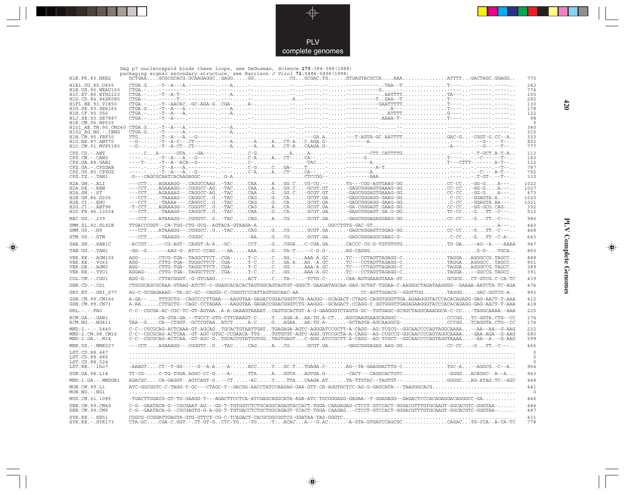

Gag p7 nucleocapsid binds these loops, see DeGuzman, Science **279**:384-388(1988)

 $\color{red} \blacklozenge$ 

| H1B.FR.83.HXB2                              | uay pr macroocapsid binds these roops, see beddaman,<br>$1001$ $1000$ $17.007$ $1000$ $1100$<br>packaging signal secondary structure, see Harrison J Virol 72:5886-5896(1998)<br>775                                                                                                                                               |
|---------------------------------------------|------------------------------------------------------------------------------------------------------------------------------------------------------------------------------------------------------------------------------------------------------------------------------------------------------------------------------------|
| H1A1.UG.85.U455                             | 242                                                                                                                                                                                                                                                                                                                                |
| H1B. US. 90. WEAU160                        | 774                                                                                                                                                                                                                                                                                                                                |
| H1C.ET.86.ETH2220                           | 155                                                                                                                                                                                                                                                                                                                                |
| H1D.CD.84.84ZR085                           | 292                                                                                                                                                                                                                                                                                                                                |
| H1F1.BE.93.VI850<br>H1G.SE.93.SE6165        | 130<br>178                                                                                                                                                                                                                                                                                                                         |
| H1H.CF.90.056                               | 122                                                                                                                                                                                                                                                                                                                                |
| H1J.SE.93.SE7887                            | 98                                                                                                                                                                                                                                                                                                                                 |
| H1K.CM.96.MP535                             |                                                                                                                                                                                                                                                                                                                                    |
| H101 AE.TH.90.CM240<br>$H102-AG.NG. - IBNG$ | 340<br>315                                                                                                                                                                                                                                                                                                                         |
| H1N. CM. 95. YBF30                          | 333                                                                                                                                                                                                                                                                                                                                |
| H10.BE.87.ANT70                             | 802                                                                                                                                                                                                                                                                                                                                |
| H1O.CM.91.MVP5180                           | 777                                                                                                                                                                                                                                                                                                                                |
| $CPZ$ . $CD$ . $-$ . $ANT$                  | 113                                                                                                                                                                                                                                                                                                                                |
| CPZ.CM. - . CAM3                            | 140                                                                                                                                                                                                                                                                                                                                |
| CPZ.GA.88.GAB2<br>CPZ.GA.-.CPZGAB           | 122<br>787                                                                                                                                                                                                                                                                                                                         |
| CPZ.US.85.CPZUS                             | 792                                                                                                                                                                                                                                                                                                                                |
| CPZ.TZ.-.TAN1                               | 310                                                                                                                                                                                                                                                                                                                                |
| H2A.GW.-.ALI                                | ---CCTAGAAAGG--.CAGGCCAAG-TACCAAAGG.CCG-CG.--TG---CGG-AGTGAAG-GGCC-CC-GG-GA---<br>1022                                                                                                                                                                                                                                             |
| H2A.DE. - .BEN                              | ---CCTAGAAAGG--.CGGGCC-AG-TACCAAAGG.C-GCGT.GT-GAGCGGGAGTGAAAG-GGCC-CC-GG-GA---<br>1027                                                                                                                                                                                                                                             |
| $H2A.SN.-.ST$                               | ---CCTAGAAAAG--.CAGGCC-AG-TACCAAGGG.C-GCGT.GT-GAGCGGGAGTGAAAG-GGCC-CC-GG-GA---<br>473<br>1020                                                                                                                                                                                                                                      |
| H2B.GH.86.D205<br>H2B.CI.-.EHO              | 1021                                                                                                                                                                                                                                                                                                                               |
| H2G.CI. - . ABT96                           | -T-CCTAGAAAGG--.CGGGTCG-TACCAGACAGCGT.GA-GA-CGGGAGT.GAAG-GGCC-CC-GG-GCG.CAG-<br>392                                                                                                                                                                                                                                                |
| H2U.FR.96.12034                             | ---CCT-TAAAGG--.CAGGCTG-TACCAAGCAGCGT.GA-GAGCGGGAGT.GA.G-GGTC-CC-GTT.-C---<br>512                                                                                                                                                                                                                                                  |
| MAC.US.-.239                                | 986                                                                                                                                                                                                                                                                                                                                |
| SMM.SL.92.SL92B<br>$SMM.US.-.H9$            | 440<br>---CCTATAAAGG--.CGGGCCG-TACCAGGCGGCGT.GA-GAGCGGGAGTCGGAG-GGCC-CC-GTT.-C---<br>468                                                                                                                                                                                                                                           |
| STM.US.-.STM                                | 643                                                                                                                                                                                                                                                                                                                                |
| SAB.SN.-.SAB1C                              | -ACCGT--CG-AGT-.CAGGT-A-A-GC-CCTGCGGAC-CGA.GACACCC-CG-G-TGTGTGTGTG-GA--AG--A.---AAAA<br>947                                                                                                                                                                                                                                        |
| TAN.UG. - . TAN1                            | 860                                                                                                                                                                                                                                                                                                                                |
| <b>VER.KE. - . AGM155</b>                   | AGG-CTCG-TGA-.TAGGCTTCTCGA-T-CCGG.-AAA-A.GCTC---CCTAGTTAGAGG-CTAGGAAGGGCCG.TAGCC<br>889                                                                                                                                                                                                                                            |
| VER. KE. - . 9063                           | $\verb+AGG+ \ldots \ldots \texttt{CTTG-TGA-}.TGGGCTTCT \ldots \texttt{CGA-} \ldots \texttt{T-C} \ldots \texttt{.C.} \ldots \texttt{GA} \ldots \texttt{AG-} \texttt{A}.\texttt{G} \ldots \texttt{TC-}-\texttt{CCTAGTTAGAGG-C} \ldots \ldots \ldots \ldots \texttt{TAGGA} \ldots \texttt{AGGGC} \ldots \texttt{TAGCC} \ldots$<br>901 |
| VER.DE. - . AGM3<br>VER.KE. - . TYO1        | AGG-CTTG-TGA-.TAGGCTTCTCGA-T-CCGG.-AAA-A.GCTC---CCTAGTTAGAGG-CTAGGAAGGGCCG.TAGCC<br>389<br>AGGAG-CTTG-TGA-.TAGGCTTCTCGA-T-CCGG.-AAA-A.GCTC---CCTAGTTAGAGG-CTAGGA--GGCCG.TAGCC<br>391                                                                                                                                               |
|                                             |                                                                                                                                                                                                                                                                                                                                    |
| COL.CM. - . CGU1                            | AGG-G-CTTACGGGT.-G-GTCAAG----ACTCTA---TCTG.C-CAA-AGTGAAAGTAAA-GTGCGCGCT-GTCG.C-CA-TC<br>439                                                                                                                                                                                                                                        |
| DEN.CD. - .CD1                              | CTGCGCAGCGCAAA-GTAAG-ATCTC-C-GGAGCACACACTAGTGGCAGTAGTGT-GGGCT-GAAGATAGCAA-GAG-GCTAT-TGGAA-C-AAGGGCTAGATAAGGGG--GAAAA-AATCTA-TC-AGA<br>476                                                                                                                                                                                          |
| GRV.ET. - . GRI 677                         | AG-C-GCGAGAAAG--TA-GC-GC--CAGGG-C-CGGGTCCCATTAGTGGCAAC-AACC-AGTTGGACG--GGGTTGGTAGGGGAC-GGTCG-A<br>893                                                                                                                                                                                                                              |
| GSN.CM.99.CN166<br>GSN.CM.99.CN71           | A-GA--TTTGCTG--CAGCCCCTTGAA---AAGGTAA-GAGACCGGACGGTCTA-AAGGG--GCAGACT-CTAGG-CAGGTGGGTTGA.AGAAGGGTACCCACACAGAGG-GAG-AACT-T-AAA<br>412<br>A-AACTTGCTG--CAGC-CCTAGAA---AAGGTAA-GAGACCGGACGGGTCTG-AAGGG--GCAGACT-CCAGG-C.GGTGGGTTGAGAGAAGGGTACCCACACAGAGG-GAG-AACT-T-AAA<br>418                                                        |
| $DRL$ . - . - . $FAO$                       | C-C--CGCGA-AC-CGC-TC-GT-AGTAAA-A-GAAAGTAAAATCAGTGCACTGT-A-G-GAAGGGTCTAGTG-GC--TGTGAGC-GCGGCTAGGCAAAGGCA-C-CC-TAGGCAAAA--AAA<br>225                                                                                                                                                                                                 |
| RCM.GA.-.GAB1<br>RCM.NG. - . NG411          | CA-GTA-GA.--TGCCT-GTG-CTTCAAAGT-CTAGA-AAA-TG.A-CTAGCGAAGGAAGCAGGGC--CCCGGTC-GGTA.CTG--CC<br>174<br>TAA--GCA--CTGGT.-GCTCGTAAATCTA-CGAGAAAA-TG.A--GCTAGTA-AGCAAGGCG-CCCGGTCAGGTA.CTG--CC<br>174                                                                                                                                     |
| $MND-2. - - - 5440$                         | C-C--CGCGCAG-ACTCAAA-GT-AGCAGTGCACTGTAATTGATTGAGAGA-AGTC-AGGGATCCGCTT-A-CAGG--AG-TCGCG--GGCAACCCCAGTAGGCAAAA--AA--AA--G-AAG<br>232                                                                                                                                                                                                 |
| MND-2.CM.98.CM16                            | C-C--CGCGCAG-ACTCAA.-GT-AGC-GTGC-CCGAACA-TTGTGTGTGT-AGTC-AGG.GTCCGCTA-A-CAAG--AG-CCGCCG-GGCAACCCCAGTAGGCAAAA-GAA-AGA--G-AAG<br>680                                                                                                                                                                                                 |
| $MND-2.GA.-.M14$                            | C-C--CGCGCAG-ACTCAA.-GT-AGC-GTGCACCGTATTGTGGTAGTGAGTC-AGG.ATCCGCTT-A-CAGG--AG-TCGCT--GGCAACCCCAGTAGGTAAAA--AA--A.--G-AAG<br>599                                                                                                                                                                                                    |
| MNE.US. - . MNE027                          | 466                                                                                                                                                                                                                                                                                                                                |
| LST.CD.88.447<br>LST.CD.88.485              |                                                                                                                                                                                                                                                                                                                                    |
| LST.CD.88.524<br>LST.KE.-.lho7              | -AAAGTCT--T-GG-.---G--A-A--A-ACCTGC.TTGAGA.C-AG--TA-GAAGGACTTG-CTGC-A-AGGCG.-C--A<br>964                                                                                                                                                                                                                                           |
| SUN.GA.98.L14                               | TT-CG-C-TG-TGGA.AGGC-CC-G--A-TTAAGGTAAGTGA.G--CACT---CAGGCACTGTCGGGGACAGGC-.A--A<br>943                                                                                                                                                                                                                                            |
| MND-1.GA.-.MNDGB1                           | AGACGCCA-GAGGT-.AGTCAGT-G-CT-ACTTTACAAGA.ATTA-TTGTAC--TAGTGT--GGGGCAG-ATAG.TC--AGC<br>448                                                                                                                                                                                                                                          |
| MON.CM.99.L1                                | ATC-GGCGGTC-C-TAGG-T-GC---CTAGC-T--GACGG-AACCTATCCAAGAG-GAA-GTT-CA-AGGTGCTCC-AG-G-GAGCATA---TAAGGGCACG<br>441                                                                                                                                                                                                                      |
| MON.NG.-.NG1                                |                                                                                                                                                                                                                                                                                                                                    |
| MUS.CM.01.1085                              | -TGACTTGGACG-GT-TG-GAAGG-T---AGACTTCCTCA-ATCGAGCAGGCATA-AGA-ATC-TGCGGGAGG-GAGAA--T-GGAGAGG--GAGACTCCCACAGAGGACAGGGCC-GA<br>446                                                                                                                                                                                                     |
| DEB.CM.99.CM40<br>DEB.CM.99.CM5             | 484<br>C-G--GAATACA-G--CGCGAAT-AG---GG-T-TGTGGTCTCTGCAGGCAGAGTACCACT-TGGA-CAAGAGAG-CTCCT-GTCCACT-GGGACGTTTGTGCAAGT-GGCACGTC-GGGTAA-<br>C-G--GAATACA-G--CGCGAGTG-G-A-GG-T-TGTGACCTCTGCTGGCAGAGT-TCACT-TGGA-CAAGAG-CTCCT-GTCCACT-GGGACGTTTGTGCAAGT-GGCACGTC-GGGTAA-<br>487                                                           |
| SYK.KE. - . KE51<br>SYK.KE. - . SYK173      | 431<br>CTA-GCCGA-C.GGT.-.CT-GT-GCTC-TG-TGTACACA---G.AC-A-GTA-GTGATCCAGCGCCAGACTG-CCA-.A-CA-TC<br>778                                                                                                                                                                                                                               |

 $\color{red} \blacklozenge$ 

# **PLV Complete Genomes 420 PLV Complete Genomes**

 $\clubsuit$ 

 $420$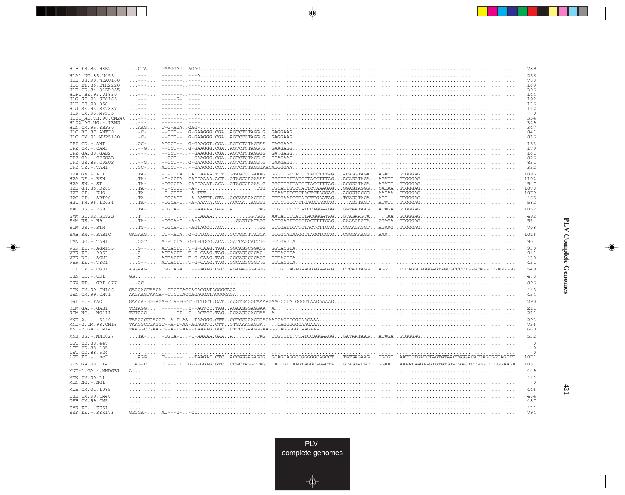| H1B.FR.83.HXB2                           | 789                                                                                                                                                                                                                                                                                                                                                                                                                                                     |
|------------------------------------------|---------------------------------------------------------------------------------------------------------------------------------------------------------------------------------------------------------------------------------------------------------------------------------------------------------------------------------------------------------------------------------------------------------------------------------------------------------|
| H1A1.UG.85.U455                          | 256                                                                                                                                                                                                                                                                                                                                                                                                                                                     |
| H1B.US.90.WEAU160                        | 788                                                                                                                                                                                                                                                                                                                                                                                                                                                     |
| H1C.ET.86.ETH2220<br>H1D.CD.84.84ZR085   | 169<br>306                                                                                                                                                                                                                                                                                                                                                                                                                                              |
| H1F1.BE.93.VI850                         | 144                                                                                                                                                                                                                                                                                                                                                                                                                                                     |
| H1G.SE.93.SE6165<br>H1H.CF.90.056        | 192<br>136                                                                                                                                                                                                                                                                                                                                                                                                                                              |
| H1J.SE.93.SE7887                         | 112                                                                                                                                                                                                                                                                                                                                                                                                                                                     |
| H1K.CM.96.MP535                          | $\Omega$                                                                                                                                                                                                                                                                                                                                                                                                                                                |
| H101 AE.TH.90.CM240<br>H102 AG.NG.-.IBNG | 354<br>329                                                                                                                                                                                                                                                                                                                                                                                                                                              |
| H1N.CM.95.YBF30                          | 347                                                                                                                                                                                                                                                                                                                                                                                                                                                     |
| H1O.BE.87.ANT70<br>H1O.CM.91.MVP5180     | 841<br>816                                                                                                                                                                                                                                                                                                                                                                                                                                              |
| $CPZ$ . $CD$ . - .ANT                    | $\ldots \texttt{GC-}\ldots\ldots \texttt{ATCCT--}\ldots \texttt{G-GAAGGT.CGA}\ldots \texttt{AGGT} \texttt{GGA} \ldots \texttt{GGGAAG}\ldots \texttt{GCT} \ldots \texttt{GCT} \ldots \texttt{GCT} \ldots \texttt{GCT} \ldots \texttt{GCT} \ldots \texttt{GCT} \ldots \texttt{GCT} \texttt{GCT} \ldots \texttt{GCT} \texttt{GCT} \ldots \texttt{GCT} \texttt{GCT} \texttt{GCT} \texttt{GCT} \texttt{GCT} \texttt{GCT} \texttt{GCT} \texttt{GCT} \$<br>153 |
| $CPZ$ . $CM. -$ . $CAM3$                 | 179                                                                                                                                                                                                                                                                                                                                                                                                                                                     |
| CPZ.GA.88.GAB2<br>CPZ.GA.-.CPZGAB        | 161<br>826                                                                                                                                                                                                                                                                                                                                                                                                                                              |
| CPZ.US.85.CPZUS                          | 831                                                                                                                                                                                                                                                                                                                                                                                                                                                     |
| $CPZ.TZ.-.TAN1$                          | 352                                                                                                                                                                                                                                                                                                                                                                                                                                                     |
| H2A.GW.-.ALI                             | 1095                                                                                                                                                                                                                                                                                                                                                                                                                                                    |
| H2A.DE. - .BEN<br>$H2A.SN.-.ST$          | 1102<br>547                                                                                                                                                                                                                                                                                                                                                                                                                                             |
| H2B.GH.86.D205                           | 1078                                                                                                                                                                                                                                                                                                                                                                                                                                                    |
| H2B.CI.-.EHO                             | 1079                                                                                                                                                                                                                                                                                                                                                                                                                                                    |
| H2G.CI. - . ABT96<br>H2U.FR.96.12034     | 465<br>582                                                                                                                                                                                                                                                                                                                                                                                                                                              |
| MAC.US. - . 239                          | 1052                                                                                                                                                                                                                                                                                                                                                                                                                                                    |
| SMM.SL.92.SL92B                          | 492                                                                                                                                                                                                                                                                                                                                                                                                                                                     |
| $SMM. US. - . H9$                        | 534                                                                                                                                                                                                                                                                                                                                                                                                                                                     |
| STM.US.-.STM                             | $\dots$ TG- $\dots\dots$ -TGCA-C $\dots$ -AGTAGCC $.\$ AGA $\dots\dots\dots\dots\text{GG}$ GCTGATTGTTCTACTCTTGAG $\dots$ GGAAGAGGT $\dots\text{AGAAG}$ GTGGGAG $\dots\dots\dots\dots\dots\dots\dots\dots\dots\dots$<br>708                                                                                                                                                                                                                              |
| SAB.SN.-.SAB1C                           | 1016                                                                                                                                                                                                                                                                                                                                                                                                                                                    |
| TAN.UG. - . TAN1                         | 901                                                                                                                                                                                                                                                                                                                                                                                                                                                     |
| VER.KE. - . AGM155                       | 930                                                                                                                                                                                                                                                                                                                                                                                                                                                     |
| VER.KE. - . 9063<br>VER.DE. - . AGM3     | 941<br>430                                                                                                                                                                                                                                                                                                                                                                                                                                              |
| VER.KE. - . TYO1                         | 431                                                                                                                                                                                                                                                                                                                                                                                                                                                     |
| COL.CM.-.CGU1                            | AGGAAGTGGCAGAC---AGAG.CACAGAGAGGGAGTGCTCGCCAGAGGAAGGAAGGACTCATTAGGAGGTCTTCAGGCAGGGAGTAGCCCCTGGGCAGGTCGAGGGG<br>549                                                                                                                                                                                                                                                                                                                                      |
| DEN.CD. - .CD1                           | 478                                                                                                                                                                                                                                                                                                                                                                                                                                                     |
| GRV.ET. - . GRI 677                      | 896                                                                                                                                                                                                                                                                                                                                                                                                                                                     |
| GSN.CM.99.CN166                          | 448                                                                                                                                                                                                                                                                                                                                                                                                                                                     |
| GSN.CM.99.CN71                           | 454                                                                                                                                                                                                                                                                                                                                                                                                                                                     |
| $DRL - - -$ . $FAO$                      | 290                                                                                                                                                                                                                                                                                                                                                                                                                                                     |
| RCM.GA. - . GAB1<br>RCM.NG. - . NG411    | 211<br>211                                                                                                                                                                                                                                                                                                                                                                                                                                              |
| $MND-2. - - - 5440$                      | 293                                                                                                                                                                                                                                                                                                                                                                                                                                                     |
| MND-2.CM.98.CM16<br>$MND-2.GA.-.M14$     | 736<br>660                                                                                                                                                                                                                                                                                                                                                                                                                                              |
| $MNE . US . - . MNE027$                  | 532                                                                                                                                                                                                                                                                                                                                                                                                                                                     |
| LST.CD.88.447                            | 0                                                                                                                                                                                                                                                                                                                                                                                                                                                       |
| LST.CD.88.485<br>LST.CD.88.524           | $\circ$<br>0                                                                                                                                                                                                                                                                                                                                                                                                                                            |
| LST.KE.-.lho7                            | 1071                                                                                                                                                                                                                                                                                                                                                                                                                                                    |
| SUN.GA.98.L14                            | .AG-CCT---CTG-G-GGAG.GTCCCGCTAGGTTAGTACTGTCAAGTAGGCAGACTAGTAGTACGTGGAATAAAATAAGAAGTGTGTGTATAACTCTGTGTCTGCAAGA<br>1051                                                                                                                                                                                                                                                                                                                                   |
| MND-1.GA.-.MNDGB1                        | 449                                                                                                                                                                                                                                                                                                                                                                                                                                                     |
| MON.CM.99.L1                             | 441                                                                                                                                                                                                                                                                                                                                                                                                                                                     |
| MON.NG.-.NG1                             | $\overline{0}$                                                                                                                                                                                                                                                                                                                                                                                                                                          |
| MUS.CM.01.1085                           | 446                                                                                                                                                                                                                                                                                                                                                                                                                                                     |
| DEB.CM.99.CM40                           | 484                                                                                                                                                                                                                                                                                                                                                                                                                                                     |
| DEB.CM.99.CM5                            | 487                                                                                                                                                                                                                                                                                                                                                                                                                                                     |
| $SYK.KE. - .KE51$<br>SYK.KE. - . SYK173  | 431<br>794                                                                                                                                                                                                                                                                                                                                                                                                                                              |
|                                          |                                                                                                                                                                                                                                                                                                                                                                                                                                                         |

<u>a shekara ta 1989</u>

 $\overrightarrow{\phantom{a}}$ 

 $\overline{\neg}$ 

 $\begin{picture}(20,5) \put(0,0){\line(1,0){10}} \put(15,0){\line(1,0){10}} \put(15,0){\line(1,0){10}} \put(15,0){\line(1,0){10}} \put(15,0){\line(1,0){10}} \put(15,0){\line(1,0){10}} \put(15,0){\line(1,0){10}} \put(15,0){\line(1,0){10}} \put(15,0){\line(1,0){10}} \put(15,0){\line(1,0){10}} \put(15,0){\line(1,0){10}} \put(15,0){\line(1,$ 

 $\equiv$ 

 $\Box$ 

▌▊▊▊

 $\mathbf{I}$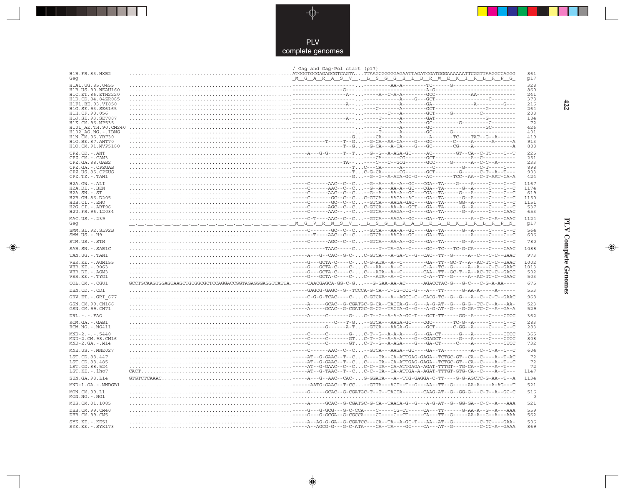

---

 $\begin{picture}(120,140)(-6.5,14.0) \put(0,0){\vector(0,1){10}} \put(15,0){\vector(0,1){10}} \put(15,0){\vector(0,1){10}} \put(15,0){\vector(0,1){10}} \put(15,0){\vector(0,1){10}} \put(15,0){\vector(0,1){10}} \put(15,0){\vector(0,1){10}} \put(15,0){\vector(0,1){10}} \put(15,0){\vector(0,1){10}} \put(15,0){\vector(0,1){10}} \put(15,0){\vector(0,1){10}}$ 

 $\mathbb{R}$ 

|                                                        | / Gag and Gag-Pol start (p17) |                                               |
|--------------------------------------------------------|-------------------------------|-----------------------------------------------|
| H1B. FR. 83. HXB2<br>Gaq                               |                               | 861<br><u>MGARASV.LSGGELDRWEKIRLPG</u><br>p17 |
| H1A1.UG.85.U455                                        |                               | 328                                           |
| H1B.US.90.WEAU160                                      |                               | 860                                           |
| H1C. ET. 86. ETH2220<br>H <sub>1</sub> D.CD.84.84ZR085 |                               | 2.41<br>378                                   |
| H1F1.BE.93.VI850                                       |                               | 216                                           |
| H1G.SE.93.SE6165                                       |                               | 264                                           |
| H1H.CF.90.056                                          |                               | 208                                           |
| H1J.SE.93.SE7887<br>H1K.CM.96.MP535                    |                               | 184<br>72                                     |
| H101 AE.TH.90.CM240                                    |                               | 426                                           |
| $H102-AG.NG. - .IBNG$                                  |                               | 401                                           |
| H1N. CM. 95. YBF30<br>H1O.BE.87.ANT70                  |                               | 419<br>913                                    |
| H1O.CM.91.MVP5180                                      |                               | 888                                           |
| $CPZ$ . $CD$ . - .ANT                                  |                               | 225                                           |
| CPZ.CM. - . CAM3                                       |                               | 251<br>233                                    |
| CPZ.GA.88.GAB2<br>CPZ.GA. - . CPZGAB                   |                               | 898                                           |
| CPZ.US.85.CPZUS                                        |                               | 903                                           |
| $CPZ.TZ. - . TAN1$                                     |                               | 424                                           |
| H2A.GW.-.ALI                                           |                               | 1167                                          |
| H2A.DE. - .BEN                                         |                               | 1174                                          |
| $H2A.SN.-.ST$<br>H2B.GH.86.D205                        |                               | 619<br>1150                                   |
| H2B.CI.-.EHO                                           |                               | 1151                                          |
| H2G.CI.-.ABT96                                         |                               | 537                                           |
| H2U.FR.96.12034                                        |                               | 653                                           |
| MAC.US.-.239<br>Gag                                    |                               | 1124<br>p17                                   |
| SMM.SL.92.SL92B                                        |                               | 564                                           |
| $SMM.US.-.H9$                                          |                               | 606                                           |
| STM.US.-.STM                                           |                               | 780                                           |
| SAB.SN.-.SAB1C                                         |                               | 1088                                          |
| TAN.UG. - . TAN1                                       |                               | 973                                           |
| VER. KE. - . AGM155                                    |                               | 1002                                          |
| VER. KE. - . 9063                                      |                               | 1013                                          |
| VER.DE. - . AGM3<br>VER.KE. - . TYO1                   |                               | 502<br>503                                    |
| COL.CM. - . CGU1                                       |                               | 675                                           |
| DEN.CD. - .CD1                                         |                               | 553                                           |
| GRV.ET. - . GRI 677                                    |                               | 968                                           |
| GSN.CM.99.CN166                                        |                               | 523                                           |
| GSN.CM.99.CN71                                         |                               | 529                                           |
| $DRL. - . - . FAO$                                     |                               | 362                                           |
| RCM.GA.-.GAB1                                          |                               | 283                                           |
| RCM.NG. - . NG411                                      |                               | 283                                           |
| $MND-2. - - - 5440$<br>MND-2.CM.98.CM16                |                               | 365<br>808                                    |
| $MND-2.GA.-.M14$                                       |                               | 732                                           |
| MNE.US. - . MNE027                                     |                               | 604                                           |
| LST.CD.88.447                                          |                               | 72                                            |
| LST.CD.88.485                                          |                               | 72                                            |
| LST.CD.88.524                                          |                               | 72                                            |
| LST.KE.-.lho7                                          |                               | 1147                                          |
| SUN.GA.98.L14                                          |                               | 1134                                          |
| MND-1.GA.-.MNDGB1                                      |                               | 521                                           |
| MON.CM.99.L1<br>MON.NG. - . NG1                        |                               | 516<br>- 0                                    |
| MUS.CM.01.1085                                         |                               | 521                                           |
| DEB.CM.99.CM40<br>DEB.CM.99.CM5                        |                               | 559<br>562                                    |
| SYK.KE. - . KE51                                       |                               | 506                                           |
| $SYK.KE. - .SYK173$                                    |                               | 869                                           |

 $\blacklozenge$ 

**PLV Complete Genomes** 

 $\Rightarrow$ 

 $\equiv$ 

 $422$ 

 $\blacksquare$ 

<u> Service Service Service Service Service Service Service Service Service Service Service Service Se</u>

- 1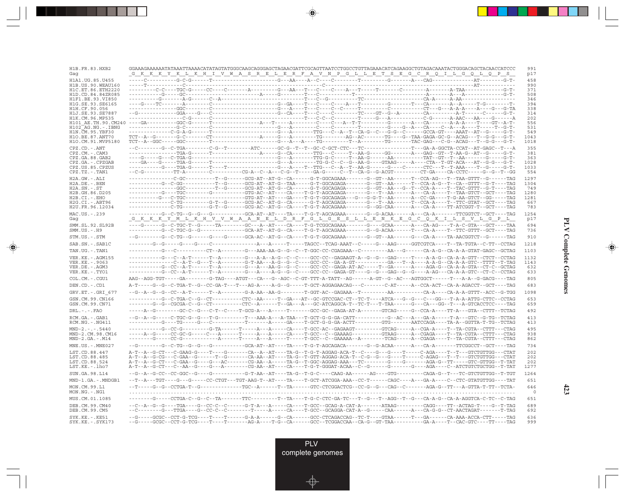| H1B. FR. 83. HXB2<br>Gaq                    | GGAAAGAAAAAATATAAATTAAAACATATAGTATGGGCAAGCAGGGAGCTAGAACGATTCGCAGTTAATCCTGGCCTGTTAGAAACATCAGAAGGCTGTAGACAAATACTGGGACAGCTACAACCATCCC<br><u>G K K K Y K L K H I V W A S R E L E R F A V N P G L L E T S E G C R Q I L G Q L Q P S</u>                                       | 991<br>p17   |
|---------------------------------------------|--------------------------------------------------------------------------------------------------------------------------------------------------------------------------------------------------------------------------------------------------------------------------|--------------|
| H1A1.UG.85.U455                             |                                                                                                                                                                                                                                                                          | 458          |
| H1B. US. 90. WEAU160<br>H1C.ET.86.ETH2220   |                                                                                                                                                                                                                                                                          | 990<br>371   |
| H1D.CD.84.84ZR085                           |                                                                                                                                                                                                                                                                          | 508          |
| H1F1 BE 93 VI850<br>H1G.SE.93.SE6165        |                                                                                                                                                                                                                                                                          | 346<br>394   |
| H1H.CF.90.056                               |                                                                                                                                                                                                                                                                          | 338          |
| H1J.SE.93.SE7887<br>H1K.CM.96.MP535         |                                                                                                                                                                                                                                                                          | 314<br>202   |
| H101 AE.TH.90.CM240                         |                                                                                                                                                                                                                                                                          | 556          |
| $H102$ AG. NG. - TBNG<br>H1N. CM. 95. YBF30 |                                                                                                                                                                                                                                                                          | 531<br>549   |
| H10.BE.87.ANT70                             |                                                                                                                                                                                                                                                                          | 1043         |
| H10.CM.91.MVP5180                           |                                                                                                                                                                                                                                                                          | 1018         |
| CPZ.CD. - . ANT<br>CPZ.CM.-.CAM3            |                                                                                                                                                                                                                                                                          | 355<br>381   |
| CPZ.GA.88.GAB2                              |                                                                                                                                                                                                                                                                          | 363          |
| CPZ.GA.-.CPZGAB<br>CPZ.US.85.CPZUS          |                                                                                                                                                                                                                                                                          | 1028<br>1033 |
| $CPZ.TZ.-.TAN1$                             | --C-G-----------TT-A--------C---------CG-A--C--A---C-G--T-----GA-G-----C--T--CA-G--G-ACGT---------CT-GA----CA-CCTC-----G--C--T--GG                                                                                                                                       | 554          |
| $H2A.GW.-.ALI$                              | -------------C-GC---------T--G------GG-AT--AT-G--CA------G-T-GGCAGAAA-------GT--GT--AA------T--CCA-AG---T--TAA-GTTT--G------TAG                                                                                                                                          | 1297         |
| $H2A.DE. -.BEN$<br>$H2A.SN.-.ST$            | ----------G-C-GG----------T--G------GCG-AT--AT-G--TAA-----G-T-GGCAGAGA-------GT--GT--AA------T--CCA-A-G--T--CA--GTTT--G-T----TAG<br>--------------GGC---------T--G------GCG-AT--AT-G--CA------G-T-GGCAGAGA-------GT--GT--AA---G--T--CCA-A----T--TAC-GTTT--G-T----TAG     | 1304<br>749  |
| H2B.GH.86.D205                              | ----------G----TGC--------G----------GTG-AC--AT----CA----T-G-T-AGCAGAGA-------G---T--AA------A---CA-A----T--TAA-GTCT--GCT----TAG                                                                                                                                         | 1280         |
| $H2B.CI.-.EHO$<br>$H2G.CI.-.ABT96$          | ------------C-TG--------G-T--G-----GCG-AC--AT-G--CA------G-T-AGCAGAGA-------G---T--AA------T--CCA-A----T--TTC-GTAT--GCT----TAG                                                                                                                                           | 1281<br>667  |
| H2U.FR.96.12034                             | -------------C-TG---------G-T--G------GCG-AC--AT-G--CA----T-G-T-AGCAGAAA-------G--GG-CAA------A---CA-A----TT-ATCGGT-T--GCT----TAG                                                                                                                                        | 783          |
| MAC.US. - . 239<br>Gag                      | ----------G--C-TG--G--G---G----------GCA-AT--AT----TA----TG-T-AGCAGAAA-------G--G-ACAA-------A---CA-A-------TTCGGTCT--GCT----TAG<br>G K K K Y M L K H V V W A A N E L D R F G L G E S L L E N K E G C Q K I L S V L G P L                                                | 1254<br>p17  |
| SMM.SL.92.SL92B<br>$SMM.US.-.H9$            | ----------G-C-TGC-G--G-------------GCA-AT--AT-G--CA----T-G-T-AGCAGAAA-------G-ACAA------T---CA-A----T--TTC-GTTT--GCT----TAG                                                                                                                                              | 694<br>736   |
| STM.US.-.STM                                | --G--------G--C-TG--G------G-----GC-----GCA-AC--AT-G--CA----T-G-T-GGCAGAAA-------G--GT--AA------G---CA-A----TA-AACGGTCT--G------TAG                                                                                                                                      | 910          |
| SAB.SN.-.SAB1C                              |                                                                                                                                                                                                                                                                          | 1218         |
| TAN.UG. - . TAN1                            | ----------G--C---------CT--A--------G---AAA-AA-G--G--C--T-GGC-CC-CGAGAAA--C--------AA---G------CA-A-G--CA-A-A-GTAT-GAGC--GCTAG                                                                                                                                           | 1103         |
| VER. KE. - . AGM155                         | ----------G--C--A-T------T--A--------G---A-A--A-G--C--C----GCC-CC--GAGAAGT-A--G--G--G-AG-----T----A-A-G--CA-A-A-GTT--CTCT--CCTAG                                                                                                                                         | 1132         |
| VER.KE. - . 9063<br>VER.DE. - . AGM3        |                                                                                                                                                                                                                                                                          | 1143<br>632  |
| VER.KE.-.TYO1                               | ----------G--CC--A-T------T--A---------G---A-----A-G--G--C----GCC-CC--GAGA-GT----G--G--G--G--G--G----A-AG---CA-A-A-GTC--CT-C--CCTAG                                                                                                                                      | 633          |
| COL.CM. - . CGU1                            | AAG--AGG-TGT-----GA--------G-TAG----ATGT---CA---G--AGC--C-GT-TTT-A-TATT--AG------A-GT--G--AC---AGTGGCT------T---A-A--G-GACG----TAG                                                                                                                                       | 805          |
| DEN.CD. - .CD1                              | A-T-----G--G--C-TGA-T--G--CC-GA-T---T---AG-A----A-G--G-----T-GCT-AGGAGAACAG---C-------C-AT----A--CCA-ACT--CA-A-AGACCT--GCT----TAG                                                                                                                                        | 683          |
| GRV.ET. - .GRI 677                          |                                                                                                                                                                                                                                                                          | 1098         |
| GSN.CM.99.CN166<br>GSN.CM.99.CN71           | ----------G--C-TGA-C--G--CT----------CTC--AA-----T--GA---AT--GC-GTCCGAC-CT--TC-T----ATCA---G--G---C---GG---T-A-A-ATTG-CTTC--CCTAG<br>-------G--CG-CGCGA-C--G--CT----------CTC--A------T--GA---A---GC-ATCAGGCA-T--TC-T---T-TAA------G---CA---GG--T---A-GTCACCTCC----TAG   | 653<br>659   |
| $DRL - - -$ . $FAO$                         | -----A--G---------GC-C--G---C-T--C----T-GCG-A---A-----T------GCC-GC--GAGA-AT-A--------GTCAG-----G--CCA-A----TT-A---GTA--CTTT--TCTAG                                                                                                                                      | 492          |
| RCM.GA.-.GAB1<br>$RCM.NG. - . NG411$        | ----------G----TG----G---C-----------T-------A----GA----T-GCT-G-G-GA-ACTT---------GTG-------AATCCAGA----TA-A--GGTTA-T-TG--TCTAG                                                                                                                                          | 413<br>413   |
| $MND-2. - - - 5440$                         | ----------G-CC-G--------G-TA------T----A---A----CA----T-GCC-AC--GAGAAGT--------GTCAG-----A--CGA-A----T--TA-CGTA--CTTT---CTAG                                                                                                                                             | 495          |
| MND-2.CM.98.CM16                            |                                                                                                                                                                                                                                                                          | 938          |
| $MND-2.GA.-.M14$                            |                                                                                                                                                                                                                                                                          | 862          |
| MNE.US.-.MNE027<br>LST.CD.88.447            | --G--------G--C-TG--G--G--------------GCA-AT--AT----TA----T-G-T-AGCAGACA-------G--G-ACAA-------A---CA-A-------TTCGGCCT--GCT----TAG<br>A-T--A--G-CT---C-GAAG-G----T----G-------CA--A--AT----TA-G--T-G-T-AGGAG-ACA-T--C----G---G----T-----C-AGA----T--T---GTCTGTTGG---CTAT | 734<br>202   |
| LST.CD.88.485                               | A-T--A--G-CG---C-GAA--G------T--G-------CA-AA--AT----TA-G--T-GTT-AGGAG-ACA-T--C-G--G---G---T-----C-AGAG---T--T---GTCTGTTGG---CTAT                                                                                                                                        | 202          |
| LST.CD.88.524<br>LST.KE.-.lho7              | A-T--A--G-CT---C--AA--G----G---A--------CG-AA--AT----CA----T-G-T-GGGAT-ACAA--C--G------G------G----AGA----C--ATCTGTCTGCTGG--T-TAT                                                                                                                                        | 202<br>1277  |
| SUN.GA.98.L14                               | --G--A--G-CC--CC-GGC--G----G----------G-T-AA--AT----TA-G--T-G-C----CAAG-AA------AG----GTG--------CAGA-G--T---TC-GTCTGTTGG--T-TC                                                                                                                                          | 1264         |
| MND-1.GA.-.MNDGB1                           | --T--A---TGT----G---G----CC-CTGT---TGT-AAG-T--AT----TA----T-GCT-ATCGGA-AAA--CC-T------CAGC----A---GA-A----C--CTC-GTATGTTGG----TAT                                                                                                                                        | 651          |
| MON.CM.99.L1                                | --T-----G--G--CCTGA-T--G--------------TGC--A------T--TA------GTC-CTCGGACTCG--CC-G--G---CAG--C-------AGA-G--TT---A-GTTA-T-TT--TCTA-                                                                                                                                       | 646          |
| $MON.NG. -.NG1$                             |                                                                                                                                                                                                                                                                          | $\circ$      |
| MUS.CM.01.1085                              | -------G-----CCTGA-C--G--C--TA-------TTC--------T--TA----T-G-C-CTC-GA-TC---T--G---T--AGG--T--G--CA-A-G--CA-A-AGGTCA-C-TC--C-TAG                                                                                                                                          | 651          |
| DEB.CM.99.CM40<br>DEB.CM.99.CM5             | --C--A--G--G----TGA----G--CC-C--C------G-T-A---A-----CA----T-GCC--GCAG-A-CAT-A-------ATAAG---------CAGG----TT--ACTAG-T----G--T-TAG<br>--C--------G---TTGA----G--CC-C--C--------T-----A----CA----T-GCC--GCAGGA-CAT-A--G-----CAA------A---CA-G-G--CT-AACTAGAT-------T-TAG  | 689<br>692   |
| SYK.KE. - . KE51<br>SYK.KE. - . SYK173      | --G-----GCGC--CCT-G-TCG----T-----T-----G-A-A------G--CA------GCC-CTCAGACCAG--TC-T----GTAA------T---GA------CA-AAA-ACCA-CTT-----TAG                                                                                                                                       | 636<br>999   |

<u>a shekara ta 1989</u>

 $\overrightarrow{\phantom{a}}$ 

 $\overline{\mathbb{F}}$ 

**PLV Complete Genomes PLV Complete Genomes**

 $\begin{picture}(20,5) \put(0,0){\line(1,0){10}} \put(15,0){\line(1,0){10}} \put(15,0){\line(1,0){10}} \put(15,0){\line(1,0){10}} \put(15,0){\line(1,0){10}} \put(15,0){\line(1,0){10}} \put(15,0){\line(1,0){10}} \put(15,0){\line(1,0){10}} \put(15,0){\line(1,0){10}} \put(15,0){\line(1,0){10}} \put(15,0){\line(1,0){10}} \put(15,0){\line(1,$ 

 $\overline{\phantom{0}}$ 

 $\Box$ 

▁▏▁▊▊▏

- 1

**423**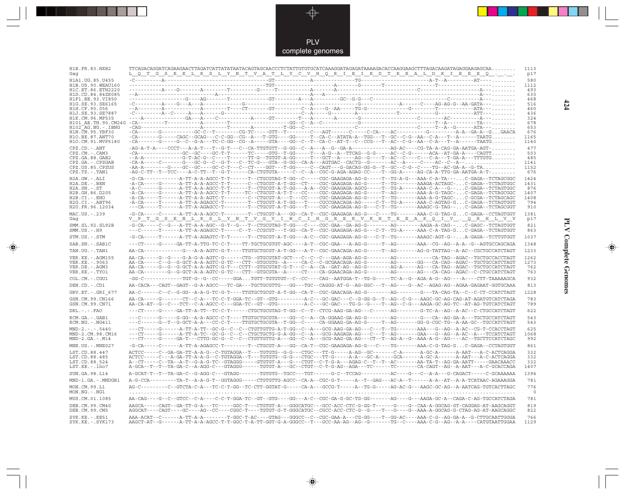PLV complete genomes

---

 $\overrightarrow{\mathbf{\P}}$ 

 $\begin{tabular}{c} \hline \quad \quad & \quad \quad \\ \hline \quad \quad & \quad \quad \\ \hline \end{tabular}$ 

| H1B.FR.83.HXB2<br>Gag                   | $TTCAGACAGGATCAGAAGAAGAACTTAGATATATATATACAGTAGCAACCCTCTATTGTGTGCATCAAAGGATAGAGATAAAGACACCAGAGAGGAGAGAGAGAGAGAGAGAGAGAGAGAAGAAGAAGAACACAA.$<br><u>L Q T G S E E L R S L Y N T V A T L Y C V H Q R I E I K D T K E A L D K I E E E Q</u>                                                                                                                                                                                        | 1113<br>p17 |
|-----------------------------------------|-------------------------------------------------------------------------------------------------------------------------------------------------------------------------------------------------------------------------------------------------------------------------------------------------------------------------------------------------------------------------------------------------------------------------------|-------------|
| H1A1.UG.85.U455                         |                                                                                                                                                                                                                                                                                                                                                                                                                               | 580         |
| H1B.US.90.WEAU160<br>H1C.ET.86.ETH2220  |                                                                                                                                                                                                                                                                                                                                                                                                                               | 1112<br>493 |
| H1D.CD.84.84ZR085                       |                                                                                                                                                                                                                                                                                                                                                                                                                               | 630         |
| H1F1.BE.93.VI850<br>H1G.SE.93.SE6165    |                                                                                                                                                                                                                                                                                                                                                                                                                               | 468<br>516  |
| H1H.CF.90.056                           |                                                                                                                                                                                                                                                                                                                                                                                                                               | 460         |
| H1J.SE.93.SE7887                        |                                                                                                                                                                                                                                                                                                                                                                                                                               | 436         |
| H1K.CM.96.MP535                         |                                                                                                                                                                                                                                                                                                                                                                                                                               | 324<br>678  |
| H102 AG.NG.-.IBNG                       |                                                                                                                                                                                                                                                                                                                                                                                                                               | 653         |
| H1N. CM. 95. YBF30<br>H10.BE.87.ANT70   | $-CA$ ------G----CAGC--GCAG---C-C-GG--CG--A---T-GTG----GG----T--CA-C--ATATA-A--TGG---T--GC--C-G--AA--C-A---T--A------TAATG                                                                                                                                                                                                                                                                                                    | 676<br>1165 |
| H1O.CM.91.MVP5180                       | $-CA-\cdots-C-\cdots-G-\cdots-C-\cdots-0. \hspace{0.1cm}\\ \hspace{-0.5cm} -CA-\cdots-C-\cdots-C-\cdots-0. \hspace{0.1cm}\\ \hspace{-0.5cm} -CA-\cdots-C-\cdots-C-\cdots-0. \hspace{0.1cm}\\ \hspace{-0.5cm} -CA-\cdots-C-\cdots-C-\cdots-0. \hspace{0.1cm}\\ \hspace{-0.5cm} -CA-\cdots-C-\cdots-C-\cdots-0. \hspace{0.1cm}\\ \hspace{-0.5cm} -CA-\cdots-C-\cdots-C-\cdots-0. \hspace{0.1cm}\\ \hspace{-0.5cm} -CA-\cdots-C$ | 1140        |
| CPZ.CD. - . ANT                         |                                                                                                                                                                                                                                                                                                                                                                                                                               | 477         |
| $CPZ.CM. - . CAM3$<br>CPZ.GA.88.GAB2    | $-CA$ -------------GC--GC---GC-T-T------TC----GTG--T-GG-----T---A-G--A--TTCAG--G-G-----AC--C-G-----ACA--AT-GA-A----CAGTT                                                                                                                                                                                                                                                                                                      | 503<br>485  |
| CPZ.GA. - . CPZGAB                      |                                                                                                                                                                                                                                                                                                                                                                                                                               | 1141        |
| CPZ.US.85.CPZUS<br>$CPZ.TZ.-.TAN1$      | -AA-A--------G---GC--GC----GC-C-T---C--CT----GGT---T-GG-----C--CAGT---G-GACAG-GG-G--T--GC--C-G--C----TG--AC-GA-A--G-TA<br>-AG-C-TT--T--TCC----A-C-TT--T--G-T-----CA-CTGTGTA-----C--C--A--CGC-G-AGA-AGAG-CC----T--GG-A-----AG-CA-A-TTG-GA-AATGA-A-T-                                                                                                                                                                           | 1152<br>676 |
| $H2A.GW.-.ALI$                          | -G-CA------------A-TT-A-A-AGCC-T-T------T--CTGCGTAG-T-GG--C-----CGC-GAAGAGA-AG-G-----T--TG-A-G---AAA-C-A-TA---C-GAGA--TCTAGCGGC                                                                                                                                                                                                                                                                                               | 1424        |
| H2A.DE.-.BEN                            | -A-CA-----G-----A-TT-A-A-AGCC-T-T------C--CTGCGT-A-T-GG--CT----CGC-GAAGAGA-AG-G-----T--TG-------AAAGA-ACTAGC-C-GAGA--TCTAGTGGC                                                                                                                                                                                                                                                                                                | 1431        |
| $H2A.SN.-.ST$<br>H2B.GH.86.D205         | -A-C------G------A-TT-A-A-AGCC-T-T------T--CTGCGT-A-T-GG---A-A--CGC-GAAGAGA-AGCG-----T--TG-A-----AAA-C-A---G--C-GAGA--TCTAGTGGC<br>-A-CA-----G------A-TT-A-A-AGCC-T-T-----TC--CTGCGT-A-T-T---CC----CGC-GAAGAGA-AG-G-----T--AG-------AAA-A-G-TAGC-C-GAGA--TCTAGCGGC                                                                                                                                                            | 876<br>1407 |
| H2B.CI.-.EHO                            | -A-CA-----T------A-TT-A-A-AGTC-T--------C-CTGCGT-A---T---CC----CGC-GAAGAGA-AG-G-----T--TG-------AAA-A-G-TAGC-C-GCGA--TCTAGCAGC                                                                                                                                                                                                                                                                                                | 1408        |
| $H2G.CI.-.ABT96$<br>H2U.FR.96.12034     | -A-CA-----T------A-TT-A-AGAGCC-T-------T--CTGCGT-A-T-GG---T----CGCCGAACAGA-AG-----C-T--TG-A-----AAA-C-AGTAG-GC-GAGA--TCTAGTGGT<br>--CA-----T------A-TT-A-AGAGCC-T-------T--CTGCGT-A-T-GG---T----CGC-GAAGAGA-AG-G---C-T--TG-------AAAGC-G-TAG--C-GAGA--TCTAGCGGT                                                                                                                                                               | 794<br>910  |
| MAC.US.-.239                            | -G-CA-----C------A-TT-A-A-AGCC-T--------T--CTGCGT-A---GG--CA-T--CGC-GAAGAGA-AG-G---C----TG-------AAA-C-G-TAG-GC-GAGA--CCTAGTGGT                                                                                                                                                                                                                                                                                               | 1381        |
| Gag                                     | V P T G S E N L K S L Y N T V G V I W C I H G E E K V K H T E E A K Q I V . Q R H L V V                                                                                                                                                                                                                                                                                                                                       | p17         |
| SMM.SL.92.SL92B<br>$SMM.US.-.H9$        |                                                                                                                                                                                                                                                                                                                                                                                                                               | 821<br>863  |
| STM.US.-.STM                            | -G-CA-----T------A-TT-A-AGAGTC-T-T------T--CTGCGT-A-T-GG---A-C--CGC-GAAGAGA-AG-G---C-T--TG-------AAAGC-AGT-G--A-GAGA--TCTTGTGGT                                                                                                                                                                                                                                                                                               | 1037        |
| SAB.SN.-.SAB1C                          | ---CT-----G-----GA-TT-A-TTG-TC-C-T----TT-TGCTGCGTGT-AGC----A-T--CGC-GAA---A-AG-G-----T--AG-------AAA--CG--AG--A-A--G--AGTGCCAGCAGA                                                                                                                                                                                                                                                                                            | 1348        |
| TAN.UG.-.TAN1                           | AA-CA------------G---A-A-GTC-G-T----TTGTGCTGCGT-A-T-GG---A-T--CGC-GAACAGA-AG-G-----T--AG-------AG-G-TATTAG--A-AC--CGCTGCCATCTAGT                                                                                                                                                                                                                                                                                              | 1233        |
| VER. KE. - . AGM155                     |                                                                                                                                                                                                                                                                                                                                                                                                                               | 1262        |
| VER. KE. - . 9063<br>VER.DE. - . AGM3   | AA-CA-----C--G--G-GCT-A-A-AGTC-G-TC---CTT--GTGCGTG--A-----CA-C--C-GCGAACAGA-AG-G--------AG------GG---CA-CAG--AGAC--TGCTGCCATCTAGT<br>AA-CA-----G--G--G-GCT-A-A-AGTC-G-T---CCTT--GTGCGTAT-G-T---C--A--CAT-AG--AG-GAT-AG-------AG-A-----AG---CA-TAG--AGAC--TGCTGCCATCTAGT                                                                                                                                                       | 1273<br>762 |
| VER.KE. - . TYO1                        | AA-CA--------G-GCT-A-A-AGTC-G-TC--CTT--GTGCGTA--A-----CT---CA-GGAACAGA-AG-G--------AG-------AG---CA-CAG--AGAC--C-CTGCCATCTAGT                                                                                                                                                                                                                                                                                                 | 763         |
| $COL.CM.-.CGU1$                         | -GG-C------------TGT-G--G--CC-----GGATGTT-TGTGTGT--C--CC----CAG--AATGGA-T--TG-G-----TC-A--G--AGA-A-G--AG----A----CTT-TAAAAAGCA                                                                                                                                                                                                                                                                                                | 932         |
| DEN.CD. - .CD1                          | AA-CACA---CAGT--GAGT--G-A-AGCC---TC-GA---TGCTGCGTTG---GG---TGC--CAGGG-AT-G--AG-GGC---T--AG----G--AC--AGAG-AG--AGAA-GAGAAT-GGTGCAAA                                                                                                                                                                                                                                                                                            | 813         |
| GRV.ET. - .GRI 677                      | AA-C------C--C--G-GG--A-A-G-TC-G-T----TTGTGCTGCGT-A-T-GG--CA-T--CGC-GAACAGA-AG-G--------AG-------G--TA-CAG-TA--C--C-CT-CCATCTAGT                                                                                                                                                                                                                                                                                              | 1228        |
| GSN.CM.99.CN166<br>GSN.CM.99.CN71       | AA-CA-----G-------CT--C-A---TC-C-T-GGA-TC--GT--GTG---------A-C---GC-GAC---C--G-GG-G--T--AG--C-G---AAGC-GC-AG-CAG-AT-AGATGTCATCTAGA<br>AA-CA-AT--G--C---TCT--C-A-AGCC-C---GGA-TC--GT--GTG---------A-C---GC-GAC---TG-G--G----T--AG--C-G---AAGA-GC-AG-TC--AT-AG-TGTCATCTAGT                                                                                                                                                      | 783<br>789  |
| $DRL - - -$ . $FAO$                     | ---CT-----G-----GA-TT-A-TT--TC-C-T------CTGCTGCGTAG-T-GG--C--T--CTCG-AAG-GA-AG---C------AG--------G-TC-A--AG--A-AC--C-CTGCCATCTAGT                                                                                                                                                                                                                                                                                            | 622         |
| RCM.GA.-.GAB1<br>$RCM.NG. - . NG411$    | ---C------G--T--G-GCT-A-A---CC-C-T----TTGTGCTGCGTA--T-GG--C-----CA-GGAAG-GA-AG-G-----T--AG-------GG-G-CGC-TG--A-AA-GC--TGCCATCTAGT                                                                                                                                                                                                                                                                                            | 543<br>543  |
| $MND-2. - - - 5440$                     | ---CT-----G------A-TT-A-TT--GC-G--C--C--CTGTTGTTG-A-T-GG--C--A---GCG-AAG-GA-AG---C--T--TG-------AAA---G--AG--A-AC--CG-T-CCACCTAGT                                                                                                                                                                                                                                                                                             | 625         |
| MND-2.CM.98.CM16<br>$MND-2.GA.-.M14$    | ---CT-----G------A-TT-A-TC--GC-G--C--C--CTGCTGCTG-G-A-GG--C--A---GCG-AAGAGA-AG---C---T--AG------GAA---G--AG--A-AC--A---TCCATCTAGT<br>---CT-----G-----GA-T---CTTG-GC-G--C--C--CTGTTGTTG-A---GG--C--A---GCG-AAG-GA-AG---CT--T--AG-A--G--AAA-A-G--AG----AC--TGCTTCCATCTAGC                                                                                                                                                       | 1068<br>992 |
| $MNE. US. - . MNE027$                   | -G-CA-----C------A-TT-A-AGAGCC-T--------T--CTGCGT-A---GG--CA-T--CGC-GAAGAGA-AG-G---C----TG-------AAA-C-G-TAG-GC-GAGA--CCTAGTGGT                                                                                                                                                                                                                                                                                               | 861         |
| LST.CD.88.447                           | ACTCC-----C--GA-GA-TT-A-A-G--C-TGTAGGA--T---TGTGTG--G-G---CTGC---TT-G-----A-AG--GC-------C-A-------A-GC-A------A-AAT---A-C-ACTCAGGA                                                                                                                                                                                                                                                                                           | 332         |
| LST.CD.88.485                           | ACTCC-----C---A-GA-TT-A-A-G--C-TGTAGGA--T---TGTGTG--G-G---CTGC---TT-G-----A-A---GC-A------GCA------A-GC-A------A-AAT---A-C-ACTCAGGA                                                                                                                                                                                                                                                                                           | 332         |
| LST.CD.88.524<br>LST.KE.-.lho7          | A--CT-----C--TA--A-T--G-A-G-TC--GTAGGG-----GTGTGT-A---G---CTGT--C-T-G-A---AGAG-C--T--T--AC-------AA-TA-T--AG-GA-AATT-----GAACAAACC<br>A-GCA--T--T--TA-GA-C--A-AGG-C---GTAGGG------TGTGT-A---GC--CTGT--C-T-G-AG--AGA---TC-------CA-CAGT--AG--A-AAT---A-C-GCACCAGA                                                                                                                                                              | 332<br>1407 |
| SUN.GA.98.L14                           | A-GCAT-T--T--TA-GA-C--G-AGG-C---GTAGG-------TGTGTG--TGCC---TGT------G-C--TCCAG---------AC----G---C-A-A---G-CAGACT-----C-GCAAAAAA                                                                                                                                                                                                                                                                                              | 1394        |
| MND-1.GA.-.MNDGB1                       | A-G-CCA---------TA-T--A-A-G-T--GGTAGGG-----CTGTGTTG-AGCC--CA-A--CGC-G-T-----A--T--GAG---AC-A--T------A-A--AT--A-A-TCATAAC-AGAAAGGA                                                                                                                                                                                                                                                                                            | 781         |
| MON.CM.99.L1                            | AG-C--------C--GTCTA-C-A---TC-C-T-GG--TC-CTT-GGTAT-G-----CA-A---GCCG-T-----A--TG-G----AG-AC-G---AAGC-GC-AG--A-AATCAG-TGTCACTTAGC                                                                                                                                                                                                                                                                                              | 776         |
| MON.NG.-.NG1                            |                                                                                                                                                                                                                                                                                                                                                                                                                               | - 0         |
| MUS.CM.01.1085                          | AA-CAG----G--C--GTCC--C-A----C-C-T-GGA-TC--GT--GTG----GG---A-C--CGC-GA-G-GC-TG-GG-------AG----G---AGA-GC-A--CAGA-C-AG-TGCCATCTAGA                                                                                                                                                                                                                                                                                             | 781         |
| DEB.CM.99.CM40<br>DEB.CM.99.CM5         | AAGCA-----CAGT--GA-TT-G-A---TC-----GGC-T---CTGTGT-A---GGGCATGC---GCC-ACC-CTC-G-GG-T------G---G--CAA-A-GGCAG-GT-CAGGAG-AT-AAGCAGGT<br>AGGCAT----CAGT----GC----AG--CC----CGGC-T----TGTGT-G-T-GGCCATGC--CGCC-ACC-CTC-G--G----T---G---AAA-A-GGCAG-G-CTAG-AT-AAGCAGGC                                                                                                                                                              | 819<br>822  |
| $SYK.KE. - .KE51$<br>SYK.KE. - . SYK173 | AAA-ACAT--C------A-TT-A-A--------T-GGC-T-AC----GTAG---GGGCC--C--CGC-GAA-A---CG-GG----T--GG-AC----AAA-C-G--AG-GA-A--G-CTTGCAATTGGGA<br>AAGCT-AT--G------A-TT-A-A-AGCC-T-T-GGC-T-A-TT-GGT-G-A-GGGCC--T---GCC-AA-AG--AG--G-------TG--C----AAA-C-G--AG--A-A----CATGTAATTGGAA                                                                                                                                                      | 766<br>1129 |

 $\blacklozenge$ 

**PLV Complete Genomes 424 PLV Complete Genomes** 

 $\Rightarrow$ 

 $\sqrt{2}$ 

 $\blacksquare$ 

<u> 1999 - 1999 - 1999 - 1999 - 1999 - 1999 - 1999 - 1999 - 1999 - 1999 - 1999 - 1999 - 1999 - 1999 - 1999 - 199</u>

 $\mathbf{I}$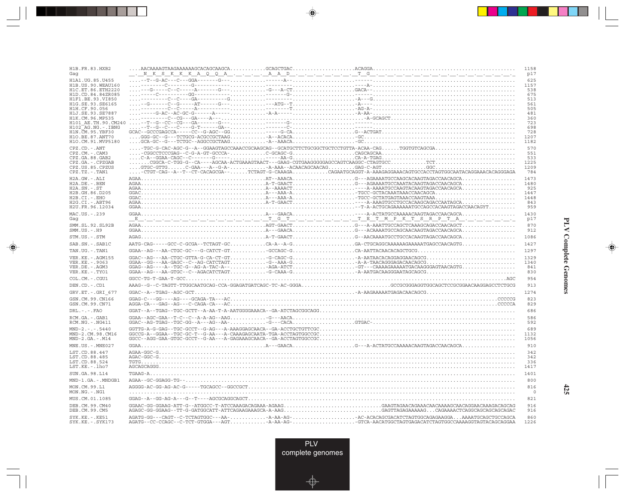| H1B.FR.83.HXB2<br>Gaq                   |  |                                                                                                                                                                                                                                | 1158<br>p17     |
|-----------------------------------------|--|--------------------------------------------------------------------------------------------------------------------------------------------------------------------------------------------------------------------------------|-----------------|
| H1A1.UG.85.U455                         |  |                                                                                                                                                                                                                                | 625             |
| H1B. US. 90. WEAU160                    |  |                                                                                                                                                                                                                                | 1157            |
| H1C.ET.86.ETH2220<br>H1D.CD.84.84ZR085  |  |                                                                                                                                                                                                                                | 538<br>675      |
| H1F1 BE 93 VI850                        |  |                                                                                                                                                                                                                                | 513             |
| H1G.SE.93.SE6165                        |  |                                                                                                                                                                                                                                | 561             |
| H1H.CF.90.056<br>H1J.SE.93.SE7887       |  |                                                                                                                                                                                                                                | 505<br>481      |
| H1K.CM.96.MP535                         |  |                                                                                                                                                                                                                                | 360             |
| H101 AE.TH.90.CM240                     |  |                                                                                                                                                                                                                                | 723             |
| H102 AG.NG.-.IBNG<br>H1N. CM. 95. YBF30 |  |                                                                                                                                                                                                                                | 698<br>728      |
| H10.BE.87.ANT70                         |  |                                                                                                                                                                                                                                | 1207            |
| H1O.CM.91.MVP5180                       |  |                                                                                                                                                                                                                                | 1182            |
| CPZ.CD. - . ANT                         |  |                                                                                                                                                                                                                                | 570             |
| CPZ.CM. - . CAM3                        |  |                                                                                                                                                                                                                                | 551             |
| CPZ.GA.88.GAB2<br>CPZ.GA. - . CPZGAB    |  |                                                                                                                                                                                                                                | 533<br>1225     |
| CPZ.US.85.CPZUS                         |  |                                                                                                                                                                                                                                | 1209            |
| $CPZ.TZ.-.TAN1$                         |  | -CTGT-CAG--A--T--CT-CACAGCGA--TCTAGT-G-CAAAGACAGAATGCAGGT-A-AAAGAGGAAACAGTGCCACCTAGTGGCAATACAGGAAACAGGGAGA                                                                                                                     | 784             |
| H2A.GW.-.ALI                            |  |                                                                                                                                                                                                                                | 1473            |
| $H2A.DE. - .BEN$                        |  |                                                                                                                                                                                                                                | 1480<br>925     |
| $H2A.SN.-.ST$<br>H2B.GH.86.D205         |  |                                                                                                                                                                                                                                | 1447            |
| H2B.CI.-.EHO                            |  |                                                                                                                                                                                                                                | 1448            |
| H2G.CI. - . ABT96                       |  | exercit and the contract of the contract of the contract of the contract of the contract of the contract of the contract of the contract of the contract of the contract of the contract of the contract of the contract of th | 843             |
| H2U.FR.96.12034                         |  |                                                                                                                                                                                                                                | 959             |
| MAC.US.-.239<br>Gag                     |  | <u> 1920 - Andrej Andrej Andrej Andrej Marije, marski predsjednik i premi predsjednika predsjednika i drugi i dr</u>                                                                                                           | 1430<br>p17     |
|                                         |  |                                                                                                                                                                                                                                | 870             |
| SMM.SL.92.SL92B<br>$SMM. US. - . H9$    |  |                                                                                                                                                                                                                                | 912             |
| STM.US.-.STM                            |  |                                                                                                                                                                                                                                | 1086            |
| SAB.SN.-.SAB1C                          |  |                                                                                                                                                                                                                                | 1427            |
| TAN.UG. - . TAN1                        |  | $\verb GGAA--AG---AA-CTGC-GC--G-CATTCT-GT-GCCAGC-GCA-AATTACAACACAGCTGG5$                                                                                                                                                       | 1297            |
| VER. KE. - . AGM155                     |  |                                                                                                                                                                                                                                | 1329            |
| VER.KE. - . 9063<br>VER.DE. - . AGM3    |  |                                                                                                                                                                                                                                | 1340<br>841     |
| VER.KE. - . TYO1                        |  |                                                                                                                                                                                                                                | 830             |
| COL.CM. - . CGU1                        |  |                                                                                                                                                                                                                                | 954             |
| DEN.CD. - .CD1                          |  | AAAG--G--C-TAGTT-TTGGCAATGCAG-CCA-GGAGATGATCAGC-TC-AC-GGGAGCCGCGGAGGTGGCAGCTCCGCGGAACAAGGAGCCTCTGCG                                                                                                                            | 913             |
| GRV.ET. - . GRI 677                     |  |                                                                                                                                                                                                                                | 1274            |
| GSN.CM.99.CN166                         |  |                                                                                                                                                                                                                                | 823             |
| GSN.CM.99.CN71                          |  |                                                                                                                                                                                                                                | 829             |
| $DRL$ . - . - . $FAO$                   |  |                                                                                                                                                                                                                                | 686             |
| RCM.GA. - . GAB1<br>RCM.NG. - . NG411   |  |                                                                                                                                                                                                                                | 586<br>592      |
| $MND-2. - - - 5440$                     |  |                                                                                                                                                                                                                                | 689             |
| MND-2.CM.98.CM16                        |  |                                                                                                                                                                                                                                | 1132            |
| $MND-2.GA.-.M14$                        |  |                                                                                                                                                                                                                                | 1056            |
| MNE.US. - . MNE027                      |  |                                                                                                                                                                                                                                | 910             |
| LST.CD.88.447<br>LST.CD.88.485          |  |                                                                                                                                                                                                                                | 342<br>342      |
| LST.CD.88.524                           |  |                                                                                                                                                                                                                                | 336             |
| LST.KE. - . lho7                        |  |                                                                                                                                                                                                                                | 1417            |
| SUN.GA.98.L14                           |  |                                                                                                                                                                                                                                | 1401            |
| MND-1.GA.-.MNDGB1                       |  |                                                                                                                                                                                                                                | 800             |
| MON.CM.99.L1<br>MON.NG.-.NG1            |  |                                                                                                                                                                                                                                | 816<br>$\Omega$ |
| MUS.CM.01.1085                          |  |                                                                                                                                                                                                                                | 821             |
| DEB.CM.99.CM40                          |  |                                                                                                                                                                                                                                | 916             |
| DEB.CM.99.CM5                           |  |                                                                                                                                                                                                                                | 916             |
| $SYK.KE. - .KE51$<br>SYK.KE. - . SYK173 |  |                                                                                                                                                                                                                                | 860<br>1226     |

<u>a shekara ta 1989</u>

 $\overrightarrow{\phantom{a}}$ 

 $\overline{\neg}$ 

 $\begin{picture}(20,5) \put(0,0){\line(1,0){10}} \put(15,0){\line(1,0){10}} \put(15,0){\line(1,0){10}} \put(15,0){\line(1,0){10}} \put(15,0){\line(1,0){10}} \put(15,0){\line(1,0){10}} \put(15,0){\line(1,0){10}} \put(15,0){\line(1,0){10}} \put(15,0){\line(1,0){10}} \put(15,0){\line(1,0){10}} \put(15,0){\line(1,0){10}} \put(15,0){\line(1,$ 

 $\equiv$ 

 $\Box$ 

<u> 1950 - 1961 - 1971 - 1971 - 1971 - 1971 - 1971 - 1971 - 1971 - 1971 - 1971 - 19</u>

- 1

**425**

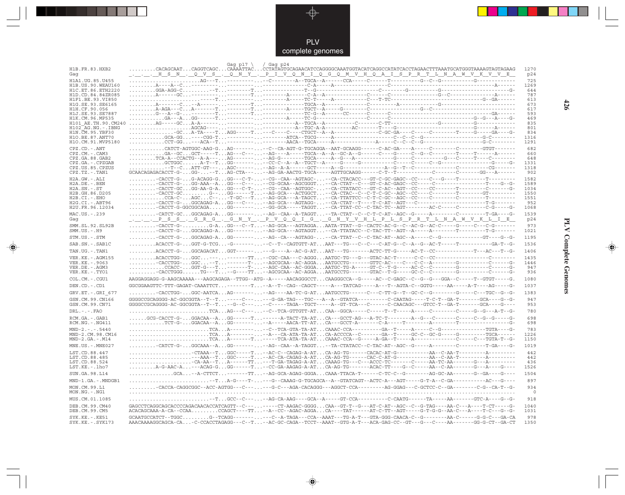

---

 $\overrightarrow{\mathbf{\P}}$ 

 $\overline{\mathbb{R}}$ 

| H1B.FR.83.HXB2                           | Gag $p17$                                                                                                                                                                                                                                                                                                                                                                                                                                                                                                                  | / Gag p24 |  |  | 1270         |
|------------------------------------------|----------------------------------------------------------------------------------------------------------------------------------------------------------------------------------------------------------------------------------------------------------------------------------------------------------------------------------------------------------------------------------------------------------------------------------------------------------------------------------------------------------------------------|-----------|--|--|--------------|
| Gaq                                      |                                                                                                                                                                                                                                                                                                                                                                                                                                                                                                                            |           |  |  | p24          |
| H1A1. UG. 85. U455<br>H1B.US.90.WEAU160  |                                                                                                                                                                                                                                                                                                                                                                                                                                                                                                                            |           |  |  | 725<br>1269  |
| H1C.ET.86.ETH2220                        |                                                                                                                                                                                                                                                                                                                                                                                                                                                                                                                            |           |  |  | 644          |
| H1D.CD.84.84ZR085                        |                                                                                                                                                                                                                                                                                                                                                                                                                                                                                                                            |           |  |  | 787          |
| H1F1.BE.93.VI850                         |                                                                                                                                                                                                                                                                                                                                                                                                                                                                                                                            |           |  |  | 613          |
| H1G.SE.93.SE6165<br>H1H.CF.90.056        |                                                                                                                                                                                                                                                                                                                                                                                                                                                                                                                            |           |  |  | 673<br>617   |
| H1J.SE.93.SE7887                         |                                                                                                                                                                                                                                                                                                                                                                                                                                                                                                                            |           |  |  | 593          |
| H1K.CM.96.MP535                          |                                                                                                                                                                                                                                                                                                                                                                                                                                                                                                                            |           |  |  | 469          |
| H101 AE.TH.90.CM240                      |                                                                                                                                                                                                                                                                                                                                                                                                                                                                                                                            |           |  |  | 835          |
| H102 AG.NG.-.IBNG<br>H1N. CM. 95. YBF30  |                                                                                                                                                                                                                                                                                                                                                                                                                                                                                                                            |           |  |  | 801<br>834   |
| H10.BE.87.ANT70                          |                                                                                                                                                                                                                                                                                                                                                                                                                                                                                                                            |           |  |  | 1316         |
| H1O.CM.91.MVP5180                        |                                                                                                                                                                                                                                                                                                                                                                                                                                                                                                                            |           |  |  | 1291         |
| CPZ.CD. - . ANT                          |                                                                                                                                                                                                                                                                                                                                                                                                                                                                                                                            |           |  |  | 682          |
| CPZ.CM. - . CAM3                         | GA--GCGCT-----TAG---C-----AG----A-----TGCA--A--A--GC-A--G------C---G-----C--G--C-------T-----T-----A------                                                                                                                                                                                                                                                                                                                                                                                                                 |           |  |  | 660<br>648   |
| CPZ.GA.88.GAB2<br>CPZ.GA. - . CPZGAB     |                                                                                                                                                                                                                                                                                                                                                                                                                                                                                                                            |           |  |  | 1331         |
| CPZ.US.85.CPZUS                          |                                                                                                                                                                                                                                                                                                                                                                                                                                                                                                                            |           |  |  | 1318         |
| CPZ.TZ.-.TAN1                            | GCAACAGAGACACCT-G-GG---TAG-CTA----AG-GA-AACTG-TGCA-----AGTTGCAAGG-----C-T--T--------C------C------CG---A------                                                                                                                                                                                                                                                                                                                                                                                                             |           |  |  | 902          |
| H2A.GW.-.ALI                             | .-CACCT-G-G-ACAGG-GGG---C-T---CG--CAA--AGTAGC---CA-CTACACC---GT-C-GC-GAGC--CC----C---G----T-------                                                                                                                                                                                                                                                                                                                                                                                                                         |           |  |  | 1582         |
| $H2A.DE. -.BEN$                          |                                                                                                                                                                                                                                                                                                                                                                                                                                                                                                                            |           |  |  | 1589         |
| $H2A.SN.-.ST$<br>H2B.GH.86.D205          | CACCT-GCGG-AA-G-AGG---C-T---CG--CAA--AGTGGC---CA-CTATACC---GT-C-ACT-ACT--CC-----CC------T--------C------G-                                                                                                                                                                                                                                                                                                                                                                                                                 |           |  |  | 1034<br>1550 |
| H2B.CI.-.EHO                             | CCA-C-AGCC---T-GC---T--AG-GCA---A-TAGCT--CA-TTATTCC--C-T-C-GC--AGC--CC-----C-------C--------T---------                                                                                                                                                                                                                                                                                                                                                                                                                     |           |  |  | 1551         |
| $H2G.CI.-.ABT96$                         |                                                                                                                                                                                                                                                                                                                                                                                                                                                                                                                            |           |  |  | 952          |
| H2U.FR.96.12034                          |                                                                                                                                                                                                                                                                                                                                                                                                                                                                                                                            |           |  |  | 1068         |
| MAC.US.-.239                             | CATCT-GCGGCAGAG-AGG---------AG--CAA--A-TAGGT--TA-CTAT--C--C-T-C-AT--AGC--G-----A-------C---------T-GA----G-                                                                                                                                                                                                                                                                                                                                                                                                                |           |  |  | 1539         |
| Gag                                      | <u> PSS.GRG.GNY.PVQQIG.GNYVHLPLSPRTLNAWVKLIE</u>                                                                                                                                                                                                                                                                                                                                                                                                                                                                           |           |  |  | p24          |
| SMM.SL.92.SL92B<br>$SMM.US.-.H9$         | -CACCT-G-G-AGG---C--T--AG-GCA---AGTAGGAAATA-TTAT--G--CACTC-AC-G--C--AC-G--AC-C-----G-----C-G-------                                                                                                                                                                                                                                                                                                                                                                                                                        |           |  |  | 973<br>1021  |
| STM.US.-.STM                             |                                                                                                                                                                                                                                                                                                                                                                                                                                                                                                                            |           |  |  | 1195         |
| SAB.SN.-.SAB1C                           |                                                                                                                                                                                                                                                                                                                                                                                                                                                                                                                            |           |  |  | 1536         |
| TAN.UG. - . TAN1                         |                                                                                                                                                                                                                                                                                                                                                                                                                                                                                                                            |           |  |  | 1406         |
|                                          |                                                                                                                                                                                                                                                                                                                                                                                                                                                                                                                            |           |  |  |              |
| VER. KE. - . AGM155<br>VER. KE. - . 9063 |                                                                                                                                                                                                                                                                                                                                                                                                                                                                                                                            |           |  |  | 1435<br>1446 |
| VER.DE. - . AGM3                         |                                                                                                                                                                                                                                                                                                                                                                                                                                                                                                                            |           |  |  | 947          |
| VER.KE. - . TYO1                         |                                                                                                                                                                                                                                                                                                                                                                                                                                                                                                                            |           |  |  | 936          |
| COL.CM.-.CGU1                            | AAGGAGGAG-G-AAGCAAAAA---AAGCAGAGA--TTGG--ATG--A-----AACAGGGCCTCAAGGGCCA--G-----AC--C-GAGC--C--G--G--G--G--C-----T--GTGT-----G.                                                                                                                                                                                                                                                                                                                                                                                             |           |  |  | 1080         |
| DEN.CD. - .CD1                           | GGCGGAAGTTC-TTT-GAGAT-CAAATTCT-------T-A--T--CAG--CAGCT----A---TATCAG----A---T--AGTA-C--GGTG-----AA-----A-T----AG-----G-                                                                                                                                                                                                                                                                                                                                                                                                   |           |  |  | 1037         |
| GRV.ET. - . GRI 677                      | -CACCTGG-GGC-AATCAAG--------AG----AA-TC-G-ATAATGCCTG-----C---C-TT-G--T--GC-C--G-------G----C---TGC--G                                                                                                                                                                                                                                                                                                                                                                                                                      |           |  |  | 1383         |
| GSN.CM.99.CN166                          | $GGGGCCGCAGGGG-AC-GGCGGTA--T--T\ldots---C--\ldots---G-GA-TAG---TGC---A--G-TATCA------C-CAATAG-----T-C-T--GA-T---G-A-T---GCA---G-C-ATAG--$                                                                                                                                                                                                                                                                                                                                                                                  |           |  |  | 947          |
| GSN.CM.99.CN71                           | GGGGCCGCAGGGG-AC-GGCGGTA--T--T--G--C-----C-----TAGA--TGCT-----A--GT-TCA---C------C-CAACAGC---GTCC-T--GA-T-------GCA----G----                                                                                                                                                                                                                                                                                                                                                                                               |           |  |  | 953          |
| $DRL - - - FAO$                          |                                                                                                                                                                                                                                                                                                                                                                                                                                                                                                                            |           |  |  | 780          |
| RCM.GA.-.GAB1<br>$RCM.NG. - . NG411$     | $\ldots \ldots \ldots \ldots \text{TCT-G-}\ldots \text{GGACAA-A}\ldots \text{GG---}\ldots \ldots \text{--}\text{A--}\text{---}\text{ACA-TT-AT}\ldots \text{CA---}\text{GCT-A----}\text{C-A---}\text{--}\text{---}\text{--}\text{---}\text{--}\text{---}\text{--}\text{---}\text{--}\text{---}\text{--}\text{---}\text{---}\text{--}\text{---}\text{--}\text{---}\text{--}\text{---}\text{--}\text{---}\text{--}\text{---}\text{--}\text{---}\text{--}\text{---}\text{--}\text{---}\text{--}\text{---}\text{--}\text{---}\$ |           |  |  | 698<br>698   |
| $MND-2. - - - 5440$                      |                                                                                                                                                                                                                                                                                                                                                                                                                                                                                                                            |           |  |  | 783          |
| MND-2.CM.98.CM16                         | TCAA--------A---CA-ATA-TA-ATCA-ACCCCA--C-------GA--T-----GC-C--GC-G-----G--------TGCA------                                                                                                                                                                                                                                                                                                                                                                                                                                |           |  |  | 1226         |
| $MND-2.GA.-.M14$                         |                                                                                                                                                                                                                                                                                                                                                                                                                                                                                                                            |           |  |  | 1150         |
| MNE.US.-.MNE027                          | -CATCT-G-GGCAAA--AGG---------AG--CAA--A-TAGGT--TA-CTATACC--C-TAC-AT--AGC--G-----A-------C---------T-GA----G-                                                                                                                                                                                                                                                                                                                                                                                                               |           |  |  | 1019         |
| LST.CD.88.447                            | $\ldots\ldots\ldots\text{-CTAAA--T}\ldots\texttt{GGC---T}\ldots\texttt{-AC-C--CAGAG-A-AT}\ldots\texttt{CA-AG-TG----CACAC-AT-G----1}-\texttt{AA--C-AA--T----1}-\texttt{AA--C--A-------1}-\texttt{AA--T---------1}-\texttt{AA--T---------1}-\texttt{AA--T---------1}-\texttt{AA--T---------1}-\texttt{AA--T---------1}-\texttt{AA--T---------1}-\texttt{AA--T---------1}-\texttt{AA--T---------1}-\texttt{AA--T--------$                                                                                                     |           |  |  | 442          |
| LST.CD.88.485<br>LST.CD.88.524           |                                                                                                                                                                                                                                                                                                                                                                                                                                                                                                                            |           |  |  | 442<br>436   |
| LST.KE.-.lho7                            |                                                                                                                                                                                                                                                                                                                                                                                                                                                                                                                            |           |  |  | 1526         |
| SUN.GA.98.L14                            | GCA--A-CTTCT-------TT--AG-GCA-AGAG-GGGACAAA-TTACA-T------C-TC-C--G--------AG-GC-AA-------G--GA----G---                                                                                                                                                                                                                                                                                                                                                                                                                     |           |  |  | 1504         |
| MND-1.GA.-.MNDGB1                        |                                                                                                                                                                                                                                                                                                                                                                                                                                                                                                                            |           |  |  | 897          |
| MON.CM.99.L1                             | CACCA-CAGGCGGC--ACC-AGTGG---C------G-C--AGA-CACAGGG---AGGCT-CCA--------AG-GGAG---C-GCTCC-C--GA--------C-G--CA-T--G-                                                                                                                                                                                                                                                                                                                                                                                                        |           |  |  | 934          |
| MON.NG.-.NG1                             |                                                                                                                                                                                                                                                                                                                                                                                                                                                                                                                            |           |  |  | 0            |
| MUS.CM.01.1085                           |                                                                                                                                                                                                                                                                                                                                                                                                                                                                                                                            |           |  |  | 918          |
| DEB. CM. 99. CM40<br>DEB.CM.99.CM5       | GAGCCTCAGGCAGCACCCCAGACAACACCATCAGTT--C--------CT-AAGAC-GGGGCAA--GT-T--G---AT-C-AT--AGC--C--G-TAG----AA-C---A----T-CT-----G-<br>ACACAGCAAA-A-CA--CCAACCAGCT----TT-A--CC--AGAC-AGGACA----TAT-----AT-C-TT--AGT-----G-T-G-G--AA-C---A----T-C--G--G--                                                                                                                                                                                                                                                                          |           |  |  | 1040<br>1031 |
| SYK.KE.-.KE51<br>$SYK.KE. - .SYK173$     | GCAATGCCATCT--TGGCG--TCAGG---------C--A-TAGA---CCA--AAAT---TG-A-T---GTA-GGG-CAACA-C--G--------AA-C------G-G-C---GA-CA<br>AAACAAAAGGCAGCA-CA-C-CCACCTAGAGG---C--T--AC-GC-CAGA--TCCT--AAAT--GTG-A-T---ACA-GAG-CC--GT---G---C----AA-------GG-G-CT--GA-CT                                                                                                                                                                                                                                                                      |           |  |  | 978<br>1350  |
|                                          |                                                                                                                                                                                                                                                                                                                                                                                                                                                                                                                            |           |  |  |              |

 $\blacklozenge$ 

**PLV Complete Genomes 426 PLV Complete Genomes** 

 $\Rightarrow$ 

 $\sqrt{2}$ 

 $426$ 

 $\blacksquare$ 

<u> 1999 - 1999 - 1999 - 1999 - 1999 - 1999 - 1999 - 1999 - 1999 - 1999 - 1999 - 1999 - 1999 - 1999 - 1999 - 199</u>

 $\mathbf{I}$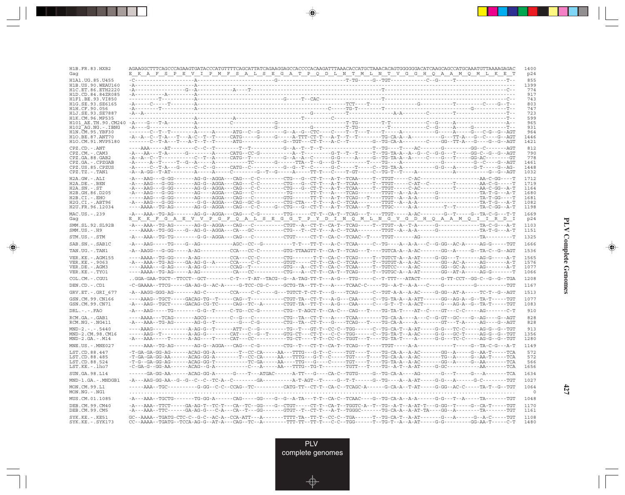| H1B.FR.83.HXB2<br>Gaq                                  | AGAAGGCTTTCAGCCCAGAAGTGATACCCATGTTTTCAGCATTATCAGAAGGAGCCACCCCAAGATTTAAACACCATGCTAAACACAGTGGGGGACATCAAGCAGCCATGCAAATGTTAAAAGAGAC<br>K A F S P E V I P M F S A L S E G A T P Q D L N T M L N T V G G H Q A A M Q M L K E T                                                                                                                                                                                                       | 1400<br>p24     |
|--------------------------------------------------------|--------------------------------------------------------------------------------------------------------------------------------------------------------------------------------------------------------------------------------------------------------------------------------------------------------------------------------------------------------------------------------------------------------------------------------|-----------------|
| H1A1.UG.85.U455                                        |                                                                                                                                                                                                                                                                                                                                                                                                                                | 855             |
| H <sub>1</sub> B. US. 90. WEAU160<br>H1C.ET.86.ETH2220 |                                                                                                                                                                                                                                                                                                                                                                                                                                | 1399<br>774     |
| H1D.CD.84.84ZR085                                      |                                                                                                                                                                                                                                                                                                                                                                                                                                | 917             |
| H1F1.BE.93.VI850<br>H1G.SE.93.SE6165                   |                                                                                                                                                                                                                                                                                                                                                                                                                                | 743<br>803      |
| H1H.CF.90.056                                          |                                                                                                                                                                                                                                                                                                                                                                                                                                | 747             |
| H1J.SE.93.SE7887<br>H1K.CM.96.MP535                    |                                                                                                                                                                                                                                                                                                                                                                                                                                | 723<br>599      |
|                                                        |                                                                                                                                                                                                                                                                                                                                                                                                                                | 965             |
| H102 AG.NG.-.IBNG<br>H1N.CM.95.YBF30                   |                                                                                                                                                                                                                                                                                                                                                                                                                                | 931<br>964      |
| H1O.BE.87.ANT70                                        |                                                                                                                                                                                                                                                                                                                                                                                                                                | 1446            |
| H1O.CM.91.MVP5180                                      |                                                                                                                                                                                                                                                                                                                                                                                                                                | 1421            |
| $CPZ$ . $CD$ . $-ANT$<br>$CPZ.CM. - . CAM3$            |                                                                                                                                                                                                                                                                                                                                                                                                                                | 812<br>790      |
| CPZ.GA.88.GAB2                                         | -A--A--C--T----------C--T--A-----CATG--T---------G--A--A--C------G-G-----A-----G--TG-TA-A--A-----C----G---T-----GG-AC--------GT                                                                                                                                                                                                                                                                                                | 778             |
| CPZ.GA. - . CPZGAB<br>CPZ.US.85.CPZUS                  |                                                                                                                                                                                                                                                                                                                                                                                                                                | 1461<br>1448    |
| $CPZ.TZ.-.TAN1$                                        |                                                                                                                                                                                                                                                                                                                                                                                                                                | 1032            |
| H2A.GW.-.ALI                                           |                                                                                                                                                                                                                                                                                                                                                                                                                                | 1712            |
| H2A.DE. - .BEN<br>$H2A.SN.-.ST$                        |                                                                                                                                                                                                                                                                                                                                                                                                                                | 1719<br>1164    |
| H2B.GH.86.D205                                         |                                                                                                                                                                                                                                                                                                                                                                                                                                | 1680            |
| H2B.CI.-.EHO                                           |                                                                                                                                                                                                                                                                                                                                                                                                                                | 1681            |
| $H2G.CI.-.ABT96$<br>H2U.FR.96.12034                    |                                                                                                                                                                                                                                                                                                                                                                                                                                | 1082<br>1198    |
| MAC.US. - . 239<br>Gaq                                 | <u>EKKF GAEV V P G F Q A L S E G G T P Y D I N Q M L N G V G D H Q A A M Q I I R D I</u>                                                                                                                                                                                                                                                                                                                                       | 1669<br>p24     |
| SMM.SL.92.SL92B<br>$SMM.US. - . H9$                    |                                                                                                                                                                                                                                                                                                                                                                                                                                | 1103<br>1151    |
| STM.US.-.STM                                           |                                                                                                                                                                                                                                                                                                                                                                                                                                | 1325            |
| SAB.SN.-.SAB1C                                         | -A---AAG-----TG---G--AG-----------AGC--CC--G---------T-T---TT-F--A-C--TCAA-----C--TG----A-A---C--G-GG--AC-A-----AG-G-----TGT                                                                                                                                                                                                                                                                                                   | 1666            |
| TAN.UG.-.TAN1                                          |                                                                                                                                                                                                                                                                                                                                                                                                                                | 1536            |
| VER.KE. - . AGM155                                     |                                                                                                                                                                                                                                                                                                                                                                                                                                | 1565            |
| VER.KE. - . 9063                                       |                                                                                                                                                                                                                                                                                                                                                                                                                                | 1576            |
| VER.DE. - . AGM3<br>VER.KE. - . TYO1                   |                                                                                                                                                                                                                                                                                                                                                                                                                                | 1077<br>1066    |
| COL.CM. - . CGU1                                       | GGA-GAA-TGCT--TTCCT--GCT--------C-T---T-AT--TACG--G--A-TAG-TT-T---A-G---TTG-----C--T-TTT---ATACT-------G-TT-CCT--GG-C--G--G--TGA                                                                                                                                                                                                                                                                                               | 1208            |
| DEN.CD. - .CD1                                         | -C-GAAAA--TTCG-----GA-AG-G--AC-A-----G-TCC-CG-C-----GCTG-TA--TT-T---A----TCAAC-C-----TG--A-T--A-A---C----G---------G---------TGT                                                                                                                                                                                                                                                                                               | 1167            |
| GRV.ET. - . GRI 677                                    |                                                                                                                                                                                                                                                                                                                                                                                                                                | 1513            |
| GSN.CM.99.CN166                                        |                                                                                                                                                                                                                                                                                                                                                                                                                                | 1077            |
| GSN.CM.99.CN71                                         | -A---AAG--TGCT-----GACAG-CG-TC-----CAG--TC--A-------CTGT-TA--TT-T---A-G---CAA-----C---G-T--T--A-ACT------G---AG-A--G--TA-T-----TGT                                                                                                                                                                                                                                                                                             | 1083            |
| $DRL. - . - . FAO$                                     |                                                                                                                                                                                                                                                                                                                                                                                                                                | 910             |
| RCM.GA.-.GAB1<br>$RCM.NG. - . NG411$                   |                                                                                                                                                                                                                                                                                                                                                                                                                                | 828<br>828      |
| $MND-2. - - - 5440$                                    | ----AAAG-----------A-AG-G--T------ATT--C--G---------TG--T---CT-T--CC-C--TGG------C--TG-CA-T--A-AT-----G-G---TC-C-----AG-G--G--TGT                                                                                                                                                                                                                                                                                              | 913             |
| MND-2.CM.98.CM16<br>$MND-2.GA.-.M14$                   | -----AAG--T---------A-AG-G--------CAT---C--G--T-----GTG-CT---CT-T---C---TGG------C--TG-TA-T--A-AC-----G-G---GC-T------AG-G--G--TGT                                                                                                                                                                                                                                                                                             | 1356<br>1280    |
| MNE.US.-.MNE027                                        |                                                                                                                                                                                                                                                                                                                                                                                                                                | 1149            |
| LST.CD.88.447                                          |                                                                                                                                                                                                                                                                                                                                                                                                                                | 572             |
| LST.CD.88.485                                          |                                                                                                                                                                                                                                                                                                                                                                                                                                | 572             |
| LST.CD.88.524<br>LST.KE.-.lho7                         | $-{\bf T}-{\bf G}-{\bf G}{\bf A}-{\bf G}{\bf G}-{\bf A}{\bf G}-\cdots-{\bf A}{\bf C}{\bf A}{\bf G}-{\bf G}{\bf G}-{\bf T}-\cdots-{\bf T}-{\bf T}{\bf C}-{\bf G}{\bf A}-\cdots-{\bf A}{\bf A}-\cdots-{\bf T}{\bf T}{\bf G}-\cdots-{\bf G}-\cdots-{\bf T}{\bf G}{\bf T}-\cdots-{\bf T}{\bf G}-{\bf A}-{\bf A}-{\bf A}-{\bf A}-{\bf A}-{\bf A}-{\bf C}-\cdots-{\bf G}{\bf G}-{\bf A}-\cdots-{\bf G}-{\bf A}{\bf A}-\cdots-{\bf T$ | 566<br>1656     |
| SUN.GA.98.L14                                          | -----GA-GG-AA------ACAG-GG-A------G----T---ATGAC------A-TT---G----CA-C--TGTG-----G--TG-CA-A----AG-------G---T----G--A-------TCA                                                                                                                                                                                                                                                                                                | 1634            |
| MND-1.GA.-.MNDGB1                                      |                                                                                                                                                                                                                                                                                                                                                                                                                                | 1027            |
| MON.CM.99.L1                                           |                                                                                                                                                                                                                                                                                                                                                                                                                                | 1064            |
| MON.NG.-.NG1                                           |                                                                                                                                                                                                                                                                                                                                                                                                                                | $\circ$<br>1048 |
| MUS.CM.01.1085<br>DEB.CM.99.CM40                       | -A---AAA--TTCT-----GA-AG-T--TC-T---CA--TC--GG----G--CTGT-----CT-T--CA-T--TGGTC-A--T--TG--A-T--A-AT-T---G-GG--T-----G--CA-T-----TGT                                                                                                                                                                                                                                                                                             | 1170            |
| DEB.CM.99.CM5                                          | -A---AAA--TTC------GA-AG-G---C-A---CA--T---GG-------GTGT--T--CT-T---A-T--TGGGC-------TG-CA-A--A-AT-TA----GG--A-------TA------TA------TGT                                                                                                                                                                                                                                                                                       | 1161            |
| $SYK.KE. - .KE51$<br>$SYK.KE. - .SYK173$               | GC--AAAA--TGATG-CTC-C--G-C--AC-A--CCA-ATT---A-------TTTT-TA--TT-T--CC-C--TGA------T--TG-CA-T--A-AT-------G---A------G--A-C-----TGT                                                                                                                                                                                                                                                                                             | 1108<br>1480    |

<u>a shekara ta 1989</u>

 $\overrightarrow{\phantom{a}}$ 

 $\overline{\neg}$ 

 $\begin{picture}(20,5) \put(0,0){\line(1,0){10}} \put(15,0){\line(1,0){10}} \put(15,0){\line(1,0){10}} \put(15,0){\line(1,0){10}} \put(15,0){\line(1,0){10}} \put(15,0){\line(1,0){10}} \put(15,0){\line(1,0){10}} \put(15,0){\line(1,0){10}} \put(15,0){\line(1,0){10}} \put(15,0){\line(1,0){10}} \put(15,0){\line(1,0){10}} \put(15,0){\line(1,$ 

 $\equiv$ 

 $\Box$ 

▁▏▁▊▊▏

 $\mathbf{I}$ 

**427**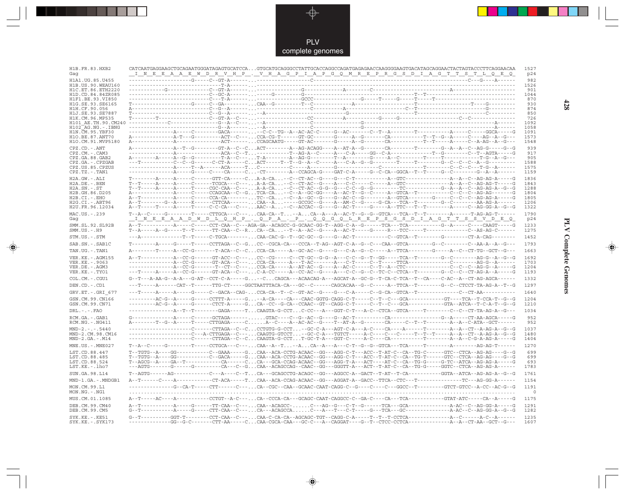

---

 $\overrightarrow{\mathbf{\P}}$ 

 $\mathbb{R}$ 

| H1B.FR.83.HXB2<br>Gaq                                  | CATCAATGAGGAAGCTGCAGAATGGGATAGAGTGCATCCA GTGCATGCAGGGCCTATTGCACCAGGCCAGATGAGAGAACCAAGGGGAAGTGACATAGCAGGAACTACTAGTACCCTTCAGGAACAA<br>1527<br>I N E E A A E W D R V H P . V H A G P I A P G Q M R E P R G S D I A G T T S T L Q E Q<br>p24                                                                                                                                                                                                                                                                                                        |
|--------------------------------------------------------|-------------------------------------------------------------------------------------------------------------------------------------------------------------------------------------------------------------------------------------------------------------------------------------------------------------------------------------------------------------------------------------------------------------------------------------------------------------------------------------------------------------------------------------------------|
| H1A1. UG. 85. U455<br>H1B. US. 90. WEAU160             | 982<br>1526                                                                                                                                                                                                                                                                                                                                                                                                                                                                                                                                     |
| H1C.ET.86.ETH2220                                      | 901                                                                                                                                                                                                                                                                                                                                                                                                                                                                                                                                             |
| H1D.CD.84.84ZR085                                      | 1044                                                                                                                                                                                                                                                                                                                                                                                                                                                                                                                                            |
| H1F1.BE.93.VI850<br>H1G.SE.93.SE6165                   | 870<br>930                                                                                                                                                                                                                                                                                                                                                                                                                                                                                                                                      |
| H1H.CF.90.056                                          | 874                                                                                                                                                                                                                                                                                                                                                                                                                                                                                                                                             |
| H1J.SE.93.SE7887<br>H1K.CM.96.MP535                    | 850<br>726                                                                                                                                                                                                                                                                                                                                                                                                                                                                                                                                      |
| H101 AE.TH.90.CM240<br>H102 AG.NG.-.IBNG               | 1092<br>1058                                                                                                                                                                                                                                                                                                                                                                                                                                                                                                                                    |
| H1N. CM. 95. YBF30                                     | 1091                                                                                                                                                                                                                                                                                                                                                                                                                                                                                                                                            |
| H1O.BE.87.ANT70<br>H1O.CM.91.MVP5180                   | 1573<br>1548                                                                                                                                                                                                                                                                                                                                                                                                                                                                                                                                    |
| CPZ.CD. - . ANT                                        | 939                                                                                                                                                                                                                                                                                                                                                                                                                                                                                                                                             |
| CPZ.CM.-.CAM3                                          | 917                                                                                                                                                                                                                                                                                                                                                                                                                                                                                                                                             |
| CPZ.GA.88.GAB2<br>CPZ.GA.-.CPZGAB                      | 905<br>---T-----------C--C--G------C-CT-A-----CACT-----T--G--A--C-----A--C-A--G--G-------T-----T-------G--C--C--A--G----<br>1588                                                                                                                                                                                                                                                                                                                                                                                                                |
| CPZ.US.85.CPZUS                                        | 1575                                                                                                                                                                                                                                                                                                                                                                                                                                                                                                                                            |
| CPZ.TZ.-.TAN1                                          | ---------------A-----G-----C----CA-----C-CT---------A--CCAGCA-G----GAT-C-A-----G--C-CA--GGCA--T--T-----G--C--------G--A--A------<br>1159                                                                                                                                                                                                                                                                                                                                                                                                        |
| $H2A.GW.-.ALI$<br>$H2A.DE. - .BEN$                     | 1836<br>1843                                                                                                                                                                                                                                                                                                                                                                                                                                                                                                                                    |
| $H2A.SN.-.ST$                                          | 1288                                                                                                                                                                                                                                                                                                                                                                                                                                                                                                                                            |
| H2B.GH.86.D205<br>$H2B.CI.-.EHO$                       | 1804<br>1805                                                                                                                                                                                                                                                                                                                                                                                                                                                                                                                                    |
| H2G.CI.-.ABT96                                         | 1206                                                                                                                                                                                                                                                                                                                                                                                                                                                                                                                                            |
| H2U.FR.96.12034                                        | 1322                                                                                                                                                                                                                                                                                                                                                                                                                                                                                                                                            |
| MAC.US.-.239<br>Gaq                                    | 1790<br><u>IN E E A A D W D LO H P . Q P A . P . Q Q G Q L R E P S G S D I A G T T S S V D E Q</u><br>p24                                                                                                                                                                                                                                                                                                                                                                                                                                       |
| SMM.SL.92.SL92B<br>$SMM.US. - . H9$                    | 1233<br>$\verb T-A---A-G---T-T--T---TT-CAA-C-R \dots CA--CA \dots -- \verb T-A-AC-G---A-AC-T---G---R---R---TCC---T---T---T---1---A-S-AC--T---A-S-AC--T---A-S-AC--T---A-S-AC--T---A-S-AC--T---A-S-AC--T---A-S-AC--T---A-S-AC--T---A-S-AC--T---A-S-AC--T---A-S-AC--T---A-S-AC--T---A-S-AC--T---A-S-AC--T---A-S-AC--T---A-S-AC--T---A-S-AC--T---A-S-AC--T---A-S-AC--T---A-S-AC--T---A-S-AC--T---A-S-AC--T---A-S-AC--T---A$<br>1275                                                                                                                 |
| STM.US.-.STM                                           | ---A--------------T--T-----C-TGCA-------CAA-CAC-G--T--GC-GC--G----G--AC-T---------C--GTCA--T---------G-------CT-A-CAG--------<br>1452                                                                                                                                                                                                                                                                                                                                                                                                           |
| SAB.SN.-.SAB1C                                         | 1793                                                                                                                                                                                                                                                                                                                                                                                                                                                                                                                                            |
| TAN.UG. - . TAN1                                       | 1663                                                                                                                                                                                                                                                                                                                                                                                                                                                                                                                                            |
| VER. KE. - . AGM155<br>VER.KE. - . 9063                | 1692<br>A--T------------A--CC-G------GT-ACC--C--- CC--CG------C--CT-GC--G-G--A---C--C--G--T--GG-----TCA--T---------G--C---------AG-G--A--G--G<br>1703                                                                                                                                                                                                                                                                                                                                                                                           |
| VER.DE. - . AGM3                                       | 1204                                                                                                                                                                                                                                                                                                                                                                                                                                                                                                                                            |
| VER.KE. - . TYO1                                       | 1193                                                                                                                                                                                                                                                                                                                                                                                                                                                                                                                                            |
| $COL.CM.-.CGU1$                                        | 1332<br>G--T---A-AA-G--A-A---G-AT--CCT-C-A-----G--CCAGCA---ACAACAG-A---AGCAT-A--GC-G--T-CA-C-TCA--T--CA----C-AC--A--CT-AG-AGCA-------                                                                                                                                                                                                                                                                                                                                                                                                           |
| DEN.CD. - .CD1                                         | ---T-----A------CAT--T------TTG-CT-----GGCTAATTTACA-CA---GC--C------CAGCACAA--G--C-----A--TTCA--T--------G--C--CTCCT-TA-AG-A--T--G<br>1297                                                                                                                                                                                                                                                                                                                                                                                                      |
| GRV.ET. - .GRI 677                                     | 1640                                                                                                                                                                                                                                                                                                                                                                                                                                                                                                                                            |
| GSN.CM.99.CN166<br>GSN.CM.99.CN71                      | 1204<br>1210                                                                                                                                                                                                                                                                                                                                                                                                                                                                                                                                    |
| $DRL$ . - . - . $FAO$                                  | 1034<br>------------------A--T--T--------GAGA-----T. CAAGTA-G-CCT C-CC---A---GGT-C-T---A-C--CTCA--GTCA-----T---------C--CT-TA-AG-A--G---                                                                                                                                                                                                                                                                                                                                                                                                        |
| RCM.GA. - . GAB1<br>$RCM.NG. - . NG411$                | 952<br>A--------T--G--A-----T-----CTTGAGA-----CA--C----A--AC-AC--G----T--AT-A--G--------CA------C--T--T-------A--A--C-ATA--GCT------<br>952                                                                                                                                                                                                                                                                                                                                                                                                     |
| $MND-2---5440$<br>MND-2.CM.98.CM16<br>$MND-2.GA.-.M14$ | 1037<br>-------------------C-----CTTAGA--C--CCCTGTG-G-CCT--GC-C-A---AGT-C-A---A-C----CA----A-----T--------A--A--CT--A-AG-A--G--G<br>-------------------C---A-CTTGAGA--C---CAAGTG-GTCCT-GC-C-A---TGTCT-----A-C----C---C----T--T--T--T----A--A--CT--A-AG-A--G--G<br>1480<br>1404                                                                                                                                                                                                                                                                  |
| MNE.US.-.MNE027                                        | $\verb T-A-C------G--------T----CCTGCA---C---CAA--A-T-ACA-A--A---C-T--G--G-GTCA--TCA---TC-----------A------AG-AG-T------C-T-.$<br>1270                                                                                                                                                                                                                                                                                                                                                                                                          |
| LST.CD.88.447                                          | 699<br>T--TGTG--A----GG----------C--GAAA-----G.CAA--ACA-CCTG-ACAAC--GG---AGG-C-T---ACC--T-AT-C--CA--TG-C------GTC--CTCA--AG-AG----G--G---                                                                                                                                                                                                                                                                                                                                                                                                       |
| LST.CD.88.485                                          | T--TGTG--A----GG----------C--GACA-----GCAA--ACA-CCTG-ACAAC--GG---AGG-C-T---ACC--T-AT-C--CA--TG-T------GTC--CTCA--AG-AG----G--G<br>699                                                                                                                                                                                                                                                                                                                                                                                                           |
| LST.CD.88.524<br>LST.KE.-.lho7                         | $\verb T-AGCG-A---GA-T---1---1-CA---C. \verb C.A---GCA-CCG-ACACA-CG---AGG-T-A---ACT---AT-C--CT--T-G-TC--G-TC--ATCA-AG-A---G-AG--A---G-AG--A---G-AG--A---G-AG--A---G-AG--A---G-AG--A---G-AG--A---G-AG--A---G-AG--A---G-AG--A---G-AG--A---G-AG--A---G-AG--A---G-AG--A---G-AG--A---G-AG--A---G-AG--A---G-AG--A---G-AG--A---G-AG--A---G-AG--A---G-AG--A---G-AG--A---G-AG--A---G-AG--A---G-AG--A---G$<br>693<br>---AGTG-------G-----G-------CA---C--GCAA--ACAGCCAG--CAAC--GG---GGGTT-A---ACT--T-AT-C--CA--TG-G-----GGTC--CTCA--AG-AG-A------<br>1783 |
| SUN.GA.98.L14                                          | T--AGTG------AG----------C---A----C--TCA---GCAGCCTG-ACAGC--GG---AGGCC-A--GACT--T-AT--T-CA---------GGTA--ATCA--AG-AG-A--G--G<br>1761                                                                                                                                                                                                                                                                                                                                                                                                             |
| MND-1.GA.-.MNDGB1                                      | 1154                                                                                                                                                                                                                                                                                                                                                                                                                                                                                                                                            |
| MON.CM.99.L1<br>$MON.NG. - . NG1$                      | -------------G--CA-T-----CTT------C---CA--CGC--CAA--GCAAC-CAAT-CAGG-C--G----C---C---GGCC--T--------GTCT-GTCC--A-CC--AC-G--G<br>1191<br>$\circ$                                                                                                                                                                                                                                                                                                                                                                                                  |
| MUS.CM.01.1085                                         | 1175                                                                                                                                                                                                                                                                                                                                                                                                                                                                                                                                            |
| DEB.CM.99.CM40<br>DEB.CM.99.CM5                        | 1291<br>1282                                                                                                                                                                                                                                                                                                                                                                                                                                                                                                                                    |
| $SYK.KE. - .KE51$                                      | 1235                                                                                                                                                                                                                                                                                                                                                                                                                                                                                                                                            |
| $SYK.KE. - .SYK173$                                    | 1607                                                                                                                                                                                                                                                                                                                                                                                                                                                                                                                                            |

 $\blacklozenge$ 

**PLV Complete Genomes 428 PLV Complete Genomes** 

 $\Rightarrow$ 

 $\sqrt{2}$ 

 $428$ 

 $\blacksquare$ 

<u> 1999 - 1999 - 1999 - 1999 - 1999 - 1999 - 1999 - 1999 - 1999 - 1999 - 1999 - 1999 - 1999 - 1999 - 1999 - 199</u>

 $\mathbf{I}$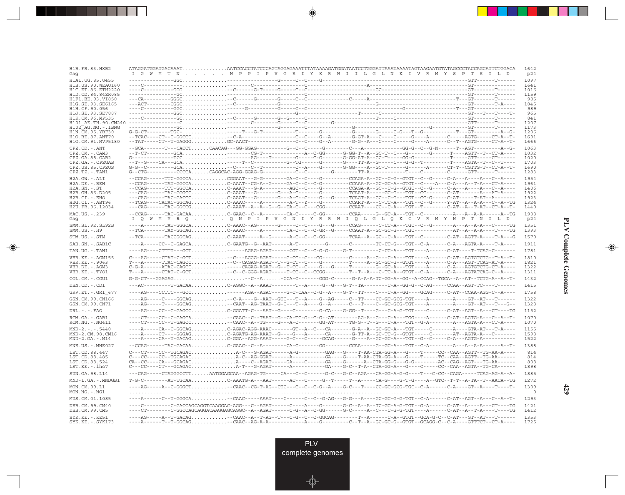| H1B.FR.83.HXB2<br>Gaq                  | <u>_I_G_W_M_T_N__,__,__,__,___,___P__P__V_G__B__I_Y_K__R_W__I__I_L_G__L_N_K__I_V__R__M__Y__S__P__T__S__I__L_D_</u>                                                                                                                                                                                                                                                                                                                                                        | 1642<br>p24     |
|----------------------------------------|---------------------------------------------------------------------------------------------------------------------------------------------------------------------------------------------------------------------------------------------------------------------------------------------------------------------------------------------------------------------------------------------------------------------------------------------------------------------------|-----------------|
| H1A1.UG.85.U455                        |                                                                                                                                                                                                                                                                                                                                                                                                                                                                           | 1097            |
| H1B.US.90.WEAU160                      |                                                                                                                                                                                                                                                                                                                                                                                                                                                                           | 1641            |
| H1C.ET.86.ETH2220<br>H1D.CD.84.84ZR085 |                                                                                                                                                                                                                                                                                                                                                                                                                                                                           | 1016<br>1159    |
| H1F1.BE.93.VI850                       |                                                                                                                                                                                                                                                                                                                                                                                                                                                                           | 985             |
| H1G.SE.93.SE6165                       |                                                                                                                                                                                                                                                                                                                                                                                                                                                                           | 1045            |
| H1H.CF.90.056                          |                                                                                                                                                                                                                                                                                                                                                                                                                                                                           | 989             |
| H1J.SE.93.SE7887<br>H1K.CM.96.MP535    |                                                                                                                                                                                                                                                                                                                                                                                                                                                                           | 965<br>841      |
| H101 AE.TH.90.CM240                    |                                                                                                                                                                                                                                                                                                                                                                                                                                                                           | 1207            |
| H102 AG.NG.-.IBNG                      |                                                                                                                                                                                                                                                                                                                                                                                                                                                                           | 1173            |
| H1N. CM. 95. YBF30                     | ${\tt G-G-CT}\mbox{-}\cdots \mbox{-}\cdots \mbox{-}\, {\tt TGC}\mbox{-}\ldots \mbox{-}\ldots\ldots\ldots\ldots\ldots \mbox{-}\, {\tt T}\mbox{-}\cdots \mbox{-}\, {\tt G-T}\mbox{-}\cdots \mbox{-}\, {\tt T}\mbox{-}\cdots \mbox{-}\, {\tt T}\mbox{-}\cdots\mbox{-}\, {\tt T}\mbox{-}\cdots\mbox{-}\, {\tt T}\mbox{-}\cdots \mbox{-}\, {\tt T}\mbox{-}\cdots\mbox{-}\, {\tt T}\mbox{-}\cdots\mbox{-}\, {\tt T}\mbox{-}\cdots\ldots\ldots\ldots\ldots\ldots\ldots\$         | 1206            |
| H10.BE.87.ANT70                        |                                                                                                                                                                                                                                                                                                                                                                                                                                                                           | 1691            |
| H1O.CM.91.MVP5180                      | --TAT-----CT--T-GAGGGGC-AACT--------------C--C---A------G-G--A---C-----C-----G----A-----C--T--AGTG-----CT-A--T-                                                                                                                                                                                                                                                                                                                                                           | 1666            |
| CPZ.CD. - . ANT<br>CPZ.CM.-.CAM3       | --T-CT---------GCA--------CG-T--------------A--C-GG------G-GG-T--A--GC-T--C---G-------G------T----AGTT--T--CT-A----                                                                                                                                                                                                                                                                                                                                                       | 1063<br>1032    |
| CPZ.GA.88.GAB2                         | $G \texttt{-----} \texttt{TCC} \ldots \ldots \ldots \ldots \ldots \ldots \ldots \texttt{---} \texttt{AG} \texttt{---} \texttt{T} \texttt{---} \texttt{-} \texttt{---} \texttt{-G} \texttt{---} \texttt{--} \texttt{--} \texttt{--} \texttt{--} \texttt{--} \texttt{--} \texttt{--} \texttt{--} \texttt{--} \texttt{--} \texttt{--} \texttt{--} \texttt{--} \texttt{--} \texttt{--} \texttt{--} \texttt{--} \texttt{--} \texttt{--} \texttt{--} \texttt{--} \texttt{--} \$ | 1020            |
| CPZ.GA.-.CPZGAB                        |                                                                                                                                                                                                                                                                                                                                                                                                                                                                           | 1703            |
| CPZ.US.85.CPZUS                        |                                                                                                                                                                                                                                                                                                                                                                                                                                                                           | 1690            |
| $CPZ.TZ.-.TAN1$                        |                                                                                                                                                                                                                                                                                                                                                                                                                                                                           | 1283            |
| H2A.GW.-.ALI                           | --CCAG------TTC-GGCCACGGAAT---G-G--------GA-C--C----------CCAGA-A--GC--C-G--GTGT--C--G-----C-A---A---C--A----                                                                                                                                                                                                                                                                                                                                                             | 1954            |
| H2A.DE. - .BEN                         | --CCAG------TAT-GGCCAC-AAAT--CG-A--G-----GA-C--C--G--------CCAAA-A--GC-GC-A--GTGT--C----A--C-A---A--T-A---CT-A---                                                                                                                                                                                                                                                                                                                                                         | 1961            |
| $H2A.SN.-.ST$<br>H2B.GH.86.D205        | --CCAG------TTT-GGCCAC-AAAT---G-A--------AGC--C----G--------CCAGA-A--GC--C-G--GTGC--C--G------C-A---A---C--A----<br>---CAG------TAC-GGGCCC-AAAT---G-------G---A-C-------G--------TCAAT-A-----GC-G---TGT--CC--------C-AT--------A---AT-A----                                                                                                                                                                                                                               | 1406<br>1922    |
| $H2B.CI.-EHO$                          | ---CAG------TAC-GACCCC-AAAT---G-------G---A-C--C---G----TCAGT-A--GC--C-G---TGT--CC-G-----C-AT-----T-AT--A-------                                                                                                                                                                                                                                                                                                                                                          | 1923            |
| H2G.CI.-.ABT96                         | --TCAG----CACAC-GGCAGC-AAAC-----A---------A-T--Y----G--------CCART-A---C-TC-A---TGT--C--G-----Y-AT--A-A-A---C--A--TG                                                                                                                                                                                                                                                                                                                                                      | 1324            |
| H2U.FR.96.12034                        | ---CAG------TAC-GGCCGC-AAAT--A--A--G--G--TA-C--C---CGG--------CCAAT----CC--C-A---TGT--T--------C-AT--A--T-AT--CT-A--T-                                                                                                                                                                                                                                                                                                                                                    | 1440            |
| MAC.US.-.239                           |                                                                                                                                                                                                                                                                                                                                                                                                                                                                           | 1908            |
| Gag                                    | <u>iqw myr q q n p i p v g n i y r r w i q l g l q k c v r m y n p t n i l p</u>                                                                                                                                                                                                                                                                                                                                                                                          | p24             |
| SMM.SL.92.SL92B<br>$SMM.US.-.H9$       | ----A-------TAT-GGGCAC-AAAC--AG-------G-----C--C-----G-----CCAG------C-CC-A---TGC--C--G-------A---A--A--C-----TG                                                                                                                                                                                                                                                                                                                                                          | 1351<br>1393    |
| STM.US.-.STM                           | --TCA-------TACCGGCAGC-AAAT-----A--G------A-C--C--GG--------TCAA--A--GC--C-A---TGT--C---------C-AT--AGTT-A----T-A---G                                                                                                                                                                                                                                                                                                                                                     | 1570            |
| SAB.SN.-.SAB1C                         | ----A-----CC--C-GAGCAC-GAATG--G--AAT------A-T-----------C--------TC-CC-G---TGT--C-A-----C-A---AGTA-A----T-A----                                                                                                                                                                                                                                                                                                                                                           | 1911            |
| TAN.UG.-.TAN1                          | ----AG----CTTTT---GCT------AGAG-AGAT------CGT--C--C-G-G-----G-T---------C-CC-A---TGT----A------C-AT----T-TCAG-C-------                                                                                                                                                                                                                                                                                                                                                    | 1781            |
| VER.KE. - . AGM155                     | - C---AG-----CTAT-C-GCT. - -C---AGGG-AGAT-----G-CC--C---CG--------C-----A--G---C-A---TGT---A------C-AT--AGTGTCTG--T                                                                                                                                                                                                                                                                                                                                                       | 1810            |
| VER.KE. - . 9063                       |                                                                                                                                                                                                                                                                                                                                                                                                                                                                           | 1821            |
| VER.DE. - . AGM3                       | $\verb C-G-A----ATAC-CAGCC\\ \verb ---CAGAG-AGAT--G--T-CC--C---G---G---T---T---G--GC-A---TGT---A---C-A---C-A---AGTGTCTG-CT-A---A-CTGTCTG---A---A-CTGTCTG-CT-A---A-CTGTCTG-CT-A---A-CTGTCTG-CT-A---A-CTGTCTG-CT-A---A-CTGTCTG-CT-A---A-CTGTCTG-CT-A---A-CTGTCTG-CT-A---A-CTGTCTG-CT-A---A-CTGTCTG-CT-A---A-CTGTCTG-CT-A---A-CTGTCTG-CT-A---A-CTGTCTG-CT-A---A-CTG$                                                                                                         | 1322            |
| VER.KE. - . TYO1                       | $\verb T--A----CTAT-C-GCT , \verb  , \verb  , \verb  , \verb  , \verb  , \verb  , \verb  , \verb  , \verb  , \verb  , \verb  , \verb  , \verb  , \verb  , \verb  , \verb  , \verb  , \verb  , \verb  , \verb  , \verb  , \verb  , \verb  , \verb  , \verb  , \verb  , \verb  , \verb  , \verb  , \verb  , \verb  , \verb  , \verb  , \verb  , \$                                                                                                                          | 1311            |
| COL.CM. - . CGU1                       |                                                                                                                                                                                                                                                                                                                                                                                                                                                                           | 1432            |
| DEN.CD. - .CD1                         | ---AC---------T-GACAAC-AGGC--A--AAAT--------T--A-----G--G--G-T--TA-------C-A--GG-G--C-AG-----CCAA--AGT-TC----T------                                                                                                                                                                                                                                                                                                                                                      | 1415            |
| GRV.ET. - . GRI 677                    | ----AG----CCTTC---GCC------AGA--AGAC-----G-C-CAA--C-G--A----G-T--TT----C---C-A--GG-----GCAG-----C-AT--CCAA-AGG-C--A----                                                                                                                                                                                                                                                                                                                                                   | 1758            |
| GSN.CM.99.CN166<br>GSN.CM.99.CN71      | ----AG-----C----GGCAG--C-A----G--AAT--GTC---T--A-----G--AG-----C--TT----CC-GC-GCG-TGT----A--------A----GT--AT---T------<br>----AG-----T----GGCAG--CAAT--AG-TAAT--G-C---T--A----G--A------C---T----C--GC-GCG-TGT----A--------A----GT--AT---T---G--                                                                                                                                                                                                                         | 1322<br>1328    |
| $DRL$ . - . - . $FAO$                  | ----AG----CC--C-GAGCCC-GGATT-C---AAT--G----C-------G-CA----G-GG--T----G--A-G-TGT----C------C-AT--AGT--A---CT----TG                                                                                                                                                                                                                                                                                                                                                        | 1152            |
| RCM.GA.-.GAB1                          | ----CT----CC--C-GAGCA---CAAC--C--TAAT--G--CA-TC-G--AT---------AG-A--G---C-A---TGG----A------C-AT--AGTG-A---C--A--T-                                                                                                                                                                                                                                                                                                                                                       | 1070            |
| RCM.NG. - . NG411                      | ----CT----CC--T-GAGCC--CAAC--A--TG----G--A-C-------GG-AT-----TG-G--T--G---C-A---TGT--G-A--------A--AGTA-A---CT-A----                                                                                                                                                                                                                                                                                                                                                      | 1070            |
| $MND-2. - - - 5440$                    | ----A-----CA--C-GGCAGC-AGAC-AGG-AAAC-------GT--A--C---CA--------G-A--A--GC-GC-A---TGT-----C--------A----GTA-AT---T-A----                                                                                                                                                                                                                                                                                                                                                  | 1155            |
| MND-2.CM.98.CM16                       | ----A-----CT----GGGAGC-AGATG-AG-AAAT--G----G---A-------CA-------G-TT-A--GC-TC-G--GTGT-----C-------AT--AGTA-A---C-------                                                                                                                                                                                                                                                                                                                                                   | 1598            |
| $MND-2.GA.-.M14$                       |                                                                                                                                                                                                                                                                                                                                                                                                                                                                           | 1522            |
| $MNE. US. - . MNE027$                  |                                                                                                                                                                                                                                                                                                                                                                                                                                                                           | 1388            |
| LST.CD.88.447                          |                                                                                                                                                                                                                                                                                                                                                                                                                                                                           | 814             |
| LST.CD.88.485                          |                                                                                                                                                                                                                                                                                                                                                                                                                                                                           | 814             |
| LST.CD.88.524<br>LST.KE.-.lho7         |                                                                                                                                                                                                                                                                                                                                                                                                                                                                           | 808<br>1898     |
|                                        |                                                                                                                                                                                                                                                                                                                                                                                                                                                                           |                 |
| SUN.GA.98.L14                          | ---CAG-----CTATGGCCTTAATGGAGCAA--AGAG-TG-----CA---C-------G-C---G-C--AGA---CA-GG-A-G-G----T---C-CC--CAGA-----TCAG-AG-A--A-                                                                                                                                                                                                                                                                                                                                                | 1885            |
| MND-1.GA.-.MNDGB1                      | T-G-C--------AT-TGCAAC-AAATG-A---AAT------AC---C-----G--T-----T--A-----CA-G---G-T-G----A--GTC--T-T--A-TA--T--AACA--TG                                                                                                                                                                                                                                                                                                                                                     | 1272            |
| MON.CM.99.L1<br>$MON.NG. - . NG1$      |                                                                                                                                                                                                                                                                                                                                                                                                                                                                           | 1309<br>$\circ$ |
| MUS.CM.01.1085                         | ----A------C--T-GGGCA--CAAC----AAAT---C------C--G-AG---G-G---A----GC-GC-G-G-TGT--C-A------C-AT--AGT--A---C--A--T-                                                                                                                                                                                                                                                                                                                                                         | 1293            |
| DEB.CM.99.CM40<br>DEB.CM.99.CM5        |                                                                                                                                                                                                                                                                                                                                                                                                                                                                           | 1421<br>1412    |
| SYK.KE. - . KE51                       | ----AG----A--T-GACAG--CAAC--A--T-AG--T---C-G--C--GGCAG--------T--A------C-A--GTGT--GCA-G-C--C-AT---GT--AT---T------                                                                                                                                                                                                                                                                                                                                                       | 1353            |
| $SYK.KE. - .SYK173$                    |                                                                                                                                                                                                                                                                                                                                                                                                                                                                           | 1725            |

<u>a shekara ta 1989 na shekara ta 1989 na shekara ta 1989 na shekara ta 1989 na shekara ta 1989 na shekara ta 1989 na shekara ta 1989 na shekara ta 1989 na shekara ta 1989 na shekara ta 1989 na shekara ta 1989 na shekara ta</u>

 $\overrightarrow{\phantom{a}}$ 

 $\overline{\hphantom{m}}$ 

 $\begin{picture}(20,5) \put(0,0){\line(1,0){10}} \put(15,0){\line(1,0){10}} \put(15,0){\line(1,0){10}} \put(15,0){\line(1,0){10}} \put(15,0){\line(1,0){10}} \put(15,0){\line(1,0){10}} \put(15,0){\line(1,0){10}} \put(15,0){\line(1,0){10}} \put(15,0){\line(1,0){10}} \put(15,0){\line(1,0){10}} \put(15,0){\line(1,0){10}} \put(15,0){\line(1,$ 

 $\equiv$ 

 $\Box$ 

▌▊▊▊

 $\mathbf{I}$ 

**429**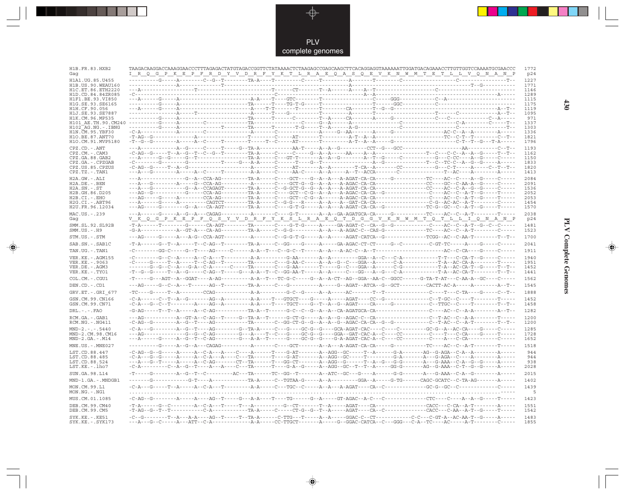PLV complete genomes

--

 $\overrightarrow{\mathbf{\P}}$ 

 $\overline{\mathbb{R}}$ 

| H1B.FR.83.HXB2<br>Gag                         |  | TAAGACAAGGACCAAAGGAACCCTTTAGAGACTATGTAGACCGGTTCTATAAAACTCTAAGAGCCGAGCAAGCTTCACAGGAGGTAAAAAATTGGATGACAGAAACCTTGTTGGTCCAAAATGCGAACCC<br><u>I R Q G P K E P F R D Y V D R F Y K T L R A E Q A S Q E V K N W M T E T L L V Q N A N P</u>                                                                                                                                                                                                                                                                                                                          | 1772<br>p24  |
|-----------------------------------------------|--|---------------------------------------------------------------------------------------------------------------------------------------------------------------------------------------------------------------------------------------------------------------------------------------------------------------------------------------------------------------------------------------------------------------------------------------------------------------------------------------------------------------------------------------------------------------|--------------|
| H1A1.UG.85.U455                               |  |                                                                                                                                                                                                                                                                                                                                                                                                                                                                                                                                                               | 1227         |
| H1B.US.90.WEAU160                             |  |                                                                                                                                                                                                                                                                                                                                                                                                                                                                                                                                                               | 1771         |
| H1C.ET.86.ETH2220<br>H1D.CD.84.84ZR085        |  |                                                                                                                                                                                                                                                                                                                                                                                                                                                                                                                                                               | 1146<br>1289 |
| H1F1.BE.93.VI850                              |  |                                                                                                                                                                                                                                                                                                                                                                                                                                                                                                                                                               | 1115         |
| H1G.SE.93.SE6165                              |  |                                                                                                                                                                                                                                                                                                                                                                                                                                                                                                                                                               | 1175         |
| H1H.CF.90.056<br>H1J.SE.93.SE7887             |  |                                                                                                                                                                                                                                                                                                                                                                                                                                                                                                                                                               | 1119<br>1095 |
| H1K.CM.96.MP535                               |  |                                                                                                                                                                                                                                                                                                                                                                                                                                                                                                                                                               | 971          |
|                                               |  |                                                                                                                                                                                                                                                                                                                                                                                                                                                                                                                                                               | 1337         |
| H102 AG.NG.-.IBNG<br>H1N. CM. 95. YBF30       |  |                                                                                                                                                                                                                                                                                                                                                                                                                                                                                                                                                               | 1303<br>1336 |
| H10.BE.87.ANT70                               |  |                                                                                                                                                                                                                                                                                                                                                                                                                                                                                                                                                               | 1821         |
| H10.CM.91.MVP5180                             |  |                                                                                                                                                                                                                                                                                                                                                                                                                                                                                                                                                               | 1796         |
| $CPZ$ . $CD$ . $-ANT$                         |  |                                                                                                                                                                                                                                                                                                                                                                                                                                                                                                                                                               | 1193         |
| $CPZ$ . $CM$ . $-$ . $CAM3$<br>CPZ.GA.88.GAB2 |  |                                                                                                                                                                                                                                                                                                                                                                                                                                                                                                                                                               | 1162<br>1150 |
| CPZ.GA. - . CPZGAB                            |  | $-{\texttt C}\hbox{-}\cdots\hbox{-}\cdots\hbox{-}\mathrm{G}\hbox{-}\cdots\hbox{-}\mathrm{G}\hbox{-}\cdots\hbox{-}\mathrm{G}\hbox{-}\cdots\hbox{-}\mathrm{T}\hbox{-}\mathrm{G}\hbox{-}\mathrm{G}\hbox{-}\mathrm{G}\hbox{-}\mathrm{G}\hbox{-}\mathrm{G}\hbox{-}\mathrm{G}\hbox{-}\mathrm{G}\hbox{-}\mathrm{G}\hbox{-}\mathrm{G}\hbox{-}\mathrm{G}\hbox{-}\mathrm{G}\hbox{-}\mathrm{G}\hbox{-}\mathrm{G}\hbox{-}\mathrm{G}\hbox{-}\mathrm{G}\hbox{-}\mathrm{G}\hbox{-}\mathrm{G}\hbox{-}\mathrm{G}\hbox{-}\$                                                     | 1833         |
| CPZ.US.85.CPZUS                               |  |                                                                                                                                                                                                                                                                                                                                                                                                                                                                                                                                                               | 1820         |
| $CPZ.TZ.-.TAN1$                               |  |                                                                                                                                                                                                                                                                                                                                                                                                                                                                                                                                                               | 1413         |
| H2A.GW.-.ALI<br>H2A.DE. - .BEN                |  |                                                                                                                                                                                                                                                                                                                                                                                                                                                                                                                                                               | 2084<br>2091 |
| $H2A.SN.-.ST$                                 |  |                                                                                                                                                                                                                                                                                                                                                                                                                                                                                                                                                               | 1536         |
| H2B.GH.86.D205                                |  |                                                                                                                                                                                                                                                                                                                                                                                                                                                                                                                                                               | 2052         |
| $H2B.CI. - . EHO$<br>H2G.CI.-.ABT96           |  |                                                                                                                                                                                                                                                                                                                                                                                                                                                                                                                                                               | 2053<br>1454 |
| H2U.FR.96.12034                               |  |                                                                                                                                                                                                                                                                                                                                                                                                                                                                                                                                                               | 1570         |
| MAC.US.-.239                                  |  |                                                                                                                                                                                                                                                                                                                                                                                                                                                                                                                                                               | 2038         |
| Gaq                                           |  | V <u>KQGPKEPFQSYVDRFYKSLRAEQTDGGVKNMMTQTLLIQNAIQNA</u> NP                                                                                                                                                                                                                                                                                                                                                                                                                                                                                                     | p24          |
| SMM.SL.92.SL92B<br>$SMM.US.-.H9$              |  |                                                                                                                                                                                                                                                                                                                                                                                                                                                                                                                                                               | 1481<br>1523 |
| STM.US.-.STM                                  |  |                                                                                                                                                                                                                                                                                                                                                                                                                                                                                                                                                               | 1700         |
| SAB.SN.-.SAB1C                                |  |                                                                                                                                                                                                                                                                                                                                                                                                                                                                                                                                                               | 2041         |
| TAN.UG.-.TAN1                                 |  |                                                                                                                                                                                                                                                                                                                                                                                                                                                                                                                                                               | 1911         |
| VER. KE. - . AGM155                           |  | $-{\color{red}C}\texttt{---}-{\color{red}C}\texttt{-}-{\color{red}C}\texttt{-}-{\color{red}A}\texttt{-}-{\color{red}C}\texttt{-}-{\color{red}A}\texttt{-}-{\color{red}C}\texttt{-}-{\color{red}A}\texttt{-}-{\color{red}C}\texttt{-}-{\color{red}A}\texttt{-}-{\color{red}C}\texttt{-}-{\color{red}A}\texttt{-}-{\color{red}C}\texttt{-}-{\color{red}A}\texttt{-}-{\color{red}C}\texttt{-}-{\color{red}A}\texttt{-}-{\color{red}C}\texttt{-}-{\color{red}C}\texttt{-}-{\color{red}C}\texttt{-}-{\color{red}A}\texttt$                                         | 1940         |
| VER.KE. - . 9063                              |  | $-{\color{red}C}\texttt{---G}\texttt{---T}-{\color{red}A}\texttt{----T}-{\color{red}C}\texttt{-}\texttt{AG}-{\color{red}T}\texttt{----T}-{\color{red}C}\texttt{-}\texttt{---T}-{\color{red}C}\texttt{-}-{\color{red}C}\texttt{-}\texttt{G}-{\color{red}A}\texttt{-}\texttt{C}-\texttt{-}-{\color{red}A}\texttt{-}\texttt{G}-{\color{red}A}\texttt{-}\texttt{-}\texttt{-}\texttt{-}-{\color{red}C}\texttt{-}\texttt{-}\texttt{G}-{\color{red}A}\texttt{-}\texttt{-}\texttt{-}-{\color{red}C}\texttt{-}\texttt{-}\$                                             | 1951         |
| VER.DE. - . AGM3                              |  |                                                                                                                                                                                                                                                                                                                                                                                                                                                                                                                                                               | 1452         |
| VER.KE. - . TYO1                              |  | $-{\color{red}T}-G-{\color{red}G}-S----{\color{red}T}-A-{\color{red}G}----{\color{red}C}+A{\color{red}G}-{\color{red}T}----{\color{red}G}-A-{\color{red}A}-{\color{red}T}-C-{\color{red}G}-A{\color{red}A}-{\color{red}T}----{\color{red}A}-A-{\color{red}-A}---{\color{red}C}--{\color{red}G}{\color{red}G}-A-{\color{red}G}--A-{\color{red}G}--{\color{red}C}-A----------{\color{red}T}-A-{\color{red}AC}-{\color{red}CA}-{\color{red}T}----{\$                                                                                                             | 1441         |
| COL.CM. - . CGU1                              |  |                                                                                                                                                                                                                                                                                                                                                                                                                                                                                                                                                               | 1562         |
| DEN.CD.-.CD1                                  |  |                                                                                                                                                                                                                                                                                                                                                                                                                                                                                                                                                               | 1545         |
| GRV.ET. - .GRI 677                            |  |                                                                                                                                                                                                                                                                                                                                                                                                                                                                                                                                                               | 1888         |
| GSN.CM.99.CN166                               |  |                                                                                                                                                                                                                                                                                                                                                                                                                                                                                                                                                               | 1452         |
| GSN.CM.99.CN71                                |  |                                                                                                                                                                                                                                                                                                                                                                                                                                                                                                                                                               | 1458         |
| $DRL$ . - . - . $FAO$                         |  |                                                                                                                                                                                                                                                                                                                                                                                                                                                                                                                                                               | 1282         |
| RCM.GA.-.GAB1<br>$RCM.NG. - . NG411$          |  | $-{\bf C}-{\bf AC}--{\bf G}--{\bf C}--{\bf A}-{\bf G}-{\bf T}-\cdots-{\bf AC}--{\bf AC}-{\bf C}--{\bf T}{\bf A}-{\bf C}--{\bf C}-{\bf G}-{\bf G}-{\bf C}-{\bf G}-{\bf G}-{\bf A}-{\bf A}-{\bf A}-{\bf A}-{\bf G}-{\bf A}{\bf C}-{\bf C}{\bf A}-{\bf C}{\bf A}-{\bf C}{\bf A}-{\bf C}-{\bf G}-{\bf C}-{\bf T}-{\bf C}-{\bf C}-{\bf A}-{\bf C}-{\bf C}-{\bf A}-{\bf T}-{\bf C}-{\bf C}-{\bf T}-{\bf C}-{\bf T}-{\bf C}-{\bf C}-{\bf A}-{\bf T}-{\$                                                                                                              | 1200<br>1200 |
| $MND-2. - - - 5440$                           |  |                                                                                                                                                                                                                                                                                                                                                                                                                                                                                                                                                               | 1285         |
| MND-2.CM.98.CM16<br>$MND-2.GA.-.M14$          |  | ---AG------------G--G--C-AG--------G---A----T--C---G----GC-G--G---GGA--GAT-CAC-A--C----CC--------C----T---C-CA----G-----T-----                                                                                                                                                                                                                                                                                                                                                                                                                                | 1728         |
| $MNE . US . - . MNE027$                       |  |                                                                                                                                                                                                                                                                                                                                                                                                                                                                                                                                                               | 1652<br>1518 |
| LST.CD.88.447                                 |  |                                                                                                                                                                                                                                                                                                                                                                                                                                                                                                                                                               | 944          |
| LST.CD.88.485                                 |  | $-{\color{red}C\text{-}A\text{-}-{\color{red}-G\text{-}-G\text{-}-{\color{red}-A\text{-}-{\color{red}-A\text{-}-C\text{-}}}A\text{-}-{\color{red}C\text{-}A\text{-}-{\color{red}-A\text{-}-{\color{red}-C\text{-}-T\text{-}-{\color{red}-C\text{-}}}A\text{-}-{\color{red}-C\text{-}-T\text{-}-{\color{red}-C\text{-}-A\text{-}}}B\text{-}B\text{-}B\text{-}B\text{-}B\text{-}B\text{-}B\text{-}-{\color{red}-C\text{-}-{\color{red}-A\text{-}-{\color{red}-A\text{-}-C\text{-}}}B\text{-$                                                                    | 944          |
| LST.CD.88.524                                 |  |                                                                                                                                                                                                                                                                                                                                                                                                                                                                                                                                                               | 938          |
| LST.KE.-.lho7                                 |  |                                                                                                                                                                                                                                                                                                                                                                                                                                                                                                                                                               | 2028         |
| SUN.GA.98.L14                                 |  |                                                                                                                                                                                                                                                                                                                                                                                                                                                                                                                                                               | 2015         |
| MND-1.GA.-.MNDGB1                             |  | -------G-----------G-T----A-----------TA-A-----C-TGTAA-G-----A--A--------GGA--A-----G-TG------CAGC-GCATC--C-TA-AG-------A-----                                                                                                                                                                                                                                                                                                                                                                                                                                | 1402         |
| MON.CM.99.L1<br>$MON.NG. -.NG1$               |  |                                                                                                                                                                                                                                                                                                                                                                                                                                                                                                                                                               | 1439<br>5    |
| MUS.CM.01.1085                                |  |                                                                                                                                                                                                                                                                                                                                                                                                                                                                                                                                                               | 1423         |
| DEB.CM.99.CM40<br>DEB.CM.99.CM5               |  | $-{\rm T-A}\text{-}\text{---}\text{-}\text{G}\text{-}\text{C}\text{-}\text{-}\text{-}\text{-}\text{-}\text{A}-{\rm C}\text{-}\text{A}-{\rm C}\text{-}\text{A}-{\rm C}\text{-}\text{Tr}\text{-}\text{-}\text{-}\text{-}\text{A}-\text{-}\text{-}\text{-}\text{-}\text{A}-{\rm C}\text{-}\text{-}\text{-}\text{-}\text{-}\text{-}\text{-}\text{-}\text{-}\text{-}\text{A}-{\rm C}\text{-}\text{-}\text{-}\text{-}\text{-}\text{-}\text{-}\text{-}\text{A}-{\rm C}\text{-}\text{-}\text{-}\text{-}\text{-}\text{-}\text{-}\text{-}\text{-}\text{-}\text{-}\text$ | 1551<br>1542 |
|                                               |  |                                                                                                                                                                                                                                                                                                                                                                                                                                                                                                                                                               |              |
| $SYK.KE. - .KE51$<br>$SYK.KE. - .SYK173$      |  |                                                                                                                                                                                                                                                                                                                                                                                                                                                                                                                                                               | 1483<br>1855 |

 $\blacklozenge$ 

**PLV Complete Genomes 430 PLV Complete Genomes** 

 $\Rightarrow$ 

 $\sqrt{2}$ 

 $\blacksquare$ 

<u> 1999 - 1999 - 1999 - 1999 - 1999 - 1999 - 1999 - 1999 - 1999 - 1999 - 1999 - 1999 - 1999 - 1999 - 1999 - 199</u>

 $\overline{\phantom{a}}$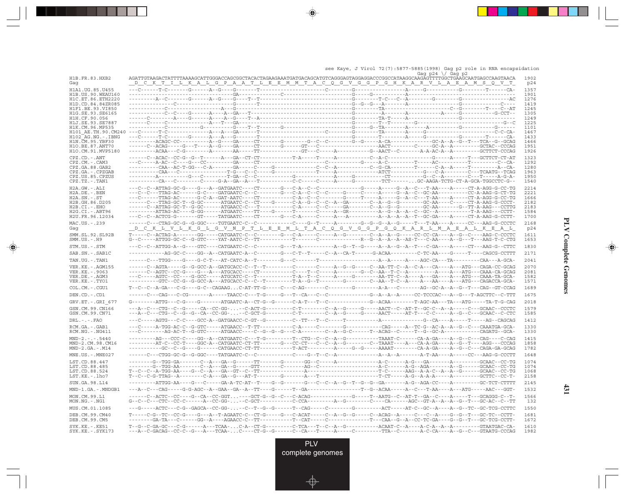see Kaye, J Virol 72(7):5877-5885(1998) Gag p2 role in RNA encapsidation

|                                          |                                                                                                                                                                                                                                                      | Gag $p24 \sqrt{Gaq} p2$ |              |
|------------------------------------------|------------------------------------------------------------------------------------------------------------------------------------------------------------------------------------------------------------------------------------------------------|-------------------------|--------------|
| H1B.FR.83.HXB2<br>Gaq                    | AGATTGTAAGACTATTTTAAAAGCATTGGGACCAGCGGCTACACTAGAAGAAATGATGACAGCATGTCAGGGAGTAGGAGGACCCGGCCATAAGGCAAGAGTTTTGGCTGAAGCAATGAGCCAAGTAACA<br><u> DCKTILKAL GPAATLEEMMTAC QGVGGPGHKAR VLAEAMS QVT</u>                                                        |                         | 1902<br>p24  |
| H1A1.UG.85.U455                          |                                                                                                                                                                                                                                                      |                         | 1357         |
| H1B. US. 90. WEAU160                     |                                                                                                                                                                                                                                                      |                         | 1901         |
| H1C.ET.86.ETH2220                        |                                                                                                                                                                                                                                                      |                         | 1276         |
| H1D.CD.84.84ZR085<br>H1F1.BE.93.VI850    |                                                                                                                                                                                                                                                      |                         | 1419<br>1245 |
| H1G.SE.93.SE6165                         |                                                                                                                                                                                                                                                      |                         | 1305         |
| H1H.CF.90.056                            |                                                                                                                                                                                                                                                      |                         | 1249<br>1225 |
| H1J.SE.93.SE7887                         |                                                                                                                                                                                                                                                      |                         | 1101         |
|                                          |                                                                                                                                                                                                                                                      |                         | 1467         |
|                                          |                                                                                                                                                                                                                                                      |                         | 1433         |
| H1N.CM.95.YBF30<br>H10.BE.87.ANT70       |                                                                                                                                                                                                                                                      |                         | 1466<br>1951 |
| H1O.CM.91.MVP5180                        |                                                                                                                                                                                                                                                      |                         | 1926         |
| $CPZ$ . $CD$ . - . $ANT$                 |                                                                                                                                                                                                                                                      |                         | 1323         |
| CPZ.CM. - . CAM3                         |                                                                                                                                                                                                                                                      |                         | 1292         |
| CPZ.GA.88.GAB2<br>CPZ.GA.-.CPZGAB        |                                                                                                                                                                                                                                                      |                         | 1280<br>1963 |
| CPZ.US.85.CPZUS                          |                                                                                                                                                                                                                                                      |                         | 1950         |
| $CPZ.TZ.-.TAN1$                          |                                                                                                                                                                                                                                                      |                         | 1540         |
| $H2A.GW.-.ALI$                           |                                                                                                                                                                                                                                                      |                         | 2214         |
| $H2A.DE. - .BEN$<br>$H2A.SN.-.ST$        |                                                                                                                                                                                                                                                      |                         | 2221<br>1666 |
| H2B.GH.86.D205                           |                                                                                                                                                                                                                                                      |                         | 2182         |
| $H2B.CI.-EHO$                            |                                                                                                                                                                                                                                                      |                         | 2183         |
| $H2G.CI.-.ABT96$<br>H2U.FR.96.12034      |                                                                                                                                                                                                                                                      |                         | 1584<br>1700 |
| MAC.US.-.239                             |                                                                                                                                                                                                                                                      |                         | 2168         |
| Gaq                                      | <u>DCK LVLKG LGVN PT LE EMLT ACOG VGG PGOKAR LMA EALKEAL</u>                                                                                                                                                                                         |                         | p24          |
| SMM.SL.92.SL92B                          | T----C--ACTAG-A-------GG-----CATGAATC-C--C--------G---C-A-----C-----A--G-------C--A--G-----C--CC-CC-CA----A--G--C----AAG-C-CCCTC                                                                                                                     |                         | 1611         |
| $SMM.US.-.H9$                            |                                                                                                                                                                                                                                                      |                         | 1653         |
| STM.US.-.STM                             |                                                                                                                                                                                                                                                      |                         | 1830         |
| SAB.SN.-.SAB1C                           | -----------AG-GC-C----GG--A--CATGAATC-A--C--------G---C-T--T-----C--A--CA-T------G-ACAA---------C-TC-AA----G-----T----CAGCG-CCTTT                                                                                                                    |                         | 2171         |
| TAN.UG. - . TAN1                         |                                                                                                                                                                                                                                                      |                         | 2041         |
| VER. KE. - . AGM155<br>VER.KE. - . 9063  |                                                                                                                                                                                                                                                      |                         | 2070<br>2081 |
| VER.DE. - . AGM3                         |                                                                                                                                                                                                                                                      |                         | 1582         |
| VER.KE. - . TYO1                         | ---------GTC--CC-G--G-GCC-A---ATGCACC-C--C--T---------T-A--G--T--------G-------C--AA--T-C--A---A---AA----A---ATG---CAGACCA-GCA-                                                                                                                      |                         | 1571         |
| COL.CM. - . CGU1                         |                                                                                                                                                                                                                                                      |                         | 1689         |
| DEN.CD. - .CD1                           |                                                                                                                                                                                                                                                      |                         | 1675         |
| GRV.ET. - .GRI 677                       |                                                                                                                                                                                                                                                      |                         | 2018         |
| GSN.CM.99.CN166<br>GSN.CM.99.CN71        | --A--C---CTG--C--G-----CA--CC-GG---C-ACT-G---------C-T-------C--A--G-----AACT--C--AT-T--GC-C--A--A-----C---GCAAC--CCCTC<br>---A--C---CTG--C--G--G--CA--CC-GG- --C-GCT-G---------C-T--------C--A--G-----ACT-----AT-T---C-C-----A--G--C---GCAAC--C-CTC |                         | 1579<br>1585 |
| $DRL - - -$ . $FAO$                      |                                                                                                                                                                                                                                                      |                         | 1412         |
| RCM.GA. - . GAB1                         |                                                                                                                                                                                                                                                      |                         | 1330         |
| $RCM.NG. - . NG411$                      |                                                                                                                                                                                                                                                      |                         | 1330         |
| $MND-2. - - - 5440$                      |                                                                                                                                                                                                                                                      |                         | 1415         |
| MND-2.CM.98.CM16<br>$MND-2.GA.-.M14$     | --------AT-C--CC-T----GGC-A--CATGAATC-CT-TT-------G---CC-CT---C--C--A--G--------C--TAAAT----A---CA-A-GA----A--G--T----AGG---CCCAG                                                                                                                    |                         | 1858<br>1782 |
| $MNE. US. - . MNE027$                    |                                                                                                                                                                                                                                                      |                         | 1648         |
| LST.CD.88.447                            |                                                                                                                                                                                                                                                      |                         | 1074         |
| LST.CD.88.485                            |                                                                                                                                                                                                                                                      |                         | 1074         |
| LST.CD.88.524                            |                                                                                                                                                                                                                                                      |                         | 1068         |
| $LST.KE. - Lh07$                         |                                                                                                                                                                                                                                                      |                         | 2158         |
| SUN.GA.98.L14                            |                                                                                                                                                                                                                                                      |                         | 2145         |
| MND-1.GA.-.MNDGB1                        |                                                                                                                                                                                                                                                      |                         | 1532         |
| MON.CM.99.L1<br>$MON.NG. - . NG1$        | ------C--ACTC--CC----G--CA--CC-GGT----GCT-G--G--C--C-ACAG-------------G----T--AATG--C--AT-T--GA--C---A----T---GCAGGG-C--T-                                                                                                                           |                         | 1566<br>132  |
| MUS.CM.01.1085                           |                                                                                                                                                                                                                                                      |                         | 1550         |
| DEB.CM.99.CM40                           | $\verb T---C-G-TC-CG-TC-CC-G---G---A--T-AGAATC-C-CT-G---G---G-ACAT---C-A-AG-G---C-ACAG--A---C--ACAG--A---C--C--A---G--G--T---G--TC--CC-TC--CCTT-$                                                                                                    |                         | 1681         |
| DEB.CM.99.CM5                            |                                                                                                                                                                                                                                                      |                         | 1672         |
| $SYK.KE. - .KE51$<br>$SYK.KE. - .SYK173$ | ---A--C-GACAG--CC-C--G---A---TCAA-C----CT-G--G------C--CA---T-----A-----C-------TTA--C-------A-C-CA----A--G--C---GTAATG-CCCAG                                                                                                                        |                         | 1610<br>1982 |

 $\overline{\blacklozenge}$ 

. . . .

 $\bigoplus$ 

**PLV Complete Genomes PLV Complete Genomes**

 $\overrightarrow{\bigoplus}$ 

**431**



⊕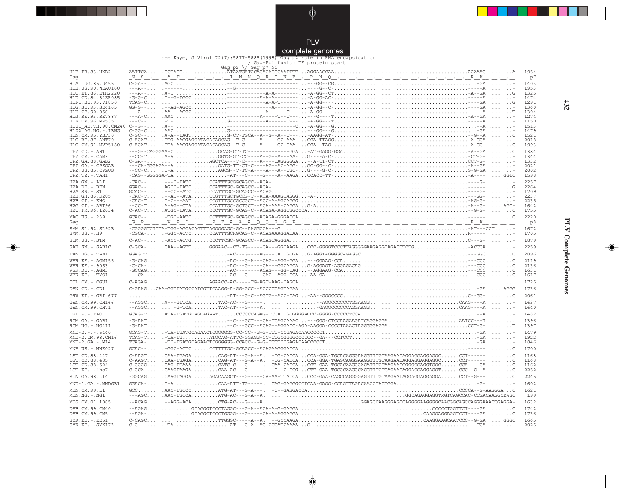

complete genomes see Kaye, J Virol 72(7):5877-5885(1998) Gag p2 role in RNA encapsidation / Gag-Pol fusion TF protein start

. . .

 $\bigoplus$ 

|  |  | Gag-Pol fusion TF protein start |  |
|--|--|---------------------------------|--|
|  |  |                                 |  |
|  |  |                                 |  |
|  |  |                                 |  |
|  |  |                                 |  |

|                                        | Gag-Pol fusion TF protein start<br>Gag p2 \/ Gag p7 NC                                                                                                                                                                                                                                                                                                                                                                                                                                                                    |              |
|----------------------------------------|---------------------------------------------------------------------------------------------------------------------------------------------------------------------------------------------------------------------------------------------------------------------------------------------------------------------------------------------------------------------------------------------------------------------------------------------------------------------------------------------------------------------------|--------------|
| H1B.FR.83.HXB2<br>Gaq                  | <u>"Nisionica" (1981) - 1999 - 1999 Nisionic Richard Roman (1991) - 1999 Nisional Alexandria (1992) - 1999 Nision</u>                                                                                                                                                                                                                                                                                                                                                                                                     | 1954<br>p7   |
|                                        |                                                                                                                                                                                                                                                                                                                                                                                                                                                                                                                           | 1403         |
|                                        |                                                                                                                                                                                                                                                                                                                                                                                                                                                                                                                           | 1953         |
|                                        |                                                                                                                                                                                                                                                                                                                                                                                                                                                                                                                           | 1325<br>1474 |
|                                        |                                                                                                                                                                                                                                                                                                                                                                                                                                                                                                                           | 1291         |
|                                        |                                                                                                                                                                                                                                                                                                                                                                                                                                                                                                                           | 1360         |
|                                        |                                                                                                                                                                                                                                                                                                                                                                                                                                                                                                                           | 1304<br>1274 |
|                                        |                                                                                                                                                                                                                                                                                                                                                                                                                                                                                                                           | 1150         |
|                                        |                                                                                                                                                                                                                                                                                                                                                                                                                                                                                                                           | 1513         |
| H1N. CM. 95. YBF30                     |                                                                                                                                                                                                                                                                                                                                                                                                                                                                                                                           | 1479<br>1521 |
| H10.BE.87.ANT70                        |                                                                                                                                                                                                                                                                                                                                                                                                                                                                                                                           | 2018         |
| H1O.CM.91.MVP5180                      |                                                                                                                                                                                                                                                                                                                                                                                                                                                                                                                           | 1993         |
| CPZ.CD. - . ANT                        |                                                                                                                                                                                                                                                                                                                                                                                                                                                                                                                           | 1384         |
| CPZ.CM. - . CAM3<br>CPZ.GA.88.GAB2     |                                                                                                                                                                                                                                                                                                                                                                                                                                                                                                                           | 1344<br>1332 |
| CPZ.GA. - . CPZGAB                     |                                                                                                                                                                                                                                                                                                                                                                                                                                                                                                                           | 2021         |
| CPZ.US.85.CPZUS                        |                                                                                                                                                                                                                                                                                                                                                                                                                                                                                                                           | 2002         |
| CPZ.TZ.-.TAN1                          |                                                                                                                                                                                                                                                                                                                                                                                                                                                                                                                           | 1598         |
| H2A.GW.-.ALI<br>$H2A.DE. -.BEN$        | $\begin{array}{lllllllllll} \multicolumn{3}{l}{{\bf GGA}-\text{\textbf{---}}{\bf \ldots--C-TATC}\dots{\bf CCATTTGGGCCACC-ACA-}\dots{\bf \ldots}{\bf GGAC--\ldots\ldots}{\bf GGAC--\ldots\ldots}{\bf GGAC--\ldots\ldots}{\bf GGAC--\ldots\ldots}{\bf GGAC--\ldots\ldots}{\bf CCATTTC}\cdot{\bf CCATTTGC-GCACC--ACA-}\dots{\bf \ldots}{\bf CCATTTGC-GCACAC--ACA-ACA}\dots{\bf \ldots}{\bf CCTTTTGCTGCG-2CA}\dots{\bf \ldots}{\bf CCTTTTGCTGCG-2CA$                                                                          | 2257<br>2264 |
| $H2A.SN.-.ST$                          |                                                                                                                                                                                                                                                                                                                                                                                                                                                                                                                           | 1709         |
| H2B.GH.86.D205                         |                                                                                                                                                                                                                                                                                                                                                                                                                                                                                                                           | 2237         |
| $H2B.CI. - . EHO$<br>H2G.CI. - . ABT96 |                                                                                                                                                                                                                                                                                                                                                                                                                                                                                                                           | 2235<br>1642 |
| H2U.FR.96.12034                        |                                                                                                                                                                                                                                                                                                                                                                                                                                                                                                                           | 1755         |
| MAC.US. - . 239                        |                                                                                                                                                                                                                                                                                                                                                                                                                                                                                                                           | 2220         |
| Gag                                    | <u>Gepen Step in the Pera a a quotrus protective terminal terminal terminal terminal terminal terminal terminal</u>                                                                                                                                                                                                                                                                                                                                                                                                       | p8           |
| SMM.SL.92.SL92B<br>SMM.US.-.H9         |                                                                                                                                                                                                                                                                                                                                                                                                                                                                                                                           | 1672<br>1705 |
| STM.US.-.STM                           |                                                                                                                                                                                                                                                                                                                                                                                                                                                                                                                           | 1879         |
|                                        |                                                                                                                                                                                                                                                                                                                                                                                                                                                                                                                           |              |
| SAB.SN.-.SAB1C                         | $\texttt{C-GCA-}\dots\dots\texttt{CAA--AGTT}\dots\dots\texttt{GGAAC--CT-TG----CGCAAGA}\dots\texttt{CCC-GGGGTCCCTTAGGGGAAGAGGTAGACCTCTG}\dots\dots\dots\dots\texttt{ACCCA}\dots\texttt{CCA--}\dots\texttt{CCA--}\dots\texttt{CCA--}\dots\texttt{CCA--}\dots\texttt{CCA--}\dots\texttt{CCA--}\dots\texttt{CCA--}\dots\texttt{CCA--}\dots\texttt{CCA--}\dots\texttt{CCA--}\dots\texttt{CCA--}\dots\texttt{CCA--}\dots\texttt{CCA--}\dots\texttt{CCA--}\dots\texttt{CCA--}\dots\$                                             | 2259         |
| TAN.UG. - . TAN1                       |                                                                                                                                                                                                                                                                                                                                                                                                                                                                                                                           | 2096         |
| VER. KE. - . AGM155                    |                                                                                                                                                                                                                                                                                                                                                                                                                                                                                                                           | 2119         |
| VER.KE. - . 9063                       |                                                                                                                                                                                                                                                                                                                                                                                                                                                                                                                           | 2136         |
| VER.DE. - . AGM3<br>VER.KE. - . TYO1   |                                                                                                                                                                                                                                                                                                                                                                                                                                                                                                                           | 1631<br>1617 |
| COL.CM. - . CGU1                       |                                                                                                                                                                                                                                                                                                                                                                                                                                                                                                                           | 1725         |
| DEN.CD. - .CD1                         |                                                                                                                                                                                                                                                                                                                                                                                                                                                                                                                           | 1736         |
| GRV.ET. - . GRI 677                    |                                                                                                                                                                                                                                                                                                                                                                                                                                                                                                                           | 2061         |
| GSN.CM.99.CN166                        |                                                                                                                                                                                                                                                                                                                                                                                                                                                                                                                           | 1637         |
| GSN.CM.99.CN71                         |                                                                                                                                                                                                                                                                                                                                                                                                                                                                                                                           | 1640         |
| DRL.-.-.FAO                            |                                                                                                                                                                                                                                                                                                                                                                                                                                                                                                                           | 1482         |
| RCM.GA. - . GAB1<br>RCM.NG. - . NG411  | $\verb -G-AAT , \verb . , \verb . , \verb . , \verb . , \verb . , \verb . , \verb . , \verb . , \verb . , \verb . , \verb . , \verb . , \verb . , \verb . , \verb . , \verb . , \verb . , \verb . , \verb . , \verb . , \verb . , \verb . , \verb . , \verb . , \verb . , \verb . , \verb . , \verb . , \verb . , \verb . , \verb . , \verb . , \verb . , \verb . , \verb . ,$                                                                                                                                            | 1396<br>1397 |
| $MND-2. - - - 5440$                    |                                                                                                                                                                                                                                                                                                                                                                                                                                                                                                                           | 1479         |
| MND-2.CM.98.CM16<br>$MND-2.GA.-.M14$   |                                                                                                                                                                                                                                                                                                                                                                                                                                                                                                                           | 1922<br>1846 |
| MNE.US.-.MNE027                        |                                                                                                                                                                                                                                                                                                                                                                                                                                                                                                                           | 1700         |
| LST.CD.88.447                          | C-AAGTCAA-TGAGACAG-AT---G-A--A-TG-CACCACCA-GGA-TGCACAGGGAAGGTTTGTAAGAACAGGAGGAGGAGGCCCT------C                                                                                                                                                                                                                                                                                                                                                                                                                            | 1168         |
| LST.CD.88.485                          |                                                                                                                                                                                                                                                                                                                                                                                                                                                                                                                           | 1168         |
| LST.CD.88.524                          | C-GGGGCAG-TGAAACATC-C---G-----CAA-CACCACCT-GAA-TGCACAAGGGAGATTTGTAAGAACGGGGGGAGGTGGCCCA----GAC                                                                                                                                                                                                                                                                                                                                                                                                                            | 1162         |
| LST.KE.-.lho7                          | C-GCA-CAAGTAAGACAA-AC---G------T--C-CCGCTT-GAA-TGCGCAAGGCAGGTTTGTGAGAACAGGAGGAGGTCCC--G--AC                                                                                                                                                                                                                                                                                                                                                                                                                               | 2252         |
| SUN.GA.98.L14                          | -GGCAGCAAGTAGGAAGACAAGCT---G-----CA-AA-TTACCACCC-GAA-CAGCCAGGGGAGGTTTGTAAGAATAGGAGGAGGAGGACCT--G---C                                                                                                                                                                                                                                                                                                                                                                                                                      | 2245         |
| MND-1.GA.-.MNDGB1                      |                                                                                                                                                                                                                                                                                                                                                                                                                                                                                                                           | 1602         |
| MON.CM.99.L1<br>MON.NG. - . NG1        |                                                                                                                                                                                                                                                                                                                                                                                                                                                                                                                           | 1621<br>199  |
| MUS.CM.01.1085                         |                                                                                                                                                                                                                                                                                                                                                                                                                                                                                                                           | 1632         |
| DEB. CM. 99. CM40<br>DEB.CM.99.CM5     |                                                                                                                                                                                                                                                                                                                                                                                                                                                                                                                           | 1742<br>1736 |
| SYK.KE.-.KE51<br>SYK.KE. - . SYK173    | $\texttt{C-G--}\dots\dots\dots\texttt{-TA}\dots\dots\dots\dots\dots\texttt{-AT--G-A--AG-GCCATCAAA}\dots\texttt{G--}\dots\dots\dots\dots\dots\dots\dots\dots\dots\dots\dots\dots\dots\dots\dots\dots\dots\dots\dots\texttt{-TCA}\dots\dots\dots\texttt{-TCA}\dots\dots\texttt{-TCA}\dots\texttt{-TCA}\dots\texttt{-TCA}\dots\texttt{-TCA}\dots\texttt{-TCA}\dots\texttt{-TCA}\dots\texttt{-TCA}\dots\texttt{-TCA}\dots\texttt{-TCA}\dots\texttt{-TCA}\dots\texttt{-TCA}\dots\texttt{-TCA}\dots\texttt{-TCA}\dots\texttt{-$ | 1665<br>2025 |

 $\Rightarrow$ 

**PLV Complete Genomes 432 PLV Complete Genomes** 

 $\Rightarrow$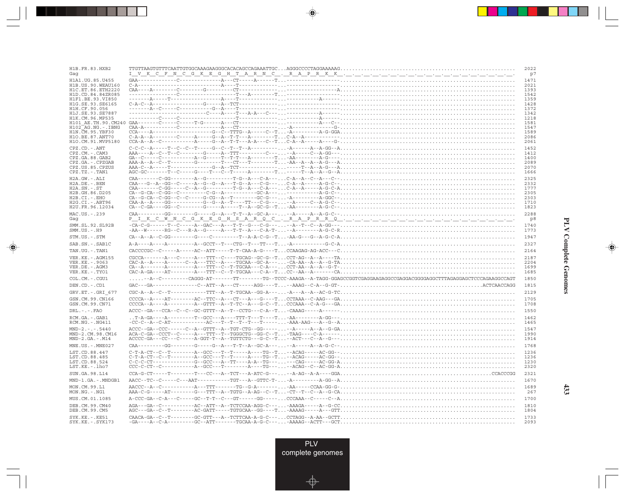| H1B. FR. 83. HXB2                                                |                                                                                                                                                                                                                                                                                                                                                                                                                                                                                                                | 2022                         |
|------------------------------------------------------------------|----------------------------------------------------------------------------------------------------------------------------------------------------------------------------------------------------------------------------------------------------------------------------------------------------------------------------------------------------------------------------------------------------------------------------------------------------------------------------------------------------------------|------------------------------|
| Gaq                                                              |                                                                                                                                                                                                                                                                                                                                                                                                                                                                                                                | p7                           |
| H1A1.UG.85.U455                                                  |                                                                                                                                                                                                                                                                                                                                                                                                                                                                                                                | 1471                         |
| HIB US 90 WEAU160                                                |                                                                                                                                                                                                                                                                                                                                                                                                                                                                                                                | 2021                         |
| H1C.ET.86.ETH2220                                                |                                                                                                                                                                                                                                                                                                                                                                                                                                                                                                                | 1393                         |
| H1D.CD.84.84ZR085<br>H1F1.BE.93.VI850<br>H1G.SE.93.SE6165        |                                                                                                                                                                                                                                                                                                                                                                                                                                                                                                                | 1542<br>1359<br>1428         |
| H1H.CF.90.056<br>H1J.SE.93.SE7887<br>H1K.CM.96.MP535             |                                                                                                                                                                                                                                                                                                                                                                                                                                                                                                                | 1372<br>1342<br>1218         |
| H101 AE.TH.90.CM240<br>$H102$ AG. NG. - TBNG<br>H1N.CM.95.YBF30  |                                                                                                                                                                                                                                                                                                                                                                                                                                                                                                                | 1581<br>1547<br>1589         |
| H10.BE.87.ANT70                                                  |                                                                                                                                                                                                                                                                                                                                                                                                                                                                                                                | 2086                         |
| H1O.CM.91.MVP5180                                                |                                                                                                                                                                                                                                                                                                                                                                                                                                                                                                                | 2061                         |
| $CPZ$ . $CD$ . $-ANT$                                            | $C-C-C-A---T-C-C-T---C---C---C---T---T---T---A---C---A---A-GG--A.$                                                                                                                                                                                                                                                                                                                                                                                                                                             | 1452                         |
| CPZ.CM.-.CAM3                                                    |                                                                                                                                                                                                                                                                                                                                                                                                                                                                                                                | 1412                         |
| CPZ.GA.88.GAB2                                                   |                                                                                                                                                                                                                                                                                                                                                                                                                                                                                                                | 1400                         |
| CPZ.GA. - . CPZGAB                                               |                                                                                                                                                                                                                                                                                                                                                                                                                                                                                                                | 2089                         |
| CPZ.US.85.CPZUS                                                  |                                                                                                                                                                                                                                                                                                                                                                                                                                                                                                                | 2070                         |
| CPZ.TZ.-.TAN1                                                    | $\texttt{AGC-GC}\xspace-\texttt{G}\xspace-\texttt{G}\xspace-\texttt{G}\xspace-\texttt{G}\xspace-\texttt{G}\xspace-\texttt{G}\xspace-\texttt{G}\xspace-\texttt{G}\xspace-\texttt{G}\xspace-\texttt{G}\xspace-\texttt{G}\xspace-\texttt{G}\xspace-\texttt{G}\xspace-\texttt{G}\xspace-\texttt{G}\xspace-\texttt{G}\xspace-\texttt{G}\xspace-\texttt{G}\xspace-\texttt{G}\xspace-\texttt{G}\xspace-\texttt{G}\xspace-\texttt{G}\xspace-\texttt{G}\xspace-\texttt{G}\xspace-\texttt{G}\xspace-\texttt{G}\xspace-\$ | 1666                         |
| H2A.GW.-.ALI                                                     |                                                                                                                                                                                                                                                                                                                                                                                                                                                                                                                | 2325                         |
| $H2A.DE. - .BEN$                                                 |                                                                                                                                                                                                                                                                                                                                                                                                                                                                                                                | 2332                         |
| $H2A.SN.-.ST$                                                    | $\texttt{CAA}\texttt{-----C-GG}\texttt{---C-A-G}\texttt{---C-A-G-G-A--C-A--C-A--C-A--A-G-G-A}\text{}$                                                                                                                                                                                                                                                                                                                                                                                                          | 1777                         |
| H2B.GH.86.D205                                                   |                                                                                                                                                                                                                                                                                                                                                                                                                                                                                                                | 2305                         |
| H2B.CI.-.EHO                                                     |                                                                                                                                                                                                                                                                                                                                                                                                                                                                                                                | 2303                         |
| H2G.CI.-.ABT96                                                   |                                                                                                                                                                                                                                                                                                                                                                                                                                                                                                                | 1710                         |
| H2U.FR.96.12034                                                  | $CA-C-GA---GG--C------G---A---T-A-G-G-G--T-AA---A-G-C---\ldots$                                                                                                                                                                                                                                                                                                                                                                                                                                                | 1823                         |
| MAC.US.-.239                                                     |                                                                                                                                                                                                                                                                                                                                                                                                                                                                                                                | 2288                         |
| Gaq                                                              |                                                                                                                                                                                                                                                                                                                                                                                                                                                                                                                | p8                           |
| SMM. SL. 92. SL92B                                               |                                                                                                                                                                                                                                                                                                                                                                                                                                                                                                                | 1740                         |
| $SMM. US. - . H9$                                                |                                                                                                                                                                                                                                                                                                                                                                                                                                                                                                                | 1773                         |
| STM.US.-.STM                                                     |                                                                                                                                                                                                                                                                                                                                                                                                                                                                                                                | 1947                         |
| SAB.SN. - . SAB1C                                                |                                                                                                                                                                                                                                                                                                                                                                                                                                                                                                                | 2327                         |
| TAN.UG. - . TAN1                                                 |                                                                                                                                                                                                                                                                                                                                                                                                                                                                                                                | 2164                         |
| VER. KE. - . AGM155                                              |                                                                                                                                                                                                                                                                                                                                                                                                                                                                                                                | 2187                         |
| VER.KE. - . 9063                                                 |                                                                                                                                                                                                                                                                                                                                                                                                                                                                                                                | 2204                         |
| VER.DE. - . AGM3                                                 | $\texttt{CA--A------A-------A---TTT--C--T-TGCAA---C-A--.}.\texttt{CCT-AA--A--A--G-T-1}.\texttt{1}.\texttt{2}.\texttt{2}.\texttt{3}.\texttt{3}.\texttt{4}.\texttt{4}.\texttt{5}.\texttt{5}.\texttt{6}.\texttt{6}.\texttt{7}.\texttt{7}.\texttt{8}.\texttt{7}.\texttt{7}.\texttt{8}.\texttt{9}.\texttt{1}.\texttt{1}.\texttt{1}.\texttt{1}.\texttt{1}.\texttt{1}.\texttt{1}.\texttt{1}.\texttt{1}.\texttt{1}$                                                                                                    | 1699                         |
| VER.KE. - . TYO1                                                 | $CAC-A-GA---AT---A---ATT--C---T-TGCAA---C-A---TCC---AA---A---CA$                                                                                                                                                                                                                                                                                                                                                                                                                                               | 1685                         |
| COL.CM. - . CGU1                                                 | $\ldots \ldots \text{-} A \text{-} C \text{-} \text{-} \text{-} \text{-} \text{-} \text{ } C \text{-} A \text{GGG -} \text{-} A \text{T -} \text{-} \text{-} \text{-} \text{-} \text{T} \text{-} \text{-} \text{-} \text{-} \text{-} \text{TG -} \text{-} \text{TG -} \text{-} \text{ } T \text{G -} \text{-} R \text{AGA -} \text{-} A \text{-} \text{ } T \text{AGG -} G \text{AGG CCGGTCGAGAGGCCGAGGAGGGGAGGCTTT \text{AGGGGAGGCTCCAGAAGGCCAGT} \text{ } T \text{AGG$                                       | 1850                         |
| DEN.CD. - .CD1                                                   |                                                                                                                                                                                                                                                                                                                                                                                                                                                                                                                | 1815                         |
| GRV.ET. - . GRI 677                                              |                                                                                                                                                                                                                                                                                                                                                                                                                                                                                                                | 2129                         |
| GSN.CM.99.CN166                                                  |                                                                                                                                                                                                                                                                                                                                                                                                                                                                                                                | 1705                         |
| GSN.CM.99.CN71                                                   |                                                                                                                                                                                                                                                                                                                                                                                                                                                                                                                | 1708                         |
| $DRL - - - FAO$                                                  | $ACC-GR--CCR--C--C-C-GG-GTTT-A--T-CCTG---C-A--T \ldots -CAAAG---A---U.$                                                                                                                                                                                                                                                                                                                                                                                                                                        | 1550                         |
| RCM.GA.-.GAB1                                                    |                                                                                                                                                                                                                                                                                                                                                                                                                                                                                                                | 1462                         |
| $RCM.NG. - . NG411$                                              |                                                                                                                                                                                                                                                                                                                                                                                                                                                                                                                | 1465                         |
| $MND-2. - - - 5440$                                              |                                                                                                                                                                                                                                                                                                                                                                                                                                                                                                                | 1547                         |
| MND-2.CM.98.CM16                                                 |                                                                                                                                                                                                                                                                                                                                                                                                                                                                                                                | 1990                         |
| $MND-2.GA.-.M14$                                                 |                                                                                                                                                                                                                                                                                                                                                                                                                                                                                                                | 1914                         |
| MNE.US.-.MNE027                                                  |                                                                                                                                                                                                                                                                                                                                                                                                                                                                                                                | 1768                         |
| LST.CD.88.447<br>LST.CD.88.485<br>LST.CD.88.524<br>LST.KE.-.lho7 |                                                                                                                                                                                                                                                                                                                                                                                                                                                                                                                | 1236<br>1236<br>1230<br>2320 |
| SUN.GA.98.L14                                                    |                                                                                                                                                                                                                                                                                                                                                                                                                                                                                                                | 2321                         |
| MND-1.GA.-.MNDGB1                                                |                                                                                                                                                                                                                                                                                                                                                                                                                                                                                                                | 1670                         |
| MON.CM.99.L1                                                     | $\texttt{AACC-A-CC-3--2--2--2--2--2--1}$ $\texttt{TT-3--2--2G-A-3--2--2CA-A-GC-4--2CA-G-G-1}, \texttt{CGA-GC-G-1}, \texttt{CGA-GC-G-1}, \texttt{CGA-GC-G-1}, \texttt{CGA-GC-G-1}, \texttt{CGA-GC-G-1}, \texttt{CGA-GC-G-1}, \texttt{CGA-GC-G-1}, \texttt{CGA-GC-G-1}, \texttt{CGA-GC-G-1}, \texttt{CGA-GC-G-1}, \texttt{CGA-GC-G-1}, \texttt{CGA-GC-G-1}, \texttt{CGA-GC-G-1}, \texttt$                                                                                                                        | 1689                         |
| $MON.NG. -.NG1$                                                  |                                                                                                                                                                                                                                                                                                                                                                                                                                                                                                                | 267                          |
| MUS.CM.01.1085                                                   |                                                                                                                                                                                                                                                                                                                                                                                                                                                                                                                | 1700                         |
| DEB.CM.99.CM40                                                   |                                                                                                                                                                                                                                                                                                                                                                                                                                                                                                                | 1810                         |
| DEB.CM.99.CM5                                                    |                                                                                                                                                                                                                                                                                                                                                                                                                                                                                                                | 1804                         |
| SYK.KE.-.KE51                                                    |                                                                                                                                                                                                                                                                                                                                                                                                                                                                                                                | 1733                         |
| SYK.KE. - . SYK173                                               |                                                                                                                                                                                                                                                                                                                                                                                                                                                                                                                | 2093                         |

<u>a shekara ta 1989 na shekara ta 1989 na shekara ta 1989 na shekara ta 1989 na shekara ta 1989 na shekara ta 1989 na shekara ta 1989 na shekara ta 1989 na shekara ta 1989 na shekara ta 1989 na shekara ta 1989 na shekara ta</u>

 $\overrightarrow{\phantom{a}}$ 

 $\overline{\hphantom{m}}$ 

 $\begin{picture}(20,5) \put(0,0){\line(1,0){10}} \put(15,0){\line(1,0){10}} \put(15,0){\line(1,0){10}} \put(15,0){\line(1,0){10}} \put(15,0){\line(1,0){10}} \put(15,0){\line(1,0){10}} \put(15,0){\line(1,0){10}} \put(15,0){\line(1,0){10}} \put(15,0){\line(1,0){10}} \put(15,0){\line(1,0){10}} \put(15,0){\line(1,0){10}} \put(15,0){\line(1,$ 

 $\frac{1}{\sqrt{2\pi}}\int_{0}^{\pi}\frac{1}{\sqrt{2\pi}}\left( \frac{1}{2}\frac{1}{2}\frac{1}{2}\frac{1}{2}\frac{1}{2}\frac{1}{2}\frac{1}{2}\frac{1}{2}\frac{1}{2}\frac{1}{2}\frac{1}{2}\frac{1}{2}\frac{1}{2}\frac{1}{2}\frac{1}{2}\frac{1}{2}\frac{1}{2}\frac{1}{2}\frac{1}{2}\frac{1}{2}\frac{1}{2}\frac{1}{2}\frac{1}{2}\frac{1}{2}\frac{1}{2}\frac{1}{2}\frac{1}{2}\frac{1}{2}\frac{1}{2}\frac{1}{2}\frac{1}{$ 

 $\Box$ 

T E EI

 $\mathbf{I}$ 

433

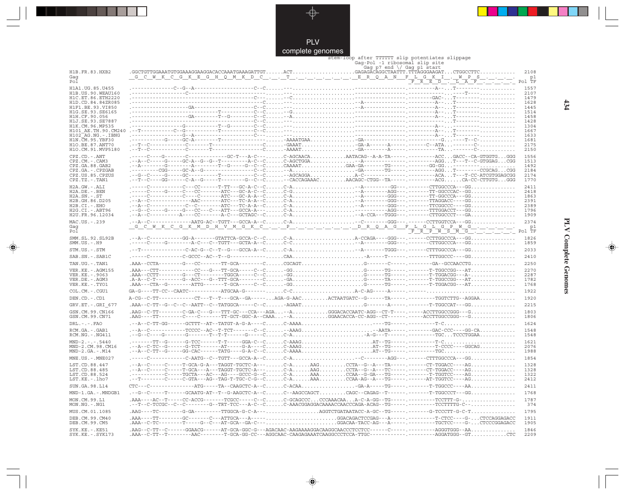

. . . .

 $\bigoplus$ 

|                                       | complete genomes |                                                                                                                                                                                                                                                                                                                                                                                                                                                                                                             |              |
|---------------------------------------|------------------|-------------------------------------------------------------------------------------------------------------------------------------------------------------------------------------------------------------------------------------------------------------------------------------------------------------------------------------------------------------------------------------------------------------------------------------------------------------------------------------------------------------|--------------|
|                                       |                  | stem-loop after TTTTTT slip potentiates slippage                                                                                                                                                                                                                                                                                                                                                                                                                                                            |              |
|                                       |                  | Gaq-Pol -1 ribosomal slip site                                                                                                                                                                                                                                                                                                                                                                                                                                                                              |              |
| H1B.FR.83.HXB2                        |                  | Gaq p7 end $\setminus$ Gaq p1 start                                                                                                                                                                                                                                                                                                                                                                                                                                                                         | 2108         |
| Gaq                                   |                  | $\ldots \ldots$ . GCCTGTTGGAAATGTGGAAAGGAACGAAACCAAATGAAAGATTGT $\ldots \ldots \ldots \ldots \ldots \ldots \ldots \ldots \ldots \ldots$<br>G C W K C G K E G H Q M K D C T E R Q A N F L G K I . W P S                                                                                                                                                                                                                                                                                                      | p1           |
| Pol                                   |                  | Pol TF                                                                                                                                                                                                                                                                                                                                                                                                                                                                                                      |              |
| H1A1.UG.85.U455                       |                  |                                                                                                                                                                                                                                                                                                                                                                                                                                                                                                             | 1557         |
| H1B. US. 90. WEAU160                  |                  |                                                                                                                                                                                                                                                                                                                                                                                                                                                                                                             | 2107         |
| H1C.ET.86.ETH2220                     |                  |                                                                                                                                                                                                                                                                                                                                                                                                                                                                                                             | 1479         |
| H1D.CD.84.84ZR085<br>H1F1.BE.93.VI850 |                  |                                                                                                                                                                                                                                                                                                                                                                                                                                                                                                             | 1628<br>1445 |
| H1G.SE.93.SE6165                      |                  |                                                                                                                                                                                                                                                                                                                                                                                                                                                                                                             | 1514         |
| H1H.CF.90.056                         |                  |                                                                                                                                                                                                                                                                                                                                                                                                                                                                                                             | 1458         |
| H1J.SE.93.SE7887<br>H1K.CM.96.MP535   |                  |                                                                                                                                                                                                                                                                                                                                                                                                                                                                                                             | 1428<br>1304 |
| H101 AE.TH.90.CM240                   |                  |                                                                                                                                                                                                                                                                                                                                                                                                                                                                                                             | 1667         |
| $H102-AG.NG. - .IBNG$                 |                  |                                                                                                                                                                                                                                                                                                                                                                                                                                                                                                             | 1633         |
| H1N. CM. 95. YBF30                    |                  |                                                                                                                                                                                                                                                                                                                                                                                                                                                                                                             | 1681         |
| H10.BE.87.ANT70<br>H1O.CM.91.MVP5180  |                  |                                                                                                                                                                                                                                                                                                                                                                                                                                                                                                             | 2175<br>2150 |
| $CPZ$ . $CD$ . $-$ . $ANT$            |                  | ---G-------C------------GC-T---A-C---C-AGCAACAAATACAG--A-A-TA-----.---------ACCGACC--CA-GTGGTGGGG                                                                                                                                                                                                                                                                                                                                                                                                           | 1556         |
| $CPZ$ . $CM. -$ . $CAM3$              |                  |                                                                                                                                                                                                                                                                                                                                                                                                                                                                                                             | 1513         |
| CPZ.GA.88.GAB2                        |                  |                                                                                                                                                                                                                                                                                                                                                                                                                                                                                                             | 1492         |
| CPZ.GA. - . CPZGAB                    |                  |                                                                                                                                                                                                                                                                                                                                                                                                                                                                                                             | 2184         |
| CPZ.US.85.CPZUS<br>CPZ.TZ.-.TAN1      |                  | .--T--C----GG-------C-A--G-----T-------G--C--C-CACCAGAAACAACAGC-CTGG--TA------.----------ACGCA-CC-CTTGTGGGG                                                                                                                                                                                                                                                                                                                                                                                                 | 2174<br>1770 |
| $H2A.GW.-.ALI$                        |                  |                                                                                                                                                                                                                                                                                                                                                                                                                                                                                                             | 2411         |
| H2A.DE. - . BEN                       |                  |                                                                                                                                                                                                                                                                                                                                                                                                                                                                                                             | 2418         |
| $H2A.SN.-.ST$                         |                  |                                                                                                                                                                                                                                                                                                                                                                                                                                                                                                             | 1863         |
| H2B.GH.86.D205                        |                  |                                                                                                                                                                                                                                                                                                                                                                                                                                                                                                             | 2391         |
| H2B.CI.-.EHO<br>H2G.CI.-.ABT96        |                  |                                                                                                                                                                                                                                                                                                                                                                                                                                                                                                             | 2389<br>1796 |
| H2U.FR.96.12034                       |                  | $\begin{minipage}{0.95\textwidth} \begin{minipage}{0.95\textwidth} \begin{itemize} \texttt{0.95\textwidth} \end{itemize} \end{minipage} \begin{minipage}{0.95\textwidth} \begin{itemize} \texttt{0.95\textwidth} \end{itemize} \end{minipage} \begin{minipage}{0.95\textwidth} \begin{itemize} \texttt{0.95\textwidth} \end{itemize} \end{minipage} \begin{minipage}{0.95\textwidth} \begin{itemize} \texttt{0.95\textwidth} \end{itemize} \end{minipage} \begin{minipage}{0.95\textwidth} \begin{itemize}$ | 1909         |
| MAC.US. - . 239                       |                  |                                                                                                                                                                                                                                                                                                                                                                                                                                                                                                             | 2374         |
| Gaq                                   |                  | <u> WKCGKMDHVMGKCPCDRQAGFLGLGPWG</u>                                                                                                                                                                                                                                                                                                                                                                                                                                                                        | p1           |
| Pol                                   |                  | Pol TF                                                                                                                                                                                                                                                                                                                                                                                                                                                                                                      |              |
| SMM. SL. 92. SL92B                    |                  |                                                                                                                                                                                                                                                                                                                                                                                                                                                                                                             | 1826         |
| $SMM.US.-.H9$                         |                  | .-----C-----G---------A-C---C--TGTT---GCTA-A--CC-C--A-------GGG---.-------CTTGGCCCA---GG                                                                                                                                                                                                                                                                                                                                                                                                                    | 1859         |
| STM.US.-.STM                          |                  |                                                                                                                                                                                                                                                                                                                                                                                                                                                                                                             | 2033         |
| SAB.SN.-.SAB1C                        |                  |                                                                                                                                                                                                                                                                                                                                                                                                                                                                                                             | 2410         |
| TAN.UG. - . TAN1                      |                  |                                                                                                                                                                                                                                                                                                                                                                                                                                                                                                             | 2250         |
| VER.KE. - . AGM155                    |                  |                                                                                                                                                                                                                                                                                                                                                                                                                                                                                                             | 2270         |
| VER.KE. - . 9063                      |                  |                                                                                                                                                                                                                                                                                                                                                                                                                                                                                                             | 2287         |
| VER.DE. - . AGM3                      |                  |                                                                                                                                                                                                                                                                                                                                                                                                                                                                                                             | 1782         |
| VER.KE. - . TYO1                      |                  |                                                                                                                                                                                                                                                                                                                                                                                                                                                                                                             | 1768         |
| COL.CM. - . CGU1                      |                  |                                                                                                                                                                                                                                                                                                                                                                                                                                                                                                             | 1922         |
| DEN.CD. - . CD1                       |                  | A-CG--C-TT-----------CT---T--T---GCA--GA-----AGA-G-AACACTAATGATC--G------TA------------TGGTCTTG--AGGAA                                                                                                                                                                                                                                                                                                                                                                                                      | 1920         |
| GRV.ET. - .GRI 677                    |                  | .AAA--C-TT--G--C--C--AATT--C--TATGGCA-----C--C-AGAATG------A--------T-TGGCCAT---GG                                                                                                                                                                                                                                                                                                                                                                                                                          | 2215         |
| GSN.CM.99.CN166                       |                  | .AAG--C-TT--------C-GA-C---G---TTT-GC---CCA---AGA--AGGGACACCAATC-AGG--CT-T----.-----ACCTTGGCCGGG--G                                                                                                                                                                                                                                                                                                                                                                                                         | 1803         |
| GSN.CM.99.CN71                        |                  | .AAG----TT--------C----C------TT-GCT-GGC-A--CAAA--AGGAACACCA-CC-AGG--CT------.-----ACCTTGGCCGGG--G                                                                                                                                                                                                                                                                                                                                                                                                          | 1806         |
| $DRL$ . - . - . $FAO$                 |                  |                                                                                                                                                                                                                                                                                                                                                                                                                                                                                                             | 1624         |
| RCM.GA. - . GAB1                      |                  |                                                                                                                                                                                                                                                                                                                                                                                                                                                                                                             | 1548         |
| RCM.NG. - . NG411                     |                  |                                                                                                                                                                                                                                                                                                                                                                                                                                                                                                             | 1548         |
| $MND-2. - - - 5440$                   |                  |                                                                                                                                                                                                                                                                                                                                                                                                                                                                                                             | 1621         |
| MND-2.CM.98.CM16                      |                  |                                                                                                                                                                                                                                                                                                                                                                                                                                                                                                             | 2076         |
| $MND-2.GA.-.M14$                      |                  |                                                                                                                                                                                                                                                                                                                                                                                                                                                                                                             | 1988         |
| MNE.US. - . MNE027                    |                  |                                                                                                                                                                                                                                                                                                                                                                                                                                                                                                             | 1854         |
| LST.CD.88.447                         |                  | .--A--C-----C-----T-GCA-G-A---TAGGT-TGCTC-A---C-AAAGCCTA--G--A---TA-----.-----CT-TGGACC----AG                                                                                                                                                                                                                                                                                                                                                                                                               | 1328         |
| LST.CD.88.485<br>LST.CD.88.524        |                  | .--A--C-----C-----T-GCA---A---TAGGT-TGCTC-A---C-AAAGCCTA--G--A---TC-----.-----CT-TGGACC----AG                                                                                                                                                                                                                                                                                                                                                                                                               | 1328         |
| LST.KE.-.lho7                         |                  | -----------C-----TGCTA---AC---AG----GCCC-G--CC-AAAACCAA--G-GA---TG-----.-------T-TGGTCC----AG<br>.--T--------C----C-GTA---AG--TAG-T-TGC-C-G--CC-AAAACCAA-AG--A---TG-----.------AT-TGGTCC----AG                                                                                                                                                                                                                                                                                                              | 1322<br>2412 |
| SUN.GA.98.L14                         |                  | $CTC---C----------ATG----TA--CAAGCTC-A--C.\dots .C-ACAA.\dots .\dots .\dots .GA-A----TG-----T--------T-GGCCC----AA\dots .\dots .\dots .$                                                                                                                                                                                                                                                                                                                                                                    | 2411         |
|                                       |                  |                                                                                                                                                                                                                                                                                                                                                                                                                                                                                                             |              |
| MND-1.GA.-.MNDGB1                     |                  |                                                                                                                                                                                                                                                                                                                                                                                                                                                                                                             | 1768         |
| MON.CM.99.L1<br>$MON.NG. - . NG1$     |                  |                                                                                                                                                                                                                                                                                                                                                                                                                                                                                                             | 1787<br>374  |
| MUS.CM.01.1085                        |                  | $\verb AAG---TC------G-GA-----TTGGCA-G-C-A---\verb    + AGG TCTGATAATACC-A-GC--TG--------------G-TCCCTT-G-C-T.\verb    +$                                                                                                                                                                                                                                                                                                                                                                                   | 1795         |
| DEB.CM.99.CM40                        |                  | .AAA----TT--------GC-------C---ATTGCA---A-----GGACAGACTCCGAG---A-----------T-CTCC----G-CTCCAGGAGACC                                                                                                                                                                                                                                                                                                                                                                                                         | 1911         |
| DEB.CM.99.CM5                         |                  | .AAA--C-TC-------T----C--C--AT-GCA--GA-C---GGACAA-TACC-AG---A-----.-------TGCTCC---G-CTCCCGGAGACC                                                                                                                                                                                                                                                                                                                                                                                                           | 1905         |
| $SYK.KE. - .KE51$                     |                  |                                                                                                                                                                                                                                                                                                                                                                                                                                                                                                             | 1846         |
| $SYK.KE. - .SYK173$                   |                  | $\verb AAA--C-TT--T-------AAC-----T-GCA-GG-GC---AGGAAA-CAAGABAATCAAGGCCCTCCA-TTGC---------------AGGATGGG--GT. \dots \dots \dots \cdot CTC$                                                                                                                                                                                                                                                                                                                                                                  | 2209         |

 $\Rightarrow$ 

**PLV Complete Genomes 434 PLV Complete Genomes** 

 $\overline{\blacklozenge}$ 

 $434$ 

- 11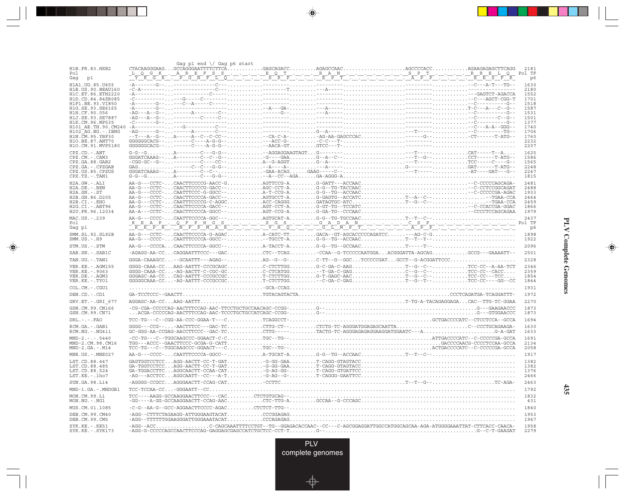|                                         | Gag p1 end $\setminus$ Gag p6 start |                                                                                                                                                                                                                                                                                                                                                                                                                                                                                        |  |                |
|-----------------------------------------|-------------------------------------|----------------------------------------------------------------------------------------------------------------------------------------------------------------------------------------------------------------------------------------------------------------------------------------------------------------------------------------------------------------------------------------------------------------------------------------------------------------------------------------|--|----------------|
| H1B.FR.83.HXB2                          |                                     | $\texttt{CTACAAGGGAAG} \ldots \texttt{GCAGGGAATTTCTTTCA} \ldots \ldots \ldots \texttt{GAGCAGACC} \ldots \ldots \texttt{AGAGCCAAC} \ldots \ldots \ldots \ldots \ldots \texttt{AGCCCCACC} \ldots \ldots \ldots \ldots \texttt{AGAAGAGAGAGGCTTCAGG} \ldots \texttt{GAGAC} \ldots \texttt{GAGAC} \ldots \texttt{GAGAC} \ldots \texttt{GAGAC} \ldots \texttt{GAGAC} \ldots \texttt{GAGAC} \ldots \texttt{GAGAC} \ldots \texttt{GAGAC} \ldots \texttt{GAGAC} \ldots \$                       |  | 2181           |
| P <sub>0</sub> 1<br>Gag<br>p1           |                                     |                                                                                                                                                                                                                                                                                                                                                                                                                                                                                        |  | Pol TF<br>p6   |
| H1A1.UG.85.U455                         |                                     |                                                                                                                                                                                                                                                                                                                                                                                                                                                                                        |  | 1630           |
| H1B. US. 90. WEAU160                    |                                     |                                                                                                                                                                                                                                                                                                                                                                                                                                                                                        |  | 2180           |
| H1C.ET.86.ETH2220                       |                                     |                                                                                                                                                                                                                                                                                                                                                                                                                                                                                        |  | 1552           |
| H1D.CD.84.84ZR085<br>H1F1.BE.93.VI850   |                                     |                                                                                                                                                                                                                                                                                                                                                                                                                                                                                        |  | 1701<br>1518   |
| H1G.SE.93.SE6165                        |                                     |                                                                                                                                                                                                                                                                                                                                                                                                                                                                                        |  | 1587           |
| H1H.CF.90.056                           |                                     |                                                                                                                                                                                                                                                                                                                                                                                                                                                                                        |  | 1531           |
| H1J.SE.93.SE7887<br>H1K.CM.96.MP535     |                                     |                                                                                                                                                                                                                                                                                                                                                                                                                                                                                        |  | 1501<br>1377   |
| H101 AE.TH.90.CM240                     |                                     |                                                                                                                                                                                                                                                                                                                                                                                                                                                                                        |  | 1740           |
| H102 AG.NG.-.IBNG                       |                                     |                                                                                                                                                                                                                                                                                                                                                                                                                                                                                        |  | 1706           |
| H1N. CM. 95. YBF30<br>H10.BE.87.ANT70   |                                     |                                                                                                                                                                                                                                                                                                                                                                                                                                                                                        |  | 1760<br>2232   |
| H1O.CM.91.MVP5180                       |                                     |                                                                                                                                                                                                                                                                                                                                                                                                                                                                                        |  | 2207           |
| CPZ.CD. - . ANT                         |                                     |                                                                                                                                                                                                                                                                                                                                                                                                                                                                                        |  | 1625           |
| CPZ.CM. - . CAM3                        |                                     |                                                                                                                                                                                                                                                                                                                                                                                                                                                                                        |  | 1586           |
| CPZ.GA.88.GAB2<br>CPZ.GA. - . CPZGAB    |                                     |                                                                                                                                                                                                                                                                                                                                                                                                                                                                                        |  | 1565<br>2248   |
| CPZ.US.85.CPZUS                         |                                     |                                                                                                                                                                                                                                                                                                                                                                                                                                                                                        |  | 2247           |
| CPZ.TZ. - . TAN1                        |                                     |                                                                                                                                                                                                                                                                                                                                                                                                                                                                                        |  | 1815           |
| H2A.GW.-.ALI                            |                                     |                                                                                                                                                                                                                                                                                                                                                                                                                                                                                        |  | 2481           |
| H2A.DE. - . BEN                         |                                     | AA-G---CCTC-CAACTTCCCCG-GACC--AGC-CCT-AG-G--TG-TACCAAC-C-CCTCCGGCAGAT<br>AA-G---CCCC-CAATTTCCC-G-GGCC--A-T-CCG-AG-G--TG--ACCAAC-C-CCCCGA-AGAC                                                                                                                                                                                                                                                                                                                                          |  | 2488<br>1933   |
| $H2A.SN.-.ST$<br>H2B.GH.86.D205         |                                     |                                                                                                                                                                                                                                                                                                                                                                                                                                                                                        |  | 2464           |
| H2B.CI.-.EHO                            |                                     | $\texttt{AA-G--CCTC-}\dots\texttt{CAACTTCCCCA-GACC--}\dots\dots\texttt{AGTGCCT-A}\dots\dots\texttt{G-GAGTG--ACCATC}\dots\dots\dots\texttt{T-A--C--}\dots\dots\dots\dots\texttt{G-AG-TG-A--}\dots\texttt{C-A-G--}\dots\dots\dots\texttt{G-ACTC--}\dots\dots\dots\texttt{G-ACTC--}\dots\dots\dots\dots\texttt{G-ACTC--}\dots\dots\dots\dots\texttt{G-ACTC--}\dots\dots\dots\dots\dots\texttt{G-ACTC\_}\dots\texttt{G-ACTC\_}\dots\texttt{G-ACTC\_}\dots\dots\dots\texttt{G-ACTC\_}\dots$ |  | 2459           |
| H2G.CI. - . ABT96                       |                                     | AA-G---CCTC-CAACTTCCCCA-GACC--AGT-CCT-AG-GT-TG--TCCATC-C-CCACCGA-GGAC                                                                                                                                                                                                                                                                                                                                                                                                                  |  | 1866           |
| H2U.FR.96.12034                         |                                     |                                                                                                                                                                                                                                                                                                                                                                                                                                                                                        |  | 1979           |
| MAC.US. - . 239<br>Pol                  |                                     |                                                                                                                                                                                                                                                                                                                                                                                                                                                                                        |  | 2437<br>Pol TF |
| Gag pl                                  |                                     |                                                                                                                                                                                                                                                                                                                                                                                                                                                                                        |  | p6             |
| SMM.SL.92.SL92B                         |                                     |                                                                                                                                                                                                                                                                                                                                                                                                                                                                                        |  | 1898           |
| $SMM. US. - . H9$                       |                                     |                                                                                                                                                                                                                                                                                                                                                                                                                                                                                        |  | 1922           |
| STM.US.-.STM                            |                                     | $\verb+AA-G---CCCCACAACTTCCCCA-GGCC---\dots\dots\dots\dots\text{A-TACC} \verb+TACCT-AG-G--TG--GCCAC \verb+T---T---T--$                                                                                                                                                                                                                                                                                                                                                                 |  | 2096           |
| SAB.SN. - . SAB1C                       |                                     | -AGAGG-AA-CCCAGGAATTTCCC---GACCTC--TCAGCCAA--G-TCCCCCAATGGAACGGGATTA-AGCAGGCCG---GAAAATT--                                                                                                                                                                                                                                                                                                                                                                                             |  | 2501           |
| TAN.UG. - . TAN1                        |                                     | $GGGA$ -CAAAGCC--GCAATTT---AGAG--AG--G--G-C-TT--G--GGCTCCCCCGATGCCT--G-ACGGATTCCC                                                                                                                                                                                                                                                                                                                                                                                                      |  | 2328           |
| VER. KE. - . AGM155                     |                                     | GGGG-CAAA-CCAAG-AATTT-CCCGCAGCC-CTCTTGGG-C-GA-C-AAGT--G--C--TCC-CC--A-AA-TCT                                                                                                                                                                                                                                                                                                                                                                                                           |  | 2346           |
| VER. KE. - . 9063                       |                                     | $\verb+GGG-CAAA-CC--AG-AACTT-CGG-GCC-CTCATGG--T-GA-C-GAGC--G--G--C--TCC-CC--CACC$                                                                                                                                                                                                                                                                                                                                                                                                      |  | 2359           |
| VER.DE. - . AGM3                        |                                     |                                                                                                                                                                                                                                                                                                                                                                                                                                                                                        |  | 1854           |
| VER.KE. - . TYO1                        |                                     |                                                                                                                                                                                                                                                                                                                                                                                                                                                                                        |  | 1844           |
| COL.CM. - . CGU1                        |                                     |                                                                                                                                                                                                                                                                                                                                                                                                                                                                                        |  | 1931           |
| DEN.CD. - .CD1                          |                                     |                                                                                                                                                                                                                                                                                                                                                                                                                                                                                        |  | 1972           |
| GRV.ET. -. GRI 677                      |                                     |                                                                                                                                                                                                                                                                                                                                                                                                                                                                                        |  | 2270           |
| GSN.CM.99.CN166<br>GSN.CM.99.CN71       |                                     |                                                                                                                                                                                                                                                                                                                                                                                                                                                                                        |  | 1873<br>1873   |
| $DRL - - - FAO$                         |                                     |                                                                                                                                                                                                                                                                                                                                                                                                                                                                                        |  | 1694           |
| RCM.GA. - . GAB1                        |                                     |                                                                                                                                                                                                                                                                                                                                                                                                                                                                                        |  | 1630           |
| RCM.NG. - . NG411                       |                                     | GC-GGG-AA-CCGAG-AACCTTCCC--GAC-TCCTTG-----TACTG-TC-AGGGAGAGAGGAAGGATGGAATC---AG-A-GAT                                                                                                                                                                                                                                                                                                                                                                                                  |  | 1633           |
| $MND-2. - - - 5440$<br>MND-2.CM.98.CM16 |                                     |                                                                                                                                                                                                                                                                                                                                                                                                                                                                                        |  | 1691<br>2134   |
| $MND-2.GA.-.M14$                        |                                     |                                                                                                                                                                                                                                                                                                                                                                                                                                                                                        |  | 2058           |
| MNE.US. - . MNE027                      |                                     |                                                                                                                                                                                                                                                                                                                                                                                                                                                                                        |  | 1917           |
| LST.CD.88.447                           |                                     |                                                                                                                                                                                                                                                                                                                                                                                                                                                                                        |  | 1382           |
| LST.CD.88.485                           |                                     |                                                                                                                                                                                                                                                                                                                                                                                                                                                                                        |  | 1382           |
| LST.CD.88.524                           |                                     |                                                                                                                                                                                                                                                                                                                                                                                                                                                                                        |  | 1376           |
| LST.KE.-.lho7                           |                                     |                                                                                                                                                                                                                                                                                                                                                                                                                                                                                        |  | 2466           |
| SUN.GA.98.L14                           |                                     |                                                                                                                                                                                                                                                                                                                                                                                                                                                                                        |  | 2463           |
| MND-1.GA.-.MNDGB1                       |                                     |                                                                                                                                                                                                                                                                                                                                                                                                                                                                                        |  | 1792           |
| MON.CM.99.L1                            |                                     |                                                                                                                                                                                                                                                                                                                                                                                                                                                                                        |  | 1832           |
| $MON.NG. - . NG1$                       |                                     |                                                                                                                                                                                                                                                                                                                                                                                                                                                                                        |  | 431            |
| MUS.CM.01.1085                          |                                     |                                                                                                                                                                                                                                                                                                                                                                                                                                                                                        |  | 1840           |
| DEB.CM.99.CM40<br>DEB.CM.99.CM5         |                                     |                                                                                                                                                                                                                                                                                                                                                                                                                                                                                        |  | 1953<br>1947   |
| SYK.KE. - . KE51                        |                                     | -AGG--ACCC-CAGCAAATTTTCCTGT--TG--GGAGACACCAAC--CC---C-AGCGGAGGATTGGCCATGGCAGCAA-AGA-ATGGGGAAATTAT-CTTCACC-CAACA-                                                                                                                                                                                                                                                                                                                                                                       |  | 1958           |
| SYK.KE. - . SYK173                      |                                     |                                                                                                                                                                                                                                                                                                                                                                                                                                                                                        |  | 2279           |

<u>a shekara ta 1989 na shekara ta 1989 na shekara ta 1989 na shekara ta 1989 na shekara ta 1989 na shekara ta 1989 na shekara ta 1989 na shekara ta 1989 na shekara ta 1989 na shekara ta 1989 na shekara ta 1989 na shekara ta</u>

 $\overrightarrow{\phantom{a}}$ 

 $\overline{\mathbb{F}}$ 

**PLV Complete Genomes PLV Complete Genomes**

 $\begin{picture}(20,5) \put(0,0){\line(1,0){10}} \put(15,0){\line(1,0){10}} \put(15,0){\line(1,0){10}} \put(15,0){\line(1,0){10}} \put(15,0){\line(1,0){10}} \put(15,0){\line(1,0){10}} \put(15,0){\line(1,0){10}} \put(15,0){\line(1,0){10}} \put(15,0){\line(1,0){10}} \put(15,0){\line(1,0){10}} \put(15,0){\line(1,0){10}} \put(15,0){\line(1,$ 

 $\equiv$ 

 $\Box$ 

<u> 1959 - 1961 - 1971 - 1971 - 1971 - 1971 - 1971 - 1971 - 1971 - 1971 - 1971 - 1971 - 19</u>

 $\mathbf{I}$ 

**435**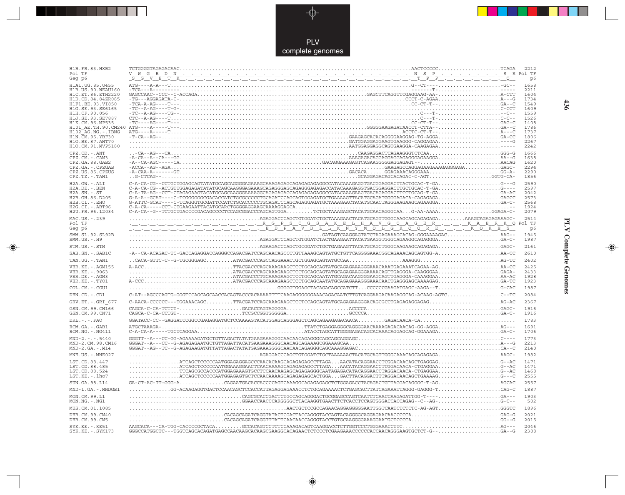

---

 $\overrightarrow{\mathbf{\P}}$ 

 $\overline{\mathbb{R}}$ 

| H1B.FR.83.HXB2<br>Pol TF<br>Gag p6                                                                                                                                                                                                                                                                 |                                                                                                                                                                                                                                                                                                                                                                                                                                                                                                                                                                                              |                                                                                                      |
|----------------------------------------------------------------------------------------------------------------------------------------------------------------------------------------------------------------------------------------------------------------------------------------------------|----------------------------------------------------------------------------------------------------------------------------------------------------------------------------------------------------------------------------------------------------------------------------------------------------------------------------------------------------------------------------------------------------------------------------------------------------------------------------------------------------------------------------------------------------------------------------------------------|------------------------------------------------------------------------------------------------------|
| H1A1. UG. 85. U455<br>H1B. US. 90. WEAU160<br>H1C.ET.86.ETH2220<br>H1D.CD.84.84ZR085<br>H1F1.BE.93.VI850<br>H1G.SE.93.SE6165<br>H1H.CF.90.056<br>H1J.SE.93.SE7887<br>H1K.CM.96.MP535<br>H101 AE.TH.90.CM240<br>$H102-AG.NG. - .IBNG$<br>H1N. CM. 95. YBF30<br>H10.BE.87.ANT70<br>H1O.CM.91.MVP5180 | $\begin{array}{cccccccc} \texttt{TCG--A-GAGAGATA-C-} & \texttt{CCT\_C-AGA} & \texttt{CCT\_C-AGA} & \texttt{CCT\_C-AGA} & \texttt{CCT\_C-AGA} & \texttt{CCT\_C-AGA} & \texttt{CCT\_C-AGA} & \texttt{CCT\_C} & \texttt{CCT\_C-AGA} & \texttt{CCT\_C} & \texttt{CCT\_C} \\ -\texttt{TC-A-AG---T-G-} & \texttt{CCT\_T} & \texttt{CCT\_T} & \texttt{CCT\_T} & \texttt{CCT\_T} & \texttt{CCT\_T} & \texttt{CCT\_T} & \texttt{CCT\_$                                                                                                                                                                | 2211<br>1604<br>1734<br>1549<br>1609<br>1559<br>1526<br>1408<br>1786<br>1737<br>1806<br>2267<br>2242 |
| CPZ.CD. - . ANT<br>CPZ.CM. - . CAM3<br>CPZ.GA.88.GAB2<br>CPZ.GA.-.CPZGAB<br>CPZ.US.85.CPZUS<br>CPZ.TZ. - . TAN1                                                                                                                                                                                    | $\begin{minipage}[t]{0.99991} \put(0,0){\line(0,0){13.55}} \put(0,0){\line(0,0){13.55}} \put(0,0){\line(0,0){13.55}} \put(0,0){\line(0,0){13.55}} \put(0,0){\line(0,0){13.55}} \put(0,0){\line(0,0){13.55}} \put(0,0){\line(0,0){13.55}} \put(0,0){\line(0,0){13.55}} \put(0,0){\line(0,0){13.55}} \put(0,0){\line(0,0){13.55}} \put($                                                                                                                                                                                                                                                       | 1666<br>1638<br>1620<br>2294<br>2290<br>1856                                                         |
| H2A.GW.-.ALI<br>H2A.DE. - .BEN<br>$H2A.SN.-.ST$<br>H2B.GH.86.D205<br>H2B.CI.-.EHO<br>H2G.CI. - . ABT96<br>H2U.FR.96.12034                                                                                                                                                                          | G-A-A--GCAT----C-TCGGGGGGCGACACCATCTGCGCCCCCTGCAGATCCAGCAGTGGAGATGCTGAAAAGTTACATGCAGATGGGGAGACA-CAGAGAGAGAGCC<br>$\texttt{C-A-CA---CCT-CTGAAGAATTACATGCARCTGGGAGGAAGGCAAAGGAGCA}. \texttt{1011} \texttt{1111} \texttt{1111} \texttt{1111} \texttt{1111} \texttt{1111} \texttt{1111} \texttt{1111} \texttt{1111} \texttt{1111} \texttt{1111} \texttt{1111} \texttt{1111} \texttt{1111} \texttt{1111} \texttt{1111} \texttt{1111} \texttt{1111} \texttt{1111} \texttt{1111} \texttt{1$<br>C-A-CA--G--TCTGCTGACCCCGACAGCCCCTCCAGCGGACCCAGCAGTGGATCTGCTAAAGAGCTACATGCAACAGGGCAAG-AA-AAAAGGAGA-C- | 2590<br>2597<br>2042<br>2573<br>2568<br>1924<br>2079                                                 |
| MAC.US.-.239<br>Pol TF<br>Gag p6                                                                                                                                                                                                                                                                   | $\verb AGCAGAGAGAGAGAGAGAAGAACCAGCTGTGGATCTGCTAAGAACTACATGCGATTGGGCAGCAGCAGGAGAGA. \dots. \dots. \text{AAAGCAGAGAGAGAGAAGAACA}$                                                                                                                                                                                                                                                                                                                                                                                                                                                              | 2514<br>Pol TF<br>p6                                                                                 |
| SMM. SL. 92. SL92B<br>$SMM.US.-.H9$                                                                                                                                                                                                                                                                | $\overline{a_1}, \overline{a_2}, \overline{a_3}, \overline{a_4}, \overline{a_5}, \overline{a_6}, \overline{a_7}, \overline{a_8}, \overline{a_9}, \overline{a_1}, \overline{a_2}, \overline{a_3}, \overline{a_4}, \overline{a_5}, \overline{a_6}, \overline{a_7}, \overline{a_8}, \overline{a_9}, \overline{a_9}, \overline{a_9}, \overline{a_9}, \overline{a_9}, \overline{a_9}, \overline{a_9}, \overline{a_9}, \overline{a_9}, \overline{a_9}, \overline{$                                                                                                                                 | 1945<br>1987                                                                                         |
| STM.US.-.STM                                                                                                                                                                                                                                                                                       |                                                                                                                                                                                                                                                                                                                                                                                                                                                                                                                                                                                              | 2161                                                                                                 |
| SAB.SN. - . SAB1C                                                                                                                                                                                                                                                                                  |                                                                                                                                                                                                                                                                                                                                                                                                                                                                                                                                                                                              | 2610                                                                                                 |
| TAN.UG. - . TAN1                                                                                                                                                                                                                                                                                   |                                                                                                                                                                                                                                                                                                                                                                                                                                                                                                                                                                                              | 2402                                                                                                 |
| VER. KE. - . AGM155<br>VER. KE. - . 9063<br>VER.DE. - . AGM3<br>VER.KE. - . TYO1                                                                                                                                                                                                                   | $\ldots\ldots\ldots\ldots\ldots\ldots\ldots\ldots\ldots$ .ATACGACCCAGCAAAGAAGCTCCTGCAGCAGAGAAGGGAAAACAGTTGAGGGA-CAAGGGAAGAGA-                                                                                                                                                                                                                                                                                                                                                                                                                                                                | 2425<br>2433<br>1928<br>1923                                                                         |
| COL.CM. - . CGU1                                                                                                                                                                                                                                                                                   | $\ldots \ldots \ldots \ldots \ldots \ldots \ldots \ldots \ldots \ldots$ .GGGGGTGGAGCTACAGACAGCCATCTTCCCCCCGAAGATGAGC-AAGA--TG-CAC                                                                                                                                                                                                                                                                                                                                                                                                                                                            | 1987                                                                                                 |
| DEN.CD. - .CD1                                                                                                                                                                                                                                                                                     | C-AT--AGCCCAGTG-GGGTCCAGCAGCAACCACAGTACCCACAAAATTTTCAAGAGGGGGAAACAGACAATCTTGTCAGGAAGACAAGAGGCAG-ACAAG-AGTCC--TC                                                                                                                                                                                                                                                                                                                                                                                                                                                                              | 2084                                                                                                 |
| GRV.ET. - . GRI 677                                                                                                                                                                                                                                                                                |                                                                                                                                                                                                                                                                                                                                                                                                                                                                                                                                                                                              | 2367                                                                                                 |
| GSN.CM.99.CN166<br>GSN.CM.99.CN71                                                                                                                                                                                                                                                                  |                                                                                                                                                                                                                                                                                                                                                                                                                                                                                                                                                                                              | 1916<br>1916                                                                                         |
| $DRL$ . - . - . $FAO$                                                                                                                                                                                                                                                                              |                                                                                                                                                                                                                                                                                                                                                                                                                                                                                                                                                                                              | 1783                                                                                                 |
| RCM.GA. - . GAB1<br>$RCM.NG. -.NG411$                                                                                                                                                                                                                                                              | ATGCTAAAGA-.                                                                                                                                                                                                                                                                                                                                                                                                                                                                                                                                                                                 | 1691<br>1706                                                                                         |
| $MND-2. - - - 5440$<br>MND-2.CM.98.CM16<br>$MND-2.GA.-.M14$                                                                                                                                                                                                                                        |                                                                                                                                                                                                                                                                                                                                                                                                                                                                                                                                                                                              | 1773<br>2213<br>2140                                                                                 |
| MNE.US. - . MNE027                                                                                                                                                                                                                                                                                 |                                                                                                                                                                                                                                                                                                                                                                                                                                                                                                                                                                                              | 1982                                                                                                 |
| LST.CD.88.447<br>LST.CD.88.485<br>LST.CD.88.524<br>LST.KE.-.lho7                                                                                                                                                                                                                                   |                                                                                                                                                                                                                                                                                                                                                                                                                                                                                                                                                                                              | 1471<br>1471<br>1468<br>2555                                                                         |
| SUN.GA.98.L14                                                                                                                                                                                                                                                                                      |                                                                                                                                                                                                                                                                                                                                                                                                                                                                                                                                                                                              | 2557                                                                                                 |
| MND-1.GA.-.MNDGB1                                                                                                                                                                                                                                                                                  | $\dots\dots\dots\dots$ G-ACAAGAGGTGACTCCAACAGCTCCACCATTAGAGGAGAAACCTCTGCAGAAAACTCTGAGCACTTATCAGAAATTAGGG-GAGGG-T $\dots\dots\dots\dots\dots\dots$ CAG-C                                                                                                                                                                                                                                                                                                                                                                                                                                      | 1887                                                                                                 |
| MON.CM.99.L1<br>MON.NG. - . NG1                                                                                                                                                                                                                                                                    | $\ldots\ldots\ldots\ldots\ldots\ldots\ldots\ldots\ldots\ldots\ldots$                                                                                                                                                                                                                                                                                                                                                                                                                                                                                                                         | 1903<br>502                                                                                          |
| MUS.CM.01.1085                                                                                                                                                                                                                                                                                     |                                                                                                                                                                                                                                                                                                                                                                                                                                                                                                                                                                                              | 1896                                                                                                 |
| DEB.CM.99.CM40<br>DEB.CM.99.CM5                                                                                                                                                                                                                                                                    |                                                                                                                                                                                                                                                                                                                                                                                                                                                                                                                                                                                              | 2021<br>2015                                                                                         |
| SYK.KE. - . KE51<br>SYK.KE. - . SYK173                                                                                                                                                                                                                                                             | GGGCCATGGCTC---TGGTCAGCACAGATGAGCCAACAAGCACAAGGCACAGAACTCTCCCTCGAAGAAACCCCCCACCAACAGGGAAGTGCTCT-G--GA--G                                                                                                                                                                                                                                                                                                                                                                                                                                                                                     | 2046<br>2388                                                                                         |

 $\blacklozenge$ 

**PLV Complete Genomes 436 PLV Complete Genomes** 

 $\Rightarrow$ 

 $\sqrt{2}$ 

436

 $\blacksquare$ 

<u> 1999 - 1999 - 1999 - 1999 - 1999 - 1999 - 1999 - 1999 - 1999 - 1999 - 1999 - 1999 - 1999 - 1999 - 1999 - 199</u>

 $\mathbf{I}$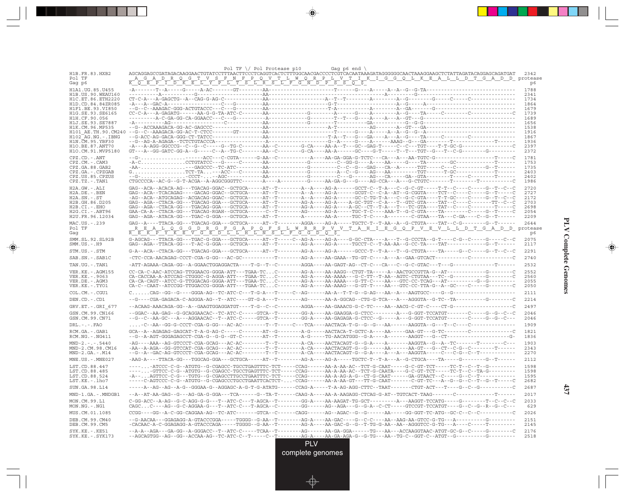| <u>A G A D R Q G T V S F N F P Q V T L W Q R P L V T I K I G G Q L K E A L L D T G A D D protease</u><br>Pol TF<br><u>KOEPIDKEL YPLIKSLFGNDPSSOF</u><br>Gag p6<br>p6<br>1788<br>H1A1.UG.85.U455<br>H1B. US. 90. WEAU160<br>2341<br>H1C.ET.86.ETH2220<br>1734<br>H1D.CD.84.84ZR085<br>1864<br>H1F1.BE.93.VI850<br>1679<br>H1G.SE.93.SE6165<br>1739<br>H1H.CF.90.056<br>1689<br>H1J.SE.93.SE7887<br>1656<br>1538<br>H1K.CM.96.MP535<br>H101 AE.TH.90.CM240<br>1916<br>1867<br>H102 AG.NG.-.IBNG<br>H1N.CM.95.YBF30<br>1936<br>H10.BE.87.ANT70<br>2397<br>H1O.CM.91.MVP5180<br>2372<br>$CPZ$ . $CD$ . $-ANT$<br>1781<br>CPZ.CM.-.CAM3<br>1753<br>-AA---GAGCCC--TC-ATC---------AA-----------G--------C--C--G-G-G--CA--A------TGT-----C---C--------G--T------<br>1735<br>CPZ.GA.88.GAB2<br>CPZ.GA. - . CPZGAB<br>2403<br>--G- CCCT- -AGC------------AA------------G--------C---G-----AG---CA---GA--GTA--------T-----C-------T------<br>CPZ.US.85.CPZUS<br>2402<br>$\texttt{CTGCCCA--AC-G--G--T-ACGA--A-AGGCGGTTC---A---A---A---B--GA-G--GA--G---AG-CCA---A---G-CTGTC-----T-----T-------------C-CTGTC-1.}$<br>$CPZ.TZ.-.TAN1$<br>1986<br>H2A.GW.-.ALI<br>2720<br>H2A.DE. - .BEN<br>2727<br>H2A.SN.-.ST<br>2172<br>H2B.GH.86.D205<br>2703<br>H2B.CI.-.EHO<br>2698<br>GAA-CA-A--CTACA-GG---TGACAG-RGAH--GCTGCA------C--T--------AG------AG-A-----TGC-T-C----AAA-T--G-C-GTA----TA--------C-----G--T-----C<br>H2G.CI. - . ABT96<br>2054<br>GAG--AGA--ATACA-GG---TGAC-G-GGA---GCTGCA-----AT--T--------A-------AA-A-----TGC-T-C----A--------C-GTAA---TA---C-GA----C--G--T------<br>H2U.FR.96.12034<br>2209<br>MAC.US. - . 239<br>Pol TF<br>$\overline{R} \quad \overline{E} \quad \overline{K} \quad \overline{P} \quad \overline{Y} \quad \overline{K} \quad \overline{E} \quad \overline{V} \quad \overline{G} \quad \overline{E} \quad \overline{D} \quad \overline{L} \quad \overline{L} \quad \overline{H} \quad \overline{L} \quad \overline{N} \quad \overline{S} \quad \overline{L} \quad \overline{F} \quad \overline{G} \quad \overline{G} \quad \overline{D} \quad \overline{Q} \quad \overline{S}$<br>Gaq<br>p6<br>2075<br>SMM.SL.92.SL92B<br>$SMM.US. - . H9$<br>2117<br>G-A--ACA--CTACA-GG---TGACAG-GGA---GCTGCA-----AT--T--------AG-A----AG-A-----GCCC-T--T-A---T--G-CTGTA----TA-----G--C-----G--T--C--T<br>2291<br>STM.US.-.STM<br>2740<br>SAB.SN.-.SAB1C<br>2532<br>TAN.UG.-.TAN1<br>VER.KE.-.AGM155<br>2552<br>CA-CACCAA-A-ATCCAG-CTGGGC-G-AGGA-ATT---TGAA-TCC-------AG-A----AA-AAAA---G-C-TT--T-AA--AGTC-CTGTAA---TC--G---------G-------C<br>VER.KE. - . 9063<br>2560<br>CA-CA-CAGT--ATCC-G-TTGGACAG-GGGA-ATT---TGAA-TCC-------AG-A----AA-AAAA---G-TT-C----AA---GTC-CC-TCAG---AT---------G--G---------<br>2055<br>VER.DE. - .AGM3<br>VER.KE. - . TYO1<br>2050<br>COL.CM. - . CGU1<br>2111<br>2214<br>DEN.CD.-.CD1<br>2497<br>GRV.ET. - .GRI 677<br>GSN.CM.99.CN166<br>--GGAC--AA-GAG--G-GCAGGAACAC--TC-ATC-C-----GTCA--T-------GG-A----AA-GAAGGA-G-CTCC--------A---G-GGT-TCCATGT-------C-----G--G--C--C<br>2046<br>GSN.CM.99.CN71<br>--G--C--AA-GC---A---AGGAACAC--T--ATC-C-----GTCA--T--------GG-A----AA-GAGAGA-G-CTCC--G-----A---G-GGT-TCCATGT-------C-----G--G--C---<br>2046<br>$DRL - - - FAO$<br>1909<br>RCM.GA.-.GAB1<br>1821<br>RCM.NG. - . NG411<br>1836<br>1903<br>$MND-2---5440$<br>MND-2.CM.98.CM16<br>-AA--A-AGA--GG-GTCCAT-CGA-GCAG---AC-AC--------T--T--------A-CA----AACTACAGT-G--G------AA------AA-GT---G--CT--C-G--C--------T------<br>2343<br>$MND-2.GA.-.M14$<br>2270<br>$MNE .US. - .MNE027$<br>-AAG-A----TTACA-GG---TGGCAG-GGA---GCTGCA-----AT--T-------AG-A----AG-A-----TGCTC-T--T-A---A--G-CTGCA----TA----G------G-------G--T------<br>2112<br>1598<br>LST.CD.88.447<br>LST.CD.88.485<br>1598<br>LST.CD.88.524<br>1595<br>LST.KE.-.lho7<br>-----C-AGTCCC-C-G--ATGTG--G-CGAGCCCTGCCTGAATTCACTCT--CCAG------AA-A-A-A-GT---TT-G-CAAT-------C-GT-TC--A--G--G--C--T--G--T-----C<br>2682<br>SUN.GA.98.L14<br>2687<br>2017<br>MND-1.GA.-.MNDGB1<br>MON.CM.99.L1<br>C-GG-ACC--A-AG--G-C-AGG-G-G---T--ATC-C---T-AGCA--T-------GG-A----AA-AAGAT-TG-GCT---------A--AAGGT-TCCATG-----G------T--C--C--C<br>2033<br>CAGCC----AG--G-C-AGGAA-G---T--ATC-C---T-AGCA--C-------GG------AG--AGA---G--G-A--C-CT-----GTCCGT-TCCATGT----G--C--G--R--G--C---<br>629<br>$MON.NG. - . NG1$<br>2026<br>MUS.CM.01.1085<br>2151<br>DEB.CM.99.CM40<br>DEB.CM.99.CM5<br>-CACAAC-A-C-GGAGAGG-A-GTACCCAGA-----TGGGG--G-AA--T-------AG-A----AA-GAC-G--G--T-TG-G-AA--AA--AAGGGTCC-G-TG---A----C-----T--------<br>2145<br>SYK.KE. - . KE51<br>--A-A--AGA---GA-GG--A-GGGACC--T--ATC-C-----TCAA--T--------AG------AA-GA-GGA------TG---AA---ACCAAGGTAAC-ATGT-GC-G--C-----G--------C<br>2176 |                     | Pol TF \/ Pol Protease p10<br>Gag $p6$ end $\sqrt{ }$                                                                              |      |
|------------------------------------------------------------------------------------------------------------------------------------------------------------------------------------------------------------------------------------------------------------------------------------------------------------------------------------------------------------------------------------------------------------------------------------------------------------------------------------------------------------------------------------------------------------------------------------------------------------------------------------------------------------------------------------------------------------------------------------------------------------------------------------------------------------------------------------------------------------------------------------------------------------------------------------------------------------------------------------------------------------------------------------------------------------------------------------------------------------------------------------------------------------------------------------------------------------------------------------------------------------------------------------------------------------------------------------------------------------------------------------------------------------------------------------------------------------------------------------------------------------------------------------------------------------------------------------------------------------------------------------------------------------------------------------------------------------------------------------------------------------------------------------------------------------------------------------------------------------------------------------------------------------------------------------------------------------------------------------------------------------------------------------------------------------------------------------------------------------------------------------------------------------------------------------------------------------------------------------------------------------------------------------------------------------------------------------------------------------------------------------------------------------------------------------------------------------------------------------------------------------------------------------------------------------------------------------------------------------------------------------------------------------------------------------------------------------------------------------------------------------------------------------------------------------------------------------------------------------------------------------------------------------------------------------------------------------------------------------------------------------------------------------------------------------------------------------------------------------------------------------------------------------------------------------------------------------------------------------------------------------------------------------------------------------------------------------------------------------------------------------------------------------------------------------------------------------------------------------------------------------------------------------------------------------------------------------------------------------------------------------------------------------------------------------------------------------------------------------------------------------------------------------------------------------------------------------------------------------------------------------------------------------------------------------------------------------------------------------------------------------------------------------------------------------------------------------------------------------------------------------------------------------------------------------------------------------------------------------------------------------------------------------------------------------------------------------------------------------------------------------------------------------------------------------------------------------------------------------------------------------------------------------------------------------------------------------------------------------------------------------------------------------------------------------|---------------------|------------------------------------------------------------------------------------------------------------------------------------|------|
|                                                                                                                                                                                                                                                                                                                                                                                                                                                                                                                                                                                                                                                                                                                                                                                                                                                                                                                                                                                                                                                                                                                                                                                                                                                                                                                                                                                                                                                                                                                                                                                                                                                                                                                                                                                                                                                                                                                                                                                                                                                                                                                                                                                                                                                                                                                                                                                                                                                                                                                                                                                                                                                                                                                                                                                                                                                                                                                                                                                                                                                                                                                                                                                                                                                                                                                                                                                                                                                                                                                                                                                                                                                                                                                                                                                                                                                                                                                                                                                                                                                                                                                                                                                                                                                                                                                                                                                                                                                                                                                                                                                                                                                                                    | H1B.FR.83.HXB2      | AGCAGGAGCCGATAGACAAGGAACTGTATCCTTTAACTTCCCTCAGGTCACTCTTTGGCAACGACCCCTCGTCACAATAAAGATAGGGGGGCAACTAAAGGAAGCTCTATTAGATACAGGAGCAGATGAT | 2342 |
|                                                                                                                                                                                                                                                                                                                                                                                                                                                                                                                                                                                                                                                                                                                                                                                                                                                                                                                                                                                                                                                                                                                                                                                                                                                                                                                                                                                                                                                                                                                                                                                                                                                                                                                                                                                                                                                                                                                                                                                                                                                                                                                                                                                                                                                                                                                                                                                                                                                                                                                                                                                                                                                                                                                                                                                                                                                                                                                                                                                                                                                                                                                                                                                                                                                                                                                                                                                                                                                                                                                                                                                                                                                                                                                                                                                                                                                                                                                                                                                                                                                                                                                                                                                                                                                                                                                                                                                                                                                                                                                                                                                                                                                                                    |                     |                                                                                                                                    |      |
|                                                                                                                                                                                                                                                                                                                                                                                                                                                                                                                                                                                                                                                                                                                                                                                                                                                                                                                                                                                                                                                                                                                                                                                                                                                                                                                                                                                                                                                                                                                                                                                                                                                                                                                                                                                                                                                                                                                                                                                                                                                                                                                                                                                                                                                                                                                                                                                                                                                                                                                                                                                                                                                                                                                                                                                                                                                                                                                                                                                                                                                                                                                                                                                                                                                                                                                                                                                                                                                                                                                                                                                                                                                                                                                                                                                                                                                                                                                                                                                                                                                                                                                                                                                                                                                                                                                                                                                                                                                                                                                                                                                                                                                                                    |                     |                                                                                                                                    |      |
|                                                                                                                                                                                                                                                                                                                                                                                                                                                                                                                                                                                                                                                                                                                                                                                                                                                                                                                                                                                                                                                                                                                                                                                                                                                                                                                                                                                                                                                                                                                                                                                                                                                                                                                                                                                                                                                                                                                                                                                                                                                                                                                                                                                                                                                                                                                                                                                                                                                                                                                                                                                                                                                                                                                                                                                                                                                                                                                                                                                                                                                                                                                                                                                                                                                                                                                                                                                                                                                                                                                                                                                                                                                                                                                                                                                                                                                                                                                                                                                                                                                                                                                                                                                                                                                                                                                                                                                                                                                                                                                                                                                                                                                                                    |                     |                                                                                                                                    |      |
|                                                                                                                                                                                                                                                                                                                                                                                                                                                                                                                                                                                                                                                                                                                                                                                                                                                                                                                                                                                                                                                                                                                                                                                                                                                                                                                                                                                                                                                                                                                                                                                                                                                                                                                                                                                                                                                                                                                                                                                                                                                                                                                                                                                                                                                                                                                                                                                                                                                                                                                                                                                                                                                                                                                                                                                                                                                                                                                                                                                                                                                                                                                                                                                                                                                                                                                                                                                                                                                                                                                                                                                                                                                                                                                                                                                                                                                                                                                                                                                                                                                                                                                                                                                                                                                                                                                                                                                                                                                                                                                                                                                                                                                                                    |                     |                                                                                                                                    |      |
|                                                                                                                                                                                                                                                                                                                                                                                                                                                                                                                                                                                                                                                                                                                                                                                                                                                                                                                                                                                                                                                                                                                                                                                                                                                                                                                                                                                                                                                                                                                                                                                                                                                                                                                                                                                                                                                                                                                                                                                                                                                                                                                                                                                                                                                                                                                                                                                                                                                                                                                                                                                                                                                                                                                                                                                                                                                                                                                                                                                                                                                                                                                                                                                                                                                                                                                                                                                                                                                                                                                                                                                                                                                                                                                                                                                                                                                                                                                                                                                                                                                                                                                                                                                                                                                                                                                                                                                                                                                                                                                                                                                                                                                                                    |                     |                                                                                                                                    |      |
|                                                                                                                                                                                                                                                                                                                                                                                                                                                                                                                                                                                                                                                                                                                                                                                                                                                                                                                                                                                                                                                                                                                                                                                                                                                                                                                                                                                                                                                                                                                                                                                                                                                                                                                                                                                                                                                                                                                                                                                                                                                                                                                                                                                                                                                                                                                                                                                                                                                                                                                                                                                                                                                                                                                                                                                                                                                                                                                                                                                                                                                                                                                                                                                                                                                                                                                                                                                                                                                                                                                                                                                                                                                                                                                                                                                                                                                                                                                                                                                                                                                                                                                                                                                                                                                                                                                                                                                                                                                                                                                                                                                                                                                                                    |                     |                                                                                                                                    |      |
|                                                                                                                                                                                                                                                                                                                                                                                                                                                                                                                                                                                                                                                                                                                                                                                                                                                                                                                                                                                                                                                                                                                                                                                                                                                                                                                                                                                                                                                                                                                                                                                                                                                                                                                                                                                                                                                                                                                                                                                                                                                                                                                                                                                                                                                                                                                                                                                                                                                                                                                                                                                                                                                                                                                                                                                                                                                                                                                                                                                                                                                                                                                                                                                                                                                                                                                                                                                                                                                                                                                                                                                                                                                                                                                                                                                                                                                                                                                                                                                                                                                                                                                                                                                                                                                                                                                                                                                                                                                                                                                                                                                                                                                                                    |                     |                                                                                                                                    |      |
|                                                                                                                                                                                                                                                                                                                                                                                                                                                                                                                                                                                                                                                                                                                                                                                                                                                                                                                                                                                                                                                                                                                                                                                                                                                                                                                                                                                                                                                                                                                                                                                                                                                                                                                                                                                                                                                                                                                                                                                                                                                                                                                                                                                                                                                                                                                                                                                                                                                                                                                                                                                                                                                                                                                                                                                                                                                                                                                                                                                                                                                                                                                                                                                                                                                                                                                                                                                                                                                                                                                                                                                                                                                                                                                                                                                                                                                                                                                                                                                                                                                                                                                                                                                                                                                                                                                                                                                                                                                                                                                                                                                                                                                                                    |                     |                                                                                                                                    |      |
|                                                                                                                                                                                                                                                                                                                                                                                                                                                                                                                                                                                                                                                                                                                                                                                                                                                                                                                                                                                                                                                                                                                                                                                                                                                                                                                                                                                                                                                                                                                                                                                                                                                                                                                                                                                                                                                                                                                                                                                                                                                                                                                                                                                                                                                                                                                                                                                                                                                                                                                                                                                                                                                                                                                                                                                                                                                                                                                                                                                                                                                                                                                                                                                                                                                                                                                                                                                                                                                                                                                                                                                                                                                                                                                                                                                                                                                                                                                                                                                                                                                                                                                                                                                                                                                                                                                                                                                                                                                                                                                                                                                                                                                                                    |                     |                                                                                                                                    |      |
|                                                                                                                                                                                                                                                                                                                                                                                                                                                                                                                                                                                                                                                                                                                                                                                                                                                                                                                                                                                                                                                                                                                                                                                                                                                                                                                                                                                                                                                                                                                                                                                                                                                                                                                                                                                                                                                                                                                                                                                                                                                                                                                                                                                                                                                                                                                                                                                                                                                                                                                                                                                                                                                                                                                                                                                                                                                                                                                                                                                                                                                                                                                                                                                                                                                                                                                                                                                                                                                                                                                                                                                                                                                                                                                                                                                                                                                                                                                                                                                                                                                                                                                                                                                                                                                                                                                                                                                                                                                                                                                                                                                                                                                                                    |                     |                                                                                                                                    |      |
|                                                                                                                                                                                                                                                                                                                                                                                                                                                                                                                                                                                                                                                                                                                                                                                                                                                                                                                                                                                                                                                                                                                                                                                                                                                                                                                                                                                                                                                                                                                                                                                                                                                                                                                                                                                                                                                                                                                                                                                                                                                                                                                                                                                                                                                                                                                                                                                                                                                                                                                                                                                                                                                                                                                                                                                                                                                                                                                                                                                                                                                                                                                                                                                                                                                                                                                                                                                                                                                                                                                                                                                                                                                                                                                                                                                                                                                                                                                                                                                                                                                                                                                                                                                                                                                                                                                                                                                                                                                                                                                                                                                                                                                                                    |                     |                                                                                                                                    |      |
|                                                                                                                                                                                                                                                                                                                                                                                                                                                                                                                                                                                                                                                                                                                                                                                                                                                                                                                                                                                                                                                                                                                                                                                                                                                                                                                                                                                                                                                                                                                                                                                                                                                                                                                                                                                                                                                                                                                                                                                                                                                                                                                                                                                                                                                                                                                                                                                                                                                                                                                                                                                                                                                                                                                                                                                                                                                                                                                                                                                                                                                                                                                                                                                                                                                                                                                                                                                                                                                                                                                                                                                                                                                                                                                                                                                                                                                                                                                                                                                                                                                                                                                                                                                                                                                                                                                                                                                                                                                                                                                                                                                                                                                                                    |                     |                                                                                                                                    |      |
|                                                                                                                                                                                                                                                                                                                                                                                                                                                                                                                                                                                                                                                                                                                                                                                                                                                                                                                                                                                                                                                                                                                                                                                                                                                                                                                                                                                                                                                                                                                                                                                                                                                                                                                                                                                                                                                                                                                                                                                                                                                                                                                                                                                                                                                                                                                                                                                                                                                                                                                                                                                                                                                                                                                                                                                                                                                                                                                                                                                                                                                                                                                                                                                                                                                                                                                                                                                                                                                                                                                                                                                                                                                                                                                                                                                                                                                                                                                                                                                                                                                                                                                                                                                                                                                                                                                                                                                                                                                                                                                                                                                                                                                                                    |                     |                                                                                                                                    |      |
|                                                                                                                                                                                                                                                                                                                                                                                                                                                                                                                                                                                                                                                                                                                                                                                                                                                                                                                                                                                                                                                                                                                                                                                                                                                                                                                                                                                                                                                                                                                                                                                                                                                                                                                                                                                                                                                                                                                                                                                                                                                                                                                                                                                                                                                                                                                                                                                                                                                                                                                                                                                                                                                                                                                                                                                                                                                                                                                                                                                                                                                                                                                                                                                                                                                                                                                                                                                                                                                                                                                                                                                                                                                                                                                                                                                                                                                                                                                                                                                                                                                                                                                                                                                                                                                                                                                                                                                                                                                                                                                                                                                                                                                                                    |                     |                                                                                                                                    |      |
|                                                                                                                                                                                                                                                                                                                                                                                                                                                                                                                                                                                                                                                                                                                                                                                                                                                                                                                                                                                                                                                                                                                                                                                                                                                                                                                                                                                                                                                                                                                                                                                                                                                                                                                                                                                                                                                                                                                                                                                                                                                                                                                                                                                                                                                                                                                                                                                                                                                                                                                                                                                                                                                                                                                                                                                                                                                                                                                                                                                                                                                                                                                                                                                                                                                                                                                                                                                                                                                                                                                                                                                                                                                                                                                                                                                                                                                                                                                                                                                                                                                                                                                                                                                                                                                                                                                                                                                                                                                                                                                                                                                                                                                                                    |                     |                                                                                                                                    |      |
|                                                                                                                                                                                                                                                                                                                                                                                                                                                                                                                                                                                                                                                                                                                                                                                                                                                                                                                                                                                                                                                                                                                                                                                                                                                                                                                                                                                                                                                                                                                                                                                                                                                                                                                                                                                                                                                                                                                                                                                                                                                                                                                                                                                                                                                                                                                                                                                                                                                                                                                                                                                                                                                                                                                                                                                                                                                                                                                                                                                                                                                                                                                                                                                                                                                                                                                                                                                                                                                                                                                                                                                                                                                                                                                                                                                                                                                                                                                                                                                                                                                                                                                                                                                                                                                                                                                                                                                                                                                                                                                                                                                                                                                                                    |                     |                                                                                                                                    |      |
|                                                                                                                                                                                                                                                                                                                                                                                                                                                                                                                                                                                                                                                                                                                                                                                                                                                                                                                                                                                                                                                                                                                                                                                                                                                                                                                                                                                                                                                                                                                                                                                                                                                                                                                                                                                                                                                                                                                                                                                                                                                                                                                                                                                                                                                                                                                                                                                                                                                                                                                                                                                                                                                                                                                                                                                                                                                                                                                                                                                                                                                                                                                                                                                                                                                                                                                                                                                                                                                                                                                                                                                                                                                                                                                                                                                                                                                                                                                                                                                                                                                                                                                                                                                                                                                                                                                                                                                                                                                                                                                                                                                                                                                                                    |                     |                                                                                                                                    |      |
|                                                                                                                                                                                                                                                                                                                                                                                                                                                                                                                                                                                                                                                                                                                                                                                                                                                                                                                                                                                                                                                                                                                                                                                                                                                                                                                                                                                                                                                                                                                                                                                                                                                                                                                                                                                                                                                                                                                                                                                                                                                                                                                                                                                                                                                                                                                                                                                                                                                                                                                                                                                                                                                                                                                                                                                                                                                                                                                                                                                                                                                                                                                                                                                                                                                                                                                                                                                                                                                                                                                                                                                                                                                                                                                                                                                                                                                                                                                                                                                                                                                                                                                                                                                                                                                                                                                                                                                                                                                                                                                                                                                                                                                                                    |                     |                                                                                                                                    |      |
|                                                                                                                                                                                                                                                                                                                                                                                                                                                                                                                                                                                                                                                                                                                                                                                                                                                                                                                                                                                                                                                                                                                                                                                                                                                                                                                                                                                                                                                                                                                                                                                                                                                                                                                                                                                                                                                                                                                                                                                                                                                                                                                                                                                                                                                                                                                                                                                                                                                                                                                                                                                                                                                                                                                                                                                                                                                                                                                                                                                                                                                                                                                                                                                                                                                                                                                                                                                                                                                                                                                                                                                                                                                                                                                                                                                                                                                                                                                                                                                                                                                                                                                                                                                                                                                                                                                                                                                                                                                                                                                                                                                                                                                                                    |                     |                                                                                                                                    |      |
|                                                                                                                                                                                                                                                                                                                                                                                                                                                                                                                                                                                                                                                                                                                                                                                                                                                                                                                                                                                                                                                                                                                                                                                                                                                                                                                                                                                                                                                                                                                                                                                                                                                                                                                                                                                                                                                                                                                                                                                                                                                                                                                                                                                                                                                                                                                                                                                                                                                                                                                                                                                                                                                                                                                                                                                                                                                                                                                                                                                                                                                                                                                                                                                                                                                                                                                                                                                                                                                                                                                                                                                                                                                                                                                                                                                                                                                                                                                                                                                                                                                                                                                                                                                                                                                                                                                                                                                                                                                                                                                                                                                                                                                                                    |                     |                                                                                                                                    |      |
|                                                                                                                                                                                                                                                                                                                                                                                                                                                                                                                                                                                                                                                                                                                                                                                                                                                                                                                                                                                                                                                                                                                                                                                                                                                                                                                                                                                                                                                                                                                                                                                                                                                                                                                                                                                                                                                                                                                                                                                                                                                                                                                                                                                                                                                                                                                                                                                                                                                                                                                                                                                                                                                                                                                                                                                                                                                                                                                                                                                                                                                                                                                                                                                                                                                                                                                                                                                                                                                                                                                                                                                                                                                                                                                                                                                                                                                                                                                                                                                                                                                                                                                                                                                                                                                                                                                                                                                                                                                                                                                                                                                                                                                                                    |                     |                                                                                                                                    |      |
|                                                                                                                                                                                                                                                                                                                                                                                                                                                                                                                                                                                                                                                                                                                                                                                                                                                                                                                                                                                                                                                                                                                                                                                                                                                                                                                                                                                                                                                                                                                                                                                                                                                                                                                                                                                                                                                                                                                                                                                                                                                                                                                                                                                                                                                                                                                                                                                                                                                                                                                                                                                                                                                                                                                                                                                                                                                                                                                                                                                                                                                                                                                                                                                                                                                                                                                                                                                                                                                                                                                                                                                                                                                                                                                                                                                                                                                                                                                                                                                                                                                                                                                                                                                                                                                                                                                                                                                                                                                                                                                                                                                                                                                                                    |                     |                                                                                                                                    |      |
|                                                                                                                                                                                                                                                                                                                                                                                                                                                                                                                                                                                                                                                                                                                                                                                                                                                                                                                                                                                                                                                                                                                                                                                                                                                                                                                                                                                                                                                                                                                                                                                                                                                                                                                                                                                                                                                                                                                                                                                                                                                                                                                                                                                                                                                                                                                                                                                                                                                                                                                                                                                                                                                                                                                                                                                                                                                                                                                                                                                                                                                                                                                                                                                                                                                                                                                                                                                                                                                                                                                                                                                                                                                                                                                                                                                                                                                                                                                                                                                                                                                                                                                                                                                                                                                                                                                                                                                                                                                                                                                                                                                                                                                                                    |                     |                                                                                                                                    |      |
|                                                                                                                                                                                                                                                                                                                                                                                                                                                                                                                                                                                                                                                                                                                                                                                                                                                                                                                                                                                                                                                                                                                                                                                                                                                                                                                                                                                                                                                                                                                                                                                                                                                                                                                                                                                                                                                                                                                                                                                                                                                                                                                                                                                                                                                                                                                                                                                                                                                                                                                                                                                                                                                                                                                                                                                                                                                                                                                                                                                                                                                                                                                                                                                                                                                                                                                                                                                                                                                                                                                                                                                                                                                                                                                                                                                                                                                                                                                                                                                                                                                                                                                                                                                                                                                                                                                                                                                                                                                                                                                                                                                                                                                                                    |                     |                                                                                                                                    |      |
|                                                                                                                                                                                                                                                                                                                                                                                                                                                                                                                                                                                                                                                                                                                                                                                                                                                                                                                                                                                                                                                                                                                                                                                                                                                                                                                                                                                                                                                                                                                                                                                                                                                                                                                                                                                                                                                                                                                                                                                                                                                                                                                                                                                                                                                                                                                                                                                                                                                                                                                                                                                                                                                                                                                                                                                                                                                                                                                                                                                                                                                                                                                                                                                                                                                                                                                                                                                                                                                                                                                                                                                                                                                                                                                                                                                                                                                                                                                                                                                                                                                                                                                                                                                                                                                                                                                                                                                                                                                                                                                                                                                                                                                                                    |                     |                                                                                                                                    |      |
|                                                                                                                                                                                                                                                                                                                                                                                                                                                                                                                                                                                                                                                                                                                                                                                                                                                                                                                                                                                                                                                                                                                                                                                                                                                                                                                                                                                                                                                                                                                                                                                                                                                                                                                                                                                                                                                                                                                                                                                                                                                                                                                                                                                                                                                                                                                                                                                                                                                                                                                                                                                                                                                                                                                                                                                                                                                                                                                                                                                                                                                                                                                                                                                                                                                                                                                                                                                                                                                                                                                                                                                                                                                                                                                                                                                                                                                                                                                                                                                                                                                                                                                                                                                                                                                                                                                                                                                                                                                                                                                                                                                                                                                                                    |                     |                                                                                                                                    |      |
|                                                                                                                                                                                                                                                                                                                                                                                                                                                                                                                                                                                                                                                                                                                                                                                                                                                                                                                                                                                                                                                                                                                                                                                                                                                                                                                                                                                                                                                                                                                                                                                                                                                                                                                                                                                                                                                                                                                                                                                                                                                                                                                                                                                                                                                                                                                                                                                                                                                                                                                                                                                                                                                                                                                                                                                                                                                                                                                                                                                                                                                                                                                                                                                                                                                                                                                                                                                                                                                                                                                                                                                                                                                                                                                                                                                                                                                                                                                                                                                                                                                                                                                                                                                                                                                                                                                                                                                                                                                                                                                                                                                                                                                                                    |                     |                                                                                                                                    |      |
|                                                                                                                                                                                                                                                                                                                                                                                                                                                                                                                                                                                                                                                                                                                                                                                                                                                                                                                                                                                                                                                                                                                                                                                                                                                                                                                                                                                                                                                                                                                                                                                                                                                                                                                                                                                                                                                                                                                                                                                                                                                                                                                                                                                                                                                                                                                                                                                                                                                                                                                                                                                                                                                                                                                                                                                                                                                                                                                                                                                                                                                                                                                                                                                                                                                                                                                                                                                                                                                                                                                                                                                                                                                                                                                                                                                                                                                                                                                                                                                                                                                                                                                                                                                                                                                                                                                                                                                                                                                                                                                                                                                                                                                                                    |                     |                                                                                                                                    |      |
|                                                                                                                                                                                                                                                                                                                                                                                                                                                                                                                                                                                                                                                                                                                                                                                                                                                                                                                                                                                                                                                                                                                                                                                                                                                                                                                                                                                                                                                                                                                                                                                                                                                                                                                                                                                                                                                                                                                                                                                                                                                                                                                                                                                                                                                                                                                                                                                                                                                                                                                                                                                                                                                                                                                                                                                                                                                                                                                                                                                                                                                                                                                                                                                                                                                                                                                                                                                                                                                                                                                                                                                                                                                                                                                                                                                                                                                                                                                                                                                                                                                                                                                                                                                                                                                                                                                                                                                                                                                                                                                                                                                                                                                                                    |                     |                                                                                                                                    |      |
|                                                                                                                                                                                                                                                                                                                                                                                                                                                                                                                                                                                                                                                                                                                                                                                                                                                                                                                                                                                                                                                                                                                                                                                                                                                                                                                                                                                                                                                                                                                                                                                                                                                                                                                                                                                                                                                                                                                                                                                                                                                                                                                                                                                                                                                                                                                                                                                                                                                                                                                                                                                                                                                                                                                                                                                                                                                                                                                                                                                                                                                                                                                                                                                                                                                                                                                                                                                                                                                                                                                                                                                                                                                                                                                                                                                                                                                                                                                                                                                                                                                                                                                                                                                                                                                                                                                                                                                                                                                                                                                                                                                                                                                                                    |                     |                                                                                                                                    |      |
|                                                                                                                                                                                                                                                                                                                                                                                                                                                                                                                                                                                                                                                                                                                                                                                                                                                                                                                                                                                                                                                                                                                                                                                                                                                                                                                                                                                                                                                                                                                                                                                                                                                                                                                                                                                                                                                                                                                                                                                                                                                                                                                                                                                                                                                                                                                                                                                                                                                                                                                                                                                                                                                                                                                                                                                                                                                                                                                                                                                                                                                                                                                                                                                                                                                                                                                                                                                                                                                                                                                                                                                                                                                                                                                                                                                                                                                                                                                                                                                                                                                                                                                                                                                                                                                                                                                                                                                                                                                                                                                                                                                                                                                                                    |                     |                                                                                                                                    |      |
|                                                                                                                                                                                                                                                                                                                                                                                                                                                                                                                                                                                                                                                                                                                                                                                                                                                                                                                                                                                                                                                                                                                                                                                                                                                                                                                                                                                                                                                                                                                                                                                                                                                                                                                                                                                                                                                                                                                                                                                                                                                                                                                                                                                                                                                                                                                                                                                                                                                                                                                                                                                                                                                                                                                                                                                                                                                                                                                                                                                                                                                                                                                                                                                                                                                                                                                                                                                                                                                                                                                                                                                                                                                                                                                                                                                                                                                                                                                                                                                                                                                                                                                                                                                                                                                                                                                                                                                                                                                                                                                                                                                                                                                                                    |                     |                                                                                                                                    |      |
|                                                                                                                                                                                                                                                                                                                                                                                                                                                                                                                                                                                                                                                                                                                                                                                                                                                                                                                                                                                                                                                                                                                                                                                                                                                                                                                                                                                                                                                                                                                                                                                                                                                                                                                                                                                                                                                                                                                                                                                                                                                                                                                                                                                                                                                                                                                                                                                                                                                                                                                                                                                                                                                                                                                                                                                                                                                                                                                                                                                                                                                                                                                                                                                                                                                                                                                                                                                                                                                                                                                                                                                                                                                                                                                                                                                                                                                                                                                                                                                                                                                                                                                                                                                                                                                                                                                                                                                                                                                                                                                                                                                                                                                                                    |                     |                                                                                                                                    |      |
|                                                                                                                                                                                                                                                                                                                                                                                                                                                                                                                                                                                                                                                                                                                                                                                                                                                                                                                                                                                                                                                                                                                                                                                                                                                                                                                                                                                                                                                                                                                                                                                                                                                                                                                                                                                                                                                                                                                                                                                                                                                                                                                                                                                                                                                                                                                                                                                                                                                                                                                                                                                                                                                                                                                                                                                                                                                                                                                                                                                                                                                                                                                                                                                                                                                                                                                                                                                                                                                                                                                                                                                                                                                                                                                                                                                                                                                                                                                                                                                                                                                                                                                                                                                                                                                                                                                                                                                                                                                                                                                                                                                                                                                                                    |                     |                                                                                                                                    |      |
|                                                                                                                                                                                                                                                                                                                                                                                                                                                                                                                                                                                                                                                                                                                                                                                                                                                                                                                                                                                                                                                                                                                                                                                                                                                                                                                                                                                                                                                                                                                                                                                                                                                                                                                                                                                                                                                                                                                                                                                                                                                                                                                                                                                                                                                                                                                                                                                                                                                                                                                                                                                                                                                                                                                                                                                                                                                                                                                                                                                                                                                                                                                                                                                                                                                                                                                                                                                                                                                                                                                                                                                                                                                                                                                                                                                                                                                                                                                                                                                                                                                                                                                                                                                                                                                                                                                                                                                                                                                                                                                                                                                                                                                                                    |                     |                                                                                                                                    |      |
|                                                                                                                                                                                                                                                                                                                                                                                                                                                                                                                                                                                                                                                                                                                                                                                                                                                                                                                                                                                                                                                                                                                                                                                                                                                                                                                                                                                                                                                                                                                                                                                                                                                                                                                                                                                                                                                                                                                                                                                                                                                                                                                                                                                                                                                                                                                                                                                                                                                                                                                                                                                                                                                                                                                                                                                                                                                                                                                                                                                                                                                                                                                                                                                                                                                                                                                                                                                                                                                                                                                                                                                                                                                                                                                                                                                                                                                                                                                                                                                                                                                                                                                                                                                                                                                                                                                                                                                                                                                                                                                                                                                                                                                                                    |                     |                                                                                                                                    |      |
|                                                                                                                                                                                                                                                                                                                                                                                                                                                                                                                                                                                                                                                                                                                                                                                                                                                                                                                                                                                                                                                                                                                                                                                                                                                                                                                                                                                                                                                                                                                                                                                                                                                                                                                                                                                                                                                                                                                                                                                                                                                                                                                                                                                                                                                                                                                                                                                                                                                                                                                                                                                                                                                                                                                                                                                                                                                                                                                                                                                                                                                                                                                                                                                                                                                                                                                                                                                                                                                                                                                                                                                                                                                                                                                                                                                                                                                                                                                                                                                                                                                                                                                                                                                                                                                                                                                                                                                                                                                                                                                                                                                                                                                                                    |                     |                                                                                                                                    |      |
|                                                                                                                                                                                                                                                                                                                                                                                                                                                                                                                                                                                                                                                                                                                                                                                                                                                                                                                                                                                                                                                                                                                                                                                                                                                                                                                                                                                                                                                                                                                                                                                                                                                                                                                                                                                                                                                                                                                                                                                                                                                                                                                                                                                                                                                                                                                                                                                                                                                                                                                                                                                                                                                                                                                                                                                                                                                                                                                                                                                                                                                                                                                                                                                                                                                                                                                                                                                                                                                                                                                                                                                                                                                                                                                                                                                                                                                                                                                                                                                                                                                                                                                                                                                                                                                                                                                                                                                                                                                                                                                                                                                                                                                                                    |                     |                                                                                                                                    |      |
|                                                                                                                                                                                                                                                                                                                                                                                                                                                                                                                                                                                                                                                                                                                                                                                                                                                                                                                                                                                                                                                                                                                                                                                                                                                                                                                                                                                                                                                                                                                                                                                                                                                                                                                                                                                                                                                                                                                                                                                                                                                                                                                                                                                                                                                                                                                                                                                                                                                                                                                                                                                                                                                                                                                                                                                                                                                                                                                                                                                                                                                                                                                                                                                                                                                                                                                                                                                                                                                                                                                                                                                                                                                                                                                                                                                                                                                                                                                                                                                                                                                                                                                                                                                                                                                                                                                                                                                                                                                                                                                                                                                                                                                                                    |                     |                                                                                                                                    |      |
|                                                                                                                                                                                                                                                                                                                                                                                                                                                                                                                                                                                                                                                                                                                                                                                                                                                                                                                                                                                                                                                                                                                                                                                                                                                                                                                                                                                                                                                                                                                                                                                                                                                                                                                                                                                                                                                                                                                                                                                                                                                                                                                                                                                                                                                                                                                                                                                                                                                                                                                                                                                                                                                                                                                                                                                                                                                                                                                                                                                                                                                                                                                                                                                                                                                                                                                                                                                                                                                                                                                                                                                                                                                                                                                                                                                                                                                                                                                                                                                                                                                                                                                                                                                                                                                                                                                                                                                                                                                                                                                                                                                                                                                                                    |                     |                                                                                                                                    |      |
|                                                                                                                                                                                                                                                                                                                                                                                                                                                                                                                                                                                                                                                                                                                                                                                                                                                                                                                                                                                                                                                                                                                                                                                                                                                                                                                                                                                                                                                                                                                                                                                                                                                                                                                                                                                                                                                                                                                                                                                                                                                                                                                                                                                                                                                                                                                                                                                                                                                                                                                                                                                                                                                                                                                                                                                                                                                                                                                                                                                                                                                                                                                                                                                                                                                                                                                                                                                                                                                                                                                                                                                                                                                                                                                                                                                                                                                                                                                                                                                                                                                                                                                                                                                                                                                                                                                                                                                                                                                                                                                                                                                                                                                                                    |                     |                                                                                                                                    |      |
|                                                                                                                                                                                                                                                                                                                                                                                                                                                                                                                                                                                                                                                                                                                                                                                                                                                                                                                                                                                                                                                                                                                                                                                                                                                                                                                                                                                                                                                                                                                                                                                                                                                                                                                                                                                                                                                                                                                                                                                                                                                                                                                                                                                                                                                                                                                                                                                                                                                                                                                                                                                                                                                                                                                                                                                                                                                                                                                                                                                                                                                                                                                                                                                                                                                                                                                                                                                                                                                                                                                                                                                                                                                                                                                                                                                                                                                                                                                                                                                                                                                                                                                                                                                                                                                                                                                                                                                                                                                                                                                                                                                                                                                                                    |                     |                                                                                                                                    |      |
|                                                                                                                                                                                                                                                                                                                                                                                                                                                                                                                                                                                                                                                                                                                                                                                                                                                                                                                                                                                                                                                                                                                                                                                                                                                                                                                                                                                                                                                                                                                                                                                                                                                                                                                                                                                                                                                                                                                                                                                                                                                                                                                                                                                                                                                                                                                                                                                                                                                                                                                                                                                                                                                                                                                                                                                                                                                                                                                                                                                                                                                                                                                                                                                                                                                                                                                                                                                                                                                                                                                                                                                                                                                                                                                                                                                                                                                                                                                                                                                                                                                                                                                                                                                                                                                                                                                                                                                                                                                                                                                                                                                                                                                                                    |                     |                                                                                                                                    |      |
|                                                                                                                                                                                                                                                                                                                                                                                                                                                                                                                                                                                                                                                                                                                                                                                                                                                                                                                                                                                                                                                                                                                                                                                                                                                                                                                                                                                                                                                                                                                                                                                                                                                                                                                                                                                                                                                                                                                                                                                                                                                                                                                                                                                                                                                                                                                                                                                                                                                                                                                                                                                                                                                                                                                                                                                                                                                                                                                                                                                                                                                                                                                                                                                                                                                                                                                                                                                                                                                                                                                                                                                                                                                                                                                                                                                                                                                                                                                                                                                                                                                                                                                                                                                                                                                                                                                                                                                                                                                                                                                                                                                                                                                                                    | $SYK.KE. - .SYK173$ |                                                                                                                                    | 2518 |

<u>a shekara ta 1989</u>

 $\overline{\blacklozenge}$ 

 $\frac{1}{\sqrt{2}}$ 

**PLV Complete Genomes PLV Complete Genomes**

 $\begin{picture}(20,5) \put(0,0){\line(1,0){10}} \put(15,0){\line(1,0){10}} \put(15,0){\line(1,0){10}} \put(15,0){\line(1,0){10}} \put(15,0){\line(1,0){10}} \put(15,0){\line(1,0){10}} \put(15,0){\line(1,0){10}} \put(15,0){\line(1,0){10}} \put(15,0){\line(1,0){10}} \put(15,0){\line(1,0){10}} \put(15,0){\line(1,0){10}} \put(15,0){\line(1,$ 

 $\overline{\phantom{0}}$ 

<u> a mare d</u>

 $\overline{\phantom{a}}$ 

**437**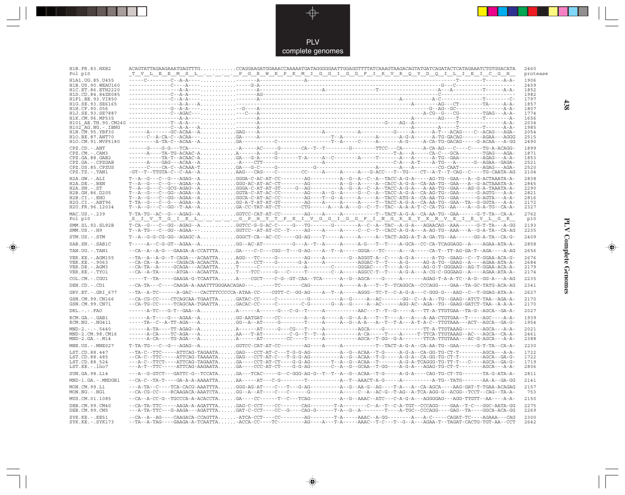

| H1B.FR.83.HXB2<br>Pol p10                    | ACAGTATTAGAAGAAATGAGTTTGCCAGGAAGATGGAAACCAAAAATGATAGGGGGAATTGGAGGTTTTATCAAAGTAAGACAGTATGATCAGATACTCATAGAAATCTGTGGACATA<br><u>T V L E E M S L P G R W K P K M I G G I G G F I K V R Q Y D Q I L I E I C G H</u>                                                                                                                                                                    | 2460<br>protease |
|----------------------------------------------|-----------------------------------------------------------------------------------------------------------------------------------------------------------------------------------------------------------------------------------------------------------------------------------------------------------------------------------------------------------------------------------|------------------|
| H1A1.UG.85.U455                              |                                                                                                                                                                                                                                                                                                                                                                                   | 1906             |
| H1B. US. 90. WEAU160<br>H1C. ET. 86. ETH2220 |                                                                                                                                                                                                                                                                                                                                                                                   | 2459<br>1852     |
| H1D.CD.84.84ZR085                            |                                                                                                                                                                                                                                                                                                                                                                                   | 1982             |
| H1F1.BE.93.VI850<br>H1G.SE.93.SE6165         |                                                                                                                                                                                                                                                                                                                                                                                   | 1797<br>1857     |
| H1H.CF.90.056                                |                                                                                                                                                                                                                                                                                                                                                                                   | 1807             |
| H1J.SE.93.SE7887                             |                                                                                                                                                                                                                                                                                                                                                                                   | 1774             |
| H1K.CM.96.MP535                              |                                                                                                                                                                                                                                                                                                                                                                                   | 1656<br>2034     |
| H102 AG.NG.-.IBNG                            |                                                                                                                                                                                                                                                                                                                                                                                   | 1985             |
| H1N.CM.95.YBF30<br>H10.BE.87.ANT70           |                                                                                                                                                                                                                                                                                                                                                                                   | 2054<br>2515     |
| H1O.CM.91.MVP5180                            |                                                                                                                                                                                                                                                                                                                                                                                   | 2490             |
| CPZ.CD. - . ANT                              |                                                                                                                                                                                                                                                                                                                                                                                   | 1899             |
| CPZ.CM.-.CAM3<br>CPZ.GA.88.GAB2              |                                                                                                                                                                                                                                                                                                                                                                                   | 1871<br>1853     |
| CPZ.GA. - . CPZGAB                           |                                                                                                                                                                                                                                                                                                                                                                                   | 2521             |
| CPZ.US.85.CPZUS<br>$CPZ.TZ.-.TAN1$           |                                                                                                                                                                                                                                                                                                                                                                                   | 2520<br>2104     |
| $H2A.GW.-.ALI$                               |                                                                                                                                                                                                                                                                                                                                                                                   | 2838             |
| $H2A.DE. - .BEN$                             |                                                                                                                                                                                                                                                                                                                                                                                   | 2845             |
| $H2A.SN.-.ST$                                | T--A--G---C--GCG-AGAG--AGGGA-C-AT-AT-GT-----G--AG------------A--G--A--C-A--TACC-A-G-A---A-AA-TG--GAA---AG-G-A-TAAATA-A-                                                                                                                                                                                                                                                           | 2290             |
| H2B.GH.86.D205<br>H2B.CI.-.EHO               |                                                                                                                                                                                                                                                                                                                                                                                   | 2821<br>2816     |
| H2G.CI.-.ABT96                               | $\verb T-TA-C--G--G--AGAA-A}\dots.\verb GG-A-T-AT-T-T-T-T-SG--A---A---A---A---T--T-TACC-A-G-A--CA-AG-A-TA-G-GTA---G-GT-A--CA-A-A-$                                                                                                                                                                                                                                                | 2172             |
| H2U.FR.96.12034                              | T--A--G--C--GG--T-AA--AGA-CC-TAT-AT-CT-------CTG------A---A---G--C--T--TAC--A-A-T-C-CA-TG--AA----A--G-A-TG--CA-A-                                                                                                                                                                                                                                                                 | 2327             |
| MAC.US. - . 239<br>Pol p10                   | $\verb T-TA-TG-AC-C---AGAG--A , \ldots, \ldots, \verb GGTCC-CAT-AT-CC----A-C---A---A----A----T---TACT-A-G-A--CA-AG-A-TG--GAA----G-T-TA-CA-A-$<br><u>SIVTGIBLGPHYTPKIVGGFINGKEYKNV</u> EIEVLGK                                                                                                                                                                                     | 2762<br>p10      |
| SMM.SL.92.SL92B<br>$SMM.US.-.H9$             |                                                                                                                                                                                                                                                                                                                                                                                   | 2193<br>2235     |
| STM.US.-.STM                                 |                                                                                                                                                                                                                                                                                                                                                                                   | 2409             |
| SAB.SN.-.SAB1C                               |                                                                                                                                                                                                                                                                                                                                                                                   | 2858             |
| TAN.UG. - . TAN1                             | --CA--A--A-G---GAAGA-A-CCATTTAGA----C-C---CGG--T---G-AG----A--T--A-----GGGA---TC-----A---A-----CA-T--TT-AG-GA-T--AGA----A-AG                                                                                                                                                                                                                                                      | 2656             |
| VER. KE. - . AGM155                          |                                                                                                                                                                                                                                                                                                                                                                                   | 2676             |
| VER. KE. - . 9063<br>VER.DE. - . AGM3        | $-\texttt{-CA}-\texttt{CA}-\texttt{A}-\texttt{CAGAC}-\texttt{ACAACTA} \ldots \ldots \texttt{A}-\texttt{---CCT---G}-\texttt{G}-\texttt{A---A}-\texttt{-A---A}-\texttt{C---A-GC-T--T---A-G---A-G-----AG-A-TG--\texttt{GAG--A----}-\texttt{AGAG--A-----AGAA-A-TA-A-1}$                                                                                                               | 2684<br>2179     |
| VER.KE. - TYO1                               | --CA--A-TA------ATGA---ACAATTAT----TCC----G---C-----T-------C--A-----AGGCC-T--T----A-G-A---A-CG-C-GGGAAG--A----AGAA-ATA-A-                                                                                                                                                                                                                                                        | 2174             |
| COL.CM.-.CGU1                                | -----T--TA-----GAAGA-G-TCAATTAA----CGCT----C-G--GT-CAA--TCA------A--G--AGCA----G----A-------AGAG-T-A-A-TC--A-G--GG-A---A-AG                                                                                                                                                                                                                                                       | 2235             |
| DEN.CD. - .CD1                               | --CA-TA---C----CAAGA-A-AAATTTGGGAACAGAG-------TC-------CAG------------A-A---T--TC-TCAGGCA--CCCAGG----GAA--TA-GC-TATG-ACA-AG                                                                                                                                                                                                                                                       | 2341             |
| GRV.ET. - . GRI 677                          | --TA--A-TC------A-GAC---CACTTTCCCCCA-ATAA-CC----CGTT-C--GG-AG----A--T--A-----AGGG--TC-T--C-A-G-A---C-GGG-G---AAG--C--T-GGAG-ATA-A-                                                                                                                                                                                                                                                | 2627             |
| GSN.CM.99.CN166<br>GSN.CM.99.CN71            | -CA-CG-CC----CTCAGCAA-TGAATTAGATAC-CC----C--------G---------A--G-----A--AC------GG--C--A-A--TG--GAAG--ATCT-TAA--AGA-A-<br>--CA-TG-CC-----TCAGCAA-TGAATTAGACAC-CC-----C--------C-G------G--A--G-----AC------AGG-AC--AGA--TG--GAAG-GATCT-TAA--A-A-A-                                                                                                                                | 2170<br>2170     |
|                                              |                                                                                                                                                                                                                                                                                                                                                                                   | 2027             |
| $DRL$ . - . - . $FAO$                        |                                                                                                                                                                                                                                                                                                                                                                                   | 1939             |
| RCM.GA.-.GAB1<br>$RCM.NG. -.NG411$           |                                                                                                                                                                                                                                                                                                                                                                                   | 1954             |
| $MND-2. - - - 5440$<br>MND-2.CM.98.CM16      |                                                                                                                                                                                                                                                                                                                                                                                   | 2021<br>2461     |
| $MND-2.GA.-.M14$                             |                                                                                                                                                                                                                                                                                                                                                                                   | 2388             |
| MNE.US.-.MNE027                              | $\verb T-TA-TG---C--G---AGAG--A ,\ldots,\ldots,\verb GGTCC-CAT-AT-CC----A-G--A---A---A----T--T-CT-A-G-A--CA-AG-A--CG-T-TA-CA-A--CA-A--A-CT-A-CA-A--A-CT-A-CA-A--A-CT-A-CA-A--A-CT-A-CA-A--A-CT-A-CA-A--A-CT-A-CA-A--A-CT-A-CA-A--A-CT-A-CA-A--A-CT-A-CA-A--A-CT-A-CA-A--A-CT-A-CA-A--A-CT-A-CA-A--A-CT-A-CA-A--A-CT-A-CA-A--A-CT-A-CA-A--A-CT-A-CA-A--A-CT-A-CA-A--A-CT-A-CA-A--$ | 2230             |
| LST.CD.88.447                                | --TA-C--TTC-----ATTCAG-TAGAATAGAG---CCT-AT-C---T-G-G-AG-----------A--G--ACAA--T-G------A-G-A--CA-GG-TG-CT-T--------AGCA---A-A-                                                                                                                                                                                                                                                    | 1722             |
| LST.CD.88.485                                | --CA-C--TTC-----ATTCAG-TAAAATAGAG---CCT-AT-C---T-G-G-AG-----------A-G--ACAA--T-G-----A-G-A--CA-GG-TG-CT-T---------AGCA--GA-G-                                                                                                                                                                                                                                                     | 1722             |
| LST.CD.88.524<br>LST.KE.-.lho7               | ---A-C--TTCT----ATTCAG-TAGAATAGA----CCT-AT-CT----G-G-AG-------T--A--G--ACAA--T-------A-G-A-TCAGGG-TG-TT-T---C----AGCA--GA-G-<br>---A-T--TTC-----ATTCAG-AAGAATAGA---CCC-AT-CT----G-G-AG-------C--A--G--GCAA--T-GG----A-G-A---AGAG-TG-CT-T---------AGCA---A-AG-                                                                                                                     | 1719<br>2806     |
| SUN.GA.98.L14                                | ---A--G-GTCT---GATTC-G--TCCATAGA---TCAC-----G--C-GGG-AG-G--T--T--A--G--ACAA--T-G-----A-G-A----CAG-TG-CT-TG-------TA-G-ATA-A-                                                                                                                                                                                                                                                      | 2811             |
| MND-1.GA.-.MNDGB1                            |                                                                                                                                                                                                                                                                                                                                                                                   | 2141             |
| MON.CM.99.L1                                 |                                                                                                                                                                                                                                                                                                                                                                                   | 2157             |
| $MON.NG. - . NG1$                            | --CA-CG-CC----RCAAGACA-AAATCTAGG--A--AT----C---C-----G-------------A----C--A--AC-G--T-AG--A-TCA-AGG-G--ACGG--TCCT--CAG--TA-A-                                                                                                                                                                                                                                                     | 753              |
| MUS.CM.01.1085                               | --CA--A-CC-G--TGCCCA-A-ACACCTAGA----CC------T--C---TCAG-----------A--G--AAAC--ATC---C-A-G-A---AGGGGAG---AGG-TTGTT--AA----A-A-                                                                                                                                                                                                                                                     | 2150             |
| DEB.CM.99.CM40<br>DEB.CM.99.CM5              | --CA-TA-TTC-----AAGA-A-AGATTTAGAG-C-CCT----CC-------CAG--------T-A-------C--A-T---C-A-TGT--CCCAGG----GAA--T-C---GGC-AATA-GG<br>---A-TA-TTC---G-AAGA---AGATTTAGAT-C-CCT----CC--G----CAG-G------T-A--G--A-------T----A-TGC--CCCAGG----GAG--TA----GGCA-ACA-GG                                                                                                                        | 2275<br>2269     |
| $SYK.KE. - .KE51$<br>$SYK.KE. - .SYK173$     | $-\texttt{-CA--A--AG---CAGACA-CCAGTTA.\dots.\_ATCA-CCT---CC----AC---A-G----AAAC--A-GG-----A-CG---A-C-A--AC-ACGAT-TC----AGAAA--CAG-AC-A-C-G.$<br>--TA--A-TAG----GAAGA-A-TCAATTA-ACCA-CC----TC--------AG----A---T-A-----AAAC--T-C---T--G--A--AGAA-T--TAGAT-CACTG-TGT-AA--CCT                                                                                                        | 2300<br>2642     |

◈

◈

438

**PLV Complete Genomes 438 PLV Complete Genomes** 

 $\overline{\blacklozenge}$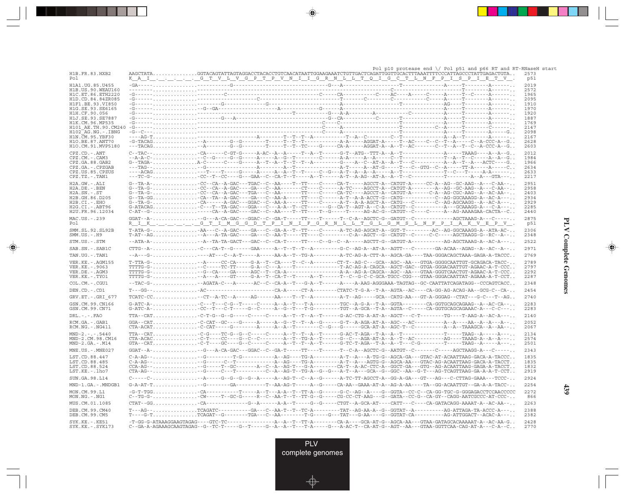|                                             | Pol p10 protease end $\setminus$ Pol p51 and p66 RT and RT-RNaseH start                                                                                                                                                                                                                                                                                                                                                                                                                                                                                                                                                                                             |              |
|---------------------------------------------|---------------------------------------------------------------------------------------------------------------------------------------------------------------------------------------------------------------------------------------------------------------------------------------------------------------------------------------------------------------------------------------------------------------------------------------------------------------------------------------------------------------------------------------------------------------------------------------------------------------------------------------------------------------------|--------------|
| H1B.FR.83.HXB2<br>Po l                      | ${\bf AAGCTATA.}\dots\dots\dots\dots{\bf GGTACAGTATTAGTAGGACCTGCCTGTCAACATTAATTGGAAGAAATCTGTTGACTCGATTGGTTGGCCTTTAATTTTCCCATTAGCCCTATTGAGACTGTA\dots$<br>KAI G T V L V G P T P V N I I G R N L L T Q I G C T L N F P I S P I E T V .                                                                                                                                                                                                                                                                                                                                                                                                                                | 2573<br>p51  |
| H1A1.UG.85.U455                             |                                                                                                                                                                                                                                                                                                                                                                                                                                                                                                                                                                                                                                                                     | 2019         |
| H1B. US. 90. WEAU160<br>H1C.ET.86.ETH2220   |                                                                                                                                                                                                                                                                                                                                                                                                                                                                                                                                                                                                                                                                     | 2572<br>1965 |
| H1D.CD.84.84ZR085                           |                                                                                                                                                                                                                                                                                                                                                                                                                                                                                                                                                                                                                                                                     | 2095         |
| H1F1.BE.93.VI850<br>H1G.SE.93.SE6165        |                                                                                                                                                                                                                                                                                                                                                                                                                                                                                                                                                                                                                                                                     | 1910<br>1970 |
| H1H.CF.90.056                               |                                                                                                                                                                                                                                                                                                                                                                                                                                                                                                                                                                                                                                                                     | 1920         |
| H1J.SE.93.SE7887                            |                                                                                                                                                                                                                                                                                                                                                                                                                                                                                                                                                                                                                                                                     | 1887         |
| H1K.CM.96.MP535<br>H101 AE.TH.90.CM240      | $-G -$<br>$-G - - - -$                                                                                                                                                                                                                                                                                                                                                                                                                                                                                                                                                                                                                                              | 1769<br>2147 |
| $H102-AG.NG. - .IBNG$                       | $-G - C -$                                                                                                                                                                                                                                                                                                                                                                                                                                                                                                                                                                                                                                                          | 2098         |
| H1N. CM. 95. YBF30<br>H10.BE.87.ANT70       |                                                                                                                                                                                                                                                                                                                                                                                                                                                                                                                                                                                                                                                                     | 2167<br>2628 |
| H1O.CM.91.MVP5180                           | -------T-----T--T--TC----G-----CA-A-----AGGAT-A--A--T--AC-------C--T--A--T--C--A-CCC-A--G                                                                                                                                                                                                                                                                                                                                                                                                                                                                                                                                                                           | 2603         |
| $\mathtt{CPZ}$ . $\mathtt{CD}$ .<br>- . ANT | $C-TRC-1, , , $ $-CA---C-GT-G---A-AC---A-AC---T-A-1---T--A-CT---G-T--ATG--TTTA-A--T---1---C-A---TAAAG---A--A--A--A--C-.$                                                                                                                                                                                                                                                                                                                                                                                                                                                                                                                                            | 2012         |
| CPZ.CM. - . CAM3                            |                                                                                                                                                                                                                                                                                                                                                                                                                                                                                                                                                                                                                                                                     | 1984         |
| CPZ.GA.88.GAB2<br>CPZ.GA. - . CPZGAB        |                                                                                                                                                                                                                                                                                                                                                                                                                                                                                                                                                                                                                                                                     | 1966<br>2634 |
| CPZ.US.85.CPZUS                             |                                                                                                                                                                                                                                                                                                                                                                                                                                                                                                                                                                                                                                                                     | 2633         |
| CPZ.TZ.-.TAN1                               |                                                                                                                                                                                                                                                                                                                                                                                                                                                                                                                                                                                                                                                                     | 2217         |
| H2A.GW.-.ALI<br>H2A.DE. - . BEN             | G--TA-A--CC--CA--A-GAC---TGAC--C--AA----T--TT----CA-T----AGCCT-A--CATGT-A----CC-A--AG--GC-AAG--A---C-AA--<br>G--TA-G-CC--CA--A-GAC----GA----C--AA-------CT----C------A-TC----AGCCT-A--CATGT-A--------A--AG--GC-AAG--A---C-AA--                                                                                                                                                                                                                                                                                                                                                                                                                                      | 2951<br>2958 |
| $H2A.SN.-.ST$                               |                                                                                                                                                                                                                                                                                                                                                                                                                                                                                                                                                                                                                                                                     | 2403         |
| H2B.GH.86.D205                              | G--TA-GGCA--TA--A-GAC----GA---C--AA-A-----TT----C------A-T--A-ACCT-G--CATG---------C--AG-GGCAAAGG-A--AC-A---                                                                                                                                                                                                                                                                                                                                                                                                                                                                                                                                                        | 2934         |
| H2B.CI.-.EHO<br>$H2G.CI.-.ABT96$            |                                                                                                                                                                                                                                                                                                                                                                                                                                                                                                                                                                                                                                                                     | 2929<br>2285 |
| H2U.FR.96.12034                             |                                                                                                                                                                                                                                                                                                                                                                                                                                                                                                                                                                                                                                                                     | 2440         |
| MAC.US.-.239<br>Pol                         |                                                                                                                                                                                                                                                                                                                                                                                                                                                                                                                                                                                                                                                                     | 2875<br>p51  |
| SMM. SL. 92. SL92B                          | T-ATA-G-AA---C--A-GAC----GA---C--GA-A--T--TT----C------A-TC-AG-AGCAT-A--GGT-T---------AC--AG-GGCAAAGG-A--ATA-AC-                                                                                                                                                                                                                                                                                                                                                                                                                                                                                                                                                    | 2306         |
| $SMM.US.-.H9$                               | T-AT--AG--A---A-GAC----GA---C--AA-T-----TT----C-A-------CC-A--AGCT--C-----C-C------AGCTAAGG-G--RC--A--                                                                                                                                                                                                                                                                                                                                                                                                                                                                                                                                                              | 2348         |
| STM.US.-.STM                                |                                                                                                                                                                                                                                                                                                                                                                                                                                                                                                                                                                                                                                                                     | 2522         |
| SAB.SN.-.SAB1C                              | $CTTG - A - \ldots \ldots \ldots \ldots \ldots \ldots \ldots \ldots \ldots$                                                                                                                                                                                                                                                                                                                                                                                                                                                                                                                                                                                         | 2971         |
| TAN.UG. - . TAN1                            | --A---G- ----AT---C--A-T----A-----AA-A--T--TG-A--------A-TC-AG-A-CTT-A--AGCA-GA----TAA-GGGACACACTAAA-GAGA-A-TACCC                                                                                                                                                                                                                                                                                                                                                                                                                                                                                                                                                   | 2769         |
| VER. KE. - . AGM155                         | $T-TTA-G-$ -A----CC-CA-----G-A--T--CA---T--C--A-------CT-T--AG-C--GCA--AGC--AA---GTGA-GGGGCAATTGT-GCAGACA-TACC-                                                                                                                                                                                                                                                                                                                                                                                                                                                                                                                                                     | 2789         |
| VER.KE. - . 9063                            | $\verb+TTTC-G+ \verb++++--CC--TTC-TT---G-A-C--A--C--A--T---------T-AC-AG-A-CAGCA--AGC-A-CGAC--GGCC--GFGACAGATTGT-AGAC-A-T-CCC. .$                                                                                                                                                                                                                                                                                                                                                                                                                                                                                                                                   | 2797         |
| VER.DE. - . AGM3<br>VER.KE. - . TYO1        | $\verb+TTTC-G+ \verb+++++A---A---G+----G-A--T-C-A--T--C-A--T-----A--T------T--C--G-C-C-GCA-TGCC-CGG---GTAA-GGACAATTAT-AGAAA-A-T-CCT.$                                                                                                                                                                                                                                                                                                                                                                                                                                                                                                                               | 2292<br>2287 |
| COL.CM. - . CGU1                            | --TAC-G--AGATA-C---A------AC--C--CA-A--T---G-A--T-----A-AAG-AGGGAAA-TAGTAG--GC-CAATTATCAGATAGG--CCCAGTCACC                                                                                                                                                                                                                                                                                                                                                                                                                                                                                                                                                          | 2348         |
| DEN.CD. - . CD1                             |                                                                                                                                                                                                                                                                                                                                                                                                                                                                                                                                                                                                                                                                     | 2454         |
| GRV.ET. - . GRI 677                         |                                                                                                                                                                                                                                                                                                                                                                                                                                                                                                                                                                                                                                                                     | 2740         |
| GSN.CM.99.CN166                             |                                                                                                                                                                                                                                                                                                                                                                                                                                                                                                                                                                                                                                                                     | 2283         |
| GSN.CM.99.CN71                              | $G-ATC-A-$ -C---T---C-G--T-----C-----A--A--T---T-A-------TGC--A-G-A--T-A--GGTA--------CA-GGTGCAGCAGAAG--A--AC-CA--<br>$G-ATC-A-$ CC--T---C-T-----G--C------A--G--T---T-G--------TGT--A-GCA--T-A--AGTA--C-----CA-GGTGCAGCAGAAAC-A---C-C---                                                                                                                                                                                                                                                                                                                                                                                                                           | 2283         |
| $DRL. - . - . FAO$                          | TTA--CAT-C-T-G--G------C-----C-----A--T--T--A--T-----G-AC-CTG-A-AT-A--AGCT---C-T--------TG----T-AAG-A--AC-A----                                                                                                                                                                                                                                                                                                                                                                                                                                                                                                                                                     | 2140         |
| RCM.GA.-.GAB1<br>$RCM.NG. - . NG411$        |                                                                                                                                                                                                                                                                                                                                                                                                                                                                                                                                                                                                                                                                     | 2052<br>2067 |
| $MND-2. - - - 5440$                         |                                                                                                                                                                                                                                                                                                                                                                                                                                                                                                                                                                                                                                                                     | 2134         |
| MND-2.CM.98.CM16<br>$MND-2.GA.-.M14$        |                                                                                                                                                                                                                                                                                                                                                                                                                                                                                                                                                                                                                                                                     | 2574<br>2501 |
| MNE.US. - . MNE027                          |                                                                                                                                                                                                                                                                                                                                                                                                                                                                                                                                                                                                                                                                     | 2343         |
| LST.CD.88.447                               | $C - A - AG - -      $<br>. - - - A - - AG - - - - TG - A - - - - - - - - - - A - - - A - - TG - G - - AGCA - GA - - - GTAC - AT - ACAATTAAG - GACA - A - TACCC                                                                                                                                                                                                                                                                                                                                                                                                                                                                                                     | 1835         |
| LST.CD.88.485                               |                                                                                                                                                                                                                                                                                                                                                                                                                                                                                                                                                                                                                                                                     | 1835         |
| LST.CD.88.524<br>LST.KE.-.lho7              | CCA-AG---G-----T--GC------A--C--A--AG-T---G-A------CA-T--A-AC-CTC-A--GGCT-GA---GTG--AG-ACAATTAAG-GAGA-A-TACCT<br>$\verb CTA-AG--\dots\dots\dots\dots\dots\dots-\text{G---}\dots-\text{C---}\dots-\text{C---}\dots-\text{C---}\dots-\text{A---}\dots-\text{G---}\dots-\text{A---}\dots-\text{G---}\dots-\text{G---}\dots-\text{G---}\dots-\text{G---}\dots-\text{G---}\dots-\text{G---}\dots-\text{G---}\dots-\text{G---}\dots-\text{G---}\dots-\text{G---}\dots-\text{G---}\dots-\text{G---}\dots-\text{G---}\dots-\text{G---}\dots-\text{G---}\dots-\text{G---}\dots-\text{G---}\dots-\text{G---}\dots-\text{G---}\dots-\text{G---}\dots-\text{G---}\dots-\text{G$ | 1832<br>2919 |
| SUN.GA.98.L14                               | C-----C-                                                                                                                                                                                                                                                                                                                                                                                                                                                                                                                                                                                                                                                            | 2924         |
| MND-1.GA.-.MNDGB1                           |                                                                                                                                                                                                                                                                                                                                                                                                                                                                                                                                                                                                                                                                     | 2254         |
|                                             | $-G-T-TCG$                                                                                                                                                                                                                                                                                                                                                                                                                                                                                                                                                                                                                                                          | 2272         |
| MON.CM.99.L1<br>$MON.NG. - . NG1$           | -CA----------T----A--T---A-A--T--T-A-G-----G-C--AG--A----G-GGTA--CC-C--CA-GG-TGC-G-GGGAGACCTCCAACCCCC<br>C--TG-G-CW-----T--GC-G-----R--C--AA-T--T--TT-G--G-----CG-CC-CT-AAG---G--GATA--CC-G--CA-GY--CAGG-AATCGCCC-AT-CCC-                                                                                                                                                                                                                                                                                                                                                                                                                                           | 866          |
| MUS.CM.01.1085                              | $\texttt{CTAT-GG} \dots\dots\dots\dots\dots \texttt{-CA--}\dots \texttt{-CA--}\dots \texttt{-G-A--}\dots \texttt{-A-A--}\dots \texttt{-G--}\dots \texttt{-G--}\dots \texttt{-CTGT--}\n- A-GCA-AT---\texttt{CAT}-\dots \texttt{-CA-T--}\dots \texttt{-CA-TACAGG}-\texttt{AAAT-A--}\n- A-A--\dots \texttt{-A-A--}\n- A-A--\dots \texttt{-G--}\n- A-GA-T--\dots \texttt{-CTG-T--}\n- A-GA-T--\dots \texttt{-CTG-T--}\n- A-GA-T--\dots \texttt{-CTG-T--}\n- A-GA-T--\dots \texttt{-CTG$                                                                                                                                                                                 | 2263         |
| DEB. CM. 99. CM40<br>DEB.CM.99.CM5          |                                                                                                                                                                                                                                                                                                                                                                                                                                                                                                                                                                                                                                                                     | 2388<br>2382 |
| SYK.KE. - . KE51                            |                                                                                                                                                                                                                                                                                                                                                                                                                                                                                                                                                                                                                                                                     | 2428         |
| SYK.KE. - . SYK173                          | $C-GR-A-AGAAGCAAGTAGTG-G--TC-T---G--T---G-A-A--T--T-A---G---A-A-C-T--CA-AT-G--AGT--AA---GTRA-GGTICAA-GGTCAA-CG-A-T-A---C-A---C-A--C-.$                                                                                                                                                                                                                                                                                                                                                                                                                                                                                                                              | 2770         |

<u>a shekara ta 1989 na shekara ta 1989 na shekara ta 1989 na shekara ta 1989 na shekara ta 1989 na shekara ta 1989 na shekara ta 1989 na shekara ta 1989 na shekara ta 1989 na shekara ta 1989 na shekara ta 1989 na shekara ta</u>

 $\overrightarrow{\phantom{a}}$ 

 $\overline{\neg}$ 

**PLV Complete Genomes PLV Complete Genomes**

 $\begin{picture}(20,5) \put(0,0){\line(1,0){10}} \put(15,0){\line(1,0){10}} \put(15,0){\line(1,0){10}} \put(15,0){\line(1,0){10}} \put(15,0){\line(1,0){10}} \put(15,0){\line(1,0){10}} \put(15,0){\line(1,0){10}} \put(15,0){\line(1,0){10}} \put(15,0){\line(1,0){10}} \put(15,0){\line(1,0){10}} \put(15,0){\line(1,0){10}} \put(15,0){\line(1,$ 

 $\overline{\phantom{0}}$ 

E

<u>a ma</u>

H

**439**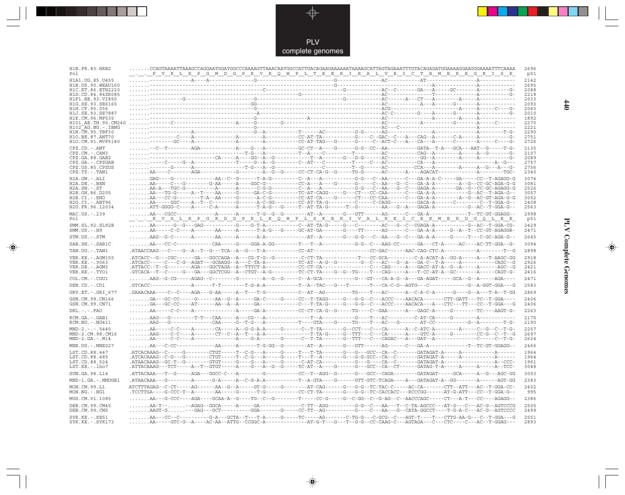

--

 $\overrightarrow{\mathbf{\P}}$ 

 $\begin{tabular}{c} \hline \quad \quad & \quad \quad \\ \hline \quad \quad & \quad \quad \\ \hline \end{tabular}$ 

| 2142<br>H1A1.UG.85.U455<br>2695<br>H1B.US.90.WEAU160<br>2088<br>H1C.ET.86.ETH2220<br>2218<br>H1D.CD.84.84ZR085<br>2033<br>H1F1.BE.93.VI850<br>H1G.SE.93.SE6165<br>2093<br>2043<br>H1H.CF.90.056<br>2010<br>H1J.SE.93.SE7887<br>H1K.CM.96.MP535<br>1892<br>H101 AE.TH.90.CM240<br>2270<br>H102 AG.NG.-.IBNG<br>2221<br>H1N.CM.95.YBF30<br>2290<br>2751<br>H10.BE.87.ANT70<br>2726<br>H1O.CM.91.MVP5180<br>2135<br>$CPZ$ . $CD$ . $-ANT$<br>2107<br>CPZ.CM.-.CAM3<br>2089<br>CPZ.GA.88.GAB2<br>2757<br>CPZ.GA. - . CPZGAB<br>2756<br>CPZ.US.85.CPZUS<br>2340<br>$CPZ.TZ.-.TAN1$<br>$\ldots \ldots \ldots \text{GAG}--\text{-G}--\text{-}\ldots \text{-}\ldots \text{-AA}-\text{C}-\text{G}-\text{-}\text{-}-\text{-}+\text{-A}-\text{G}-\text{-}\ldots \text{-}-\text{-}+\text{-}+\text{-}+\text{-}\ldots \text{-}\text{-}\text{-}-\text{-}-\text{-}+\text{A}-\text{-}\text{-}-\text{-}-\text{G}-\text{-}+\text{A}-\text{-}-\text{-}-\text{-}-\text{G-A}-\text{A}-\text{C}-\text{-}-\text{-}-\text{G-A}-\text{-}-\text{C}-\text{-}+\text{GAGG}-\text{G}-\text{G}-\text$<br>3074<br>$H2A.GW.-.ALI$<br>H2A.DE. - .BEN<br>3081<br>2526<br>$H2A.SN.-.ST$<br>H2B.GH.86.D205<br>3057<br>AA---CC-G---------T-A--AA-----G------A-C-G---------CC-AT-CA-----G-------CT---CC-CAA-------C---GA-A-A---------A--G--AC-GT-AGA-G-G<br>$H2B.CI.-EHO$<br>3052<br>H2G.CI. - . ABT96<br>AA-----GGC----A--T--C--------G------A-C-GG--------CC-AT-TA-G---------C-C-C-AGG---------GACA-A------C-------C--T-GGA-G--<br>2408<br>H2U.FR.96.12034<br>2563<br>2998<br>MAC.US.-.239<br>p51<br>Po 1<br>SMM.SL.92.SL92B<br>2429<br>$SMM.US.-.H9$<br>2471<br>STM.US.-.STM<br>2645<br>3094<br>SAB.SN.-.SAB1C<br>TAN.UG. - . TAN1<br>2898<br>VER. KE. - . AGM155<br>2918<br>VER.KE. - . 9063<br>2926<br>VER.DE. - . AGM3<br>2421<br>.GTCACA--T--C-----G---GA---GGCTCGG--A--CTGT--A-G---------TC-CT-TA----G--G--TG-----T---CAG-----A---T-CC-AT-A--GC-------A-----CAGT-G-<br>VER.KE.-.TYO1<br>2416<br>2471<br>COL.CM.-.CGU1<br>DEN.CD. - .CD1<br>2583<br>2869<br>GRV.ET. - .GRI 677<br>2406<br>GSN.CM.99.CN166<br>$\ldots \ldots \ldots \text{GA---GC-CC-----G----AA--G---A----GA--C----GA-C----G----CG----T-TAGG----G----G---G---ACC----AACACA------CTT-GATT---T-GAA----G--G---G---G---ACACACA----G---CTT-GATT----G---GG---C---ACACACA----G---CTT-GATT----G---GG---C---ACACACA----G---CTT-GATT----G---GG---C---ACACACA----G---CTT-GATT----G---GG---C---ACACACA----G---CTT-GATT----G---GG---C---ACACACA----G$<br>GSN.CM.99.CN71<br>2406<br>$DRL - - -$ . $FAO$<br>2263<br>2175<br>RCM.GA.-.GAB1<br>2190<br>RCM.NG. - . NG411<br>AA-----C-C----A-------CA------A--G-G-A-A-----G------C--T-TA-------G--CCT---C---CA-------A--C-ATC-A-------A-----C--G--C--T-G--<br>2257<br>$MND-2. - - - 5440$<br>MND-2.CM.98.CM16<br>2697<br>$MND-2.GA.-.M14$<br>2624<br>MNE.US.-.MNE027<br>2466<br>1964<br>LST.CD.88.447<br>.ATCACAAAG--C-G---G--------CTGT-----T--C-G---A-----G----T---T--A-------G---G-G-GCC--CA--C-------GATAGAT-A-----A---------A-------<br>1964<br>LST.CD.88.485<br>LST.CD.88.524<br>1961<br>LST.KE.-.lho7<br>3048<br>3053<br>SUN.GA.98.L14<br>MND-1.GA.-.MNDGB1<br>2383<br>ATCTTTAGAG--C-CT-----AG------AA--G--A-----GT-G-----G-------AT-CAG-----G-G--TC-TAC-C-----AC-CA------CTT--ATT---AC--T-GGA-CC-<br>2402<br>MON.CM.99.L1<br>MON.NG. - . NG1<br>.TCCTTGA----G-CCC-T--A-------AA-----G-----T-G--------CC-CT-TA------G---G---C-CT-CACCACC---RCCCGG------AT-G-ATT---CC--T-GGA-G--<br>995<br>2386<br>MUS.CM.01.1085<br>$\ldots \ldots$ . AA---G-CCC----AGA----GCAA-A--G----TG--C--G-------T----CC-G-----G--C-GG--C--G-AG--C--AACCCAGC-----CT---A-T---CC----AGAGG--<br>2505<br>DEB.CM.99.CM40<br>2499<br>DEB.CM.99.CM5<br>2551<br>$SYK.KE. - .KE51$<br>SYK.KE. - . SYK173<br>2893 | H1B.FR.83.HXB2 | $\ldots \ldots \ldots$ CCAGTAAAATTAAAGCCAGGAATGGATGGCCCAAAAGTTAAACAATGGCCATTGACAGAAGAAAAAATAAAAGCATTAGTAGAAATTTGTACAGAGATGGAAAAGGAAAAGTTCAAAA $\cdot \ldots \ldots$ | 2696<br>p51 |
|---------------------------------------------------------------------------------------------------------------------------------------------------------------------------------------------------------------------------------------------------------------------------------------------------------------------------------------------------------------------------------------------------------------------------------------------------------------------------------------------------------------------------------------------------------------------------------------------------------------------------------------------------------------------------------------------------------------------------------------------------------------------------------------------------------------------------------------------------------------------------------------------------------------------------------------------------------------------------------------------------------------------------------------------------------------------------------------------------------------------------------------------------------------------------------------------------------------------------------------------------------------------------------------------------------------------------------------------------------------------------------------------------------------------------------------------------------------------------------------------------------------------------------------------------------------------------------------------------------------------------------------------------------------------------------------------------------------------------------------------------------------------------------------------------------------------------------------------------------------------------------------------------------------------------------------------------------------------------------------------------------------------------------------------------------------------------------------------------------------------------------------------------------------------------------------------------------------------------------------------------------------------------------------------------------------------------------------------------------------------------------------------------------------------------------------------------------------------------------------------------------------------------------------------------------------------------------------------------------------------------------------------------------------------------------------------------------------------------------------------------------------------------------------------------------------------------------------------------------------------------------------------------------------------------------------------------------------------------------------------------------------------------------------------------------------------------------------------------------------------------------------------------------------------------------------------------------------------------------------------------------------------------------------------------------------------------------------------------------------------------------------------------------------------------------------------------------------------------------------------------------------------------------------------------------------------------------------------------------------------------------------------------------------------------------------------------------------------------------------------------|----------------|---------------------------------------------------------------------------------------------------------------------------------------------------------------------|-------------|
|                                                                                                                                                                                                                                                                                                                                                                                                                                                                                                                                                                                                                                                                                                                                                                                                                                                                                                                                                                                                                                                                                                                                                                                                                                                                                                                                                                                                                                                                                                                                                                                                                                                                                                                                                                                                                                                                                                                                                                                                                                                                                                                                                                                                                                                                                                                                                                                                                                                                                                                                                                                                                                                                                                                                                                                                                                                                                                                                                                                                                                                                                                                                                                                                                                                                                                                                                                                                                                                                                                                                                                                                                                                                                                                                                   |                |                                                                                                                                                                     |             |
|                                                                                                                                                                                                                                                                                                                                                                                                                                                                                                                                                                                                                                                                                                                                                                                                                                                                                                                                                                                                                                                                                                                                                                                                                                                                                                                                                                                                                                                                                                                                                                                                                                                                                                                                                                                                                                                                                                                                                                                                                                                                                                                                                                                                                                                                                                                                                                                                                                                                                                                                                                                                                                                                                                                                                                                                                                                                                                                                                                                                                                                                                                                                                                                                                                                                                                                                                                                                                                                                                                                                                                                                                                                                                                                                                   |                |                                                                                                                                                                     |             |
|                                                                                                                                                                                                                                                                                                                                                                                                                                                                                                                                                                                                                                                                                                                                                                                                                                                                                                                                                                                                                                                                                                                                                                                                                                                                                                                                                                                                                                                                                                                                                                                                                                                                                                                                                                                                                                                                                                                                                                                                                                                                                                                                                                                                                                                                                                                                                                                                                                                                                                                                                                                                                                                                                                                                                                                                                                                                                                                                                                                                                                                                                                                                                                                                                                                                                                                                                                                                                                                                                                                                                                                                                                                                                                                                                   |                |                                                                                                                                                                     |             |
|                                                                                                                                                                                                                                                                                                                                                                                                                                                                                                                                                                                                                                                                                                                                                                                                                                                                                                                                                                                                                                                                                                                                                                                                                                                                                                                                                                                                                                                                                                                                                                                                                                                                                                                                                                                                                                                                                                                                                                                                                                                                                                                                                                                                                                                                                                                                                                                                                                                                                                                                                                                                                                                                                                                                                                                                                                                                                                                                                                                                                                                                                                                                                                                                                                                                                                                                                                                                                                                                                                                                                                                                                                                                                                                                                   |                |                                                                                                                                                                     |             |
|                                                                                                                                                                                                                                                                                                                                                                                                                                                                                                                                                                                                                                                                                                                                                                                                                                                                                                                                                                                                                                                                                                                                                                                                                                                                                                                                                                                                                                                                                                                                                                                                                                                                                                                                                                                                                                                                                                                                                                                                                                                                                                                                                                                                                                                                                                                                                                                                                                                                                                                                                                                                                                                                                                                                                                                                                                                                                                                                                                                                                                                                                                                                                                                                                                                                                                                                                                                                                                                                                                                                                                                                                                                                                                                                                   |                |                                                                                                                                                                     |             |
|                                                                                                                                                                                                                                                                                                                                                                                                                                                                                                                                                                                                                                                                                                                                                                                                                                                                                                                                                                                                                                                                                                                                                                                                                                                                                                                                                                                                                                                                                                                                                                                                                                                                                                                                                                                                                                                                                                                                                                                                                                                                                                                                                                                                                                                                                                                                                                                                                                                                                                                                                                                                                                                                                                                                                                                                                                                                                                                                                                                                                                                                                                                                                                                                                                                                                                                                                                                                                                                                                                                                                                                                                                                                                                                                                   |                |                                                                                                                                                                     |             |
|                                                                                                                                                                                                                                                                                                                                                                                                                                                                                                                                                                                                                                                                                                                                                                                                                                                                                                                                                                                                                                                                                                                                                                                                                                                                                                                                                                                                                                                                                                                                                                                                                                                                                                                                                                                                                                                                                                                                                                                                                                                                                                                                                                                                                                                                                                                                                                                                                                                                                                                                                                                                                                                                                                                                                                                                                                                                                                                                                                                                                                                                                                                                                                                                                                                                                                                                                                                                                                                                                                                                                                                                                                                                                                                                                   |                |                                                                                                                                                                     |             |
|                                                                                                                                                                                                                                                                                                                                                                                                                                                                                                                                                                                                                                                                                                                                                                                                                                                                                                                                                                                                                                                                                                                                                                                                                                                                                                                                                                                                                                                                                                                                                                                                                                                                                                                                                                                                                                                                                                                                                                                                                                                                                                                                                                                                                                                                                                                                                                                                                                                                                                                                                                                                                                                                                                                                                                                                                                                                                                                                                                                                                                                                                                                                                                                                                                                                                                                                                                                                                                                                                                                                                                                                                                                                                                                                                   |                |                                                                                                                                                                     |             |
|                                                                                                                                                                                                                                                                                                                                                                                                                                                                                                                                                                                                                                                                                                                                                                                                                                                                                                                                                                                                                                                                                                                                                                                                                                                                                                                                                                                                                                                                                                                                                                                                                                                                                                                                                                                                                                                                                                                                                                                                                                                                                                                                                                                                                                                                                                                                                                                                                                                                                                                                                                                                                                                                                                                                                                                                                                                                                                                                                                                                                                                                                                                                                                                                                                                                                                                                                                                                                                                                                                                                                                                                                                                                                                                                                   |                |                                                                                                                                                                     |             |
|                                                                                                                                                                                                                                                                                                                                                                                                                                                                                                                                                                                                                                                                                                                                                                                                                                                                                                                                                                                                                                                                                                                                                                                                                                                                                                                                                                                                                                                                                                                                                                                                                                                                                                                                                                                                                                                                                                                                                                                                                                                                                                                                                                                                                                                                                                                                                                                                                                                                                                                                                                                                                                                                                                                                                                                                                                                                                                                                                                                                                                                                                                                                                                                                                                                                                                                                                                                                                                                                                                                                                                                                                                                                                                                                                   |                |                                                                                                                                                                     |             |
|                                                                                                                                                                                                                                                                                                                                                                                                                                                                                                                                                                                                                                                                                                                                                                                                                                                                                                                                                                                                                                                                                                                                                                                                                                                                                                                                                                                                                                                                                                                                                                                                                                                                                                                                                                                                                                                                                                                                                                                                                                                                                                                                                                                                                                                                                                                                                                                                                                                                                                                                                                                                                                                                                                                                                                                                                                                                                                                                                                                                                                                                                                                                                                                                                                                                                                                                                                                                                                                                                                                                                                                                                                                                                                                                                   |                |                                                                                                                                                                     |             |
|                                                                                                                                                                                                                                                                                                                                                                                                                                                                                                                                                                                                                                                                                                                                                                                                                                                                                                                                                                                                                                                                                                                                                                                                                                                                                                                                                                                                                                                                                                                                                                                                                                                                                                                                                                                                                                                                                                                                                                                                                                                                                                                                                                                                                                                                                                                                                                                                                                                                                                                                                                                                                                                                                                                                                                                                                                                                                                                                                                                                                                                                                                                                                                                                                                                                                                                                                                                                                                                                                                                                                                                                                                                                                                                                                   |                |                                                                                                                                                                     |             |
|                                                                                                                                                                                                                                                                                                                                                                                                                                                                                                                                                                                                                                                                                                                                                                                                                                                                                                                                                                                                                                                                                                                                                                                                                                                                                                                                                                                                                                                                                                                                                                                                                                                                                                                                                                                                                                                                                                                                                                                                                                                                                                                                                                                                                                                                                                                                                                                                                                                                                                                                                                                                                                                                                                                                                                                                                                                                                                                                                                                                                                                                                                                                                                                                                                                                                                                                                                                                                                                                                                                                                                                                                                                                                                                                                   |                |                                                                                                                                                                     |             |
|                                                                                                                                                                                                                                                                                                                                                                                                                                                                                                                                                                                                                                                                                                                                                                                                                                                                                                                                                                                                                                                                                                                                                                                                                                                                                                                                                                                                                                                                                                                                                                                                                                                                                                                                                                                                                                                                                                                                                                                                                                                                                                                                                                                                                                                                                                                                                                                                                                                                                                                                                                                                                                                                                                                                                                                                                                                                                                                                                                                                                                                                                                                                                                                                                                                                                                                                                                                                                                                                                                                                                                                                                                                                                                                                                   |                |                                                                                                                                                                     |             |
|                                                                                                                                                                                                                                                                                                                                                                                                                                                                                                                                                                                                                                                                                                                                                                                                                                                                                                                                                                                                                                                                                                                                                                                                                                                                                                                                                                                                                                                                                                                                                                                                                                                                                                                                                                                                                                                                                                                                                                                                                                                                                                                                                                                                                                                                                                                                                                                                                                                                                                                                                                                                                                                                                                                                                                                                                                                                                                                                                                                                                                                                                                                                                                                                                                                                                                                                                                                                                                                                                                                                                                                                                                                                                                                                                   |                |                                                                                                                                                                     |             |
|                                                                                                                                                                                                                                                                                                                                                                                                                                                                                                                                                                                                                                                                                                                                                                                                                                                                                                                                                                                                                                                                                                                                                                                                                                                                                                                                                                                                                                                                                                                                                                                                                                                                                                                                                                                                                                                                                                                                                                                                                                                                                                                                                                                                                                                                                                                                                                                                                                                                                                                                                                                                                                                                                                                                                                                                                                                                                                                                                                                                                                                                                                                                                                                                                                                                                                                                                                                                                                                                                                                                                                                                                                                                                                                                                   |                |                                                                                                                                                                     |             |
|                                                                                                                                                                                                                                                                                                                                                                                                                                                                                                                                                                                                                                                                                                                                                                                                                                                                                                                                                                                                                                                                                                                                                                                                                                                                                                                                                                                                                                                                                                                                                                                                                                                                                                                                                                                                                                                                                                                                                                                                                                                                                                                                                                                                                                                                                                                                                                                                                                                                                                                                                                                                                                                                                                                                                                                                                                                                                                                                                                                                                                                                                                                                                                                                                                                                                                                                                                                                                                                                                                                                                                                                                                                                                                                                                   |                |                                                                                                                                                                     |             |
|                                                                                                                                                                                                                                                                                                                                                                                                                                                                                                                                                                                                                                                                                                                                                                                                                                                                                                                                                                                                                                                                                                                                                                                                                                                                                                                                                                                                                                                                                                                                                                                                                                                                                                                                                                                                                                                                                                                                                                                                                                                                                                                                                                                                                                                                                                                                                                                                                                                                                                                                                                                                                                                                                                                                                                                                                                                                                                                                                                                                                                                                                                                                                                                                                                                                                                                                                                                                                                                                                                                                                                                                                                                                                                                                                   |                |                                                                                                                                                                     |             |
|                                                                                                                                                                                                                                                                                                                                                                                                                                                                                                                                                                                                                                                                                                                                                                                                                                                                                                                                                                                                                                                                                                                                                                                                                                                                                                                                                                                                                                                                                                                                                                                                                                                                                                                                                                                                                                                                                                                                                                                                                                                                                                                                                                                                                                                                                                                                                                                                                                                                                                                                                                                                                                                                                                                                                                                                                                                                                                                                                                                                                                                                                                                                                                                                                                                                                                                                                                                                                                                                                                                                                                                                                                                                                                                                                   |                |                                                                                                                                                                     |             |
|                                                                                                                                                                                                                                                                                                                                                                                                                                                                                                                                                                                                                                                                                                                                                                                                                                                                                                                                                                                                                                                                                                                                                                                                                                                                                                                                                                                                                                                                                                                                                                                                                                                                                                                                                                                                                                                                                                                                                                                                                                                                                                                                                                                                                                                                                                                                                                                                                                                                                                                                                                                                                                                                                                                                                                                                                                                                                                                                                                                                                                                                                                                                                                                                                                                                                                                                                                                                                                                                                                                                                                                                                                                                                                                                                   |                |                                                                                                                                                                     |             |
|                                                                                                                                                                                                                                                                                                                                                                                                                                                                                                                                                                                                                                                                                                                                                                                                                                                                                                                                                                                                                                                                                                                                                                                                                                                                                                                                                                                                                                                                                                                                                                                                                                                                                                                                                                                                                                                                                                                                                                                                                                                                                                                                                                                                                                                                                                                                                                                                                                                                                                                                                                                                                                                                                                                                                                                                                                                                                                                                                                                                                                                                                                                                                                                                                                                                                                                                                                                                                                                                                                                                                                                                                                                                                                                                                   |                |                                                                                                                                                                     |             |
|                                                                                                                                                                                                                                                                                                                                                                                                                                                                                                                                                                                                                                                                                                                                                                                                                                                                                                                                                                                                                                                                                                                                                                                                                                                                                                                                                                                                                                                                                                                                                                                                                                                                                                                                                                                                                                                                                                                                                                                                                                                                                                                                                                                                                                                                                                                                                                                                                                                                                                                                                                                                                                                                                                                                                                                                                                                                                                                                                                                                                                                                                                                                                                                                                                                                                                                                                                                                                                                                                                                                                                                                                                                                                                                                                   |                |                                                                                                                                                                     |             |
|                                                                                                                                                                                                                                                                                                                                                                                                                                                                                                                                                                                                                                                                                                                                                                                                                                                                                                                                                                                                                                                                                                                                                                                                                                                                                                                                                                                                                                                                                                                                                                                                                                                                                                                                                                                                                                                                                                                                                                                                                                                                                                                                                                                                                                                                                                                                                                                                                                                                                                                                                                                                                                                                                                                                                                                                                                                                                                                                                                                                                                                                                                                                                                                                                                                                                                                                                                                                                                                                                                                                                                                                                                                                                                                                                   |                |                                                                                                                                                                     |             |
|                                                                                                                                                                                                                                                                                                                                                                                                                                                                                                                                                                                                                                                                                                                                                                                                                                                                                                                                                                                                                                                                                                                                                                                                                                                                                                                                                                                                                                                                                                                                                                                                                                                                                                                                                                                                                                                                                                                                                                                                                                                                                                                                                                                                                                                                                                                                                                                                                                                                                                                                                                                                                                                                                                                                                                                                                                                                                                                                                                                                                                                                                                                                                                                                                                                                                                                                                                                                                                                                                                                                                                                                                                                                                                                                                   |                |                                                                                                                                                                     |             |
|                                                                                                                                                                                                                                                                                                                                                                                                                                                                                                                                                                                                                                                                                                                                                                                                                                                                                                                                                                                                                                                                                                                                                                                                                                                                                                                                                                                                                                                                                                                                                                                                                                                                                                                                                                                                                                                                                                                                                                                                                                                                                                                                                                                                                                                                                                                                                                                                                                                                                                                                                                                                                                                                                                                                                                                                                                                                                                                                                                                                                                                                                                                                                                                                                                                                                                                                                                                                                                                                                                                                                                                                                                                                                                                                                   |                |                                                                                                                                                                     |             |
|                                                                                                                                                                                                                                                                                                                                                                                                                                                                                                                                                                                                                                                                                                                                                                                                                                                                                                                                                                                                                                                                                                                                                                                                                                                                                                                                                                                                                                                                                                                                                                                                                                                                                                                                                                                                                                                                                                                                                                                                                                                                                                                                                                                                                                                                                                                                                                                                                                                                                                                                                                                                                                                                                                                                                                                                                                                                                                                                                                                                                                                                                                                                                                                                                                                                                                                                                                                                                                                                                                                                                                                                                                                                                                                                                   |                |                                                                                                                                                                     |             |
|                                                                                                                                                                                                                                                                                                                                                                                                                                                                                                                                                                                                                                                                                                                                                                                                                                                                                                                                                                                                                                                                                                                                                                                                                                                                                                                                                                                                                                                                                                                                                                                                                                                                                                                                                                                                                                                                                                                                                                                                                                                                                                                                                                                                                                                                                                                                                                                                                                                                                                                                                                                                                                                                                                                                                                                                                                                                                                                                                                                                                                                                                                                                                                                                                                                                                                                                                                                                                                                                                                                                                                                                                                                                                                                                                   |                |                                                                                                                                                                     |             |
|                                                                                                                                                                                                                                                                                                                                                                                                                                                                                                                                                                                                                                                                                                                                                                                                                                                                                                                                                                                                                                                                                                                                                                                                                                                                                                                                                                                                                                                                                                                                                                                                                                                                                                                                                                                                                                                                                                                                                                                                                                                                                                                                                                                                                                                                                                                                                                                                                                                                                                                                                                                                                                                                                                                                                                                                                                                                                                                                                                                                                                                                                                                                                                                                                                                                                                                                                                                                                                                                                                                                                                                                                                                                                                                                                   |                |                                                                                                                                                                     |             |
|                                                                                                                                                                                                                                                                                                                                                                                                                                                                                                                                                                                                                                                                                                                                                                                                                                                                                                                                                                                                                                                                                                                                                                                                                                                                                                                                                                                                                                                                                                                                                                                                                                                                                                                                                                                                                                                                                                                                                                                                                                                                                                                                                                                                                                                                                                                                                                                                                                                                                                                                                                                                                                                                                                                                                                                                                                                                                                                                                                                                                                                                                                                                                                                                                                                                                                                                                                                                                                                                                                                                                                                                                                                                                                                                                   |                |                                                                                                                                                                     |             |
|                                                                                                                                                                                                                                                                                                                                                                                                                                                                                                                                                                                                                                                                                                                                                                                                                                                                                                                                                                                                                                                                                                                                                                                                                                                                                                                                                                                                                                                                                                                                                                                                                                                                                                                                                                                                                                                                                                                                                                                                                                                                                                                                                                                                                                                                                                                                                                                                                                                                                                                                                                                                                                                                                                                                                                                                                                                                                                                                                                                                                                                                                                                                                                                                                                                                                                                                                                                                                                                                                                                                                                                                                                                                                                                                                   |                |                                                                                                                                                                     |             |
|                                                                                                                                                                                                                                                                                                                                                                                                                                                                                                                                                                                                                                                                                                                                                                                                                                                                                                                                                                                                                                                                                                                                                                                                                                                                                                                                                                                                                                                                                                                                                                                                                                                                                                                                                                                                                                                                                                                                                                                                                                                                                                                                                                                                                                                                                                                                                                                                                                                                                                                                                                                                                                                                                                                                                                                                                                                                                                                                                                                                                                                                                                                                                                                                                                                                                                                                                                                                                                                                                                                                                                                                                                                                                                                                                   |                |                                                                                                                                                                     |             |
|                                                                                                                                                                                                                                                                                                                                                                                                                                                                                                                                                                                                                                                                                                                                                                                                                                                                                                                                                                                                                                                                                                                                                                                                                                                                                                                                                                                                                                                                                                                                                                                                                                                                                                                                                                                                                                                                                                                                                                                                                                                                                                                                                                                                                                                                                                                                                                                                                                                                                                                                                                                                                                                                                                                                                                                                                                                                                                                                                                                                                                                                                                                                                                                                                                                                                                                                                                                                                                                                                                                                                                                                                                                                                                                                                   |                |                                                                                                                                                                     |             |
|                                                                                                                                                                                                                                                                                                                                                                                                                                                                                                                                                                                                                                                                                                                                                                                                                                                                                                                                                                                                                                                                                                                                                                                                                                                                                                                                                                                                                                                                                                                                                                                                                                                                                                                                                                                                                                                                                                                                                                                                                                                                                                                                                                                                                                                                                                                                                                                                                                                                                                                                                                                                                                                                                                                                                                                                                                                                                                                                                                                                                                                                                                                                                                                                                                                                                                                                                                                                                                                                                                                                                                                                                                                                                                                                                   |                |                                                                                                                                                                     |             |
|                                                                                                                                                                                                                                                                                                                                                                                                                                                                                                                                                                                                                                                                                                                                                                                                                                                                                                                                                                                                                                                                                                                                                                                                                                                                                                                                                                                                                                                                                                                                                                                                                                                                                                                                                                                                                                                                                                                                                                                                                                                                                                                                                                                                                                                                                                                                                                                                                                                                                                                                                                                                                                                                                                                                                                                                                                                                                                                                                                                                                                                                                                                                                                                                                                                                                                                                                                                                                                                                                                                                                                                                                                                                                                                                                   |                |                                                                                                                                                                     |             |
|                                                                                                                                                                                                                                                                                                                                                                                                                                                                                                                                                                                                                                                                                                                                                                                                                                                                                                                                                                                                                                                                                                                                                                                                                                                                                                                                                                                                                                                                                                                                                                                                                                                                                                                                                                                                                                                                                                                                                                                                                                                                                                                                                                                                                                                                                                                                                                                                                                                                                                                                                                                                                                                                                                                                                                                                                                                                                                                                                                                                                                                                                                                                                                                                                                                                                                                                                                                                                                                                                                                                                                                                                                                                                                                                                   |                |                                                                                                                                                                     |             |
|                                                                                                                                                                                                                                                                                                                                                                                                                                                                                                                                                                                                                                                                                                                                                                                                                                                                                                                                                                                                                                                                                                                                                                                                                                                                                                                                                                                                                                                                                                                                                                                                                                                                                                                                                                                                                                                                                                                                                                                                                                                                                                                                                                                                                                                                                                                                                                                                                                                                                                                                                                                                                                                                                                                                                                                                                                                                                                                                                                                                                                                                                                                                                                                                                                                                                                                                                                                                                                                                                                                                                                                                                                                                                                                                                   |                |                                                                                                                                                                     |             |
|                                                                                                                                                                                                                                                                                                                                                                                                                                                                                                                                                                                                                                                                                                                                                                                                                                                                                                                                                                                                                                                                                                                                                                                                                                                                                                                                                                                                                                                                                                                                                                                                                                                                                                                                                                                                                                                                                                                                                                                                                                                                                                                                                                                                                                                                                                                                                                                                                                                                                                                                                                                                                                                                                                                                                                                                                                                                                                                                                                                                                                                                                                                                                                                                                                                                                                                                                                                                                                                                                                                                                                                                                                                                                                                                                   |                |                                                                                                                                                                     |             |
|                                                                                                                                                                                                                                                                                                                                                                                                                                                                                                                                                                                                                                                                                                                                                                                                                                                                                                                                                                                                                                                                                                                                                                                                                                                                                                                                                                                                                                                                                                                                                                                                                                                                                                                                                                                                                                                                                                                                                                                                                                                                                                                                                                                                                                                                                                                                                                                                                                                                                                                                                                                                                                                                                                                                                                                                                                                                                                                                                                                                                                                                                                                                                                                                                                                                                                                                                                                                                                                                                                                                                                                                                                                                                                                                                   |                |                                                                                                                                                                     |             |
|                                                                                                                                                                                                                                                                                                                                                                                                                                                                                                                                                                                                                                                                                                                                                                                                                                                                                                                                                                                                                                                                                                                                                                                                                                                                                                                                                                                                                                                                                                                                                                                                                                                                                                                                                                                                                                                                                                                                                                                                                                                                                                                                                                                                                                                                                                                                                                                                                                                                                                                                                                                                                                                                                                                                                                                                                                                                                                                                                                                                                                                                                                                                                                                                                                                                                                                                                                                                                                                                                                                                                                                                                                                                                                                                                   |                |                                                                                                                                                                     |             |
|                                                                                                                                                                                                                                                                                                                                                                                                                                                                                                                                                                                                                                                                                                                                                                                                                                                                                                                                                                                                                                                                                                                                                                                                                                                                                                                                                                                                                                                                                                                                                                                                                                                                                                                                                                                                                                                                                                                                                                                                                                                                                                                                                                                                                                                                                                                                                                                                                                                                                                                                                                                                                                                                                                                                                                                                                                                                                                                                                                                                                                                                                                                                                                                                                                                                                                                                                                                                                                                                                                                                                                                                                                                                                                                                                   |                |                                                                                                                                                                     |             |
|                                                                                                                                                                                                                                                                                                                                                                                                                                                                                                                                                                                                                                                                                                                                                                                                                                                                                                                                                                                                                                                                                                                                                                                                                                                                                                                                                                                                                                                                                                                                                                                                                                                                                                                                                                                                                                                                                                                                                                                                                                                                                                                                                                                                                                                                                                                                                                                                                                                                                                                                                                                                                                                                                                                                                                                                                                                                                                                                                                                                                                                                                                                                                                                                                                                                                                                                                                                                                                                                                                                                                                                                                                                                                                                                                   |                |                                                                                                                                                                     |             |
|                                                                                                                                                                                                                                                                                                                                                                                                                                                                                                                                                                                                                                                                                                                                                                                                                                                                                                                                                                                                                                                                                                                                                                                                                                                                                                                                                                                                                                                                                                                                                                                                                                                                                                                                                                                                                                                                                                                                                                                                                                                                                                                                                                                                                                                                                                                                                                                                                                                                                                                                                                                                                                                                                                                                                                                                                                                                                                                                                                                                                                                                                                                                                                                                                                                                                                                                                                                                                                                                                                                                                                                                                                                                                                                                                   |                |                                                                                                                                                                     |             |
|                                                                                                                                                                                                                                                                                                                                                                                                                                                                                                                                                                                                                                                                                                                                                                                                                                                                                                                                                                                                                                                                                                                                                                                                                                                                                                                                                                                                                                                                                                                                                                                                                                                                                                                                                                                                                                                                                                                                                                                                                                                                                                                                                                                                                                                                                                                                                                                                                                                                                                                                                                                                                                                                                                                                                                                                                                                                                                                                                                                                                                                                                                                                                                                                                                                                                                                                                                                                                                                                                                                                                                                                                                                                                                                                                   |                |                                                                                                                                                                     |             |
|                                                                                                                                                                                                                                                                                                                                                                                                                                                                                                                                                                                                                                                                                                                                                                                                                                                                                                                                                                                                                                                                                                                                                                                                                                                                                                                                                                                                                                                                                                                                                                                                                                                                                                                                                                                                                                                                                                                                                                                                                                                                                                                                                                                                                                                                                                                                                                                                                                                                                                                                                                                                                                                                                                                                                                                                                                                                                                                                                                                                                                                                                                                                                                                                                                                                                                                                                                                                                                                                                                                                                                                                                                                                                                                                                   |                |                                                                                                                                                                     |             |
|                                                                                                                                                                                                                                                                                                                                                                                                                                                                                                                                                                                                                                                                                                                                                                                                                                                                                                                                                                                                                                                                                                                                                                                                                                                                                                                                                                                                                                                                                                                                                                                                                                                                                                                                                                                                                                                                                                                                                                                                                                                                                                                                                                                                                                                                                                                                                                                                                                                                                                                                                                                                                                                                                                                                                                                                                                                                                                                                                                                                                                                                                                                                                                                                                                                                                                                                                                                                                                                                                                                                                                                                                                                                                                                                                   |                |                                                                                                                                                                     |             |
|                                                                                                                                                                                                                                                                                                                                                                                                                                                                                                                                                                                                                                                                                                                                                                                                                                                                                                                                                                                                                                                                                                                                                                                                                                                                                                                                                                                                                                                                                                                                                                                                                                                                                                                                                                                                                                                                                                                                                                                                                                                                                                                                                                                                                                                                                                                                                                                                                                                                                                                                                                                                                                                                                                                                                                                                                                                                                                                                                                                                                                                                                                                                                                                                                                                                                                                                                                                                                                                                                                                                                                                                                                                                                                                                                   |                |                                                                                                                                                                     |             |
|                                                                                                                                                                                                                                                                                                                                                                                                                                                                                                                                                                                                                                                                                                                                                                                                                                                                                                                                                                                                                                                                                                                                                                                                                                                                                                                                                                                                                                                                                                                                                                                                                                                                                                                                                                                                                                                                                                                                                                                                                                                                                                                                                                                                                                                                                                                                                                                                                                                                                                                                                                                                                                                                                                                                                                                                                                                                                                                                                                                                                                                                                                                                                                                                                                                                                                                                                                                                                                                                                                                                                                                                                                                                                                                                                   |                |                                                                                                                                                                     |             |
|                                                                                                                                                                                                                                                                                                                                                                                                                                                                                                                                                                                                                                                                                                                                                                                                                                                                                                                                                                                                                                                                                                                                                                                                                                                                                                                                                                                                                                                                                                                                                                                                                                                                                                                                                                                                                                                                                                                                                                                                                                                                                                                                                                                                                                                                                                                                                                                                                                                                                                                                                                                                                                                                                                                                                                                                                                                                                                                                                                                                                                                                                                                                                                                                                                                                                                                                                                                                                                                                                                                                                                                                                                                                                                                                                   |                |                                                                                                                                                                     |             |
|                                                                                                                                                                                                                                                                                                                                                                                                                                                                                                                                                                                                                                                                                                                                                                                                                                                                                                                                                                                                                                                                                                                                                                                                                                                                                                                                                                                                                                                                                                                                                                                                                                                                                                                                                                                                                                                                                                                                                                                                                                                                                                                                                                                                                                                                                                                                                                                                                                                                                                                                                                                                                                                                                                                                                                                                                                                                                                                                                                                                                                                                                                                                                                                                                                                                                                                                                                                                                                                                                                                                                                                                                                                                                                                                                   |                |                                                                                                                                                                     |             |

 $\blacklozenge$ 

**PLV Complete Genomes 440 PLV Complete Genomes** 

 $\Rightarrow$ 

 $\sqrt{2}$ 

 $\begin{array}{c}\n440 \\
\hline\n\end{array}$ 

 $\blacksquare$ 

<u> 1999 - 1999 - 1999 - 1999 - 1999 - 1999 - 1999 - 1999 - 1999 - 1999 - 1999 - 1999 - 1999 - 1999 - 1999 - 199</u>

 $\mathbf{I}$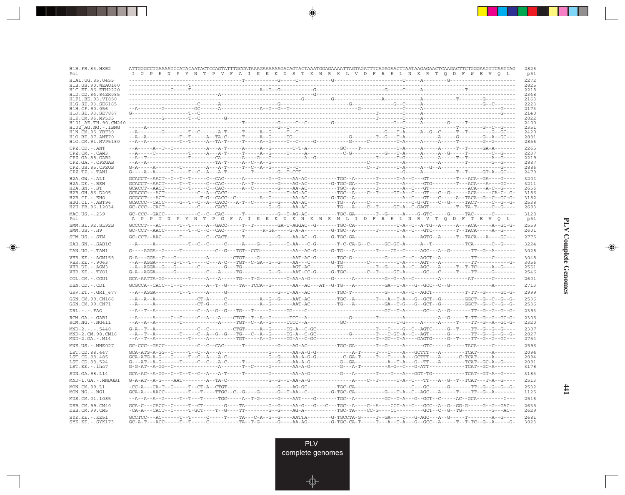| H1B.FR.83.HXB2<br>Pol                                                          | ATTGGGCCTGAAAATCCATACAATACTCCAGTATTTGCCATAAAGAAAAAAGACAGTACTAAATGGAGAAAATTAGTAGATTTCAGAGAACTTAATAAGAGAACTCAAGACTTCTGGGAAGTTCAATTAG<br><u>ig pen pynt pv faikkk dstkwrk LV dfre LNKR TO DFW EVOL.</u>                                                                                                                                                                                                                            | 2826<br>p51                  |
|--------------------------------------------------------------------------------|---------------------------------------------------------------------------------------------------------------------------------------------------------------------------------------------------------------------------------------------------------------------------------------------------------------------------------------------------------------------------------------------------------------------------------|------------------------------|
| H1A1.UG.85.U455<br>H1B.US.90.WEAU160<br>H1C.ET.86.ETH2220<br>H1D.CD.84.84ZR085 |                                                                                                                                                                                                                                                                                                                                                                                                                                 | 2272<br>2825<br>2218<br>2348 |
| H1F1.BE.93.VI850<br>H1G.SE.93.SE6165<br>H1H.CF.90.056<br>H1J.SE.93.SE7887      |                                                                                                                                                                                                                                                                                                                                                                                                                                 | 2163<br>2223<br>2173<br>2140 |
| H1K.CM.96.MP535<br>H101 AE.TH.90.CM240                                         |                                                                                                                                                                                                                                                                                                                                                                                                                                 | 2022<br>2400                 |
| H102 AG.NG.-.IBNG<br>H1N.CM.95.YBF30<br>H10.BE.87.ANT70<br>H1O.CM.91.MVP5180   | $- - - - -$                                                                                                                                                                                                                                                                                                                                                                                                                     | 2351<br>2420<br>2881<br>2856 |
| CPZ.CD. - . ANT                                                                |                                                                                                                                                                                                                                                                                                                                                                                                                                 | 2265                         |
| $CPZ.CM. - . CAM3$<br>CPZ.GA.88.GAB2<br>CPZ.GA.-.CPZGAB<br>CPZ.US.85.CPZUS     |                                                                                                                                                                                                                                                                                                                                                                                                                                 | 2237<br>2219<br>2887<br>2886 |
| $CPZ.TZ.-.TAN1$                                                                |                                                                                                                                                                                                                                                                                                                                                                                                                                 | 2470                         |
| H2A.GW.-.ALI<br>$H2A.DE. - .BEN$                                               |                                                                                                                                                                                                                                                                                                                                                                                                                                 | 3204<br>3211                 |
| $H2A$ . $SN - S$ T<br>H2B.GH.86.D205                                           |                                                                                                                                                                                                                                                                                                                                                                                                                                 | 2656<br>3186                 |
| $H2B.CI.-.EHO$                                                                 |                                                                                                                                                                                                                                                                                                                                                                                                                                 | 3182                         |
| H2G.CI. - . ABT96<br>H2U.FR.96.12034                                           |                                                                                                                                                                                                                                                                                                                                                                                                                                 | 2538<br>2693                 |
| MAC.US.-.239<br>Po 1                                                           | <u>A PPT N PYNT PGFAIKKKDKNKWRMLI DFREL NRVT QDFT EVQL</u>                                                                                                                                                                                                                                                                                                                                                                      | 3128<br>p51                  |
| SMM.SL.92.SL92B<br>$SMM.US.-.H9$                                               |                                                                                                                                                                                                                                                                                                                                                                                                                                 | 2559<br>2601                 |
| STM.US.-.STM                                                                   | $\texttt{G}\texttt{C}-\texttt{C}\texttt{T}-\texttt{A}\texttt{A}-\texttt{A}-\texttt{T}-\texttt{A}-\texttt{A}-\texttt{C}-\texttt{C}\texttt{A}\texttt{A}\texttt{C}-\texttt{A}-\texttt{A}-\texttt{A}-\texttt{A}-\texttt{A}-\texttt{A}-\texttt{A}-\texttt{A}-\texttt{A}-\texttt{A}-\texttt{A}-\texttt{A}-\texttt{A}-\texttt{A}-\texttt{A}-\texttt{A}-\texttt{A}-\texttt{A}-\texttt{A}-\texttt{A}-\texttt{A}-\texttt{A}-\texttt{A}-$  | 2775                         |
| SAB.SN.-.SAB1C                                                                 |                                                                                                                                                                                                                                                                                                                                                                                                                                 | 3224                         |
| TAN.UG. - . TAN1                                                               | $\verb G---AGGA--G---T---T---T---C--G---TGT--CCG---I-AA--AC-G---G-TG---A---T---T---CT--CT--C---AGC---A-C-----TT--G---T--G---T--G---T--G---T--G---T--G---A-1.$                                                                                                                                                                                                                                                                   | 3028                         |
| VER. KE. - . AGM155<br>VER.KE. - .9063<br>VER.DE. - . AGM3<br>VER.KE.-.TYO1    | $-{\bf -A}-{\bf AGGA}-\cdots-{\bf G-T}-{\bf T}-\cdots-{\bf C}-{\bf -A-C}--{\bf GCT}-{\bf C-GA}-{\bf G}-{\bf -G---AA}-{\bf -C-----{\bf G-TG}-\cdots-{\bf -C-----{\bf -C-----{\bf -A----AGT--{\bf A-----{\bf -C-----{\bf -T----{\bf -C----{\bf -C----{\bf -C----{\bf -C----{\bf -C----{\bf -C----{\bf -C----{\bf -C----{\bf -C----{\bf -C----{\bf -C----{\bf -C----{\bf -C----{\bf -C----{\bf -C----{\bf -C----{\bf -C----{\bf -$ | 3048<br>3056<br>2551<br>2546 |
| COL.CM. - . CGU1                                                               | $GCA-AATTA-GG-\cdots-----------A---A---A----TG----T-G-\cdots----T-AA-A-G-\cdots---G--A----------G--G--G--A--C----------A---------AT-------C---------A---------A---------A---------A---------A---------A-------A-------A---------A-------A---------A---------A---------A---------A---------A---------A---------A---------A---------A---------A---------A---------A---------A---------A$                                          | 2601                         |
| DEN.CD. - .CD1                                                                 |                                                                                                                                                                                                                                                                                                                                                                                                                                 | 2713                         |
| $GRV.ET.-.GRI 677$                                                             |                                                                                                                                                                                                                                                                                                                                                                                                                                 | 2999                         |
| GSN.CM.99.CN166<br>GSN.CM.99.CN71                                              |                                                                                                                                                                                                                                                                                                                                                                                                                                 | 2536<br>2536                 |
| $DRL - - - FAO$                                                                |                                                                                                                                                                                                                                                                                                                                                                                                                                 | 2393                         |
| RCM.GA.-.GAB1<br>$RCM.NG. - . NG411$                                           |                                                                                                                                                                                                                                                                                                                                                                                                                                 | 2305<br>2320                 |
| $MND-2. - - - 5440$<br>MND-2.CM.98.CM16<br>$MND-2.GA.-.M14$                    |                                                                                                                                                                                                                                                                                                                                                                                                                                 | 2387<br>2827<br>2754         |
| $MNE. US. - . MNE027$                                                          | GC-CCC--GACC-----------C--CAC------T---------G----AG-AC--------TGC-GA-------T--G-----A------GTC-----G-----TACA-----C-------                                                                                                                                                                                                                                                                                                     | 2596                         |
| LST.CD.88.447<br>LST.CD.88.485<br>LST.CD.88.524<br>LST.KE.-.lho7               |                                                                                                                                                                                                                                                                                                                                                                                                                                 | 2094<br>2094<br>2091         |
| SUN.GA.98.L14                                                                  |                                                                                                                                                                                                                                                                                                                                                                                                                                 | 3178<br>3183                 |
| MND-1.GA.-.MNDGB1                                                              |                                                                                                                                                                                                                                                                                                                                                                                                                                 | 2513                         |
| MON.CM.99.L1<br>$MON.NG. -.NG1$                                                | $GCA-A--AACC------T---TT---TTC--C--G---G---G---T-AA--C------G-TGC-CA------T-A--C--A=C--ACC---A---T---T---T---G---T---G---T---T---G---A-1.$                                                                                                                                                                                                                                                                                      | 2532<br>1125                 |
| MUS.CM.01.1085                                                                 |                                                                                                                                                                                                                                                                                                                                                                                                                                 | 2516                         |
| DEB.CM.99.CM40<br>DEB.CM.99.CM5                                                |                                                                                                                                                                                                                                                                                                                                                                                                                                 | 2635<br>2629                 |
| $SYK.KE. - .KE51$<br>SYK.KE. - . SYK173                                        | GCCTCC---AC------T--T----C-----T----TA---C-A--G--G----AATTA-------G-TGCCTA-G----T--GA----C---G-AGC---A--G-----T--------A--G----                                                                                                                                                                                                                                                                                                 | 2681<br>3023                 |

<u>a shekara ta 1989 na shekara t</u>

 $\overrightarrow{\phantom{a}}$ 

 $\frac{\displaystyle \rule{1.2cm}{0.15cm}}{\displaystyle \rule{1.2cm}{0.15cm}}$ 

 $\begin{picture}(20,5) \put(0,0){\line(1,0){10}} \put(15,0){\line(1,0){10}} \put(15,0){\line(1,0){10}} \put(15,0){\line(1,0){10}} \put(15,0){\line(1,0){10}} \put(15,0){\line(1,0){10}} \put(15,0){\line(1,0){10}} \put(15,0){\line(1,0){10}} \put(15,0){\line(1,0){10}} \put(15,0){\line(1,0){10}} \put(15,0){\line(1,0){10}} \put(15,0){\line(1,$ 

 $\overline{\phantom{0}}$ 

<u>a mana</u>

 $\mathbf{I}$ 

**441**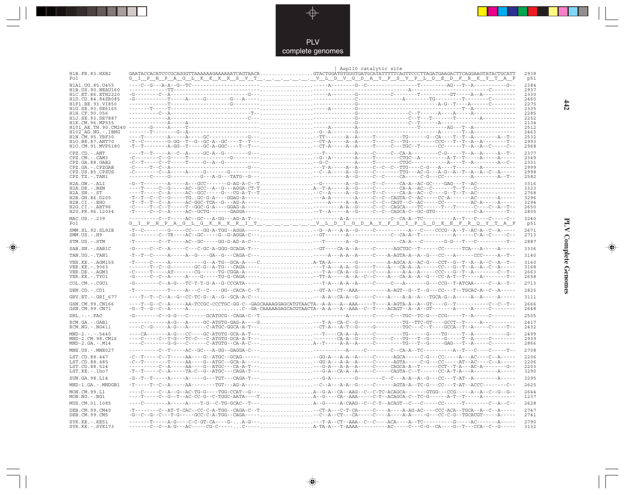

 $\begin{picture}(120,140)(-6.5,14.0) \put(0,0){\vector(0,1){10}} \put(15,0){\vector(0,1){10}} \put(15,0){\vector(0,1){10}} \put(15,0){\vector(0,1){10}} \put(15,0){\vector(0,1){10}} \put(15,0){\vector(0,1){10}} \put(15,0){\vector(0,1){10}} \put(15,0){\vector(0,1){10}} \put(15,0){\vector(0,1){10}} \put(15,0){\vector(0,1){10}} \put(15,0){\vector(0,1){10}}$ 

 $\mathbb{R}$ 

|                                          | Asp110 catalytic site                                                                                                                                                                                                                                                                                                                                                                                                                                                                                                                                            |              |
|------------------------------------------|------------------------------------------------------------------------------------------------------------------------------------------------------------------------------------------------------------------------------------------------------------------------------------------------------------------------------------------------------------------------------------------------------------------------------------------------------------------------------------------------------------------------------------------------------------------|--------------|
| H1B.FR.83.HXB2<br>Pol                    | <u>G_I_P_H_P_A_G_L_K_K_K_S_V_T_, , , , , , , V_L_D_V_G_D_A_Y_F_S_V_P_L_D_E_D_F_R_K_Y_T_A_F</u>                                                                                                                                                                                                                                                                                                                                                                                                                                                                   | 2938<br>p51  |
| H1A1.UG.85.U455                          |                                                                                                                                                                                                                                                                                                                                                                                                                                                                                                                                                                  | 2384         |
| H1B.US.90.WEAU160<br>H1C.ET.86.ETH2220   |                                                                                                                                                                                                                                                                                                                                                                                                                                                                                                                                                                  | 2937<br>2330 |
| H1D.CD.84.84ZR085                        |                                                                                                                                                                                                                                                                                                                                                                                                                                                                                                                                                                  | 2460         |
| H1F1.BE.93.VI850<br>H1G.SE.93.SE6165     |                                                                                                                                                                                                                                                                                                                                                                                                                                                                                                                                                                  | 2275<br>2335 |
|                                          |                                                                                                                                                                                                                                                                                                                                                                                                                                                                                                                                                                  | 2285         |
|                                          |                                                                                                                                                                                                                                                                                                                                                                                                                                                                                                                                                                  | 2252<br>2134 |
|                                          |                                                                                                                                                                                                                                                                                                                                                                                                                                                                                                                                                                  | 2512         |
| H1N.CM.95.YBF30                          |                                                                                                                                                                                                                                                                                                                                                                                                                                                                                                                                                                  | 2463<br>2532 |
| H1O.BE.87.ANT70                          |                                                                                                                                                                                                                                                                                                                                                                                                                                                                                                                                                                  | 2993         |
| H1O.CM.91.MVP5180                        | -T--T---------A-GG--T-----GC-A-GGC----T--T---CT-A-----A--A--A-----T-----CC---T---CC------T--A--A--C--                                                                                                                                                                                                                                                                                                                                                                                                                                                            | 2968         |
| $CPZ$ . $CD$ . $-ANT$<br>CPZ.CM.-.CAM3   |                                                                                                                                                                                                                                                                                                                                                                                                                                                                                                                                                                  | 2377<br>2349 |
| CPZ.GA.88.GAB2                           |                                                                                                                                                                                                                                                                                                                                                                                                                                                                                                                                                                  | 2331         |
| CPZ.GA.-.CPZGAB                          |                                                                                                                                                                                                                                                                                                                                                                                                                                                                                                                                                                  | 2999         |
| CPZ.US.85.CPZUS<br>$CPZ.TZ. - . TAN1$    | $\hspace*{2.5cm} \begin{aligned} -C & \xrightarrow{\hspace*{1cm}} C \xrightarrow{\hspace*{1cm}} C \xrightarrow{\hspace*{1cm}} C \xrightarrow{\hspace*{1cm}} C \xrightarrow{\hspace*{1cm}} C \xrightarrow{\hspace*{1cm}} C \xrightarrow{\hspace*{1cm}} C \xrightarrow{\hspace*{1cm}} C \xrightarrow{\hspace*{1cm}} C \xrightarrow{\hspace*{1cm}} C \xrightarrow{\hspace*{1cm}} C \xrightarrow{\hspace*{1cm}} C \xrightarrow{\hspace*{1cm}} C \xrightarrow{\hspace*{1cm}} C \xrightarrow{\hspace*{1cm}} C \xrightarrow{\hspace*{1cm}} C \xrightarrow{\hspace*{1cm$ | 2998<br>2582 |
| H2A.GW.-.ALI                             |                                                                                                                                                                                                                                                                                                                                                                                                                                                                                                                                                                  | 3316         |
| H2A.DE. - .BEN                           |                                                                                                                                                                                                                                                                                                                                                                                                                                                                                                                                                                  | 3323         |
| $H2A.SN.-.ST$<br>H2B.GH.86.D205          |                                                                                                                                                                                                                                                                                                                                                                                                                                                                                                                                                                  | 2768<br>3296 |
| $H2B.CI.-.EHO$                           |                                                                                                                                                                                                                                                                                                                                                                                                                                                                                                                                                                  | 3294         |
| H2G.CI. - . ABT96<br>H2U.FR.96.12034     | $\begin{array}{l} \texttt{-T--T--C--G--A----G--G--G--A----G--G--A----A----A----A----C--GATA--C--AC----C--A----A----C--A----C--A----C--A----C--A----C--A----C--A----C--A----C--A----C--A----C--A----C--A----C--A----C--A----C--A----C--A----C--A----C--A----C--A----C--A----C--A----C--A----C--A----C--A----C--A----C$                                                                                                                                                                                                                                            | 2650<br>2805 |
| MAC.US.-.239                             |                                                                                                                                                                                                                                                                                                                                                                                                                                                                                                                                                                  | 3240         |
| Pol                                      |                                                                                                                                                                                                                                                                                                                                                                                                                                                                                                                                                                  | p51          |
| SMM.SL.92.SL92B                          | $-{\color{red}T}-{\color{red}C}-\cdots-{\color{red}-G}-\cdots-{\color{red}GC}-{\color{red}-G}-{\color{red}ACG}-{\color{red}AGG}-{\color{red}AGG}-{\color{red}AGG}-{\color{red}CGF}-{\color{red}G}-{\color{red}G}-{\color{red}G}-{\color{red}G}-{\color{red}G}-{\color{red}G}-{\color{red}G}-{\color{red}G}-{\color{red}G}-{\color{red}G}-{\color{red}G}-{\color{red}G}-{\color{red}G}-{\color{red}G}-{\color{red}G}-{\color{red}G}-{\color{red}G}-{\color{red}G}-{\color{red}G}-{\color{$                                                                        | 2671         |
| $SMM.US.-.H9$                            |                                                                                                                                                                                                                                                                                                                                                                                                                                                                                                                                                                  | 2713         |
| STM.US.-.STM                             |                                                                                                                                                                                                                                                                                                                                                                                                                                                                                                                                                                  | 2887         |
| SAB.SN. - . SAB1C                        | $-\texttt{G}\texttt{---C}-\texttt{C}-\texttt{A}\texttt{---C}-\texttt{--C}\texttt{-G}\texttt{C}-\texttt{A}-\texttt{GGG-GCAGA-T}--\dots\ldots\ldots\ldots\ldots\ldots\ldots\texttt{---G}\texttt{T}-\texttt{--C}\texttt{A}-\texttt{A}\texttt{---C}-\texttt{---A}\texttt{G}\texttt{CTGC}\texttt{---}\texttt{T}-\texttt{---C}\texttt{C}-\texttt{---T}\texttt{C}\texttt{---}\texttt{--T}\texttt{C}\texttt{---}\texttt{A}\texttt{---}\texttt{A}\texttt{---}\texttt{--A}\text$                                                                                           | 3336         |
| TAN.UG. - . TAN1                         |                                                                                                                                                                                                                                                                                                                                                                                                                                                                                                                                                                  | 3140         |
| VER. KE. - . AGM155<br>VER. KE. - . 9063 |                                                                                                                                                                                                                                                                                                                                                                                                                                                                                                                                                                  | 3160<br>3168 |
| VER.DE. - . AGM3                         |                                                                                                                                                                                                                                                                                                                                                                                                                                                                                                                                                                  | 2663         |
| VER.KE. - . TYO1                         |                                                                                                                                                                                                                                                                                                                                                                                                                                                                                                                                                                  | 2658         |
| COL.CM. - . CGU1                         | $-G \texttt{---} \texttt{---} \texttt{---} \texttt{---} \texttt{---} \texttt{---} \texttt{---} \texttt{---} \texttt{---} \texttt{---} \texttt{---} \texttt{---} \texttt{---} \texttt{---} \texttt{---} \texttt{---} \texttt{---} \texttt{---} \texttt{---} \texttt{---} \texttt{---} \texttt{---} \texttt{---} \texttt{---} \texttt{---} \texttt{---} \texttt{---} \texttt{---} \texttt{---} \texttt{---} \texttt{---} \texttt{---} \texttt{---} \texttt{---} \texttt{---} \texttt{---} \text$                                                                   | 2713         |
| DEN.CD. - .CD1                           |                                                                                                                                                                                                                                                                                                                                                                                                                                                                                                                                                                  | 2825         |
| GRV.ET. - . GRI 677                      |                                                                                                                                                                                                                                                                                                                                                                                                                                                                                                                                                                  | 3111         |
| GSN.CM.99.CN166<br>GSN.CM.99.CN71        |                                                                                                                                                                                                                                                                                                                                                                                                                                                                                                                                                                  | 2666<br>2648 |
| $DRL - - - FAO$                          | $-G--T-G-C-P--R---A$ C-GA-CAAAAGAGCACGTAACTA--A-A---A-AAA--C--T----ACAGT--A--A--GT--------A-----A-----C--------                                                                                                                                                                                                                                                                                                                                                                                                                                                  | 2505         |
| RCM.GA. - . GAB1                         |                                                                                                                                                                                                                                                                                                                                                                                                                                                                                                                                                                  | 2417         |
| RCM.NG. - . NG411                        | $-\texttt{---C--G---A-G---A-----C-ATGC-GGCA-A-T---$                                                                                                                                                                                                                                                                                                                                                                                                                                                                                                              | 2432         |
| $MND-2. - - - 5440$                      |                                                                                                                                                                                                                                                                                                                                                                                                                                                                                                                                                                  | 2499         |
| MND-2.CM.98.CM16                         |                                                                                                                                                                                                                                                                                                                                                                                                                                                                                                                                                                  | 2939         |
| $MND-2.GA.-.M14$                         | ----C--------G-G---C------C-ATGTG--CA-A-C---A--T-----A-A--A------C---------TG---T--G------GAG---T--A-----C---------                                                                                                                                                                                                                                                                                                                                                                                                                                              | 2866         |
| MNE.US. - . MNE027                       |                                                                                                                                                                                                                                                                                                                                                                                                                                                                                                                                                                  | 2708         |
| LST.CD.88.447<br>LST.CD.88.485           |                                                                                                                                                                                                                                                                                                                                                                                                                                                                                                                                                                  | 2206<br>2206 |
| LST.CD.88.524                            | $\begin{array}{l} -C-r-\cdots-r-\cdots+2A-\cdots-G-ATGC-GCA-A-\cdots+2A-\cdots+G-A-\cdots+2G-A-\cdots+2G-A-\cdots+2GTA-\cdots-C-G-\cdots-C-G-\cdots+2G-C-A-\cdots+2G-C-A-\cdots+2G-C-A-\cdots+2G-C-A-\cdots+2G-C-A-\cdots+2G-C-A-\cdots+2G-C-A-\cdots+2G-C-A-\cdots+2G-C-A-\cdots+2G-C-A-\cdots+2G-C-A-\cdots+2G-C-A-\cdots+2G-C-A-\cdots+2G-C-A-\cdots+2G-C-A-\cdots+2G-C-A-\cdots+2G-C-A-\cdots+2G-C-A-\cdots$                                                                                                                                                 | 2203         |
| LST.KE.-.lho7                            |                                                                                                                                                                                                                                                                                                                                                                                                                                                                                                                                                                  | 3290         |
| SUN.GA.98.L14                            | $- G - T - T - T - \cdots - A - \cdots - A - \cdots - G - \cdots - G - T - T - \cdots - G - A - \cdots - \cdots - G - A - \cdots - G - A - \cdots - G - \cdots - G - A - \cdots - G - A - A - A - A - \cdots - G - A - \cdots - G - A - \cdots - G - A - \cdots - G - A - \cdots - G - A - \cdots - G - A - \cdots - G - A - \cdots - G - A - \cdots - G - A - \cdots - G - A - \cdots - G - A - \cdots - G - A - \cdots - G - A - \cdots - G - A - \cdots - G - A - \cdots - G - A$                                                                             | 3295         |
| MND-1.GA.-.MNDGB1                        | $-{\color{red}T}\texttt{---}-{\color{red}T}\texttt{-}-{\color{red}C}\texttt{-}-{\color{red}A}\texttt{-}-{\color{red}-C}\texttt{-}+{\color{red}A}\texttt{-}-{\color{red}-C}\texttt{-}-{\color{red}T}\texttt{-}+{\color{red}A}\texttt{-}-{\color{red}T}\texttt{-}-{\color{red}T}\texttt{-}+{\color{red}A}\texttt{-}-{\color{red}T}\texttt{-}+{\color{red}A}\texttt{-}-{\color{red}T}\texttt{-}-{\color{red}A}\texttt{-}-{\color{red}A}\texttt{-}-{\color{red}A}\texttt{-}-{\color{red}A}\texttt{-}-{\color{red}$                                                   | 2625         |
| MON.CM.99.L1<br>MON.NG.-.NG1             |                                                                                                                                                                                                                                                                                                                                                                                                                                                                                                                                                                  | 2644<br>1237 |
| MUS.CM.01.1085                           | ---C--------A-----A----T-G--C-TG-GCAC--T---A--G-----A-CAAG--C--C-T--ACAGT--C---C------C------T--------C--A--C--                                                                                                                                                                                                                                                                                                                                                                                                                                                  | 2628         |
| DEB. CM. 99. CM40<br>DEB.CM.99.CM5       |                                                                                                                                                                                                                                                                                                                                                                                                                                                                                                                                                                  | 2747<br>2741 |
| $SYK.KE. - .KE51$<br>$SYK.KE. - .SYK173$ |                                                                                                                                                                                                                                                                                                                                                                                                                                                                                                                                                                  | 2790<br>3132 |

 $\blacklozenge$ 

**PLV Complete Genomes 442 PLV Complete Genomes** 

 $\Rightarrow$ 

 $\sqrt{2}$ 

 $\frac{442}{1}$ 

 $\Box$ 

- 1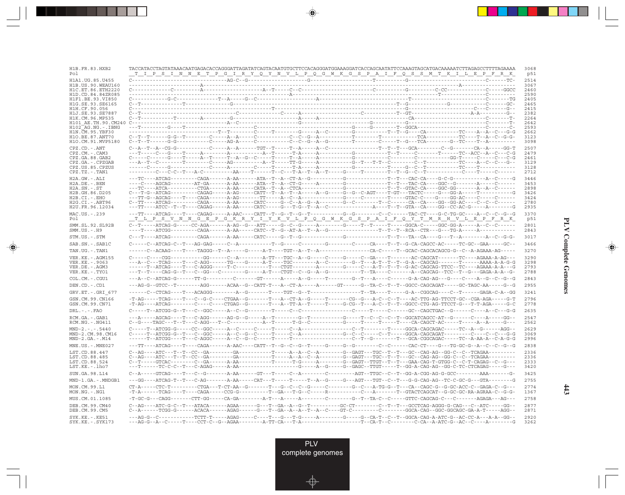| H1B.FR.83.HXB2<br>Pol                    |  | TACCATACCTAGTATAAACAATGAGACACCAGGGATTAGATATCAGTACAATGTGCTTCCACAGGGATGGAAAGGATCACCAGCAATATTCCAAAGTAGCATGACAAAAATCTTAGAGCCTTTTAGAAAA<br><u>T I P S I N N E T P G I R Y Q Y N V L P Q G W K G S P A I F Q S S M T K I L E P F R K</u>                                                                                                                                                                                                         | 3068<br>p51  |
|------------------------------------------|--|--------------------------------------------------------------------------------------------------------------------------------------------------------------------------------------------------------------------------------------------------------------------------------------------------------------------------------------------------------------------------------------------------------------------------------------------|--------------|
| H1A1.UG.85.U455<br>H1B.US.90.WEAU160     |  |                                                                                                                                                                                                                                                                                                                                                                                                                                            | 2514<br>3067 |
| H1C.ET.86.ETH2220<br>H1D.CD.84.84ZR085   |  |                                                                                                                                                                                                                                                                                                                                                                                                                                            | 2460<br>2590 |
| H1F1.BE.93.VI850                         |  |                                                                                                                                                                                                                                                                                                                                                                                                                                            | 2405         |
| H1G.SE.93.SE6165<br>H1H.CF.90.056        |  |                                                                                                                                                                                                                                                                                                                                                                                                                                            | 2465<br>2415 |
| H1J.SE.93.SE7887                         |  |                                                                                                                                                                                                                                                                                                                                                                                                                                            | 2382         |
| H1K.CM.96.MP535<br>H101 AE.TH.90.CM240   |  |                                                                                                                                                                                                                                                                                                                                                                                                                                            | 2264<br>2642 |
| $H102$ AG. NG. - TBNG                    |  |                                                                                                                                                                                                                                                                                                                                                                                                                                            | 2593         |
| H1N.CM.95.YBF30<br>H10.BE.87.ANT70       |  |                                                                                                                                                                                                                                                                                                                                                                                                                                            | 2662<br>3123 |
| H1O.CM.91.MVP5180                        |  |                                                                                                                                                                                                                                                                                                                                                                                                                                            | 3098         |
| CPZ.CD. - . ANT                          |  |                                                                                                                                                                                                                                                                                                                                                                                                                                            | 2507         |
| CPZ.CM.-.CAM3<br>CPZ.GA.88.GAB2          |  |                                                                                                                                                                                                                                                                                                                                                                                                                                            | 2479<br>2461 |
| CPZ.GA.-.CPZGAB                          |  |                                                                                                                                                                                                                                                                                                                                                                                                                                            | 3129         |
| CPZ.US.85.CPZUS                          |  |                                                                                                                                                                                                                                                                                                                                                                                                                                            | 3128         |
| CPZ.TZ.-.TAN1                            |  |                                                                                                                                                                                                                                                                                                                                                                                                                                            | 2712<br>3446 |
| $H2A.GW.-.ALI$<br>$H2A.DE. - .BEN$       |  |                                                                                                                                                                                                                                                                                                                                                                                                                                            | 3453         |
| $H2A.SN.-.ST$                            |  |                                                                                                                                                                                                                                                                                                                                                                                                                                            | 2898         |
| H2B.GH.86.D205<br>$H2B.CI.-.EHO$         |  |                                                                                                                                                                                                                                                                                                                                                                                                                                            | 3426<br>3424 |
| H2G.CI.-.ABT96                           |  |                                                                                                                                                                                                                                                                                                                                                                                                                                            | 2780         |
| H2U.FR.96.12034                          |  |                                                                                                                                                                                                                                                                                                                                                                                                                                            | 2935         |
| MAC.US.-.239<br>Pol                      |  | <u>T LPS V N N G E P G K R Y I Y K V LP Q G W K G S P A I F Q Y T M R H V L E P F R K </u>                                                                                                                                                                                                                                                                                                                                                 | 3370<br>p51  |
| SMM.SL.92.SL92B                          |  |                                                                                                                                                                                                                                                                                                                                                                                                                                            | 2801         |
| $SMM.US.-.H9$                            |  |                                                                                                                                                                                                                                                                                                                                                                                                                                            | 2843         |
| STM.US.-.STM                             |  |                                                                                                                                                                                                                                                                                                                                                                                                                                            | 3017         |
| SAB.SN.-.SAB1C                           |  |                                                                                                                                                                                                                                                                                                                                                                                                                                            | 3466         |
| TAN.UG. - . TAN1                         |  |                                                                                                                                                                                                                                                                                                                                                                                                                                            | 3270         |
| VER. KE. - . AGM155                      |  | $C-\dots-C-\dots-CGG-\dots---GG-\dots---C-A-\dots---A-TT--TGC-A-G-\dots-C-\dots-C-\dots-C-\dots-C-GA-\dots-T--A-C-CAGCAT---TC--AGAAA-A-AG---$                                                                                                                                                                                                                                                                                              | 3290         |
| VER. KE. - . 9063<br>VER.DE. - . AGM3    |  |                                                                                                                                                                                                                                                                                                                                                                                                                                            | 3298<br>2793 |
| VER.KE.-.TYO1                            |  |                                                                                                                                                                                                                                                                                                                                                                                                                                            | 2788         |
| COL.CM. - . CGU1                         |  | ---A--C--ATCAG-G------TT-G----------C-------GT------A-----A--G-----T-------G--T---A----C-----G-A-CAG-AG---G---C----A--G--C--G--C                                                                                                                                                                                                                                                                                                           | 2843         |
| DEN.CD. - .CD1                           |  | ---AG-G--GTCC--T--------AGG------ACAA--G--CATT-T---A--CT-A------AT-----GT------G--TA-C--T--T--GGCC-CAGCAGAT-----GC-TAGC-AA-----G--G                                                                                                                                                                                                                                                                                                        | 2955         |
| $GRV.ET.-.GRI 677$                       |  |                                                                                                                                                                                                                                                                                                                                                                                                                                            | 3241         |
| GSN.CM.99.CN166                          |  | $-{\bf T}-{\bf A}{\bf G} - \cdots -{\bf T}{\bf C}{\bf A}{\bf G} - \cdots -{\bf T}-{\bf C}-{\bf G}-{\bf G}-{\bf G}-{\bf C}-{\bf T}{\bf G}{\bf A}-{\bf G}-{\bf G}-{\bf T}-{\bf A}-{\bf C}{\bf T}-{\bf A}-{\bf G}-{\bf T}-{\bf T}-{\bf T}-{\bf T}-{\bf T}-{\bf C}-{\bf G}-{\bf G}-{\bf T}-{\bf C}-{\bf T}-{\bf T}-{\bf T}-{\bf G}-{\bf A}{\bf C}-{\bf T}{\bf T}{\bf G}-{\bf G}{\bf C}-{\bf G}{\bf G}-{\bf G}{\bf G}-{\bf G}{\bf G}-{\bf G}{\$ | 2796         |
| GSN.CM.99.CN71                           |  | -T-AG----ATCAG--------C----C----CTGAG--G-------T---A--TT-A--T-----T----G-CG--T---A-C--T--GGCC-CTG-AG-TTCCT-G---T-T-AGA-----G-C                                                                                                                                                                                                                                                                                                             | 2778         |
| $DRL$ . - . - . $FAO$                    |  |                                                                                                                                                                                                                                                                                                                                                                                                                                            | 2635         |
| RCM.GA.-.GAB1<br>$RCM.NG. - . NG411$     |  |                                                                                                                                                                                                                                                                                                                                                                                                                                            | 2547<br>2562 |
| $MND-2. - - - 5440$                      |  |                                                                                                                                                                                                                                                                                                                                                                                                                                            | 2629         |
| MND-2.CM.98.CM16                         |  |                                                                                                                                                                                                                                                                                                                                                                                                                                            | 3069         |
| $MND-2.GA.-.M14$                         |  |                                                                                                                                                                                                                                                                                                                                                                                                                                            | 2996         |
| MNE.US.-.MNE027                          |  | ---TT----ATCAG----T----CAGA------A-AAC----CATT--T--G--C--G--T-----G-----G--G-------C--C------CAC-CT----G---TG-GC-G--A--C--C--G--G------                                                                                                                                                                                                                                                                                                    | 2838         |
| LST.CD.88.447<br>LST.CD.88.485           |  | C--AG----ATC---T--T--CC--GA--------GA---------T-----A--A--C--A--------G--GAGT---TGC--T--T---GC--CAG-AG--GG-C--C--TCAGAA---------                                                                                                                                                                                                                                                                                                           | 2336<br>2336 |
| LST.CD.88.524                            |  |                                                                                                                                                                                                                                                                                                                                                                                                                                            | 2333         |
| LST.KE.-.lho7                            |  |                                                                                                                                                                                                                                                                                                                                                                                                                                            | 3420         |
| SUN.GA.98.L14                            |  | C--A-----GTCAG----T---C--G--------A-AA------GT---T-----C--A-------C---------AGT--TTGC--C--T--GG-A-CGG-AG-G-GCC---------AAA-------G-                                                                                                                                                                                                                                                                                                        | 3425         |
| MND-1.GA.-.MNDGB1                        |  |                                                                                                                                                                                                                                                                                                                                                                                                                                            | 2755         |
| MON.CM.99.L1<br>MON.NG.-.NG1             |  |                                                                                                                                                                                                                                                                                                                                                                                                                                            | 2774<br>1367 |
| MUS.CM.01.1085                           |  | -T-GC-G---CAGG-------CTT-GG-----CA-GA--------A-T---A------A------C-------G--T--TA-C--C------GTTC-CAGCAG-C---C-------AGAGA---AG---                                                                                                                                                                                                                                                                                                          | 2758         |
| DEB.CM.99.CM40<br>DEB.CM.99.CM5          |  | C--A------TCGG-G------ACACA------AGAG------G---T--GA--A--T--A--C----GT-C--------C-------GGCA-CAG--GGC-GGCAGC-GA-A-T------AGG--                                                                                                                                                                                                                                                                                                             | 2877<br>2871 |
| $SYK.KE. - .KE51$<br>$SYK.KE. - .SYK173$ |  |                                                                                                                                                                                                                                                                                                                                                                                                                                            | 2920<br>3262 |

<u>a shekara ta 1989 na shekara t</u>

 $\overline{\blacklozenge}$ 

 $\overline{\hphantom{m}}$ 

 $\begin{picture}(20,5) \put(0,0){\line(1,0){10}} \put(15,0){\line(1,0){10}} \put(15,0){\line(1,0){10}} \put(15,0){\line(1,0){10}} \put(15,0){\line(1,0){10}} \put(15,0){\line(1,0){10}} \put(15,0){\line(1,0){10}} \put(15,0){\line(1,0){10}} \put(15,0){\line(1,0){10}} \put(15,0){\line(1,0){10}} \put(15,0){\line(1,0){10}} \put(15,0){\line(1,$ 

 $\overline{\phantom{0}}$ 

 $\Box$ 

▁▏▁▊▊▏

 $\mathbf{I}$ 

**443**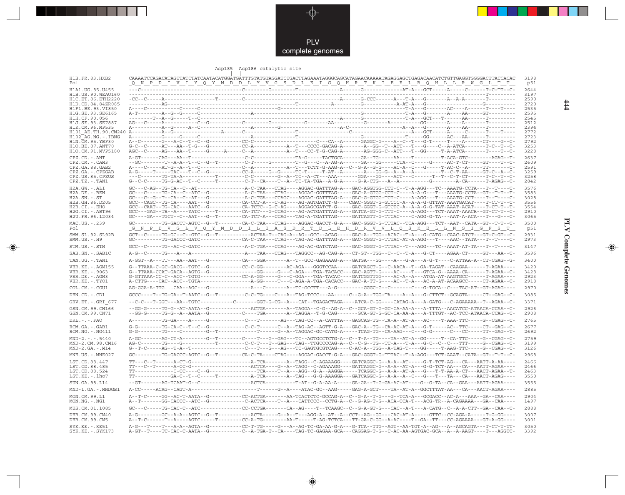

#### Asp185 Asp186 catalytic site

◈

| H1B.FR.83.HXB2<br>Pol                   | <u>Q N P D I V I Y Q Y M D D L Y V G S D L E I G Q H R T K I E E L R Q H L L R W G L T T</u>                                                                                                                                                                                                                                                                                                                                                                                                                   | 3198<br>p51  |
|-----------------------------------------|----------------------------------------------------------------------------------------------------------------------------------------------------------------------------------------------------------------------------------------------------------------------------------------------------------------------------------------------------------------------------------------------------------------------------------------------------------------------------------------------------------------|--------------|
| H1A1.UG.85.U455<br>H1B.US.90.WEAU160    |                                                                                                                                                                                                                                                                                                                                                                                                                                                                                                                | 2644<br>3197 |
| H1C.ET.86.ETH2220                       |                                                                                                                                                                                                                                                                                                                                                                                                                                                                                                                | 2590         |
| H1D.CD.84.84ZR085                       |                                                                                                                                                                                                                                                                                                                                                                                                                                                                                                                | 2720         |
| H1F1 BE 93 VI850<br>H1G. SE. 93. SE6165 |                                                                                                                                                                                                                                                                                                                                                                                                                                                                                                                | 2535<br>2595 |
| H1H.CF.90.056                           |                                                                                                                                                                                                                                                                                                                                                                                                                                                                                                                | 2545         |
| H1J.SE.93.SE7887<br>H1K.CM.96.MP535     |                                                                                                                                                                                                                                                                                                                                                                                                                                                                                                                | 2512         |
|                                         |                                                                                                                                                                                                                                                                                                                                                                                                                                                                                                                | 2394<br>2772 |
| H102 AG.NG.-.IBNG                       | $\texttt{A}\texttt{-----G}\texttt{-----G}\texttt{-----G}\texttt{-----G}\texttt{-----G}\texttt{-----A}\texttt{-----G}\texttt{-----G}\texttt{---G}\texttt{---G}\texttt{---A}\texttt{---A}\texttt{---G}\texttt{---A}\texttt{---A}\texttt{---G}\texttt{---A}\texttt{---G}\texttt{---A}\texttt{---A}\texttt{---A}\texttt{---A}\texttt{---A}\texttt{---A}\texttt{---A}\texttt{---A}\texttt{---A}\texttt{---A}\texttt{---A}\texttt{---A}\texttt{---A}\texttt{---A}\texttt{---A}\texttt{---A}\texttt{---A}\texttt{---$ | 2723         |
| H1N.CM.95.YBF30<br>H10.BE.87.ANT70      |                                                                                                                                                                                                                                                                                                                                                                                                                                                                                                                | 2792<br>3253 |
| H10.CM.91.MVP5180                       |                                                                                                                                                                                                                                                                                                                                                                                                                                                                                                                | 3228         |
| $CPZ$ . $CD$ . $-ANT$                   |                                                                                                                                                                                                                                                                                                                                                                                                                                                                                                                | 2637         |
| CPZ.CM.-.CAM3                           | --GC--------T--A-A--T--C--G--T---------C-T-----G--------T--G---C--A-AG-A------GA---GG-----CTA--C-----G-----AC-T-CT-----GT----T--C-                                                                                                                                                                                                                                                                                                                                                                             | 2609         |
| CPZ.GA.88.GAB2<br>CPZ.GA. - . CPZGAB    |                                                                                                                                                                                                                                                                                                                                                                                                                                                                                                                | 2591<br>3259 |
| CPZ.US.85.CPZUS                         | ---C------TG-TA-A-----------T--------C-C-------G--A-TC--A-CT---AAA-------GGA---GG----ACT---C------T--T-C-T-CT------T-C--T--C                                                                                                                                                                                                                                                                                                                                                                                   | 3258         |
| $CPZ.TZ. - . TAN1$                      | G--C-C-----TG-G-AC--T--C-----T---------C-T--CA----T--A--TC-TA-TGA--A-G-A-----G-A-CTG---A--A-------G---------A-CA------T-AGAG--C-                                                                                                                                                                                                                                                                                                                                                                               | 2842         |
| $H2A.GW. - .ALI$<br>H2A.DE. - . BEN     |                                                                                                                                                                                                                                                                                                                                                                                                                                                                                                                | 3576<br>3583 |
| $H2A.SN.-.ST$                           |                                                                                                                                                                                                                                                                                                                                                                                                                                                                                                                | 3028         |
| H2B.GH.86.D205                          |                                                                                                                                                                                                                                                                                                                                                                                                                                                                                                                | 3556         |
| $H2B.CI.-.EHO$<br>$H2G.CI.-ABT96$       | GCC--CAAT--TG-CAC---AATC--G---------CA-TCTC--G-C-AG----AGGAGCGATCT-G----GAC-GGGT-G-GTCTC-A--A-A-G-G-TAT-AAAT-ACAT----T-CT-T--T-                                                                                                                                                                                                                                                                                                                                                                                | 3554<br>2910 |
| H2U.FR.96.12034                         |                                                                                                                                                                                                                                                                                                                                                                                                                                                                                                                | 3065         |
| MAC.US. - . 239<br>Pol                  | GC--------TG-GACCT-AGTC--G--T--------CA-C-TAA---CTAG----AGGAC-GACCT-G-A---GAC-GGGT-G-TTTAC--TCA-AGG---TCT--AAT--CATA--GT--T-T--C-<br><u>G N P D V G L V Q Y M D D I L I A S D R T D L E H D R V V L Q S K E L L N S I G F S T </u>                                                                                                                                                                                                                                                                             | 3500<br>p51  |
| SMM.SL.92.SL92B<br>$SMM. US. - . H9$    | GC--------TG-GACCC-GATC------------CA-C-TAA---CTAG---TAG-AC-GATTTAG-A---GAC-GGGT-G-TTTAC-AT-A-AGG---T----AAC--TATA---T---T----C-                                                                                                                                                                                                                                                                                                                                                                               | 2931<br>2973 |
| STM.US.-.STM                            | GCC--C-----TG--AC-C-GATC--------------A-C-TGA---CCAG----AG-AC-GATCTAG-----GAC-GGGT-G-TTTAC--T---AGG---TC--AAAT-AT-TA---T--T----C-                                                                                                                                                                                                                                                                                                                                                                              | 3147         |
| SAB.SN. - . SAB1C                       |                                                                                                                                                                                                                                                                                                                                                                                                                                                                                                                | 3596         |
| TAN.UG. - . TAN1                        | A-GGT--A---TT---AA--AAT---G-----------CA---GGA--------A--T--GCC-GAGAAAG-A---GATGA---GG----A---G-A---A-G-T----C-ATTAA-A--CT-CGAG--G-                                                                                                                                                                                                                                                                                                                                                                            | 3400         |
| VER. KE. - . AGM155                     | G--TTAAA-C-GC-GACG--TGTC--G----------CC-C-GG--------AC-AGA---GGGTCCAA-----GATCAGCT-G--C-AACA--T--GA-TAGAT--CAAGAA------T-AGAA----                                                                                                                                                                                                                                                                                                                                                                              | 3420         |
| VER.KE. - . 9063                        |                                                                                                                                                                                                                                                                                                                                                                                                                                                                                                                | 3428         |
| VER.DE. - . AGM3<br>VER.KE. - . TYO1    |                                                                                                                                                                                                                                                                                                                                                                                                                                                                                                                | 2923<br>2918 |
| COL.CM. - . CGU1                        |                                                                                                                                                                                                                                                                                                                                                                                                                                                                                                                | 2970         |
| DEN.CD.-.CD1                            |                                                                                                                                                                                                                                                                                                                                                                                                                                                                                                                | 3085         |
| GRV.ET. - .GRI 677                      | --C-C---T-GGT---AA--TGTC----------C-------GGT-G-CG--A---CAT--TGAGACTAGA----ATCA-C-GG----CATAG-A---A-GATG---C-AGAAAAA--T--AGAA--C-                                                                                                                                                                                                                                                                                                                                                                              | 3371         |
| GSN.CM.99.CN166                         |                                                                                                                                                                                                                                                                                                                                                                                                                                                                                                                | 2926         |
| GSN.CM.99.CN71                          | --GG-G-----TG-G--A--AATA--G-----------C----TGA-------A--TAGGA--T-G-CAG-------GCA-GT-G-GC-CA-AA-A---A-TTTGT--AC-TCC-ATAACA-CCAG--C-                                                                                                                                                                                                                                                                                                                                                                             | 2908         |
| $DRL$ . - . - . $FAO$                   | A---------TG-GA----A-----G-----------C---T-------AG---TAG-CC--A-CATTTA---GAGCAG-TG--TA-A--AT-A---AC----T-AAA-TTC----G--CGAG--C-                                                                                                                                                                                                                                                                                                                                                                                | 2765         |
| RCM.GA. - .GAB1<br>RCM.NG. - . NG411    | G-G--------TG-CA-C--T--C--G-----------C-C-T------C--A--TAG-AC--AGTT-G-A---GAC-A--TG--CA-AC-AT-A---G-T-----AC--TTC-----CT--GAG--C-                                                                                                                                                                                                                                                                                                                                                                              | 2677<br>2692 |
| $MND-2. - - - 5440$                     | A-GC-------AG-CT-A--------G--T--------C---T---G-GAG---TC--AGTGCCTCTG-A--C--T-A--TG---TA--AT-A--GG-----T--CA-TTC----G--CGAG--C-                                                                                                                                                                                                                                                                                                                                                                                 | 2759         |
| MND-2.CM.98.CM16<br>$MND-2.GA.-.M14$    |                                                                                                                                                                                                                                                                                                                                                                                                                                                                                                                | 3199<br>3126 |
| MNE.US.-.MNE027                         | GC--------TG-GACCC-AGTC--G--T-------CA-C-TA----CTAG---AGGAC-GACCT-G-A---GAC-GGGT-G-TTTAC--T-A-AGG---TCT-AAAT--CATA--GT--T-T--C-                                                                                                                                                                                                                                                                                                                                                                                | 2968         |
| LST.CD.88.447                           |                                                                                                                                                                                                                                                                                                                                                                                                                                                                                                                | 2466         |
| LST.CD.88.485                           | TT---C--T------A-CC-G----------------ACTCA----G--A--TAGG--C-AGAAAGG----GATCAGGC-G--A-A--AT-A---G-G-TCT-AA---CA---AATT-AGAA----                                                                                                                                                                                                                                                                                                                                                                                 | 2466         |
| LST.CD.88.524                           |                                                                                                                                                                                                                                                                                                                                                                                                                                                                                                                | 2463         |
| LST.KE.-.lho7                           |                                                                                                                                                                                                                                                                                                                                                                                                                                                                                                                | 3550         |
| SUN.GA.98.L14                           |                                                                                                                                                                                                                                                                                                                                                                                                                                                                                                                | 3555         |
| MND-1.GA.-.MNDGB1                       |                                                                                                                                                                                                                                                                                                                                                                                                                                                                                                                | 2885         |
| MON.CM.99.L1<br>$MON.NG. - . NG1$       | A--T-C-----GG--AC-T-AATA--G-----------CC-ACTGA-------AA-TCACTCTC-GCCAG-A--C--G-A--T-G---G--TCA-A---GCGACC--AC-A--AAA--GA--CAA----<br>A--T-------GG-CACCC--ATC--G-----------C-ACTCA----T--A---CATTCCC--CCTG-A--C--G-AG-T-G--ACA-CCA-T---ACG-TR--A-CAGAAAA---GA--CAA----                                                                                                                                                                                                                                         | 2904<br>1497 |
| MUS.CM.01.1085                          | GC---C-----TG-CAC-C--ATC------------CC-CCTGA-------CA--AG----T--TCAAGC--C--G-A-GT-G---CAC--A-T---A-CATG--C--A-A-CTT--GA--CAA--C-                                                                                                                                                                                                                                                                                                                                                                               | 2888         |
| DEB.CM.99.CM40<br>DEB.CM.99.CM5         |                                                                                                                                                                                                                                                                                                                                                                                                                                                                                                                | 3007<br>3001 |
| SYK.KE. - . KE51                        | A-G---T----T---A-A--AGTA--G-----------CC-T-TG-----G---A--AG-TC-GA-AA-G-A---G-TCA--TTG--AGT--AA-TGT-A--AG---A--AGCAGTA---T-CT-T-TT-                                                                                                                                                                                                                                                                                                                                                                             | 3050         |
| $SYK.KE. - .SYK173$                     | A-GT--T----TC-CAC-C-AATA--G----------C--A-TGA-T--CA----TAG-TC-GAGAA-GCA---CAGGAG-T-G--C-AC-AA-AGTGAC-GCA--A--A-AAGT----T---AGGTC-                                                                                                                                                                                                                                                                                                                                                                              | 3392         |

♦

 $\frac{444}{4}$ 

**PLV Complete Genomes 444** PLV Complete Genomes

 $\clubsuit$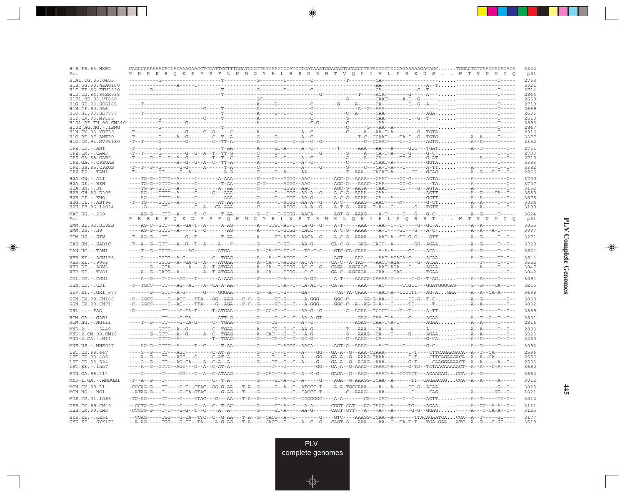| H1B. FR. 83. HXB2<br>Pol               | <u> DKKHQKEPPFLWMGYELHPDKWTVQPIVLPEKDSWTVNDIQ</u>                                                                                                                                                                                                                                                                                                                                                                                                                                                                            | 3322<br>p51  |
|----------------------------------------|------------------------------------------------------------------------------------------------------------------------------------------------------------------------------------------------------------------------------------------------------------------------------------------------------------------------------------------------------------------------------------------------------------------------------------------------------------------------------------------------------------------------------|--------------|
| H1A1.UG.85.U455                        |                                                                                                                                                                                                                                                                                                                                                                                                                                                                                                                              | 2768         |
| H1B. US. 90. WEAU160                   |                                                                                                                                                                                                                                                                                                                                                                                                                                                                                                                              | 3321         |
| H1C.ET.86.ETH2220<br>H1D.CD.84.84ZR085 |                                                                                                                                                                                                                                                                                                                                                                                                                                                                                                                              | 2714<br>2844 |
| H1F1.BE.93.VI850                       |                                                                                                                                                                                                                                                                                                                                                                                                                                                                                                                              | 2659         |
| H1G.SE.93.SE6165                       |                                                                                                                                                                                                                                                                                                                                                                                                                                                                                                                              | 2719         |
| H1H.CF.90.056                          |                                                                                                                                                                                                                                                                                                                                                                                                                                                                                                                              | 2669<br>2636 |
| H1J.SE.93.SE7887<br>H1K.CM.96.MP535    |                                                                                                                                                                                                                                                                                                                                                                                                                                                                                                                              | 2518         |
| H101 AE.TH.90.CM240                    |                                                                                                                                                                                                                                                                                                                                                                                                                                                                                                                              | 2896         |
| H102 AG.NG.-.IBNG                      |                                                                                                                                                                                                                                                                                                                                                                                                                                                                                                                              | 2847<br>2916 |
| H1N.CM.95.YBF30<br>H10.BE.87.ANT70     | $-{\bf T}\texttt{---C}\texttt{-}-{\bf G}\texttt{-}-{\bf G}\texttt{-}-{\bf G}\texttt{-}-{\bf G}\texttt{-}-{\bf G}\texttt{-}-{\bf G}\texttt{-}-{\bf G}\texttt{-}-{\bf G}\texttt{-}-{\bf G}\texttt{-}-{\bf G}\texttt{-}-{\bf G}\texttt{-}-{\bf G}\texttt{-}-{\bf G}\texttt{-}-{\bf G}\texttt{-}-{\bf G}\texttt{-}\texttt{-}\texttt{-}-{\bf G}\texttt{-}-{\bf G}\texttt{-}-{\bf G}\texttt{-}\texttt{-}\texttt{-}\texttt{-}-{\bf G}\texttt{-}-{\bf G}\texttt{-}\texttt{-}\texttt{-}\texttt{-}\texttt{-}\texttt{-}\texttt{-}\text$ | 3377         |
| H1O.CM.91.MVP5180                      |                                                                                                                                                                                                                                                                                                                                                                                                                                                                                                                              | 3352         |
| CPZ.CD. - . ANT                        |                                                                                                                                                                                                                                                                                                                                                                                                                                                                                                                              | 2761         |
| $CPZ$ . $CM. -$ . $CAM3$               |                                                                                                                                                                                                                                                                                                                                                                                                                                                                                                                              | 2733         |
| CPZ.GA.88.GAB2<br>$CPZ.GA. - .CPZGAB$  |                                                                                                                                                                                                                                                                                                                                                                                                                                                                                                                              | 2715<br>3383 |
| CPZ.US.85.CPZUS                        |                                                                                                                                                                                                                                                                                                                                                                                                                                                                                                                              | 3382         |
| $CPZ.TZ.-.TAN1$                        |                                                                                                                                                                                                                                                                                                                                                                                                                                                                                                                              | 2966         |
| $H2A.GW.-.ALI$                         |                                                                                                                                                                                                                                                                                                                                                                                                                                                                                                                              | 3700         |
| $H2A.DE. - .BEN$                       | ----TG-G--GTTC--A-----C--------T-AA--------C-G------ATGG--AAC-------AGC-G--AAAC--CAA-----CC-G-------TA-----A----------C--                                                                                                                                                                                                                                                                                                                                                                                                    | 3707<br>3152 |
| $H2A.SN.-.ST$<br>H2B.GH.86.D205        | ----TG-G--GTTC--A-----C-------A---AA--------C-------GTGG--AAC--------AGC-G--AAGA---CAAT----CC----G--AGTA-----A----------C--                                                                                                                                                                                                                                                                                                                                                                                                  | 3680         |
| H2B.CI.-.EHO                           |                                                                                                                                                                                                                                                                                                                                                                                                                                                                                                                              | 3678         |
| $H2G.CI.-.ABT96$<br>H2U.FR.96.12034    |                                                                                                                                                                                                                                                                                                                                                                                                                                                                                                                              | 3034<br>3189 |
|                                        | -----G-----TT---------C--A---CA-AAA--------C-------ATGG---A-A--G----A-T-G---AAA--T-A---C------G---TGTT-----A--A--------T--                                                                                                                                                                                                                                                                                                                                                                                                   |              |
| MAC.US.-.239<br>Pol                    | ----AG-G---TTC--A-----T--C------T-AA--------G--C---T-GTGG--AACA-------AGT-G--AAAG----A-T-----C---G---GC------A--G-----T-----<br><u>PEEKFOKD PPFOWM GYEL WPTKWKL QKIEL PORETWTVNDIQ</u>                                                                                                                                                                                                                                                                                                                                       | 3624<br>p51  |
| SMM.SL.92.SL92B<br>$SMM.US.-.H9$       | ----AG-G--GTTC--A-----T--C-------AG--------A------T-GTGG--CACC-------A-C-G--AAAA----A-T----GC---G---A-C------A--A--A-T-----                                                                                                                                                                                                                                                                                                                                                                                                  | 3055<br>3097 |
| STM.US.-.STM                           |                                                                                                                                                                                                                                                                                                                                                                                                                                                                                                                              | 3271         |
| SAB.SN.-.SAB1C                         |                                                                                                                                                                                                                                                                                                                                                                                                                                                                                                                              | 3720         |
| TAN.UG.-.TAN1                          |                                                                                                                                                                                                                                                                                                                                                                                                                                                                                                                              | 3524         |
| VER. KE. - . AGM155                    | ---G-----GGTG--A-G--------C--TGAG--------A---T-ATGG---C---------AGT----AAG-----AAT-AGAGA-G-----ACAA-----A--G-----TC-T--                                                                                                                                                                                                                                                                                                                                                                                                      | 3544         |
| VER.KE. - . 9063<br>VER.DE. - . AGM3   |                                                                                                                                                                                                                                                                                                                                                                                                                                                                                                                              | 3552<br>3047 |
| VER.KE. - . TYO1                       |                                                                                                                                                                                                                                                                                                                                                                                                                                                                                                                              | 3042         |
| COL.CM.-.CGU1                          | ----A--G---T-C---GC---T--------A-AAG--------C------T-A------A-GC------A-T----AAAGG-CAAAA-T------C-G--T-AG-----A--A-----T-----                                                                                                                                                                                                                                                                                                                                                                                                | 3094         |
| DEN.CD.-.CD1                           |                                                                                                                                                                                                                                                                                                                                                                                                                                                                                                                              | 3215         |
| GRV.ET. - . GRI 677                    |                                                                                                                                                                                                                                                                                                                                                                                                                                                                                                                              | 3498         |
| GSN.CM.99.CN166                        | -C--GGCC-----C--ACC---TTA---GG--AAG---C-C--G------GT-G------A-GGG-----GGC-C-----GG-G-AA--C-----CC-G--T-C------A-G-------C--                                                                                                                                                                                                                                                                                                                                                                                                  | 3050         |
| GSN.CM.99.CN71                         | -C--GGCC-----C--AC----TTA----G--AGA---C-C--G-----GT-G--C---A-GGG-----GGC-C--A--AG-G-A---C------TC------T------A--A------C--                                                                                                                                                                                                                                                                                                                                                                                                  | 3032         |
| $DRL - - - FAO$                        |                                                                                                                                                                                                                                                                                                                                                                                                                                                                                                                              | 2889         |
| RCM.GA.-.GAB1<br>$RCM.NG. - . NG411$   |                                                                                                                                                                                                                                                                                                                                                                                                                                                                                                                              | 2801<br>2816 |
| $MND-2. - - - 5440$                    |                                                                                                                                                                                                                                                                                                                                                                                                                                                                                                                              | 2883         |
| MND-2.CM.98.CM16                       |                                                                                                                                                                                                                                                                                                                                                                                                                                                                                                                              | 3323         |
| $MND-2.GA.-.M14$                       |                                                                                                                                                                                                                                                                                                                                                                                                                                                                                                                              | 3250         |
| $MNE . US . - . MNE027$                | ----AG-G--GTTC--A-----T--C-----T-AA--------G------T-ATGG--AACA-------AGT-G--AAAG----A-T-----C-------G-C------A--G-----T-----                                                                                                                                                                                                                                                                                                                                                                                                 | 3092         |
| LST.CD.88.447                          | ----G--G---TT---AGC---------C-AT-A--------G----T---T----A---GG---GA-A--G--AAA-CTAAA--------C-T----CTTCAGAAGACA--A--T--CA-------                                                                                                                                                                                                                                                                                                                                                                                              | 2596         |
| LST.CD.88.485<br>LST.CD.88.524         |                                                                                                                                                                                                                                                                                                                                                                                                                                                                                                                              | 2596<br>2593 |
| LST.KE.-.lho7                          |                                                                                                                                                                                                                                                                                                                                                                                                                                                                                                                              | 3680         |
| SUN.GA.98.L14                          |                                                                                                                                                                                                                                                                                                                                                                                                                                                                                                                              | 3682         |
| MND-1.GA.-.MNDGB1                      | $-{\color{red}T-A-C} --{\color{red}G--T}-\cdots-{\color{red}G--T-A}-\cdots-{\color{red}G--G} -{\color{red}T-A--C-A} --{\color{red}G--A-C-A-1} --{\color{red}G-A-C-A} -{\color{red}G-A-1} - {\color{red}G-A-1} - {\color{red}G-A--C-A} -{\color{red}G-A-C-A} -{\color{red}G-A-C-A} -{\color{red}G-A-C-A} -{\color{red}G-A-C-A} -{\color{red}G-A-C-A}-{\color{red}G-A-C-A}-{\color{red}G-A-C-A}-{\color{red}G-A-C-A}-{\color{red}G-A-C-A}-{\color{red$                                                                         | 3012         |
| MON.CM.99.L1<br>$MON.NG. - . NG1$      |                                                                                                                                                                                                                                                                                                                                                                                                                                                                                                                              | 3028<br>1621 |
| MUS.CM.01.1085                         |                                                                                                                                                                                                                                                                                                                                                                                                                                                                                                                              | 3012         |
| DEB.CM.99.CM40                         | --CCTG-G--GT-----G----C--A--C--T-AC--------GT--A--C---A-A--C---A-A------CGGT-GAT---AG-TACC--A-----TG----AGAA-----A--GC--A-A--T-                                                                                                                                                                                                                                                                                                                                                                                              | 3131         |
| DEB.CM.99.CM5<br>SYK.KE.-.KE51         |                                                                                                                                                                                                                                                                                                                                                                                                                                                                                                                              | 3125<br>3177 |
| $SYK.KE. - .SYK173$                    | --A-AG-----TGG---G-CC--TA----A-G-AG---T-A-----CACT--T-----A--C--G---CAGT-G---AAA----AA--C--TA-T-T---TGA-GAAATC--A--G---C-GT----                                                                                                                                                                                                                                                                                                                                                                                              | 3519         |

<u>a shekara ta 1989 na shekara t</u>

 $\overrightarrow{\phantom{a}}$ 

 $\overline{\neg}$ 

**PLV Complete Genomes PLV Complete Genomes**

 $\begin{picture}(20,5) \put(0,0){\line(1,0){10}} \put(15,0){\line(1,0){10}} \put(15,0){\line(1,0){10}} \put(15,0){\line(1,0){10}} \put(15,0){\line(1,0){10}} \put(15,0){\line(1,0){10}} \put(15,0){\line(1,0){10}} \put(15,0){\line(1,0){10}} \put(15,0){\line(1,0){10}} \put(15,0){\line(1,0){10}} \put(15,0){\line(1,0){10}} \put(15,0){\line(1,$ 

 $\equiv$ 

 $\Box$ 

<u> 1991 - 1991 - 1991 - 1991 - 1991 - 1991 - 1991 - 1991 - 1991 - 1991 - 1991 - 1991 - 1991 - 1991 - 1991 - 199</u>

- II

**445**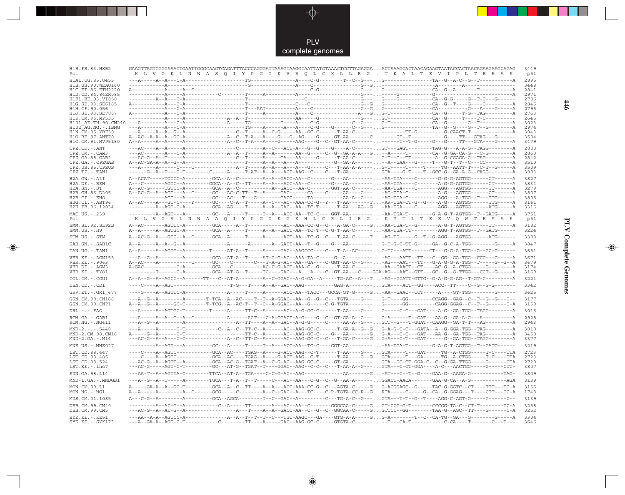PLV complete genomes

--

 $\overrightarrow{\mathbf{\P}}$ 

 $\overline{\mathbb{R}}$ 

| H1B.FR.83.HXB2<br>Pol                       | <u>KLV GKLN WAS QIYPGI KVR QLCKLLRG. TKALTEVIPLTEEAE</u>                                                                                                                                                                                                                                                                                                                                                                  | 3449<br>p51  |
|---------------------------------------------|---------------------------------------------------------------------------------------------------------------------------------------------------------------------------------------------------------------------------------------------------------------------------------------------------------------------------------------------------------------------------------------------------------------------------|--------------|
| H1A1.UG.85.U455                             |                                                                                                                                                                                                                                                                                                                                                                                                                           | 2895         |
| H1B. US. 90. WEAU160                        |                                                                                                                                                                                                                                                                                                                                                                                                                           | 3448         |
| H1C. ET. 86. ETH2220<br>H1D.CD.84.84ZR085   |                                                                                                                                                                                                                                                                                                                                                                                                                           | 2841<br>2971 |
| H1F1.BE.93.VI850                            |                                                                                                                                                                                                                                                                                                                                                                                                                           | 2786         |
| H1G.SE.93.SE6165                            |                                                                                                                                                                                                                                                                                                                                                                                                                           | 2846         |
| H1H.CF.90.056                               |                                                                                                                                                                                                                                                                                                                                                                                                                           | 2796         |
| H1J.SE.93.SE7887<br>H1K.CM.96.MP535         |                                                                                                                                                                                                                                                                                                                                                                                                                           | 2763<br>2645 |
| H101 AE.TH.90.CM240                         |                                                                                                                                                                                                                                                                                                                                                                                                                           | 3023         |
| H102 AG.NG.-.IBNG                           |                                                                                                                                                                                                                                                                                                                                                                                                                           | 2974         |
| H1N. CM. 95. YBF30                          |                                                                                                                                                                                                                                                                                                                                                                                                                           | 3043         |
| H1O.BE.87.ANT70<br>H1O.CM.91.MVP5180        |                                                                                                                                                                                                                                                                                                                                                                                                                           | 3504<br>3479 |
|                                             |                                                                                                                                                                                                                                                                                                                                                                                                                           |              |
| $CPZ$ . $CD$ . - .ANT<br>$CPZ.CM. - . CAM3$ |                                                                                                                                                                                                                                                                                                                                                                                                                           | 2888<br>2860 |
| CPZ.GA.88.GAB2                              |                                                                                                                                                                                                                                                                                                                                                                                                                           | 2842         |
| CPZ.GA. - . CPZGAB                          |                                                                                                                                                                                                                                                                                                                                                                                                                           | 3510         |
| CPZ.US.85.CPZUS                             |                                                                                                                                                                                                                                                                                                                                                                                                                           | 3509         |
| $CPZ.TZ.-.TAN1$                             |                                                                                                                                                                                                                                                                                                                                                                                                                           | 3093         |
| $H2A.GW.-.ALI$                              |                                                                                                                                                                                                                                                                                                                                                                                                                           | 3827         |
| $H2A.DE. - .BEN$                            | A---C-------AGTC--A--------GGCA--A--C--TT----A--ACC-AA--C-------G---AA----------AA-TGA----C-------A-G-G-AGTGG------CT-------A-                                                                                                                                                                                                                                                                                            | 3834         |
| $H2A.SN.-.ST$<br>H2B.GH.86.D205             | A--AC-G--A--AGT---A--C------GC---AC-C-TT--T--A-----GAC------CA----CA----GA----G----AG-TGA-C------------A-G---AGTGG------CT---------                                                                                                                                                                                                                                                                                       | 3279<br>3807 |
| $H2B.CI.-.EHO$                              |                                                                                                                                                                                                                                                                                                                                                                                                                           | 3805         |
| H2G.CI. - . ABT96                           | A--AC----A---GT-C----Y------GC----C-A--T-----A--C--AC--AAA-CC-G--Y---T-AA-------T-AR-TGA-CT-G--G----A-G---AGTGG------TTG-----A-G                                                                                                                                                                                                                                                                                          | 3161         |
| H2U.FR.96.12034                             | ----------A--AGT-C-A---------GCA--AG----T-----A--GAC--AA--TC-T------T-AA---AG--G-AA-TGA---C-------AGG---AGTGG-------ATG------A                                                                                                                                                                                                                                                                                            | 3316         |
| MAC.US.-.239                                | -------------A---AGT---A---------GC---A-----T-----T---A---ACC-AA--TC-C----GGT-AA--------. -AA-TGA-T------G-A-G-T-AGTGG--T--GATG------A                                                                                                                                                                                                                                                                                    | 3751         |
| Pol                                         | <u>KL V G V L N W A A Q I Y P G I K G K H L C R L I R G . K M T L T E E V Q W T E M A E</u>                                                                                                                                                                                                                                                                                                                               | p51          |
| SMM.SL.92.SL92B<br>$SMM.US.-.H9$            | A--A-----A--AGTGC-A---------GCA--A------T----A--A--GACT-AA--TC-T--C-G-T-AA-C-------AA-TGA-TT---------AGG-T-AGTGG--T--GATG------                                                                                                                                                                                                                                                                                           | 3182<br>3224 |
| STM.US.-.STM                                | A--AC-G--A---GTC--A--C------GCA--A------T-----A------ACT-AA--TC-G--C---T-AA-C-----T-AG-TG----G--T--G-AGG---AGTGG------ATG------                                                                                                                                                                                                                                                                                           | 3398         |
| SAB.SN. - . SAB1C                           |                                                                                                                                                                                                                                                                                                                                                                                                                           | 3847         |
| TAN.UG. - . TAN1                            | A--A-----A--AGTG--A---------T-----AT-A--T-----A-----GAC--AAGCCC----C---T-A--AC-----G-TC---ATT------CT---G-G-A-TGG--G--GC-G------                                                                                                                                                                                                                                                                                          | 3651         |
| VER.KE. - . AGM155                          |                                                                                                                                                                                                                                                                                                                                                                                                                           | 3671         |
| VER. KE. - . 9063                           | $\verb A-AC---A-----C-----C---GC---C---C---C---C---T-A-G-AC--A---G-A---C-GGT-AA-C---G---A.\\ \verb A-C--A-C---A-AT---T---G-A-G-G-A-TGG--T---G--G---A.\\ \verb A-C--A-C---A--T---G---A.\\ \verb A-C--A-C---A--T---G---A.\\ \verb A-C--A-C---A--T---G---A.\\ \verb A-C--A-C---A--T---G---A.\\ \verb A-C--A-C---A--T---G---A.\\ \verb A-C--A-C---A--T---G---A.\\ \verb A-C--A-C---A--T---G---A.\\ \verb A-C--A-C---A--T---G$ | 3679         |
| VER.DE. - . AGM3<br>VER.KE. - . TYO1        | ---------T------C-A---------GCA--AT-G--T-----TC----GAC---AA----C--GT-AA---C----GGA-AG---AAT--GTT---GC--G--G-TTGG---CCT--G-------A                                                                                                                                                                                                                                                                                         | 3174<br>3169 |
|                                             |                                                                                                                                                                                                                                                                                                                                                                                                                           | 3221         |
| COL.CM.-.CGU1<br>DEN.CD. - .CD1             |                                                                                                                                                                                                                                                                                                                                                                                                                           | 3342         |
|                                             |                                                                                                                                                                                                                                                                                                                                                                                                                           | 3625         |
| GRV.ET. - .GRI 677<br>GSN.CM.99.CN166       | ----G----A--AGTTC-A--------------A-----T-----A------ACC-AA--TACC---GCCA-GT-G-----G. -AA--GAAC--CCT-----A----GT-TGG--------G------                                                                                                                                                                                                                                                                                         | 3177         |
| GSN.CM.99.CN71                              | ---A--G--A--------A-------T-TCA--A--AC----T--A-GGAC--AA--G--G--C---TGTA----G--.G-T----GG--------CCAGG--GAG--C--T--G--G--C--<br>A--A--G--A-----GC-C-------T-TCG--A--AC-T--T--C--A-GGAC--AA--G------C-G-TGTA--------- G------GG---------CAGG-GGAG--C--T--G-------C-A                                                                                                                                                        | 3159         |
| $DRL - - - FAO$                             |                                                                                                                                                                                                                                                                                                                                                                                                                           | 3016         |
| RCM.GA. - . GAB1<br>$RCM.NG. - . NG411$     |                                                                                                                                                                                                                                                                                                                                                                                                                           | 2928<br>2943 |
|                                             |                                                                                                                                                                                                                                                                                                                                                                                                                           |              |
| $MND-2. - - - 5440$<br>MND-2.CM.98.CM16     |                                                                                                                                                                                                                                                                                                                                                                                                                           | 3010<br>3450 |
| $MND-2.GA.-.M14$                            |                                                                                                                                                                                                                                                                                                                                                                                                                           | 3377         |
| MNE.US. - . MNE027                          | ----------A---RGT---A---------GC---A-----T-----T---ACC-AA--TC-C----GGT-AA-------- -AA-TGA-T--------G-A-G-T-AGTGG--T--GATG------                                                                                                                                                                                                                                                                                           | 3219         |
| LST.CD.88.447                               | ---C----A--AGTC-----------GCA--AC----TGAG--A----G-ACT-AAG--C-T------T-AA----G---GTA-----T---GAT-----TG--A-CTGG-----T-C----TTA                                                                                                                                                                                                                                                                                             | 2723         |
| LST.CD.88.485                               | ----C----A--AGTC------------GCA--AC-----TGAG--A----G-ACT-AAG--C-T------T-AA----G--GGTA-----T---GA------TG--A-CTGG-----T-C----TTA                                                                                                                                                                                                                                                                                          | 2723         |
| LST.CD.88.524                               | ---AC-G--A--AGTT--A---------GCA--AC-G--TGAT--A--C-G-AC--AAG-GC-C-----GT-GA--------GTA--GC-CT-GGA-C--C--G-GA-TTGG-----G------CTA                                                                                                                                                                                                                                                                                           | 2720         |
| LST.KE. - . lho7                            | ---AC-G-----AGT-C-T---------GC---AT-G--TGAT--T----GGAC--AAG--C-C--C--T-AA-A--G---GTA---C-CT-GGA----A-C---AACTGG-----G-----CTT-                                                                                                                                                                                                                                                                                            | 3807         |
| SUN.GA.98.L14                               |                                                                                                                                                                                                                                                                                                                                                                                                                           | 3809         |
| MND-1.GA.-.MNDGB1                           |                                                                                                                                                                                                                                                                                                                                                                                                                           | 3139         |
| MON.CM.99.L1<br>$MON.NG. - . NG1$           | A-----GA-A--A--GC-T---------GCA--A--C--TT----A--A--ACC-AAA-CC-G--C---AGTA-C-----GG-ACGGAGC--G-----TAC-G-GGTC--CT----TTT---TC-A                                                                                                                                                                                                                                                                                            | 3155<br>1748 |
| MUS.CM.01.1085                              |                                                                                                                                                                                                                                                                                                                                                                                                                           | 3139         |
| DEB.CM.99.CM40<br>DEB.CM.99.CM5             | ---------A--AC-G--A----------C--A------TT-------AC--AA--C------GGGCAA-C-----GGT-CCG-G-T-------CCCGG-TA-C--CT-T--------TC-A                                                                                                                                                                                                                                                                                                | 3258<br>3252 |
| SYK.KE. - . KE51                            |                                                                                                                                                                                                                                                                                                                                                                                                                           | 3304         |
| $SYK.KE. - .SYK173$                         | ---A--GA-A--AGT-C-T----------C-------TT----A-----GAC--AAG-GC-C------GTGTA-C------. --T---CA-T-----------C-CA----T-------C---T---                                                                                                                                                                                                                                                                                          | 3646         |

 $\blacklozenge$ 

**PLV Complete Genomes 446 PLV Complete Genomes** 

 $\Rightarrow$ 

 $\sqrt{2}$ 

 $\frac{446}{1}$ 

 $\blacksquare$ 

<u> 1999 - 1999 - 1999 - 1999 - 1999 - 1999 - 1999 - 1999 - 1999 - 1999 - 1999 - 1999 - 1999 - 1999 - 1999 - 199</u>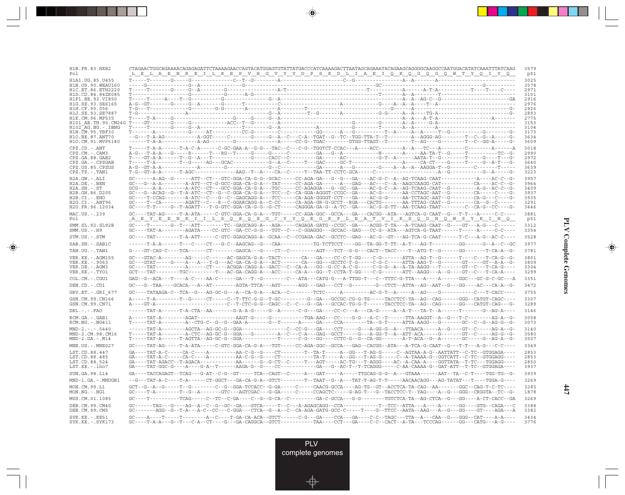| H1B.FR.83.HXB2<br>Po 1                      | CTAGAACTGGCAGAAAACAGAGAGATTCTAAAAGAACCAGTACATGGAGTGTATTATGACCCATCAAAAGACTTAATAGCAGAAATACAGAAGCAGGGGCAAGGCCAATGGACATATCAAATTTATCAAG<br><u>LA EN REILKEP VHGVYYDPSKDLIAEI QKQG QG QWTYQI YQ</u><br>L E                                                                                                                                                                                                 | 3579<br>p51  |
|---------------------------------------------|------------------------------------------------------------------------------------------------------------------------------------------------------------------------------------------------------------------------------------------------------------------------------------------------------------------------------------------------------------------------------------------------------|--------------|
| H1A1.UG.85.U455                             |                                                                                                                                                                                                                                                                                                                                                                                                      | 3025         |
| H1B. US. 90. WEAU160                        |                                                                                                                                                                                                                                                                                                                                                                                                      | 3578         |
| H1C.ET.86.ETH2220<br>H1D.CD.84.84ZR085      |                                                                                                                                                                                                                                                                                                                                                                                                      | 2971<br>3101 |
| H1F1.BE.93.VI850                            |                                                                                                                                                                                                                                                                                                                                                                                                      | 2916         |
| H1G.SE.93.SE6165<br>H1H.CF.90.056           |                                                                                                                                                                                                                                                                                                                                                                                                      | 2976<br>2926 |
| H1J.SE.93.SE7887                            |                                                                                                                                                                                                                                                                                                                                                                                                      | 2893         |
| H1K.CM.96.MP535                             |                                                                                                                                                                                                                                                                                                                                                                                                      | 2775         |
| H102 AG.NG.-.IBNG                           |                                                                                                                                                                                                                                                                                                                                                                                                      | 3153<br>3104 |
| H1N.CM.95.YBF30                             |                                                                                                                                                                                                                                                                                                                                                                                                      | 3173         |
| H10.BE.87.ANT70                             |                                                                                                                                                                                                                                                                                                                                                                                                      | 3634         |
| H1O.CM.91.MVP5180                           |                                                                                                                                                                                                                                                                                                                                                                                                      | 3609         |
| $CPZ$ . $CD$ . - .ANT<br>$CPZ.CM. - . CAM3$ |                                                                                                                                                                                                                                                                                                                                                                                                      | 3018<br>2990 |
| CPZ.GA.88.GAB2                              |                                                                                                                                                                                                                                                                                                                                                                                                      | 2972         |
| CPZ.GA.-.CPZGAB                             |                                                                                                                                                                                                                                                                                                                                                                                                      | 3640         |
| CPZ.US.85.CPZUS<br>$CPZ.TZ.-.TAN1$          |                                                                                                                                                                                                                                                                                                                                                                                                      | 3639<br>3223 |
| H2A.GW.-.ALI                                |                                                                                                                                                                                                                                                                                                                                                                                                      | 3957         |
| H2A.DE.-.BEN                                |                                                                                                                                                                                                                                                                                                                                                                                                      | 3964         |
| $H2A.SN.-.ST$                               |                                                                                                                                                                                                                                                                                                                                                                                                      | 3409         |
| H2B.GH.86.D205<br>H2B.CI.-.EHO              | GC---G--ACAG--G--T-A-ATC--CT--G--C-GGA-CA-G-A---TCC--C--CA-GGA-AGGGT-CCGC--GA-----AC-G-------AA-CCTAGC-AAT--G--------CA-----C----G-<br>GC----T-CCAG-------A-ATC--C---G--C--GAGCAGG-A---TCC-----CA-AGA-GGGGT-CCT---GA----AC-G-G-----AA-TCTAGC-AAT--G--------CA-G---C----G-                                                                                                                            | 3937<br>3935 |
| H2G.CI.-.ABT96                              | GC----T--CA--------AGATT--C---R--C-GGARCAGG-A--C-CC-----CA-AGA-GR-G-GCCT--RGA---CACTG-------AA-TTTAG-CAAT--G--------CA--G--C------                                                                                                                                                                                                                                                                   | 3291         |
| H2U.FR.96.12034                             | GC----T-T-----G--T-AGATT---T-G-GTC-GGA-CA-G-G--G-CT-----CAGGGA-GA-G--A-TC--GA----AC-G-G-TT--AA-TCAAG-TAAT--------C--CA-G--CC----G-                                                                                                                                                                                                                                                                   | 3446         |
| MAC.US.-.239<br>Po 1                        | $\verb GC---TAT-AG---T-A-ATA---C-GTC-GGA-CA-G-A---TGT---CC-AGA-GGC--GCA---CA-A---CACGG---ATA---AGTCA-G-CAAT--G---T-T---A---C-C---A$<br>A E Y E E N K I I L S Q E Q E G C Y Y Q E G K P L E A T V I K S Q D N Q W S Y K I H Q                                                                                                                                                                         | 3881<br>p51  |
| SMM.SL.92.SL92B<br>$SMM.US. - .H9$          | GC----T------G--T---ATT-------TC--GAGCAGG-A---AGA-----CAGAGA-GATG--CCGC--GA----ACGG-T-TA---A-TCAAG-CAAT--G----GT---A-G---C-----                                                                                                                                                                                                                                                                      | 3312<br>3354 |
| STM.US.-.STM                                | GC----TAT--------T-A-ATT-----C-GTC-GGAGCAGG-A--GCAA--C--CCGAGA-GAC--GCCTC--GAG---AC-G--GT---AG-TCA-G-CAAT------T-C---A-G--AC-C----                                                                                                                                                                                                                                                                   | 3528         |
| SAB.SN.-.SAB1C                              |                                                                                                                                                                                                                                                                                                                                                                                                      | 3977         |
| TAN.UG. - . TAN1                            | $\verb G---GT-CAG-C---TCA----CT----CT----GAGCA---G----CT--C----ATG----TCT--G---CT--CCT----G-GT---CACT--TACC---T--ATG-T--G----GG----GG----T--G-----T--G-----T--G-----T--G-----T--G-----T--G-----T--G-----T--G-----T--G-----T--G-----T--G-----T--G-----T--G-----T--G-----T--G-----T--G-----T--G-----T--G-----T--G-----T--G-----T--G-----T--G-----T--G-----T--G-----$                                   | 3781         |
| VER.KE. - . AGM155                          |                                                                                                                                                                                                                                                                                                                                                                                                      | 3801<br>3809 |
| VER.KE. - . 9063<br>VER.DE. - . AGM3        |                                                                                                                                                                                                                                                                                                                                                                                                      | 3304         |
| VER.KE. - . TYO1                            | $GCT---TAT-------TGC--------------AC-GA-CAGG-A---ACC-----CA-A---GG---TCCTA-T-GG------G-----ATT--AAGG---A-G---G----CT---CT--TCA-A---T-1.$                                                                                                                                                                                                                                                             | 3299         |
| COL.CM.-.CGU1                               | GAG--G--ACA---T----A-C----AA-C------GA---T--G-------C---ATA---CATG-G---A-TTGG-T---C--TTTC-G-TTA---A-----A------GGC---GC-G-C-GC---A-----                                                                                                                                                                                                                                                              | 3351         |
| DEN.CD. - .CD1                              | GC---G--TAA----GCACA---A--AT--------AGTA-TTCA---AGT------AGG---GAG---CCT--G-------G--CTCT--ATTA--AG--AAT--G---GG----AC---CA-A--G-                                                                                                                                                                                                                                                                    | 3472         |
| GRV.ET. - . GRI 677                         |                                                                                                                                                                                                                                                                                                                                                                                                      | 3755         |
| GSN.CM.99.CN166<br>GSN.CM.99.CN71           |                                                                                                                                                                                                                                                                                                                                                                                                      | 3307<br>3289 |
| $DRL - - -$ . $FAO$                         |                                                                                                                                                                                                                                                                                                                                                                                                      | 3146         |
| RCM.GA.-.GAB1<br>$RCM.NG. - .NG411$         | T-----TAT-A--------A--CTG-C--G--GA-G-A--------G--T------A-----GA-----CA-------TA--G-T-----ATTA-AAGG---G-------GC--C--G--AG-G--G--                                                                                                                                                                                                                                                                    | 3058<br>3073 |
| $MND-2. - - - 5440$                         |                                                                                                                                                                                                                                                                                                                                                                                                      | 3140         |
| MND-2.CM.98.CM16<br>$MND-2.GA.-.M14$        | T-----TAT-A--------A-CTC--AG-GC-G--GGA---G---------A--C---C-A---GAG--GCCT----G---A-GG-T--A--ATT-ACA-----G-------GT--C-----AG-G--G-                                                                                                                                                                                                                                                                   | 3580<br>3507 |
| $MNE . US . - . MNE027$                     |                                                                                                                                                                                                                                                                                                                                                                                                      | 3349         |
| LST.CD.88.447                               | GA----TAT-A-C-----CA-C----A---------AA-C-G--G----CT--------T--TA-T-----A--GG---T-AG-G-----C--AGTAA-A-G--AATTATT--C-TC--GTGGAGA----                                                                                                                                                                                                                                                                   | 2853         |
| LST.CD.88.485<br>LST.CD.88.524              | GA----TAT-AGACC--T-AGACA-----------AA------G--G-CT--C-----T---AGT-----AC-TG---T-AGGG----AC--A-CAA-A----GGTTATA--T-TC---TGGAGG----                                                                                                                                                                                                                                                                    | 2853<br>2850 |
| LST.KE. - . lho7                            |                                                                                                                                                                                                                                                                                                                                                                                                      | 3937         |
| SUN.GA.98.L14                               | GA----TACCAGAGT--TCAG---G-AT--C-G--GT-----TCA--CAGT--C-----A---GAT-----A----TTGCAG-G-G-A---GTAAA------AAT--TA--C-T----TGG-TG--G-                                                                                                                                                                                                                                                                     | 3939         |
| MND-1.GA.-.MNDGB1                           | $-\texttt{-G--TAT-A-C---T-A----CT-GGCT---GA-G-A-G-A--GTCT-----T--TART-G-A---TAT-T-AG-T-----AACACAGG---AG-TATAT---T---T-GCA-G----T-GCA-G---T\_G-CT\_A-C-A-G--GTCT----T\_GAC-A-C-A--GTCT----T\_GAC-A-C-A-C-A-G-CT\_A-C-A--T\_GTC\_---T\_GTC\_--T\_GTC\_--T\_GTC\_--T\_GTC\_--T\_GTC\_--T\_GTC\_--T\_GTC\_--T\_GTC\_--T\_GTC\_--T\_GTC\_--T\_GTC\_--T\_GTC\_--T\_GTC\_--T\_GTC\_--T\_GTC\_--T\_GTC\_--$ | 3269         |
| MON.CM.99.L1<br>$MON.NG. -.NG1$             | GCT--G--A--G-----T--G--------C--G--GGA-TCCACC--G-GA-----C-----CAACG-GCCA----AG-TG--GT--ACCTCA-TA-CAG--AA-------GGC--CAG-T-C-TC----                                                                                                                                                                                                                                                                   | 3285<br>1878 |
| MUS.CM.01.1085                              |                                                                                                                                                                                                                                                                                                                                                                                                      | 3269         |
| DEB. CM. 99. CM40<br>DEB.CM.99.CM5          | GC-------AGG--G--T-A---A-C--CC---C-GGA---CTCA--G--A--C--CA-AGA-GATG-GCC-C-----T----G--TTCC--AATA--AAG---A--G---GG----GT----AGA---A                                                                                                                                                                                                                                                                   | 3388<br>3382 |
| $SYK.KE. - .KE51$<br>$SYK.KE. - .SYK173$    |                                                                                                                                                                                                                                                                                                                                                                                                      | 3434<br>3776 |

<u>a shekara ta 1989 na shekara t</u>

 $\overrightarrow{\phantom{a}}$ 

 $\frac{\displaystyle \frac{\displaystyle \mathrm{d}}{\displaystyle \mathrm{d}}}{\displaystyle \frac{\displaystyle \mathrm{d}}{\displaystyle \mathrm{d}}}{\displaystyle \mathrm{d}}$ 

**PLV Complete Genomes PLV Complete Genomes**

 $\begin{picture}(20,5) \put(0,0){\line(1,0){10}} \put(15,0){\line(1,0){10}} \put(15,0){\line(1,0){10}} \put(15,0){\line(1,0){10}} \put(15,0){\line(1,0){10}} \put(15,0){\line(1,0){10}} \put(15,0){\line(1,0){10}} \put(15,0){\line(1,0){10}} \put(15,0){\line(1,0){10}} \put(15,0){\line(1,0){10}} \put(15,0){\line(1,0){10}} \put(15,0){\line(1,$ 

 $\overline{\phantom{0}}$ 

 $\Box$ 

▌▊▊▊

 $\mathbf{I}$ 

**447**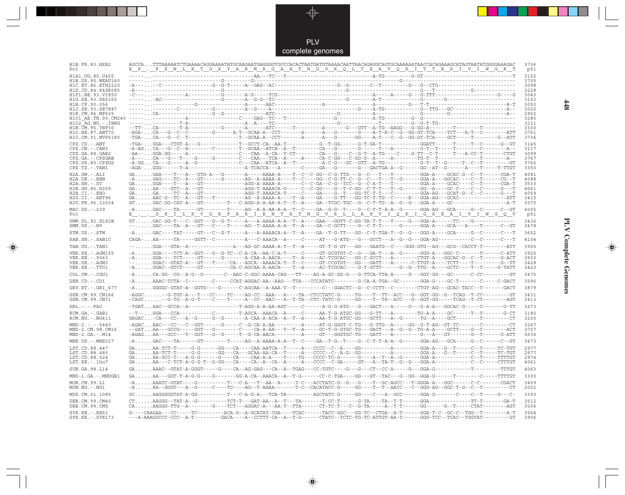

 $\overrightarrow{\mathbf{\P}}$ 

 $\mathbb{R}^2$ 

| H1B.FR.83.HXB2<br>Pol                   | AGCCATTTAAAAATCTGAAAACAGGAAAATATGCAAGAATGAGGGGTGCCCACACTAATGATGTAAAACAATTAACAGAGGCAGTGCAAAAAATAACCACAGAAAGCATAGTAATATGGGGAAAGAC<br>E P . F K N L K T G K Y A R M R G A H T N D V K Q L T E A V Q K I T T E S I V I W G K T                                                                                                                                                                                                                                                                                                                                                                         | 3706<br>p51  |
|-----------------------------------------|----------------------------------------------------------------------------------------------------------------------------------------------------------------------------------------------------------------------------------------------------------------------------------------------------------------------------------------------------------------------------------------------------------------------------------------------------------------------------------------------------------------------------------------------------------------------------------------------------|--------------|
| H1A1.UG.85.U455<br>H1B. US. 90. WEAU160 | $- A \cdot \ldots \cdot C \cdot \ldots \cdot C \cdot \ldots \cdot C \cdot \ldots \cdot C \cdot \ldots \cdot C \cdot \ldots \cdot C \cdot \ldots \cdot C \cdot \ldots \cdot C \cdot \ldots \cdot C \cdot \ldots \cdot C \cdot \ldots \cdot C \cdot \ldots \cdot C \cdot \ldots \cdot C \cdot \ldots \cdot C \cdot \ldots \cdot C \cdot \ldots \cdot C \cdot \ldots \cdot C \cdot \ldots \cdot C \cdot \ldots \cdot C \cdot \ldots \cdot C \cdot \ldots \cdot C \cdot \ldots \cdot C \cdot \ldots \cdot C \cdot \ldots \cdot C \cdot \ldots \cdot C \cdot \ldots \cdot C \cdot \ldots \cdot C \cdot$ | 3152<br>3705 |
| H1C.ET.86.ETH2220<br>H1D.CD.84.84ZR085  |                                                                                                                                                                                                                                                                                                                                                                                                                                                                                                                                                                                                    | 3098<br>3228 |
| H1F1.BE.93.VI850                        |                                                                                                                                                                                                                                                                                                                                                                                                                                                                                                                                                                                                    | 3043         |
| H1G.SE.93.SE6165<br>H1H.CF.90.056       |                                                                                                                                                                                                                                                                                                                                                                                                                                                                                                                                                                                                    | 3103<br>3053 |
| H1J.SE.93.SE7887                        |                                                                                                                                                                                                                                                                                                                                                                                                                                                                                                                                                                                                    | 3020         |
| H1K.CM.96.MP535<br>H101 AE.TH.90.CM240  |                                                                                                                                                                                                                                                                                                                                                                                                                                                                                                                                                                                                    | 2902<br>3280 |
| $H102$ AG. NG. - TBNG                   |                                                                                                                                                                                                                                                                                                                                                                                                                                                                                                                                                                                                    | 3231         |
| H1N.CM.95.YBF30<br>H1O.BE.87.ANT70      | -AGA-CA---G--C--C--------G-------A-T--GCAA-A--CCT-------A-----A----G------G----A-T-A-C--G--GG-GT-TCA----TCT---A-T--C--------ATT                                                                                                                                                                                                                                                                                                                                                                                                                                                                    | 3300<br>3761 |
| H1O.CM.91.MVP5180                       |                                                                                                                                                                                                                                                                                                                                                                                                                                                                                                                                                                                                    | 3736         |
| $CPZ$ . $CD$ . $-ANT$                   |                                                                                                                                                                                                                                                                                                                                                                                                                                                                                                                                                                                                    | 3145         |
| CPZ.CM. - . CAM3<br>CPZ.GA.88.GAB2      |                                                                                                                                                                                                                                                                                                                                                                                                                                                                                                                                                                                                    | 3117<br>3099 |
| CPZ.GA. - . CPZGAB                      |                                                                                                                                                                                                                                                                                                                                                                                                                                                                                                                                                                                                    | 3767         |
| CPZ.US.85.CPZUS<br>CPZ.TZ.-.TAN1        |                                                                                                                                                                                                                                                                                                                                                                                                                                                                                                                                                                                                    | 3766<br>3350 |
| H2A.GW.-.ALI                            |                                                                                                                                                                                                                                                                                                                                                                                                                                                                                                                                                                                                    | 4081         |
| $H2A.DE. - .BEN$                        |                                                                                                                                                                                                                                                                                                                                                                                                                                                                                                                                                                                                    | 4088         |
| $H2A.SN.-.ST$<br>H2B.GH.86.D205         | GAGGA----T---A---GT--------------AGG-A-AAAA-A-------C--GA--C-G--TCC--G--C-A-T---T---------GGA-A----GCAC----C--T------CGA-T                                                                                                                                                                                                                                                                                                                                                                                                                                                                         | 3533<br>4061 |
| $H2B.CI.-EHO$                           | GAGA-----TC--A---GT-------------AGG-T-AAAACA-T-----C----GA----G--T----GG-TC-T-T---C---------GGA-AG---GCAT-G--C--C------G---T                                                                                                                                                                                                                                                                                                                                                                                                                                                                       | 4059         |
| H2G.CI. - . ABT96<br>H2U.FR.96.12034    |                                                                                                                                                                                                                                                                                                                                                                                                                                                                                                                                                                                                    | 3415<br>3570 |
| MAC.US.-.239<br>Pol                     | <u>E.L.DKI LKV GKFA KI KNTHT NGVRLLAH VI QKI GKEA I VI WGQV</u>                                                                                                                                                                                                                                                                                                                                                                                                                                                                                                                                    | 4005<br>p51  |
| SMM.SL.92.SL92B<br>$SMM.US.-.H9$        | --GAC----TA--A---GT---C----T-----AG--T-AAAA-A-A--T--A----GA--C-GCTT----G--C-T-T------G------GGA-A----GCA---A----T------C--GT                                                                                                                                                                                                                                                                                                                                                                                                                                                                       | 3436<br>3478 |
| STM.US.-.STM                            | -AGAC----TAT-----GT---C--G-T-----A--A-AAAACA-A--T--A----GA--T-G-TT---GG--C-T-TGA-T--G--G---G-GG-A-----GCA-----G--C------C---T                                                                                                                                                                                                                                                                                                                                                                                                                                                                      | 3652         |
| SAB.SN. - . SAB1C                       |                                                                                                                                                                                                                                                                                                                                                                                                                                                                                                                                                                                                    | 4104         |
| TAN.UG. - . TAN1                        | --GGA---GTA--A----------------A---AG-GC-AAAA-A-T--T--A-----GT-T-G-GT---GG---GAATG--C----GGG-GTG--AG---GCG--CACCT-T--------ATT                                                                                                                                                                                                                                                                                                                                                                                                                                                                      | 3905         |
| VER. KE. - . AGM155                     | -AGGA----TCT-A--GGT---G--G-TC--C-A-CA--AA-C-A-T-----C-----GT-GCGTGT-C--G---GA-T---A--G------GGG-A---GGC-C-------T------C-ATT                                                                                                                                                                                                                                                                                                                                                                                                                                                                       | 3925         |
| VER.KE. - . 9063<br>VER.DE. - . AGM3    | -AGGA----TCT-----GT------G-------A-CAA-A-AACA----T--A-----AC-TCGCAC---GG-C-GCCT---A--------CTGT-A---GGCAC-G--C--T------G-ACT                                                                                                                                                                                                                                                                                                                                                                                                                                                                       | 3933<br>3428 |
| VER.KE.-.TYO1                           | -AGGAC--GTCT-----GT---------CA-C-AGCAA-A-AACA----T--A-----AC-TCGCAC----G-T-GTTT------G--G--TTG--A----GCTC----T--T-----G-TATT                                                                                                                                                                                                                                                                                                                                                                                                                                                                       | 3423         |
| COL.CM.-.CGU1                           |                                                                                                                                                                                                                                                                                                                                                                                                                                                                                                                                                                                                    | 3475         |
| DEN.CD. - .CD1                          | -A. AAAC-TCTA--C--------C-----CCAT-AGGAC-AA--AAG---TTA---CCCATATC--------G-CA-A-TGA--GC------GGA-G----GC-T-------C-----C-GACT                                                                                                                                                                                                                                                                                                                                                                                                                                                                      | 3596         |
| GRV.ET. - . GRI 677                     | -AGGGC-GTAT-A--GGTG----G------C-AGCAA--A-AAA-T--T---------CC---GGACTC--G--C-CCTT--C--------CTGT-AG---GCAC-TACC--T-------GACT                                                                                                                                                                                                                                                                                                                                                                                                                                                                       | 3879         |
| GSN.CM.99.CN166<br>GSN.CM.99.CN71       | -AGGC--G-TGT-A---T---CC----TC----AG-CC--AAA---A---TA--CTCCTATC-G-----TG---T--TT--ACC---G--GGT-GG--G--TCAG--T-CC--------GT<br>-CAGC--G-TG--A-G-T----C----T-----A--CC--AAC---A--T-TA--CTC-TATC-G-----GG----TA--ACC---G--GGT-GG-----TCAG--T-CT--------AGT                                                                                                                                                                                                                                                                                                                                             | 3431<br>3413 |
| $DRL - - - FAO$                         | -TGATAAC--GCCA--A-----------------T-AGG-A-A-AA-AGT-----C------A-G-G-ATG---G---GACT---A-----G---G-A-A---GGCAC-G-----C-------G-TT                                                                                                                                                                                                                                                                                                                                                                                                                                                                    | 3273         |
| RCM.GA.-.GAB1<br>RCM.NG. - . NG411      | --T--GGA---CCA-----------C-------T-AGCA--AAACA--A-----C----AA-T-G-ATGC-GG---G-TT---A-------TG-A-A----GC------T--T-------G-CT<br>$\verb GAGAC , \verb ,.-CA---CC---A--G----G---A--CA-A-ACA--A--T--A---AA--T--G-ATGC-GG---GCTT---A--G---TG--A---TGC--A---GCT------T----------CT$                                                                                                                                                                                                                                                                                                                     | 3185<br>3200 |
| $MND-2. - - - 5440$                     |                                                                                                                                                                                                                                                                                                                                                                                                                                                                                                                                                                                                    | 3267         |
| MND-2.CM.98.CM16<br>$MND-2.GA.-.M14$    | --GATAA---GCCG-----GGT---G--------C----CA-A-AA---T--T--A-----GC-T-G-GTGC-TG---GACT---A--G--G--TG-A-A----GCTT----G--C--------ACT<br>-AGAGAA---GCC---T--GGT---G--G------T--G-CA-AACA---------A----GT---GGGTGC-TG---GATT---A--------G---A---GT-------G--T------G-ATT                                                                                                                                                                                                                                                                                                                                  | 3707<br>3634 |
| $MNE . US . - . MNE027$                 | -AGAC----TA------GT-------T-----AG--A-AAAA-A-A--T--C----GA--T--G--T----G--C-T-T-A-A--G-----GGA-AG---GCA-----G--C------C--GT                                                                                                                                                                                                                                                                                                                                                                                                                                                                        | 3473         |
| LST.CD.88.447                           | $\verb GA,…AA-TCT-T----G-G----GG---CA---CAA-AATCA---T---A---CCCC--C-A----GG------A---A----GGA-A---G--T---C---T---C--T---TC-TGT$                                                                                                                                                                                                                                                                                                                                                                                                                                                                    | 2977         |
| LST.CD.88.485                           |                                                                                                                                                                                                                                                                                                                                                                                                                                                                                                                                                                                                    | 2977         |
| LST.CD.88.524<br>LST.KE.-.lho7          |                                                                                                                                                                                                                                                                                                                                                                                                                                                                                                                                                                                                    | 2974<br>4061 |
| SUN.GA.98.L14                           | $\verb GA. \dots. \texttt{AAAC--GTAT-A-GGGT----G---G--CA--AG-GAG---CA--A--TGAG---CC-TGTC----G---G---CC-A----G---G-G---GGA-G---------------------TTTGT"   @. \texttt{AAAC--GT} \texttt{AAAC--ST} \texttt{AAAC--ST} \texttt{AAAC--ST} \texttt{AAAC--ST} \texttt{AAAC--ST} \texttt{AAAC--ST} \texttt{AAAC--ST} \texttt{AAAC--ST} \texttt{AAAC--ST} \texttt{AAAC--ST} \texttt{AAAC--ST} \texttt{AAAC--ST} \texttt{AAAC--ST} \texttt{AAAC--ST} \text$                                                                                                                                                   | 4063         |
| MND-1.GA.-.MNDGB1                       | $\verb GA. \dots. \text{AA---GGT-T-A-G-G---G---G---GGA-CA--AAACA--A---T-G---C-C-C-TGA---GG---GT---TAC---G--GG-GG--GG-GG--G--G---T---T---C---TTTTGT$                                                                                                                                                                                                                                                                                                                                                                                                                                                | 3393         |
| MON.CM.99.L1<br>$MON.NG. - . NG1$       | -AAAATC-GTAT----G----------T---C-A---T--AA--A-----T-C---ACCTATC-G--G---G---T--GC-AGCC---T-GGGA-A---GGC------C-C-------CGACT                                                                                                                                                                                                                                                                                                                                                                                                                                                                        | 3409<br>2002 |
| MUS.CM.01.1085                          | GCAAGGGGGTAT-A-GG----------T---C-A-G-A---TCA-TA--------AGCTATC-G-----GG----C---A--GCC------GGA-G-------C---T-----G---C--T                                                                                                                                                                                                                                                                                                                                                                                                                                                                          | 3393         |
| DEB.CM.99.CM40                          |                                                                                                                                                                                                                                                                                                                                                                                                                                                                                                                                                                                                    | 3512         |
| DEB.CM.99.CM5                           | CAAAGGG-TTG--A--------G----TCT---AGGAC-A---AA-T--TTA------CT-TC-T---C--G-TA-----A--T-T------GG------G--T------CTAT--------AGT                                                                                                                                                                                                                                                                                                                                                                                                                                                                      | 3506         |
| SYK.KE. - . KE51<br>$SYK.KE. - .SYK173$ | G----CAAGAA---CC-----TC---------ACA-G--A-GCATAT-CGA----TCAC-----TACC-GGC---GG-TC--CTGA--A-T------GGA-T-C--GC-C--TGG--T---------A-T<br>---A-AAAGGCCC-CCC--A-T---------GACA----A--CCTTT-CA--A--T-G------CTATC--TCTC-TG-TC-ATTGT-AA-T------GGG-TCC--TCAC--TGGTAT--------GT                                                                                                                                                                                                                                                                                                                            | 3564<br>3906 |

 $\blacklozenge$ 

**PLV Complete Genomes 448 PLV Complete Genomes** 

 $\Rightarrow$ 

 $\equiv$ 

 $448$ 

 $\Box$ 

<u> 1959 - 1959 - 1959 - 1959 - 1959 - 1959 - 1959 - 1959 - 1959 - 1959 - 1959 - 1959 - 1959 - 1959 - 1959 - 195</u>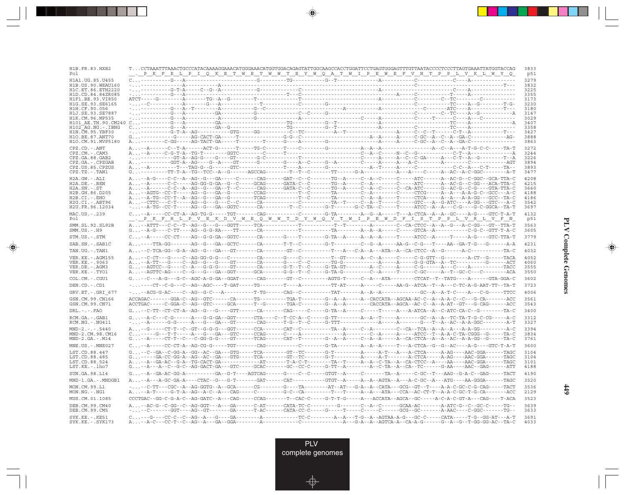| H1B.FR.83.HXB2<br>Po 1                    | <u>P.K.F.K.L.P.IQ.K.B.T.W.B.T.W.W.T.B.Y.W.Q.A.T.W.IP.B.W.B.F.V.N.T.P.P.L.V.K.L.W.Y.Q</u>                                                                                                                                                                                                                                                                                                                                                                        |  |  | 3833<br>p51  |
|-------------------------------------------|-----------------------------------------------------------------------------------------------------------------------------------------------------------------------------------------------------------------------------------------------------------------------------------------------------------------------------------------------------------------------------------------------------------------------------------------------------------------|--|--|--------------|
| H1A1 UG.85 U455                           |                                                                                                                                                                                                                                                                                                                                                                                                                                                                 |  |  | 3279         |
| HIB US 90 WEAU160                         |                                                                                                                                                                                                                                                                                                                                                                                                                                                                 |  |  | 3832         |
| H1C. ET. 86. ETH2220<br>H1D.CD.84.84ZR085 |                                                                                                                                                                                                                                                                                                                                                                                                                                                                 |  |  | 3225<br>3355 |
| H1F1.BE.93.VI850                          |                                                                                                                                                                                                                                                                                                                                                                                                                                                                 |  |  | 3173         |
| H1G.SE.93.SE6165                          |                                                                                                                                                                                                                                                                                                                                                                                                                                                                 |  |  | 3230         |
| H1H.CF.90.056<br>H1J.SE.93.SE7887         |                                                                                                                                                                                                                                                                                                                                                                                                                                                                 |  |  | 3180<br>3147 |
| H1K.CM.96.MP535                           |                                                                                                                                                                                                                                                                                                                                                                                                                                                                 |  |  | 3029         |
|                                           |                                                                                                                                                                                                                                                                                                                                                                                                                                                                 |  |  | 3407         |
| H102 AG.NG.-.IBNG<br>H1N. CM. 95. YBF30   |                                                                                                                                                                                                                                                                                                                                                                                                                                                                 |  |  | 3358<br>3427 |
| H10.BE.87.ANT70                           |                                                                                                                                                                                                                                                                                                                                                                                                                                                                 |  |  | 3888         |
| H1O.CM.91.MVP5180                         |                                                                                                                                                                                                                                                                                                                                                                                                                                                                 |  |  | 3863         |
| CPZ.CD. - . ANT<br>CPZ.CM.-.CAM3          |                                                                                                                                                                                                                                                                                                                                                                                                                                                                 |  |  | 3272<br>3244 |
| CPZ.GA.88.GAB2                            |                                                                                                                                                                                                                                                                                                                                                                                                                                                                 |  |  | 3226         |
| CPZ.GA.-.CPZGAB                           | $\begin{array}{l} \texttt{-}\texttt{-----GFT-A}--\texttt{AG-G}----\texttt{G-T}----\texttt{GFT}----\texttt{G-T}----\texttt{G-T}----\texttt{G-T}----\texttt{G-T}----\texttt{G-T}----\texttt{G-T}----\texttt{G-T}----\texttt{G-T}----\texttt{G-T}----\texttt{G-T}----\texttt{G-T}----\texttt{G-T}----\texttt{G-T}----\texttt{G-T}----\texttt{G-T}----\texttt{G-T}----\texttt{G-T}----\texttt{G-T}----\texttt{G-T$                                                  |  |  | 3894         |
| CPZ.US.85.CPZUS<br>CPZ.TZ.-.TAN1          |                                                                                                                                                                                                                                                                                                                                                                                                                                                                 |  |  | 3893<br>3477 |
| $H2A.GW.-.ALI$                            | A. --A-G----C-C--A--AG--G---GA-----C------CAG------GAT--C--C-------TG--A----C--A--C-------ATC------A--AC-G--C-GGC--GCA-TTA-C                                                                                                                                                                                                                                                                                                                                    |  |  | 4208         |
| $H2A.DE. - .BEN$                          | A. --A------C-C-----AG-GG-G-GA--G--C-----GCAG------GATA-C--C-------TG--A-----C--A------C------ATC------A--AC-G-C-GG---ACA-TTA-C                                                                                                                                                                                                                                                                                                                                 |  |  | 4215         |
| $H2A.SN.-.ST$                             |                                                                                                                                                                                                                                                                                                                                                                                                                                                                 |  |  | 3660         |
| H2B.GH.86.D205<br>H2B.CI.-.EHO            |                                                                                                                                                                                                                                                                                                                                                                                                                                                                 |  |  | 4188<br>4186 |
| H2G.CI.-.ABT96                            |                                                                                                                                                                                                                                                                                                                                                                                                                                                                 |  |  | 3542         |
| H2U.FR.96.12034                           | ---A-TG--CC-T-----AG--G---GA--GGTC-------CA--------T--C-------G-T-------G-C-TA--C-----T-----ATCC--A--A---C-G----G-C-GGCA--TA-T-                                                                                                                                                                                                                                                                                                                                 |  |  | 3697         |
| MAC.US.-.239<br>Pol                       | <u>PKFHIPVEKDVEROWEQWTDYWQVTPXAIPEWDFISTPLLVRLYFN</u>                                                                                                                                                                                                                                                                                                                                                                                                           |  |  | 4132<br>p51  |
| SMM.SL.92.SL92B<br>$SMM.US.-.H9$          |                                                                                                                                                                                                                                                                                                                                                                                                                                                                 |  |  | 3563<br>3605 |
| STM.US.-.STM                              |                                                                                                                                                                                                                                                                                                                                                                                                                                                                 |  |  | 3779         |
| SAB.SN.-.SAB1C                            | A----TTA-GG-------AG--G---GA--GCTC------CA-------T-T--C--------G-T---------C--G--A------AA-G--C-G---T----AA--GA-T-G---G-------A-A                                                                                                                                                                                                                                                                                                                               |  |  | 4231         |
| TAN.UG. - . TAN1                          |                                                                                                                                                                                                                                                                                                                                                                                                                                                                 |  |  | 4032         |
| VER.KE. - . AGM155                        |                                                                                                                                                                                                                                                                                                                                                                                                                                                                 |  |  | 4052         |
| VER.KE. - . 9063<br>VER.DE. - . AGM3      |                                                                                                                                                                                                                                                                                                                                                                                                                                                                 |  |  | 4060<br>3555 |
| VER.KE.-.TYO1                             | A-AGTTC-AG----C--G---GA--GGT------GCA------G-G--T--C----G-TA-G-------C-A-----T----C-GC----A--T--GC-C---C-------ACA                                                                                                                                                                                                                                                                                                                                              |  |  | 3550         |
| COL.CM. - . CGU1                          | $G_+ \ldots - C--A-G--G-C--AGC-A-G-CA-GGA--GGAT---CAG---CAG---C\_G--C--S--A-GFG-T---C--A--A-TA---CTA----CTCAT--T--TATG---A----TATG---A----GTA-GGAC$                                                                                                                                                                                                                                                                                                             |  |  | 3602         |
| DEN.CD.-.CD1                              | -----CT--C-G---C--AG--AGC----T-GAT-----TG-------T----A--------TT-AT-----A----C----AA-G--ATCA--T--A---C-TC-A-G-AAT-TT--TA-T-                                                                                                                                                                                                                                                                                                                                     |  |  | 3723         |
| GRV.ET. - .GRI 677                        |                                                                                                                                                                                                                                                                                                                                                                                                                                                                 |  |  | 4006         |
| GSN.CM.99.CN166                           |                                                                                                                                                                                                                                                                                                                                                                                                                                                                 |  |  | 3561         |
| GSN.CM.99.CN71                            |                                                                                                                                                                                                                                                                                                                                                                                                                                                                 |  |  | 3543         |
| $DRL - - -$ . $FAO$                       |                                                                                                                                                                                                                                                                                                                                                                                                                                                                 |  |  | 3400         |
| RCM.GA.-.GAB1<br>$RCM.NG. - . NG411$      |                                                                                                                                                                                                                                                                                                                                                                                                                                                                 |  |  | 3312<br>3327 |
| $MND-2---5440$                            |                                                                                                                                                                                                                                                                                                                                                                                                                                                                 |  |  | 3394         |
| MND-2.CM.98.CM16                          |                                                                                                                                                                                                                                                                                                                                                                                                                                                                 |  |  | 3834         |
| $MND-2.GA.-.M14$                          | $G_+ \ldots - A_- \ldots - C_- \ldots - C_- \ldots - C_- \ldots - C_+ \ldots - C_+ \ldots - C_+ \ldots - C_- \ldots - C_+ \ldots - C_+ \ldots - C_+ \ldots - C_+ \ldots - C_+ \ldots - C_+ \ldots - C_+ \ldots - C_+ \ldots - C_- \ldots - C_+ \ldots - C_- \ldots - C_- \ldots - C_- \ldots - C_+ \ldots - C_- \ldots - C_- \ldots - C_- \ldots - C_- \ldots - C_- \ldots - C_- \ldots - C_- \ldots - C_- \ldots - C_- \ldots - C_- \ldots - C_- \ldots - C_-$ |  |  | 3761         |
| MNE.US.-.MNE027                           |                                                                                                                                                                                                                                                                                                                                                                                                                                                                 |  |  | 3600         |
| LST.CD.88.447                             | $\verb G_+,--C-GA-CGG-A-GG-AG-GA--GG--AC-GG----GTG---TCA----GT--TC------G-T-----A---A---A-T---A-CTCA----A-AG----A-GC-GGA---T-TG-CGC-A--CTG-2.$                                                                                                                                                                                                                                                                                                                  |  |  | 3104         |
| LST.CD.88.485<br>LST.CD.88.524            | $\verb G_+{}_- \verb -----GA-CC-GG-A--AG--AG--GA--GG1---CTCA-----GT--TC------G-T------A-----A----A-T---A-CTCA---A-AG---A-AG---AAC-GGA---T-TCA----TAGC$                                                                                                                                                                                                                                                                                                          |  |  | 3104<br>3101 |
| LST.KE.-.lho7                             | $\verb G\ldots-A--A--C--G--C--AG-GACT-GA--GTC---GCAC--C--C--C--C--G-TT--A--C--T--A--C-TA--A--C--TC---G-AA---AAC--GAG---ATT-$                                                                                                                                                                                                                                                                                                                                    |  |  | 4188         |
| SUN.GA.98.L14                             |                                                                                                                                                                                                                                                                                                                                                                                                                                                                 |  |  | 4190         |
| MND-1.GA.-.MNDGB1                         |                                                                                                                                                                                                                                                                                                                                                                                                                                                                 |  |  | 3520         |
| MON.CM.99.L1<br>MON.NG. - . NG1           | --C-TT---CGC--A--AG-GGTG--A--GCA------CG-------G---TA-------AT--AT---G-A--A--CATA---GCG--GT--T----A-A-C-GC-C-G-CAG-----TACT                                                                                                                                                                                                                                                                                                                                     |  |  | 3536<br>2129 |
| MUS.CM.01.1085                            |                                                                                                                                                                                                                                                                                                                                                                                                                                                                 |  |  | 3523         |
| DEB.CM.99.CM40<br>DEB.CM.99.CM5           | A-AC-G--C-GG--C--AG-GGT---A---GA-------C-AT------CATA-TC-C---------G------C--A--C------GCAA-AC-------A-ATC-G--C--GC-C------TG--<br>- - C-------GGT----AG--GT--------GA------T-AC------CATA-CC-C-----G-----T-----C-----C-----GCG--GC-------A-AAC----C-GGC-------TG--                                                                                                                                                                                             |  |  | 3639<br>3633 |
| $SYK.KE. - .KE51$                         |                                                                                                                                                                                                                                                                                                                                                                                                                                                                 |  |  | 3691         |
| $SYK.KE. - .SYK173$                       |                                                                                                                                                                                                                                                                                                                                                                                                                                                                 |  |  | 4033         |

<u> Tanzania de la pro</u>

 $\overrightarrow{\phantom{a}}$ 

 $\frac{\displaystyle \rule{1.2cm}{0.15cm}}{\displaystyle \rule{1.2cm}{0.15cm}}$ 

٦

 $\begin{picture}(20,5) \put(0,0){\line(1,0){10}} \put(15,0){\line(1,0){10}} \put(15,0){\line(1,0){10}} \put(15,0){\line(1,0){10}} \put(15,0){\line(1,0){10}} \put(15,0){\line(1,0){10}} \put(15,0){\line(1,0){10}} \put(15,0){\line(1,0){10}} \put(15,0){\line(1,0){10}} \put(15,0){\line(1,0){10}} \put(15,0){\line(1,0){10}} \put(15,0){\line(1,$ 

 $\overline{\phantom{0}}$ 

<u> a mare d</u>

 $\mathbf{I}$ 

**449**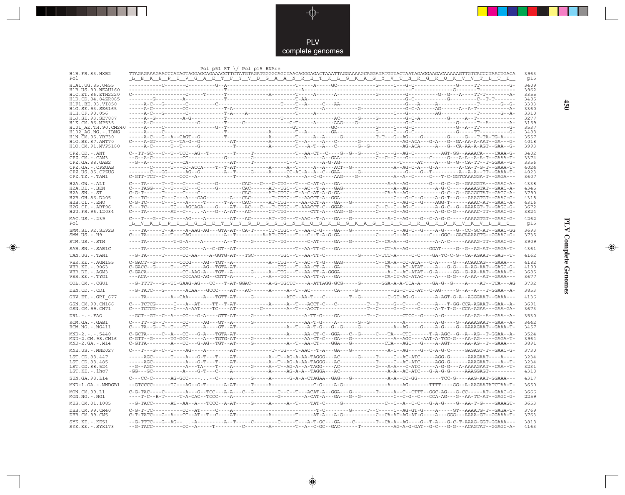

 $\overrightarrow{\mathbf{\P}}$ 

 $\overline{\mathbb{R}}$ 

|                                              | Pol p51 RT $\setminus$ Pol p15 RNAse                                                                                                                                                                                                                                                                                                                                                                                                                      |  | 3963         |
|----------------------------------------------|-----------------------------------------------------------------------------------------------------------------------------------------------------------------------------------------------------------------------------------------------------------------------------------------------------------------------------------------------------------------------------------------------------------------------------------------------------------|--|--------------|
| H1B.FR.83.HXB2<br>Pol                        | TTAGAGAAAGAACCCATAGTAGGAGCAGAAACCTTCTATGTAGATGGGGCAGCTAACAGGGAGACTAAATTAGGAAAAGCAGGATATGTTACTAATAGAGGAAGACAAAAAGTTGTCACCCTAACTGACA<br><u>LEKEPI V GAET FY V D GAAN RET K L G K A G Y V T N R G R Q K V V T L T D </u>                                                                                                                                                                                                                                     |  | p15          |
| H1A1.UG.85.U455                              |                                                                                                                                                                                                                                                                                                                                                                                                                                                           |  | 3409         |
| H1B. US. 90. WEAU160<br>H1C. ET. 86. ETH2220 |                                                                                                                                                                                                                                                                                                                                                                                                                                                           |  | 3962<br>3355 |
| H <sub>1</sub> D.CD.84.84ZR085               |                                                                                                                                                                                                                                                                                                                                                                                                                                                           |  | 3485         |
| H1F1.BE.93.VI850<br>H1G.SE.93.SE6165         |                                                                                                                                                                                                                                                                                                                                                                                                                                                           |  | 3303<br>3360 |
| H1H.CF.90.056                                |                                                                                                                                                                                                                                                                                                                                                                                                                                                           |  | 3310         |
| H1J.SE.93.SE7887<br>H1K.CM.96.MP535          |                                                                                                                                                                                                                                                                                                                                                                                                                                                           |  | 3277<br>3159 |
|                                              |                                                                                                                                                                                                                                                                                                                                                                                                                                                           |  | 3537         |
| $H102-AG.NG. - .IBNG$<br>H1N.CM.95.YBF30     |                                                                                                                                                                                                                                                                                                                                                                                                                                                           |  | 3488<br>3557 |
| H10.BE.87.ANT70<br>H1O.CM.91.MVP5180         |                                                                                                                                                                                                                                                                                                                                                                                                                                                           |  | 4018<br>3993 |
| $CPZ$ . $CD$ . $-$ . $ANT$                   |                                                                                                                                                                                                                                                                                                                                                                                                                                                           |  | 3402         |
| CPZ.CM. - . CAM3                             |                                                                                                                                                                                                                                                                                                                                                                                                                                                           |  | 3374         |
| CPZ.GA.88.GAB2<br>CPZ.GA.-.CPZGAB            |                                                                                                                                                                                                                                                                                                                                                                                                                                                           |  | 3356<br>4024 |
| CPZ.US.85.CPZUS                              |                                                                                                                                                                                                                                                                                                                                                                                                                                                           |  | 4023         |
| CPZ.TZ.-.TAN1                                |                                                                                                                                                                                                                                                                                                                                                                                                                                                           |  | 3607         |
| $H2A.GW.-.ALI$<br>$H2A.DE. - .BEN$           |                                                                                                                                                                                                                                                                                                                                                                                                                                                           |  | 4338<br>4345 |
| $H2A.SN.-.ST$                                |                                                                                                                                                                                                                                                                                                                                                                                                                                                           |  | 3790         |
| H2B.GH.86.D205<br>$H2B.CI.-.EHO$             |                                                                                                                                                                                                                                                                                                                                                                                                                                                           |  | 4318<br>4316 |
| H2G.CI. - . ABT96<br>H2U.FR.96.12034         | '---TC--------TC--AGCAGA----G----AT---AC---C---T-CTGC--T-AAACCT-C--GGAR-----------C--C--AG-C-------A-G-C--G--AAARGT-T--GAGC-G-                                                                                                                                                                                                                                                                                                                            |  | 3672<br>3824 |
| MAC.US. - . 239                              |                                                                                                                                                                                                                                                                                                                                                                                                                                                           |  | 4262         |
| Po l                                         | <u>I v K D P I E G E E T V V G D G S G N K Q S K E G K A G V I T D R G K D K V K V L E Q</u>                                                                                                                                                                                                                                                                                                                                                              |  | p15          |
| SMM.SL.92.SL92B<br>$SMM.US.-.H9$             |                                                                                                                                                                                                                                                                                                                                                                                                                                                           |  | 3693<br>3735 |
| STM.US.-.STM                                 |                                                                                                                                                                                                                                                                                                                                                                                                                                                           |  | 3909         |
| SAB.SN.-.SAB1C                               |                                                                                                                                                                                                                                                                                                                                                                                                                                                           |  | 4361         |
| TAN.UG. - .TAN1                              |                                                                                                                                                                                                                                                                                                                                                                                                                                                           |  | 4162         |
| VER. KE. - . AGM155<br>VER.KE. - . 9063      |                                                                                                                                                                                                                                                                                                                                                                                                                                                           |  | 4182<br>4190 |
| VER.DE. - . AGM3                             | $\verb C-GACC--G---T---CC----AG--TGTA-AT-------CTG----T-A-AC-T-A--GA----T-A---CA------AC-ATAT---A---G-G---A-AG-ART--GAGC-G---AC-AT--G-AC-AAT--GAGC--G---AC-AT--G-AC-AT--G-AC-AT--G-AC-AT--C\_A-AT--G\_A-AC-AT--G\_A-AC-AT--G\_A-AC-AT--G\_A-AC-AT--G\_A-AC-AT--G\_A-AC-AT--G\_A-AC-AT--G\_A-AC-AT--G\_A-AC-AT--G\_A-AC-AT--G\_A-AC-AT--G\_A-AC-AT--G\_A-AC-AT--G\_$                                                                                       |  | 3685         |
| VER.KE. - . TYO1                             |                                                                                                                                                                                                                                                                                                                                                                                                                                                           |  | 3677         |
| COL.CM.-.CGU1                                |                                                                                                                                                                                                                                                                                                                                                                                                                                                           |  | 3732         |
| DEN.CD. - .CD1                               |                                                                                                                                                                                                                                                                                                                                                                                                                                                           |  | 3853         |
| GRV.ET. - .GRI 677                           |                                                                                                                                                                                                                                                                                                                                                                                                                                                           |  | 4136         |
| GSN.CM.99.CN166<br>GSN.CM.99.CN71            |                                                                                                                                                                                                                                                                                                                                                                                                                                                           |  | 3691<br>3673 |
| $DRL - - - FAO$                              |                                                                                                                                                                                                                                                                                                                                                                                                                                                           |  | 3530         |
| RCM.GA.-.GAB1<br>$RCM.NG. - . NG411$         |                                                                                                                                                                                                                                                                                                                                                                                                                                                           |  | 3442<br>3457 |
| $MND-2. - - - 5440$                          |                                                                                                                                                                                                                                                                                                                                                                                                                                                           |  | 3524         |
| MND-2.CM.98.CM16<br>$MND-2.GA.-.M14$         |                                                                                                                                                                                                                                                                                                                                                                                                                                                           |  | 3964<br>3891 |
| $MNE. US. - . MNE027$                        |                                                                                                                                                                                                                                                                                                                                                                                                                                                           |  | 3730         |
| LST.CD.88.447                                |                                                                                                                                                                                                                                                                                                                                                                                                                                                           |  | 3234         |
| LST.CD.88.485<br>LST.CD.88.524               |                                                                                                                                                                                                                                                                                                                                                                                                                                                           |  | 3234<br>3231 |
| LST.KE. - . lho7                             |                                                                                                                                                                                                                                                                                                                                                                                                                                                           |  | 4318         |
| SUN.GA.98.L14                                |                                                                                                                                                                                                                                                                                                                                                                                                                                                           |  | 4317         |
| MND-1.GA.-.MNDGB1                            |                                                                                                                                                                                                                                                                                                                                                                                                                                                           |  | 3650         |
| MON.CM.99.L1<br>MON.NG.-.NG1                 |                                                                                                                                                                                                                                                                                                                                                                                                                                                           |  | 3666<br>2259 |
| MUS.CM.01.1085                               |                                                                                                                                                                                                                                                                                                                                                                                                                                                           |  | 3653         |
| DEB.CM.99.CM40<br>DEB.CM.99.CM5              | ${\tt C-G-T-TC}\mbox{-}\cdots\mbox{-}\cdots\mbox{-}\cdots\mbox{-}\cdots\mbox{-}\cdots\mbox{-}\cdots\mbox{-}\cdots\mbox{-}\cdots\mbox{-}\cdots\mbox{-}\cdots\mbox{-}\cdots\mbox{-}\cdots\mbox{-}\cdots\mbox{-}\cdots\mbox{-}\cdots\mbox{-}\cdots\mbox{-}\cdots\mbox{-}\cdots\mbox{-}\cdots\mbox{-}\cdots\mbox{-}\cdots\mbox{-}\cdots\mbox{-}\cdots\mbox{-}\cdots\mbox{-}\cdots\mbox{-}\cdots\mbox{-}\cdots\mbox{-}\cdots\mbox{-}\cdots\mbox{-}\cdots\mbox$ |  | 3769<br>3763 |
| SYK.KE. - . KE51                             | --G-TTTC---G--AG---A---------A--T-----C-------T----A-T-GC---GA----C------T--CA-A--AG----G--T-A--G-C-T-AAAG-GGT-GGAAA---                                                                                                                                                                                                                                                                                                                                   |  | 3818<br>4163 |
| $SYK.KE. - .SYK173$                          |                                                                                                                                                                                                                                                                                                                                                                                                                                                           |  |              |

 $\blacklozenge$ 

**PLV Complete Genomes 450 PLV Complete Genomes** 

 $\Rightarrow$ 

 $\sqrt{2}$ 

 $450$ 

 $\blacksquare$ 

<u> 1999 - 1999 - 1999 - 1999 - 1999 - 1999 - 1999 - 1999 - 1999 - 1999 - 1999 - 1999 - 1999 - 1999 - 1999 - 199</u>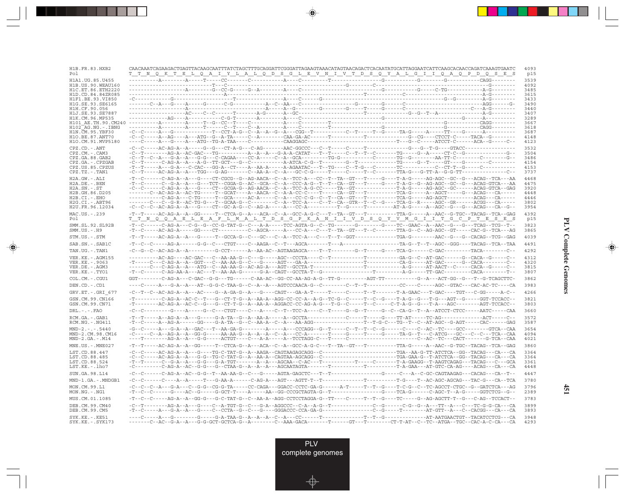| H1B.FR.83.HXB2<br>Po 1                       | CAACAAATCAGAAGACTGAGTTACAAGCAATTTATCTAGCTTTGCAGGATTCGGGATTAGAAGTAAACATAGTAACAGACTCACAATATGCATTAGGAATCATTCAAGCACAACCAGATCAAAGTGAATC<br><u>T T N Q K T E L Q A I Y L A L Q D S G L E V N I V T D S Q Y A L G I I Q A Q P D Q S E S</u>                                                                                                                                                                                                                      | 4093<br>p15  |
|----------------------------------------------|-----------------------------------------------------------------------------------------------------------------------------------------------------------------------------------------------------------------------------------------------------------------------------------------------------------------------------------------------------------------------------------------------------------------------------------------------------------|--------------|
| H1A1.UG.85.U455                              |                                                                                                                                                                                                                                                                                                                                                                                                                                                           | 3539         |
| H1B. US. 90. WEAU160<br>H1C. ET. 86. ETH2220 |                                                                                                                                                                                                                                                                                                                                                                                                                                                           | 4092<br>3485 |
| H1D.CD.84.84ZR085                            |                                                                                                                                                                                                                                                                                                                                                                                                                                                           | 3615         |
| H1F1.BE.93.VI850                             |                                                                                                                                                                                                                                                                                                                                                                                                                                                           | 3433<br>3490 |
| H1G.SE.93.SE6165<br>H1H.CF.90.056            |                                                                                                                                                                                                                                                                                                                                                                                                                                                           | 3440         |
| H1J.SE.93.SE7887                             |                                                                                                                                                                                                                                                                                                                                                                                                                                                           | 3407         |
| H1K.CM.96.MP535<br>H101 AE.TH.90.CM240       |                                                                                                                                                                                                                                                                                                                                                                                                                                                           | 3289<br>3667 |
| H102 AG.NG.-.IBNG                            |                                                                                                                                                                                                                                                                                                                                                                                                                                                           | 3618         |
| H1N. CM. 95. YBF30<br>H10.BE.87.ANT70        |                                                                                                                                                                                                                                                                                                                                                                                                                                                           | 3687<br>4148 |
| H1O.CM.91.MVP5180                            |                                                                                                                                                                                                                                                                                                                                                                                                                                                           | 4123         |
| CPZ.CD. - . ANT                              |                                                                                                                                                                                                                                                                                                                                                                                                                                                           | 3532         |
| CPZ.CM.-.CAM3                                |                                                                                                                                                                                                                                                                                                                                                                                                                                                           | 3504         |
| CPZ.GA.88.GAB2<br>CPZ.GA.-.CPZGAB            |                                                                                                                                                                                                                                                                                                                                                                                                                                                           | 3486<br>4154 |
| CPZ.US.85.CPZUS                              |                                                                                                                                                                                                                                                                                                                                                                                                                                                           | 4153         |
| CPZ.TZ.-.TAN1                                |                                                                                                                                                                                                                                                                                                                                                                                                                                                           | 3737         |
| H2A.GW.-.ALI<br>$H2A.DE. - .BEN$             | -T--C------C-AG-A--A--G----CT-CGCG--G--AG-AACA--C--A--TCC-A---CC--T--TA--GT---T----G----T-A-G----AG-AGC--GC--G---ACAG--TCA---AA<br>-T--C------C--G-A--A---G---TCT--CGGA-G--AC--GCA--C--A--CCC-A-G--T--T--CA--GT---T-----G----T-A-G--G--AG-AGC--GC--G---ACAG-GTCA---AA                                                                                                                                                                                     | 4468<br>4475 |
| $H2A.SN.-.ST$                                |                                                                                                                                                                                                                                                                                                                                                                                                                                                           | 3920         |
| H2B.GH.86.D205<br>H2B.CI.-.EHO               | -------C--AC-AG-A--AC-TG-----T--GCAT----A--AACA--C--A-A-CC-C----T-----CA--GT---T---------TCA-G-----A--AGCT----G---ACAG---CA-----<br>----------C-AG-A---C-TG-----T--GCA-----AC-A-----C--A---CC-C-G--C--T--CA--GT---T--------TCA-G----AG-AGCT--------ACAG---CA-----                                                                                                                                                                                         | 4448<br>4446 |
| H2G.CI.-.ABT96                               | -------C---C--G-R--AC-TG-G---T--GCAA-G--C--------C--A--TCC-A----C--T--CA--GTR--T--C--G----TCA-G--R-----AGC--GR------ACGG---CA-----                                                                                                                                                                                                                                                                                                                        | 3802         |
| H2U.FR.96.12034                              |                                                                                                                                                                                                                                                                                                                                                                                                                                                           | 3954         |
| MAC.US.-.239<br>Pol                          | -T--T-----AC-AG-A--A--GG-----T--CTCA-G--A---ACA--C--A--GCC-A-G-C---T--TA--GT---T---------TTA-G------A--AAC--G-TGC--TACAG--TCA--GAG<br>T T N Q Q A E L E A F L M A L T D S G P K A N I I V D S Q Y V M G I I T G C P T E S E S                                                                                                                                                                                                                             | 4392<br>p15  |
| SMM.SL.92.SL92B<br>$SMM.US.-.H9$             | -T--C------C-AG-A---C-G--G--CC-G-TAT-G--C---A-A-----TCC-AGTA-G--C--TG-------G-------G---TC--GAAC--A--AAC--G---G---TCAG--TCG--T-<br>-T--C-----AC-AG-A-----GG----CT---------C--AGCA-----A---CC-A---C---T--TA--GT---T--C------TTA-G--C--AG-AGC--GT-----CAC-G--TCA---AG                                                                                                                                                                                       | 3823<br>3865 |
| STM.US.-.STM                                 |                                                                                                                                                                                                                                                                                                                                                                                                                                                           | 4039         |
| SAB.SN.-.SAB1C                               |                                                                                                                                                                                                                                                                                                                                                                                                                                                           | 4491         |
| TAN.UG. - . TAN1                             | -C--G--C--AC-AG-A--A---------G-CCT------A--AA-AC--AGTAAGAGCA----T--T--------G--T-----G---TCA-G-------C-GAC--------TACA--------C--                                                                                                                                                                                                                                                                                                                         | 4292         |
| VER.KE. - . AGM155                           |                                                                                                                                                                                                                                                                                                                                                                                                                                                           | 4312         |
| VER.KE. - .9063                              |                                                                                                                                                                                                                                                                                                                                                                                                                                                           | 4320<br>3815 |
| VER.DE. - . AGM3<br>VER.KE.-.TYO1            |                                                                                                                                                                                                                                                                                                                                                                                                                                                           | 3807         |
| COL.CM. - . CGU1                             | $\texttt{GGT}\texttt{---}\texttt{---}\texttt{C}-\texttt{A}\texttt{G}-\texttt{--}\texttt{C}-\texttt{G}\texttt{A}\texttt{C}-\texttt{--}\texttt{G}-\texttt{--}\texttt{--}\texttt{--}\texttt{--}--\texttt{C}-\texttt{A}\texttt{A}-\texttt{A}\texttt{C}-\texttt{G}\texttt{G}-\texttt{C}\texttt{C}-\texttt{A}\texttt{A}-\texttt{A}-\texttt{G}-\texttt{--}\texttt{--}\texttt{--}\texttt{--}-\texttt{A}\texttt{G}-\texttt{--}\texttt{--}\texttt{--}-\texttt{--}\$ | 3862         |
| DEN.CD. - .CD1                               | ----C-----A---G-A--A---AT--G-G-C-TAA-G--C--A---AGTCCCAACA-G--C--------C--T--T---------CC----C-----AGC--GTAC---CAC-AC-TC----CA                                                                                                                                                                                                                                                                                                                             | 3983         |
| GRV.ET. - .GRI 677                           | -C--T--C--AC-AG-A--A---AC----G--A-GA-G--A---G---CAGT---GA-A-T------T----C-----T--T--A-GAAC---T-GAC----TGT---C-GG-----A-C--                                                                                                                                                                                                                                                                                                                                | 4266         |
| GSN.CM.99.CN166                              | $-{\color{red}T}\texttt{---}--{\color{red}C}-\texttt{AG}-\texttt{A}-\texttt{AC}-\texttt{C}-\texttt{--}\texttt{Tr}-\texttt{G}-\texttt{G}-\texttt{CT}-\texttt{T}-\texttt{G}-\texttt{AA}-\texttt{AA}-\texttt{A-AGG}-\texttt{CC}-\texttt{CC}-\texttt{A}-\texttt{A}-\texttt{G}-\texttt{TC}-\texttt{G}-\texttt{C}-\texttt{--}-\texttt{-}\texttt{Tr}-\texttt{C}-\texttt{C}-\texttt{G}-\texttt{Tr}-\texttt{AG}-\texttt{G}-\texttt{Tr}-\texttt{AG}-\$              | 3821         |
| GSN.CM.99.CN71                               | -T--------AC-AG-A--AC-C--G---G--CT-T-G--A--AA-A--AGGACC-CC-AG-A-G---T-G--C-----T--C-----C-T-A-G--G---T-A---AGC--------AGT-TCCACC--                                                                                                                                                                                                                                                                                                                        | 3803         |
| $DRL - - -$ . $FAO$                          | -C--C---------G----A-----G--C--CTGT----C---A----C--T--TCC-A----C--T-----G--G--T-----G--C--CA-G--T--A--ATCCT-CTCC-----AATC-----CAA                                                                                                                                                                                                                                                                                                                         | 3660         |
| RCM.GA.-.GAB1<br>$RCM.NG. - . NG411$         |                                                                                                                                                                                                                                                                                                                                                                                                                                                           | 3572<br>3587 |
| $MND-2---5440$                               | -G--C-----A---G-A--A--GAC---T--AA-GA-G--------A-----A---CCCAGG--G--T-----C--T--T--C--G------C---AC--TC----GCC--------GTCA--CAA                                                                                                                                                                                                                                                                                                                            | 3654         |
| MND-2.CM.98.CM16<br>$MND-2.GA.-.M14$         |                                                                                                                                                                                                                                                                                                                                                                                                                                                           | 4094<br>4021 |
| MNE.US.-.MNE027                              | -T--T-----AC-AG-A--A--GG-----T--CTCA-G--A---ACA--C--A--GCC-A-G-C---T--TA--GT---T---------TTA-G-----A--AAC--G-TGC--TACAG--TCA--GAG                                                                                                                                                                                                                                                                                                                         | 3860         |
| LST.CD.88.447                                |                                                                                                                                                                                                                                                                                                                                                                                                                                                           | 3364         |
| LST.CD.88.485                                |                                                                                                                                                                                                                                                                                                                                                                                                                                                           | 3364         |
| LST.CD.88.524                                |                                                                                                                                                                                                                                                                                                                                                                                                                                                           | 3361         |
| LST.KE.-.lho7                                |                                                                                                                                                                                                                                                                                                                                                                                                                                                           | 4448         |
| SUN.GA.98.L14                                |                                                                                                                                                                                                                                                                                                                                                                                                                                                           | 4447         |
| MND-1.GA.-.MNDGB1                            |                                                                                                                                                                                                                                                                                                                                                                                                                                                           | 3780         |
| MON.CM.99.L1<br>MON.NG.-.NG1                 | -C--C--A---G-A---C--G-G--CG-G-TA-----CC-CAGA---GGACC-CCTC-GA-G-------A-T-----T--G----T-C-G--C--TC-AGCCT-CTGC--G--GATCTCA---AG                                                                                                                                                                                                                                                                                                                             | 3796<br>2389 |
| MUS.CM.01.1085                               | -T--C--C----AG-A--A--GG-G---G-C-TAT-G--C--AA-A--AGG-CCTCCTAGGA-G--TT----C-----T--T--G-----G--AG-AGCTT-T--G--C-AG--TCCACT--                                                                                                                                                                                                                                                                                                                                | 3783         |
| DEB.CM.99.CM40<br>DEB.CM.99.CM5              | $-T - C - \cdots - A - \cdots - G - A - A - \cdots - G - \cdots - C - C$                                                                                                                                                                                                                                                                                                                                                                                  | 3899<br>3893 |
| $SYK.KE. - .KE51$<br>$SYK.KE. - .SYK173$     | -------C--AC--G-A--A---G-G-GCT-GCTCA-G--A--------C--AAA-GACA-------T------GT---T-------CT-T-AT--C--TC--ATGA--TGC--CAC-A-C-CA---CA                                                                                                                                                                                                                                                                                                                         | 3948<br>4293 |

<u>a shekara ta 1989 na shekara t</u>

 $\overrightarrow{\phantom{a}}$ 

 $\overline{\neg}$ 

 $\begin{picture}(20,5) \put(0,0){\line(1,0){10}} \put(15,0){\line(1,0){10}} \put(15,0){\line(1,0){10}} \put(15,0){\line(1,0){10}} \put(15,0){\line(1,0){10}} \put(15,0){\line(1,0){10}} \put(15,0){\line(1,0){10}} \put(15,0){\line(1,0){10}} \put(15,0){\line(1,0){10}} \put(15,0){\line(1,0){10}} \put(15,0){\line(1,0){10}} \put(15,0){\line(1,$ 

 $\equiv$ 

 $\Box$ 

▌▊▊▊

 $\mathbf{I}$ 

**451**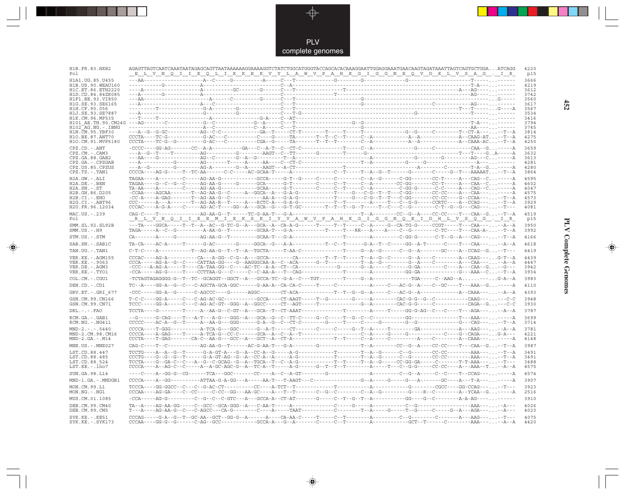

 $\begin{picture}(120,140)(-6.5,14.0) \put(0,0){\vector(0,1){10}} \put(15,0){\vector(0,1){10}} \put(15,0){\vector(0,1){10}} \put(15,0){\vector(0,1){10}} \put(15,0){\vector(0,1){10}} \put(15,0){\vector(0,1){10}} \put(15,0){\vector(0,1){10}} \put(15,0){\vector(0,1){10}} \put(15,0){\vector(0,1){10}} \put(15,0){\vector(0,1){10}} \put(15,0){\vector(0,1){10}}$ 

| H1B.FR.83.HXB2<br>Pol                     | GGCATGGGTACCAGCACACAAAGGAATTGGAGGAAATGAACAAGTAGATAAATTAGTCAGTGCTGGAATCAGG<br>E L V N Q I I E Q L I K K E K V Y L A W V P A H K G I G G N E Q V D K L V S A G . I R                                                                                                                                                                                                                                                                                                                                                                            | 4220<br>p15  |
|-------------------------------------------|-----------------------------------------------------------------------------------------------------------------------------------------------------------------------------------------------------------------------------------------------------------------------------------------------------------------------------------------------------------------------------------------------------------------------------------------------------------------------------------------------------------------------------------------------|--------------|
| H1A1.UG.85.U455                           |                                                                                                                                                                                                                                                                                                                                                                                                                                                                                                                                               | 3666         |
| H1B. US. 90. WEAU160<br>H1C.ET.86.ETH2220 | ----A-----                                                                                                                                                                                                                                                                                                                                                                                                                                                                                                                                    | 4219<br>3612 |
| H1D.CD.84.84ZR085                         |                                                                                                                                                                                                                                                                                                                                                                                                                                                                                                                                               | 3742         |
| H1F1.BE.93.VI850<br>H1G.SE.93.SE6165      |                                                                                                                                                                                                                                                                                                                                                                                                                                                                                                                                               | 3560<br>3617 |
| H1H.CF.90.056                             |                                                                                                                                                                                                                                                                                                                                                                                                                                                                                                                                               | 3567         |
| H1J.SE.93.SE7887<br>H1K.CM.96.MP535       |                                                                                                                                                                                                                                                                                                                                                                                                                                                                                                                                               | 3534<br>3416 |
|                                           |                                                                                                                                                                                                                                                                                                                                                                                                                                                                                                                                               | 3794         |
| H102 AG.NG.-.IBNG                         |                                                                                                                                                                                                                                                                                                                                                                                                                                                                                                                                               | 3745         |
| H1N. CM. 95. YBF30<br>H1O.BE.87.ANT70     |                                                                                                                                                                                                                                                                                                                                                                                                                                                                                                                                               | 3814<br>4275 |
| H10.CM.91.MVP5180                         | $CCCTA---TC-G--G--------G-AC---C-------CGA-G----TA-----T--T--T--T---C--A-----C--A---A--A-----C-A--CAAA-AC. --T--A--CAAA-AC. --T--A--CAAA-AC. --T--A--CAAA-AC. --T--A--CAAA-AC.$                                                                                                                                                                                                                                                                                                                                                               | 4250         |
| $CPZ$ . $CD$ . $-ANT$                     |                                                                                                                                                                                                                                                                                                                                                                                                                                                                                                                                               | 3659         |
| $CPZ.CM. - . CAM3$<br>CPZ.GA.88.GAB2      |                                                                                                                                                                                                                                                                                                                                                                                                                                                                                                                                               | 3632<br>3613 |
| CPZ.GA.-.CPZGAB                           |                                                                                                                                                                                                                                                                                                                                                                                                                                                                                                                                               | 4281         |
| CPZ.US.85.CPZUS<br>CPZ.TZ.-.TAN1          |                                                                                                                                                                                                                                                                                                                                                                                                                                                                                                                                               | 4280<br>3864 |
| $H2A.GW.-.ALI$                            |                                                                                                                                                                                                                                                                                                                                                                                                                                                                                                                                               | 4595         |
| $H2A.DE. - .BEN$                          |                                                                                                                                                                                                                                                                                                                                                                                                                                                                                                                                               | 4602         |
| $H2A.SN.-.ST$<br>H2B.GH.86.D205           |                                                                                                                                                                                                                                                                                                                                                                                                                                                                                                                                               | 4047<br>4575 |
| $H2B.CI. - . EHO$                         |                                                                                                                                                                                                                                                                                                                                                                                                                                                                                                                                               | 4573         |
| $H2G.CI.-.ABT96$                          |                                                                                                                                                                                                                                                                                                                                                                                                                                                                                                                                               | 3929         |
| H2U.FR.96.12034                           |                                                                                                                                                                                                                                                                                                                                                                                                                                                                                                                                               | 4081         |
| MAC.US.-.239<br>Po l                      |                                                                                                                                                                                                                                                                                                                                                                                                                                                                                                                                               | 4519<br>p15  |
| SMM.SL.92.SL92B<br>$SMM.US.-.H9$          | ---TA----GGCA-----T--T--A--AC--G-TC-G--A---GCA--A--CA-A-G------T-----T-----C--A-----G--CA-TG-G-----CCGT-----T---CAA-----A--A                                                                                                                                                                                                                                                                                                                                                                                                                  | 3950<br>3992 |
| STM.US.-.STM                              |                                                                                                                                                                                                                                                                                                                                                                                                                                                                                                                                               | 4166         |
| SAB.SN.-.SAB1C                            |                                                                                                                                                                                                                                                                                                                                                                                                                                                                                                                                               | 4618         |
| TAN.UG.-.TAN1                             |                                                                                                                                                                                                                                                                                                                                                                                                                                                                                                                                               | 4419         |
| VER.KE. - . AGM155                        | $CCCAC---AG-A------CA---A-GG--C-G--A---GCCA------CA-------------------A--G--C------G--A---C-A---C---A--C---A--CA-C-AC--C---A--CA-C-AC--G--A--C-AC--$                                                                                                                                                                                                                                                                                                                                                                                          | 4439         |
| VER.KE. - . 9063<br>VER.DE. - . AGM3      |                                                                                                                                                                                                                                                                                                                                                                                                                                                                                                                                               | 4447<br>3942 |
| VER.KE. - . TYO1                          |                                                                                                                                                                                                                                                                                                                                                                                                                                                                                                                                               | 3934         |
| COL.CM.-.CGU1                             |                                                                                                                                                                                                                                                                                                                                                                                                                                                                                                                                               | 3983         |
| DEN.CD.-.CD1                              |                                                                                                                                                                                                                                                                                                                                                                                                                                                                                                                                               | 4110         |
| $GRV.ET.-.GRI 677$                        |                                                                                                                                                                                                                                                                                                                                                                                                                                                                                                                                               | 4393         |
| GSN.CM.99.CN166<br>GSN.CM.99.CN71         |                                                                                                                                                                                                                                                                                                                                                                                                                                                                                                                                               | 3948<br>3930 |
| $DRL - - -$ . $FAO$                       |                                                                                                                                                                                                                                                                                                                                                                                                                                                                                                                                               | 3787         |
| RCM.GA. - . GAB1                          |                                                                                                                                                                                                                                                                                                                                                                                                                                                                                                                                               | 3699         |
| RCM.NG. - . NG411                         |                                                                                                                                                                                                                                                                                                                                                                                                                                                                                                                                               | 3714         |
| $MND-2. - - - 5440$                       | ${\tt CCCCA---T-GGG------A--CA-TCA-G---GGC-----G--A-T-----CT------C-----G--T--A-----T-----G-----G-----G-----G-----A---A--A-G---A-G---A--A--A--A--I.$                                                                                                                                                                                                                                                                                                                                                                                          | 3781         |
| MND-2.CM.98.CM16<br>$MND-2.GA.-.M14$      |                                                                                                                                                                                                                                                                                                                                                                                                                                                                                                                                               | 4221<br>4148 |
| $MNE . US . - . MNE027$                   |                                                                                                                                                                                                                                                                                                                                                                                                                                                                                                                                               | 3987         |
| LST.CD.88.447                             |                                                                                                                                                                                                                                                                                                                                                                                                                                                                                                                                               | 3491         |
| LST.CD.88.485                             |                                                                                                                                                                                                                                                                                                                                                                                                                                                                                                                                               | 3491         |
| LST.CD.88.524<br>LST.KE.-.lho7            |                                                                                                                                                                                                                                                                                                                                                                                                                                                                                                                                               | 3488<br>4575 |
| SUN.GA.98.L14                             |                                                                                                                                                                                                                                                                                                                                                                                                                                                                                                                                               | 4574         |
|                                           |                                                                                                                                                                                                                                                                                                                                                                                                                                                                                                                                               |              |
| MND-1.GA.-.MNDGB1<br>MON.CM.99.L1         |                                                                                                                                                                                                                                                                                                                                                                                                                                                                                                                                               | 3907<br>3923 |
| MON.NG.-.NG1                              |                                                                                                                                                                                                                                                                                                                                                                                                                                                                                                                                               | 2516         |
| MUS.CM.01.1085                            | $-{\bf CCA}\cdot \cdots - {\bf AC}\cdot {\bf G}\cdot \cdots - {\bf C}\cdot -{\bf C}\cdot -{\bf C}\cdot -{\bf C}\cdot -{\bf C}\cdot -{\bf C}\cdot {\bf C}\cdot {\bf C}\cdot -{\bf A}\cdot -{\bf CCA}\cdot {\bf A}\cdot -{\bf C}\cdot {\bf T}\cdot {\bf A}\cdot \cdots -{\bf C}\cdot -{\bf T}\cdot -{\bf G}\cdot -{\bf T}\cdot -{\bf A}\cdot -\cdots -\cdots -{\bf G}\cdot {\bf G}\cdot -\cdots -{\bf G}\cdot -{\bf C}\cdot -{\bf C}\cdot -{\bf C}\cdot -{\bf A}\cdot {\bf A}\cdot {\bf A}\cdot {\bf C}\cdot -{\bf C}\cdot -{\bf C}\cdot -{\bf$ | 3910         |
| DEB.CM.99.CM40<br>DEB.CM.99.CM5           |                                                                                                                                                                                                                                                                                                                                                                                                                                                                                                                                               | 4026<br>4020 |
| $SYK.KE. - .KE51$<br>SYK.KE. - . SYK173   |                                                                                                                                                                                                                                                                                                                                                                                                                                                                                                                                               | 4075<br>4420 |

 $\blacklozenge$ 

**PLV Complete Genomes 452 PLV Complete Genomes** 

 $\Rightarrow$ 

 $\equiv$ 

 $452$ 

 $\blacksquare$ 

<u> 1999 - 1999 - 1999 - 1999 - 1999 - 1999 - 1999 - 1999 - 1999 - 1999 - 1999 - 1999 - 1999 - 1999 - 1999 - 199</u>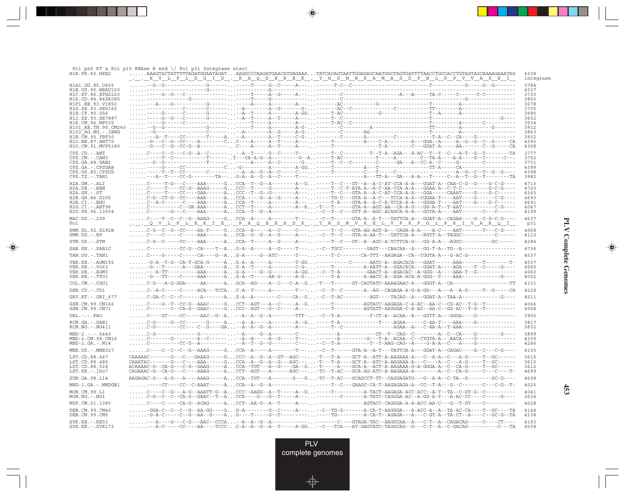| H1B.FR.83.HXB2                           | Pol p66 RT & Pol p15 RNAse H end $\setminus$ Pol p31 Integrase start<br>AAAGTACTATTTTAGATGGAATAGATAAGGCCCAAGATGAACATGAGAAATATCACAGTAATTGGAGAGCAATGGCTAGTGATTTTAACCTGCCACCTGTAGTAGCAAAAGAAATAG                                                                                                                                                                                                                                                                                                                                                                                                                              | 4338         |
|------------------------------------------|----------------------------------------------------------------------------------------------------------------------------------------------------------------------------------------------------------------------------------------------------------------------------------------------------------------------------------------------------------------------------------------------------------------------------------------------------------------------------------------------------------------------------------------------------------------------------------------------------------------------------|--------------|
|                                          | <u>KVLFLDGID.KAQDEHEK.YHSNWRAMASDFNLPPVVAKEI</u>                                                                                                                                                                                                                                                                                                                                                                                                                                                                                                                                                                           | integrase    |
| H1A1. UG. 85. U455                       |                                                                                                                                                                                                                                                                                                                                                                                                                                                                                                                                                                                                                            | 3784<br>4337 |
| H1B.US.90.WEAU160<br>H1C.ET.86.ETH2220   |                                                                                                                                                                                                                                                                                                                                                                                                                                                                                                                                                                                                                            | 3730         |
| H1D.CD.84.84ZR085<br>H1F1.BE.93.VI850    |                                                                                                                                                                                                                                                                                                                                                                                                                                                                                                                                                                                                                            | 3860<br>3678 |
| H1G.SE.93.SE6165                         |                                                                                                                                                                                                                                                                                                                                                                                                                                                                                                                                                                                                                            | 3735         |
| H1H.CF.90.056<br>H1J.SE.93.SE7887        |                                                                                                                                                                                                                                                                                                                                                                                                                                                                                                                                                                                                                            | 3685<br>3652 |
| H1K.CM.96.MP535                          |                                                                                                                                                                                                                                                                                                                                                                                                                                                                                                                                                                                                                            | 3534         |
| H101 AE.TH.90.CM240<br>H102 AG.NG.-.IBNG |                                                                                                                                                                                                                                                                                                                                                                                                                                                                                                                                                                                                                            | 3912<br>3863 |
| H1N.CM.95.YBF30                          |                                                                                                                                                                                                                                                                                                                                                                                                                                                                                                                                                                                                                            | 3932         |
| H1O.BE.87.ANT70<br>H1O.CM.91.MVP5180     |                                                                                                                                                                                                                                                                                                                                                                                                                                                                                                                                                                                                                            | 4393<br>4368 |
| $CPZ$ . $CD$ . $-ANT$                    | C----C--C--C-G--A--C--------A--T-----G--C------T--------T--C--------T--T-A--AGA---A-AC--T--T--C---A-T--G--T--------TA                                                                                                                                                                                                                                                                                                                                                                                                                                                                                                      | 3777         |
| CPZ.CM. - . CAM3                         | -----T--C------------T------.T----CA-A-G--A---------G--A-----T-AC----------T-----A--------C--TA-A----A-A----G--C-----C--                                                                                                                                                                                                                                                                                                                                                                                                                                                                                                   | 3752         |
| CPZ.GA.88.GAB2<br>CPZ.GA.-.CPZGAB        |                                                                                                                                                                                                                                                                                                                                                                                                                                                                                                                                                                                                                            | 3731<br>4399 |
| CPZ.US.85.CPZUS<br>CPZ.TZ. - . TAN1      |                                                                                                                                                                                                                                                                                                                                                                                                                                                                                                                                                                                                                            | 4398<br>3982 |
| H2A.GW. - . ALI                          | $\ldots\ldots$ C-----T-G---C----AAA------GCCA--T--G--A--------A--G-----T--C--GT--A--A-C-AT-CCA-A-A---GCAT-A--CAA-C-G--G---G-C-G----                                                                                                                                                                                                                                                                                                                                                                                                                                                                                        | 4713         |
| H2A.DE. - . BEN                          |                                                                                                                                                                                                                                                                                                                                                                                                                                                                                                                                                                                                                            | 4720         |
| $H2A.SN.-.ST$<br>H2B.GH.86.D205          | $\ldots\ldots\text{C-G--CT-G--CC---AAA}\texttt{---A} \ldots \texttt{CCA----G---G--A--G-----A--}\ldots\texttt{----TC-G--GTA-A--A----TCCA-A-A--CGGAA------AA}\texttt{---A}-\texttt{---G--CT-A--}\ldots\texttt{---A}\texttt{---}\ldots\texttt{---A}\texttt{---}\ldots\texttt{---A}\texttt{---}\ldots\texttt{---}\ldots\texttt{---}\ldots\texttt{---}\ldots\texttt{---}\ldots\texttt{---}\ldots\texttt{---}\ldots\texttt{---}\ldots\texttt{---}\ldots\texttt{---}\ldots\texttt{---}\ldots$                                                                                                                                     | 4165<br>4693 |
| H2B.CI.-.EHO                             |                                                                                                                                                                                                                                                                                                                                                                                                                                                                                                                                                                                                                            | 4691         |
| H2G.CI. - . ABT96<br>H2U.FR.96.12034     | $\ldots\ldots$ C-------G---C----AAA------ACCA--T--G--A--------------C--T--C--GTT-A--AGC-ACAGCA-A-A---GGTA-A----AAT-------C---C------                                                                                                                                                                                                                                                                                                                                                                                                                                                                                       | 4047<br>4199 |
| MAC.US.-.239                             | $\ldots\ldots$ C---T--C--C--G--AAAG-----GCCA--A-----A-------T--- --C--T------GTA-A--A-T---TATTCA-A---GGAT-A--CAGAA----G--C-G-C-G----                                                                                                                                                                                                                                                                                                                                                                                                                                                                                       | 4637         |
| Pol                                      | <u>. Levis expressions de la construction de la conservación de la conservación de la conservación de la conse</u>                                                                                                                                                                                                                                                                                                                                                                                                                                                                                                         | p31          |
| SMM. SL. 92. SL92B<br>$SMM.US.-.H9$      | $\ldots\ldots$ C----C-----C-----AAA------ACCA--G--G--A--G-----A-----C--T--C--GTA-A-AA-T---TATTCA-A---RGTT-A--TAGGC-----------C------                                                                                                                                                                                                                                                                                                                                                                                                                                                                                       | 4068<br>4110 |
| STM.US.-.STM                             |                                                                                                                                                                                                                                                                                                                                                                                                                                                                                                                                                                                                                            | 4284         |
| SAB.SN. - . SAB1C                        |                                                                                                                                                                                                                                                                                                                                                                                                                                                                                                                                                                                                                            | 4736         |
| TAN.UG. - . TAN1                         |                                                                                                                                                                                                                                                                                                                                                                                                                                                                                                                                                                                                                            | 4537         |
| VER. KE. - . AGM155                      |                                                                                                                                                                                                                                                                                                                                                                                                                                                                                                                                                                                                                            | 4557         |
| VER. KE. - . 9063<br>VER.DE. - . AGM3    | $\ldots\ldots\ldots\allowbreak -A\cdot TT\allowbreak -\ldots\allowbreak -A\allowbreak A\allowbreak A\allowbreak -\ldots\allowbreak -A\ldots\allowbreak A\ldots\allowbreak G\cdot A\allowbreak -\ldots\allowbreak -G\cdot G\cdot\ldots\allowbreak -A\cdot GG\ldots\ldots\allowbreak -C\cdot\allowbreak -T\cdot A\cdot\ldots\allowbreak -\ldots\allowbreak G\allowbreak A\allowbreak CT\cdot A\cdot\ldots\allowbreak G\allowbreak G\allowbreak C\allowbreak -A\cdot\allowbreak G\allowbreak G\allowbreak G\allowbreak -\allowbreak -A\cdot\ldots\allowbreak -A\allowbreak A\allowbreak -T\cdot G\cdot\ldots\allowbreak -\ld$ | 4565<br>4060 |
| VER.KE. - . TYO1                         |                                                                                                                                                                                                                                                                                                                                                                                                                                                                                                                                                                                                                            | 4052         |
| COL.CM. - . CGU1                         | $\ldots\ldots\text{C-G--A-G-GGA---AA---A}\ldots\text{GCA--AG---A--C--A--C--C-A--G}\ldots\text{-T---T----GT-CAGTATC-AAAGAAC-A---GGT-A--CA---------------TT}$                                                                                                                                                                                                                                                                                                                                                                                                                                                                | 4101         |
| DEN.CD. - .CD1                           | C--A-C-----C-----ACA---TCCAC-A--T-----A--------T-----C--T--C-------A--AG--CAGAGA-A-G-A-GG---A--A--A-G-----T--G-----CA                                                                                                                                                                                                                                                                                                                                                                                                                                                                                                      | 4228         |
| GRV.ET. -. GRI 677                       |                                                                                                                                                                                                                                                                                                                                                                                                                                                                                                                                                                                                                            | 4511         |
| GSN.CM.99.CN166<br>GSN.CM.99.CN71        |                                                                                                                                                                                                                                                                                                                                                                                                                                                                                                                                                                                                                            | 4066<br>4048 |
| $DRL - - -$ . $FAO$                      |                                                                                                                                                                                                                                                                                                                                                                                                                                                                                                                                                                                                                            | 3905         |
| RCM.GA. - . GAB1<br>RCM.NG. - . NG411    |                                                                                                                                                                                                                                                                                                                                                                                                                                                                                                                                                                                                                            | 3817<br>3832 |
| $MND-2. - - - 5440$                      |                                                                                                                                                                                                                                                                                                                                                                                                                                                                                                                                                                                                                            | 3899         |
| MND-2.CM.98.CM16<br>$MND-2.GA.-.M14$     |                                                                                                                                                                                                                                                                                                                                                                                                                                                                                                                                                                                                                            | 4339<br>4266 |
| MNE.US. - . MNE027                       | $\ldots\ldots$ C---C--C--G--AAAG-----GCCA--A------A-------T----CC-T-----GTA-A--A-T---TATTCA-A--GGAT-A-CAGAC---G--C--G--C-G----                                                                                                                                                                                                                                                                                                                                                                                                                                                                                             | 4105         |
| LST.CD.88.447                            |                                                                                                                                                                                                                                                                                                                                                                                                                                                                                                                                                                                                                            | 3615         |
| LST.CD.88.485<br>LST.CD.88.524           | ${\tt CAAATAC-------A-----AAA----G---B-.}$                                                                                                                                                                                                                                                                                                                                                                                                                                                                                                                                                                                 | 3615<br>3612 |
| LST.KE.-.lho7                            |                                                                                                                                                                                                                                                                                                                                                                                                                                                                                                                                                                                                                            | 4699         |
| SUN.GA.98.L14                            |                                                                                                                                                                                                                                                                                                                                                                                                                                                                                                                                                                                                                            | 4698         |
| MND-1.GA.-.MNDGB1                        |                                                                                                                                                                                                                                                                                                                                                                                                                                                                                                                                                                                                                            | 4025         |
| MON.CM.99.L1<br>$MON.NG. -.NG1$          |                                                                                                                                                                                                                                                                                                                                                                                                                                                                                                                                                                                                                            | 4041<br>2634 |
| MUS.CM.01.1085                           |                                                                                                                                                                                                                                                                                                                                                                                                                                                                                                                                                                                                                            | 4028         |
| DEB.CM.99.CM40<br>DEB.CM.99.CM5          | -GGA-C--C--C--G--AA-GG----GG-A-------G--C-----A--- -C-TG-G------A-CA-T-AAGGGA---A-ACC-A--A--TA-AC-CA----T--GC----TA                                                                                                                                                                                                                                                                                                                                                                                                                                                                                                        | 4144<br>4138 |
| $SYK.KE. - .KE51$<br>$SYK.KE. - .SYK173$ | $\ldots\ldots\ldots -A-C--\ldots-C--\ldots-AA--\ldots TCCC\ldots C-A-A-GA-G-A--T---\ldots-A-GG\ldots-C--TCA--\ldots-AT-GAGTATC-TAGGCAG--G--C-T--A--C-GACAG---\ldots-C--TA-G--C-1.$                                                                                                                                                                                                                                                                                                                                                                                                                                         | 4193<br>4538 |

---

 $\overrightarrow{\phantom{a}}$ 

 $\overline{\neg}$ 

 $\begin{picture}(20,5) \put(0,0){\line(1,0){10}} \put(15,0){\line(1,0){10}} \put(15,0){\line(1,0){10}} \put(15,0){\line(1,0){10}} \put(15,0){\line(1,0){10}} \put(15,0){\line(1,0){10}} \put(15,0){\line(1,0){10}} \put(15,0){\line(1,0){10}} \put(15,0){\line(1,0){10}} \put(15,0){\line(1,0){10}} \put(15,0){\line(1,0){10}} \put(15,0){\line(1,$ 

 $\overline{\phantom{0}}$ 

 $\blacksquare$ 

 $\Box$ 

**453**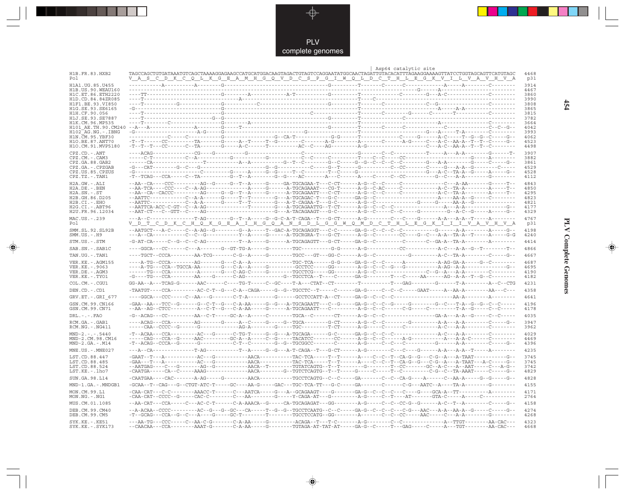

 $\overrightarrow{\mathbf{\P}}$ 

 $\begin{tabular}{c} \hline \quad \quad & \quad \quad \\ \hline \quad \quad & \quad \quad \\ \hline \end{tabular}$ 

|                                           | Asp64 catalytic site                                                                                                                                                                                                                                                                                                                                                                                                                                                                                                   |              |
|-------------------------------------------|------------------------------------------------------------------------------------------------------------------------------------------------------------------------------------------------------------------------------------------------------------------------------------------------------------------------------------------------------------------------------------------------------------------------------------------------------------------------------------------------------------------------|--------------|
| H1B.FR.83.HXB2<br>Po l                    | <u>VAS CD KCQ LKG EAMHG Q VDC SPGIWQ LD CTHLEG KVILVAVHVA</u>                                                                                                                                                                                                                                                                                                                                                                                                                                                          | 4468<br>p31  |
| H1A1.UG.85.U455                           |                                                                                                                                                                                                                                                                                                                                                                                                                                                                                                                        | 3914         |
| H1B. US. 90. WEAU160<br>H1C.ET.86.ETH2220 |                                                                                                                                                                                                                                                                                                                                                                                                                                                                                                                        | 4467<br>3860 |
| H1D.CD.84.84ZR085                         |                                                                                                                                                                                                                                                                                                                                                                                                                                                                                                                        | 3990         |
| H1F1.BE.93.VI850                          |                                                                                                                                                                                                                                                                                                                                                                                                                                                                                                                        | 3808         |
| H1G.SE.93.SE6165<br>H1H.CF.90.056         | -G---                                                                                                                                                                                                                                                                                                                                                                                                                                                                                                                  | 3865<br>3815 |
| H1J.SE.93.SE7887                          |                                                                                                                                                                                                                                                                                                                                                                                                                                                                                                                        | 3782         |
| H1K.CM.96.MP535                           |                                                                                                                                                                                                                                                                                                                                                                                                                                                                                                                        | 3664<br>4042 |
| H102 AG.NG.-.IBNG                         | $-G-\cdots-\cdots-$                                                                                                                                                                                                                                                                                                                                                                                                                                                                                                    | 3993         |
| H1N.CM.95.YBF30<br>H10.BE.87.ANT70        |                                                                                                                                                                                                                                                                                                                                                                                                                                                                                                                        | 4062<br>4523 |
| H1O.CM.91.MVP5180                         | $-{\color{red}T}-{\color{red}T}-{\color{red}T}-{\color{red}-C}-{\color{red}-A}-{\color{red}C}-{\color{red}-A}-{\color{red}-C}-{\color{red}-A}-{\color{red}-C}-{\color{red}-A}-{\color{red}-A}-{\color{red}-A}-{\color{red}-A}-{\color{red}-A}-{\color{red}-A}-{\color{red}-A}-{\color{red}-A}-{\color{red}-A}-{\color{red}-A}-{\color{red}-A}-{\color{red}-A}-{\color{red}-A}-{\color{red}-A}-{\color{red}-A}-{\color{red}-A}-{\color{red}-A}-{\color{red}-A}-{\color{red}-A}-{\color{red}-A}-{\color{red}-A}-{\color$ | 4498         |
| $CPZ$ . $CD$ . - . $ANT$                  |                                                                                                                                                                                                                                                                                                                                                                                                                                                                                                                        | 3907         |
| CPZ.CM.-.CAM3<br>CPZ.GA.88.GAB2           |                                                                                                                                                                                                                                                                                                                                                                                                                                                                                                                        | 3882<br>3861 |
| CPZ.GA.-.CPZGAB                           |                                                                                                                                                                                                                                                                                                                                                                                                                                                                                                                        | 4529         |
| CPZ.US.85.CPZUS<br>$CPZ.TZ.-.TAN1$        |                                                                                                                                                                                                                                                                                                                                                                                                                                                                                                                        | 4528<br>4112 |
| $H2A.GW.-.ALI$                            |                                                                                                                                                                                                                                                                                                                                                                                                                                                                                                                        | 4843         |
| $H2A.DE. - .BEN$                          |                                                                                                                                                                                                                                                                                                                                                                                                                                                                                                                        | 4850         |
| $H2A.SN.-.ST$                             |                                                                                                                                                                                                                                                                                                                                                                                                                                                                                                                        | 4295         |
| H2B.GH.86.D205<br>$H2B.CI.-.EHO$          |                                                                                                                                                                                                                                                                                                                                                                                                                                                                                                                        | 4823<br>4821 |
| H2G.CI. - . ABT96                         |                                                                                                                                                                                                                                                                                                                                                                                                                                                                                                                        | 4177         |
| H2U.FR.96.12034                           |                                                                                                                                                                                                                                                                                                                                                                                                                                                                                                                        | 4329         |
| MAC.US.-.239<br>Po l                      | V_D_T_C_D_K_C_H_Q_K_G_E_A_I_H_G_Q_A_N_S_D_L_G_G_W_Q_M_D_C_T_H_L_E_G_K_I_I_I_V_A_V_H_V_A                                                                                                                                                                                                                                                                                                                                                                                                                                | 4767<br>p31  |
| SMM.SL.92.SL92B                           | --AATGCT---A-C-----C--A-AG--G--------G--A-----T--GAC-A-TGCAGAGGT---C-C------GA-G--C--C--C--C--------G-------A-A-------A-----G--                                                                                                                                                                                                                                                                                                                                                                                        | 4198         |
| $SMM.US.-.H9$                             | ---A--CA-----------C--C--G-----------Y--A-----G------A-TGCRGRA-T---G-CT------A-G--C--------CC----G--C---A-A--TA-A--T-----A------G-G                                                                                                                                                                                                                                                                                                                                                                                    | 4240         |
| STM.US.-.STM                              | -G-AT-CA-----C--G--C--C-AG-----------T--A-----G-------A-TGCAGAGTT---G-CT-----GA-G--C---------C------C--GA-A--TA-A--------A--------                                                                                                                                                                                                                                                                                                                                                                                     | 4414         |
| SAB.SN.-.SAB1C                            |                                                                                                                                                                                                                                                                                                                                                                                                                                                                                                                        | 4866         |
| TAN.UG. - . TAN1                          |                                                                                                                                                                                                                                                                                                                                                                                                                                                                                                                        | 4667         |
| VER. KE. - . AGM155                       |                                                                                                                                                                                                                                                                                                                                                                                                                                                                                                                        | 4687         |
| VER. KE. - . 9063<br>VER.DE. - . AGM3     |                                                                                                                                                                                                                                                                                                                                                                                                                                                                                                                        | 4695<br>4190 |
| VER.KE.-.TYO1                             |                                                                                                                                                                                                                                                                                                                                                                                                                                                                                                                        | 4182         |
| COL.CM.-.CGU1                             |                                                                                                                                                                                                                                                                                                                                                                                                                                                                                                                        | 4231         |
| DEN.CD. - .CD1                            | $-{\tt TAATGT---CCA-------AC-C-T-G--C-A--CAGA----G--TGCCTC--T----C----GA-G----C--C--C----GAAT----AA--A--A--A------AA--A--C----A--A--C----A--A--C----A--A--C----A--A--C----A--A--C----A--A--C----A--A--C----A--A--C----A--A--C----A--A--C----A--A--C----A--A--C----A--A--C----A--A--C----A--A--C----A--A--C----A--A--C----A--A--C----A--A--C----A--A--C----A--A--C----$                                                                                                                                                 | 4358         |
| GRV.ET. - . GRI 677                       |                                                                                                                                                                                                                                                                                                                                                                                                                                                                                                                        | 4641         |
| GSN.CM.99.CN166                           | -GAA--AA---TCC--G------G--C-T--G---C-A-AA-----G--G---A-TGCAGAATT---C--G-----GA-G--C--G-----G------G--C--T-A--G--G--C--C-----                                                                                                                                                                                                                                                                                                                                                                                           | 4196         |
| GSN.CM.99.CN71                            |                                                                                                                                                                                                                                                                                                                                                                                                                                                                                                                        | 4178         |
| $DRL - - -$ . $FAO$                       |                                                                                                                                                                                                                                                                                                                                                                                                                                                                                                                        | 4035         |
| RCM.GA. - . GAB1                          | ---ACAG---CCA--------AG-------G-----A--C-----G----G--TGCA-------G-CT------A-G--C--C--------G---------A-A---A-A-----C-----G--                                                                                                                                                                                                                                                                                                                                                                                           | 3947         |
| $RCM.NG. - . NG411$                       |                                                                                                                                                                                                                                                                                                                                                                                                                                                                                                                        | 3962<br>4029 |
| $MND-2. - - - 5440$<br>MND-2.CM.98.CM16   |                                                                                                                                                                                                                                                                                                                                                                                                                                                                                                                        | 4469         |
| $MND-2.GA.-.M14$                          |                                                                                                                                                                                                                                                                                                                                                                                                                                                                                                                        | 4396         |
| $MNE. US. - . MNE027$                     |                                                                                                                                                                                                                                                                                                                                                                                                                                                                                                                        | 4235         |
| LST.CD.88.447                             |                                                                                                                                                                                                                                                                                                                                                                                                                                                                                                                        | 3745         |
| LST.CD.88.485<br>LST.CD.88.524            |                                                                                                                                                                                                                                                                                                                                                                                                                                                                                                                        | 3745<br>3742 |
| LST.KE.-.lho7                             |                                                                                                                                                                                                                                                                                                                                                                                                                                                                                                                        | 4829         |
| SUN.GA.98.L14                             |                                                                                                                                                                                                                                                                                                                                                                                                                                                                                                                        | 4828         |
| MND-1.GA.-.MNDGB1                         |                                                                                                                                                                                                                                                                                                                                                                                                                                                                                                                        | 4155         |
| MON.CM.99.L1                              |                                                                                                                                                                                                                                                                                                                                                                                                                                                                                                                        | 4171         |
| $MON.NG. - . NG1$                         |                                                                                                                                                                                                                                                                                                                                                                                                                                                                                                                        | 2764         |
| MUS.CM.01.1085                            | --AA-CAT---CCA-----C---AC-C-T------C-A-AAACA--G-----CA-TGCAGAGAT---GG--------A-G-----C--CC-G--G--G------A-C--T--A--------C----G--                                                                                                                                                                                                                                                                                                                                                                                      | 4158         |
| DEB.CM.99.CM40<br>DEB.CM.99.CM5           |                                                                                                                                                                                                                                                                                                                                                                                                                                                                                                                        | 4274<br>4268 |
| $SYK.KE. - .KE51$<br>$SYK.KE. - .SYK173$  | --CAACAA---CCA--------AAAT-G-------C-A-AA-----G--------TGTAGA-AT-TAT-AT-----GA-G--C-----T---GAG-----C-----A--TGT--------AA-CAC---                                                                                                                                                                                                                                                                                                                                                                                      | 4323<br>4668 |

 $\blacklozenge$ 

**PLV Complete Genomes 454 PLV Complete Genomes** 

 $\Rightarrow$ 

 $\sqrt{2}$ 

 $454$ 

 $\blacksquare$ 

<u> 1991 - 1991 - 1991 - 1991 - 1991 - 1991 - 1991 - 1991 - 1991 - 1991 - 1991 - 1991 - 1991 - 1991 - 1991 - 199</u>

- 1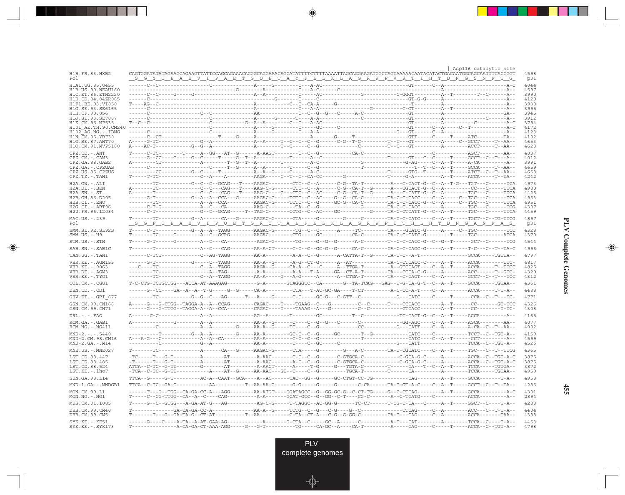|                                            |                                                                                                                                                                                                                                                                      |  |  |  |  | Asp116 catalytic site |              |
|--------------------------------------------|----------------------------------------------------------------------------------------------------------------------------------------------------------------------------------------------------------------------------------------------------------------------|--|--|--|--|-----------------------|--------------|
| H1B.FR.83.HXB2<br>Pol                      | <u>SGY I EAEVIPAET GOETAYFL LKLAGRWPVKT I HTDNGSNFT G</u>                                                                                                                                                                                                            |  |  |  |  |                       | 4598<br>p31  |
| H1A1. UG. 85. U455                         |                                                                                                                                                                                                                                                                      |  |  |  |  |                       | 4044         |
| H1B. US. 90. WEAU160<br>H1C.ET.86.ETH2220  |                                                                                                                                                                                                                                                                      |  |  |  |  |                       | 4597<br>3990 |
| H1D.CD.84.84ZR085                          |                                                                                                                                                                                                                                                                      |  |  |  |  |                       | 4120         |
| H1F1.BE.93.VI850<br>H1G.SE.93.SE6165       |                                                                                                                                                                                                                                                                      |  |  |  |  |                       | 3938<br>3995 |
| H1H.CF.90.056                              |                                                                                                                                                                                                                                                                      |  |  |  |  |                       | 3945         |
| H1J.SE.93.SE7887<br>H1K.CM.96.MP535        |                                                                                                                                                                                                                                                                      |  |  |  |  |                       | 3912<br>3794 |
| H101 AE.TH.90.CM240                        |                                                                                                                                                                                                                                                                      |  |  |  |  |                       | 4172         |
| $H102-AG.NG. - .IBNG$<br>H1N.CM.95.YBF30   |                                                                                                                                                                                                                                                                      |  |  |  |  |                       | 4123<br>4192 |
| H10.BE.87.ANT70                            |                                                                                                                                                                                                                                                                      |  |  |  |  |                       | 4653         |
| H10.CM.91.MVP5180<br>$CPZ$ . $CD$ . $-ANT$ |                                                                                                                                                                                                                                                                      |  |  |  |  |                       | 4628<br>4037 |
| CPZ.CM. - . CAM3                           |                                                                                                                                                                                                                                                                      |  |  |  |  |                       | 4012         |
| CPZ.GA.88.GAB2                             |                                                                                                                                                                                                                                                                      |  |  |  |  |                       | 3991<br>4659 |
| CPZ.GA.-.CPZGAB<br>CPZ.US.85.CPZUS         |                                                                                                                                                                                                                                                                      |  |  |  |  |                       | 4658         |
| $CPZ.TZ.-.TAN1$                            |                                                                                                                                                                                                                                                                      |  |  |  |  |                       | 4242         |
| H2A.GW.-.ALI<br>$H2A.DE. - .BEN$           | --------TC----------G--C--GCAG---T----AAGAC--------CTC--C--A------C-G--TA-T---------A---C-CACT-G--C--A--T-G---TGT---C------TCA<br>A-------TC-------------C--C---CAG---T----AAG-C-G-------CTC--C--A------C-G--CA-T--G------A---CGCACT-G--C--A---------CC---C-----TTCA |  |  |  |  |                       | 4973<br>4980 |
| $H2A.SN.-.ST$                              | A-------T--------------C--C--CAG---T----AAG-C----G---CTC--C--AC-----C-G--CA-T--G-------A---C-CATT-G--C--A--------TGC---C-----TTCA                                                                                                                                    |  |  |  |  |                       | 4425         |
| H2B.GH.86.D205<br>$H2B.CI.-.EHO$           | -----G-T----------G--A--A--CCA---G-----AAGAC-G-----TCTC--C--AC----G--CA-C--------TA-C-C-CACC----C--A-----C--TGC---C-------TCA<br>--------TC--------------A--R--CCA---------AAGAC-G-----TCTC--C--G-----GC-G--CA-C--------TA-C-C-CACC-G--C--A-----C--TGC---C-----TTCA  |  |  |  |  |                       | 4953<br>4951 |
| H2G.CI.-.ABT96                             |                                                                                                                                                                                                                                                                      |  |  |  |  |                       | 4307         |
| H2U.FR.96.12034                            | ------C-T--------------G--C--GCAG-----T--TAG-C-------CCTG--C--AC----GC--------G-----TA-C-CTCATT-G--C--A--T-----TGC---C-----TTCA                                                                                                                                      |  |  |  |  |                       | 4459         |
| MAC.US.-.239<br>Pol                        | $\verb+T+-----TC+-----G+-+---CA---G+---AAGAC-G+----CTA+---G+---G+---C+----T---T-TC-CTT-----TC-----T-TC------TC------TCCT-----TC-CTG-$<br><u>_S_G_F_I_B_A_B_V_I_P_Q_B_T_G_R_Q_T_A_L_F_L_L_K_L_A_G_R_W_P_I_T_H_L_H_T_D_N_G_A_N_F_A_S_</u>                              |  |  |  |  |                       | 4897<br>p31  |
| SMM.SL.92.SL92B                            |                                                                                                                                                                                                                                                                      |  |  |  |  |                       | 4328         |
| $SMM.US.-.H9$                              |                                                                                                                                                                                                                                                                      |  |  |  |  |                       | 4370         |
| STM.US.-.STM                               |                                                                                                                                                                                                                                                                      |  |  |  |  |                       | 4544         |
| SAB.SN.-.SAB1C                             |                                                                                                                                                                                                                                                                      |  |  |  |  |                       | 4996         |
| TAN.UG. - . TAN1                           |                                                                                                                                                                                                                                                                      |  |  |  |  |                       | 4797         |
| VER. KE. - . AGM155<br>VER.KE. - . 9063    | ---C----TC-------------C--A--TAGG--------AAGA--G------CA-A--C---C-----A--TTGA-T--------A--GTCCAGT----C--A--T-----ACCA-----T--TTCC                                                                                                                                    |  |  |  |  |                       | 4817<br>4825 |
| VER.DE. - . AGM3                           |                                                                                                                                                                                                                                                                      |  |  |  |  |                       | 4320         |
| VER.KE.-.TYO1                              | --------TC-------------C--A--TAGG--------AA-A-----G---A-G-----A------A--CTGA-T--------TA---C-CAGT----C--A--------GCCT--C--T---TCC                                                                                                                                    |  |  |  |  |                       | 4312         |
| COL.CM. - . CGU1                           |                                                                                                                                                                                                                                                                      |  |  |  |  |                       | 4361         |
| DEN.CD.-.CD1                               |                                                                                                                                                                                                                                                                      |  |  |  |  |                       | 4488         |
| GRV.ET. - . GRI 677                        |                                                                                                                                                                                                                                                                      |  |  |  |  |                       | 4771         |
| GSN.CM.99.CN166<br>GSN.CM.99.CN71          |                                                                                                                                                                                                                                                                      |  |  |  |  |                       | 4326<br>4308 |
| $DRL - - -$ . $FAO$                        |                                                                                                                                                                                                                                                                      |  |  |  |  |                       | 4165         |
| RCM.GA.-.GAB1                              |                                                                                                                                                                                                                                                                      |  |  |  |  |                       | 4077         |
| $RCM.NG. - . NG411$                        |                                                                                                                                                                                                                                                                      |  |  |  |  |                       | 4092         |
| $MND-2---5440$<br>MND-2.CM.98.CM16         |                                                                                                                                                                                                                                                                      |  |  |  |  |                       | 4159<br>4599 |
| $MND-2.GA.-.M14$                           |                                                                                                                                                                                                                                                                      |  |  |  |  |                       | 4526         |
| MNE.US. - . MNE027                         |                                                                                                                                                                                                                                                                      |  |  |  |  |                       | 4365         |
| LST.CD.88.447                              |                                                                                                                                                                                                                                                                      |  |  |  |  |                       | 3875         |
| LST.CD.88.485<br>LST.CD.88.524             |                                                                                                                                                                                                                                                                      |  |  |  |  |                       | 3875<br>3872 |
| LST.KE.-.lho7                              |                                                                                                                                                                                                                                                                      |  |  |  |  |                       | 4959         |
| SUN.GA.98.L14                              |                                                                                                                                                                                                                                                                      |  |  |  |  |                       | 4958         |
| MND-1.GA.-.MNDGB1                          |                                                                                                                                                                                                                                                                      |  |  |  |  |                       | 4285         |
| MON.CM.99.L1<br>$MON.NG. -.NG1$            | ------T---G--TGG--CA-GA-CC-A---AGG--------AA-ATGT----GGATAGCC--G--GG-GC-G--C-CT-TG-----G--C-CTCAG--------A--T-----GCCA---------A-C                                                                                                                                   |  |  |  |  |                       | 4301<br>2894 |
| MUS.CM.01.1085                             |                                                                                                                                                                                                                                                                      |  |  |  |  |                       | 4288         |
| DEB.CM.99.CM40<br>DEB.CM.99.CM5            |                                                                                                                                                                                                                                                                      |  |  |  |  |                       | 4404<br>4398 |
| $SYK.KE. - .KE51$<br>$SYK.KE. - .SYK173$   | $\verb T---\verb -----\verb ---A-CA-GA-CT-AAA-AGG----G---G-T---\verb -----TCA-GC--A---CA-T-------\verb --A---CA-GC----A---CAG----T----T----ACCA--C--TGT-A--$                                                                                                         |  |  |  |  |                       | 4453<br>4798 |

<u>a shekara ta 1989</u>

 $\overrightarrow{\phantom{a}}$ 

 $\overline{\neg}$ 

**PLV Complete Genomes PLV Complete Genomes**

 $\begin{picture}(20,5) \put(0,0){\line(1,0){10}} \put(15,0){\line(1,0){10}} \put(15,0){\line(1,0){10}} \put(15,0){\line(1,0){10}} \put(15,0){\line(1,0){10}} \put(15,0){\line(1,0){10}} \put(15,0){\line(1,0){10}} \put(15,0){\line(1,0){10}} \put(15,0){\line(1,0){10}} \put(15,0){\line(1,0){10}} \put(15,0){\line(1,0){10}} \put(15,0){\line(1,$ 

 $\equiv$ 

 $\Box$ 

<u> 1959 - 1961 - 1971 - 1971 - 1971 - 1971 - 1971 - 1971 - 1971 - 1971 - 1971 - 1971 - 19</u>

- 1

**455**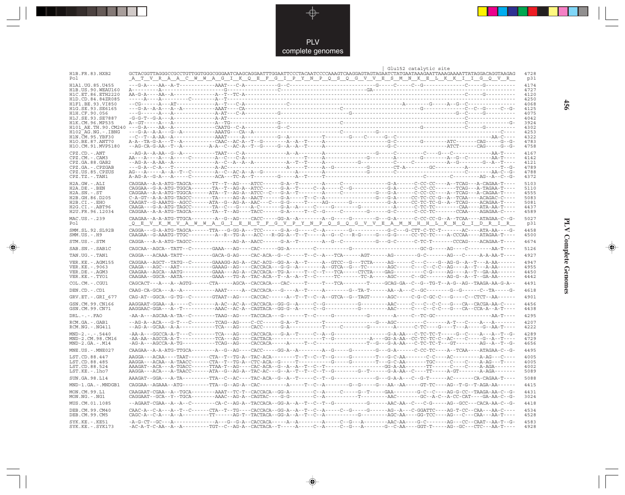

 $\overrightarrow{\mathbf{\P}}$ 

 $\mathbb{R}$ 

|                                          |                                                                                                                                                                                                                                                                                                                                                                                                                        | Glu152 catalytic site<br>4728 |
|------------------------------------------|------------------------------------------------------------------------------------------------------------------------------------------------------------------------------------------------------------------------------------------------------------------------------------------------------------------------------------------------------------------------------------------------------------------------|-------------------------------|
| H1B.FR.83.HXB2<br>Po 1                   | GCTACGGTTAGGGCCGCCTGTTGGTGGCGGGAATCAAGCAGGAATTTGGAATTCCCTACAATCCCCAAAGTCAAGGAGTAGTAGAATCTATGAATAAAGAATTAAAGAAATTATAGGACAGGTAAGAG<br><u>A T V R A A C W W A G I K Q E F G I P Y N P Q S Q G V V E S M N K E L K K I I G Q V R </u>                                                                                                                                                                                      | p31                           |
| H1A1. UG. 85. U455<br>H1B.US.90.WEAU160  |                                                                                                                                                                                                                                                                                                                                                                                                                        | 4174<br>4727                  |
| H1C.ET.86.ETH2220                        | $A = \frac{1}{2}$<br>$A = \frac{1}{2}$<br>$A = \frac{1}{2}$<br>$A = \frac{1}{2}$<br>$A = \frac{1}{2}$<br>$A = \frac{1}{2}$<br>$A = \frac{1}{2}$<br>$A = \frac{1}{2}$<br>$A = \frac{1}{2}$<br>$A = \frac{1}{2}$<br>$A = \frac{1}{2}$<br>$A = \frac{1}{2}$<br>$A = \frac{1}{2}$<br>$A = \frac{1}{2}$<br>$A = \frac{1}{2}$<br>$A = \frac{1}{2}$<br>$A = \frac{1}{2}$<br>                                                  | 4120                          |
| H1D.CD.84.84ZR085<br>H1F1.BE.93.VI850    |                                                                                                                                                                                                                                                                                                                                                                                                                        | 4250<br>4068                  |
| H1G.SE.93.SE6165<br>H1H.CF.90.056        |                                                                                                                                                                                                                                                                                                                                                                                                                        | 4125<br>4075                  |
| H1J.SE.93.SE7887                         |                                                                                                                                                                                                                                                                                                                                                                                                                        | 4042                          |
| H1K.CM.96.MP535<br>H101 AE.TH.90.CM240   |                                                                                                                                                                                                                                                                                                                                                                                                                        | 3924<br>4302                  |
| H102 AG.NG.-.IBNG                        |                                                                                                                                                                                                                                                                                                                                                                                                                        | 4253                          |
| H1N.CM.95.YBF30<br>H10. BE. 87. ANT70    |                                                                                                                                                                                                                                                                                                                                                                                                                        | 4322<br>4783                  |
| H1O.CM.91.MVP5180                        |                                                                                                                                                                                                                                                                                                                                                                                                                        | 4758                          |
| $CPZ$ . $CD$ . $-ANT$                    |                                                                                                                                                                                                                                                                                                                                                                                                                        | 4167                          |
| $CPZ.CM. - . CAM3$<br>CPZ.GA.88.GAB2     |                                                                                                                                                                                                                                                                                                                                                                                                                        | 4142<br>4121                  |
| CPZ.GA.-.CPZGAB<br>CPZ.US.85.CPZUS       |                                                                                                                                                                                                                                                                                                                                                                                                                        | 4789<br>4788                  |
| CPZ.TZ.-.TAN1                            |                                                                                                                                                                                                                                                                                                                                                                                                                        | 4372                          |
| H2A.GW.-.ALI                             |                                                                                                                                                                                                                                                                                                                                                                                                                        | 5103                          |
| $H2A.DE. -.BEN$<br>H2A.SN.-.ST           | CAGGAA--G-A-ATG-TGGCA-------TA--T--AG-A--ATCC------G-A--T-----C--A------C--G---------G-A------C-CC-CC-------TCAG---A-TAGAA-T----<br>CAGGAA--A-A-ATG-TGGCA------ATA--T--AG-A--ATCC--C---G-A--T--------A-----C---------G--G-A------C-CC-CC----A--TCAG---A-CAGAA-T----                                                                                                                                                    | 5110<br>4555                  |
| H2B.GH.86.D205                           |                                                                                                                                                                                                                                                                                                                                                                                                                        | 5083                          |
| H2B.CI.-.EHO<br>$H2G.CI.-.ABT96$         | $\verb CAGA---G-A-ATG-TAGCC------TA--C---A-C------G-A--A---C-----G-----G-------C---A---C--TC-TC-----C-A----CAA---ATA-AA-T---C-AC-A--A-.$                                                                                                                                                                                                                                                                               | 5081<br>4437                  |
| H2U.FR.96.12034                          |                                                                                                                                                                                                                                                                                                                                                                                                                        | 4589                          |
| MAC.US.-.239                             | $\texttt{CAGAA}--\texttt{A}-\texttt{A}-\texttt{ATG-TTGCA}-\texttt{------A}-G--\texttt{AG-----GCC}--\texttt{GGA}-\texttt{A------A--G----G----G----G---G--G--\texttt{G}-\texttt{A------C-C-C-C-G---A---TAGAA-C--G--\texttt{G}-G--\texttt{G}-\texttt{A}-\texttt{G}-\texttt{A}-\texttt{G}-\texttt{A}-\texttt{G}-\texttt{A}-\texttt{G}-\texttt{A}-\texttt{G}-\texttt{G}-\texttt{A}-\texttt{G}-\texttt{G}-\texttt{A}-$       | 5027                          |
| Pol                                      | <u>Q E V K M V A W W A G I E H T F G V P Y N P Q S Q G V V E A M N H H L K N Q I D R I R</u>                                                                                                                                                                                                                                                                                                                           | p31<br>4458                   |
| SMM.SL.92.SL92B<br>$SMM.US. - . H9$      | CAAGAA - -G-AAATG-TTGC---------A--R--TG-A---ACC---R-GG-A--T--T-----A--G--C---R-G----G---G----CC-TC-TC----A-CCCAA----ATAGAA-T----                                                                                                                                                                                                                                                                                       | 4500                          |
| STM.US.-.STM                             |                                                                                                                                                                                                                                                                                                                                                                                                                        | 4674                          |
| SAB.SN.-.SAB1C                           |                                                                                                                                                                                                                                                                                                                                                                                                                        | 5126                          |
| TAN.UG.-.TAN1                            | CAGGA---ACAAA-TATT----------GACA-G-AG----CAC-ACA--G--C-----T--C--A---TCA------AGT------AG-------G-C-------AG---C-----A-A-AA-T----                                                                                                                                                                                                                                                                                      | 4927                          |
| VER. KE. - . AGM155                      | CAGGAA--AGCT--TATG--C-------GAAAGG-AG-A--CAC-ACG--GG-A--A--T-----A--GTCC--G---TCTA-----AG------C---C---G--AG-G--A--T---A-AA------                                                                                                                                                                                                                                                                                      | 4947                          |
| VER.KE. - . 9063<br>VER.DE. - . AGM3     | CAAGAA--AGCA--AATG----------GAAA---AG-A--CACCACA--TG-A-----T--C--T---TCA-----CTCTA----GAG---------C-G-----AG----A--T--GA-AA------                                                                                                                                                                                                                                                                                      | 4955<br>4450                  |
| VER.KE. - . TYO1                         | $\verb CAGGAA--GGCA--AATA-------GAAA---TC-A--TAC-ACA--T--A--T--C-----TC------TC-A----AGC------GC--GC-------AG-G--A--T--GA-AA------$                                                                                                                                                                                                                                                                                    | 4442                          |
| COL.CM. - . CGU1                         |                                                                                                                                                                                                                                                                                                                                                                                                                        | 4491                          |
| DEN.CD. - .CD1                           | CAAG-CA-GCA---A--A-----------AAAT-----A--CACCACA---G----A--T-----A--------G--TA-T------AA--A---C--GC--------G--G------C--TA-----G-                                                                                                                                                                                                                                                                                     | 4618                          |
| GRV.ET. - .GRI 677                       | CAG-AT--GGCA--G-TG--C--------GTAAT--AG----CACCAC------A--T--T--C--A--GTCA--G--TAGT------AGC-----C-G-C-GC-C---G----C--CTCT--AA------                                                                                                                                                                                                                                                                                    | 4901                          |
| GSN.CM.99.CN166<br>GSN.CM.99.CN71        |                                                                                                                                                                                                                                                                                                                                                                                                                        | 4456<br>4438                  |
| $DRL - - - FAO$                          |                                                                                                                                                                                                                                                                                                                                                                                                                        | 4295                          |
| RCM.GA. - .GAB1                          |                                                                                                                                                                                                                                                                                                                                                                                                                        | 4207                          |
| $RCM.NG. - . NG411$                      |                                                                                                                                                                                                                                                                                                                                                                                                                        | 4222                          |
| $MND-2. - - - 5440$<br>MND-2.CM.98.CM16  |                                                                                                                                                                                                                                                                                                                                                                                                                        | 4289<br>4729                  |
| $MND-2.GA.-.M14$                         |                                                                                                                                                                                                                                                                                                                                                                                                                        | 4656                          |
| $MNE . US . - . MNE027$                  |                                                                                                                                                                                                                                                                                                                                                                                                                        | 4495                          |
| LST.CD.88.447                            | AAGGA---ACAA----TAAT-------CTA--T--TG-A--TAC-ACA--------T--T--C--T--G------G------T---G-C-AA-------C-C----AC--------A-AG---C----                                                                                                                                                                                                                                                                                       | 4005                          |
| LST.CD.88.485<br>LST.CD.88.524           | $\verb+AGGA--ACAA--A-TAACC----CTA--T--TG-A--CTC-ACA--G----T-----G----G----T---G--A----TGC--A-----C---C---C---A-AG---T--G---A--AG---A--AG---T---A--AG---T---A--AG---A--AG---A--A--AG---A--A--AG---A--A--AG---A--A--AG---A--A--AG---A--A--AG---A--A--AG---A--A--AG---A--A--AG---A--A--AG---A--A--AG---A--A--AG---A--A--AG---A--A--AG---A--A--AG---A--A--AG---A--A--AG---A--A--AG---A--A--AG---A--A--AG---A--A--AG---A--$ | 4005<br>4002                  |
| LST.KE.-.lho7                            | AAGGA---ACA---A-TAACC------ATA--G--AG-A--TAC-AC---G--A--T--T--C--T--G--------G--T-----G-A-AA--C----TT-----A-GT-------A-AGA-------                                                                                                                                                                                                                                                                                      | 5089                          |
| SUN.GA.98.L14                            |                                                                                                                                                                                                                                                                                                                                                                                                                        | 5088                          |
| MND-1.GA.-.MNDGB1                        |                                                                                                                                                                                                                                                                                                                                                                                                                        | 4415                          |
| MON.CM.99.L1<br>$MON.NG. -.NG1$          | CAAGAAT-CGAA--A--TGCA--------AAAT--TC-T--CACCACA--GG-A--------C--A-----C-----G--T-----GAA-------G-C--C----AG-G-CC--TAAGA-AA-C--G-                                                                                                                                                                                                                                                                                      | 4431<br>3024                  |
| MUS.CM.01.1085                           |                                                                                                                                                                                                                                                                                                                                                                                                                        | 4418                          |
| DEB.CM.99.CM40<br>DEB.CM.99.CM5          | CAAC-A--C-A---A--T--C------CTA--T--TG----CACCACA--GG-A--A--T--C--A-----C--G-----G-----AG--A---C-GGATTC----AG-T-CC--CAA---AA-C----                                                                                                                                                                                                                                                                                      | 4534<br>4528                  |
| $SYK.KE. - .KE51$<br>$SYK.KE. - .SYK173$ | -AC-A-T-C-AA--A--A---------TGT--C--AG-A--CACTACA--T-----A-----C--A-----C--G---A------G--C-AA----GGT-T-----AG--GC---CTC---AA-T----                                                                                                                                                                                                                                                                                      | 4583<br>4928                  |

 $\blacklozenge$ 

**PLV Complete Genomes 456 PLV Complete Genomes** 

 $\Rightarrow$ 

 $\equiv$ 

456

 $\blacksquare$ 

<u> 1999 - 1999 - 1999 - 1999 - 1999 - 1999 - 1999 - 1999 - 1999 - 1999 - 1999 - 1999 - 1999 - 1999 - 1999 - 199</u>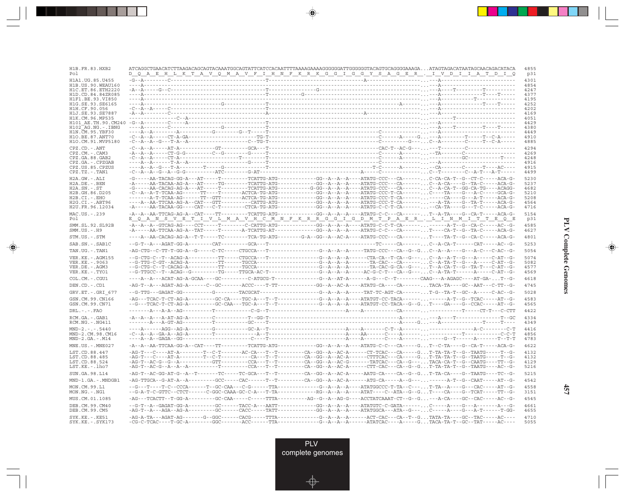| H1B.FR.83.HXB2<br>Pol                   | ATCAGGCTGAACATCTTAAGACAGCAGTACAAATGGCAGTATTCATCACAATTTTAAAAGAAAAGGGGGGATTGGGGGTACAGTGCAGGGGAAAGAATAGTAGACATAATAGCAACACATACA<br><u>D Q A E H L K T A V Q M A V F I H N F K R K G G I G G Y S A G E R . I V D I I A T D I Q</u>                                                                                                                                                                                                      | 4855<br>p31  |
|-----------------------------------------|------------------------------------------------------------------------------------------------------------------------------------------------------------------------------------------------------------------------------------------------------------------------------------------------------------------------------------------------------------------------------------------------------------------------------------|--------------|
| H1A1.UG.85.U455                         |                                                                                                                                                                                                                                                                                                                                                                                                                                    | 4301         |
| H1B.US.90.WEAU160<br>H1C.ET.86.ETH2220  |                                                                                                                                                                                                                                                                                                                                                                                                                                    | 4854<br>4247 |
| H1D.CD.84.84ZR085                       |                                                                                                                                                                                                                                                                                                                                                                                                                                    | 4377         |
| H1F1.BE.93.VI850                        |                                                                                                                                                                                                                                                                                                                                                                                                                                    | 4195         |
| H1G.SE.93.SE6165<br>H1H.CF.90.056       |                                                                                                                                                                                                                                                                                                                                                                                                                                    | 4252<br>4202 |
| H1J.SE.93.SE7887                        |                                                                                                                                                                                                                                                                                                                                                                                                                                    | 4169         |
| H1K.CM.96.MP535                         |                                                                                                                                                                                                                                                                                                                                                                                                                                    | 4051         |
| $H102$ AG. NG. - TBNG                   |                                                                                                                                                                                                                                                                                                                                                                                                                                    | 4429<br>4380 |
| H1N.CM.95.YBF30                         |                                                                                                                                                                                                                                                                                                                                                                                                                                    | 4449         |
| H10.BE.87.ANT70                         |                                                                                                                                                                                                                                                                                                                                                                                                                                    | 4910         |
| H1O.CM.91.MVP5180                       |                                                                                                                                                                                                                                                                                                                                                                                                                                    | 4885         |
| CPZ.CD. - . ANT<br>$CPZ.CM. - . CAM3$   |                                                                                                                                                                                                                                                                                                                                                                                                                                    | 4294<br>4269 |
| CPZ.GA.88.GAB2                          |                                                                                                                                                                                                                                                                                                                                                                                                                                    | 4248         |
| CPZ.GA.-.CPZGAB<br>CPZ.US.85.CPZUS      |                                                                                                                                                                                                                                                                                                                                                                                                                                    | 4916<br>4915 |
| $CPZ.TZ.-.TAN1$                         |                                                                                                                                                                                                                                                                                                                                                                                                                                    | 4499         |
| H2A.GW.-.ALI                            | $-\texttt{G----AA-TACAG-GG-A---AT----T----T----TCATTG-ATG----------GG--A--A--A--A---ATATG-CCC---CA----.7. \newline \texttt{C-CA-T-G-CT-CT-CT----ACA-G--C} \\\texttt{C-CA-T-G-CT-CT---T----CCA-G--C} \\\texttt{C-CA-T-G-CT---C} \\\texttt{C-CA-T-G-CT---C} \\\texttt{C-CA-T-G-CT---C} \\\texttt{C-CA-T-G-CT---C} \\\texttt{C-CA-T-G-CT---C} \\\texttt{C-CA-T-G-CT---C} \\\texttt{C-CA-T-G-CT---C}$                                  | 5230         |
| $H2A.DE. - .BEN$                        |                                                                                                                                                                                                                                                                                                                                                                                                                                    | 5237         |
| $H2A.SN.-.ST$<br>H2B.GH.86.D205         | -G-----AA-CACAG-AG-A---AT------T--------TCATTG-ATG---------G-GG--A--A--A-----ATATG-CCC---CA------C--A-CA-T--GG-CA-TG----ACAGG-                                                                                                                                                                                                                                                                                                     | 4682<br>5210 |
| $H2B.CI.-.EHO$                          | $-{\cal C}--{\sf A}--{\sf A}-{\sf B}--{\sf T}-{\sf C}{\sf A}{\sf A}-{\sf A}{\sf G}-\cdots-{\sf T}--{\sf T}-\cdots-{\sf T}-{\sf A}-{\sf A}{\sf C}{\sf C}{\sf A}-{\sf T}{\sf G}-{\sf A}{\sf T}{\sf G}-\cdots-{\sf I}-{\sf G}{\sf G}-{\sf A}-{\sf A}-{\sf A}-{\sf A}-{\sf A}-{\sf A}-{\sf A}-{\sf A}-{\sf T}{\sf A}{\sf T}{\sf G}-{\sf C}{\sf C}{\sf C}-{\sf T}-{\sf C}{\sf A}-\cdots-{\sf I}-{\sf A}-{\sf I}-{\sf A}-{\sf C}-{\sf I$ | 5208         |
| H2G.CI.-.ABT96                          |                                                                                                                                                                                                                                                                                                                                                                                                                                    | 4564         |
| H2U.FR.96.12034                         |                                                                                                                                                                                                                                                                                                                                                                                                                                    | 4716         |
| MAC.US.-.239                            |                                                                                                                                                                                                                                                                                                                                                                                                                                    | 5154         |
| Pol                                     | <u>E QANSVETIVLMAVHCMNFKRRGGIGDMTPAER.LIINMITTEQE</u>                                                                                                                                                                                                                                                                                                                                                                              | p31          |
| SMM.SL.92.SL92B<br>$SMM.US.-.H9$        | $-A--A--GTCAG-AG---CCT-----T-----C-CATTG-ATG-------GG--A--A--A---ATATG-C-CT-CA---A-T--G--CA-C---A-C--CA-C--C-A-C--C-C-G--C-A--A-C--C-C-A--C--C-C-A--C--C-C-A--C--C-C-A--C--C-C-A--C--C-C-A--C--C-C-A--C--C.$                                                                                                                                                                                                                       | 4585<br>4627 |
| STM.US.-.STM                            | ----A--AA-CACAG-AG-A--T-T-----TC--------TCA-TG-ATG--------G-A--GG--A--AC-A----ATATG-CCC---CA-------T----TA-T--G--CA-C------ACA-G-                                                                                                                                                                                                                                                                                                  | 4801         |
| SAB.SN.-.SAB1C                          |                                                                                                                                                                                                                                                                                                                                                                                                                                    | 5253         |
| TAN.UG. - . TAN1                        |                                                                                                                                                                                                                                                                                                                                                                                                                                    | 5054         |
| VER. KE. - . AGM155                     |                                                                                                                                                                                                                                                                                                                                                                                                                                    | 5074         |
| VER.KE. - . 9063<br>VER.DE.-.AGM3       |                                                                                                                                                                                                                                                                                                                                                                                                                                    | 5082<br>4577 |
| VER.KE.-.TYO1                           |                                                                                                                                                                                                                                                                                                                                                                                                                                    | 4569         |
| COL.CM. - . CGU1                        |                                                                                                                                                                                                                                                                                                                                                                                                                                    | 4618         |
| DEN.CD. - .CD1                          |                                                                                                                                                                                                                                                                                                                                                                                                                                    | 4745         |
| GRV.ET. - .GRI 677                      |                                                                                                                                                                                                                                                                                                                                                                                                                                    | 5028         |
| GSN.CM.99.CN166                         |                                                                                                                                                                                                                                                                                                                                                                                                                                    | 4583         |
| GSN.CM.99.CN71                          |                                                                                                                                                                                                                                                                                                                                                                                                                                    | 4565         |
| DRL.-.-.FAO                             |                                                                                                                                                                                                                                                                                                                                                                                                                                    | 4422         |
| RCM.GA. - . GAB1                        |                                                                                                                                                                                                                                                                                                                                                                                                                                    | 4334         |
| $RCM.NG. - . NG411$                     |                                                                                                                                                                                                                                                                                                                                                                                                                                    | 4349         |
| $MND-2---5440$                          |                                                                                                                                                                                                                                                                                                                                                                                                                                    | 4416         |
| MND-2.CM.98.CM16<br>$MND-2.GA.-.M14$    |                                                                                                                                                                                                                                                                                                                                                                                                                                    | 4856<br>4783 |
|                                         |                                                                                                                                                                                                                                                                                                                                                                                                                                    |              |
| $MNE. US. - . MNE027$                   |                                                                                                                                                                                                                                                                                                                                                                                                                                    | 4622         |
| LST.CD.88.447<br>LST.CD.88.485          | $\hbox{-AG-T--C---AT-A--------T--C-T--------C-A---CT--C-A--G--A---CT--C-A---CTTTCAC---CA---CT--G--T-A--T-A--G--T-A-T-A-T-A-T-A-T-A-T-A-T-A-T-A,\\$                                                                                                                                                                                                                                                                                 | 4132<br>4132 |
| LST.CD.88.524                           |                                                                                                                                                                                                                                                                                                                                                                                                                                    | 4129         |
| LST.KE. - . lho7                        | $\hbox{--AG-T--AC-G--A--A--A--A---------------CCA--T-----------CA--GG--A--AC-A-----CTT-CAC---CA--G--G--G-.}\ \ \hbox{--}\ \ \hbox{--}\ \ \hbox{--}\ \ \hbox{--}\ \ \hbox{--}\ \ \hbox{--}\ \ \hbox{--}\ \ \hbox{--}\ \ \hbox{--}\ \ \hbox{--}\ \ \hbox{--}\ \ \hbox{--}\ \ \hbox{--}\ \ \hbox{--}\ \ \hbox{--}\ \ \hbox{--}\ \ \hbox{--}\ \ \hbox{--}\ \ \hbox{--}\ \ \hbox{--}\ \ \hbox{--}\ \ \hbox{--}\ \ \h$                   | 5216         |
| SUN.GA.98.L14                           | -AG-T--AC-GG-AT-G--A--T-------TC-----TC-GCA---T---------CA--GG--A--AC-A-----AATG-CA----CA--G--GT-TA-CA----G--TAATG----TC--G-                                                                                                                                                                                                                                                                                                       | 5215         |
| MND-1.GA.-.MNDGB1                       | -AG-TTGCA--G-AT-A--A---------GCC-----CAC------T--T--------CA--GG--A--AC-A------ATG-CA-----A--G---------A-T--G--CAAT-----AT--G-                                                                                                                                                                                                                                                                                                     | 4542         |
| MON.CM.99.L1<br>$MON.NG. - . NG1$       |                                                                                                                                                                                                                                                                                                                                                                                                                                    | 4558<br>3151 |
| MUS.CM.01.1085                          | -AG---TCACTT--T-GG-A---------GC-CAA-----C-----TTTA---------AG--G--A--AG-G----ACCTATCAAAT-CT--G--G---A-CA----GC--CAC-----AC--G-                                                                                                                                                                                                                                                                                                     | 4545         |
| DEB.CM.99.CM40                          | $\hbox{-AG-T--A--AGA--AG--AG--A-------CGC-----TATT---------GG--A--A--A--A-----ATATGGCA---ATA--G--\dots,C---A---G---A----------T-GG--A----------$                                                                                                                                                                                                                                                                                   | 4661         |
| DEB.CM.99.CM5                           |                                                                                                                                                                                                                                                                                                                                                                                                                                    | 4655         |
| SYK.KE. - . KE51<br>$SYK.KE. - .SYK173$ |                                                                                                                                                                                                                                                                                                                                                                                                                                    | 4710<br>5055 |

<u>a shekara ta 1989</u>

 $\overrightarrow{\phantom{a}}$ 

 $\overline{\neg}$ 

 $\begin{picture}(20,5) \put(0,0){\line(1,0){10}} \put(15,0){\line(1,0){10}} \put(15,0){\line(1,0){10}} \put(15,0){\line(1,0){10}} \put(15,0){\line(1,0){10}} \put(15,0){\line(1,0){10}} \put(15,0){\line(1,0){10}} \put(15,0){\line(1,0){10}} \put(15,0){\line(1,0){10}} \put(15,0){\line(1,0){10}} \put(15,0){\line(1,0){10}} \put(15,0){\line(1,$ 

 $\equiv$ 

 $\Box$ 

▁▏▁▊▊▏

 $\mathbf{I}$ 

**457**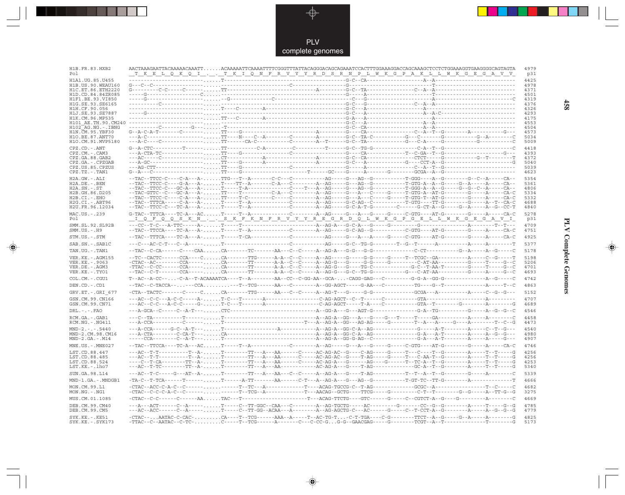

 $\overrightarrow{\mathbf{\P}}$ 

 $\mathbb{R}$ 

| H1B.FR.83.HXB2<br>Po 1                  | AACTAAAGAATTACAAAAACAAATTACAAAAATTCAAAATTTCGGGTTTATTACAGGGACAGCAGAAATCCACTTTGGAAAGGACCAGCAAAGCTCCTCTGGAAAGGTGAAGGGGCAGTAGTA<br><u>T K E L Q K Q I . T K I Q N F R V Y R D S R N P L M K G P A K L L M K G E G A V V </u> |  |  | 4979<br>p31  |
|-----------------------------------------|--------------------------------------------------------------------------------------------------------------------------------------------------------------------------------------------------------------------------|--|--|--------------|
| H1A1.UG.85.U455                         |                                                                                                                                                                                                                          |  |  | 4425         |
| H1B. US. 90. WEAU160                    |                                                                                                                                                                                                                          |  |  | 4978         |
| H1C.ET.86.ETH2220                       | $G \rightarrow \cdots \rightarrow C-C \rightarrow \cdots \rightarrow C-C \rightarrow \cdots \rightarrow \cdots \rightarrow \cdots$                                                                                       |  |  | 4371         |
| H1D.CD.84.84ZR085<br>H1F1.BE.93.VT850   |                                                                                                                                                                                                                          |  |  | 4501         |
| H1G.SE.93.SE6165                        |                                                                                                                                                                                                                          |  |  | 4319<br>4376 |
| H1H.CF.90.056                           |                                                                                                                                                                                                                          |  |  | 4326         |
| H1J.SE.93.SE7887                        |                                                                                                                                                                                                                          |  |  | 4293         |
| H1K.CM.96.MP535                         |                                                                                                                                                                                                                          |  |  | 4175         |
| H101 AE.TH.90.CM240                     |                                                                                                                                                                                                                          |  |  | 4553         |
| H102 AG.NG.-.IBNG<br>H1N. CM. 95. YBF30 | $\texttt{G--A-C-A-T--}{--C--}{--}{--}{--}{--}{--}{--}{--}{--}{--}{--}{--}{--}$                                                                                                                                           |  |  | 4504<br>4573 |
| H10.BE.87.ANT70                         |                                                                                                                                                                                                                          |  |  | 5034         |
| H1O.CM.91.MVP5180                       |                                                                                                                                                                                                                          |  |  | 5009         |
| $CPZ$ . $CD$ . - .ANT                   |                                                                                                                                                                                                                          |  |  | 4418         |
| $CPZ.CM. - . CAM3$                      |                                                                                                                                                                                                                          |  |  | 4393         |
| CPZ.GA.88.GAB2                          |                                                                                                                                                                                                                          |  |  | 4372         |
| CPZ.GA.-.CPZGAB                         |                                                                                                                                                                                                                          |  |  | 5040         |
| CPZ.US.85.CPZUS<br>$CPZ.TZ.-.TAN1$      |                                                                                                                                                                                                                          |  |  | 5039<br>4623 |
|                                         |                                                                                                                                                                                                                          |  |  |              |
| H2A.GW.-.ALI<br>$H2A.DE. - . BEN$       |                                                                                                                                                                                                                          |  |  | 5354<br>5361 |
| $H2A.SN.-.ST$                           |                                                                                                                                                                                                                          |  |  | 4806         |
| H2B.GH.86.D205                          |                                                                                                                                                                                                                          |  |  | 5334         |
| $H2B.CI.-.EHO$                          | $-+TAC-+TCC-C-+--C-A--A- \ldots. \;T T---T-C-+----C-----C-----A-AG---G--A--C---A--C---G---T-GTG-T--AT-G-----G---A--C---A--CA-C$                                                                                          |  |  | 5332         |
| $H2G.CI.-.ABT96$                        |                                                                                                                                                                                                                          |  |  | 4688         |
| H2U.FR.96.12034                         |                                                                                                                                                                                                                          |  |  | 4840         |
| MAC.US.-.239                            |                                                                                                                                                                                                                          |  |  | 5278         |
| Pol                                     | <u>__I_Q__F_Q_Q_S__K__N__,__S__K__F__K__N__F__R__V__Y__R__B__G__R__D_Q__L__M__K_G__P__G__B__L__L__M__K_G__B__G__A</u>                                                                                                    |  |  | p31          |
| SMM.SL.92.SL92B<br>$SMM.US. - . H9$     |                                                                                                                                                                                                                          |  |  | 4709<br>4751 |
| STM.US.-.STM                            |                                                                                                                                                                                                                          |  |  | 4925         |
| SAB.SN. - . SAB1C                       |                                                                                                                                                                                                                          |  |  | 5377         |
| TAN.UG. - .TAN1                         |                                                                                                                                                                                                                          |  |  | 5178         |
| VER. KE. - . AGM155<br>VER.KE. - . 9063 |                                                                                                                                                                                                                          |  |  | 5198<br>5206 |
| VER.DE. - . AGM3                        |                                                                                                                                                                                                                          |  |  | 4701         |
| VER.KE.-.TYO1                           |                                                                                                                                                                                                                          |  |  | 4693         |
| COL.CM.-.CGU1                           |                                                                                                                                                                                                                          |  |  | 4742         |
| DEN.CD. - .CD1                          |                                                                                                                                                                                                                          |  |  | 4863         |
| $GRV.ET.-.GRI 677$                      |                                                                                                                                                                                                                          |  |  | 5152         |
| GSN.CM.99.CN166                         |                                                                                                                                                                                                                          |  |  | 4707         |
| GSN.CM.99.CN71                          |                                                                                                                                                                                                                          |  |  | 4689         |
|                                         |                                                                                                                                                                                                                          |  |  | 4546         |
| $DRL - - -$ . $FAO$                     |                                                                                                                                                                                                                          |  |  |              |
| RCM.GA. - . GAB1<br>$RCM.NG. - .NG411$  |                                                                                                                                                                                                                          |  |  | 4458<br>4473 |
|                                         |                                                                                                                                                                                                                          |  |  |              |
| $MND-2. - - - 5440$<br>MND-2.CM.98.CM16 |                                                                                                                                                                                                                          |  |  | 4540<br>4980 |
| $MND-2.GA.-.M14$                        |                                                                                                                                                                                                                          |  |  | 4907         |
| MNE.US. - . MNE027                      |                                                                                                                                                                                                                          |  |  | 4746         |
| LST.CD.88.447                           |                                                                                                                                                                                                                          |  |  | 4256         |
| LST.CD.88.485                           |                                                                                                                                                                                                                          |  |  | 4256         |
| LST.CD.88.524                           |                                                                                                                                                                                                                          |  |  | 4253         |
| LST.KE.-.lho7                           |                                                                                                                                                                                                                          |  |  | 5340         |
| SUN.GA.98.L14                           |                                                                                                                                                                                                                          |  |  | 5339         |
| MND-1.GA.-.MNDGB1                       |                                                                                                                                                                                                                          |  |  | 4666         |
| MON.CM.99.L1                            |                                                                                                                                                                                                                          |  |  | 4682         |
| MON.NG.-.NG1                            |                                                                                                                                                                                                                          |  |  | 3275         |
| MUS.CM.01.1085                          |                                                                                                                                                                                                                          |  |  | 4669         |
| DEB.CM.99.CM40<br>DEB.CM.99.CM5         | ---A---ACT------C--A----- T-----C--TT-GGC--CAA---C--------A--AG-TGCTG-----AC---------G------CC--G--G-------A-----T-----G--G                                                                                              |  |  | 4785<br>4779 |
| $SYK.KE. - .KE51$                       | -CTAC--AATAC-C-CAC-CA----T--TCG-----AAA--A-----T--AC-TG-T-C-T-TGA----C-G-------TTCT--A-G----G--A------A-------G                                                                                                          |  |  | 4825         |
| $SYK.KE. - .SYK173$                     |                                                                                                                                                                                                                          |  |  | 5173         |

 $\blacklozenge$ 

**PLV Complete Genomes** 

 $\Rightarrow$ 

 $\equiv$ 

458

 $\blacksquare$ 

<u> Tre</u>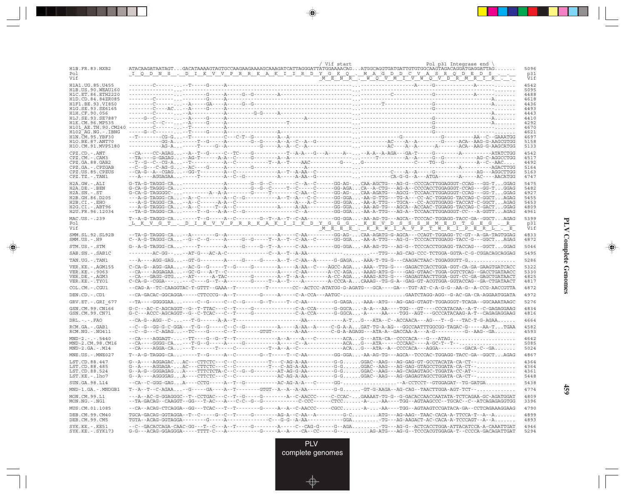| / Vif start<br>Pol p31 Integrase end \<br>ATACAAGATAATAGTGACATAAAAGTAGTGCCAAGAAGAAAAGCAAAGATCATTAGGGATTATGGAAAACAGATGGCAGGTGATGATTGTGGCAAGTAGACAGGATGAGGATTAG<br>H1B.FR.83.HXB2<br>I Q D N S . D I K V V P R R K A K I I R D Y G K Q . M A G D D C V A S R Q D E D \$<br>Pol<br><u>'MENÎR , WOVMIVWOVDÎR MRI RIJ</u><br>Vif<br>H1A1.UG.85.U455<br>H1B.US.90.WEAU160<br>H1C.ET.86.ETH2220<br>H1D.CD.84.84ZR085<br>H1F1.BE.93.VI850<br>H1G.SE.93.SE6165<br>H1H.CF.90.056<br>H1J.SE.93.SE7887<br>H1K.CM.96.MP535<br>H101 AE.TH.90.CM240<br>H102 AG.NG.-.IBNG<br>H1N.CM.95.YBF30<br>H10.BE.87.ANT70<br>H1O.CM.91.MVP5180<br>CPZ.CD. - . ANT<br>$CPZ.CM. - . CAM3$<br>CPZ.GA.88.GAB2<br>CPZ.GA.-.CPZGAB<br>CPZ.US.85.CPZUS<br>$CPZ.TZ.-.TAN1$<br>G-TA-G-TAGGG-CA--------------A-------G--G--C-------C--A--C------GG-AG-CAA-AGCTG---AG-G--CCCCACTTGGAGGGT-CCAG---GG-TGGAG<br>H2A.GW.-.ALI<br>G-CA-G-TAGGG-CA--------------A-------G--G--C-----T--C------GG-AGACA--A-CTG---AG-A--CCCCACCTGGAGGGT-CCAG---GG-TGGAG<br>$H2A.DE. - .BEN$<br>$H2A.SN.-.ST$<br>H2B.GH.86.D205<br>H2B.CI.-.EHO<br>$H2G.CI.-.ABT96$<br>--TA-G-TAGGG-CA-----T--G---A-A--C--G---------------C--A-------GG-GGA-AA-A-TTG---AG-A--TCCAACTTGGAGGGT-CC---A-GGTTAGAG<br>H2U.FR.96.12034<br>T--A-G-TAGGG-CA-----T--G-----A--C--------G--T--A--T--C-AA--------GG-GGA-AA-AG-TG---AGCA--TCCCAC-TGGAGG-TACC-GA--GGCTAGAG<br>MAC.US.-.239<br><u> L K V G T . D I K V V P R R K A K I I K D Y G G G . K E V D S S S H M E D T G E G . R .</u><br>M E E E E . K K K T A V P E R L . E<br>Pol<br>E<br>Vif<br>SMM.SL.92.SL92B<br>C--A-G-TAGGG-CA--G--C--G-----A----G--G-----T--A--T--C-AA--C------GG-GGA-AA-A-TTG---AG-G--TCCCACTTGGAGG-TACC-G---GGCTAGAG<br>$SMM.US.-.H9$ |
|---------------------------------------------------------------------------------------------------------------------------------------------------------------------------------------------------------------------------------------------------------------------------------------------------------------------------------------------------------------------------------------------------------------------------------------------------------------------------------------------------------------------------------------------------------------------------------------------------------------------------------------------------------------------------------------------------------------------------------------------------------------------------------------------------------------------------------------------------------------------------------------------------------------------------------------------------------------------------------------------------------------------------------------------------------------------------------------------------------------------------------------------------------------------------------------------------------------------------------------------------------------------------------------------------------------------------------------------------------------------------------------------------------------------------------------------------------------------------------------------------------------------------------------------------------------------------------------------------------------------------------------------------------------------------------------------------------------------------|
|                                                                                                                                                                                                                                                                                                                                                                                                                                                                                                                                                                                                                                                                                                                                                                                                                                                                                                                                                                                                                                                                                                                                                                                                                                                                                                                                                                                                                                                                                                                                                                                                                                                                                                                           |
|                                                                                                                                                                                                                                                                                                                                                                                                                                                                                                                                                                                                                                                                                                                                                                                                                                                                                                                                                                                                                                                                                                                                                                                                                                                                                                                                                                                                                                                                                                                                                                                                                                                                                                                           |
|                                                                                                                                                                                                                                                                                                                                                                                                                                                                                                                                                                                                                                                                                                                                                                                                                                                                                                                                                                                                                                                                                                                                                                                                                                                                                                                                                                                                                                                                                                                                                                                                                                                                                                                           |
|                                                                                                                                                                                                                                                                                                                                                                                                                                                                                                                                                                                                                                                                                                                                                                                                                                                                                                                                                                                                                                                                                                                                                                                                                                                                                                                                                                                                                                                                                                                                                                                                                                                                                                                           |
|                                                                                                                                                                                                                                                                                                                                                                                                                                                                                                                                                                                                                                                                                                                                                                                                                                                                                                                                                                                                                                                                                                                                                                                                                                                                                                                                                                                                                                                                                                                                                                                                                                                                                                                           |
|                                                                                                                                                                                                                                                                                                                                                                                                                                                                                                                                                                                                                                                                                                                                                                                                                                                                                                                                                                                                                                                                                                                                                                                                                                                                                                                                                                                                                                                                                                                                                                                                                                                                                                                           |
|                                                                                                                                                                                                                                                                                                                                                                                                                                                                                                                                                                                                                                                                                                                                                                                                                                                                                                                                                                                                                                                                                                                                                                                                                                                                                                                                                                                                                                                                                                                                                                                                                                                                                                                           |
|                                                                                                                                                                                                                                                                                                                                                                                                                                                                                                                                                                                                                                                                                                                                                                                                                                                                                                                                                                                                                                                                                                                                                                                                                                                                                                                                                                                                                                                                                                                                                                                                                                                                                                                           |
|                                                                                                                                                                                                                                                                                                                                                                                                                                                                                                                                                                                                                                                                                                                                                                                                                                                                                                                                                                                                                                                                                                                                                                                                                                                                                                                                                                                                                                                                                                                                                                                                                                                                                                                           |
|                                                                                                                                                                                                                                                                                                                                                                                                                                                                                                                                                                                                                                                                                                                                                                                                                                                                                                                                                                                                                                                                                                                                                                                                                                                                                                                                                                                                                                                                                                                                                                                                                                                                                                                           |
|                                                                                                                                                                                                                                                                                                                                                                                                                                                                                                                                                                                                                                                                                                                                                                                                                                                                                                                                                                                                                                                                                                                                                                                                                                                                                                                                                                                                                                                                                                                                                                                                                                                                                                                           |
|                                                                                                                                                                                                                                                                                                                                                                                                                                                                                                                                                                                                                                                                                                                                                                                                                                                                                                                                                                                                                                                                                                                                                                                                                                                                                                                                                                                                                                                                                                                                                                                                                                                                                                                           |
|                                                                                                                                                                                                                                                                                                                                                                                                                                                                                                                                                                                                                                                                                                                                                                                                                                                                                                                                                                                                                                                                                                                                                                                                                                                                                                                                                                                                                                                                                                                                                                                                                                                                                                                           |
|                                                                                                                                                                                                                                                                                                                                                                                                                                                                                                                                                                                                                                                                                                                                                                                                                                                                                                                                                                                                                                                                                                                                                                                                                                                                                                                                                                                                                                                                                                                                                                                                                                                                                                                           |
|                                                                                                                                                                                                                                                                                                                                                                                                                                                                                                                                                                                                                                                                                                                                                                                                                                                                                                                                                                                                                                                                                                                                                                                                                                                                                                                                                                                                                                                                                                                                                                                                                                                                                                                           |
|                                                                                                                                                                                                                                                                                                                                                                                                                                                                                                                                                                                                                                                                                                                                                                                                                                                                                                                                                                                                                                                                                                                                                                                                                                                                                                                                                                                                                                                                                                                                                                                                                                                                                                                           |
|                                                                                                                                                                                                                                                                                                                                                                                                                                                                                                                                                                                                                                                                                                                                                                                                                                                                                                                                                                                                                                                                                                                                                                                                                                                                                                                                                                                                                                                                                                                                                                                                                                                                                                                           |
|                                                                                                                                                                                                                                                                                                                                                                                                                                                                                                                                                                                                                                                                                                                                                                                                                                                                                                                                                                                                                                                                                                                                                                                                                                                                                                                                                                                                                                                                                                                                                                                                                                                                                                                           |
|                                                                                                                                                                                                                                                                                                                                                                                                                                                                                                                                                                                                                                                                                                                                                                                                                                                                                                                                                                                                                                                                                                                                                                                                                                                                                                                                                                                                                                                                                                                                                                                                                                                                                                                           |
|                                                                                                                                                                                                                                                                                                                                                                                                                                                                                                                                                                                                                                                                                                                                                                                                                                                                                                                                                                                                                                                                                                                                                                                                                                                                                                                                                                                                                                                                                                                                                                                                                                                                                                                           |
|                                                                                                                                                                                                                                                                                                                                                                                                                                                                                                                                                                                                                                                                                                                                                                                                                                                                                                                                                                                                                                                                                                                                                                                                                                                                                                                                                                                                                                                                                                                                                                                                                                                                                                                           |
|                                                                                                                                                                                                                                                                                                                                                                                                                                                                                                                                                                                                                                                                                                                                                                                                                                                                                                                                                                                                                                                                                                                                                                                                                                                                                                                                                                                                                                                                                                                                                                                                                                                                                                                           |
|                                                                                                                                                                                                                                                                                                                                                                                                                                                                                                                                                                                                                                                                                                                                                                                                                                                                                                                                                                                                                                                                                                                                                                                                                                                                                                                                                                                                                                                                                                                                                                                                                                                                                                                           |
|                                                                                                                                                                                                                                                                                                                                                                                                                                                                                                                                                                                                                                                                                                                                                                                                                                                                                                                                                                                                                                                                                                                                                                                                                                                                                                                                                                                                                                                                                                                                                                                                                                                                                                                           |
|                                                                                                                                                                                                                                                                                                                                                                                                                                                                                                                                                                                                                                                                                                                                                                                                                                                                                                                                                                                                                                                                                                                                                                                                                                                                                                                                                                                                                                                                                                                                                                                                                                                                                                                           |
| G--A-G-TAGGG-CA-----T--------A-----G----G--T--A-----C-AA--------GG-GGA-AA-AG-TG---AG-G--TCCCACCTGGAGG-TACCAG---GGCTGGAG<br>STM.US.-.STM                                                                                                                                                                                                                                                                                                                                                                                                                                                                                                                                                                                                                                                                                                                                                                                                                                                                                                                                                                                                                                                                                                                                                                                                                                                                                                                                                                                                                                                                                                                                                                                   |
| SAB.SN. - . SAB1C                                                                                                                                                                                                                                                                                                                                                                                                                                                                                                                                                                                                                                                                                                                                                                                                                                                                                                                                                                                                                                                                                                                                                                                                                                                                                                                                                                                                                                                                                                                                                                                                                                                                                                         |
| TAN.UG. - . TAN1                                                                                                                                                                                                                                                                                                                                                                                                                                                                                                                                                                                                                                                                                                                                                                                                                                                                                                                                                                                                                                                                                                                                                                                                                                                                                                                                                                                                                                                                                                                                                                                                                                                                                                          |
| C-CA-G--AGG-GAA--AC-G--G-----T--G------G-------A------A-AA--C----AGCC-AGA-AAA--TTG-G----GAGACTCACCTGGA-GGT-CA-GA-GAAGTGATCACC<br>VER. KE. - . AGM155                                                                                                                                                                                                                                                                                                                                                                                                                                                                                                                                                                                                                                                                                                                                                                                                                                                                                                                                                                                                                                                                                                                                                                                                                                                                                                                                                                                                                                                                                                                                                                      |
| VER.KE. - . 9063<br>--CA---GAGG-GTG--AT------A-TAC--------G-------A--T--A-A---------A-CC-AGA-AAAG-ATG-G----GAGAGTAACTTGGA-GGT-CC-GA-GAGCTGATAACT<br>VER.DE. - . AGM3                                                                                                                                                                                                                                                                                                                                                                                                                                                                                                                                                                                                                                                                                                                                                                                                                                                                                                                                                                                                                                                                                                                                                                                                                                                                                                                                                                                                                                                                                                                                                      |
| $\texttt{C-CA-G--CGGA--}\dots\dots\dots\texttt{C----G--}\dots\texttt{A--}\dots\texttt{C----}-\dots\texttt{G----}\dots\texttt{C--}\dots\texttt{A--}\dots\texttt{A--}\dots\texttt{A--CCCA-A}\dots\texttt{CAAG--TG-GA--GGAG-T}\dots\texttt{CAG-GT-ACGTGGA-GGTACCAG--GA-CTGATAACT}$<br>VER.KE. - . TYO1                                                                                                                                                                                                                                                                                                                                                                                                                                                                                                                                                                                                                                                                                                                                                                                                                                                                                                                                                                                                                                                                                                                                                                                                                                                                                                                                                                                                                       |
| --CAG-A--TC-CAAGGTAC-T-GTTT--GAAA--T---------T-------CC--ACTCC-ATATGG-G-AGATG---GCA----GA---TGT-AT-C-A-G-G--AA-G--A-CCG-AACCGTTA<br>COL.CM.-.CGU1                                                                                                                                                                                                                                                                                                                                                                                                                                                                                                                                                                                                                                                                                                                                                                                                                                                                                                                                                                                                                                                                                                                                                                                                                                                                                                                                                                                                                                                                                                                                                                         |
| DEN.CD.-.CD1<br>--CA-GACAC-GGCAGGA-----CTTCCCG--A--T-------G-----A-----C-A-CCA---AATGC-GAATCTAGG-AGG--G-AC-GA-CA-AGGAATGGATA                                                                                                                                                                                                                                                                                                                                                                                                                                                                                                                                                                                                                                                                                                                                                                                                                                                                                                                                                                                                                                                                                                                                                                                                                                                                                                                                                                                                                                                                                                                                                                                              |
|                                                                                                                                                                                                                                                                                                                                                                                                                                                                                                                                                                                                                                                                                                                                                                                                                                                                                                                                                                                                                                                                                                                                                                                                                                                                                                                                                                                                                                                                                                                                                                                                                                                                                                                           |
| GRV.ET. - .GRI 677                                                                                                                                                                                                                                                                                                                                                                                                                                                                                                                                                                                                                                                                                                                                                                                                                                                                                                                                                                                                                                                                                                                                                                                                                                                                                                                                                                                                                                                                                                                                                                                                                                                                                                        |
| GSN.CM.99.CN166<br>$\verb G-C--ACC-AGCAGGGT--G-C-TCAC---C--T---G--T---G--C--A-CCA---G-GGCA\ldots -A---AA---TGG--AGT---GCCCATACAAG-A-T--CAGAGAGGAGAAG-ACT--C--C--C-A-CCA--C-A-CCA-1.$<br>GSN.CM.99.CN71                                                                                                                                                                                                                                                                                                                                                                                                                                                                                                                                                                                                                                                                                                                                                                                                                                                                                                                                                                                                                                                                                                                                                                                                                                                                                                                                                                                                                                                                                                                    |
| $DRL$ . - . - . $FAO$                                                                                                                                                                                                                                                                                                                                                                                                                                                                                                                                                                                                                                                                                                                                                                                                                                                                                                                                                                                                                                                                                                                                                                                                                                                                                                                                                                                                                                                                                                                                                                                                                                                                                                     |
| RCM.GA.-.GAB1<br>$RCM.NG. - . NG411$                                                                                                                                                                                                                                                                                                                                                                                                                                                                                                                                                                                                                                                                                                                                                                                                                                                                                                                                                                                                                                                                                                                                                                                                                                                                                                                                                                                                                                                                                                                                                                                                                                                                                      |
|                                                                                                                                                                                                                                                                                                                                                                                                                                                                                                                                                                                                                                                                                                                                                                                                                                                                                                                                                                                                                                                                                                                                                                                                                                                                                                                                                                                                                                                                                                                                                                                                                                                                                                                           |
| $MND-2. - - - 5440$<br>MND-2.CM.98.CM16                                                                                                                                                                                                                                                                                                                                                                                                                                                                                                                                                                                                                                                                                                                                                                                                                                                                                                                                                                                                                                                                                                                                                                                                                                                                                                                                                                                                                                                                                                                                                                                                                                                                                   |
| $MND-2.GA.-.M14$                                                                                                                                                                                                                                                                                                                                                                                                                                                                                                                                                                                                                                                                                                                                                                                                                                                                                                                                                                                                                                                                                                                                                                                                                                                                                                                                                                                                                                                                                                                                                                                                                                                                                                          |
| T--A-G-TAGGG-CA-----T--G-----A--C-------G--T-----T--C-AA--------GG-GGA-AA-AG-TG---AGCA--TCCCAC-TGGAGG-TACC-GA--GGCTAGAG<br>MNE.US. - . MNE027                                                                                                                                                                                                                                                                                                                                                                                                                                                                                                                                                                                                                                                                                                                                                                                                                                                                                                                                                                                                                                                                                                                                                                                                                                                                                                                                                                                                                                                                                                                                                                             |
| LST.CD.88.447                                                                                                                                                                                                                                                                                                                                                                                                                                                                                                                                                                                                                                                                                                                                                                                                                                                                                                                                                                                                                                                                                                                                                                                                                                                                                                                                                                                                                                                                                                                                                                                                                                                                                                             |
| $\verb G--A---AGGAGA- \ldots AC---CTTCTC---C--C---------C--AG-A-AA------G-G. \ldots. \verb GGAC--AAG---AG--GGG-GTAGCCTGGATA-CA-CT--- \ldots \ldots \ldots \ldots \ldots$<br>LST.CD.88.485                                                                                                                                                                                                                                                                                                                                                                                                                                                                                                                                                                                                                                                                                                                                                                                                                                                                                                                                                                                                                                                                                                                                                                                                                                                                                                                                                                                                                                                                                                                                 |
| LST.CD.88.524<br>$G-A---AGGGGAG \ldots A---CTTCTC---C--C-------C-AG-AG-A-A--------G-G. \ldots. GGAC--AAG---AG---AG-GAGAGTAGCTGGATA-CA-CT--\ldots. \ldots. \ldots.$<br>$LST.KE. - Lh07$                                                                                                                                                                                                                                                                                                                                                                                                                                                                                                                                                                                                                                                                                                                                                                                                                                                                                                                                                                                                                                                                                                                                                                                                                                                                                                                                                                                                                                                                                                                                    |
| SUN.GA.98.L14                                                                                                                                                                                                                                                                                                                                                                                                                                                                                                                                                                                                                                                                                                                                                                                                                                                                                                                                                                                                                                                                                                                                                                                                                                                                                                                                                                                                                                                                                                                                                                                                                                                                                                             |
| $\verb T-AA-T-C-AGAA  \ldots -G----GA---A-T-------GTGT--A-A-A-A-A-A-A-A-------G-G. \ldots -GT-G-AAGA--AG-CAG--TAACTTGGA-AGT-TCT--. \ldots \ldots \ldots \ldots \ldots$<br>MND-1.GA.-.MNDGB1                                                                                                                                                                                                                                                                                                                                                                                                                                                                                                                                                                                                                                                                                                                                                                                                                                                                                                                                                                                                                                                                                                                                                                                                                                                                                                                                                                                                                                                                                                                               |
|                                                                                                                                                                                                                                                                                                                                                                                                                                                                                                                                                                                                                                                                                                                                                                                                                                                                                                                                                                                                                                                                                                                                                                                                                                                                                                                                                                                                                                                                                                                                                                                                                                                                                                                           |
| ---A--AC-G-GGAGGGC--T--CCTGAC---C--T--G-----G-------A--C-AACCC----C-CCAC-GAAAAT-TG-G--G-GACACCAATCATATA-TCTCAGAA-GC-AGATGGAT<br>MON.CM.99.L1<br>--TA-GACAG--CAAGGT--GG---T-AC---A---C-C--G--G---------C-CCC------CTCC-A--AA----TGG--AGTAAGCCC--TGCAC--C--ATCAGAGAGGTGG<br>MON.NG.-.NG1                                                                                                                                                                                                                                                                                                                                                                                                                                                                                                                                                                                                                                                                                                                                                                                                                                                                                                                                                                                                                                                                                                                                                                                                                                                                                                                                                                                                                                    |
| --CA--ACAG-CTCAGGA--GG---TCAC---T--T-------G----A--A--C-AACCC-----CGCC-A--AA----TGG--AGTAAGTCCGATACA-GA--CCTCAGAAAGGAAG<br>MUS.CM.01.1085                                                                                                                                                                                                                                                                                                                                                                                                                                                                                                                                                                                                                                                                                                                                                                                                                                                                                                                                                                                                                                                                                                                                                                                                                                                                                                                                                                                                                                                                                                                                                                                 |
|                                                                                                                                                                                                                                                                                                                                                                                                                                                                                                                                                                                                                                                                                                                                                                                                                                                                                                                                                                                                                                                                                                                                                                                                                                                                                                                                                                                                                                                                                                                                                                                                                                                                                                                           |
| TGCA-GACAG-GGTAGGA--T--C-----G--C--T-----G-------AG-A--C-AA--A--------G-CATG---AG-AAG--TAAC-CACA-A-TTCCA-T--A--A<br>DEB. CM. 99. CM40<br>$TGTA--ACAG-GGTAGGA------G---A------C---G--G-G--A-AA-------GGA. \dots. \dots. \cdot TG---AG-AAGACT-AC-CACA-A-TCCCAGT--A-. \dots. \dots.$<br>DEB.CM.99.CM5                                                                                                                                                                                                                                                                                                                                                                                                                                                                                                                                                                                                                                                                                                                                                                                                                                                                                                                                                                                                                                                                                                                                                                                                                                                                                                                                                                                                                        |

<u>a shekara ta 1989</u>

 $\overrightarrow{\phantom{a}}$ 

 $\overline{\hphantom{m}}$ 

**PLV Complete Genomes PLV Complete Genomes**

 $\begin{picture}(20,5) \put(0,0){\line(1,0){10}} \put(15,0){\line(1,0){10}} \put(15,0){\line(1,0){10}} \put(15,0){\line(1,0){10}} \put(15,0){\line(1,0){10}} \put(15,0){\line(1,0){10}} \put(15,0){\line(1,0){10}} \put(15,0){\line(1,0){10}} \put(15,0){\line(1,0){10}} \put(15,0){\line(1,0){10}} \put(15,0){\line(1,0){10}} \put(15,0){\line(1,$ 

 $\overline{\phantom{0}}$ 

<u> a mare d</u>

 $\overline{\phantom{a}}$ 

**459**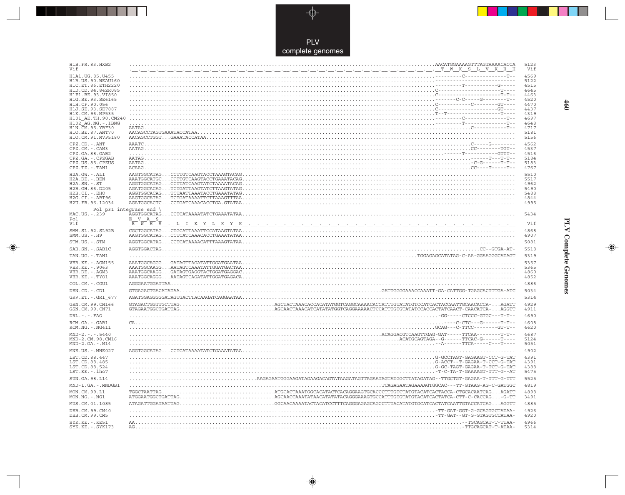

--

 $\overrightarrow{\mathbf{\P}}$ 

 $\frac{1}{\sqrt{2}}$ 

| H1B.FR.83.HXB2<br>Vif                      |                                                                                                                                                                                                                                                                                                                                                                                                                                    | 5123<br>Vif  |
|--------------------------------------------|------------------------------------------------------------------------------------------------------------------------------------------------------------------------------------------------------------------------------------------------------------------------------------------------------------------------------------------------------------------------------------------------------------------------------------|--------------|
| H1A1. UG. 85. U455<br>H1B. US. 90. WEAU160 |                                                                                                                                                                                                                                                                                                                                                                                                                                    | 4569<br>5122 |
| H1C.ET.86.ETH2220                          |                                                                                                                                                                                                                                                                                                                                                                                                                                    | 4515         |
| H1D.CD.84.84ZR085<br>H1F1.BE.93.VI850      |                                                                                                                                                                                                                                                                                                                                                                                                                                    | 4645<br>4463 |
| H1G.SE.93.SE6165                           |                                                                                                                                                                                                                                                                                                                                                                                                                                    | 4520         |
| H1H.CF.90.056<br>H1J.SE.93.SE7887          |                                                                                                                                                                                                                                                                                                                                                                                                                                    | 4470<br>4437 |
| H1K.CM.96.MP535                            |                                                                                                                                                                                                                                                                                                                                                                                                                                    | 4319         |
| H101 AE.TH.90.CM240<br>H102 AG.NG.-.IBNG   |                                                                                                                                                                                                                                                                                                                                                                                                                                    | 4697<br>4648 |
| H1N. CM. 95. YBF30                         |                                                                                                                                                                                                                                                                                                                                                                                                                                    | 4717         |
| H1O.BE.87.ANT70<br>H1O.CM.91.MVP5180       | $\verb"AACAGCCTGGT\ldots \verb"GAAATACCATAA" \ldots \verb"" \ldots \verb"" \ldots \verb"" \ldots \verb"" \ldots \verb"" \ldots \verb"" \ldots \verb"" \ldots \verb"" \ldots \verb"" \ldots \verb"" \ldots \verb"" \ldots \verb"" \ldots \verb"" \ldots \verb"" \ldots \verb"" \ldots \verb"" \ldots \verb"" \ldots \verb"" \ldots \verb"" \ldots \verb"" \ldots \verb"" \ldots \verb"" \ldots \verb"" \ldots \verb"" \ldots \verb$ | 5181<br>5156 |
| $CPZ$ . $CD$ . - .ANT<br>CPZ.CM. - . CAM3  |                                                                                                                                                                                                                                                                                                                                                                                                                                    | 4562<br>4537 |
| CPZ.GA.88.GAB2                             |                                                                                                                                                                                                                                                                                                                                                                                                                                    | 4516         |
| CPZ.GA. - . CPZGAB<br>CPZ.US.85.CPZUS      |                                                                                                                                                                                                                                                                                                                                                                                                                                    | 5184<br>5183 |
| CPZ.TZ.-.TAN1                              |                                                                                                                                                                                                                                                                                                                                                                                                                                    | 4767         |
| H2A.GW.-.ALI                               |                                                                                                                                                                                                                                                                                                                                                                                                                                    | 5510         |
| $H2A.DE. - .BEN$<br>$H2A.SN.-.ST$          |                                                                                                                                                                                                                                                                                                                                                                                                                                    | 5517<br>4962 |
| H2B.GH.86.D205                             |                                                                                                                                                                                                                                                                                                                                                                                                                                    | 5490         |
| $H2B.CI. - . EHO$<br>H2G.CI. - . ABT96     |                                                                                                                                                                                                                                                                                                                                                                                                                                    | 5488<br>4844 |
| H2U.FR.96.12034                            |                                                                                                                                                                                                                                                                                                                                                                                                                                    | 4995         |
|                                            | Pol $p31$ integrase end \                                                                                                                                                                                                                                                                                                                                                                                                          |              |
| MAC.US. - . 239<br>Pol                     | V A \$<br>Е                                                                                                                                                                                                                                                                                                                                                                                                                        | 5434         |
| Vif                                        | $R$ $W$ $H$ $S$<br><u> Die Pierre Verden Reichster von der Stadten der Stadten der Stadten der Stadten der Stadten der Stadten der St</u>                                                                                                                                                                                                                                                                                          | Vif          |
| SMM. SL. 92. SL92B<br>SMM.US.-.H9          |                                                                                                                                                                                                                                                                                                                                                                                                                                    | 4868<br>4907 |
| STM.US.-.STM                               |                                                                                                                                                                                                                                                                                                                                                                                                                                    | 5081         |
| SAB.SN.-.SAB1C                             |                                                                                                                                                                                                                                                                                                                                                                                                                                    | 5518         |
| TAN.UG. - . TAN1                           |                                                                                                                                                                                                                                                                                                                                                                                                                                    | 5319         |
| VER. KE. - . AGM155                        |                                                                                                                                                                                                                                                                                                                                                                                                                                    | 5357         |
| VER.KE. - . 9063<br>VER.DE. - . AGM3       |                                                                                                                                                                                                                                                                                                                                                                                                                                    | 5365<br>4860 |
| VER.KE. - . TYO1                           |                                                                                                                                                                                                                                                                                                                                                                                                                                    | 4852         |
| COL.CM. - . CGU1                           |                                                                                                                                                                                                                                                                                                                                                                                                                                    | 4886         |
| DEN.CD.-.CD1                               |                                                                                                                                                                                                                                                                                                                                                                                                                                    | 5034         |
| GRV.ET. - . GRI 677                        |                                                                                                                                                                                                                                                                                                                                                                                                                                    | 5314         |
| GSN.CM.99.CN166<br>GSN.CM.99.CN71          |                                                                                                                                                                                                                                                                                                                                                                                                                                    | 4929<br>4911 |
| $DRL - - - FAO$                            |                                                                                                                                                                                                                                                                                                                                                                                                                                    | 4690         |
| RCM.GA. - . GAB1<br>RCM.NG. - . NG411      |                                                                                                                                                                                                                                                                                                                                                                                                                                    | 4608<br>4620 |
| $MND-2. - - - 5440$                        |                                                                                                                                                                                                                                                                                                                                                                                                                                    | 4687         |
| MND-2.CM.98.CM16<br>$MND-2.GA.-.M14$       |                                                                                                                                                                                                                                                                                                                                                                                                                                    | 5124<br>5051 |
| MNE.US.-.MNE027                            |                                                                                                                                                                                                                                                                                                                                                                                                                                    | 4902         |
| LST.CD.88.447<br>LST.CD.88.485             |                                                                                                                                                                                                                                                                                                                                                                                                                                    | 4391<br>4391 |
| LST.CD.88.524<br>LST.KE.-.lho7             |                                                                                                                                                                                                                                                                                                                                                                                                                                    | 4388<br>5475 |
| SUN.GA.98.L14                              |                                                                                                                                                                                                                                                                                                                                                                                                                                    | 5525         |
| MND-1.GA.-.MNDGB1                          |                                                                                                                                                                                                                                                                                                                                                                                                                                    | 4819         |
| MON.CM.99.L1<br>MON.NG.-.NG1               |                                                                                                                                                                                                                                                                                                                                                                                                                                    | 4898<br>3491 |
| MUS.CM.01.1085                             |                                                                                                                                                                                                                                                                                                                                                                                                                                    | 4885         |
| DEB. CM. 99. CM40                          |                                                                                                                                                                                                                                                                                                                                                                                                                                    | 4926<br>4920 |
| DEB.CM.99.CM5<br>$SYK.KE. - .KE51$         |                                                                                                                                                                                                                                                                                                                                                                                                                                    | 4966         |
| $SYK.KE. - .SYK173$                        |                                                                                                                                                                                                                                                                                                                                                                                                                                    | 5314         |

 $\blacklozenge$ 

## **PLV Complete Genomes**

 $\Rightarrow$ 

 $\frac{1}{\sqrt{2}}$ 

 $460$ 

 $\blacksquare$ 

T E EI

 $\overline{\phantom{a}}$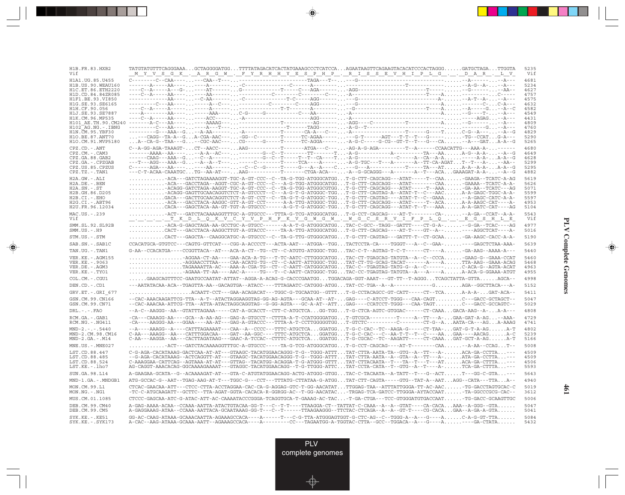| H1B.FR.83.HXB2<br>Vif                                  | TATGTATGTTTCAGGGAAAGCTAGGGGATGGTTTTATAGACATCACTATGAAAGCCCTCATCCAAGAATAAGTTCAGAAGTACACATCCCACTAGGGGATGCTAGATTGGTA<br><u> MYVSGK. ARGW. FYRHHYESPHP. RISSEVHIPLG DAR. LV</u>                                                                                                                                                                                                                                                                                                                                                                         | 5235<br>Vif  |
|--------------------------------------------------------|----------------------------------------------------------------------------------------------------------------------------------------------------------------------------------------------------------------------------------------------------------------------------------------------------------------------------------------------------------------------------------------------------------------------------------------------------------------------------------------------------------------------------------------------------|--------------|
| H1A1.UG.85.U455                                        |                                                                                                                                                                                                                                                                                                                                                                                                                                                                                                                                                    | 4681         |
| H <sub>1</sub> B. US. 90. WEAU160<br>H1C.ET.86.ETH2220 |                                                                                                                                                                                                                                                                                                                                                                                                                                                                                                                                                    | 5234<br>4627 |
| H1D.CD.84.84ZR085                                      |                                                                                                                                                                                                                                                                                                                                                                                                                                                                                                                                                    | 4757         |
| H1F1.BE.93.VI850                                       |                                                                                                                                                                                                                                                                                                                                                                                                                                                                                                                                                    | 4575         |
| H1G.SE.93.SE6165                                       |                                                                                                                                                                                                                                                                                                                                                                                                                                                                                                                                                    | 4632         |
| H1H.CF.90.056<br>H1J.SE.93.SE7887                      |                                                                                                                                                                                                                                                                                                                                                                                                                                                                                                                                                    | 4582<br>4549 |
| H1K.CM.96.MP535                                        |                                                                                                                                                                                                                                                                                                                                                                                                                                                                                                                                                    | 4431         |
|                                                        |                                                                                                                                                                                                                                                                                                                                                                                                                                                                                                                                                    | 4809<br>4760 |
| H102 AG.NG.-.IBNG<br>H1N.CM.95.YBF30                   |                                                                                                                                                                                                                                                                                                                                                                                                                                                                                                                                                    | 4829         |
| H1O.BE.87.ANT70                                        | $\ldots ---CAGG--TA-A--G\ldots A-CGA-AAC---\ldots-GG--C-----T-----TC-AGA----\ldots ---G-T----AGT---T-T--T--G---\ldots \ldots --G-CAT\ldots G-A---C+CT--\ldots$                                                                                                                                                                                                                                                                                                                                                                                     | 5290         |
| H1O.CM.91.MVP5180                                      | A--CA-G--TAA---G--CGC-AAC---CG------G-----T-----TC-AGGA------A-G-C-----G-CG--GT-T--T---G---CA-A---GATA-A--G                                                                                                                                                                                                                                                                                                                                                                                                                                        | 5265         |
| $CPZ$ . $CD$ . $-ANT$<br>$CPZ.CM. - . CAM3$            | $\texttt{C--A-GG-AGA-TAAAGT-}\dots\texttt{CT--AACC---}\dots\texttt{AAG--}\dots\texttt{-T--}\dots\texttt{-TToA--C--}\dots\texttt{-AG-A-G-AGA--}\dots\texttt{-T--A--}\dots\texttt{-CCAACATTG---AA-A-}\dots\texttt{-1--}\dots\texttt{-1--}\dots\texttt{-1--}\dots\texttt{-1--}\dots\texttt{-1--}\dots\texttt{-1--}\dots\texttt{-1--}\dots\texttt{-1--}\dots\texttt{-1--}\dots\texttt{-1--}\dots\texttt{-1--}\dots\texttt{-1--}\dots\texttt{-1--}\dots\texttt{-1--}\dots\texttt{-1--}\dots\text$                                                       | 4680<br>4649 |
| CPZ.GA.88.GAB2                                         | -----CAAG---AAA--G--C--A-------------G--C--T----T--CA----T-A-G------------C-----A--CA--A-A-----A-A-A-A--G                                                                                                                                                                                                                                                                                                                                                                                                                                          | 4628         |
| CPZ.GA.-.CPZGAB                                        |                                                                                                                                                                                                                                                                                                                                                                                                                                                                                                                                                    | 5299         |
| CPZ.US.85.CPZUS<br>CPZ.TZ.-.TAN1                       | ---C-T-ACAA-CAAATGCTG--AA-AT---AAG---------T------CTGA-ACA----A--G-GCAGGG---A--------A--T---ACAGAAAGAT-A-A---A--G                                                                                                                                                                                                                                                                                                                                                                                                                                  | 5295<br>4882 |
| H2A.GW.-.ALI                                           | ACA---GATCTAGAAAAGGT-TGC-A-GT-CCC--C--TA-G-TGG-ATGGGCATGGT-G-CTT-CAGCAGG---ATAT-----T--CAA-GAAGA--TCATC-A-AG                                                                                                                                                                                                                                                                                                                                                                                                                                       | 5619         |
| H2A.DE. - .BEN                                         | ACA---GACCTAGA--AGGT-CGC-A-GT-CCC--C---A-G-TGG-ATGGGCATGGT-G-CTT-CAGCAGG---ATAT--------CAA-GAAAA--TCATC-A-A-                                                                                                                                                                                                                                                                                                                                                                                                                                       | 5626         |
| $H2A.SN.-.ST$                                          | ACAGG-GATCTAGA-AAGGT-TGC-A-GT-CCC--C--TA-G-TGG-ATGGGCGTGGT-G-CTT-CAGCAGG---ATAT-----T--AAA-GA-AA--TCATC---AG                                                                                                                                                                                                                                                                                                                                                                                                                                       | 5071         |
| H2B.GH.86.D205<br>$H2B.CI.-.EHO$                       | ACAGG-GAGTTGCAACAGGTCTCT-A-GTCCCT--C---A-G-T-G-ATGGGC-TGGT-G-CTT-CAGTAG-A--ATAT-T--C---AACA-A-GAGC-TGGC-A-A-<br>GACA---GACTTGCAACAGGTCTCT-A-GT-CCT--C--TA-G-T-G-ATGGGC-TGGT-G-CTT-CAGTAG----ATAT-T--C--GAAA-A-GAGC-CATC-A-A-                                                                                                                                                                                                                                                                                                                       | 5599<br>5597 |
| H2G.CI. - . ABT96                                      | ACA---GACCTACA-AAGGC-GTT-A-GT-CCT------A-A-TTG-ATGGGC-TGGT-G-CTT-CAGCAGG---ATAT-----T--ACAA-A-AAGC-CAT----A-                                                                                                                                                                                                                                                                                                                                                                                                                                       | 4953         |
| H2U.FR.96.12034                                        | CACA---GAGCTACA-AA-GT-TGT-A-GTGCCC------A-G-T-G-ATGGGC-TGGT-G-CTT-CAGCAGG---ATAT-T--T---AAAA-A-GATC-CAT----AG                                                                                                                                                                                                                                                                                                                                                                                                                                      | 5104         |
| MAC.US.-.239<br>Vif                                    | ACT---GATCTACAAAAGGTTTGC-A-GTGCCC---TTTA-G-TCG-ATGGGCATGGT-G-CCT-CAGCAG----AT-T--------CA---A-GA--CCAT--A-A-<br><u></u> T K D L Q K V C Y V P H F K V G W G W . W G C S R V I F P L Q E G S H L E                                                                                                                                                                                                                                                                                                                                                  | 5543<br>Vif  |
| SMM.SL.92.SL92B<br>$SMM. US. - . H9$                   | ACA-G-GAGCTAGA-AA-GCCTGC-A-GTGCC-------A-A-T-G-ATGGGCATGGTAC-C-GCC--TAGG--GATTT----CT-G-A--G-GA--TCAC----AG<br>$\ldots \ldots \ldots \ldots \text{CACT--GACCTACA-AAGGCTTGT-A-GTACCC----TA-A-TTG-ATGGGCATGG\ldots T-G-CTT-CAGCAG----AT-T----GT--A---\ldots \ldots \ldots \ldots \ldots \text{AGGCTCAT---A--}\ldots \text{G-CCTA}$                                                                                                                                                                                                                   | 4977<br>5016 |
| STM.US.-.STM                                           | CACT---GAGCTA--CAAGGCATGC-A-GTGCCC--C--TA-G-TTG-GTGGGCATGGT-G-CTT-CAGTAG---GATTT-T--CT-GCAA-GA-AAGC-CACC-A-A-                                                                                                                                                                                                                                                                                                                                                                                                                                      | 5190         |
| SAB.SN.-.SAB1C                                         | CCACATGCA-GTGTCC---CAGTG-GTTCAT---CGG-A-ACCCCT---ACTA-AAT---ATGGA--TGGTACTCCTA-CA----TGGGT---A--C--GAA-----GAGCTCTAA-AAA-                                                                                                                                                                                                                                                                                                                                                                                                                          | 5639         |
| TAN.UG.-.TAN1                                          | $G-AA$ -CCACATGA----CCGGTTACA--AT---ACA-A-CT--TG--CT--C-ATGTG-ATGGGC-TGGTAC-C-T--AGTAG-T-C-T-----CT----A-GA-AAG--AAAA-A---                                                                                                                                                                                                                                                                                                                                                                                                                         | 5440         |
| VER. KE. - . AGM155                                    | -AGGAA-CT-AA----GAA-ACA-A-TG---T-TC-AATC-CTTGGGCATGGTAC-CT-TGAGCAG-TATGTA--A--C--CCCA-GAAG-G--GAAA-CCAT                                                                                                                                                                                                                                                                                                                                                                                                                                            | 5460         |
| VER.KE. - . 9063<br>VER.DE. - . AGM3                   | GGAACCTTAA----CAA-ACATG-TG--CT--C-AATT-ATTGGGC-TGGTAT-CT-TG-GCAG-TACAT-------A----ATTA-AAG--GAAA-ACAG<br>$\ldots \ldots \ldots \ldots \ldots \ldots \ldots \ldots \ldots \ldots$                                                                                                                                                                                                                                                                                                                                                                   | 5468<br>4963 |
| VER.KE. - . TYO1                                       |                                                                                                                                                                                                                                                                                                                                                                                                                                                                                                                                                    | 4955         |
| COL.CM. - . CGU1                                       | $\ldots \ldots$ GAAGCAGTTTCC-GAATGCCAATAT-ATTAT--AGGA-A-ACAG-G-CACCCGAATGGTGGACAGA-GGT-AAAT---GT-TT--T-AGGGTCAGCTATTA-GTTAAGCA--                                                                                                                                                                                                                                                                                                                                                                                                                   | 4998         |
| DEN.CD. - .CD1                                         | ---AATATACAA-ACA--TGAGTTA-AA--GACAGTGA--ATACC----TTTAGAATC-CATGGG-ATGGTAT-CC-TGA--A--A-----------GAGA--GGCTTACA---A-                                                                                                                                                                                                                                                                                                                                                                                                                               | 5152         |
| GRV.ET. - . GRI 677                                    | ACAATT-CCT---GAA-ACAGACAT---TGGC-G-TGCAATGG--GTTTT-G-CCTACAGCC-GT-CATT-----CT--TCAA-A-A-GAT-ACA--                                                                                                                                                                                                                                                                                                                                                                                                                                                  | 5411         |
| GSN.CM.99.CN166                                        | --CAC-AAACAAGATTCG-TTA--A-T--ATACTAGGAAGGTAG-GG-AG-AGTA---GCAA-AT--AT-GAG----C-ATCCT-TGGG---CAA-CAGTC---GACC-GCTAGCT--                                                                                                                                                                                                                                                                                                                                                                                                                             | 5047         |
| GSN.CM.99.CN71                                         | --CAC-AAACAA-ATTCG-TTA--ATTA-ATACTAGGCAGGTAG--G-GG-AGTA---GC-A-AT--ATTGAG----CCATCCT-TGGG---CAA-TAGTC---GACC-GCCAGTC--                                                                                                                                                                                                                                                                                                                                                                                                                             | 5029         |
| $DRL$ . - . - . $FAO$                                  | --A-C--AAGGG--AA--GTATTTAGAAA-----CAT-A-GCACCT--CTT-C-ATGCTCAGG-TGGT-G-CTCA-AGTC-GTGGAC------CT-CAAAGACA-AAG--A-A-A---                                                                                                                                                                                                                                                                                                                                                                                                                             | 4808         |
| RCM.GA. - . GAB1<br>RCM.NG. - . NG411                  | $\verb -CA---CAAAGG-AA---GCA-A-AA-AG---GGG-A-GTGCCT--CTTTA-A-T-CCATGGGGATGG. \ . \ . \ T\verb -GTCGCA--------T---A--TT---A- \ . \ . \ . \ . \textsf{GA-GAT-A-AG} \ . \ . \ . \ \verb --AA-AG---CTG---CTG-GGATGGGATGG. \ . \ . \ . \ . \ \textsf{A}\verb --CTT---A- \ . \ . \ . \ . \ . \ . \ . \ \textsf{G}\verb --AA---CTGCT , \ . \ . \ . \ . \ . \ \textsf{A}\verb --CTGCT , \ . \ . \ . \ . \ . \ . \ . \ . \ . \$<br>-CA----AAGGG-AA---GGAA----AA-AT---GAG-A-GTACCC---TTTA-A-T-CCTTGGGGGTGGT-GTCTC----------C-------CT-G--AAATA-CA---AGA-AAAG | 4729<br>4741 |
| $MND-2. - - - 5440$                                    | --A----AAAGG--A----CATTTAGAAAAT---CAA--A--CCCC---TTTC-ATGCTCAGGATGGT-G-C-CAC--TC--AAGA-G-----CT-TAA-GAT-G-T-A-AGA-T                                                                                                                                                                                                                                                                                                                                                                                                                                | 4802         |
| MND-2.CM.98.CM16<br>$MND-2.GA.-.M14$                   | C-AA---AAAGG--AA---CATTTGGACAA----GAT--AA-GGC----TTTC-ATGCTCAGGATGGT-G-C-CAC---C--AA-T-T--T--C----AAGAA----AACAGA-C<br>$\texttt{C-AA---AAGGA--AA---CACTTAGATAAG--G-GAAC-A-TCCAC--CTTTC-ATGCTCA\ldots GGATGG\ldots T-G-CGCAC--TC--AAGATT----CT-CAAA\ldots GAT-GCT-A-AG\ldots\ldots A-T$                                                                                                                                                                                                                                                             | 5239<br>5166 |
| $MNE. US. - . MNE027$                                  | ACT---GATCTACAAAAGGTTTGC-A-GTGCCC-----TA-G-TCG-ATGGGCATGGT-G-CCT-CAGCAG----AT-T--------CAA--A-AA--CCAGT                                                                                                                                                                                                                                                                                                                                                                                                                                            | 5008         |
| LST.CD.88.447                                          | $C-G-AGA-CACATAAAG-GACTCAA-AT-AT---GTAAGC-TACATGGAACAGGG-T-G--TGG-ATTT. TAT-CTTA-AATA-TA--GTG-A--TT--A-. ACA-GA-CCTTA. ----$                                                                                                                                                                                                                                                                                                                                                                                                                       | 4509         |
| LST.CD.88.485                                          | --G-AGA-CACATAAAG--ACTCAGGTT-AT---GTAAGC-TACATGGAACAGGG-T-G--TGGG-ATTTTAT-CTTA-AATA--A--GTA--A--TT---A-ATA-GA-CCTTA---                                                                                                                                                                                                                                                                                                                                                                                                                             | 4509         |
| LST.CD.88.524                                          | C-AAAGGAA-CATTCAG--AGTAAA-AT-AT---GTTAG--TACATGG-ACAGGA-T-G-ATGGG-GTTTTAT-CTTACAATA--T---TA--T---T---ATACA-GA-CTTTA---                                                                                                                                                                                                                                                                                                                                                                                                                             | 4506         |
| LST.KE.-.lho7                                          | AG-CAGGT-AAACACAG-GGCAAAAGAAAAT---GTAGGC-TACATGGAACAGG--T-G-TTGGG-ATTCTAT-CCTA-CATA--T--GTG--A--T----A-TCA-GA-CTTTA---                                                                                                                                                                                                                                                                                                                                                                                                                             | 5593         |
| SUN.GA.98.L14                                          | A-GAAGAA-GCATA--G--ACAAAAGAT-AT---GTA-C-ATGTATGGAACAGG-ACTG-ATGGG-GTGGTAC-C-TACAATA--A-TATT--T--G--ACTT---GG-C-GTA---                                                                                                                                                                                                                                                                                                                                                                                                                              | 5643         |
| MND-1.GA.-.MNDGB1                                      | ATG-GCCAC-G--AAT--TGAG-AAG-AT-T---TGGC-G---CCT---TTTATG-CTTATAA-G-ATGGTAT-CTT-CAGTA-----GTG--TAT-A--AATAGG--CATA---TTAA--                                                                                                                                                                                                                                                                                                                                                                                                                          | 4940         |
| MON.CM.99.L1<br>$MON.NG. - . NG1$                      | CTCAC-GAACAA-ATT---CTCC-CTTA-ACCTAGGAA-CAC-CA-G-AGGAG-GTC-T-GG-AACATATTTGGAG-TAA--ATTTATTGGGA-TT-AC-AAC-TG-GACCTAGTGCAC-C<br>-TC-C-ATGCAAGATT--GCTTC--TTA-AGAT-GGTA-CACACA-R-GGRGG-AC--T-GG-AACATAC-TRGAG-TCA-GATCC-TTGGGA-AYTACCAAT-TA-GGCCCGCG-CAC--                                                                                                                                                                                                                                                                                             | 5019<br>3612 |
| MUS.CM.01.1085                                         | CTCCC-GAGCAA-ATC-G-ATAC-ATT-AC-CAAAATACCCGGGA-TCAGGTGCA-T-GAAAG-AC-TAC-T-GA-CTGA---TCC-GTGGGATGTGACCAAT-TG-GACC-GCAAGTTGC                                                                                                                                                                                                                                                                                                                                                                                                                          | 5006         |
| DEB.CM.99.CM40<br>DEB.CM.99.CM5                        | A-GAG-AAAA-ACAA--CCAAA-AATTA-ATACTGTACAA-GG-T---C--T-T----TTAAGGA-CT--TATTAT-C-CAAA--A--A--GTAT----CA-CACAAAA--A-GGG--GTA<br>A-GAGGAAAG-ATAA--CCAAA-AATTACA-GCAATAAAG-GG-T---C--T-----TTAAGAAGGG--TTCTAC-CTCAGA--A--A--GT-T----CG-CACAGAA--A-GA-A-GTA                                                                                                                                                                                                                                                                                              | 5047<br>5041 |
| $SYK.KE. - .KE51$<br>$SYK.KE. - .SYK173$               |                                                                                                                                                                                                                                                                                                                                                                                                                                                                                                                                                    | 5084<br>5432 |

<u>a shekara ta 1989 na shekara t</u>

 $\overrightarrow{\phantom{a}}$ 

 $\overline{\hphantom{m}}$ 

 $\begin{picture}(20,5) \put(0,0){\line(1,0){10}} \put(15,0){\line(1,0){10}} \put(15,0){\line(1,0){10}} \put(15,0){\line(1,0){10}} \put(15,0){\line(1,0){10}} \put(15,0){\line(1,0){10}} \put(15,0){\line(1,0){10}} \put(15,0){\line(1,0){10}} \put(15,0){\line(1,0){10}} \put(15,0){\line(1,0){10}} \put(15,0){\line(1,0){10}} \put(15,0){\line(1,$ 

 $\overline{\phantom{0}}$ 

 $\Box$ 

▌▊▊▊

 $\mathbf{I}$ 

**461**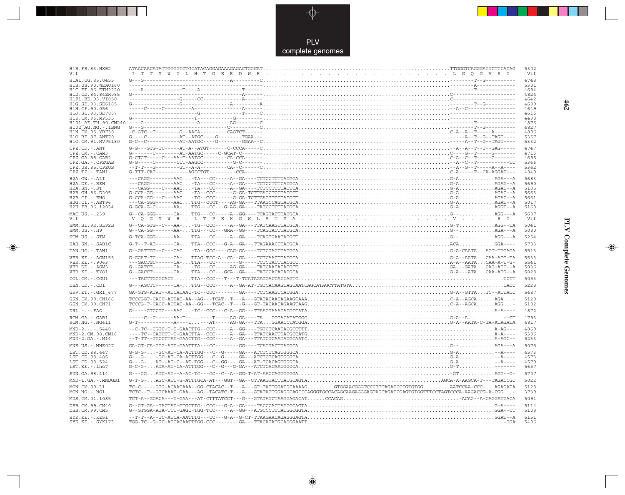

 $\begin{picture}(120,140)(-6.5,14.0) \put(0,0){\vector(0,1){10}} \put(15,0){\vector(0,1){10}} \put(15,0){\vector(0,1){10}} \put(15,0){\vector(0,1){10}} \put(15,0){\vector(0,1){10}} \put(15,0){\vector(0,1){10}} \put(15,0){\vector(0,1){10}} \put(15,0){\vector(0,1){10}} \put(15,0){\vector(0,1){10}} \put(15,0){\vector(0,1){10}} \put(15,0){\vector(0,1){10}}$ 

 $\mathbb{R}$ 

| H1B.FR.83.HXB2<br>Vif                  |                                                                                                                                                                                                                                                                                                                                                                                                                                                                                              | 5302<br>Vif  |
|----------------------------------------|----------------------------------------------------------------------------------------------------------------------------------------------------------------------------------------------------------------------------------------------------------------------------------------------------------------------------------------------------------------------------------------------------------------------------------------------------------------------------------------------|--------------|
| H1A1.UG.85.U455                        |                                                                                                                                                                                                                                                                                                                                                                                                                                                                                              | 4748         |
|                                        |                                                                                                                                                                                                                                                                                                                                                                                                                                                                                              | 5301         |
|                                        |                                                                                                                                                                                                                                                                                                                                                                                                                                                                                              | 4694<br>4824 |
|                                        |                                                                                                                                                                                                                                                                                                                                                                                                                                                                                              | 4642         |
|                                        |                                                                                                                                                                                                                                                                                                                                                                                                                                                                                              | 4699         |
|                                        |                                                                                                                                                                                                                                                                                                                                                                                                                                                                                              | 4649         |
|                                        |                                                                                                                                                                                                                                                                                                                                                                                                                                                                                              | 4616<br>4498 |
|                                        |                                                                                                                                                                                                                                                                                                                                                                                                                                                                                              | 4876         |
|                                        |                                                                                                                                                                                                                                                                                                                                                                                                                                                                                              | 4827         |
|                                        |                                                                                                                                                                                                                                                                                                                                                                                                                                                                                              | 4896         |
|                                        |                                                                                                                                                                                                                                                                                                                                                                                                                                                                                              | 5357         |
|                                        |                                                                                                                                                                                                                                                                                                                                                                                                                                                                                              | 5332         |
| CPZ.CD. - . ANT<br>$CPZ.CM. - . CAM3$  |                                                                                                                                                                                                                                                                                                                                                                                                                                                                                              | 4747<br>4716 |
| CPZ.GA.88.GAB2                         |                                                                                                                                                                                                                                                                                                                                                                                                                                                                                              | 4695         |
| CPZ.GA.-.CPZGAB                        |                                                                                                                                                                                                                                                                                                                                                                                                                                                                                              | 5366         |
| CPZ.US.85.CPZUS                        |                                                                                                                                                                                                                                                                                                                                                                                                                                                                                              | 5362         |
| $CPZ.TZ. - . TAN1$                     |                                                                                                                                                                                                                                                                                                                                                                                                                                                                                              | 4949         |
| $H2A.GW.-.ALI$                         |                                                                                                                                                                                                                                                                                                                                                                                                                                                                                              | 5683         |
| $H2A.DE. - .BEN$<br>$H2A.SN.-.ST$      |                                                                                                                                                                                                                                                                                                                                                                                                                                                                                              | 5690<br>5135 |
| H2B.GH.86.D205                         |                                                                                                                                                                                                                                                                                                                                                                                                                                                                                              | 5663         |
| H2B.CI.-.EHO                           |                                                                                                                                                                                                                                                                                                                                                                                                                                                                                              | 5661         |
| H2G.CI.-.ABT96                         |                                                                                                                                                                                                                                                                                                                                                                                                                                                                                              | 5017         |
| H2U.FR.96.12034                        |                                                                                                                                                                                                                                                                                                                                                                                                                                                                                              | 5168         |
| MAC.US.-.239<br>Vif                    | $G\texttt{-}\texttt{-}\texttt{C}\texttt{A}\texttt{-}\texttt{G}\texttt{G}\texttt{-}\texttt{-}\texttt{-}\texttt{C}\texttt{A}\texttt{-}\texttt{}\texttt{.} \texttt{T}\texttt{T}\texttt{G}\texttt{-}\texttt{-}\texttt{-}\texttt{-}\texttt{C}\texttt{C}\texttt{-}\texttt{-}\texttt{-}\texttt{-}\texttt{A}\texttt{-}\texttt{T}\texttt{C}\texttt{A}\texttt{G}\texttt{I}\texttt{A}\texttt{I}\texttt{T}\texttt{A}\texttt{T}\texttt{G}\texttt{C}\texttt{A}\texttt{}\texttt{}\texttt{}\texttt{}\texttt$ | 5607<br>Vif  |
| SMM.SL.92.SL92B<br>$SMM.US.-.H9$       |                                                                                                                                                                                                                                                                                                                                                                                                                                                                                              | 5041<br>5080 |
| STM.US.-.STM                           |                                                                                                                                                                                                                                                                                                                                                                                                                                                                                              | 5254         |
| SAB.SN.-.SAB1C                         |                                                                                                                                                                                                                                                                                                                                                                                                                                                                                              | 5703         |
| TAN.UG. - . TAN1                       |                                                                                                                                                                                                                                                                                                                                                                                                                                                                                              | 5513         |
| VER. KE. - . AGM155                    | $\begin{array}{ll} \texttt{G-GGAT-TC-----CA-TTAG-TCCA--CA--CA--CTCTCAACTTATGCA}. \\\hline \texttt{G-GGAT-TC---CA-TTA--CC-----G---TCTCTACTTACGCC}. \\\hline \texttt{G-GATGC-----CA-TTA--CC-----G---TCTCTACTTACGCC}. \\\hline \texttt{G-GATGC-----CA--TG---CTCTTACGCC}. \\\hline \texttt{G-GATGT---C-A---CTT-AG-GA---TATCACATATGCT}. \\\hline \texttt{G-GATC-T---C} \\\hline \texttt{G-GATC-T---CT-A} \\\hline \texttt{$                                                                       | 5533         |
| VER.KE. - . 9063                       |                                                                                                                                                                                                                                                                                                                                                                                                                                                                                              | 5541         |
| VER.DE. - . AGM3<br>VER.KE. - . TYO1   |                                                                                                                                                                                                                                                                                                                                                                                                                                                                                              | 5036<br>5028 |
| COL.CM. - . CGU1                       |                                                                                                                                                                                                                                                                                                                                                                                                                                                                                              | 5053         |
|                                        |                                                                                                                                                                                                                                                                                                                                                                                                                                                                                              |              |
| DEN.CD. - .CD1                         |                                                                                                                                                                                                                                                                                                                                                                                                                                                                                              | 5228         |
| GRV.ET. - .GRI 677                     |                                                                                                                                                                                                                                                                                                                                                                                                                                                                                              | 5487         |
| GSN.CM.99.CN166<br>GSN.CM.99.CN71      |                                                                                                                                                                                                                                                                                                                                                                                                                                                                                              | 5120<br>5102 |
| $DRL$ . - . - . $FAO$                  |                                                                                                                                                                                                                                                                                                                                                                                                                                                                                              | 4872         |
| RCM.GA.-.GAB1<br>$RCM.NG. - .NG411$    |                                                                                                                                                                                                                                                                                                                                                                                                                                                                                              | 4793<br>4817 |
| $MND-2. - - - 5440$                    |                                                                                                                                                                                                                                                                                                                                                                                                                                                                                              | 4869         |
| MND-2.CM.98.CM16<br>$MND-2.GA.-.M14$   |                                                                                                                                                                                                                                                                                                                                                                                                                                                                                              | 5306<br>5233 |
| MNE.US.-.MNE027                        |                                                                                                                                                                                                                                                                                                                                                                                                                                                                                              | 5075         |
| LST.CD.88.447                          |                                                                                                                                                                                                                                                                                                                                                                                                                                                                                              | 4573         |
| LST.CD.88.485                          |                                                                                                                                                                                                                                                                                                                                                                                                                                                                                              | 4573         |
| LST.CD.88.524<br>LST.KE.-.lho7         | $\begin{array}{l} G-G-G- \ldots -GC-AT-CA-ACTTGG---C-G----GA---ATCTCTCAGTGGGCA \\\hline G---G- \ldots -GC-AT-CA-ACTTGG---C---G----GA---ATCTCTCAGTGGGCA \\\hline G---G- \ldots -GC-AT-CA-ACTTGG---C---GG---GA---AT-TCACAGTGGGCA \\\hline G---G- \ldots -G-T-C-AT-CA-TTGG---C-G-G---G-G-A-T-TCACAGTGGGCA \\\hline G-G-C-G- \ldots -G-AT-CA-ATTCA-ATTTGG--C-G-GA---ATCTCACAATGGGCA \\\hline G$                                                                                                  | 4570<br>5657 |
| SUN.GA.98.L14                          |                                                                                                                                                                                                                                                                                                                                                                                                                                                                                              | 5707         |
| MND-1.GA.-.MNDGB1                      |                                                                                                                                                                                                                                                                                                                                                                                                                                                                                              | 5022         |
| MON.CM.99.L1<br>MON.NG. - . NG1        | $\verb+TC-C----GTG-ACAACAAA--GG-CTACAC--T---A---GT-TTTGGATGCAAAAG. \dots, \dots, \verb+GTGGAACGGGTCCCTTTAGATCCCGTGTGG. \dots, \dots, \verb+AATCCAA-CCC- \dots, \verb+AGACATA-TCCT---A-AGACCT-- \dots, \verb+AGACCT-- \dots, \verb+CTC--T-CTCAAAT-GAA-- \dots, \verb+CTC--T-CTCTACTCCA-AAGACCG-. \dots, \verb+CTC--T-CTCTACTCCA-AAGACCG-. \dots, \verb+CTC--T-CTCTACTCCA-- \dots, \verb+CTC--T-CTCATCTC-A- \dots, \verb+CTC--T-CTCAT$                                                         | 5128<br>3739 |
| MUS.CM.01.1085                         |                                                                                                                                                                                                                                                                                                                                                                                                                                                                                              | 5091         |
| DEB.CM.99.CM40<br>DEB.CM.99.CM5        |                                                                                                                                                                                                                                                                                                                                                                                                                                                                                              | 5114<br>5108 |
| SYK.KE. - . KE51<br>SYK.KE. - . SYK173 |                                                                                                                                                                                                                                                                                                                                                                                                                                                                                              | 5151<br>5496 |

 $\blacklozenge$ 

**PLV Complete Genomes 462 PLV Complete Genomes** 

 $\Rightarrow$ 

 $\sqrt{2}$ 

 $462$ 

 $\blacksquare$ 

<u> 1999 - 1999 - 1999 - 1999 - 1999 - 1999 - 1999 - 1999 - 1999 - 1999 - 1999 - 1999 - 1999 - 1999 - 1999 - 199</u>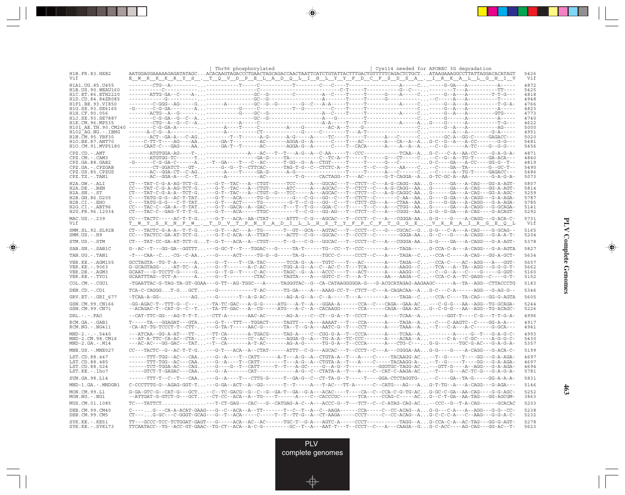|                                          |                                                                                                                                                                                                                                                                                                                                                                                                                             | Thr96 phosphorylated |  | Cys114 needed for APOBEC 3G degradation |              |
|------------------------------------------|-----------------------------------------------------------------------------------------------------------------------------------------------------------------------------------------------------------------------------------------------------------------------------------------------------------------------------------------------------------------------------------------------------------------------------|----------------------|--|-----------------------------------------|--------------|
| H1B.FR.83.HXB2<br>Vif                    | AATGGAGGAAAAAGAGATATAGCACACAAGTAGACCCTGAACTAGCAGACCAACTAATTCATCTGTATTACTTTGACTGTTTTTCAGACTCTGCTATAAGAAAGGCCTTATTAGGACACATAGT<br><u>E WRKKRYS. TO VDPELADOLIHLYYFDCFSDSA. IRKALLGHIV</u>                                                                                                                                                                                                                                     |                      |  |                                         | 5426<br>Vif  |
| H1A1.UG.85.U455                          |                                                                                                                                                                                                                                                                                                                                                                                                                             |                      |  |                                         | 4872         |
| H1B.US.90.WEAU160<br>H1C.ET.86.ETH2220   |                                                                                                                                                                                                                                                                                                                                                                                                                             |                      |  |                                         | 5425<br>4818 |
| H1D.CD.84.84ZR085                        |                                                                                                                                                                                                                                                                                                                                                                                                                             |                      |  |                                         | 4948         |
| H1F1.BE.93.VI850<br>H1G.SE.93.SE6165     |                                                                                                                                                                                                                                                                                                                                                                                                                             |                      |  |                                         | 4766<br>4823 |
| H1H.CF.90.056                            |                                                                                                                                                                                                                                                                                                                                                                                                                             |                      |  |                                         | 4773         |
| H1J.SE.93.SE7887                         |                                                                                                                                                                                                                                                                                                                                                                                                                             |                      |  |                                         | 4740         |
| H1K.CM.96.MP535                          |                                                                                                                                                                                                                                                                                                                                                                                                                             |                      |  |                                         | 4622<br>5000 |
| H101 AE.TH.90.CM240<br>H102 AG.NG.-.IBNG |                                                                                                                                                                                                                                                                                                                                                                                                                             |                      |  |                                         | 4951         |
| H1N.CM.95.YBF30                          | -------ACT--GA-A---C-AG--------T--T-------A-G------A-G-----A-----TC----T------A---C-----C-----GC-A--GG-C-----GAGACC---                                                                                                                                                                                                                                                                                                      |                      |  |                                         | 5020         |
| H10.BE.87.ANT70<br>H1O.CM.91.MVP5180     | -----C-TT-T----AG----AA-----GA-T---------AC-------AGGA-G--A------C----T---AC-------A---CA--A--AG-C--G--A--A-CC-------G-G---                                                                                                                                                                                                                                                                                                 |                      |  |                                         | 5481         |
|                                          |                                                                                                                                                                                                                                                                                                                                                                                                                             |                      |  |                                         | 5456<br>4871 |
| $CPZ$ . $CD$ . $-ANT$<br>CPZ.CM.-.CAM3   | -------ATGTGG-TC------T-----------------GA-G-----TA---------C--TC-A--T-----T-----G---CT-----C-C--G--A--TG-T-----GA-ACA---                                                                                                                                                                                                                                                                                                   |                      |  |                                         | 4840         |
| CPZ.GA.88.GAB2                           |                                                                                                                                                                                                                                                                                                                                                                                                                             |                      |  |                                         | 4819         |
| CPZ.GA.-.CPZGAB                          | --------CT-GGATCT---GT------G--G--T--CTTCAC------TAG-T-G--C--CTCTC-A--T-----T--C---G---AA----C-C----GA--TA--------G--GC-T--                                                                                                                                                                                                                                                                                                 |                      |  |                                         | 5490         |
| CPZ.US.85.CPZUS<br>$CPZ.TZ. - . TAN1$    | -------AC--GGA-A---C--T------A-----------AC---------T-G-----CACTAGG--T---AC-------G-T-CAGGA--AG-TC-GC-A--AA--------G-A-G-A-                                                                                                                                                                                                                                                                                                 |                      |  |                                         | 5486<br>5073 |
| H2A.GW.-.ALI                             | CT---TAT-C-G-A-AG-TCT-G---G-T--TAC---A--CTGT------TCC----A--GGCAC---T--CTCT--C---A-G-CAGG--AAG------GA---A-CAG---GG-A-AGT-                                                                                                                                                                                                                                                                                                  |                      |  |                                         | 5807         |
| H2A.DE. - . BEN                          |                                                                                                                                                                                                                                                                                                                                                                                                                             |                      |  |                                         | 5814         |
| $H2A.SN.-.ST$                            | CT---TAT-C-G-A-A--TCT-G---G-T--TAC---A--CTGT--G---TCC-----A---AGCAC---T--CTCT--C---A-G-CAGGC-AAG------GA---A-CAG---GG-A-AGC-                                                                                                                                                                                                                                                                                                |                      |  |                                         | 5259         |
| H2B.GH.86.D205<br>H2B.CI.-.EHO           | C----TATG-G-G--AC-T-TAT---G-T---ACA-----TG-G-------G---G---GG--C---T--CTCT--C-------C-AA--AAG----G-GA---A-CAGG---G-A-AGA-<br>C----TATG-G-G---C-T-TAT---G-T---ACT-----TG--------G-T--C-G---GC-C--T--CTCT-CG---A---CTAA--AAG----G-GA---A-CAGG---G-A-AGA-                                                                                                                                                                      |                      |  |                                         | 5787<br>5785 |
| $H2G.CI.-.ABT96$                         | $\texttt{CC---TAC-C--GA-A--T-TAT}\dots\texttt{---G-T--GACA--A--GAC-----T--T--T--G--GGA-C--T----T--C--A--CTGG--AA}\dots\texttt{G---GA--A-CAGG--G-GACA--A}_{\texttt{C--A}-\texttt{C-C\_G}}\dots\texttt{G---A}_{\texttt{C--A}-\texttt{C\_G}}\dots\texttt{G---A}_{\texttt{C--A}-\texttt{C\_G}}\dots\texttt{G---A}_{\texttt{C--A}-\texttt{C\_G}}\dots\texttt{G---A}_{\texttt{C--A}-\texttt{C\_G}}\dots\texttt{G---A}_{\texttt{C$ |                      |  |                                         | 5141         |
| H2U.FR.96.12034                          | CT---TAC-C--GAG-T-T-T-G---G-T---ACA-----TTGC--------T--C-G---GG-AG---T--CTCT--C---A---CGGG--AAG-G--G-GA---A-CAG----G-ACAGT-                                                                                                                                                                                                                                                                                                 |                      |  |                                         | 5292         |
| MAC.US. - . 239<br>Vif                   | T W Y S K N F W . T D V T P N Y A D I L L H S T Y F P C F T G G E . V R R A I R G E Q L                                                                                                                                                                                                                                                                                                                                     |                      |  |                                         | 5731<br>Vif  |
| SMM.SL.92.SL92B                          | CT---TACTC-G-A-A--T-T-G---G-T---AC---A--TG-------T--GT--GCA---AGTAC---T--CCCT--C---G---CGCAC--GG-G---C-A---A-CAG---G-GCAG--                                                                                                                                                                                                                                                                                                 |                      |  |                                         | 5165         |
| $SMM. US. - . H9$                        | CC---TACTCC-GA-AT-TCT-G---G-T-C-ACA--A--TTAT-----ACTT--C-G---GGCAC---T--CCCT--C--------GGGA-AAG--C---G---A-CAGG---G-A-A-T-                                                                                                                                                                                                                                                                                                  |                      |  |                                         | 5204         |
| STM.US.-.STM                             |                                                                                                                                                                                                                                                                                                                                                                                                                             |                      |  |                                         | 5378         |
| SAB.SN.-.SAB1C                           | $\texttt{G--AC--T--GG-GA--GGTTT}\dots \texttt{--G-GC-T--T--TGGAC---G---TA-T---TG--CC--T--CCC---A---TAGA---\dots \texttt{G-CCA-C-A---A-CAGG---G-A-AGTA}$                                                                                                                                                                                                                                                                     |                      |  |                                         | 5827         |
| TAN.UG.-.TAN1                            | -T---CAA--C-CG--C-AA---G-----ACT-----TG-G--G-----TA-G------TGCC-C-----CCCT--C---A----TAGA--C--CCA-C-----A-CAG---GG-A-GCT-                                                                                                                                                                                                                                                                                                   |                      |  |                                         | 5634         |
| VER.KE.-.AGM155                          |                                                                                                                                                                                                                                                                                                                                                                                                                             |                      |  |                                         | 5657         |
| VER.KE. - . 9063<br>VER.DE. - . AGM3     |                                                                                                                                                                                                                                                                                                                                                                                                                             |                      |  |                                         | 5662<br>5160 |
| VER.KE. - . TYO1                         | ${\tt GCAATTTAG--TCT-A---A\ldots---G--T------CTAC---T-TAGTA---A--GGTC-C--T---A-T----AA---AAGA--C\ldots--CCA-C-A--TC-GAGG--C---G--G-T--C-CA-C-A--TC-GA-CA-C-AC-C-A--TC-CA-C-A--TC-CA-C-A--TC-CA-C-A--TC-CA-C-A--TC-CA-C-A--TC-CA-C-A--TC-CA-C-A--TC-CA-C-A--TC-CA-C-A--TC-CA-C-A--TC-CA-C-A--TC-CA-C-A--TC-CA-C-A--TC-CA-C-A--TC-CA-C-A--TC-CA-C-A--TC-CA-C-A--TC-CA-C-A--TC-CA-C-A--TC-CA-C-A--TC-CA-C-A--TC-CA-C-A--$      |                      |  |                                         | 5152         |
| COL.CM. - . CGU1                         | -TGAATTAC-G-TAG-TA-GT-GGAA---G-TT--AG-TGGC---A-----TAGGGTAC--G--CA-CATAAGGGGGA-G---G-ACGCATAGAG-AAGAAGC------A--TA--AGG--CTTACCCTG                                                                                                                                                                                                                                                                                          |                      |  |                                         | 5183         |
| DEN.CD. - .CD1                           | TCA-C-CAGGGT-GGCT---G-----------T-AC------TG-GA----A---AAAG-CC-T--CTCT--C---A-CAGACAA--AG-C---C-A------AGG---G-AG-G--                                                                                                                                                                                                                                                                                                       |                      |  |                                         | 5346         |
| GRV.ET. - .GRI 677                       |                                                                                                                                                                                                                                                                                                                                                                                                                             |                      |  |                                         | 5605         |
| GSN.CM.99.CN166<br>GSN.CM.99.CN71        | -GG-AGAC-T--TTT-G--C-----TA-TC-GAC---A-G-G-----ATG---A-T--A---GGAA-A------CCA--C---CAGA--GAA-AC---C-G-G---AA--AGG--TG-GCAGA-<br>-ACAGAC-T--CAT-G--C--T--TA-TT-GAC---A--CG-----ATG---A-C--A--CACAAGG------CCA------CAGA--GAA-ACG--C-G-G---AA--AGG--TG-ACAGC-                                                                                                                                                                 |                      |  |                                         | 5244<br>5226 |
| $DRL$ . - . - . $FAO$                    | --CAT-TTC-GG---AG-T-T-T--CTT-A-------AAC-AC------AG-A----C--CT--G-A--T--CCCT------A----TCAA--A-------GGT-T----C-G---T-T-G-A-                                                                                                                                                                                                                                                                                                |                      |  |                                         | 4996         |
| RCM.GA. - . GAB1<br>$RCM.NG. - . NG411$  | $\verb T---TA---GGAGAT---GTA\ldots---G-T---TTT---TGGACT---TAGTT---A---AAAAT---T---CCA---A---TAGA--A\ldots---G-A. C--C-AGATC--C---GG-A-A---G-A.$<br>-CA-AT-TG-TCCCT-T--CTT----G-TA-T-----AAC-G-------TA--T--G-A---AATC-G--T---CCT------A----TAAA--A--T---C-A---A-C------G-GCA---                                                                                                                                             |                      |  |                                         | 4917<br>4941 |
| $MND-2. - - - 5440$                      | ---ATCAA--GG-A-AT---TT---TT-CA-------A-TGACG-----TAG-A----C--CGG-G-A--T--CCCA------A----TCAA--A---------A-----G--T---G-A-G-C-                                                                                                                                                                                                                                                                                               |                      |  |                                         | 4993         |
| MND-2.CM.98.CM16                         |                                                                                                                                                                                                                                                                                                                                                                                                                             |                      |  |                                         | 5430         |
| $MND-2.GA.-.M14$                         | ---AC-AC---GG-GAC---TAT--T--CA-------A-T-AC-------AG-A-G------TG-G-A--T--CCCA------A---CTG-C---G-G-------TGC-G-AC---G-A-G-A-                                                                                                                                                                                                                                                                                                |                      |  |                                         | 5357         |
| $MNE. US. - . MNE027$                    | CC---TACTC--G--AC-T-T-G---G-T---ACA--A--CTAT------ATTT--C-G---AGCAC---T--CCCT--C---A---CGGGA-AAG-G----G---A-CAGG---G-ACA-C-                                                                                                                                                                                                                                                                                                 |                      |  |                                         | 5199         |
| LST.CD.88.447                            | ------TTT-TGG--AC---CAA---G--A----T--CATT------A-T---A-G--A--CTGTA-A--T---A----C-----TACAAGG-AC--T--G-----T----GG---G-A-AGA-                                                                                                                                                                                                                                                                                                |                      |  |                                         | 4697<br>4697 |
| LST.CD.88.485<br>LST.CD.88.524           | ------TTT-TGG--AC---CAA---G--A----T--CATT-------T---A-G--A--CTGTA-A--T---A----C-----TACAAGG-A---T--G-----T----GG---G-A-AGA-<br>------TCT-TGGA-AC---CAG---G----G--T--CATT-----T--T--A-GC-----G--A-G--T---------GGGTGC-TAGG-AC---GTT-G----A--AGG---G-A-AGA-                                                                                                                                                                   |                      |  |                                         | 4694         |
| LST.KE.-.lho7                            | -----GTCT-T-GAGAC---CAA---G--A-------CAT------------A-G--C--CTATA-A--T---A----C--CAT-C-AAGA-AC--T----G---G---G---C-AC-TC-G---G-A-G-A-                                                                                                                                                                                                                                                                                       |                      |  |                                         | 5781         |
| SUN.GA.98.L14                            | ------TTT-T--C--T---CAA---G--A----T---CTTG-G-----T--GA-G--C--CT-TA-G--T-----T----GGA-CTCTAGGTG---C----GA--TA-G-----GG-A-A-A-                                                                                                                                                                                                                                                                                                |                      |  |                                         | 5831         |
| MND-1.GA.-.MNDGB1                        |                                                                                                                                                                                                                                                                                                                                                                                                                             |                      |  |                                         | 5146         |
| MON.CM.99.I.1<br>$MON.NG. - . NG1$       | G-GA-GTC-G--CAT-G---GCT--C--TC-GACG--G--C--G--GA-T--GA--G-A---ACAC----T---CA--C--CCA-C-G-TG-ACG-GC-C-GA--AA-CAG----G-G-AGC-<br>--ATTGAT-G-GTCT-G---GCT--CT-CC--ACA--A--TG----T------A---C--CACCCGC------TCA-----CCAG-C-----ACG--C-T-GA--AA-TAG---GG-AGCGM-                                                                                                                                                                  |                      |  |                                         | 5252<br>3863 |
| MUS.CM.01.1085                           | TC---TATTCT---T-CT-GAG---CAC---G--CATGAG-A-C--A---ACCC-G--T---TCT--C--C-ATAG-CAG-AC--CCC--G--T-A-CAG------GCACAC                                                                                                                                                                                                                                                                                                            |                      |  |                                         | 5203         |
| DEB.CM.99.CM40                           | C----G---CA-A-ACAT-GAAG---G--C--ACA--A--TT------T--C--T--A--C--AAGA------CCA-----C--CC-ACAG--AG-G---C-A---A--AGG---G-G--CC-                                                                                                                                                                                                                                                                                                 |                      |  |                                         | 5238         |
| DEB.CM.99.CM5                            | CT---G-GC---C-GGGT-GCAG---G--T--ACA------C----T--TT-G--A--CT-AAGA-----CCCT-----C--CC-ACAG--AG-C-C-C-A---C--AAG---G-G-A-C-                                                                                                                                                                                                                                                                                                   |                      |  |                                         | 5232<br>5278 |
| SYK.KE.-.KE51<br>$SYK.KE. - .SYK173$     | TTCAATACC--TG--ACC-GT-GAAC--TG-CT--ACA--A-C-G--------GC--T--A---AAT-T---T--CCCT--C---A---CAAGA--GG-C-ACC----AG-CAG---GG-AC--T-                                                                                                                                                                                                                                                                                              |                      |  |                                         | 5623         |

 $\Rightarrow$ 

. . .

 $\Rightarrow$ 

 $\overline{\mathbb{R}}$ 

**PLV Complete Genomes PLV Complete Genomes**

 $\Rightarrow$ 

**463**

PLV complete genomes

⊕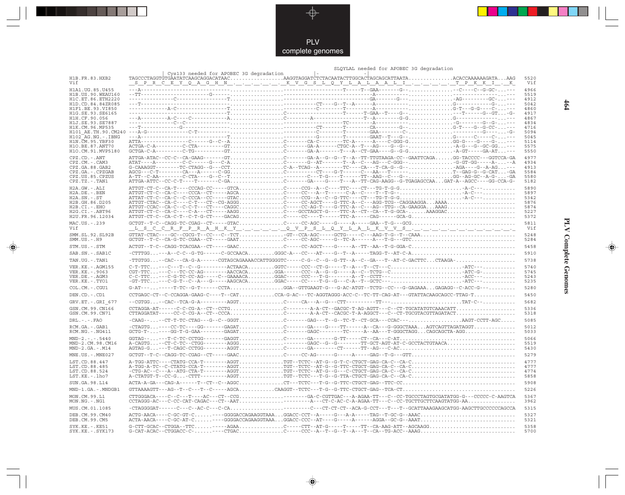

|                                      |                                                                                                                                                                                                                                                                                                                                                                                                                       | SLQYLAL needed for APOBEC 3G degradation |              |
|--------------------------------------|-----------------------------------------------------------------------------------------------------------------------------------------------------------------------------------------------------------------------------------------------------------------------------------------------------------------------------------------------------------------------------------------------------------------------|------------------------------------------|--------------|
| H1B.FR.83.HXB2                       | Cys133 needed for APOBEC 3G degradation                                                                                                                                                                                                                                                                                                                                                                               |                                          | 5520         |
| Vif                                  |                                                                                                                                                                                                                                                                                                                                                                                                                       |                                          | Vif          |
| H1A1.UG.85.U455                      |                                                                                                                                                                                                                                                                                                                                                                                                                       |                                          | 4966         |
|                                      |                                                                                                                                                                                                                                                                                                                                                                                                                       |                                          | 5519         |
|                                      |                                                                                                                                                                                                                                                                                                                                                                                                                       |                                          | 4912         |
|                                      |                                                                                                                                                                                                                                                                                                                                                                                                                       |                                          | 5042<br>4860 |
|                                      |                                                                                                                                                                                                                                                                                                                                                                                                                       |                                          | 4917         |
|                                      |                                                                                                                                                                                                                                                                                                                                                                                                                       |                                          | 4867         |
|                                      |                                                                                                                                                                                                                                                                                                                                                                                                                       |                                          | 4834         |
|                                      |                                                                                                                                                                                                                                                                                                                                                                                                                       |                                          | 4716<br>5094 |
|                                      |                                                                                                                                                                                                                                                                                                                                                                                                                       |                                          | 5045         |
|                                      |                                                                                                                                                                                                                                                                                                                                                                                                                       |                                          | 5114         |
|                                      |                                                                                                                                                                                                                                                                                                                                                                                                                       |                                          | 5575<br>5550 |
|                                      |                                                                                                                                                                                                                                                                                                                                                                                                                       |                                          |              |
| CPZ.CD. - . ANT<br>CPZ.CM. - . CAM3  |                                                                                                                                                                                                                                                                                                                                                                                                                       |                                          | 4977<br>4934 |
| CPZ.GA.88.GAB2                       |                                                                                                                                                                                                                                                                                                                                                                                                                       |                                          | 4913         |
| CPZ.GA. - . CPZGAB                   |                                                                                                                                                                                                                                                                                                                                                                                                                       |                                          | 5584         |
| CPZ.US.85.CPZUS                      |                                                                                                                                                                                                                                                                                                                                                                                                                       |                                          | 5580<br>5182 |
| $CPZ.TZ.-.TAN1$                      |                                                                                                                                                                                                                                                                                                                                                                                                                       |                                          |              |
| H2A.GW.-.ALI<br>$H2A.DE. -.BEN$      |                                                                                                                                                                                                                                                                                                                                                                                                                       |                                          | 5890<br>5897 |
| $H2A.SN.-.ST$                        |                                                                                                                                                                                                                                                                                                                                                                                                                       |                                          | 5342         |
| H2B.GH.86.D205                       |                                                                                                                                                                                                                                                                                                                                                                                                                       |                                          | 5876         |
| $H2B.CI.-.EHO$                       |                                                                                                                                                                                                                                                                                                                                                                                                                       |                                          | 5874         |
| $H2G.CI.-.ABT96$<br>H2U.FR.96.12034  |                                                                                                                                                                                                                                                                                                                                                                                                                       |                                          | 5227<br>5372 |
| MAC.US.-.239                         |                                                                                                                                                                                                                                                                                                                                                                                                                       |                                          | 5811         |
| Vif                                  | <u>ště s do otre překlad hlavy v vydali v do v přešle o v letale k v v soudili didici didici de lid</u>                                                                                                                                                                                                                                                                                                               |                                          | Vif          |
| SMM.SL.92.SL92B                      |                                                                                                                                                                                                                                                                                                                                                                                                                       |                                          | 5248         |
| $SMM.US.-.H9$                        |                                                                                                                                                                                                                                                                                                                                                                                                                       |                                          | 5284         |
| STM.US.-.STM                         |                                                                                                                                                                                                                                                                                                                                                                                                                       |                                          | 5458         |
| SAB.SN. - . SAB1C                    |                                                                                                                                                                                                                                                                                                                                                                                                                       |                                          | 5910         |
| TAN.UG. - . TAN1                     | -TTGTGG--CAC---CA-G-A------CGTAGCAGAAAACCATTGGGGTC-----C-G--C--G--G-TT--A--C--GA---T--AT-C-GACTTCCTAAGA-                                                                                                                                                                                                                                                                                                              |                                          | 5738         |
| VER. KE. - . AGM155                  |                                                                                                                                                                                                                                                                                                                                                                                                                       |                                          | 5740         |
| VER.KE. - . 9063                     | $\texttt{CGT-TTC}\texttt{---}\texttt{C--}\texttt{TC-CC-AG---} \texttt{AACCACA} \texttt{}{\dots} \texttt{GGA---}\texttt{CCC--}\texttt{A--}\texttt{G--}\texttt{G---}\texttt{A--}\texttt{C--}\texttt{TCTG--}\texttt{C}\texttt{}{\dots} \texttt{} \texttt{} \texttt{ATC-G-}\texttt{} \texttt{} \texttt{} \texttt{} \texttt{} \texttt{} \texttt{} \texttt{} \texttt{} \texttt{} \texttt{} \texttt{} \texttt{} \texttt{} \$ |                                          | 5745         |
| VER.DE. - . AGM3<br>VER.KE. - . TYO1 |                                                                                                                                                                                                                                                                                                                                                                                                                       |                                          | 5243<br>5235 |
|                                      | $G-AT--- \ldots --- T-TC--G-T----CCTA \ldots \ldots \ldots \ldots \ldots \ldots GGA--GTTGAAGT-G---G-AC-ATGT--TCTG--CC----G-GAGAAA \ldots \ldots \ldots \ldots \ldots \ldots \ldots \ldots$                                                                                                                                                                                                                            |                                          | 5280         |
| COL.CM. - . CGU1<br>DEN.CD. - . CD1  | CCTGAGC-CT--C-CCAGGA-GAAG-C----T--CATCCA-G-AC---TC-AGGTAGGG-ACC-C--TC-TT-CAG-AT---GTATTACAAGCAGCC-TTAG-T                                                                                                                                                                                                                                                                                                              |                                          | 5450         |
|                                      |                                                                                                                                                                                                                                                                                                                                                                                                                       |                                          | 5682         |
| GRV.ET. - . GRI 677                  | $\verb"CCTAGGA-AT---C-C-CG-A--CT--CCTGC---A-A-CT--GACGC-T-AG-AGTT---C--CT-TGCATATGTCAAACATT$                                                                                                                                                                                                                                                                                                                          |                                          | 5336         |
| GSN.CM.99.CN166<br>GSN.CM.99.CN71    |                                                                                                                                                                                                                                                                                                                                                                                                                       |                                          | 5318         |
| $DRL - - -$ . $FAO$                  | -CAAG----CT-T-TC-CTAG---G--C--GGGTC------GAG---T--G--TC-T--CT-GCA---CCAC---AAGT-CCTT-AGC                                                                                                                                                                                                                                                                                                                              |                                          | 5085         |
| RCM.GA. - .GAB1                      |                                                                                                                                                                                                                                                                                                                                                                                                                       |                                          | 5012         |
| RCM.NG. - . NG411                    |                                                                                                                                                                                                                                                                                                                                                                                                                       |                                          | 5033         |
| $MND-2. - - - 5440$                  |                                                                                                                                                                                                                                                                                                                                                                                                                       |                                          | 5066         |
| MND-2.CM.98.CM16                     |                                                                                                                                                                                                                                                                                                                                                                                                                       |                                          | 5519         |
| $MND-2.GA.-.M14$                     |                                                                                                                                                                                                                                                                                                                                                                                                                       |                                          | 5430         |
| MNE.US.-.MNE027                      |                                                                                                                                                                                                                                                                                                                                                                                                                       |                                          | 5279         |
| LST.CD.88.447                        |                                                                                                                                                                                                                                                                                                                                                                                                                       |                                          | 4777         |
| LST.CD.88.485<br>LST.CD.88.524       |                                                                                                                                                                                                                                                                                                                                                                                                                       |                                          | 4777<br>4774 |
| LST.KE.-.lho7                        |                                                                                                                                                                                                                                                                                                                                                                                                                       |                                          | 5858         |
| SUN.GA.98.L14                        |                                                                                                                                                                                                                                                                                                                                                                                                                       |                                          | 5908         |
| MND-1.GA.-.MNDGB1                    |                                                                                                                                                                                                                                                                                                                                                                                                                       |                                          | 5226         |
| MON.CM.99.L1                         | CTTGGGACA----C--C--T----AC---CT--CCG------GA-C-CGTTGAC---A-AGAA-TT---C--CC-TGCCCTAGTGCGATATGG-G---CCCCC-C-AAGTCA                                                                                                                                                                                                                                                                                                      |                                          | 5367         |
| $MON.NG. - . NG1$                    | $\verb"CCTAGGG-AC---C-C-C-CAT-CAGAC---CT--AAT---A---CT-C-AC-C-A-AGAA-TT---C-C--CCTGCTTCTCTCATGTTCG-AA$                                                                                                                                                                                                                                                                                                                |                                          | 3962         |
| MUS.CM.01.1085                       |                                                                                                                                                                                                                                                                                                                                                                                                                       |                                          | 5315         |
| DEB. CM. 99. CM40<br>DEB.CM.99.CM5   | ACTA-AACA----C-GC-AT-C----GGGGACCAGAAGGTAAAGGACC-CCC--AT----G-----A------AGGA--GC-G--AAAT                                                                                                                                                                                                                                                                                                                             |                                          | 5327<br>5321 |
| SYK.KE. - . KE51                     |                                                                                                                                                                                                                                                                                                                                                                                                                       |                                          | 5358         |
| SYK.KE. - . SYK173                   |                                                                                                                                                                                                                                                                                                                                                                                                                       |                                          | 5700         |

◈

# **PLV Complete Genomes 464 PLV Complete Genomes**

◈

 $464$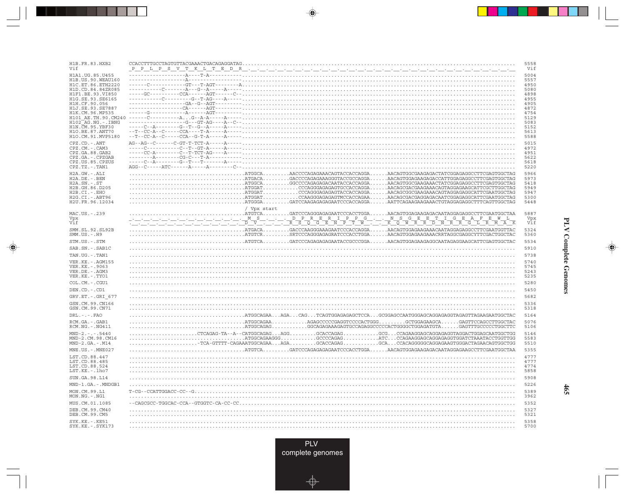| H1B.FR.83.HXB2<br>Vif                                                                                                                                                                                                                                                                                                                                                           |                                                                                                                                                                                                                                                                                                                                                                                                                                                                                                                                                                                                                                                                                     | 5558<br>Vif                                                                                                                                  |
|---------------------------------------------------------------------------------------------------------------------------------------------------------------------------------------------------------------------------------------------------------------------------------------------------------------------------------------------------------------------------------|-------------------------------------------------------------------------------------------------------------------------------------------------------------------------------------------------------------------------------------------------------------------------------------------------------------------------------------------------------------------------------------------------------------------------------------------------------------------------------------------------------------------------------------------------------------------------------------------------------------------------------------------------------------------------------------|----------------------------------------------------------------------------------------------------------------------------------------------|
| H1A1. UG. 85. U455<br>H1B. US. 90. WEAU160<br>H1C.ET.86.ETH2220<br>H1D.CD.84.84ZR085<br>H1F1.BE.93.VI850<br>H1G.SE.93.SE6165<br>H1H.CF.90.056<br>H1J.SE.93.SE7887<br>H1K.CM.96.MP535<br>H101 AE.TH.90.CM240<br>$H102-AG.NG. - . IBNG$<br>H1N. CM. 95. YBF30<br>H10.BE.87.ANT70<br>H1O.CM.91.MVP5180<br>CPZ.CD. - . ANT<br>CPZ.CM. - . CAM3<br>CPZ.GA.88.GAB2<br>CPZ.GA.-.CPZGAB |                                                                                                                                                                                                                                                                                                                                                                                                                                                                                                                                                                                                                                                                                     | 5004<br>5557<br>4950<br>5080<br>4898<br>4955<br>4905<br>4872<br>4754<br>5129<br>5083<br>5152<br>5613<br>5588<br>5015<br>4972<br>4951<br>5622 |
| CPZ.US.85.CPZUS<br>CPZ.TZ.-.TAN1                                                                                                                                                                                                                                                                                                                                                |                                                                                                                                                                                                                                                                                                                                                                                                                                                                                                                                                                                                                                                                                     | 5618<br>5220                                                                                                                                 |
| H2A.GW.-.ALI<br>H2A.DE. - . BEN<br>$H2A.SN.-.ST$<br>H2B.GH.86.D205<br>H2B.CI.-.EHO<br>H2G.CI.-.ABT96<br>H2U.FR.96.12034                                                                                                                                                                                                                                                         | $\ldots\ldots\ldots\ldots\ldots\ldots\ldots\ldots\ldots\ldots$ ATGGCA $\ldots\ldots\ldots$ AACCCCAGAGAAACAGTACCAGGGA $\ldots\ldots\ldots$ AACAGTGGCGAAGAGACTATCGGAGAGGCCTTCGAGTGGCTAG<br>$\ldots\ldots\ldots\ldots\ldots\ldots\ldots\ldots$ ATGGAT $\ldots\ldots\ldots\ldots$ CCAGGGAGAGAGTACCACCAGGA AACAGCGGCGAAGAAACAGTAGGAGAGGCATTCGAATGGCTAG<br>$\ldots \ldots \ldots \ldots \ldots \ldots \ldots$ .ATGGAT $\ldots \ldots \ldots \ldots \ldots$ CAAGGGAGAGAGATITCACCAGAA AACAGCGACGAGGAGACAATCGGAGGCATTCGAATGGCTAG<br>$\ldots \ldots \ldots \ldots$ . ATGGGA . $\ldots \ldots \ldots$ GATCCAAGAGAGAGAATCCCACCAGGA . $\ldots \ldots$ ATTCAGAAGAAGAAACTGTAGGAGAGGCTTTCAGTTGGCTAG | 5966<br>5973<br>5418<br>5949<br>5947<br>5300<br>5448                                                                                         |
| MAC.US.-.239                                                                                                                                                                                                                                                                                                                                                                    | / Vpx start<br>.ATGTCAGATCCCAGGGAGAGAATCCCACCTGGAAACAGTGGAGAAGAGACAATAGGAGAGCCTTCGAATGCTAA                                                                                                                                                                                                                                                                                                                                                                                                                                                                                                                                                                                          | 5887                                                                                                                                         |
| Vpx<br>Vif                                                                                                                                                                                                                                                                                                                                                                      |                                                                                                                                                                                                                                                                                                                                                                                                                                                                                                                                                                                                                                                                                     | Vpx<br>Vif                                                                                                                                   |
| SMM.SL.92.SL92B<br>$SMM.US. - . H9$                                                                                                                                                                                                                                                                                                                                             | $\ldots \ldots \ldots \ldots \ldots$ ATGACA $\ldots \ldots \ldots$ GACCCAAGGGAAAGAATCCCACCAGGAAACAGTGGAGAAGAAACAATAGGAGAGGCCTTCGAATGGTTAC<br>$\ldots\ldots\ldots\ldots\ldots\ldots\ldots\ldots\ldots\ldots\ldots$ . ATGTCR $\ldots\ldots\ldots$ SRTCCCAGGGAGRATCCCACCTGGA $\ldots\ldots\ldots$ AACAGTGGAGAAGAAGRRTAGGCGAGGCYTTCGACTGGCTAC                                                                                                                                                                                                                                                                                                                                           | 5324<br>5360                                                                                                                                 |
| STM.US.-.STM                                                                                                                                                                                                                                                                                                                                                                    | $\ldots\ldots\ldots\ldots$ . ATGTCA $\ldots\ldots$ . GATCCCAGAGAGAGAATACCGCCCGGA AACAGTGGAGAAGAGGCAATAGAGGAAGCATTCGAGTGGCTAC                                                                                                                                                                                                                                                                                                                                                                                                                                                                                                                                                        | 5534                                                                                                                                         |
| SAB.SN.-.SAB1C                                                                                                                                                                                                                                                                                                                                                                  |                                                                                                                                                                                                                                                                                                                                                                                                                                                                                                                                                                                                                                                                                     | 5910                                                                                                                                         |
| TAN.UG. - . TAN1                                                                                                                                                                                                                                                                                                                                                                |                                                                                                                                                                                                                                                                                                                                                                                                                                                                                                                                                                                                                                                                                     | 5738                                                                                                                                         |
| VER.KE. - . AGM155<br>VER. KE. - . 9063<br>VER.DE. - . AGM3<br>VER.KE. - . TYO1                                                                                                                                                                                                                                                                                                 |                                                                                                                                                                                                                                                                                                                                                                                                                                                                                                                                                                                                                                                                                     | 5740<br>5745<br>5243<br>5235                                                                                                                 |
| COL.CM. - . CGU1                                                                                                                                                                                                                                                                                                                                                                |                                                                                                                                                                                                                                                                                                                                                                                                                                                                                                                                                                                                                                                                                     | 5280                                                                                                                                         |
| DEN.CD. - .CD1                                                                                                                                                                                                                                                                                                                                                                  |                                                                                                                                                                                                                                                                                                                                                                                                                                                                                                                                                                                                                                                                                     | 5450                                                                                                                                         |
| GRV.ET. - . GRI 677<br>GSN.CM.99.CN166                                                                                                                                                                                                                                                                                                                                          |                                                                                                                                                                                                                                                                                                                                                                                                                                                                                                                                                                                                                                                                                     | 5682<br>5336                                                                                                                                 |
| GSN.CM.99.CN71                                                                                                                                                                                                                                                                                                                                                                  |                                                                                                                                                                                                                                                                                                                                                                                                                                                                                                                                                                                                                                                                                     | 5318                                                                                                                                         |
| $DRL - - - FAO$                                                                                                                                                                                                                                                                                                                                                                 | ATGGCAGAAAGA CAG TCAGTGGAGAGAGCTCCA GCGGAGCCAATGGGAGCAGGAGGGTAGAGTTAGAAGAATGGCTAC.                                                                                                                                                                                                                                                                                                                                                                                                                                                                                                                                                                                                  | 5164                                                                                                                                         |
| RCM.GA. - . GAB1<br>RCM.NG. - . NG411                                                                                                                                                                                                                                                                                                                                           | ATGGCAGAAAGAGCCCCCGAGGTCCCCACTGGGGCTGGAGAAGCA.<br>GAGTTCCAGCCTTGGCTAC                                                                                                                                                                                                                                                                                                                                                                                                                                                                                                                                                                                                               | 5076<br>5106                                                                                                                                 |
| $MND-2. - - - 5440$<br>MND-2.CM.98.CM16<br>$MND-2.GA.-.M14$                                                                                                                                                                                                                                                                                                                     | $\ldots \ldots \ldots \ldots \ldots$ .ATGGCAGAAGGG. GCCCCAGAG ATC CCAGAAGGAGCAGGAGAGGTGGATCTAAATACCTGGTTGG<br>$\ldots \ldots \ldots \ldots$ -TCA-GTTTT-CAGAAATGGCAGAA $\ldots$ AGA $\ldots \ldots \ldots$ GCACCAGAG $\ldots \ldots \ldots \ldots$ GCA $\ldots$ CCACAGGGGGCAGGAGAAGTGGGCTAGAACAGTGGCTGG                                                                                                                                                                                                                                                                                                                                                                              | 5146<br>5583<br>5510                                                                                                                         |
| MNE.US.-.MNE027                                                                                                                                                                                                                                                                                                                                                                 | $\ldots \ldots$ ATGTCA $\ldots \ldots \ldots$ GATCCCAGAGAGAGAATCCCACCTGGA $\ldots \ldots$ AACAGTGGAGAAGAGACAATAGGAGAAGCCTTCGAATGGCTAA                                                                                                                                                                                                                                                                                                                                                                                                                                                                                                                                               | 5355                                                                                                                                         |
| LST.CD.88.447<br>LST.CD.88.485<br>LST.CD.88.524                                                                                                                                                                                                                                                                                                                                 |                                                                                                                                                                                                                                                                                                                                                                                                                                                                                                                                                                                                                                                                                     | 4777<br>4777<br>4774                                                                                                                         |
| LST.KE.-.lho7<br>SUN.GA.98.L14                                                                                                                                                                                                                                                                                                                                                  |                                                                                                                                                                                                                                                                                                                                                                                                                                                                                                                                                                                                                                                                                     | 5858<br>5908                                                                                                                                 |
| MND-1.GA.-.MNDGB1                                                                                                                                                                                                                                                                                                                                                               |                                                                                                                                                                                                                                                                                                                                                                                                                                                                                                                                                                                                                                                                                     | 5226                                                                                                                                         |
| MON.CM.99.L1                                                                                                                                                                                                                                                                                                                                                                    |                                                                                                                                                                                                                                                                                                                                                                                                                                                                                                                                                                                                                                                                                     | 5389                                                                                                                                         |
| MON.NG.-.NG1                                                                                                                                                                                                                                                                                                                                                                    |                                                                                                                                                                                                                                                                                                                                                                                                                                                                                                                                                                                                                                                                                     | 3962                                                                                                                                         |
| MUS.CM.01.1085                                                                                                                                                                                                                                                                                                                                                                  | --CAGCGCC-TGGCAC-CCA--GTGGTC-CA-CC-CC                                                                                                                                                                                                                                                                                                                                                                                                                                                                                                                                                                                                                                               | 5352                                                                                                                                         |
| DEB.CM.99.CM40<br>DEB.CM.99.CM5                                                                                                                                                                                                                                                                                                                                                 |                                                                                                                                                                                                                                                                                                                                                                                                                                                                                                                                                                                                                                                                                     | 5327<br>5321                                                                                                                                 |
| SYK.KE. - . KE51<br>SYK.KE. - . SYK173                                                                                                                                                                                                                                                                                                                                          |                                                                                                                                                                                                                                                                                                                                                                                                                                                                                                                                                                                                                                                                                     | 5358<br>5700                                                                                                                                 |

<u>a shekara ta 1989 na shekara t</u>

 $\overrightarrow{\phantom{a}}$ 

 $\overline{\overline{\phantom{a}}}%$ 

**PLV Complete Genomes** 

 $\begin{picture}(20,5) \put(0,0){\line(1,0){10}} \put(15,0){\line(1,0){10}} \put(15,0){\line(1,0){10}} \put(15,0){\line(1,0){10}} \put(15,0){\line(1,0){10}} \put(15,0){\line(1,0){10}} \put(15,0){\line(1,0){10}} \put(15,0){\line(1,0){10}} \put(15,0){\line(1,0){10}} \put(15,0){\line(1,0){10}} \put(15,0){\line(1,0){10}} \put(15,0){\line(1,$ 

 $\equiv$ 

 $\Box$ 

T E EI

 $\mathbf{I}$ 

 $465$ 

PLV<br>complete genomes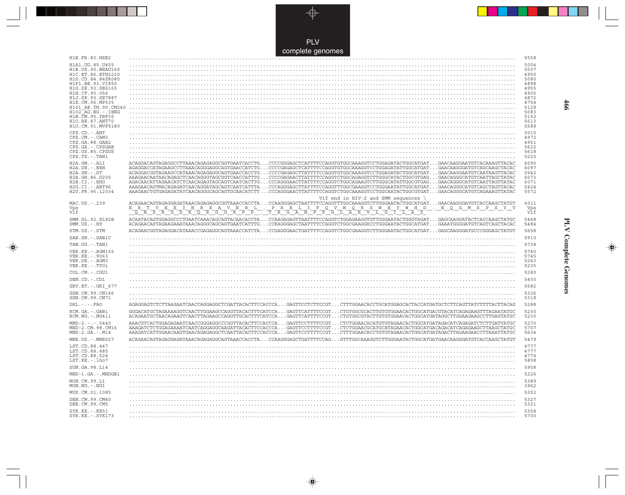PLV complete genomes

. . .

 $\overrightarrow{\mathbf{\P}}$ 

 $\begin{tabular}{c} \hline \quad \quad & \quad \quad \\ \hline \quad \quad & \quad \quad \\ \hline \end{tabular}$ 

| H1B.FR.83.HXB2                                                                                                              |                                                                                                                                                                                                                                                                                                                                                                                                                                                                                                                                                                                                                                                                                                                                                                                                                                                                                                                             | 5558                                                 |
|-----------------------------------------------------------------------------------------------------------------------------|-----------------------------------------------------------------------------------------------------------------------------------------------------------------------------------------------------------------------------------------------------------------------------------------------------------------------------------------------------------------------------------------------------------------------------------------------------------------------------------------------------------------------------------------------------------------------------------------------------------------------------------------------------------------------------------------------------------------------------------------------------------------------------------------------------------------------------------------------------------------------------------------------------------------------------|------------------------------------------------------|
| H1A1.UG.85.U455<br>H1B. US. 90. WEAU160<br>H1C.ET.86.ETH2220<br>H1D.CD.84.84ZR085                                           |                                                                                                                                                                                                                                                                                                                                                                                                                                                                                                                                                                                                                                                                                                                                                                                                                                                                                                                             | 5004<br>5557<br>4950<br>5080                         |
| H1F1.BE.93.VI850<br>H1G.SE.93.SE6165<br>H1H.CF.90.056                                                                       |                                                                                                                                                                                                                                                                                                                                                                                                                                                                                                                                                                                                                                                                                                                                                                                                                                                                                                                             | 4898<br>4955<br>4905                                 |
| H1J.SE.93.SE7887<br>H1K.CM.96.MP535<br>H101 AE.TH.90.CM240<br>H102 AG.NG.-.IBNG                                             |                                                                                                                                                                                                                                                                                                                                                                                                                                                                                                                                                                                                                                                                                                                                                                                                                                                                                                                             | 4872<br>4754<br>5129<br>5083                         |
| H1N.CM.95.YBF30<br>H1O.BE.87.ANT70<br>H1O.CM.91.MVP5180                                                                     |                                                                                                                                                                                                                                                                                                                                                                                                                                                                                                                                                                                                                                                                                                                                                                                                                                                                                                                             | 5152<br>5613<br>5588                                 |
| CPZ.CD. - . ANT<br>CPZ.CM. - . CAM3<br>CPZ.GA.88.GAB2                                                                       |                                                                                                                                                                                                                                                                                                                                                                                                                                                                                                                                                                                                                                                                                                                                                                                                                                                                                                                             | 5015<br>4972<br>4951                                 |
| CPZ.GA. - . CPZGAB<br>CPZ.US.85.CPZUS                                                                                       |                                                                                                                                                                                                                                                                                                                                                                                                                                                                                                                                                                                                                                                                                                                                                                                                                                                                                                                             | 5622<br>5618                                         |
| CPZ.TZ. - . TAN1                                                                                                            |                                                                                                                                                                                                                                                                                                                                                                                                                                                                                                                                                                                                                                                                                                                                                                                                                                                                                                                             | 5220                                                 |
| H2A.GW.-.ALI<br>H2A.DE. - .BEN<br>$H2A.SN.-.ST$<br>H2B.GH.86.D205<br>$H2B.CI.-.EHO$<br>H2G.CI. - . ABT96<br>H2U.FR.96.12034 | ACAGGACAGTAGAGGCCTTAAACAGAGAGGCGGTGAATCACCTGCCCCGGGAGCTCATTTTCCAGGTGTGGCAAAGGTCCTGGAGATACTGGCATGATGAACAAGGAATGTCACAAAGTTACAC<br>AGAGGACCATAGAAGCCTTAAACAGGGAGGCAGTGAACCATCTGCCCCGAGAGCTCATTTTCCAGGTGTGGCAAAGGTCCTGGAGATATTGGCATGATGAACAAGGGATGTCAGCAAGCTACAC<br>ACAGGACGGTAGAAGCCATAAACAGAGAGGCAGTGAACCACCTGCCCCGAGAGCTTATTTTCCAGGTGTGGCAAAGGTCCTGGAGATACTGGCATGATGAACAAGGAATGTCAATAAGTTACAC<br>AAAGAACAATAACAGAGCTCAACAGGGTAGCGGTCAACCATTTGCCCCGAGAACTTATTTTCCAGGTCTGGCAGAGGTCTTGGGCATACTGGCGTGAGGAACAGGGCATGTCAATTAGCTATAC<br>AGACAACATTAGAACATCTCAACAGAGTAGCAGTCAATCACTTGCCCAGGGAACTTATTTTCCAGGTCTGGCAGAAGTCTTGGGCATATTGGCGTGAGGAACAGGGCATGTCAATTAGTTATAC<br>AAAGAACAGTMACAGAGATCAACAGGATAGCAGTCAATCATTTACCCAGGGAGCTTATTTTCCAGGTTTGGCGAAGGTCCTGGAATATTGGCATGATGAACAGGGCATGTCAGCTAGTTACAC<br>AAAGAACTGTGAGAGATATCAACAGGGCAGCAGTGCAACATCTTCCCAGGGAACTTATTTTCCAGGTCTGGCAAAGGTCCTGGCAATACTGGCGTGATGAACAGGGCATGTCAGAAAGTTATAC | 6090<br>6097<br>5542<br>6073<br>6071<br>5424<br>5572 |
|                                                                                                                             | Vif end in HIV-2 and SMM sequences                                                                                                                                                                                                                                                                                                                                                                                                                                                                                                                                                                                                                                                                                                                                                                                                                                                                                          |                                                      |
| MAC.US. - . 239<br>Vpx<br>Vif                                                                                               | ACAGAACAGTAGAGGAGAGATAAACAGAGGGGGGGTAAACCACCTACCAAGGGAGCTAATTTTCCAGGTTTGGCAAAGGTCTTGGGAATACTGGCATGATGAACAAGGGATGTCACCAAGCTATGT<br><u>NRTVEEINREAVNHLPRELIFQVWQRSWEYWHD</u><br><u>QNSRGDRQRGGKPP, TRGANFPGLAKVLGILAS</u><br>. E Q G M S P S Y V<br>N                                                                                                                                                                                                                                                                                                                                                                                                                                                                                                                                                                                                                                                                         | 6011<br>Vpx<br>Vif                                   |
| SMM.SL.92.SL92B<br>$SMM. US. - . H9$                                                                                        | ACAATACAGTGGAGGCCCTGAATCAAACAGCAGTACAACACCTACCAAGAGAGTTAATTTTCCAGGTCTGGAGAAGGTGTTGGGAATACTGGGTAGATGAGCAAGGATACTCACCAAGCTATGC<br>ACAGAACASTAGAAGAAATAAACAGGCAGCAGTGAATCATTTGCCRAGGGAGCTAATTTTCCAGGTCTGGCGAAGGKCCTGGGAATACTGGCATGATGAAATGGGGATGTCAGCTACAC                                                                                                                                                                                                                                                                                                                                                                                                                                                                                                                                                                                                                                                                     | 5448<br>5484                                         |
| STM.US.-.STM                                                                                                                | ACAGARICA CONFINING ACAGARET ARTICLE TO THE TEMPET ON A CONTRACT THE CONFIDENTIAL CONFIDENTIAL CONFINING ACTOR                                                                                                                                                                                                                                                                                                                                                                                                                                                                                                                                                                                                                                                                                                                                                                                                              | 5658                                                 |
| SAB.SN.-.SAB1C                                                                                                              |                                                                                                                                                                                                                                                                                                                                                                                                                                                                                                                                                                                                                                                                                                                                                                                                                                                                                                                             | 5910                                                 |
| TAN.UG. - . TAN1                                                                                                            |                                                                                                                                                                                                                                                                                                                                                                                                                                                                                                                                                                                                                                                                                                                                                                                                                                                                                                                             | 5738                                                 |
| VER. KE. - . AGM155<br>VER.KE. - . 9063<br>VER.DE. - . AGM3<br>VER.KE.-.TYO1                                                |                                                                                                                                                                                                                                                                                                                                                                                                                                                                                                                                                                                                                                                                                                                                                                                                                                                                                                                             | 5740<br>5745<br>5243<br>5235                         |
| COL.CM. - . CGU1                                                                                                            |                                                                                                                                                                                                                                                                                                                                                                                                                                                                                                                                                                                                                                                                                                                                                                                                                                                                                                                             | 5280                                                 |
| DEN.CD. - .CD1                                                                                                              |                                                                                                                                                                                                                                                                                                                                                                                                                                                                                                                                                                                                                                                                                                                                                                                                                                                                                                                             | 5450                                                 |
| GRV.ET. - .GRI 677                                                                                                          |                                                                                                                                                                                                                                                                                                                                                                                                                                                                                                                                                                                                                                                                                                                                                                                                                                                                                                                             | 5682                                                 |
| GSN.CM.99.CN166                                                                                                             |                                                                                                                                                                                                                                                                                                                                                                                                                                                                                                                                                                                                                                                                                                                                                                                                                                                                                                                             | 5336                                                 |
| GSN.CM.99.CN71                                                                                                              |                                                                                                                                                                                                                                                                                                                                                                                                                                                                                                                                                                                                                                                                                                                                                                                                                                                                                                                             | 5318                                                 |
| $DRL - - -$ . $FAO$                                                                                                         |                                                                                                                                                                                                                                                                                                                                                                                                                                                                                                                                                                                                                                                                                                                                                                                                                                                                                                                             | 5288                                                 |
| RCM.GA.-.GAB1<br>RCM.NG. - . NG411                                                                                          | GGGACATGCTAGAAAAGGTCAACTTGGAAGCCAGGTTACACTTTCATCCAGAGTTCATTTTCCGTCTGTGGCGCACTTGTGTGGAACACTGGCATGACGTACATCAGAGAAGTTTAGAATATGC<br>ACAGAATGCTAACAGAAGTCAACTTAGAAGCCAGGTTGCACTTTCATCCAGAGTTCATTTTCCGTCTGTGGCGTACTTGTGGAACACTGGCATGATAGGCTTGGAAGAAGCCTTGAGTATGC                                                                                                                                                                                                                                                                                                                                                                                                                                                                                                                                                                                                                                                                  | 5200<br>5230                                         |
| $MND-2. - - - 5440$                                                                                                         |                                                                                                                                                                                                                                                                                                                                                                                                                                                                                                                                                                                                                                                                                                                                                                                                                                                                                                                             |                                                      |
| MND-2.CM.98.CM16<br>$MND-2.GA.-.M14$                                                                                        | AAACGTCACTGGAGAGAATCAACCGGGAGGCCCGGTTACACTTCCACCCAGAGTTCCTTTTCCGTCTCTGGAACACATGTGTAGAACACTGGCATGATAGACATCAGAGATCTCTTGATTATGC<br>AAAGATCTCTGGAGAAAATCAATCAGGAGGCAAGATTACACTTCCACCCAGAGTTCCTTTTCCGTCTCTGGAACGCATGCATAGAACACTGGCATGACAGACATCAGAGAAGCTTAAGCTATGC<br>AAAGATCATTGGAACAAGTGAACAGAGAGGCTCAATTACACTTCCACCCAGAGTTCCTTTTCCGTCTTTGGAACACCTGTGTAGAACACTGGCATGATAGACTTAGAAGAACCTTAAATTATGC                                                                                                                                                                                                                                                                                                                                                                                                                                                                                                                                | 5270<br>5707<br>5634                                 |
| $MNE. US. - . MNE027$                                                                                                       | ACAGAACAGTAGAGGAGATAAACAGAGAGGCAGTAAACCACCTACCAAGGGAGCTGATTTTCCAGGTTTGGCAAAGGTCTTGGGAATACTGGCATGATGAACAAGGGATGTCACCAAGCTATGT                                                                                                                                                                                                                                                                                                                                                                                                                                                                                                                                                                                                                                                                                                                                                                                                | 5479                                                 |
| LST.CD.88.447                                                                                                               |                                                                                                                                                                                                                                                                                                                                                                                                                                                                                                                                                                                                                                                                                                                                                                                                                                                                                                                             | 4777                                                 |
| LST.CD.88.485<br>LST.CD.88.524<br>LST.KE. - . lho7                                                                          |                                                                                                                                                                                                                                                                                                                                                                                                                                                                                                                                                                                                                                                                                                                                                                                                                                                                                                                             | 4777<br>4774<br>5858                                 |
| SUN.GA.98.L14                                                                                                               |                                                                                                                                                                                                                                                                                                                                                                                                                                                                                                                                                                                                                                                                                                                                                                                                                                                                                                                             | 5908                                                 |
| MND-1.GA.-.MNDGB1                                                                                                           |                                                                                                                                                                                                                                                                                                                                                                                                                                                                                                                                                                                                                                                                                                                                                                                                                                                                                                                             | 5226                                                 |
| MON.CM.99.L1<br>MON.NG.-.NG1                                                                                                |                                                                                                                                                                                                                                                                                                                                                                                                                                                                                                                                                                                                                                                                                                                                                                                                                                                                                                                             | 5389<br>3962                                         |
| MUS.CM.01.1085                                                                                                              |                                                                                                                                                                                                                                                                                                                                                                                                                                                                                                                                                                                                                                                                                                                                                                                                                                                                                                                             | 5352                                                 |
| DEB.CM.99.CM40<br>DEB.CM.99.CM5                                                                                             |                                                                                                                                                                                                                                                                                                                                                                                                                                                                                                                                                                                                                                                                                                                                                                                                                                                                                                                             | 5327<br>5321                                         |

 $\overline{\blacklozenge}$ 

**PLV Complete Genomes 466** PLV Complete Genomes

 $\Rightarrow$ 

 $\sqrt{2}$ 

466

 $\blacksquare$ 

<u> 1999 - 1999 - 1999 - 1999 - 1999 - 1999 - 1999 - 1999 - 1999 - 1999 - 1999 - 1999 - 1999 - 1999 - 1999 - 199</u>

 $\mathbf{H}$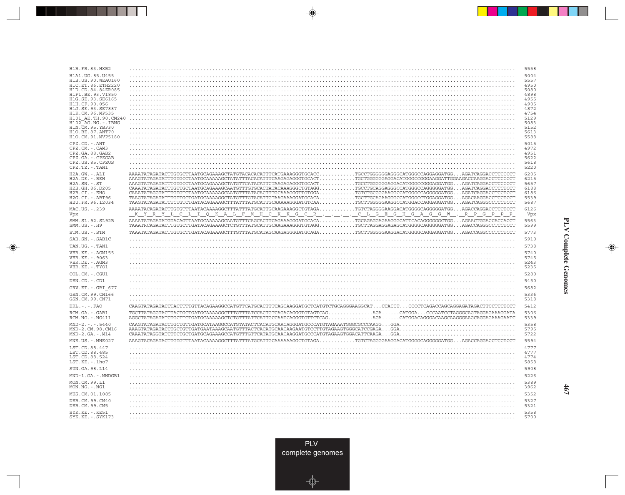| H1B.FR.83.HXB2                                        |                                                                                                                                                                                                                                                                                                                                                                                       |                                                                             | 5558         |
|-------------------------------------------------------|---------------------------------------------------------------------------------------------------------------------------------------------------------------------------------------------------------------------------------------------------------------------------------------------------------------------------------------------------------------------------------------|-----------------------------------------------------------------------------|--------------|
| H1A1.UG.85.U455                                       |                                                                                                                                                                                                                                                                                                                                                                                       |                                                                             | 5004         |
| H1B. US. 90. WEAU160<br>H1C.ET.86.ETH2220             |                                                                                                                                                                                                                                                                                                                                                                                       |                                                                             | 5557<br>4950 |
| H1D.CD.84.84ZR085                                     |                                                                                                                                                                                                                                                                                                                                                                                       |                                                                             | 5080         |
| H1F1.BE.93.VI850                                      |                                                                                                                                                                                                                                                                                                                                                                                       |                                                                             | 4898         |
| H1G.SE.93.SE6165<br>H1H.CF.90.056                     |                                                                                                                                                                                                                                                                                                                                                                                       |                                                                             | 4955<br>4905 |
| H1J.SE.93.SE7887                                      |                                                                                                                                                                                                                                                                                                                                                                                       |                                                                             | 4872         |
| H1K.CM.96.MP535<br>H101 AE.TH.90.CM240                |                                                                                                                                                                                                                                                                                                                                                                                       |                                                                             | 4754<br>5129 |
| $H102$ <sup><math>R</math></sup> $AG . NG . - . IBNG$ |                                                                                                                                                                                                                                                                                                                                                                                       |                                                                             | 5083         |
| H1N. CM. 95. YBF30                                    |                                                                                                                                                                                                                                                                                                                                                                                       |                                                                             | 5152         |
| H10.BE.87.ANT70<br>H1O.CM.91.MVP5180                  |                                                                                                                                                                                                                                                                                                                                                                                       |                                                                             | 5613<br>5588 |
| CPZ.CD. - . ANT                                       |                                                                                                                                                                                                                                                                                                                                                                                       |                                                                             | 5015         |
| CPZ.CM.-.CAM3<br>CPZ.GA.88.GAB2                       |                                                                                                                                                                                                                                                                                                                                                                                       |                                                                             | 4972<br>4951 |
| CPZ.GA. - . CPZGAB                                    |                                                                                                                                                                                                                                                                                                                                                                                       |                                                                             | 5622         |
| CPZ.US.85.CPZUS                                       |                                                                                                                                                                                                                                                                                                                                                                                       |                                                                             | 5618         |
| CPZ.TZ.-.TAN1                                         |                                                                                                                                                                                                                                                                                                                                                                                       |                                                                             | 5220         |
| H2A.GW.-.ALI<br>H2A.DE. - .BEN                        | AAAATATAGATACTTGTGCTTAATGCAGAAAGCTATGTACACACTTTCATGAAAGGGTGCACC<br>${\bf AAGTATAGATATTTGTGCCTAATGCAAAAAGCTATATTTACACATTTCAAGAGGGGTGCACT TGCTGGGGGGAGAGCATGGGCCGGAAGGATTGGAAGACCAAGGACCTCCCCCTT$                                                                                                                                                                                       | $\ldots \ldots \ldots$ TGCCTGGGGGGAGGGCATGGGCCAGGAGGATGGAGATCAGGACCTCCCCCT. | 6205<br>6215 |
| $H2A.SN.-.ST$                                         | ${\bf AAGTATAGATATTTGTGCCTAATGCAGAAAGCTATGTTCATACATTCTAAGAGGGGTGCACT \dots \dots \dots \dots \dots \,TGCCTGGGGGGAGGGACATGGGCCGGGAGGGAGGGAGGAGTGG \dots \,AAGATCAGGACCTCCCCTTQGGGGGGGAGGAGGAGGAGGAGGAGGAGGAGGAGGAGGAGGAGGAGGAGGAGGAGGAGGGGGAGGAGGAGGAGGAGGAGGAGGAGGAGGAGGGGGAGGAGGAGGAGGAGGAGGAGGAGGGGGAGGAGGAGGAGGAGGAGGAGGAGGAGGAGGGGGAGGGGGGGGAGGAGGAGGAGGAGGAGGAGGAGGAGGAGGAGGAGG$ |                                                                             | 5657         |
| H2B.GH.86.D205<br>H2B.CI.-.EHO                        | ${\tt CAAATATAGATACTTGTTGCTAATGCAGAAAGCAATGTTTGTGCACTATACAAAGGGCTGTAGG. \dots \dots \dots \dots \dots \,TGCCTGCAGGAGGCCATGGGCCAGGGGGATGG \dots. AGATCAGGACCTCCTCCTTCTGCAGGGGCGGAGGGGCGGAGGGGAGGGGAGGGGAGGGGAGGGGAGGGGGATGG.$                                                                                                                                                          |                                                                             | 6188<br>6186 |
| H2G.CI.-.ABT96                                        | ${\tt TAGTATAGATATTTGTTGCTGATGCAAAAGGCTATGTTTGTACATTGTACAAAGGATGCACA\ldots\ldots\ldots\ldots\allowbreak{\tt TGCTTGCAGAAGGGCCATGGGCCTGGAGGAGATGG\ldots\ldots\allowbreak{\tt AGACAAGGACCTCCTCCTCCT}$                                                                                                                                                                                    |                                                                             | 5539         |
| H2U.FR.96.12034                                       |                                                                                                                                                                                                                                                                                                                                                                                       |                                                                             | 5687         |
| MAC.US.-.239<br>Vpx                                   | <u>KYRYL CLIQ KALFMHCKKGCRCLGEGHGAGGW.RPGPPP</u>                                                                                                                                                                                                                                                                                                                                      |                                                                             | 6126<br>Vpx  |
| SMM.SL.92.SL92B<br>$SMM.US. - . H9$                   | AAAATATAGATATGTACAGTTAATGCAAAAAGCAATGTTTCAGCACTTCAGAAAGGGATGCACATGCAGAGGAGAAGGGCATTCACAGGGGGGCTGGAGAACTGGACCACCACCTC                                                                                                                                                                                                                                                                  |                                                                             | 5563<br>5599 |
| STM.US.-.STM                                          | TAAATATAGATACTTGTGCTTGATACAGAAAGCTTTGTTTATGCATAGCAAGAGGGGATGCAGA.                                                                                                                                                                                                                                                                                                                     | $\ldots \ldots \ldots$ TGCTTGGGGGAAGGACATGGGGCAGGAGGATGGAGACCAGGCCCTCCTCCT. | 5773         |
| SAB.SN.-.SAB1C                                        |                                                                                                                                                                                                                                                                                                                                                                                       |                                                                             | 5910         |
| TAN.UG.-.TAN1                                         |                                                                                                                                                                                                                                                                                                                                                                                       |                                                                             | 5738         |
| VER. KE. - . AGM155                                   |                                                                                                                                                                                                                                                                                                                                                                                       |                                                                             | 5740         |
| VER.KE. - . 9063                                      |                                                                                                                                                                                                                                                                                                                                                                                       |                                                                             | 5745         |
| VER.DE.-.AGM3<br>VER.KE. - . TYO1                     |                                                                                                                                                                                                                                                                                                                                                                                       |                                                                             | 5243<br>5235 |
| COL.CM. - . CGU1                                      |                                                                                                                                                                                                                                                                                                                                                                                       |                                                                             | 5280         |
| DEN.CD.-.CD1                                          |                                                                                                                                                                                                                                                                                                                                                                                       |                                                                             | 5450         |
| GRV.ET. - .GRI 677                                    |                                                                                                                                                                                                                                                                                                                                                                                       |                                                                             | 5682         |
| GSN.CM.99.CN166                                       |                                                                                                                                                                                                                                                                                                                                                                                       |                                                                             | 5336         |
| GSN.CM.99.CN71                                        |                                                                                                                                                                                                                                                                                                                                                                                       |                                                                             | 5318         |
| $DRL. - . - . FAO$                                    | CAAGTATAGATACCTACTTTTGTTACAGAAGGCCATGTTCATGCACTTTCAGCAAGGATGCTCATGTCTGCAGGGAAGGCATCCACCTCCCTCAGACCAGCAGGAGATAGACTTCCTCCTCCTC                                                                                                                                                                                                                                                          |                                                                             | 5412         |
| RCM.GA. - . GAB1<br>RCM.NG. - . NG411                 | TGCTTATAGGTACTTACTGCTGATGCAAAAGGCTTTGTTTATCCACTGTCAGACAGGGTGTAGTCAG.                                                                                                                                                                                                                                                                                                                  | AGACATGGACCCAATCCTAGGGCAGTAGGAGAAAGGATA                                     | 5306<br>5339 |
| $MND-2. - - - 5440$                                   | ${\tt CAAGTATAGATACCTGCTGTTTGATGCATAAGGCCATGTATTACTCACATGCAAGGGATGCCCATGTAGAAATGGGGCCCCAAGG. GGA.$                                                                                                                                                                                                                                                                                    |                                                                             | 5358         |
| MND-2.CM.98.CM16<br>$MND-2.GA.-.M14$                  | ${\tt AAAGTATAGATACCTGCTGTTGATGAATAAAGCAATGTTTACTCACATGCAACAAGAATGTCCTTGTAGAAGTGGGGCATCCGAGA.GGA.$                                                                                                                                                                                                                                                                                    |                                                                             | 5795<br>5722 |
| $MNE. US. - . MNE027$                                 |                                                                                                                                                                                                                                                                                                                                                                                       |                                                                             | 5594         |
| LST.CD.88.447                                         |                                                                                                                                                                                                                                                                                                                                                                                       |                                                                             | 4777         |
| LST.CD.88.485                                         |                                                                                                                                                                                                                                                                                                                                                                                       |                                                                             | 4777         |
| LST.CD.88.524                                         |                                                                                                                                                                                                                                                                                                                                                                                       |                                                                             | 4774         |
| LST.KE.-.lho7                                         |                                                                                                                                                                                                                                                                                                                                                                                       |                                                                             | 5858         |
| SUN.GA.98.L14                                         |                                                                                                                                                                                                                                                                                                                                                                                       |                                                                             | 5908         |
| MND-1.GA.-.MNDGB1                                     |                                                                                                                                                                                                                                                                                                                                                                                       |                                                                             | 5226         |
| MON.CM.99.L1<br>$MON.NG. - . NG1$                     |                                                                                                                                                                                                                                                                                                                                                                                       |                                                                             | 5389<br>3962 |
| MUS.CM.01.1085                                        |                                                                                                                                                                                                                                                                                                                                                                                       |                                                                             | 5352         |
| DEB.CM.99.CM40<br>DEB.CM.99.CM5                       |                                                                                                                                                                                                                                                                                                                                                                                       |                                                                             | 5327<br>5321 |
| $SYK.KE. - .KE51$<br>SYK.KE. - . SYK173               |                                                                                                                                                                                                                                                                                                                                                                                       |                                                                             | 5358<br>5700 |

<u>a shekara ta 1989 na shekara t</u>

 $\overrightarrow{\phantom{a}}$ 

 $\overline{\hphantom{m}}$ 

**PLV Complete Genomes PLV Complete Genomes**

 $\begin{picture}(20,5) \put(0,0){\line(1,0){10}} \put(15,0){\line(1,0){10}} \put(15,0){\line(1,0){10}} \put(15,0){\line(1,0){10}} \put(15,0){\line(1,0){10}} \put(15,0){\line(1,0){10}} \put(15,0){\line(1,0){10}} \put(15,0){\line(1,0){10}} \put(15,0){\line(1,0){10}} \put(15,0){\line(1,0){10}} \put(15,0){\line(1,0){10}} \put(15,0){\line(1,$ 

 $\overline{\phantom{0}}$ 

 $\Box$ 

▌▊▊▊

 $\mathbf{I}$ 

**467**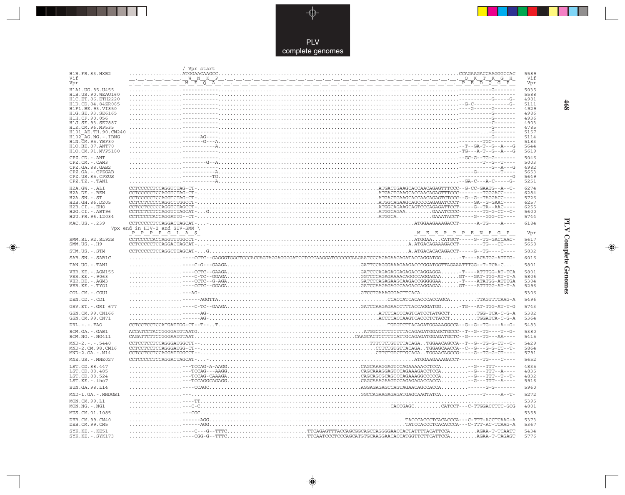

 $\overrightarrow{\mathbf{\P}}$ 

 $\mathbb{R}$ 

|                                           | Vpr start                                                                                                                                                                                                                      |              |
|-------------------------------------------|--------------------------------------------------------------------------------------------------------------------------------------------------------------------------------------------------------------------------------|--------------|
| H1B.FR.83.HXB2<br>Vif                     | ATGGAACAAGCC.                                                                                                                                                                                                                  | 5589<br>Vif  |
| Vpr                                       |                                                                                                                                                                                                                                | Vpr          |
| H1A1.UG.85.U455                           |                                                                                                                                                                                                                                | 5035         |
| H1B. US. 90. WEAU160<br>H1C.ET.86.ETH2220 |                                                                                                                                                                                                                                | 5588<br>4981 |
| H1D.CD.84.84ZR085                         |                                                                                                                                                                                                                                | 5111         |
| H1F1.BE.93.VI850                          |                                                                                                                                                                                                                                | 4929         |
| H1G.SE.93.SE6165<br>H1H.CF.90.056         |                                                                                                                                                                                                                                | 4986<br>4936 |
| H1J.SE.93.SE7887                          |                                                                                                                                                                                                                                | 4903         |
| H1K.CM.96.MP535<br>H101 AE.TH.90.CM240    |                                                                                                                                                                                                                                | 4785<br>5157 |
| $H102-AG.NG. - .IBNG$                     |                                                                                                                                                                                                                                | 5114         |
| H1N.CM.95.YBF30<br>H10.BE.87.ANT70        | . <del>.</del>                                                                                                                                                                                                                 | 5183<br>5644 |
| H1O.CM.91.MVP5180                         |                                                                                                                                                                                                                                | 5619         |
| CPZ.CD. - . ANT                           |                                                                                                                                                                                                                                | 5046         |
| CPZ.CM.-.CAM3                             |                                                                                                                                                                                                                                | 5003         |
| CPZ.GA.88.GAB2<br>CPZ.GA. - . CPZGAB      |                                                                                                                                                                                                                                | 4982<br>5653 |
| CPZ.US.85.CPZUS                           |                                                                                                                                                                                                                                | 5649         |
| CPZ.TZ.-.TAN1                             |                                                                                                                                                                                                                                | 5251         |
| $H2A.GW.-.ALI$                            |                                                                                                                                                                                                                                | 6274         |
| $H2A.DE. -.BEN$<br>$H2A.SN.-.ST$          |                                                                                                                                                                                                                                | 6284<br>5726 |
| H2B.GH.86.D205                            | CONCENTRICAL CONTRACTIONS CONTRACT CONTRACT CONTRACT CONTRACT CONTRACT CONTRACT CONTRACT CONTRACT CONTRACT CONTRACT CONTRACT CONTRACT CONTRACT CONTRACT CONTRACT CONTRACT CONTRACT CONTRACT CONTRACT CONTRACT CONTRACT CONTRAC | 6257         |
| H2B.CI.-.EHO<br>H2G.CI. - . ABT96         |                                                                                                                                                                                                                                | 6255<br>5600 |
| H2U.FR.96.12034                           |                                                                                                                                                                                                                                | 5744         |
| MAC.US.-.239                              | CCTCCCCCTCCAGGACTAGCAT--                                                                                                                                                                                                       | 6184         |
|                                           | Vpx end in HIV-2 and SIV-SMM $\setminus$<br>$P$ $P$ $P$ $P$ $G$ $L$ $A$ $$$<br>$\underline{\begin{array}{c}M_E_E_E_E_R_P_P_E_R_M_E_G\end{array}}$                                                                              | Vpr          |
| SMM.SL.92.SL92B                           |                                                                                                                                                                                                                                | 5617         |
| $SMM.US. - .H9$                           |                                                                                                                                                                                                                                | 5658         |
| STM.US.-.STM                              |                                                                                                                                                                                                                                | 5832         |
| SAB.SN. - . SAB1C                         | CCTC--GAGGGTGGCTCCCACCAGTAGGAGGGGATCCTCCCAAGGATCCCCCCAAGAATCCCAGAGAAGAGATACCAGGATGG-T---ACATGG-ATTTG-                                                                                                                          | 6016         |
| TAN.UG. - . TAN1                          |                                                                                                                                                                                                                                | 5801         |
| VER. KE. - . AGM155                       |                                                                                                                                                                                                                                | 5801         |
| VER.KE. - . 9063                          |                                                                                                                                                                                                                                | 5806         |
| VER.DE. - . AGM3<br>VER.KE. - . TYO1      |                                                                                                                                                                                                                                | 5304<br>5296 |
| COL.CM. - . CGU1                          |                                                                                                                                                                                                                                | 5306         |
| DEN.CD. - .CD1                            |                                                                                                                                                                                                                                | 5496         |
| GRV.ET. - .GRI 677                        |                                                                                                                                                                                                                                | 5743         |
| GSN.CM.99.CN166                           |                                                                                                                                                                                                                                | 5382         |
| GSN.CM.99.CN71                            |                                                                                                                                                                                                                                | 5364         |
| DRL. - . - . FAO                          |                                                                                                                                                                                                                                | 5483         |
| RCM.GA. - . GAB1                          |                                                                                                                                                                                                                                | 5380         |
| RCM.NG. - . NG411                         |                                                                                                                                                                                                                                | 5415         |
| $MND-2. - - - 5440$<br>MND-2.CM.98.CM16   |                                                                                                                                                                                                                                | 5429<br>5864 |
| $MND-2.GA.-.M14$                          |                                                                                                                                                                                                                                | 5791         |
| MNE.US.-.MNE027                           |                                                                                                                                                                                                                                | 5652         |
| LST.CD.88.447                             |                                                                                                                                                                                                                                | 4835         |
| LST.CD.88.485                             |                                                                                                                                                                                                                                | 4835         |
| LST.CD.88.524<br>LST.KE. - . lho7         |                                                                                                                                                                                                                                | 4832<br>5916 |
| SUN.GA.98.L14                             |                                                                                                                                                                                                                                | 5960         |
| MND-1.GA.-.MNDGB1                         |                                                                                                                                                                                                                                | 5272         |
| MON.CM.99.L1                              |                                                                                                                                                                                                                                | 5395         |
| MON.NG.-.NG1                              |                                                                                                                                                                                                                                | 4001         |
| MUS.CM.01.1085                            |                                                                                                                                                                                                                                | 5358         |
| DEB. CM. 99. CM40<br>DEB.CM.99.CM5        |                                                                                                                                                                                                                                | 5373<br>5367 |
| SYK.KE. - . KE51                          |                                                                                                                                                                                                                                | 5434         |
| SYK.KE. - . SYK173                        |                                                                                                                                                                                                                                | 5776         |

 $\blacklozenge$ 

**PLV Complete Genomes 468 PLV Complete Genomes** 

 $\Rightarrow$ 

 $\sqrt{2}$ 

468

 $\Box$ 

<u> 1999 - 1999 - 1999 - 1999 - 1999 - 1999 - 1999 - 1999 - 1999 - 1999 - 1999 - 1999 - 1999 - 1999 - 1999 - 199</u>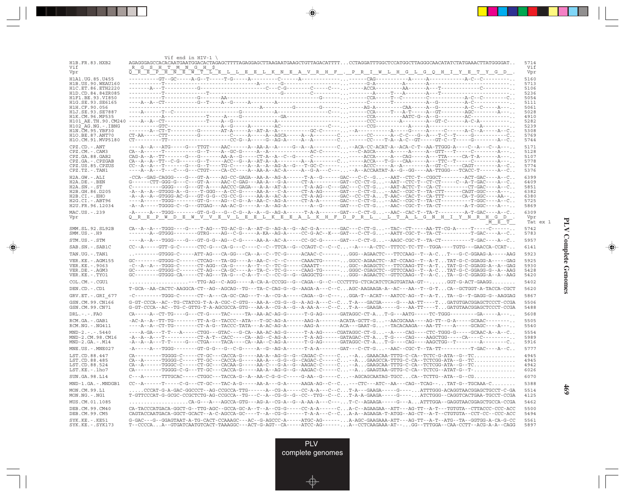|                                                             | Vif end in HIV-1 $\setminus$                                                                                                                                                                                                                                                                                                                                                                                                    |                       |
|-------------------------------------------------------------|---------------------------------------------------------------------------------------------------------------------------------------------------------------------------------------------------------------------------------------------------------------------------------------------------------------------------------------------------------------------------------------------------------------------------------|-----------------------|
| H1B.FR.83.HXB2                                              |                                                                                                                                                                                                                                                                                                                                                                                                                                 | 5714                  |
| Vif<br>Vpr                                                  | R G S H T M N G H \$<br><u> E P H N E W T L E L L E E L K N E A V R H F . P R I W L H G L G Q H I Y E T Y G D .</u><br>Q R                                                                                                                                                                                                                                                                                                      | Vif<br>Vpr            |
| H1A1.UG.85.U455                                             |                                                                                                                                                                                                                                                                                                                                                                                                                                 | 5160                  |
| H1B. US. 90. WEAU160                                        |                                                                                                                                                                                                                                                                                                                                                                                                                                 | 5713                  |
| H1C.ET.86.ETH2220                                           |                                                                                                                                                                                                                                                                                                                                                                                                                                 | 5106                  |
| H1D.CD.84.84ZR085<br>H1F1.BE.93.VI850                       |                                                                                                                                                                                                                                                                                                                                                                                                                                 | 5236<br>5054          |
| H1G. SE. 93. SE6165                                         |                                                                                                                                                                                                                                                                                                                                                                                                                                 | 5111                  |
| H1H.CF.90.056<br>H1J.SE.93.SE7887                           |                                                                                                                                                                                                                                                                                                                                                                                                                                 | 5061<br>5028          |
| H1K.CM.96.MP535                                             |                                                                                                                                                                                                                                                                                                                                                                                                                                 | 4910                  |
| H102 AG.NG.-.IBNG                                           |                                                                                                                                                                                                                                                                                                                                                                                                                                 | 5282<br>5239          |
| H1N.CM.95.YBF30                                             |                                                                                                                                                                                                                                                                                                                                                                                                                                 | 5308                  |
| H10.BE.87.ANT70                                             | $CT-AA---CTT-------G---------C---A---A--AGCA-----A--A----C.$                                                                                                                                                                                                                                                                                                                                                                    | 5769                  |
| H1O.CM.91.MVP5180                                           |                                                                                                                                                                                                                                                                                                                                                                                                                                 | 5744                  |
| CPZ.CD. - . ANT<br>CPZ.CM. - . CAM3                         | ----A--A--ATG-----G---TTGT----AAC------A--AA-A--A------G--A--A-------C--ACA-CC-ACAT-A--ACA-C-T--AA-TTGGG-A----C--A---C--A----                                                                                                                                                                                                                                                                                                   | 5171<br>5128          |
| CPZ.GA.88.GAB2                                              | CAG-A--A--TT-------G---G-------AA-A--G-----CT-A--A--C--G-----C--------- -----ACCA-----A---CAG-----A---TTA-----CA-T-A-------A------                                                                                                                                                                                                                                                                                              | 5107                  |
| CPZ.GA.-.CPZGAB<br>CPZ.US.85.CPZUS                          |                                                                                                                                                                                                                                                                                                                                                                                                                                 | 5778<br>5774          |
| $CPZ.TZ.-.TAN1$                                             | ----A--A---T---C---G---CTGT----CA-CC----A--AA-A--AC-A------A--G-A---C-----A--ACCAATAT-A--G--GG----AA-TTGGG---TCACC-T------A--C                                                                                                                                                                                                                                                                                                  | 5376                  |
| H2A.GW.-.ALI                                                | $-CCA - GAG-G-GGG-G---G-T-A---AG-CC-GAGA--AA-A--AG-A---T-A--G---G---GAC---C--G---AAT--CTC-T--CGGCT-----ACT-GAC---A-CT--C-C--G-CT--G.$                                                                                                                                                                                                                                                                                           | 6399                  |
| H2A.DE. - .BEN                                              |                                                                                                                                                                                                                                                                                                                                                                                                                                 | 6409                  |
| $H2A.SN.-.ST$<br>H2B.GH.86.D205                             | -A--A--A--GTGGG-A--G----T-GGG---A-CC-G-----AA-A---C-A-----CT-A-AG------GAT---C-CT-G--AAC--CGC-T--TA-CTT------CAGT-GGC----A---                                                                                                                                                                                                                                                                                                   | 5851<br>6382          |
| H2B.CI.-.EHO                                                | -A--A--A--GTGGG-AC-G---GT-G-G--CG-CC-G-----AA-A--AC-A-----CT-A-AG------GAC--CC-CT-AT-AAC--CAC-T--CA-TTT------CA-T-GGC----AA--                                                                                                                                                                                                                                                                                                   | 6380                  |
| H2G.CI.-.ABT96                                              | ----A------TGGG--------GT-G----AG--C-G--A--AA-C--AG-A-----CT-A-A-------GAC---C-CT-G--AAC--CGC-T--TA-CT-----------T-GGC----A--C                                                                                                                                                                                                                                                                                                  | 5725                  |
| H2U.FR.96.12034                                             | -A--A-----TGGGG-C--G---GTGAG---AA-AC-G------A--AG-A---------A--G-------GAT---C-CT-G--AAC--CGC-T--TA-CT--------A-T-GGC----A---                                                                                                                                                                                                                                                                                                   | 5869                  |
| MAC.US.-.239<br>Vpr                                         | -A-----A---TGGG--------GT-G-G---G--C-G--A--A--G--AG-A------T-A-A-------GAT---C-CT-G--AAC--CAC-T--TA-T-----------A-T-GAC----A--C<br>Q R E P W D E W V V E V L E E L K E E A L K H F D P R L . L T A L G N H I Y N R H G D<br>$\underline{\overline{\mathbb{M}}\quad \overline{\mathbb{E}}\quad \overline{\mathbb{T}}\_}$                                                                                                         | 6309<br>Vpr<br>Tat ex |
| SMM.SL.92.SL92B<br>$SMM.US.-.H9$                            | CA--A--A---TGGG----G----T-AG---TG-AC-G--A--AT-G--AG-A--G--AC-G-A-------GAC---C-CT-G--TAC--CT-----AA-TT-CG-A-----T-----C------<br>--------A--GTGGG--------GTRG----AG--C-G-----A-KA--AG-A-----CC-G-AC--K---GAT---C-CT-G--AATY-CGC-T--TA-CT----------T-GAC----A--C                                                                                                                                                                 | 5742<br>5783          |
| STM.US.-.STM                                                | ----A--A---TGGG----G---GT-G-G--AG--C-G-----AA-A--AC-A-----CC-GC-G------GAT---C-CT-G--AAGC-CGC-T--TA-CT----------T-GAC----A--C                                                                                                                                                                                                                                                                                                   | 5957                  |
| SAB.SN.-.SAB1C                                              | $CC - A---GTT-G-C---CTC-G---CA-G---C---C---C--TTCA--G---CCAGT-C--C---C---A---A-CTC--TTTCCT-C-TT-TGGA---TGTG---GAACCA-CCAT-$                                                                                                                                                                                                                                                                                                     | 6141                  |
| TAN.UG. - . TAN1                                            | -------GTGGG-C-----ATT-AG---CA-GG---CA--A--C--TC-G-----ACAAC-C------GGG--AGAACTC---TTCCAAG--T--A-CT---G-C-GGAAG-A-----AAG                                                                                                                                                                                                                                                                                                       | 5923                  |
|                                                             | GC-------GTGGG-C------CTCAG---TA-GG----A--AA-C--C--C-----CAAACTG------GGCC-AGAACTC--AT-CCAAG--T--A-TTAT-G-C-GGAGG-A-----GAG                                                                                                                                                                                                                                                                                                     | 5925                  |
| VER. KE. - . AGM155<br>VER.KE. - . 9063<br>VER.DE. - . AGM3 | $-C--A--A--TGGG-C-----CT-AGG--CA-G---A--T--C--TC-G----CAAATT---\dots GGC--AGAGCTC---TTCCAA-TT--A-T\dots TAT-G-C-GGAGG-A--A-GAGG-TT--A-T\dots TAT-G-C-GGAGG-A--A--GAGC$<br>GC--------GTGGG-C------CT-AG---CA-GC----A--TA-C--TC-G-----CAAG-TG------GGGC-CGAGCTC--GTTCCAAG--T--A-CTAT-G-C-GGAGG-G--A--AAG                                                                                                                          | 5930<br>5428          |
| VER.KE. - . TYO1                                            | GC--------GTGGG-CA-----CT-AG---TA-G---C-A--T--C--CC-G--G--GAGGCTG------GGG--AGAACTC--GTTCCAAG--T--A-CTA--G-C-GGAGG-A--A--AAG                                                                                                                                                                                                                                                                                                    | 5420                  |
| COL.CM. - . CGU1                                            | $\ldots\ldots\ldots\ldots\ldots\ldots\ldots$ ---TTG-AG--C-AGG------A-CA-A-CCCGG--G--CAGA--G--C--CCCTTTG-CTCACATCTCAGTGATAA-GT-- $\ldots\ldots\ldots$ GGT-G-ACT-GAAGG $\ldots\ldots\ldots$                                                                                                                                                                                                                                       | 5402                  |
| DEN.CD. - .CD1                                              | T-GCA--AA-CACTC-AAGGCA-CT--AG--AGCAG--TG---TA-C-CAG-G--G--AAGA-A---C--CAGC-AAGAAGA-A--AC---AA--T--G-TCA--GCTGGT-A-TACCA-CGCT                                                                                                                                                                                                                                                                                                    | 5620                  |
| GRV.ET. - . GRI 677                                         | -C---------TGGG-C------CT--A---CA-GC-CAG---T--A--CG-A-----CAGA--G--C--- GGA-T--ACAT---AATCC-AG--T--A-T. TA--G--T-GAGG-G--AAGGAG                                                                                                                                                                                                                                                                                                 | 5867                  |
| GSN.CM.99.CN166<br>GSN.CM.99.CN71                           | G-GT-CCCA--AC--TG-CTATCG-T-A-A-CGC-C-GTG---AA-A--CG-G--G--A-AG-A---C--CT-A---GACGA-----G---AA-TT----TGATGTGACGGAGCTCCCT-CCGA<br>G-GT-CCCA--AC--TG-C-GTTG-T-A-AGCGCCA-GTG---AA-A--CG-A--G--A-AA-A---C--CT-A---GAAGA----G---AA-TT----TGATGTAACGGAGCTCCCT-CCGA                                                                                                                                                                     | 5506<br>5488          |
| $DRL - - -$ . FAO                                           | CA-----A--CT-TG----G---CT-G----TAC-----TA--AA-AC-AG-G------T-G-AG------GATAGGC-CT-AT-G---AATG-----TC-TGGG--------GA-----A---                                                                                                                                                                                                                                                                                                    | 5608                  |
| RCM.GA.-.GAB1<br>$RCM.NG. - . NG411$                        | -AC-A--A--TT-TG--------TT-A-G--TACCC--ATA---T-GC-AG-A------AAG-A-------ACATA-GCTT-G--AACGCAAA----AG-TT--G-A-----GCAAC--------<br>----A--A--CT-TG--------CT-A-G--TACCC-TATA---A-AC-AG-A------AAG-A-------ACA---GAAT-G--TACACAAGA---AA-TT----A-----GCAGC----A---                                                                                                                                                                  | 5505<br>5540          |
| $MND-2. - - 5440$<br>MND-2.CM.98.CM16<br>$MND-2.GA.-.M14$   | ----A-GA---T-T---A-----CTGG---GTAC---G-CA--AA-AC-AG-G------T-A-AG-----CGATAGGC-CT-G--A----CAG----CTC-TGGG-G-----GCAAC-A--A--C<br>-A--A--A--T-T-----G---CTGA----TACA----CA--AA--C-AG-A------T-G-AG------GATAGGC-CT-AT-G----CAG----AAGCTGG--T--------A-------C                                                                                                                                                                    | 5554<br>5989<br>5916  |
| MNE.US. - MNE027                                            | .A-----A---TGGG--------GT-G-G---G--C-G-----A--G--AG-A------T-A-A-------GAT---C-CT-G--AAC--CGC-T--TA-TT----------T-GAC----A--C                                                                                                                                                                                                                                                                                                   | 5777                  |
| LST.CD.88.447                                               | $CA$ --------TGGGG-C-----CT-GC---CACCA-G-----AA-A--AG-G--G--CAGAC-C-----C--AGAAACAA-TTTG-C-CA--TCTC-G-ATA--G--TC                                                                                                                                                                                                                                                                                                                | 4945                  |
| LST.CD.88.485<br>LST.CD.88.524<br>LST.KE.-.lho7             | $\verb CA-A----TGGGG-C----TT-GC---CACCA-G----AA-A---G-G--G--CAGAC-C----C--A \verb GAAGCCA-TTTG-C-A--TCTCGG-ATA-G--TC \verb   $<br>$\verb CA--A-----TGGGC-C-----CT-GC----CACAA-G----AA-C--G-A--G--A-G--AAGAC-C----C\ldots -A\ldots \verb GAAGCAA-TTTG-C-CA--TCTCGG-ATA-G--TC\ldots \ldots \ldots \ldots \ldots$<br>CA--------TGGGG-C-G---TT-GC---CACCA-G-----AA-A--AG-G--G--AAGAC-C-----C--AGAAGTAA-GTTG-C-CA--TCTCG--ATAT-G--T- | 4945<br>4942<br>6026  |
| SUN.GA.98.L14                                               | $C--A---TTTGCAC---TGGC---TACCA-G--A--AA-C-G-G-G-----G-AA--G---C--AGCAGCAATAG-TGCCCA---TCTTG--ATA--G--CG$                                                                                                                                                                                                                                                                                                                        | 6070                  |
| MND-1.GA.-.MNDGB1                                           | $CC-A----T---C-G---CT-GC---TAC-A-G---AA-A---G-A---AAGA-AG--C--C.$ --CTC--ATC--AA---CAG--TCAG--TAT-G--TCGAAA-C                                                                                                                                                                                                                                                                                                                   | 5388                  |
| MON.CM.99.L1<br>$MON.NG. -.NG1$                             | T-GTTCCCAT-G-GCGC-CCGCTCTG-AG-CCGCCA--TG---C--A--CG-G--G--CC--TYG--C--CT-A-A-GAAGA-----G----ATCTGGG--CAGGTCACTGAA-TGCCT-CCGA                                                                                                                                                                                                                                                                                                    | 5514<br>4125          |
| MUS.CM.01.1085                                              | CA-G---A---AGCCA-GTG---AG-A--CG-A--G--A-AA-A---C---T-C--AGAAGA-----G---AATTTGGA--GAGGTAACGGAGCTGCCA-CCGA                                                                                                                                                                                                                                                                                                                        | 5462                  |
| DEB.CM.99.CM40<br>DEB.CM.99.CM5                             | CA-TACCCATGACA-GGCT-G--TTG-AGC--GCCA-GC-A--T--A--CG-G-----CC-A-A------CA-C--AGAAGAA--ATT---AG-TT--A-T---TGTGTA--CTTACCC-CCC-ACC<br>CAGTACCAATGACA-GGCT-GCACT--A-C-AGCCA-GC----T--A--CG-G------T-A-A---C--CA-A--AGAAGA-T-ATGG--AG-CT--A-T--CTGTGTA--CCT-CC--CCC-ACC                                                                                                                                                              | 5500<br>5494          |
| SYK.KE. - . KE51<br>$SYK.KE. - .SYK173$                     | $\texttt{G-GAC---G--GGAGTAA}\texttt{T-A-TG-CACT-CCAAAGC---AC--G-AGCCC-A---ATGC-AG---A-. A-AGC-GAAGAAA-ATT---AG-TT-A-T--ATG--TA--GGTGC-A-CA-G-CC$<br>T--CCCCAA--GTGATCAATGTCACT-TAAAGGC---ACT-G-AGT--CA-----ATCC-AG------A--CCTCAAGAAA-AT--GG--TTTGGA--CAA-CCTT--ACG-A-A--CAGG                                                                                                                                                   | 5561<br>5897          |

<u> Tanzania de la pro</u>

 $\overrightarrow{\phantom{a}}$ 

 $\overline{\neg}$ 

٦

**PLV Complete Genomes PLV Complete Genomes**

 $\begin{picture}(20,5) \put(0,0){\line(1,0){10}} \put(15,0){\line(1,0){10}} \put(15,0){\line(1,0){10}} \put(15,0){\line(1,0){10}} \put(15,0){\line(1,0){10}} \put(15,0){\line(1,0){10}} \put(15,0){\line(1,0){10}} \put(15,0){\line(1,0){10}} \put(15,0){\line(1,0){10}} \put(15,0){\line(1,0){10}} \put(15,0){\line(1,0){10}} \put(15,0){\line(1,$ 

 $\equiv$ 

 $\Box$ 

<u> 1991 - 1991 - 1991 - 1992 - 1993 - 1994 - 1994 - 1994 - 1994 - 1994 - 1994 - 1994 - 1994 - 1994 - 1994 - 199</u>

H

**469**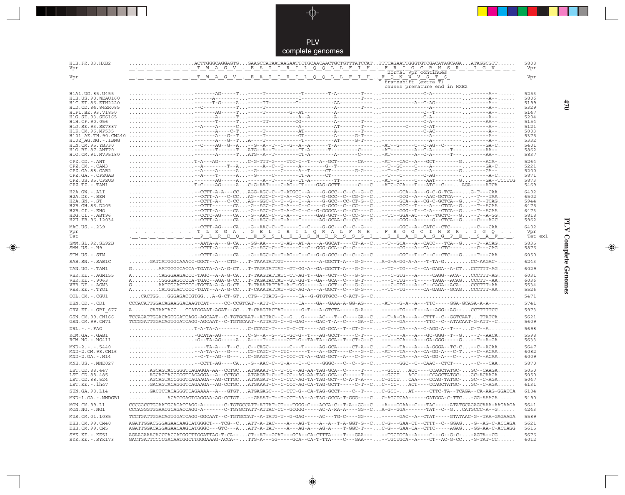PLV complete genomes

---

 $\begin{picture}(120,140)(-6.5,14.0) \put(0,0){\vector(0,1){10}} \put(15,0){\vector(0,1){10}} \put(15,0){\vector(0,1){10}} \put(15,0){\vector(0,1){10}} \put(15,0){\vector(0,1){10}} \put(15,0){\vector(0,1){10}} \put(15,0){\vector(0,1){10}} \put(15,0){\vector(0,1){10}} \put(15,0){\vector(0,1){10}} \put(15,0){\vector(0,1){10}} \put(15,0){\vector(0,1){10}}$ 

 $\begin{tabular}{c} \hline \quad \quad & \quad \quad \\ \hline \quad \quad & \quad \quad \\ \hline \end{tabular}$ 

| H1B.FR.83.HXB2<br>Vpr                   | $\ldots \ldots \ldots \ldots$ .ACTTGGGCAGGAGTGGAAGCCATAATAAGAATTCTGCAACAACTGCTGTTTATCCATTTTCAGAATTGGGTGTCGACATAGCAGAATAGGCGTT<br>. T W A G V . E A I I R I L Q Q L L F I H . F R I G C R H S R . I G V                                                                                                                                                 | 5808<br>Vpr  |
|-----------------------------------------|--------------------------------------------------------------------------------------------------------------------------------------------------------------------------------------------------------------------------------------------------------------------------------------------------------------------------------------------------------|--------------|
| Vpr                                     | normal Vpr continues                                                                                                                                                                                                                                                                                                                                   | Vpr          |
|                                         | $frameshift$ ( $ext{extn}$ T)<br>causes premature end in HXB2                                                                                                                                                                                                                                                                                          |              |
| H1A1.UG.85.U455                         |                                                                                                                                                                                                                                                                                                                                                        | 5253         |
| H1B. US. 90. WEAU160                    |                                                                                                                                                                                                                                                                                                                                                        | 5806         |
| H1C.ET.86.ETH2220<br>H1D.CD.84.84ZR085  |                                                                                                                                                                                                                                                                                                                                                        | 5199<br>5329 |
| H1F1.BE.93.VI850                        |                                                                                                                                                                                                                                                                                                                                                        | 5147         |
| H1G.SE.93.SE6165                        |                                                                                                                                                                                                                                                                                                                                                        | 5204         |
| H1H.CF.90.056<br>H1J.SE.93.SE7887       |                                                                                                                                                                                                                                                                                                                                                        | 5154<br>5121 |
| H1K.CM.96.MP535                         |                                                                                                                                                                                                                                                                                                                                                        | 5003         |
| H101 AE.TH.90.CM240                     |                                                                                                                                                                                                                                                                                                                                                        | 5375         |
| H102 AG.NG.-.IBNG<br>H1N. CM. 95. YBF30 | $\ldots \ldots \ldots \ldots \ldots \ldots$                                                                                                                                                                                                                                                                                                            | 5332         |
| H1O.BE.87.ANT70                         | --T------TATG--A--T--------CT-A------T---------C-----AT---------A--C-A------T--------AA--                                                                                                                                                                                                                                                              | 5401<br>5862 |
| H1O.CM.91.MVP5180                       |                                                                                                                                                                                                                                                                                                                                                        | 5837         |
| $CPZ$ . $CD$ . - .ANT                   |                                                                                                                                                                                                                                                                                                                                                        | 5264         |
| CPZ.CM. - . CAM3                        | $\ldots\ldots\ldots\ldots\ldots\ldots\vdots$ $\vdots$ $\vdots$ $\vdots$ $\vdots$ $\vdots$ $\vdots$ $\vdots$ $\vdots$ $\vdots$ $\vdots$ $\vdots$ $\vdots$ $\vdots$ $\vdots$ $\vdots$ $\vdots$ $\vdots$ $\vdots$ $\vdots$ $\vdots$ $\vdots$ $\vdots$ $\vdots$ $\vdots$ $\vdots$ $\vdots$ $\vdots$ $\vdots$ $\vdots$ $\vdots$ $\vdots$ $\vdots$ $\vdots$  | 5221         |
| CPZ.GA.88.GAB2                          | $\ldots\ldots\ldots\ldots\ldots\ldots\ldots\vdots$ $\vdots$ $\vdots$ $\vdots$ $\vdots$ $\vdots$ $\vdots$ $\vdots$ $\vdots$ $\vdots$ $\vdots$ $\vdots$ $\vdots$ $\vdots$ $\vdots$ $\vdots$ $\vdots$ $\vdots$ $\vdots$ $\vdots$ $\vdots$ $\vdots$ $\vdots$ $\vdots$ $\vdots$ $\vdots$ $\vdots$ $\vdots$ $\vdots$ $\vdots$ $\vdots$ $\vdots$ $\vdots$ $\$ | 5200         |
| CPZ.GA.-.CPZGAB<br>CPZ.US.85.CPZUS      | ------AG-----A-----A--T-----G--CT-A---------TT----------AT--G----C---AAT--------G-----GA--TCCTTG                                                                                                                                                                                                                                                       | 5871<br>5873 |
| $CPZ.TZ. - . TAN1$                      |                                                                                                                                                                                                                                                                                                                                                        | 5469         |
| H2A.GW.-.ALI                            | --CCTT-A-A---CCAGG-AGC-C--T-ATGCC--A----G-GCC--C--C--G--C------GCA--A---G-C-G-TCA---G-T---CAA                                                                                                                                                                                                                                                          | 6492         |
| $H2A.DE. -.BEN$                         | $\ldots\ldots\ldots\ldots\ldots\ldots\ldots$ - CCTT-A---C-CC $\ldots$ AG--AGC-C--T-A--CC--A----G-GCC--C--CG-G--C $\ldots\ldots\ldots\ldots$ -GCG--A---AAC-GCTCA--- $\ldots\ldots\ldots\ldots\ldots\ldots$                                                                                                                                              | 6502         |
| $H2A.SN.-.ST$                           | -CCTT-A---C-CCAG--GGC-C--T--G--C--A----G-GCC--CC-CT-G--C-----GCA--A--CG-C-GCTCA--G--T--TCAG                                                                                                                                                                                                                                                            | 5944         |
| H2B.GH.86.D205<br>H2B.CI.-.EHO          | $\ldots\ldots\ldots\ldots\ldots\ldots\ldots\ldots$ - CCTT------- CA. -G--AGC-C--T-A---C--C----G-GCC--C---C----C. ------GCC--T----A---CTCA--G. --T--ACAA.<br>$\ldots\ldots\ldots\ldots\ldots\ldots\ldots\ldots$ - CCTT-A-----CA-G--AGC-C--T-A-C-C--C--G-GGGCA--C--CC----C------GGG--T--C-A---CTCA--G--T--ACAA                                           | 6475<br>6473 |
| $H2G.CI.-.ABT96$                        | -CCTC-AG----CA-G--AAC-C--T-A---C-----GAG-GCT--C--CC-G--C--TC--GGA-AC---A--TGCTC---G--T--A-GG                                                                                                                                                                                                                                                           | 5818         |
| H2U.FR.96.12034                         | $\ldots\ldots\ldots\ldots\ldots\ldots\ldots\ldots$ - CCTT-A----- CA $\ldots$ -G--AGC-C--T-A---C------AG-GCAA-C--CC----C $\ldots\ldots\ldots$ -GGG--A-----G--CTCA--G $\ldots\ldots\ldots\ldots$                                                                                                                                                         | 5962         |
| MAC.US.-.239                            | $\ldots \ldots \cdot$ - CCTT-AG----CA-G--AAC-C--T-----C--C---G-GC---C--G---------GGC--A--CATC--CTC------C---CAA                                                                                                                                                                                                                                        | 6402         |
| Vpr                                     |                                                                                                                                                                                                                                                                                                                                                        | Vpr          |
| Tat                                     |                                                                                                                                                                                                                                                                                                                                                        | Tat ex1      |
| SMM.SL.92.SL92B<br>$SMM.US.-.H9$        | $\ldots\ldots\ldots\ldots\ldots\ldots\ldots$ - AATA-A---G-CA $\ldots$ -GG-AA-----T-AG--AT-A---A-GGCAT----CT-A--C--T--GCA---A--CACCC---TCA--G--T--ACAG<br>$\ldots\ldots\ldots\ldots\ldots\ldots\ldots$ - CCTT-A-----CA $\ldots$ -G--AGC-C--T-----C--C--GGG-GCA--C--C------ , , ------GG---A--CA----CTC---- , , --C---CAG , , , , , ,                    | 5835<br>5876 |
| STM.US.-.STM                            | --CCTT-A-----CA-G--AGC-C--T-AG--C--G-G-GCC--C--G--G--C------GGC--T--C--CTC---G--T---CAA                                                                                                                                                                                                                                                                | 6050         |
| SAB.SN.-.SAB1C                          | .GATCATGGGCAAACC-GGCT--A---CTG-T-TAAATATTGT-----------A-GGCTT-A---G-G---A-G-A-GG-A-A---T-TA-GCC-AAGAC-                                                                                                                                                                                                                                                 | 6243         |
| TAN.UG.-.TAN1                           | $G.\ldots\dots\ldots$ AATGGGGCACCA-TGATA-A-A-G-CT $\ldots$ .T-TAGATATTAT--GT-GG-A--GA-GGCTT-A---G-G--- $\ldots$ .--TC--TG---C--CA-GAGA--A-CT $\ldots$ .CCTTTT-AG $\ldots\dots$                                                                                                                                                                         | 6029         |
| VER. KE. - . AGM155                     | ACAGGGAAGACCC-TAGC--A-A-G-CAT-TAAGTATTATC-CT-AG-T--GA--GCT--C---G-G------C-GTG---A-----CAGG--ACA-CCCTTT-AG                                                                                                                                                                                                                                             | 6031         |
| VER.KE. - . 9063                        | ACGGGAGCCCCA-TGAC--AGA-G-CCT-TAGATACTAT--GT-GG-T--GA--GCA--C---G-T------C-TTG---T----TAGA--ACAGCCCTT--AA                                                                                                                                                                                                                                               | 6036         |
| VER.DE. - . AGM3<br>VER.KE. - . TYO1    | $G.\ldots\dots\dots$ AATCGCACTCCC-TGCTA-A-A-G-CTT-TAAATATTAT-A-T-GG-----A--GCT--C---G-G------C-GTG---A--C--CAGA--ACA-CCCTTT-AA<br>ACATGGTACTCCC-TGAT--A-A-G-CCT-CAAATATTAT--GC-AG-A---A-GGCT--C--G-G-----TC--TG------CA-GAGA--GCAGCCCTTT-AA                                                                                                            | 5534<br>5526 |
|                                         |                                                                                                                                                                                                                                                                                                                                                        | 5471         |
| COL.CM.-.CGU1                           |                                                                                                                                                                                                                                                                                                                                                        |              |
| DEN.CD. - .CD1                          | $CCACATTGGACAGAAGGACAAGTCAT---CC-CCGTCAT--ATT-C---CA---CA---GA--GAAA-A-GG-AG--- -AT---G-A--A---TTC---GAGA-GCAGA-A-A---.$                                                                                                                                                                                                                               | 5741         |
| GRV.ET. - .GRI 677                      | ACATAATACCCCATGGAAT-AGAT--GCT-CAAGTACTAT------G-T---A-GTCTA-----G-A---------TG---T---A--AGG--AG--CCTTTTTCC                                                                                                                                                                                                                                             | 5973         |
| GSN.CM.99.CN166<br>GSN.CM.99.CN71       | TCCAGATTGGACAGTGGATCAGG-AGCAAT--C-TGTGCAAT--ATTAC--C--GG-----AC---T--C---GA--C--T-A-GA---A--CTTT--C--GGTCAATTTATCA<br>TCCGGATTGGACAGTGGATCAGG-AGCAAT--C-TGTGCAAT--ATTATG-C--G-GAG----GAC-T-A--C----GA--C--T---GA-------TTC--C--ATACAAT-G-ATT--C                                                                                                        | 5621<br>5609 |
| $DRL - - - FAO$                         | $\ldots\ldots\ldots$ - A-TA-A-------- $\ldots$ C-CCAGC-T----T-C-CT-----AG-GCA--T--CT-G--- $\ldots\ldots\ldots$ --T---A--C-AGG-A--T--- $\ldots\ldots$ C-T--A $\ldots\ldots\ldots$                                                                                                                                                                       | 5698         |
| RCM.GA. - . GAB1                        | GCATA-AG------C-G--A--G--TC-GC-G--T---AG-GCCT-----C-T-----T----A---A--GC-GGG--T--G--T--AACA                                                                                                                                                                                                                                                            | 5598         |
| $RCM.NG. - . NG411$                     | -G--TA-AG-----AA----T--G----CCT-G--TA-TA--GCA--T--CT-G--C-----GCA---A---GA-GGG-----G--T--A-GA                                                                                                                                                                                                                                                          | 5633         |
| $MND-2. - - - 5440$                     | $\ldots \ldots \ldots \ldots \ldots \ldots -A-TA-A--G--\ldots \ldots$ CG-CAGC-T--CTC------T---A--GCT----C---G--C-AT---TA---A--CA-GG-A---C-T--C--ACAA                                                                                                                                                                                                   | 5647         |
| MND-2.CM.98.CM16<br>$MND-2.GA.-.M14$    |                                                                                                                                                                                                                                                                                                                                                        | 6082<br>6009 |
|                                         | --CCTT-AG----CA-G--AAC-C--T-A---C--C---GGGC---C--G--G--C------GGC--C--CAAC--CTCT-----C---CAA                                                                                                                                                                                                                                                           | 5870         |
| MNE.US.-.MNE027                         |                                                                                                                                                                                                                                                                                                                                                        |              |
| LST.CD.88.447<br>LST.CD.88.485          | AGCAGTACCGGGTCAGAGGA-AA--CCTGCATGAAAT-C--T-CC--AG-AA-TAG-GCA--C----T-----GCCTACC----CCAGCTATGC-GC--CAAGA<br>$\ldots\ldots\ldots$ AGCAGTACCGGGTCAGAGGA - -A--CCTGC $\ldots$ ATGAGAT-C--T-CC--AG-AA-TAG-GCA--C-----T--- $\ldots\ldots$ -GCCT $\ldots$ ACC----CCAGCTATGC- $\ldots$ .GC-ACAAGA $\ldots\ldots$                                              | 5050<br>5050 |
| LST.CD.88.524                           | AGCAGTACCGGGTCAGAAGA--AG-CTTGCATGAGAT-C--C-CTT-AG-TA-TAG-GCT--C-A-T-A---C-GCCTCAA----CCAG-TATGC-GC--C-AGA                                                                                                                                                                                                                                              | 5047         |
| LST.KE.-.1ho7                           | GACAGTACAGGGTCAGAAGA--AG-CCTGCATGAAAT-C--C-CCC-AG-CA-TAG-GCTT-----C-T--CC--CC-ACT----CCAGCTATGC-GC--C-AGA                                                                                                                                                                                                                                              | 6131         |
| SUN.GA.98.L14                           | GACTCTACAGGGTCAGAAAA--A---GTGTATGAGAGC---C-CTT-G--CA-TAG-GCCT----C--T---C-GCC-AT-----CTTC-TA--TCAGA--CA-AAG-GGATCA                                                                                                                                                                                                                                     | 6184         |
| MND-1.GA.-.MNDGB1                       | $\ldots \ldots \ldots$ .ACAGGGAGTGAGGAA-AG-CCTGT--GAAAT-T--T-CCT-AA--A-TAG-GCCA-T-GGG----CC-AGCTCAA------GATGGA-C-TTC-GG-AAAGA                                                                                                                                                                                                                         | 5490         |
| MON.CM.99.L1                            | CCCGGCCTGGAATGCAGACCAGG-A------C-TGTGCCATT-ATTAT-CT---TGGG-C---ACCA-C--T-A--GG--C-A---GGAA-C---TAC-----ATATGCAGAGCAAA-AAGAAGA                                                                                                                                                                                                                          | 5641         |
| MON.NG.-.NG1                            | CCCAGGGTGGAACGCAGACCAGG-A-------C-TGYGCTATT-ATTAC-CC--GCGGG-----AC-A-RA-A----GG--CA-G--GGA-------TAT--C--GCATGCCC-A--G                                                                                                                                                                                                                                 | 4243         |
| MUS.CM.01.1085                          | TCCTGATTGGACAGTGGATCAGG-GGCAAT--C-TGTGCCAT--A-TATG-T--G-GAG-----AC---TG-C----GG---------GAC--A--CTAT-----GTATAAC-G--TAA-GAGAAGA                                                                                                                                                                                                                        | 5589         |
| DEB.CM.99.CM40<br>DEB.CM.99.CM5         | AGATTGGACGGGAGAACAAGCATGGGCT---TCG--CATT-A-TAC----A---AG-T---A--A--T-A-GGT-G--CC-G---GAA-CT--CTTT--C--GGAG-G--AG-C-ACCAGA<br>AGATTGGACAGGAGAACAAGCATGGGC---GTC---AATT-A-TAT----A---AG-A---AG-A---T-GGC-T---C-G---GAA-CA--CTTC----AGAG-GG-AA-C-ACTAGG                                                                                                   | 5621<br>5615 |
| $SYK.KE. - .KE51$<br>SYK.KE. - . SYK173 | AGAAGAAACACCCACCATGGCTTGGATTAG-T-CA--CT--AT--GCAT---GCA--CA-CTTTA----T---GAA----TGCTGCA--A----C---G--G-C--AGTA--CG<br>$GACTGATTCCCCGCACAATGGCTTGGGAAAG-ACCA-- TTG-A---GG----GCA-CA-T-TTA----C---GAA--- - TGCTGCA--A----CT--AC-G-CC. G-TAT-CC.$                                                                                                         | 5676<br>6012 |

 $\blacklozenge$ 

# **PLV Complete Genomes 470 PLV Complete Genomes**

 $\Rightarrow$ 

 $\equiv$ 

 $470$ 

 $\Box$ 

<u> 1999 - 1999 - 1999 - 1999 - 1999 - 1999 - 1999 - 1999 - 1999 - 1999 - 1999 - 1999 - 1999 - 1999 - 1999 - 199</u>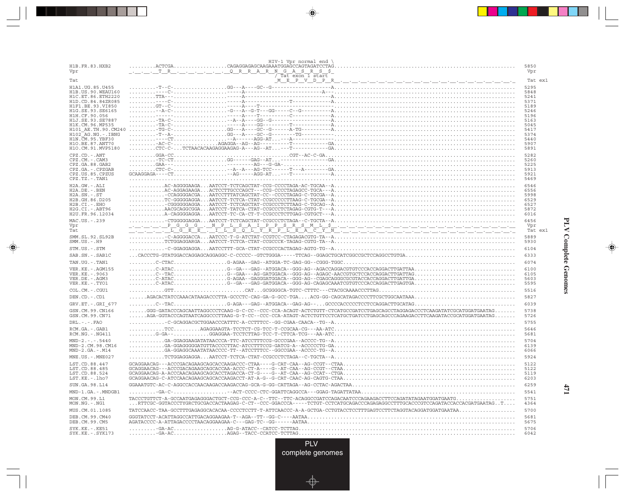|                                            | HIV-1 Vpr normal end \                                                                                                                                                                                                                                                                                                                                                                                                                                                                                     |              |
|--------------------------------------------|------------------------------------------------------------------------------------------------------------------------------------------------------------------------------------------------------------------------------------------------------------------------------------------------------------------------------------------------------------------------------------------------------------------------------------------------------------------------------------------------------------|--------------|
| H1B.FR.83.HXB2                             |                                                                                                                                                                                                                                                                                                                                                                                                                                                                                                            | 5850         |
| Vpr                                        | _.__._.TR_.__.__.__._.QRRARNGASRS\$<br>Tat exon 1 start                                                                                                                                                                                                                                                                                                                                                                                                                                                    | Vpr          |
| Tat                                        |                                                                                                                                                                                                                                                                                                                                                                                                                                                                                                            | Tat ex1      |
| H1A1. UG. 85. U455<br>H1B. US. 90. WEAU160 |                                                                                                                                                                                                                                                                                                                                                                                                                                                                                                            | 5295<br>5848 |
| H1C.ET.86.ETH2220                          |                                                                                                                                                                                                                                                                                                                                                                                                                                                                                                            | 5241         |
| H1D.CD.84.84ZR085                          |                                                                                                                                                                                                                                                                                                                                                                                                                                                                                                            | 5371         |
| H1F1.BE.93.VI850<br>H1G.SE.93.SE6165       |                                                                                                                                                                                                                                                                                                                                                                                                                                                                                                            | 5189<br>5246 |
| H1H.CF.90.056                              |                                                                                                                                                                                                                                                                                                                                                                                                                                                                                                            | 5196         |
| H1J.SE.93.SE7887<br>H1K.CM.96.MP535        |                                                                                                                                                                                                                                                                                                                                                                                                                                                                                                            | 5163<br>5045 |
| H101 AE.TH.90.CM240                        |                                                                                                                                                                                                                                                                                                                                                                                                                                                                                                            | 5417         |
| $H102-AG.NG. -.IBNG$<br>H1N. CM. 95. YBF30 |                                                                                                                                                                                                                                                                                                                                                                                                                                                                                                            | 5374<br>5440 |
| H1O.BE.87.ANT70                            |                                                                                                                                                                                                                                                                                                                                                                                                                                                                                                            | 5907         |
| H1O.CM.91.MVP5180                          | $\ldots \ldots \ldots \text{CTC-C-}\ldots \text{CTCTAACACAAGAGAGAAGAG-A---AG--AT}\ldots \text{--}\ldots \text{--}\ldots \text{--}\ldots \text{--}\ldots \text{--}\ldots \text{--}\ldots \text{--}\ldots \text{--}\ldots \text{--}\ldots \text{--}\ldots \text{--}\ldots \text{--}\ldots \text{--}\ldots \text{--}\ldots \text{--}\ldots \text{--}\ldots \text{--}\ldots \text{--}\ldots \text{--}\ldots \text{--}\ldots \text{--}\ldots \text{--}\ldots \text{--}\ldots \text{--}\ldots \text{--}\ldots \$ | 5891         |
| $CPZ$ . $CD$ . $-ANT$<br>CPZ.CM.-.CAM3     |                                                                                                                                                                                                                                                                                                                                                                                                                                                                                                            | 5282<br>5260 |
| CPZ.GA.88.GAB2                             |                                                                                                                                                                                                                                                                                                                                                                                                                                                                                                            | 5225         |
| CPZ.GA. - . CPZGAB                         |                                                                                                                                                                                                                                                                                                                                                                                                                                                                                                            | 5913         |
| CPZ.US.85.CPZUS<br>CPZ.TZ.-.TAN1           |                                                                                                                                                                                                                                                                                                                                                                                                                                                                                                            | 5921<br>5469 |
| H2A.GW.-.ALI                               |                                                                                                                                                                                                                                                                                                                                                                                                                                                                                                            | 6546         |
| $H2A.DE. -.BEN$                            |                                                                                                                                                                                                                                                                                                                                                                                                                                                                                                            | 6556         |
| $H2A.SN.-.ST$<br>H2B.GH.86.D205            |                                                                                                                                                                                                                                                                                                                                                                                                                                                                                                            | 5998<br>6529 |
| $H2B.CI.-.EHO$                             |                                                                                                                                                                                                                                                                                                                                                                                                                                                                                                            | 6527         |
| H2G.CI.-.ABT96<br>H2U.FR.96.12034          |                                                                                                                                                                                                                                                                                                                                                                                                                                                                                                            | 5872<br>6016 |
| MAC.US. - . 239                            |                                                                                                                                                                                                                                                                                                                                                                                                                                                                                                            | 6456         |
| Vpr                                        |                                                                                                                                                                                                                                                                                                                                                                                                                                                                                                            | Vpr          |
| Tat                                        |                                                                                                                                                                                                                                                                                                                                                                                                                                                                                                            | Tat ex1      |
| SMM. SL. 92. SL92B<br>$SMM.US.-.H9$        |                                                                                                                                                                                                                                                                                                                                                                                                                                                                                                            | 5889<br>5930 |
| STM.US.-.STM                               |                                                                                                                                                                                                                                                                                                                                                                                                                                                                                                            | 6104         |
| SAB.SN. - . SAB1C                          |                                                                                                                                                                                                                                                                                                                                                                                                                                                                                                            | 6333         |
| TAN.UG. - . TAN1                           |                                                                                                                                                                                                                                                                                                                                                                                                                                                                                                            | 6074         |
| VER. KE. - . AGM155                        |                                                                                                                                                                                                                                                                                                                                                                                                                                                                                                            | 6100         |
| VER. KE. - . 9063<br>VER.DE. - . AGM3      |                                                                                                                                                                                                                                                                                                                                                                                                                                                                                                            | 6105<br>5603 |
| VER.KE. - . TYO1                           |                                                                                                                                                                                                                                                                                                                                                                                                                                                                                                            | 5595         |
| COL.CM. - . CGU1                           |                                                                                                                                                                                                                                                                                                                                                                                                                                                                                                            | 5516         |
| DEN.CD. - . CD1                            |                                                                                                                                                                                                                                                                                                                                                                                                                                                                                                            | 5827         |
| GRV.ET. - . GRI 677                        |                                                                                                                                                                                                                                                                                                                                                                                                                                                                                                            | 6039         |
| GSN.CM.99.CN166<br>GSN.CM.99.CN71          | $\ldots \ldots$ GGG-GATACCCAGCAATTAGGCCCTCAAG-G-C-CC--CCC-CCA-ACAGT-ACTCTGTT-CTCATGCCGATCCTGAGCAGCCTAGGAGACCCTCAAGATATCGCATGGATGAATAG<br>$\ldots\ldots$ AGA-GGTACCCAGTAATCAGGCCCTTAAG-G-T-CC--CCC-CCA-ATAGT-ACTCTGTTCCTCATGCTGATCCTGAGCAGCCCAGAAGACCTTCAAGATACCGCATGGATGAATAG                                                                                                                                                                                                                              | 5738<br>5726 |
| $DRL$ . - . - . $FAO$                      |                                                                                                                                                                                                                                                                                                                                                                                                                                                                                                            | 5755         |
| RCM.GA.-.GAB1                              |                                                                                                                                                                                                                                                                                                                                                                                                                                                                                                            | 5646         |
| $RCM.NG. - . NG411$                        |                                                                                                                                                                                                                                                                                                                                                                                                                                                                                                            | 5681         |
| $MND-2. - - - 5440$                        |                                                                                                                                                                                                                                                                                                                                                                                                                                                                                                            | 5704         |
| MND-2.CM.98.CM16<br>$MND-2.GA.-.M14$       |                                                                                                                                                                                                                                                                                                                                                                                                                                                                                                            | 6139<br>6066 |
| MNE.US. - . MNE027                         |                                                                                                                                                                                                                                                                                                                                                                                                                                                                                                            | 5924         |
| LST.CD.88.447                              |                                                                                                                                                                                                                                                                                                                                                                                                                                                                                                            | 5122         |
| LST.CD.88.485                              |                                                                                                                                                                                                                                                                                                                                                                                                                                                                                                            | 5122         |
| LST.CD.88.524<br>LST.KE.-.lho7             | $GCRGGAACAG - C-ATCCCAACAGGAGCAGCACCAAGACCT - AT - A-G - G-CAT-CAAC-AG-CAGTG-CTAA$                                                                                                                                                                                                                                                                                                                                                                                                                         | 5119<br>6203 |
| SUN.GA.98.L14                              |                                                                                                                                                                                                                                                                                                                                                                                                                                                                                                            | 6259         |
| MND-1.GA.-.MNDGB1                          |                                                                                                                                                                                                                                                                                                                                                                                                                                                                                                            | 5541         |
| MON.CM.99.L1                               |                                                                                                                                                                                                                                                                                                                                                                                                                                                                                                            | 5751         |
| MON.NG.-.NG1                               | $\ldots$ RTTCGC-GGTACCCTYGRCTGCGACCACTAAGAG-C-CT--CCC-GGACCCA-----TCTGT-CCTCATGCAGACCCAGAGAGGCCTTTGCACCCGTCCAGATACCACCACGATGAATAGT                                                                                                                                                                                                                                                                                                                                                                         | 4364         |
| MUS.CM.01.1085                             |                                                                                                                                                                                                                                                                                                                                                                                                                                                                                                            | 5700         |
| DEB. CM. 99. CM40<br>DEB.CM.99.CM5         | $GGGTATCCT-ACATTAGGCCATTGACAGGABGAA-TT-AGA---TT--GG-C---AATAA$<br>$AGATACCCC-A-ATTAGACCCCTAACAGGAAGAA-C---GAG-TC--GG------AATAA$                                                                                                                                                                                                                                                                                                                                                                           | 5681<br>5675 |
| SYK.KE. - . KE51                           |                                                                                                                                                                                                                                                                                                                                                                                                                                                                                                            | 5706         |
| SYK.KE. - . SYK173                         |                                                                                                                                                                                                                                                                                                                                                                                                                                                                                                            | 6042         |

. . .

 $\blacklozenge$ 

 $\frac{1}{\sqrt{2}}$ 

### **PLV Complete Genomes PLV Complete Genomes**

 $\begin{picture}(20,5) \put(0,0){\line(1,0){10}} \put(15,0){\line(1,0){10}} \put(15,0){\line(1,0){10}} \put(15,0){\line(1,0){10}} \put(15,0){\line(1,0){10}} \put(15,0){\line(1,0){10}} \put(15,0){\line(1,0){10}} \put(15,0){\line(1,0){10}} \put(15,0){\line(1,0){10}} \put(15,0){\line(1,0){10}} \put(15,0){\line(1,0){10}} \put(15,0){\line(1,$ 

 $\overline{\phantom{0}}$ 

<u>a mana</u>

л

**471**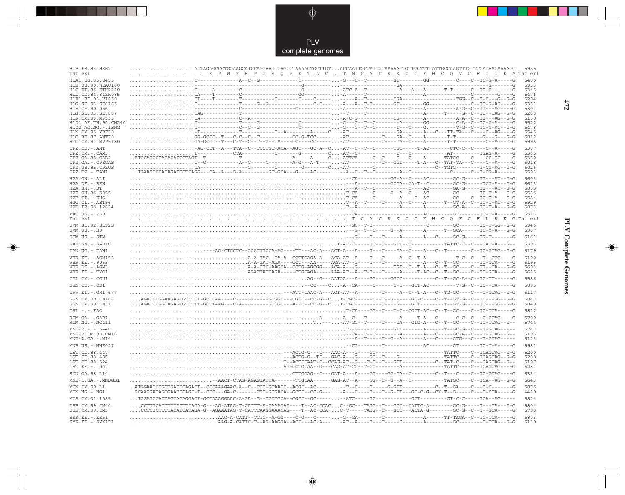

 $\Rightarrow$ 

 $\mathbb{R}$ 

| H1B.FR.83.HXB2<br>Tat ex1                | LEPWKHPGSQPKTAC. TNCYCKKCCFHCQVCFITKATatex1                                                                                                                                                                                                                                                                                  | 5955         |
|------------------------------------------|------------------------------------------------------------------------------------------------------------------------------------------------------------------------------------------------------------------------------------------------------------------------------------------------------------------------------|--------------|
| H1A1.UG.85.U455                          |                                                                                                                                                                                                                                                                                                                              | 5400         |
| H1B.US.90.WEAU160<br>H1C.ET.86.ETH2220   |                                                                                                                                                                                                                                                                                                                              | 5953<br>5345 |
| H1D.CD.84.84ZR085                        |                                                                                                                                                                                                                                                                                                                              | 5476         |
| H1F1.BE.93.VI850                         |                                                                                                                                                                                                                                                                                                                              | 5294         |
| H1G.SE.93.SE6165<br>H1H.CF.90.056        |                                                                                                                                                                                                                                                                                                                              | 5351<br>5301 |
| H1J.SE.93.SE7887                         |                                                                                                                                                                                                                                                                                                                              | 5268         |
| H1K.CM.96.MP535<br>H101 AE.TH.90.CM240   |                                                                                                                                                                                                                                                                                                                              | 5150<br>5522 |
| $H102$ AG. NG. - TBNG                    |                                                                                                                                                                                                                                                                                                                              | 5478         |
| H1N.CM.95.YBF30                          | . -T--------------T------------C--A-------A-----C -AT----------------GA-------A---C---TT-TA---C---C--AG----G                                                                                                                                                                                                                 | 5545         |
| H10.BE.87.ANT70<br>H1O.CM.91.MVP5180     | GG-GCCC--T---C-C--T----------CC-G-TCC------AT----------------GA--C---A-------T-T---------G---G---G-G-                                                                                                                                                                                                                        | 6012<br>5996 |
| CPZ.CD. - . ANT                          | -AC-CCT--A---TTA--C--TCCTGC-ACA--AGC---GC-A--C-AT--C--T--C------TGC-----T-AC-------CTC-C--C---C--A-----G                                                                                                                                                                                                                     | 5387         |
| CPZ.CM.-.CAM3                            |                                                                                                                                                                                                                                                                                                                              | 5365         |
| CPZ.GA.88.GAB2                           |                                                                                                                                                                                                                                                                                                                              | 5350         |
| CPZ.GA. - . CPZGAB<br>CPZ.US.85.CPZUS    |                                                                                                                                                                                                                                                                                                                              | 6018<br>6026 |
| $CPZ.TZ.-.TAN1$                          | TGAATCCCATAGATCCTCAGG---CA--A---G-A--------GC-GCA---G----AC----- --A--C--T--C-------A--C------------C------C--T-CG-A------                                                                                                                                                                                                   | 5593         |
| H2A.GW.-.ALI                             |                                                                                                                                                                                                                                                                                                                              | 6603         |
| H2A.DE. - .BEN                           |                                                                                                                                                                                                                                                                                                                              | 6613         |
| $H2A.SN.-.ST$<br>H2B.GH.86.D205          |                                                                                                                                                                                                                                                                                                                              | 6055<br>6586 |
| $H2B.CI.-.EHO$                           |                                                                                                                                                                                                                                                                                                                              | 6584         |
| H2G.CI.-.ABT96                           |                                                                                                                                                                                                                                                                                                                              | 5929         |
| H2U.FR.96.12034                          |                                                                                                                                                                                                                                                                                                                              | 6073         |
| MAC.US.-.239<br>Tat ex1                  |                                                                                                                                                                                                                                                                                                                              | 6513         |
| SMM.SL.92.SL92B                          |                                                                                                                                                                                                                                                                                                                              | 5946         |
| $SMM.US.-.H9$                            |                                                                                                                                                                                                                                                                                                                              | 5987         |
| STM.US.-.STM                             |                                                                                                                                                                                                                                                                                                                              | 6161         |
| SAB.SN.-.SAB1C                           |                                                                                                                                                                                                                                                                                                                              | 6393         |
| TAN.UG. - . TAN1                         | --AG-CTCCTC--GGACTTGCA-AG----TT---AC-A---ACT-A---A----T---C----GA--C----A---C--T-------C--TC-GCAG--G-G                                                                                                                                                                                                                       | 6179         |
| VER. KE. - . AGM155                      |                                                                                                                                                                                                                                                                                                                              | 6190         |
| VER.KE. - . 9063                         |                                                                                                                                                                                                                                                                                                                              | 6195         |
| VER.DE. - . AGM3<br>VER.KE. - . TYO1     |                                                                                                                                                                                                                                                                                                                              | 5693<br>5685 |
| COL.CM. - . CGU1                         |                                                                                                                                                                                                                                                                                                                              | 5586         |
|                                          | $\dots\dots\dots\dots\dots\dots\dots\dots\dots\dots\dots AG-cG--AATGA--A---GG----GGC-------------C--T--GC-A--C--TC-TT----G$                                                                                                                                                                                                  |              |
| DEN.CD. - .CD1                           | --CC----C-A--CA-----C------C-C---GCT-AC--------T-G--C--TC--CA-----G                                                                                                                                                                                                                                                          | 5895         |
| GRV.ET. - .GRI 677                       | . - - - ATT-CAAC-A---ACT-AT--A---------C----A--C--T-A---C--TG-GC----C---C-GCAG--G-G                                                                                                                                                                                                                                          | 6117         |
| GSN.CM.99.CN166<br>GSN.CM.99.CN71        | AGACCCGGAAGAGTGTCTCT-GCCCAA----C---G------GCGGC---CGCC--CC-G--CT-TGC-------C--C--G------GC-C----C--T--GT-G--C--TC---GG--G-G<br>$\ldots\ldots\text{AGACCGGCGCAGAGTGTCTTT-GCCTAAG---C-A--G---A--GCCGC---A--C--CC-G--C\ldots\ldots\text{T-TGC-----C---G---G--GCT-------C----G--G---C---T--GT-----TC---G--G--G--G--G--G--G--G-.$ | 5861<br>5849 |
| DRL.-.-.FAO                              |                                                                                                                                                                                                                                                                                                                              | 5812         |
| RCM.GA. - . GAB1                         |                                                                                                                                                                                                                                                                                                                              | 5709         |
| RCM.NG. - . NG411                        |                                                                                                                                                                                                                                                                                                                              | 5744         |
| $MND-2. - - - 5440$                      |                                                                                                                                                                                                                                                                                                                              | 5761         |
| MND-2.CM.98.CM16                         |                                                                                                                                                                                                                                                                                                                              | 6196         |
| $MND-2.GA.-.M14$                         |                                                                                                                                                                                                                                                                                                                              | 6123         |
| $MNE . US . - . MNE027$                  |                                                                                                                                                                                                                                                                                                                              | 5981         |
| LST.CD.88.447                            |                                                                                                                                                                                                                                                                                                                              | 5200         |
| LST.CD.88.485<br>LST.CD.88.524           |                                                                                                                                                                                                                                                                                                                              | 5200<br>5197 |
| LST.KE.-.lho7                            |                                                                                                                                                                                                                                                                                                                              | 6281         |
| SUN.GA.98.L14                            |                                                                                                                                                                                                                                                                                                                              | 6334         |
| MND-1.GA.-.MNDGB1                        |                                                                                                                                                                                                                                                                                                                              | 5643         |
| MON.CM.99.L1                             | .ATGGAACCTGTTGACCCAGACT--CCCAAAGAAC-A--C--CCC-GCAACC--ACGC--AC----- -T--C---T-----G-GTT----------C--T--GA----C--C------G                                                                                                                                                                                                     | 5876         |
| $MON.NG. - . NG1$                        | GCAASGATAGTGAACCCAGC-T--CCC---GA-C------CTC-GCGACA--GCTC--CC-G----A---C---T---C--G-TT---GC-C-G--CY-T--G----C--C-CCA-----G                                                                                                                                                                                                    | 4489         |
| MUS.CM.01.1085                           | TGGATCCATCAGTAGAGGAGT-GCCAAAGGAAC-A-GA--G--TGCCGCA--GGCC--GC-------ATC-----TC---------GCT--------GT-C-C-----TCA--AG-----                                                                                                                                                                                                     | 5824         |
| DEB.CM.99.CM40<br>DEB.CM.99.CM5          | .CCTTTCACCTTTGCTTCAGA-G---AG-ATAG-T-CATTT-A-GAAAGAG----T--AC-CCACC--GC---TATG--C---GCC--CATTC-A-------GC-G-----T---CA---G-G.<br>CCTCTCTTTTACATCATAGA-G--AGAAATAG-T-CATTCAAGGAAACAG----T--AC-CCA-C-T-----TATG--C---GCC---ACTA-G-------GC-G--C--T--GCA-----G                                                                   | 5804<br>5798 |
| $SYK.KE. - .KE51$<br>$SYK.KE. - .SYK173$ | AAG-A-CATTC-T--AG-AAGGA--ACC---AC-A----AT--A----T---C-----C-------A---------GC<br>-----C-TCA---G-G                                                                                                                                                                                                                           | 5803<br>6139 |

 $\blacklozenge$ 

**PLV Complete Genomes 472 PLV Complete Genomes** 

 $\Rightarrow$ 

 $\overline{\phantom{0}}$ 

 $472$ 

 $\blacksquare$ 

<u> 1900 - 1911 - 1911 - 1911 - 1911 - 1911 - 1911 - 1911 - 1911 - 1911 - 1911 - 1911 - 1911 - 1911 - 1911 - 191</u>

- 1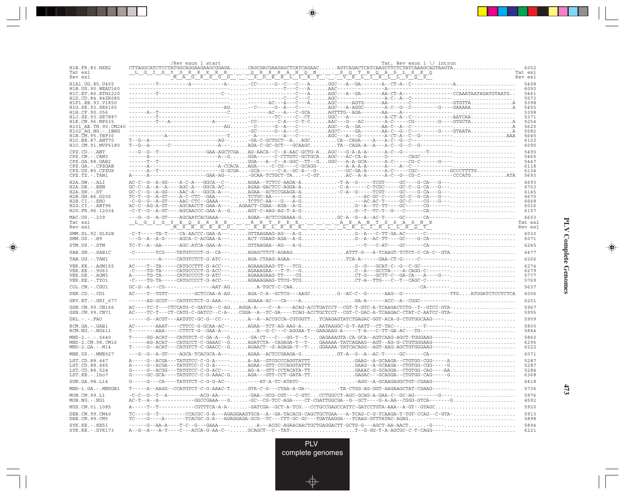|                                            | /Rev exon 1 start                                                                                                                                                                                                         |  | Tat, Rev exon $1 \setminus$ intron                                                |                    |
|--------------------------------------------|---------------------------------------------------------------------------------------------------------------------------------------------------------------------------------------------------------------------------|--|-----------------------------------------------------------------------------------|--------------------|
| H1B.FR.83.HXB2<br>Tat ex1                  |                                                                                                                                                                                                                           |  |                                                                                   | 6052<br>Tat ex1    |
| Rev ex1                                    |                                                                                                                                                                                                                           |  |                                                                                   | Rev ex1            |
| H1A1. UG. 85. U455<br>H1B. US. 90. WEAU160 |                                                                                                                                                                                                                           |  |                                                                                   | 5498<br>6050       |
| H1C.ET.86.ETH2220                          |                                                                                                                                                                                                                           |  |                                                                                   | 5461               |
| H1D.CD.84.84ZR085<br>H1F1.BE.93.VI850      |                                                                                                                                                                                                                           |  |                                                                                   | 5573<br>5398       |
| H1G.SE.93.SE6165                           |                                                                                                                                                                                                                           |  |                                                                                   | 5455               |
| H1H.CF.90.056<br>H1J.SE.93.SE7887          |                                                                                                                                                                                                                           |  |                                                                                   | 5398<br>5371       |
| H1K.CM.96.MP535                            |                                                                                                                                                                                                                           |  |                                                                                   | 5254               |
| H101 AE.TH.90.CM240<br>H102 AG.NG.-.IBNG   |                                                                                                                                                                                                                           |  |                                                                                   | 5620<br>5582       |
| H1N.CM.95.YBF30                            |                                                                                                                                                                                                                           |  |                                                                                   | 5645               |
| H1O.BE.87.ANT70<br>H1O.CM.91.MVP5180       | $T-G - A-------------------------AG--\ldots.\\-GG-C-GCTGCT--A\ldots.\\AGC\ldots.\\CA-CAGA---A--A---C--G--C-----------------.\\CAGA--A--C--G--C----------------------------\\$                                             |  |                                                                                   | 6103<br>6090       |
| CPZ.CD. - . ANT                            |                                                                                                                                                                                                                           |  |                                                                                   | 5490               |
| $CPZ.CM. - . CAM3$                         |                                                                                                                                                                                                                           |  |                                                                                   | 5465               |
| CPZ.GA.88.GAB2<br>CPZ.GA. - . CPZGAB       |                                                                                                                                                                                                                           |  |                                                                                   | 5447<br>6118       |
| CPZ.US.85.CPZUS                            |                                                                                                                                                                                                                           |  |                                                                                   | 6134               |
| CPZ.TZ.-.TAN1                              |                                                                                                                                                                                                                           |  |                                                                                   | 5693               |
| $H2A.GW. - .ALI$                           |                                                                                                                                                                                                                           |  |                                                                                   | 6693<br>6703       |
| H2A.DE. - .BEN<br>$H2A.SN.-.ST$            |                                                                                                                                                                                                                           |  |                                                                                   | 6145               |
| H2B.GH.86.D205                             |                                                                                                                                                                                                                           |  |                                                                                   | 6670               |
| H2B.CI.-.EHO<br>H2G.CI. - . ABT96          |                                                                                                                                                                                                                           |  |                                                                                   | 6668<br>6016       |
| H2U.FR.96.12034                            |                                                                                                                                                                                                                           |  |                                                                                   | 6157               |
| MAC.US.-.239                               |                                                                                                                                                                                                                           |  |                                                                                   | 6603               |
| Tat ex1<br>Rev ex1                         |                                                                                                                                                                                                                           |  |                                                                                   | Tat ex1<br>Rev ex1 |
| SMM.SL.92.SL92B<br>$SMM.US. - . H9$        |                                                                                                                                                                                                                           |  |                                                                                   | 6030<br>6071       |
| STM.US.-.STM                               |                                                                                                                                                                                                                           |  |                                                                                   | 6245               |
| SAB.SN.-.SAB1C                             | -C-------TCG----TATGTCCCT-G--CA---AGAGCTTCT-AGAAGATTT-G---A-TCAAGT-TCTCT-C-CA-C--GTA                                                                                                                                      |  |                                                                                   | 6477               |
| TAN.UG. - . TAN1                           |                                                                                                                                                                                                                           |  | ----A-----CATGTCTCT-G-ATC---AGA-CTAAG-AGAA----TCA-A-----GAA-CT-G-----C----------  | 6266               |
| VER. KE. - . AGM155                        |                                                                                                                                                                                                                           |  |                                                                                   | 6274               |
| VER.KE. - . 9063                           | $-{\tt C---TG-TA---\texttt{CATGCCCCT-G-ACC---}\dots\texttt{AGAACA-AA-AA-AA-AC}\xspace.$                                                                                                                                   |  |                                                                                   | 6279               |
| VER.DE. - . AGM3<br>VER.KE.-.TYO1          |                                                                                                                                                                                                                           |  |                                                                                   | 5777<br>5769       |
| COL.CM. - . CGU1                           |                                                                                                                                                                                                                           |  |                                                                                   | 5637               |
| DEN.CD. - .CD1                             |                                                                                                                                                                                                                           |  |                                                                                   | 6006               |
| GRV.ET. - . GRI 677                        |                                                                                                                                                                                                                           |  |                                                                                   | 6201               |
| GSN.CM.99.CN166<br>GSN.CM.99.CN71          | AC----TC-T---CTCCATG-C-GATCA--C-AGAGGA-A----C--A----ACAG-ACCTGATCCT--CGT-T-GTC-A-TCAAGACTCTG--T--GTCC-GTA-<br>AC----TC-T---CT-CATG-C-GATCC--C-A-CGGA--A--TC-GA-----TCAG-ACCTGCTCCT--CGT-C-GAC-A-TCAAGAC-CTAT-C-AATCC-GTA- |  |                                                                                   | 5967<br>5955       |
| $DRL - - -$ . $FAO$                        | ------G--ACGT---AATGTC-GC-G--CC---A--A--ACCGCCA-CGTGGTTTCAAGAGTATCTGAGAC-GGT-ACA-G-CTGTGGCAAG----                                                                                                                         |  |                                                                                   | 5909               |
| RCM.GA. - . GAB1                           |                                                                                                                                                                                                                           |  |                                                                                   | 5800               |
| $RCM.NG. - . NG411$                        |                                                                                                                                                                                                                           |  |                                                                                   | 5844               |
| $MND-2. - - - 5440$                        |                                                                                                                                                                                                                           |  |                                                                                   | 5860               |
| MND-2.CM.98.CM16<br>$MND-2.GA.-.M14$       | ------AG-ACAT---CATGCCT-C-GAAAC--GAGATCTA--CAGAGA-T--T-GAAAAA-TATCAGAAG--AGT--AG-G-CTGTGGGAAG-------<br>$\verb T---G--ACAT--CATGTCT-C-GAACC--GAGAACT--G-AGAGA-T--T-GGAAAA-TATCACAGG--AGT-AGCTGTGGGAAG---$                 |  |                                                                                   | 6296<br>6222       |
| MNE.US.-.MNE027                            |                                                                                                                                                                                                                           |  |                                                                                   | 6071               |
| LST.CD.88.447                              |                                                                                                                                                                                                                           |  |                                                                                   | 5287               |
| LST.CD.88.485                              | A-----G--ACGA---TATGTCC-C-G-A-----AGAA--GTT-CCCAGGTATTTGAAG--A-GCAAGA--CTGTGG-CGG-----G                                                                                                                                   |  |                                                                                   | 5287               |
| LST.CD.88.524<br>LST.KE.-.lho7             | $G---G---ACGG---TATGTCC-C-G-ACC---\ldots\ldots\ldots\ldots G-A--GTT-CCTACATA-TT\ldots\ldots\ldots\ldots\ldots GAAAC-G-GCAGGA--CTGTGG-CAG---AA\ldots\ldots\ldots\ldots\ldots\ldots\ldots\ldots$                            |  |                                                                                   | 5284<br>6368       |
| SUN.GA.98.L14                              |                                                                                                                                                                                                                           |  |                                                                                   | 6418               |
| MND-1.GA.-.MNDGB1                          | T-----A--AAGG--CCATGTCT-C-G-AAAC-TGTA-C-G---CTAA-A-GA--TA-CTGG-AG-GGT-AAGAAGCTAT-CGAAG------                                                                                                                              |  |                                                                                   | 5736               |
| MON.CM.99.L1                               |                                                                                                                                                                                                                           |  |                                                                                   | 5976               |
| $MON.NG. - . NG1$<br>MUS.CM.01.1085        | $AC-T--A--A----------GGCCGAAA---G. \ldots. -GC--CC-AGA---CT-CGATTGGCGA--G--GCT----G-A-AA--CGGG-GTCA------G. \ldots. \ldots. \ldots.$                                                                                      |  | ------CGTTTCA-A-A--GATCGA--GCT-A-TCG.--CCTGCCGAGCCATTC-GATCCTGTA-AAA--A-GT--GTAGC | 4592<br>5920       |
| DEB.CM.99.CM40                             | TC---G--T--------CCACGC-G-A---AGAGGAAGTGCA--A--GA-TACACG-CAGCTGCTGAA---A-TCAG-C-G-TCAAGA-T-TGT-CCAG--C-GTA-                                                                                                               |  |                                                                                   | 5913               |
| DEB.CM.99.CM5                              |                                                                                                                                                                                                                           |  |                                                                                   | 5898               |
| $SYK.KE. - .KE51$<br>SYK.KE. - . SYK173    | -----G--AA-A----T-C--G---GAAA----A---ACGC-AGAACAACTGCTGAGGACTT-GCTG-G---AGCT-AA-AACT-G----<br>A--G--A---A-T----C---ACCA-G-AA-C--GCAGCT--C--TAT-T--G-GG-T-A-AGCGC-C-T-CAGG-------                                          |  |                                                                                   | 5894<br>6221       |

<u>a shekara ta 1989</u>

 $\overrightarrow{\phantom{a}}$ 

 $\frac{\displaystyle \frac{\displaystyle \mathrm{d}}{\displaystyle \mathrm{d}}}{\displaystyle \frac{\displaystyle \mathrm{d}}{\displaystyle \mathrm{d}}}{\displaystyle \mathrm{d}}$ 

### **PLV Complete Genomes PLV Complete Genomes**

 $\begin{picture}(20,5) \put(0,0){\line(1,0){10}} \put(15,0){\line(1,0){10}} \put(15,0){\line(1,0){10}} \put(15,0){\line(1,0){10}} \put(15,0){\line(1,0){10}} \put(15,0){\line(1,0){10}} \put(15,0){\line(1,0){10}} \put(15,0){\line(1,0){10}} \put(15,0){\line(1,0){10}} \put(15,0){\line(1,0){10}} \put(15,0){\line(1,0){10}} \put(15,0){\line(1,$ 

 $\equiv$ 

 $\Box$ 

▁▏▁▊▊▏

 $\mathbf{I}$ 

**473**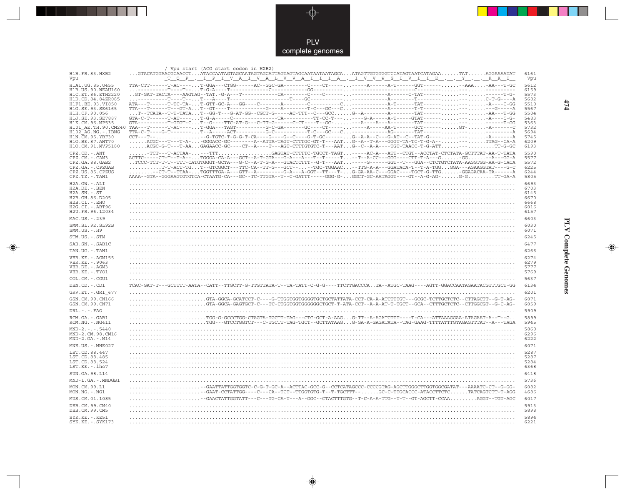

 $\overrightarrow{\mathbf{\P}}$ 

 $\begin{tabular}{c} \hline \quad \quad & \quad \quad \\ \hline \quad \quad & \quad \quad \\ \hline \end{tabular}$ 

| H1B.FR.83.HXB2                               | / Vpu start (ACG start codon in HXB2)<br>$\ldots$ GTACATGTAACGCAACCT $\ldots$ ATACCAATAGTAGCAATAGTAGCATTAGTAGTAGCAATAATAATAGCA $\ldots$ ATAGTTGTGTCGTAGTAATCATAGAA $\ldots\ldots$ TAT $\ldots\ldots$ AGGAAAATAT                                                                                                                                                                                                                  | 6161         |
|----------------------------------------------|----------------------------------------------------------------------------------------------------------------------------------------------------------------------------------------------------------------------------------------------------------------------------------------------------------------------------------------------------------------------------------------------------------------------------------|--------------|
| Vpu                                          | <u> T_Q_P_, _I_P_I_V_A_I_V_A_L_V_V_A_I_I_I_A_, _I_V_V_W_S_I_V_I_I_E_, _, _Y_, _, _R_K_I_</u>                                                                                                                                                                                                                                                                                                                                     | Vpu          |
| H1A1.UG.85.U455                              | TTA-CTT------T-AC----T-GGA---CTGG------AC--GGC-GA--------C---CT----------A------A-T------GGT--------AAA-AA---T-GC                                                                                                                                                                                                                                                                                                                | 5612         |
| H1B. US. 90. WEAU160<br>H1C.ET.86.ETH2220    |                                                                                                                                                                                                                                                                                                                                                                                                                                  | 6159<br>5573 |
| H1D.CD.84.84ZR085                            |                                                                                                                                                                                                                                                                                                                                                                                                                                  | 5682         |
| H1F1.BE.93.VI850<br>H1G.SE.93.SE6165         |                                                                                                                                                                                                                                                                                                                                                                                                                                  | 5510<br>5567 |
| H1H.CF.90.056                                |                                                                                                                                                                                                                                                                                                                                                                                                                                  | 5504         |
| H1J.SE.93.SE7887<br>H1K.CM.96.MP535          |                                                                                                                                                                                                                                                                                                                                                                                                                                  | 5483<br>5363 |
| H101 AE.TH.90.CM240<br>$H102-AG.NG. - .IBNG$ |                                                                                                                                                                                                                                                                                                                                                                                                                                  | 5732<br>5694 |
| H1N.CM.95.YBF30                              |                                                                                                                                                                                                                                                                                                                                                                                                                                  | 5745         |
| H10.BE.87.ANT70<br>H1O.CM.91.MVP5180         | ACGC---T---T-A--GGGACC-GC--------A--ATTA-TAGT-CTTTGC-GT-T---AATG--A--T-A---GGGT-TA-TC-T-G-A-----TTAG--CA-A<br>$\ldots \ldots \ldots \textsf{ACGC-G-T--T-AA}\ldots \textsf{GAGAACC-GC---CT--A---A--T---AGT-CTTTTGTGTC-T---AAT\ldots \textsf{G--C---A-A---TGT-TAACC-T-G-ATT\ldots \ldots \ldots \ldots \ldots \textsf{TT-G-GC}$                                                                                                    | 6209<br>6193 |
| CPZ.CD. - . ANT                              | $\ldots\ldots$ - TCT---T-ACTAA- $\ldots\ldots$ -- TTT $\ldots\ldots\ldots\ldots\ldots$ . GAGTAT-CTTTTC-TGCCT-TAGT $\ldots$ -----AC-A---ATT--CTGT--ACCTAT-CTCTATA-GCTTTAT-AA-T-TATA                                                                                                                                                                                                                                               | 5590         |
| CPZ.CM.-.CAM3                                | ACTTC-----CT-T--T-A--TGGGA-CA-A---GCT--A-T-GTA---G-A---A---T--T----T--T--A-CC---GGG----CTT-T-A---G-GG--A---GG-A                                                                                                                                                                                                                                                                                                                  | 5577         |
| CPZ.GA.88.GAB2<br>CPZ.GA. - . CPZGAB         | TCCC-TCT-T-T-T-T-T-CATGTGGGT-GCTA---G-C--A-T-G-A---GTACTCTTT--G-T---AAT-----GGT--T-T--GGA--CTCTGTCTATA-AAGGTGG-AA-G-CACA<br>$\ldots\ldots\ldots\ldots$ T-T-ACT-TG $\ldots$ T--GTCGGCT---TTC-CA--TT-G---GCT-- $\ldots\text{--TGC-TGGAAC}\ldots\text{--TTC-A-A---GGATACA-T--T-A-TGG}\ldots$ GGA---AGAAGGTAT----G-C                                                                                                                 | 5572<br>6225 |
| CPZ.US.85.CPZUS                              | $\ldots\ldots\ldots\lnot\text{CT-TT--TTAA-}\ldots\lnot\text{GGTTTGA-A--GTT--A-------G-A--A-GGT--TT----T--}\ldots\ldots\lnot\text{GA-AA-C---GGAC----TGCT--GTG\ldots\ldots\lnot\text{GGAGACAA-TA----A-------G-A---A-GGT---T----}\ldots\lnot\text{G-AA-C---GGAC----TGCT--CTG\ldots\ldots\lnot\text{GGAGAC-A-------A--------}-}\ldots\lnot\text{G-A-C-----GGAC----------------------------}\ldots\lnot\text{G-A-C------------------$ | 6244         |
| CPZ.TZ.-.TAN1<br>H2A.GW.-.ALI                | AAAA--GTA--GGGAAGTGTGTCA-CTAATG-CA---GC--TC-TTGTA--T--C-GATTT-----GGG-G-GGCT-GC-AATAGGT----GT--A-G-AG-G-GTT-GA-A                                                                                                                                                                                                                                                                                                                 | 5805<br>6693 |
| H2A.DE. - .BEN                               |                                                                                                                                                                                                                                                                                                                                                                                                                                  | 6703         |
| $H2A.SN.-.ST$<br>H2B.GH.86.D205              |                                                                                                                                                                                                                                                                                                                                                                                                                                  | 6145<br>6670 |
| H2B.CI.-.EHO                                 |                                                                                                                                                                                                                                                                                                                                                                                                                                  | 6668         |
| $H2G.CI.-.ABT96$<br>H2U.FR.96.12034          |                                                                                                                                                                                                                                                                                                                                                                                                                                  | 6016<br>6157 |
| MAC.US.-.239                                 |                                                                                                                                                                                                                                                                                                                                                                                                                                  | 6603         |
| SMM.SL.92.SL92B                              |                                                                                                                                                                                                                                                                                                                                                                                                                                  | 6030         |
| $SMM.US.-.H9$                                |                                                                                                                                                                                                                                                                                                                                                                                                                                  | 6071         |
| STM.US.-.STM                                 |                                                                                                                                                                                                                                                                                                                                                                                                                                  | 6245         |
| SAB.SN.-.SAB1C                               |                                                                                                                                                                                                                                                                                                                                                                                                                                  | 6477         |
| TAN.UG. - . TAN1<br>VER. KE. - . AGM155      |                                                                                                                                                                                                                                                                                                                                                                                                                                  | 6266<br>6274 |
| VER.KE. - . 9063                             |                                                                                                                                                                                                                                                                                                                                                                                                                                  | 6279         |
| VER.DE. - . AGM3<br>VER.KE. - . TYO1         |                                                                                                                                                                                                                                                                                                                                                                                                                                  | 5777<br>5769 |
| COL.CM. - . CGU1                             |                                                                                                                                                                                                                                                                                                                                                                                                                                  | 5637         |
| DEN.CD. - .CD1                               | TCAC-GAT-T---GCTTTT-AATA--CATT--TTGCTT-G-TTGTTATA-T--TA-TATT-C-G-G----TTCTTGACCCATA--ATGC-TAAG----AGTT-GGACCAATAGAATACGTTTGCT-GG                                                                                                                                                                                                                                                                                                 | 6134         |
| GRV.ET. - . GRI 677                          |                                                                                                                                                                                                                                                                                                                                                                                                                                  | 6201         |
| GSN.CM.99.CN166                              | .GTA-GGCA-GCATCCT-C----G-TTGGTGGTGGGGTGCTGCTATTATA-CCT-CA-A-ATCTTTGT---GCGC-TCTTGCTCTC--CTTAGCTT--G-T-AG-                                                                                                                                                                                                                                                                                                                        | 6071         |
| GSN.CM.99.CN71                               | GTA-GGCA-GAGTGCT-C---TC-CTGGTGGTGGGGGGCTGCT-T-ATA-CCT--A-A-AT-T-TGCT--GCA--CTTTGCTCTC--CTTGGCGT--G-C-AG-                                                                                                                                                                                                                                                                                                                         | 6059         |
| $DRL - - -$ . FAO<br>RCM.GA. - . GAB1        |                                                                                                                                                                                                                                                                                                                                                                                                                                  | 5909<br>5899 |
| RCM.NG. - . NG411                            | . TGG-G-GCCCTGG-CTAGTA-TGCTT-TAG---CTC-GCT-A-AAGG-TT--A-AGATCTTT----T-CA---ATTAAAGGAA-ATAGAAT-A--T--G.<br>-GTCCTGGTCT---C-TGCTT-TAG-TGCT--GCTTATAAGG-GA-A-GAGATATA--TAG-GAAG-TTTTATTTGTAGAGTTTAT--A---TAGA                                                                                                                                                                                                                       | 5945         |
| $MND-2. - - - 5440$                          |                                                                                                                                                                                                                                                                                                                                                                                                                                  | 5860         |
| MND-2.CM.98.CM16<br>$MND-2.GA.-.M14$         |                                                                                                                                                                                                                                                                                                                                                                                                                                  | 6296<br>6222 |
| MNE.US. - . MNE027                           |                                                                                                                                                                                                                                                                                                                                                                                                                                  | 6071         |
| LST.CD.88.447                                |                                                                                                                                                                                                                                                                                                                                                                                                                                  | 5287         |
| LST.CD.88.485                                |                                                                                                                                                                                                                                                                                                                                                                                                                                  | 5287<br>5284 |
| LST.CD.88.524<br>LST.KE.-.lho7               |                                                                                                                                                                                                                                                                                                                                                                                                                                  | 6368         |
| SUN.GA.98.L14                                |                                                                                                                                                                                                                                                                                                                                                                                                                                  | 6418         |
| MND-1.GA.-.MNDGB1                            |                                                                                                                                                                                                                                                                                                                                                                                                                                  | 5736         |
| MON.CM.99.L1                                 | -GAATTATTGGTGGTC-C-G-T-GC-A--ACTTAC-GCC-G--CCTCATAGCCC-CCCCGTAG-AGCTTGGGCTTGGTGGCGATAT---AAAATC-CT--G-GG-                                                                                                                                                                                                                                                                                                                        | 6082         |
| MON.NG.-.NG1<br>MUS.CM.01.1085               | -GAAT-CCTATTGG----C---CA--TCT--TTGGTGTG-T--T-TGCTTT--GC-C-TTGCACCC-ATACCTTCTCTATCAGTCTT-T-AGG<br>GAACTATTGGTATT---C---TG-CA-T---A--GGC--CTACTTTGTG--T-C-A-A-TTG--T-T--GT-AGCTT-CCAAAGGT--TGT-AGC                                                                                                                                                                                                                                 | 4686<br>6017 |
| DEB.CM.99.CM40                               |                                                                                                                                                                                                                                                                                                                                                                                                                                  | 5913         |
| DEB.CM.99.CM5                                |                                                                                                                                                                                                                                                                                                                                                                                                                                  | 5898         |
| $SYK.KE. - .KE51$                            |                                                                                                                                                                                                                                                                                                                                                                                                                                  | 5894         |
| $SYK.KE. - .SYK173$                          |                                                                                                                                                                                                                                                                                                                                                                                                                                  | 6221         |

 $\blacklozenge$ 

## **PLV Complete Genomes**

 $\Rightarrow$ 

 $\equiv$ 

 $474$ 

 $\Box$ 

T E EI

- 1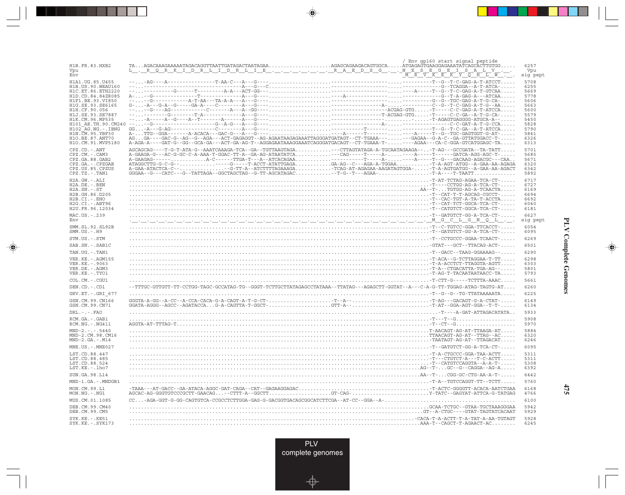| H1B.FR.83.HXB2<br>$\verb TAAGACAAAGAAAATAGACAGGTTAATTGATAGACTAATAGAA. \verb +1AGAGCAGAAGACAGTGGCA. \verb ATGAAGAGAGAAATATCAGCACTTGTGG. \verb +1 $<br>6257<br><u>  L.R.Q.R.K.IDRILIDRILIB.L.L.L.L.L.R.ABDSG.L.NBSBGBILSA</u><br>Vpu<br>Vpu<br>L<br>V<br>$\overline{V} \quad \overline{K} \quad \overline{E} \quad \overline{K} \quad \overline{Y} \quad \overline{Q} \quad \overline{H} \quad \overline{L} \quad \overline{W}$<br>$\frac{1}{\sqrt{M_{\odot}}}\frac{1}{R_{\odot}}$<br>Env<br>sig pept<br>H1A1. UG. 85. U455<br>5708<br>H1B. US. 90. WEAU160<br>6255<br>H1C.ET.86.ETH2220<br>5669<br>5778<br>H1D.CD.84.84ZR085<br>H1F1.BE.93.VI850<br>5606<br>H1G.SE.93.SE6165<br>5663<br>H1H.CF.90.056<br>5600<br>H1J.SE.93.SE7887<br>5579<br>5450<br>H1K.CM.96.MP535<br>5828<br>H101 AE.TH.90.CM240<br>$H102-AG.NG. - .IBNG$<br>5790<br>H1N. CM. 95. YBF30<br>5841<br>H10.BE.87.ANT70<br>6326<br>H1O.CM.91.MVP5180<br>6313<br>AGCAGCAG----T-G-T-ATA-G--AAATCAAAGA-TCA--GA--TGTTAAGTAGA--CTTAGTATAGA-A-TGCAATAGAAGA---T-AG---GCCGATA--TA-TATT<br>5701<br>CPZ.CD. - . ANT<br>A-GAAGA-G---AC-G-GC-C-A-AAA-T-GGAC-TT-A--GA-AG-ATAATATCA--CAG-----T-----A-----A-----T-----GATCA-AGG-AGC-TC-<br>CPZ.CM. - . CAM3<br>5685<br>5671<br>CPZ.GA.88.GAB2<br>CPZ.GA. - . CPZGAB<br>6320<br>CPZ.US.85.CPZUS<br>A-GAA-ATACTCA-C---G-TT-A--ATCTTTTAGAAAGATCAG-AT-AGAGAA-AAGATAGTGGA--T-A-AGTGATGG--A-GAA-AA-AGACT<br>6342<br>CPZ.TZ.-.TAN1<br>5892<br>6717<br>H2A.GW.-.ALI<br>6727<br>H2A.DE. - .BEN<br>$H2A.SN.-.ST$<br>6169<br>H2B.GH.86.D205<br>6694<br>H2B.CI.-.EHO<br>6692<br>H2G.CI. - . ABT96<br>6040<br>H2U.FR.96.12034<br>6181<br>MAC.US. - . 239<br>6627<br>sistema tertiam in tertiam tertiam de la construcción de la construcción de la construcción de la construcción<br>sig pept<br>Env<br>6054<br>SMM.SL.92.SL92B<br>$SMM. US. - . H9$<br>6095<br>6269<br>STM.US.-.STM<br>6501<br>SAB.SN.-.SAB1C<br>6290<br>TAN.UG. - . TAN1<br>VER. KE. - . AGM155<br>6298<br>VER. KE. - . 9063<br>6303<br>VER.DE. - . AGM3<br>5801<br>VER.KE. - . TYO1<br>5793<br>COL.CM. - . CGU1<br>5661<br>--TTTGC-GTTGTT-TT-CCTGG-TAGC-GCCATAG-TG--GGGT-TCTTGCTTATAGAGCCTATAAA--TTATAG---AGAGCTT-GGTAT--A---C-A-G-TT-TGGAG-ATAG-TAGTG-AT<br>DEN.CD. - .CD1<br>6260<br>6225<br>GRV.ET. - . GRI 677<br>$\ldots$ , $-T$ --G--G--TG-TTATAAAAATA<br>GSN.CM.99.CN166<br>6149<br>GSN.CM.99.CN71<br>6134<br>$DRL - - - FAO$<br>5933<br>5908<br>RCM.GA.-.GAB1<br>5970<br>RCM.NG. - . NG411<br>$MND-2. - - - 5440$<br>5884<br>MND-2.CM.98.CM16<br>6320<br>$MND-2.GA.-.M14$<br>6246<br>MNE.US.-.MNE027<br>6095<br>5311<br>LST.CD.88.447<br>$-T - A - CTGCCC - GGA - TAA - ACTT \ldots$<br>5311<br>LST.CD.88.485<br>LST.CD.88.524<br>5308<br>LST.KE.-.lho7<br>6392<br>6442<br>SUN.GA.98.L14<br>MND-1.GA.-.MNDGB1<br>5760<br>6168<br>MON.CM.99.L1<br>AGCAC-AG-GGGTGTCCCGCTT-GAACAG--CTTT-A--GGCTTGT-CAG-Y-TATC--GAGYAT-ATTCA-G-TATGAG<br>MON.NG.-.NG1<br>4766<br>6100<br>MUS.CM.01.1085<br>DEB.CM.99.CM40<br>5942<br>DEB.CM.99.CM5<br>5929<br>SYK.KE. - . KE51<br>5928<br>$SYK.KE. - .SYK173$<br>6245 | Env gp160 start signal peptide |  |
|----------------------------------------------------------------------------------------------------------------------------------------------------------------------------------------------------------------------------------------------------------------------------------------------------------------------------------------------------------------------------------------------------------------------------------------------------------------------------------------------------------------------------------------------------------------------------------------------------------------------------------------------------------------------------------------------------------------------------------------------------------------------------------------------------------------------------------------------------------------------------------------------------------------------------------------------------------------------------------------------------------------------------------------------------------------------------------------------------------------------------------------------------------------------------------------------------------------------------------------------------------------------------------------------------------------------------------------------------------------------------------------------------------------------------------------------------------------------------------------------------------------------------------------------------------------------------------------------------------------------------------------------------------------------------------------------------------------------------------------------------------------------------------------------------------------------------------------------------------------------------------------------------------------------------------------------------------------------------------------------------------------------------------------------------------------------------------------------------------------------------------------------------------------------------------------------------------------------------------------------------------------------------------------------------------------------------------------------------------------------------------------------------------------------------------------------------------------------------------------------------------------------------------------------------------------------------------------------------------------------------------------------------------------------------------------------------------------------------------------------------------------------------------------------------------------------------------------------------------------------------------------------------------------------------------------------------------------------------------------------------------------------------------------------------------------|--------------------------------|--|
|                                                                                                                                                                                                                                                                                                                                                                                                                                                                                                                                                                                                                                                                                                                                                                                                                                                                                                                                                                                                                                                                                                                                                                                                                                                                                                                                                                                                                                                                                                                                                                                                                                                                                                                                                                                                                                                                                                                                                                                                                                                                                                                                                                                                                                                                                                                                                                                                                                                                                                                                                                                                                                                                                                                                                                                                                                                                                                                                                                                                                                                                |                                |  |
|                                                                                                                                                                                                                                                                                                                                                                                                                                                                                                                                                                                                                                                                                                                                                                                                                                                                                                                                                                                                                                                                                                                                                                                                                                                                                                                                                                                                                                                                                                                                                                                                                                                                                                                                                                                                                                                                                                                                                                                                                                                                                                                                                                                                                                                                                                                                                                                                                                                                                                                                                                                                                                                                                                                                                                                                                                                                                                                                                                                                                                                                |                                |  |
|                                                                                                                                                                                                                                                                                                                                                                                                                                                                                                                                                                                                                                                                                                                                                                                                                                                                                                                                                                                                                                                                                                                                                                                                                                                                                                                                                                                                                                                                                                                                                                                                                                                                                                                                                                                                                                                                                                                                                                                                                                                                                                                                                                                                                                                                                                                                                                                                                                                                                                                                                                                                                                                                                                                                                                                                                                                                                                                                                                                                                                                                |                                |  |
|                                                                                                                                                                                                                                                                                                                                                                                                                                                                                                                                                                                                                                                                                                                                                                                                                                                                                                                                                                                                                                                                                                                                                                                                                                                                                                                                                                                                                                                                                                                                                                                                                                                                                                                                                                                                                                                                                                                                                                                                                                                                                                                                                                                                                                                                                                                                                                                                                                                                                                                                                                                                                                                                                                                                                                                                                                                                                                                                                                                                                                                                |                                |  |
|                                                                                                                                                                                                                                                                                                                                                                                                                                                                                                                                                                                                                                                                                                                                                                                                                                                                                                                                                                                                                                                                                                                                                                                                                                                                                                                                                                                                                                                                                                                                                                                                                                                                                                                                                                                                                                                                                                                                                                                                                                                                                                                                                                                                                                                                                                                                                                                                                                                                                                                                                                                                                                                                                                                                                                                                                                                                                                                                                                                                                                                                |                                |  |
|                                                                                                                                                                                                                                                                                                                                                                                                                                                                                                                                                                                                                                                                                                                                                                                                                                                                                                                                                                                                                                                                                                                                                                                                                                                                                                                                                                                                                                                                                                                                                                                                                                                                                                                                                                                                                                                                                                                                                                                                                                                                                                                                                                                                                                                                                                                                                                                                                                                                                                                                                                                                                                                                                                                                                                                                                                                                                                                                                                                                                                                                |                                |  |
|                                                                                                                                                                                                                                                                                                                                                                                                                                                                                                                                                                                                                                                                                                                                                                                                                                                                                                                                                                                                                                                                                                                                                                                                                                                                                                                                                                                                                                                                                                                                                                                                                                                                                                                                                                                                                                                                                                                                                                                                                                                                                                                                                                                                                                                                                                                                                                                                                                                                                                                                                                                                                                                                                                                                                                                                                                                                                                                                                                                                                                                                |                                |  |
|                                                                                                                                                                                                                                                                                                                                                                                                                                                                                                                                                                                                                                                                                                                                                                                                                                                                                                                                                                                                                                                                                                                                                                                                                                                                                                                                                                                                                                                                                                                                                                                                                                                                                                                                                                                                                                                                                                                                                                                                                                                                                                                                                                                                                                                                                                                                                                                                                                                                                                                                                                                                                                                                                                                                                                                                                                                                                                                                                                                                                                                                |                                |  |
|                                                                                                                                                                                                                                                                                                                                                                                                                                                                                                                                                                                                                                                                                                                                                                                                                                                                                                                                                                                                                                                                                                                                                                                                                                                                                                                                                                                                                                                                                                                                                                                                                                                                                                                                                                                                                                                                                                                                                                                                                                                                                                                                                                                                                                                                                                                                                                                                                                                                                                                                                                                                                                                                                                                                                                                                                                                                                                                                                                                                                                                                |                                |  |
|                                                                                                                                                                                                                                                                                                                                                                                                                                                                                                                                                                                                                                                                                                                                                                                                                                                                                                                                                                                                                                                                                                                                                                                                                                                                                                                                                                                                                                                                                                                                                                                                                                                                                                                                                                                                                                                                                                                                                                                                                                                                                                                                                                                                                                                                                                                                                                                                                                                                                                                                                                                                                                                                                                                                                                                                                                                                                                                                                                                                                                                                |                                |  |
|                                                                                                                                                                                                                                                                                                                                                                                                                                                                                                                                                                                                                                                                                                                                                                                                                                                                                                                                                                                                                                                                                                                                                                                                                                                                                                                                                                                                                                                                                                                                                                                                                                                                                                                                                                                                                                                                                                                                                                                                                                                                                                                                                                                                                                                                                                                                                                                                                                                                                                                                                                                                                                                                                                                                                                                                                                                                                                                                                                                                                                                                |                                |  |
|                                                                                                                                                                                                                                                                                                                                                                                                                                                                                                                                                                                                                                                                                                                                                                                                                                                                                                                                                                                                                                                                                                                                                                                                                                                                                                                                                                                                                                                                                                                                                                                                                                                                                                                                                                                                                                                                                                                                                                                                                                                                                                                                                                                                                                                                                                                                                                                                                                                                                                                                                                                                                                                                                                                                                                                                                                                                                                                                                                                                                                                                |                                |  |
|                                                                                                                                                                                                                                                                                                                                                                                                                                                                                                                                                                                                                                                                                                                                                                                                                                                                                                                                                                                                                                                                                                                                                                                                                                                                                                                                                                                                                                                                                                                                                                                                                                                                                                                                                                                                                                                                                                                                                                                                                                                                                                                                                                                                                                                                                                                                                                                                                                                                                                                                                                                                                                                                                                                                                                                                                                                                                                                                                                                                                                                                |                                |  |
|                                                                                                                                                                                                                                                                                                                                                                                                                                                                                                                                                                                                                                                                                                                                                                                                                                                                                                                                                                                                                                                                                                                                                                                                                                                                                                                                                                                                                                                                                                                                                                                                                                                                                                                                                                                                                                                                                                                                                                                                                                                                                                                                                                                                                                                                                                                                                                                                                                                                                                                                                                                                                                                                                                                                                                                                                                                                                                                                                                                                                                                                |                                |  |
|                                                                                                                                                                                                                                                                                                                                                                                                                                                                                                                                                                                                                                                                                                                                                                                                                                                                                                                                                                                                                                                                                                                                                                                                                                                                                                                                                                                                                                                                                                                                                                                                                                                                                                                                                                                                                                                                                                                                                                                                                                                                                                                                                                                                                                                                                                                                                                                                                                                                                                                                                                                                                                                                                                                                                                                                                                                                                                                                                                                                                                                                |                                |  |
|                                                                                                                                                                                                                                                                                                                                                                                                                                                                                                                                                                                                                                                                                                                                                                                                                                                                                                                                                                                                                                                                                                                                                                                                                                                                                                                                                                                                                                                                                                                                                                                                                                                                                                                                                                                                                                                                                                                                                                                                                                                                                                                                                                                                                                                                                                                                                                                                                                                                                                                                                                                                                                                                                                                                                                                                                                                                                                                                                                                                                                                                |                                |  |
|                                                                                                                                                                                                                                                                                                                                                                                                                                                                                                                                                                                                                                                                                                                                                                                                                                                                                                                                                                                                                                                                                                                                                                                                                                                                                                                                                                                                                                                                                                                                                                                                                                                                                                                                                                                                                                                                                                                                                                                                                                                                                                                                                                                                                                                                                                                                                                                                                                                                                                                                                                                                                                                                                                                                                                                                                                                                                                                                                                                                                                                                |                                |  |
|                                                                                                                                                                                                                                                                                                                                                                                                                                                                                                                                                                                                                                                                                                                                                                                                                                                                                                                                                                                                                                                                                                                                                                                                                                                                                                                                                                                                                                                                                                                                                                                                                                                                                                                                                                                                                                                                                                                                                                                                                                                                                                                                                                                                                                                                                                                                                                                                                                                                                                                                                                                                                                                                                                                                                                                                                                                                                                                                                                                                                                                                |                                |  |
|                                                                                                                                                                                                                                                                                                                                                                                                                                                                                                                                                                                                                                                                                                                                                                                                                                                                                                                                                                                                                                                                                                                                                                                                                                                                                                                                                                                                                                                                                                                                                                                                                                                                                                                                                                                                                                                                                                                                                                                                                                                                                                                                                                                                                                                                                                                                                                                                                                                                                                                                                                                                                                                                                                                                                                                                                                                                                                                                                                                                                                                                |                                |  |
|                                                                                                                                                                                                                                                                                                                                                                                                                                                                                                                                                                                                                                                                                                                                                                                                                                                                                                                                                                                                                                                                                                                                                                                                                                                                                                                                                                                                                                                                                                                                                                                                                                                                                                                                                                                                                                                                                                                                                                                                                                                                                                                                                                                                                                                                                                                                                                                                                                                                                                                                                                                                                                                                                                                                                                                                                                                                                                                                                                                                                                                                |                                |  |
|                                                                                                                                                                                                                                                                                                                                                                                                                                                                                                                                                                                                                                                                                                                                                                                                                                                                                                                                                                                                                                                                                                                                                                                                                                                                                                                                                                                                                                                                                                                                                                                                                                                                                                                                                                                                                                                                                                                                                                                                                                                                                                                                                                                                                                                                                                                                                                                                                                                                                                                                                                                                                                                                                                                                                                                                                                                                                                                                                                                                                                                                |                                |  |
|                                                                                                                                                                                                                                                                                                                                                                                                                                                                                                                                                                                                                                                                                                                                                                                                                                                                                                                                                                                                                                                                                                                                                                                                                                                                                                                                                                                                                                                                                                                                                                                                                                                                                                                                                                                                                                                                                                                                                                                                                                                                                                                                                                                                                                                                                                                                                                                                                                                                                                                                                                                                                                                                                                                                                                                                                                                                                                                                                                                                                                                                |                                |  |
|                                                                                                                                                                                                                                                                                                                                                                                                                                                                                                                                                                                                                                                                                                                                                                                                                                                                                                                                                                                                                                                                                                                                                                                                                                                                                                                                                                                                                                                                                                                                                                                                                                                                                                                                                                                                                                                                                                                                                                                                                                                                                                                                                                                                                                                                                                                                                                                                                                                                                                                                                                                                                                                                                                                                                                                                                                                                                                                                                                                                                                                                |                                |  |
|                                                                                                                                                                                                                                                                                                                                                                                                                                                                                                                                                                                                                                                                                                                                                                                                                                                                                                                                                                                                                                                                                                                                                                                                                                                                                                                                                                                                                                                                                                                                                                                                                                                                                                                                                                                                                                                                                                                                                                                                                                                                                                                                                                                                                                                                                                                                                                                                                                                                                                                                                                                                                                                                                                                                                                                                                                                                                                                                                                                                                                                                |                                |  |
|                                                                                                                                                                                                                                                                                                                                                                                                                                                                                                                                                                                                                                                                                                                                                                                                                                                                                                                                                                                                                                                                                                                                                                                                                                                                                                                                                                                                                                                                                                                                                                                                                                                                                                                                                                                                                                                                                                                                                                                                                                                                                                                                                                                                                                                                                                                                                                                                                                                                                                                                                                                                                                                                                                                                                                                                                                                                                                                                                                                                                                                                |                                |  |
|                                                                                                                                                                                                                                                                                                                                                                                                                                                                                                                                                                                                                                                                                                                                                                                                                                                                                                                                                                                                                                                                                                                                                                                                                                                                                                                                                                                                                                                                                                                                                                                                                                                                                                                                                                                                                                                                                                                                                                                                                                                                                                                                                                                                                                                                                                                                                                                                                                                                                                                                                                                                                                                                                                                                                                                                                                                                                                                                                                                                                                                                |                                |  |
|                                                                                                                                                                                                                                                                                                                                                                                                                                                                                                                                                                                                                                                                                                                                                                                                                                                                                                                                                                                                                                                                                                                                                                                                                                                                                                                                                                                                                                                                                                                                                                                                                                                                                                                                                                                                                                                                                                                                                                                                                                                                                                                                                                                                                                                                                                                                                                                                                                                                                                                                                                                                                                                                                                                                                                                                                                                                                                                                                                                                                                                                |                                |  |
|                                                                                                                                                                                                                                                                                                                                                                                                                                                                                                                                                                                                                                                                                                                                                                                                                                                                                                                                                                                                                                                                                                                                                                                                                                                                                                                                                                                                                                                                                                                                                                                                                                                                                                                                                                                                                                                                                                                                                                                                                                                                                                                                                                                                                                                                                                                                                                                                                                                                                                                                                                                                                                                                                                                                                                                                                                                                                                                                                                                                                                                                |                                |  |
|                                                                                                                                                                                                                                                                                                                                                                                                                                                                                                                                                                                                                                                                                                                                                                                                                                                                                                                                                                                                                                                                                                                                                                                                                                                                                                                                                                                                                                                                                                                                                                                                                                                                                                                                                                                                                                                                                                                                                                                                                                                                                                                                                                                                                                                                                                                                                                                                                                                                                                                                                                                                                                                                                                                                                                                                                                                                                                                                                                                                                                                                |                                |  |
|                                                                                                                                                                                                                                                                                                                                                                                                                                                                                                                                                                                                                                                                                                                                                                                                                                                                                                                                                                                                                                                                                                                                                                                                                                                                                                                                                                                                                                                                                                                                                                                                                                                                                                                                                                                                                                                                                                                                                                                                                                                                                                                                                                                                                                                                                                                                                                                                                                                                                                                                                                                                                                                                                                                                                                                                                                                                                                                                                                                                                                                                |                                |  |
|                                                                                                                                                                                                                                                                                                                                                                                                                                                                                                                                                                                                                                                                                                                                                                                                                                                                                                                                                                                                                                                                                                                                                                                                                                                                                                                                                                                                                                                                                                                                                                                                                                                                                                                                                                                                                                                                                                                                                                                                                                                                                                                                                                                                                                                                                                                                                                                                                                                                                                                                                                                                                                                                                                                                                                                                                                                                                                                                                                                                                                                                |                                |  |
|                                                                                                                                                                                                                                                                                                                                                                                                                                                                                                                                                                                                                                                                                                                                                                                                                                                                                                                                                                                                                                                                                                                                                                                                                                                                                                                                                                                                                                                                                                                                                                                                                                                                                                                                                                                                                                                                                                                                                                                                                                                                                                                                                                                                                                                                                                                                                                                                                                                                                                                                                                                                                                                                                                                                                                                                                                                                                                                                                                                                                                                                |                                |  |
|                                                                                                                                                                                                                                                                                                                                                                                                                                                                                                                                                                                                                                                                                                                                                                                                                                                                                                                                                                                                                                                                                                                                                                                                                                                                                                                                                                                                                                                                                                                                                                                                                                                                                                                                                                                                                                                                                                                                                                                                                                                                                                                                                                                                                                                                                                                                                                                                                                                                                                                                                                                                                                                                                                                                                                                                                                                                                                                                                                                                                                                                |                                |  |
|                                                                                                                                                                                                                                                                                                                                                                                                                                                                                                                                                                                                                                                                                                                                                                                                                                                                                                                                                                                                                                                                                                                                                                                                                                                                                                                                                                                                                                                                                                                                                                                                                                                                                                                                                                                                                                                                                                                                                                                                                                                                                                                                                                                                                                                                                                                                                                                                                                                                                                                                                                                                                                                                                                                                                                                                                                                                                                                                                                                                                                                                |                                |  |
|                                                                                                                                                                                                                                                                                                                                                                                                                                                                                                                                                                                                                                                                                                                                                                                                                                                                                                                                                                                                                                                                                                                                                                                                                                                                                                                                                                                                                                                                                                                                                                                                                                                                                                                                                                                                                                                                                                                                                                                                                                                                                                                                                                                                                                                                                                                                                                                                                                                                                                                                                                                                                                                                                                                                                                                                                                                                                                                                                                                                                                                                |                                |  |
|                                                                                                                                                                                                                                                                                                                                                                                                                                                                                                                                                                                                                                                                                                                                                                                                                                                                                                                                                                                                                                                                                                                                                                                                                                                                                                                                                                                                                                                                                                                                                                                                                                                                                                                                                                                                                                                                                                                                                                                                                                                                                                                                                                                                                                                                                                                                                                                                                                                                                                                                                                                                                                                                                                                                                                                                                                                                                                                                                                                                                                                                |                                |  |
|                                                                                                                                                                                                                                                                                                                                                                                                                                                                                                                                                                                                                                                                                                                                                                                                                                                                                                                                                                                                                                                                                                                                                                                                                                                                                                                                                                                                                                                                                                                                                                                                                                                                                                                                                                                                                                                                                                                                                                                                                                                                                                                                                                                                                                                                                                                                                                                                                                                                                                                                                                                                                                                                                                                                                                                                                                                                                                                                                                                                                                                                |                                |  |
|                                                                                                                                                                                                                                                                                                                                                                                                                                                                                                                                                                                                                                                                                                                                                                                                                                                                                                                                                                                                                                                                                                                                                                                                                                                                                                                                                                                                                                                                                                                                                                                                                                                                                                                                                                                                                                                                                                                                                                                                                                                                                                                                                                                                                                                                                                                                                                                                                                                                                                                                                                                                                                                                                                                                                                                                                                                                                                                                                                                                                                                                |                                |  |
|                                                                                                                                                                                                                                                                                                                                                                                                                                                                                                                                                                                                                                                                                                                                                                                                                                                                                                                                                                                                                                                                                                                                                                                                                                                                                                                                                                                                                                                                                                                                                                                                                                                                                                                                                                                                                                                                                                                                                                                                                                                                                                                                                                                                                                                                                                                                                                                                                                                                                                                                                                                                                                                                                                                                                                                                                                                                                                                                                                                                                                                                |                                |  |
|                                                                                                                                                                                                                                                                                                                                                                                                                                                                                                                                                                                                                                                                                                                                                                                                                                                                                                                                                                                                                                                                                                                                                                                                                                                                                                                                                                                                                                                                                                                                                                                                                                                                                                                                                                                                                                                                                                                                                                                                                                                                                                                                                                                                                                                                                                                                                                                                                                                                                                                                                                                                                                                                                                                                                                                                                                                                                                                                                                                                                                                                |                                |  |
|                                                                                                                                                                                                                                                                                                                                                                                                                                                                                                                                                                                                                                                                                                                                                                                                                                                                                                                                                                                                                                                                                                                                                                                                                                                                                                                                                                                                                                                                                                                                                                                                                                                                                                                                                                                                                                                                                                                                                                                                                                                                                                                                                                                                                                                                                                                                                                                                                                                                                                                                                                                                                                                                                                                                                                                                                                                                                                                                                                                                                                                                |                                |  |
|                                                                                                                                                                                                                                                                                                                                                                                                                                                                                                                                                                                                                                                                                                                                                                                                                                                                                                                                                                                                                                                                                                                                                                                                                                                                                                                                                                                                                                                                                                                                                                                                                                                                                                                                                                                                                                                                                                                                                                                                                                                                                                                                                                                                                                                                                                                                                                                                                                                                                                                                                                                                                                                                                                                                                                                                                                                                                                                                                                                                                                                                |                                |  |
|                                                                                                                                                                                                                                                                                                                                                                                                                                                                                                                                                                                                                                                                                                                                                                                                                                                                                                                                                                                                                                                                                                                                                                                                                                                                                                                                                                                                                                                                                                                                                                                                                                                                                                                                                                                                                                                                                                                                                                                                                                                                                                                                                                                                                                                                                                                                                                                                                                                                                                                                                                                                                                                                                                                                                                                                                                                                                                                                                                                                                                                                |                                |  |
|                                                                                                                                                                                                                                                                                                                                                                                                                                                                                                                                                                                                                                                                                                                                                                                                                                                                                                                                                                                                                                                                                                                                                                                                                                                                                                                                                                                                                                                                                                                                                                                                                                                                                                                                                                                                                                                                                                                                                                                                                                                                                                                                                                                                                                                                                                                                                                                                                                                                                                                                                                                                                                                                                                                                                                                                                                                                                                                                                                                                                                                                |                                |  |
|                                                                                                                                                                                                                                                                                                                                                                                                                                                                                                                                                                                                                                                                                                                                                                                                                                                                                                                                                                                                                                                                                                                                                                                                                                                                                                                                                                                                                                                                                                                                                                                                                                                                                                                                                                                                                                                                                                                                                                                                                                                                                                                                                                                                                                                                                                                                                                                                                                                                                                                                                                                                                                                                                                                                                                                                                                                                                                                                                                                                                                                                |                                |  |
|                                                                                                                                                                                                                                                                                                                                                                                                                                                                                                                                                                                                                                                                                                                                                                                                                                                                                                                                                                                                                                                                                                                                                                                                                                                                                                                                                                                                                                                                                                                                                                                                                                                                                                                                                                                                                                                                                                                                                                                                                                                                                                                                                                                                                                                                                                                                                                                                                                                                                                                                                                                                                                                                                                                                                                                                                                                                                                                                                                                                                                                                |                                |  |
|                                                                                                                                                                                                                                                                                                                                                                                                                                                                                                                                                                                                                                                                                                                                                                                                                                                                                                                                                                                                                                                                                                                                                                                                                                                                                                                                                                                                                                                                                                                                                                                                                                                                                                                                                                                                                                                                                                                                                                                                                                                                                                                                                                                                                                                                                                                                                                                                                                                                                                                                                                                                                                                                                                                                                                                                                                                                                                                                                                                                                                                                |                                |  |
|                                                                                                                                                                                                                                                                                                                                                                                                                                                                                                                                                                                                                                                                                                                                                                                                                                                                                                                                                                                                                                                                                                                                                                                                                                                                                                                                                                                                                                                                                                                                                                                                                                                                                                                                                                                                                                                                                                                                                                                                                                                                                                                                                                                                                                                                                                                                                                                                                                                                                                                                                                                                                                                                                                                                                                                                                                                                                                                                                                                                                                                                |                                |  |
|                                                                                                                                                                                                                                                                                                                                                                                                                                                                                                                                                                                                                                                                                                                                                                                                                                                                                                                                                                                                                                                                                                                                                                                                                                                                                                                                                                                                                                                                                                                                                                                                                                                                                                                                                                                                                                                                                                                                                                                                                                                                                                                                                                                                                                                                                                                                                                                                                                                                                                                                                                                                                                                                                                                                                                                                                                                                                                                                                                                                                                                                |                                |  |
|                                                                                                                                                                                                                                                                                                                                                                                                                                                                                                                                                                                                                                                                                                                                                                                                                                                                                                                                                                                                                                                                                                                                                                                                                                                                                                                                                                                                                                                                                                                                                                                                                                                                                                                                                                                                                                                                                                                                                                                                                                                                                                                                                                                                                                                                                                                                                                                                                                                                                                                                                                                                                                                                                                                                                                                                                                                                                                                                                                                                                                                                |                                |  |
|                                                                                                                                                                                                                                                                                                                                                                                                                                                                                                                                                                                                                                                                                                                                                                                                                                                                                                                                                                                                                                                                                                                                                                                                                                                                                                                                                                                                                                                                                                                                                                                                                                                                                                                                                                                                                                                                                                                                                                                                                                                                                                                                                                                                                                                                                                                                                                                                                                                                                                                                                                                                                                                                                                                                                                                                                                                                                                                                                                                                                                                                |                                |  |
|                                                                                                                                                                                                                                                                                                                                                                                                                                                                                                                                                                                                                                                                                                                                                                                                                                                                                                                                                                                                                                                                                                                                                                                                                                                                                                                                                                                                                                                                                                                                                                                                                                                                                                                                                                                                                                                                                                                                                                                                                                                                                                                                                                                                                                                                                                                                                                                                                                                                                                                                                                                                                                                                                                                                                                                                                                                                                                                                                                                                                                                                |                                |  |
|                                                                                                                                                                                                                                                                                                                                                                                                                                                                                                                                                                                                                                                                                                                                                                                                                                                                                                                                                                                                                                                                                                                                                                                                                                                                                                                                                                                                                                                                                                                                                                                                                                                                                                                                                                                                                                                                                                                                                                                                                                                                                                                                                                                                                                                                                                                                                                                                                                                                                                                                                                                                                                                                                                                                                                                                                                                                                                                                                                                                                                                                |                                |  |
|                                                                                                                                                                                                                                                                                                                                                                                                                                                                                                                                                                                                                                                                                                                                                                                                                                                                                                                                                                                                                                                                                                                                                                                                                                                                                                                                                                                                                                                                                                                                                                                                                                                                                                                                                                                                                                                                                                                                                                                                                                                                                                                                                                                                                                                                                                                                                                                                                                                                                                                                                                                                                                                                                                                                                                                                                                                                                                                                                                                                                                                                |                                |  |
|                                                                                                                                                                                                                                                                                                                                                                                                                                                                                                                                                                                                                                                                                                                                                                                                                                                                                                                                                                                                                                                                                                                                                                                                                                                                                                                                                                                                                                                                                                                                                                                                                                                                                                                                                                                                                                                                                                                                                                                                                                                                                                                                                                                                                                                                                                                                                                                                                                                                                                                                                                                                                                                                                                                                                                                                                                                                                                                                                                                                                                                                |                                |  |

<u>a shekara ta 1989 na shekara t</u>

 $\overrightarrow{\phantom{a}}$ 

 $\frac{\displaystyle \rule{1.2cm}{0.15cm}}{\displaystyle \rule{1.2cm}{0.15cm}}$ 

**PLV Complete Genomes PLV Complete Genomes**

 $\begin{picture}(20,5) \put(0,0){\line(1,0){10}} \put(15,0){\line(1,0){10}} \put(15,0){\line(1,0){10}} \put(15,0){\line(1,0){10}} \put(15,0){\line(1,0){10}} \put(15,0){\line(1,0){10}} \put(15,0){\line(1,0){10}} \put(15,0){\line(1,0){10}} \put(15,0){\line(1,0){10}} \put(15,0){\line(1,0){10}} \put(15,0){\line(1,0){10}} \put(15,0){\line(1,$ 

 $\equiv$ 

 $\blacksquare$ 

▁▏▁▊▊▏

 $\mathbf{I}$ 

**475**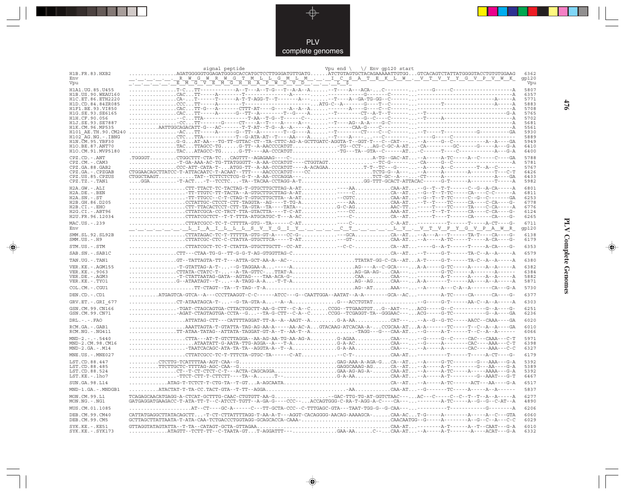

 $\begin{picture}(120,140)(-6.5,14.0) \put(0,0){\vector(0,1){10}} \put(15,0){\vector(0,1){10}} \put(15,0){\vector(0,1){10}} \put(15,0){\vector(0,1){10}} \put(15,0){\vector(0,1){10}} \put(15,0){\vector(0,1){10}} \put(15,0){\vector(0,1){10}} \put(15,0){\vector(0,1){10}} \put(15,0){\vector(0,1){10}} \put(15,0){\vector(0,1){10}} \put(15,0){\vector(0,1){10}}$ 

 $\begin{tabular}{c} \hline \quad \quad & \quad \quad \\ \hline \quad \quad & \quad \quad \\ \hline \end{tabular}$ 

|                                            | signal peptide                                                                                                                                                                                                                                                                                                                                                                                                                                                                     | Vpu end $\setminus$ $\setminus$ Env gp120 start |               |
|--------------------------------------------|------------------------------------------------------------------------------------------------------------------------------------------------------------------------------------------------------------------------------------------------------------------------------------------------------------------------------------------------------------------------------------------------------------------------------------------------------------------------------------|-------------------------------------------------|---------------|
| H1B.FR.83.HXB2<br>Env                      | AGATGGGGGTGGAGATGGGCACCATGCTCCTTGGGATGTTGATGATCTGTAGTGCTACAGAAĀAATTGTGGGTCACAGTCTATTATGGGGTACCTGTGGAAG<br><u>. R W G W R W G T M L L G M L M I C S A T E K L W . V T V Y Y G V P V W K</u>                                                                                                                                                                                                                                                                                         |                                                 | 6362<br>gp120 |
| Vpu                                        | <u>TITITIK KMGVEMGHHAPWDVDITIK LŞ</u>                                                                                                                                                                                                                                                                                                                                                                                                                                              |                                                 | Vpu           |
| H1A1.UG.85.U455<br>H1B. US. 90. WEAU160    | $\begin{array}{l} \begin{array}{l} \begin{array}{l} \multicolumn{2}{c}{\textbf{0.01}} \begin{array}{l} \multicolumn{2}{c}{\textbf{0.02}} \begin{array}{l} \multicolumn{2}{c}{\textbf{0.03}} \begin{array}{l} \multicolumn{2}{c}{\textbf{0.04}} \begin{array}{l} \multicolumn{2}{c}{\textbf{0.05}} \begin{array}{l} \multicolumn{2}{c}{\textbf{0.04}} \begin{array}{l} \multicolumn{2}{c}{\textbf{0.04}} \begin{array}{l} \multicolumn{2}{c}{\textbf{0.05}} \begin{array}{l$        |                                                 | 5807<br>6357  |
| H1C.ET.86.ETH2220                          |                                                                                                                                                                                                                                                                                                                                                                                                                                                                                    |                                                 | 5771          |
| H1D.CD.84.84ZR085<br>H1F1.BE.93.VI850      |                                                                                                                                                                                                                                                                                                                                                                                                                                                                                    |                                                 | 5883<br>5708  |
| H1G.SE.93.SE6165                           |                                                                                                                                                                                                                                                                                                                                                                                                                                                                                    |                                                 | 5765          |
| H1H.CF.90.056<br>H1J.SE.93.SE7887          |                                                                                                                                                                                                                                                                                                                                                                                                                                                                                    |                                                 | 5702<br>5681  |
| H1K.CM.96.MP535<br>H101 AE.TH.90.CM240     |                                                                                                                                                                                                                                                                                                                                                                                                                                                                                    |                                                 | 5561<br>5930  |
| H102 AG.NG.-.IBNG                          |                                                                                                                                                                                                                                                                                                                                                                                                                                                                                    |                                                 | 5889          |
| H1N.CM.95.YBF30<br>H1O.BE.87.ANT70         |                                                                                                                                                                                                                                                                                                                                                                                                                                                                                    |                                                 | 5949<br>6410  |
| H1O.CM.91.MVP5180                          |                                                                                                                                                                                                                                                                                                                                                                                                                                                                                    |                                                 | 6400          |
| $CPZ$ . $CD$ . $-ANT$                      |                                                                                                                                                                                                                                                                                                                                                                                                                                                                                    |                                                 | 5788          |
| $CPZ$ . $CM. -$ . $CAM3$<br>CPZ.GA.88.GAB2 | $\begin{minipage}{0.9\textwidth} \begin{tabular}{@{}l@{}} \multicolumn{2}{c}{\textbf{0.9\textwidth} \begin{tabular}{@{}l@{}} \multicolumn{2}{c}{\textbf{0.9\textwidth} \begin{tabular}{@{}l@{}} \multicolumn{2}{c}{\textbf{0.9\textwidth} \begin{tabular}{@{}l@{}} \multicolumn{2}{c}{\textbf{0.9\textwidth} \begin{tabular}{@{}l@{}} \multicolumn{2}{c}{\textbf{0.9\textwidth} \begin{tabular}{@{}l@{}} \multicolumn{2}{c}{\textbf{0.9\textwidth} \begin{tabular}{@{}l@{}} \mult$ |                                                 | 5781<br>5767  |
| CPZ.GA. - . CPZGAB                         |                                                                                                                                                                                                                                                                                                                                                                                                                                                                                    |                                                 | 6426          |
| CPZ.US.85.CPZUS<br>CPZ.TZ.-.TAN1           |                                                                                                                                                                                                                                                                                                                                                                                                                                                                                    |                                                 | 6433<br>5982  |
| H2A.GW.-.ALI                               | $\ldots \ldots \texttt{CTT-TTACT-TC-TACTAG-T-GTGCTTGCTTAG-A-AT} \ldots \ldots \ldots \ldots \ldots \ldots \ldots \ldots \ldots \texttt{CAA-AT} \ldots \ldots \texttt{-G--T--T-T------C--G--A-CA-----A} \ldots \texttt{CA--S} \ldots \texttt{CA--S} \ldots \texttt{CA--S} \ldots \texttt{CA--S} \ldots \texttt{CA--S} \ldots \texttt{CA--S} \ldots \texttt{CA--S} \ldots \texttt{CA--S} \ldots \texttt{CA--S} \ldots \texttt{CA--S} \ldots \texttt{CA--$                            |                                                 | 6801          |
| H2A.DE. - .BEN<br>$H2A.SN.-.ST$            |                                                                                                                                                                                                                                                                                                                                                                                                                                                                                    |                                                 | 6811<br>6253  |
| H2B.GH.86.D205                             |                                                                                                                                                                                                                                                                                                                                                                                                                                                                                    |                                                 | 6778          |
| H2B.CI.-.EHO<br>H2G.CI. - . ABT96          |                                                                                                                                                                                                                                                                                                                                                                                                                                                                                    |                                                 | 6776<br>6124  |
| H2U.FR.96.12034                            |                                                                                                                                                                                                                                                                                                                                                                                                                                                                                    |                                                 | 6265          |
| MAC.US. - . 239<br>Env                     |                                                                                                                                                                                                                                                                                                                                                                                                                                                                                    |                                                 | 6711<br>gp120 |
| SMM.SL.92.SL92B                            |                                                                                                                                                                                                                                                                                                                                                                                                                                                                                    |                                                 | 6138          |
| $SMM.US. - . H9$                           |                                                                                                                                                                                                                                                                                                                                                                                                                                                                                    |                                                 | 6179          |
| STM.US.-.STM                               |                                                                                                                                                                                                                                                                                                                                                                                                                                                                                    |                                                 | 6353          |
| SAB.SN. - . SAB1C<br>TAN.UG. - . TAN1      | $\ldots \ldots \ldots \ldots \text{CTT--CTAA-TG-G--TT-G-G-T-AG-GTGGTTAG-C}\ldots \ldots \ldots \ldots \ldots \ldots \ldots \ldots \ldots \text{CA--AT}\ldots \text{-T-----G-T----TA-C--A--A---A---A}$<br>GT--TATTAGTA-TT-T---ATTA-GCT-AA-A--AC--TTATAT-GG-C-CA--ATA-T----G-T------TA-C--A--A-----A                                                                                                                                                                                 |                                                 | 6579<br>6380  |
| VER. KE. - . AGM155                        |                                                                                                                                                                                                                                                                                                                                                                                                                                                                                    |                                                 | 6382          |
| VER.KE. - . 9063                           |                                                                                                                                                                                                                                                                                                                                                                                                                                                                                    |                                                 | 6384          |
| VER.DE. - . AGM3<br>VER.KE. - . TYO1       |                                                                                                                                                                                                                                                                                                                                                                                                                                                                                    |                                                 | 5882<br>5871  |
| COL.CM. - . CGU1                           |                                                                                                                                                                                                                                                                                                                                                                                                                                                                                    |                                                 | 5730          |
| DEN.CD. - . CD1                            | ATGAGTCA-GTCA--A---CCCTTAAGGT-C-C------ATCC---G--CAATTGGA--AATAT--A-A--------GCA--AC---------A-TC-----CA-----CA------                                                                                                                                                                                                                                                                                                                                                              |                                                 | 6377          |
| GRV.ET. - . GRI 677                        | $CT-ATAATAGCA-T---G-TA-GTA-A--A-AG--ACCTGTAT--G----G-T----AA-C--A--A---A-C-A$                                                                                                                                                                                                                                                                                                                                                                                                      |                                                 | 6303          |
| GSN.CM.99.CN166<br>GSN.CM.99.CN71          | $\ldots \ldots \ldots$ -AGAT-CTAGTAGTGA-CCTA--G--TA-G-CTT--C-A--CCCGG--TCGAGGT-TA--GGGAAC---ACG-----G-TC----------G--A----GA                                                                                                                                                                                                                                                                                                                                                       |                                                 | 6251<br>6236  |
| $DRL - - - FAO$                            |                                                                                                                                                                                                                                                                                                                                                                                                                                                                                    |                                                 | 6020          |
| RCM.GA. - . GAB1<br>RCM.NG. - . NG411      | AAATTAGTA-T-GTATTA-TAG-AG-AA-A-----AA-AC-AGTACAAG-ATCACAA-A-CCGCAA-ATA-A-------TC-----T--C--A--A----GA                                                                                                                                                                                                                                                                                                                                                                             |                                                 | 6010<br>6066  |
| $MND-2. - - - 5440$                        |                                                                                                                                                                                                                                                                                                                                                                                                                                                                                    |                                                 | 5971          |
| MND-2.CM.98.CM16                           |                                                                                                                                                                                                                                                                                                                                                                                                                                                                                    |                                                 | 6398          |
| $MND-2.GA.-.M14$<br>MNE.US.-.MNE027        | $\ldots \ldots \ldots \ldots \text{-TARTCACAGC-ATA-TA-TA-AA-AGGTA-A--T--A}\ldots \ldots \ldots \ldots \text{G-A-AA}\ldots \ldots \ldots \ldots \text{CAA--}\ldots \text{-}A\text{----A-------CAC---AAA----CC-C}$                                                                                                                                                                                                                                                                   |                                                 | 6327<br>6179  |
| LST.CD.88.447                              | CTCTTG-TCATTTTAA-AGT-CAA--GGAG-AAA-A-AGA-GCA--AT--A----G-TC-------G---AAA---G-A                                                                                                                                                                                                                                                                                                                                                                                                    |                                                 | 5392          |
| LST.CD.88.485                              | $\ldots \ldots \ldots \ldots \texttt{TTCTTGCTC-TTTTAG-AGC-CAA--G}\ldots \ldots \ldots \ldots \ldots \ldots \ldots \ldots \ldots \ldots \ldots \texttt{GAGGCAAAG-AG}\ldots \ldots \texttt{CA}-\texttt{-AT}\ldots \texttt{--A-T----A-T-----G---AG--AA----G-A----G--AA----G--AA--}$                                                                                                                                                                                                   |                                                 | 5389          |
| LST.CD.88.524<br>LST.KE.-.lho7             |                                                                                                                                                                                                                                                                                                                                                                                                                                                                                    |                                                 | 5392<br>6467  |
| SUN.GA.98.L14                              | ATAG-T-TCTCT-T-CTG-TA--T-GTA-AGCAATACA--AT--A----A-TC------ACT---AA----G-A                                                                                                                                                                                                                                                                                                                                                                                                         |                                                 | 6517          |
| MND-1.GA.-.MNDGB1                          |                                                                                                                                                                                                                                                                                                                                                                                                                                                                                    |                                                 | 5837          |
| MON.CM.99.L1<br>MON.NG.-.NG1               | TCAGAGCAACATGAGG-A-CTCAT-GCTTTG-CAAC-CTGTGTT-AA-G-GAC-TTG-TG-AT-GGTCTAAC---AC---C----C--C--T--T--A--A-----A<br>GATGAGGATGAAGACC-T-ATA-TT-T--C-ATCCT-TGTT--A-GA-G----CCC--ACCAGTGGG-C-RA-T-AGG-A-C----CA-----------A-TC-----A--G--G-AT--A                                                                                                                                                                                                                                           |                                                 | 6277<br>4890  |
| MUS.CM.01.1085                             | . AT- - CT- - - - GC-A- - - - - - C- - - TT-GCTA- CCC - - C - TTTGAGC - GTA- - - TAAT - TGG-G - -G - CAA- - - - - - - - - - -                                                                                                                                                                                                                                                                                                                                                      |                                                 | 6206          |
| DEB.CM.99.CM40<br>DEB.CM.99.CM5            | CATTATGAGGCTTATACAGCTT-T-CT-CTTATTTTAGG-T-AA-A-T---AGGT-CACAGGGG-AACAG-AAAAGCA-CAA-ACT-G----A---                                                                                                                                                                                                                                                                                                                                                                                   |                                                 | 6060<br>6029  |
| SYK.KE. - . KE51                           |                                                                                                                                                                                                                                                                                                                                                                                                                                                                                    |                                                 | 6010          |
| SYK.KE. - . SYK173                         | $\ldots \ldots \ldots \ldots \ldots \text{ATAGTT--TCTT-TT--C-TAATA-GT}\ldots \text{T-AGGATTT--}\ldots \ldots \ldots \ldots \text{GAA-AA}\ldots \ldots \text{C-A-A}. \ldots \text{CAA-AT}\ldots \text{-A--A----A----A---ACAT---G-A--}\ldots \text{A--}\ldots \text{A--}\ldots \text{A--}\ldots \text{A--}\ldots \text{A--}\ldots \text{A--}\ldots \text{A--}\ldots \text{A--}\ldots \text{A--}\ldots \text{A--}\ldots \text{A--}\ldots \text{A--}\ldots \text{A--}\ldots \text{$    |                                                 | 6332          |

 $\blacklozenge$ 

**PLV Complete Genomes 476 PLV Complete Genomes** 

 $\Rightarrow$ 

 $\sqrt{2}$ 

476

 $\Box$ 

<u> 1999 - 1999 - 1999 - 1999 - 1999 - 1999 - 1999 - 1999 - 1999 - 1999 - 1999 - 1999 - 1999 - 1999 - 1999 - 199</u>

- 1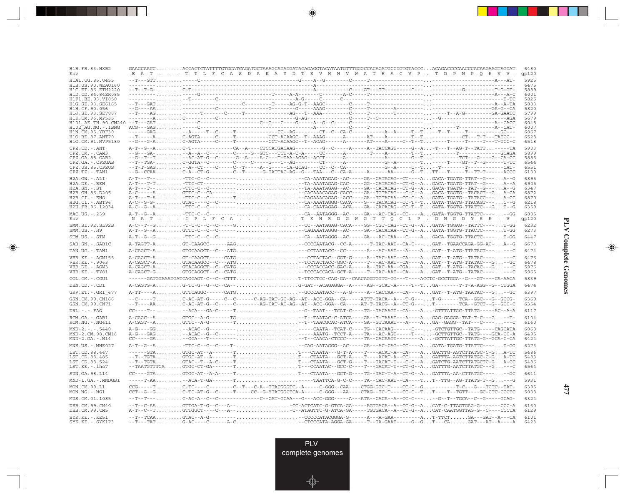| H1B.FR.83.HXB2<br>Env                     | GAAGCAACCACCACTCTATTTTGTGCATCAGATGCTAAAGCATATGATACAGAGGTACATAATGTTTGGGCCACACATGCCTGTGTACCCACAGACCCCAACCAAAGAAGTAGTAT<br><u> EAT TTLFCASDAKAYDTEVHNVWATHACVP. TDPNPQEVV</u>                                                                                                                                                                                                                                                                                                                      | 6480<br>gp120 |
|-------------------------------------------|-------------------------------------------------------------------------------------------------------------------------------------------------------------------------------------------------------------------------------------------------------------------------------------------------------------------------------------------------------------------------------------------------------------------------------------------------------------------------------------------------|---------------|
| H1A1.UG.85.U455<br>H1B.US.90.WEAU160      |                                                                                                                                                                                                                                                                                                                                                                                                                                                                                                 | 5925<br>6475  |
| H1C.ET.86.ETH2220<br>H1D.CD.84.84ZR085    |                                                                                                                                                                                                                                                                                                                                                                                                                                                                                                 | 5889<br>6001  |
| H1F1.BE.93.VI850                          |                                                                                                                                                                                                                                                                                                                                                                                                                                                                                                 | 5826          |
| H1G.SE.93.SE6165<br>H1H.CF.90.056         |                                                                                                                                                                                                                                                                                                                                                                                                                                                                                                 | 5883<br>5820  |
| H1J.SE.93.SE7887                          |                                                                                                                                                                                                                                                                                                                                                                                                                                                                                                 | 5799          |
| H1K.CM.96.MP535<br>H101 AE.TH.90.CM240    |                                                                                                                                                                                                                                                                                                                                                                                                                                                                                                 | 5679<br>6048  |
| $H102$ AG. NG. - TBNG<br>H1N.CM.95.YBF30  |                                                                                                                                                                                                                                                                                                                                                                                                                                                                                                 | 6007<br>6067  |
| H10.BE.87.ANT70                           |                                                                                                                                                                                                                                                                                                                                                                                                                                                                                                 | 6528          |
| H1O.CM.91.MVP5180                         |                                                                                                                                                                                                                                                                                                                                                                                                                                                                                                 | 6518          |
| $CPZ$ . $CD$ . - . $ANT$<br>CPZ.CM.-.CAM3 |                                                                                                                                                                                                                                                                                                                                                                                                                                                                                                 | 5903<br>5899  |
| CPZ.GA.88.GAB2<br>CPZ.GA.-.CPZGAB         |                                                                                                                                                                                                                                                                                                                                                                                                                                                                                                 | 5885<br>6544  |
| CPZ.US.85.CPZUS                           |                                                                                                                                                                                                                                                                                                                                                                                                                                                                                                 | 6551          |
| CPZ.TZ.-.TAN1                             |                                                                                                                                                                                                                                                                                                                                                                                                                                                                                                 | 6100          |
| H2A.GW.-.ALI<br>$H2A.DE. - .BEN$          |                                                                                                                                                                                                                                                                                                                                                                                                                                                                                                 | 6895<br>6905  |
| $H2A.SN.-.ST$<br>H2B.GH.86.D205           | $\texttt{A-T--T--}\dots\dots\dots\texttt{TTC-C--C---}\dots\dots\dots\dots\dots\dots\dots\dots\dots\dots\dots\texttt{TR-AAATAGAG--AC----GA--CATACAG--CT-G--A\dots\texttt{GACA-TGATG--TAT--G---}\dots\texttt{A--G--C-A}\dots\texttt{GACA-TGCTG--TACACT--G}\dots\texttt{A--C-A}\dots\texttt{GACA-TGCTG--TACACT--G}\dots\texttt{A--C-A}\dots\texttt{GACA-TGCTG--TACACT--G}\dots\texttt{A--C-A}\dots\texttt{A--C-A}\dots\texttt{GACA-TGCTG--TACACT--G$                                               | 6347<br>6872  |
| $H2B.CI.-.EHO$                            |                                                                                                                                                                                                                                                                                                                                                                                                                                                                                                 | 6870          |
| H2G.CI.-.ABT96<br>H2U.FR.96.12034         |                                                                                                                                                                                                                                                                                                                                                                                                                                                                                                 | 6218<br>6359  |
| MAC.US.-.239<br>Env                       | $\verb A-T-G-A , \ldots, \ldots, \verb TTC-C-c + \verb --101 , \ldots, \ldots, \ldots, \ldots, \ldots, \ldots, \verb --CA-AATAGGG-AC---- \verb --AC-CAG---CC---+A , \ldots, \verb GATA-TGGTG-TTATTC---\verb --101 , \ldots, \verb --CC-AC-ARTAGGG--\verb --AC-CAG---CC----+A , \ldots, \verb --AGTGTG-TTATTC---\verb --111 , \ldots, \verb --CC-ACTC--\verb --121 , \ldots, \verb --CC-ACTC--\verb --131 , \ldots,$<br><u>N A T IP LF C A T K N R D G W G T T O C L P . D N G D Y S E . V .</u> | 6805<br>gp120 |
| SMM.SL.92.SL92B<br>$SMM.US.-.H9$          |                                                                                                                                                                                                                                                                                                                                                                                                                                                                                                 | 6232<br>6273  |
| STM.US.-.STM                              |                                                                                                                                                                                                                                                                                                                                                                                                                                                                                                 | 6447          |
| SAB.SN.-.SAB1C                            | A-TAGTT-AGT-CAAGCC------AAG-CCCCAATACG--CC-A------T-TAC-AAT--CA-C---GAT--TGAACCAGA-GG-AC-A--G                                                                                                                                                                                                                                                                                                                                                                                                   | 6673          |
| TAN.UG. - . TAN1                          | A-CAGCT-AGTGCAAGCT--C---ATG--CCTAATACC--CC-------AC-AAT---A---AGAT--T-ATG-TTATACT------C                                                                                                                                                                                                                                                                                                                                                                                                        | 6474          |
| VER.KE. - . AGM155<br>VER.KE. - . 9063    |                                                                                                                                                                                                                                                                                                                                                                                                                                                                                                 | 6476<br>6478  |
| VER.DE. - . AGM3                          |                                                                                                                                                                                                                                                                                                                                                                                                                                                                                                 | 5976          |
| VER.KE.-.TYO1<br>COL.CM. - . CGU1         |                                                                                                                                                                                                                                                                                                                                                                                                                                                                                                 | 5965<br>5839  |
| DEN.CD. - .CD1                            | ------GATGTAAATGATCAGCAGT-C--C--CTTTT-TTCCTCC-CAG-GA--CAACAGGTGTTG-GG---T----ACCTC-GCCTGGA--G---GT----CA-AACA                                                                                                                                                                                                                                                                                                                                                                                   | 6474          |
| GRV.ET. - . GRI 677                       | A-TT----AGTTCAGGC------CATG-GCCCAATACC---A-G----A--CACCAA---CA----AGAT--T-ATG-TAATAC---G--GC                                                                                                                                                                                                                                                                                                                                                                                                    | 6397          |
| GSN.CM.99.CN166                           | --C-----TC-AC-AT-G-----C--C------C-AG-TAT-GC-AG--AT--ACC-GGA--CA-----ATTT-TACA--A---T-G---T-G------TCA--GGC---G-GCCG-                                                                                                                                                                                                                                                                                                                                                                           | 6369          |
| GSN.CM.99.CN71                            | $-\texttt{-T---AA}, \ldots, \ldots, \texttt{C-AC-AT-G--C----C----C----AG-CAT-AC-AG--AT--ACC-GGA--CA----AT-T-TACG--A--CT-G---, \ldots, \texttt{T----TCA--GTCT-G--GC-CGC-C}$                                                                                                                                                                                                                                                                                                                      | 6354          |
| $DRL. - . - . FAO$                        |                                                                                                                                                                                                                                                                                                                                                                                                                                                                                                 | 6117          |
| RCM.GA.-.GAB1<br>$RCM.NG. - . NG411$      | A-CAGC--AGTGC--A-G-------TG-T-TAATAC-C-ATCA----GA--T-TAAAT---A----AGAG-GAGGA-TAT-T-C---G--T-<br>A-CAGT--AGTTC--A-G--------T--T--TAACGCAC-ATCA----GA--GTTAAAT---A----AGA--GAGG--TAT---C-------C                                                                                                                                                                                                                                                                                                  | 6104<br>6160  |
| $MND-2. - - - 5440$<br>MND-2.CM.98.CM16   |                                                                                                                                                                                                                                                                                                                                                                                                                                                                                                 | 6068<br>6495  |
| $MND-2.GA.-.M14$                          | CC----GA-GCTATGC-T-T---------T--CAACA-CTCCC-----TA--CACAAGT-------AGCTTATTGC-TTATG-G--GCA-C-CA                                                                                                                                                                                                                                                                                                                                                                                                  | 6424          |
| MNE.US.-.MNE027                           |                                                                                                                                                                                                                                                                                                                                                                                                                                                                                                 | 6273          |
| LST.CD.88.447<br>LST.CD.88.485            | --GTAGTGC-AT--A-------TT---CTAATA---G-T-A----T----ACAT-A--CA----AGACTTG-AGTCTTATGC-C-GA-TC<br>--T--TGTAGTGC-AT--A------TT---CTAATA---GCT-A----T----ACAT-A--CC----AGATTTA-AGTCTTATGC-C-GA-TC                                                                                                                                                                                                                                                                                                     | 5486<br>5483  |
| LST.CD.88.524                             | --T--TGTAGTAC--T--A-C-----TT---CTAATA---GCT-G----T---TACAT-T---C-C--AGATCTG-AATCTTATGCTC-GA-CC                                                                                                                                                                                                                                                                                                                                                                                                  | 5486          |
| LST.KE.-.lho7<br>SUN.GA.98.L14            | --TAATGTTTCAGTGC-CT-GA-------TT---CCAATAC--GCC-C----T---GACAT-T--CT-G--AGATTTG-AATCTTATGC---G---C<br>$CC---GTA$ GTGC-AT--A-A-----TT--CTAATA---GCT-G----TG--TAC-T-A--CT-G--AGATTTA-AA-CTTATGC------GC                                                                                                                                                                                                                                                                                            | 6564<br>6611  |
| MND-1.GA.-.MNDGB1                         |                                                                                                                                                                                                                                                                                                                                                                                                                                                                                                 | 5931          |
| MON.CM.99.L1<br>MON.NG. - . NG1           |                                                                                                                                                                                                                                                                                                                                                                                                                                                                                                 | 6395<br>5008  |
| MUS.CM.01.1085                            |                                                                                                                                                                                                                                                                                                                                                                                                                                                                                                 | 6324          |
| DEB.CM.99.CM40<br>DEB.CM.99.CM5           | --T--C-AAGTTGA-T-G--C---A--CC-ACTCATC-G-GTCA-GA-----AGTGACA--A--CC-G--ACAT-C-TTAGTGAG-G-------CCC-A<br>A-T--C--TGTTGGCT---C---A--C--ATAGTTC-G-ATCA-GA-----TGTGACA--A--CT-G--ACAT-CAATGGTTAG-G--C---CCCTA                                                                                                                                                                                                                                                                                        | 6160<br>6129  |
| $SYK.KE. - .KE51$<br>SYK.KE. - . SYK173   |                                                                                                                                                                                                                                                                                                                                                                                                                                                                                                 | 6101<br>6423  |

<u>a shekara ta 1989 na shekara t</u>

 $\overrightarrow{\phantom{a}}$ 

 $\frac{\displaystyle \frac{\displaystyle \mathrm{d}}{\displaystyle \mathrm{d}t}}{\displaystyle \frac{\displaystyle \mathrm{d}}{\displaystyle t}}$ 

 $\begin{array}{c} \hline \end{array}$ 

 $\begin{picture}(20,5) \put(0,0){\line(1,0){10}} \put(15,0){\line(1,0){10}} \put(15,0){\line(1,0){10}} \put(15,0){\line(1,0){10}} \put(15,0){\line(1,0){10}} \put(15,0){\line(1,0){10}} \put(15,0){\line(1,0){10}} \put(15,0){\line(1,0){10}} \put(15,0){\line(1,0){10}} \put(15,0){\line(1,0){10}} \put(15,0){\line(1,0){10}} \put(15,0){\line(1,$ 

 $\overline{\phantom{0}}$ 

<u>e de la</u>

л

**477**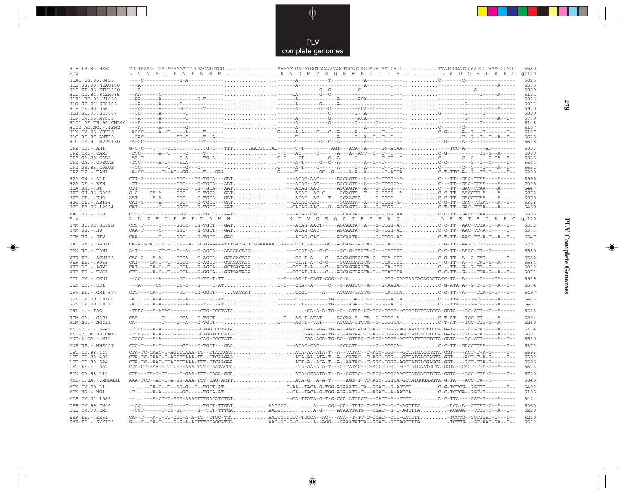

\_\_

 $\begin{picture}(120,140)(-6.5,14.0) \put(0,0){\vector(0,1){10}} \put(15,0){\vector(0,1){10}} \put(15,0){\vector(0,1){10}} \put(15,0){\vector(0,1){10}} \put(15,0){\vector(0,1){10}} \put(15,0){\vector(0,1){10}} \put(15,0){\vector(0,1){10}} \put(15,0){\vector(0,1){10}} \put(15,0){\vector(0,1){10}} \put(15,0){\vector(0,1){10}} \put(15,0){\vector(0,1){10}}$ 

 $\begin{tabular}{c} \hline \quad \quad & \quad \quad \\ \hline \quad \quad & \quad \quad \\ \hline \end{tabular}$ 

| H1B.FR.83.HXB2<br>Env                  | <u>L V N V T E N F N M W K N D M V E Q M H E D I I S L W D Q S L K P C</u>                                                                                                                                                                                                                                                                                                                                                                                                                                                                                                 | 6580<br>qp120 |
|----------------------------------------|----------------------------------------------------------------------------------------------------------------------------------------------------------------------------------------------------------------------------------------------------------------------------------------------------------------------------------------------------------------------------------------------------------------------------------------------------------------------------------------------------------------------------------------------------------------------------|---------------|
| H1A1.UG.85.U455                        |                                                                                                                                                                                                                                                                                                                                                                                                                                                                                                                                                                            | 6025          |
| H1B.US.90.WEAU160                      |                                                                                                                                                                                                                                                                                                                                                                                                                                                                                                                                                                            | 6575          |
| H1C.ET.86.ETH2220<br>H1D.CD.84.84ZR085 |                                                                                                                                                                                                                                                                                                                                                                                                                                                                                                                                                                            | 5989<br>6101  |
| H1F1.BE.93.VI850                       |                                                                                                                                                                                                                                                                                                                                                                                                                                                                                                                                                                            | 5926          |
| H1G.SE.93.SE6165                       |                                                                                                                                                                                                                                                                                                                                                                                                                                                                                                                                                                            | 5983          |
| H1H.CF.90.056                          |                                                                                                                                                                                                                                                                                                                                                                                                                                                                                                                                                                            | 5920          |
| H1J.SE.93.SE7887<br>H1K.CM.96.MP535    |                                                                                                                                                                                                                                                                                                                                                                                                                                                                                                                                                                            | 5899<br>5779  |
| H101 AE.TH.90.CM240                    |                                                                                                                                                                                                                                                                                                                                                                                                                                                                                                                                                                            | 6148          |
| H102 AG.NG.-.IBNG                      |                                                                                                                                                                                                                                                                                                                                                                                                                                                                                                                                                                            | 6107          |
| H1N. CM. 95. YBF30                     |                                                                                                                                                                                                                                                                                                                                                                                                                                                                                                                                                                            | 6167          |
| H10.BE.87.ANT70<br>H1O.CM.91.MVP5180   |                                                                                                                                                                                                                                                                                                                                                                                                                                                                                                                                                                            | 6628<br>6618  |
| CPZ.CD. - . ANT                        | $G-C-C----CCC-G-C---TTTAATGCTTAT---T-T------AGT---ACA-A---GNACAA---TCC-A----CTC-A---A-T---A-T---A$                                                                                                                                                                                                                                                                                                                                                                                                                                                                         | 6003          |
| CPZ.CM.-.CAM3                          |                                                                                                                                                                                                                                                                                                                                                                                                                                                                                                                                                                            | 5999          |
| CPZ.GA.88.GAB2                         |                                                                                                                                                                                                                                                                                                                                                                                                                                                                                                                                                                            | 5985          |
| CPZ.GA. - . CPZGAB                     |                                                                                                                                                                                                                                                                                                                                                                                                                                                                                                                                                                            | 6644          |
| CPZ.US.85.CPZUS<br>$CPZ.TZ.-.TAN1$     |                                                                                                                                                                                                                                                                                                                                                                                                                                                                                                                                                                            | 6651<br>6200  |
|                                        |                                                                                                                                                                                                                                                                                                                                                                                                                                                                                                                                                                            |               |
| H2A.GW.-.ALI<br>$H2A.DE. - .BEN$       |                                                                                                                                                                                                                                                                                                                                                                                                                                                                                                                                                                            | 6995<br>7005  |
| $H2A.SN.-.ST$                          |                                                                                                                                                                                                                                                                                                                                                                                                                                                                                                                                                                            | 6447          |
| H2B.GH.86.D205                         | $\texttt{G-C---CA-A---GGC---G-TGCA---GAT\ldots\ldots\ldots\ldots\ldots\ldots\ldots\ldots\ldots\texttt{ACAG--AC-C----GCAGTA--T--G-GTGG--A\ldots\ldots\ldots\ldots\ldots\ldots\texttt{C--CT--AACCTC-A---A---A}$                                                                                                                                                                                                                                                                                                                                                              | 6972          |
| $H2B.CI.-EHO$                          | AAT-----A-A-----GGC----G-TGCA---GAT---ACAG--AC---T---GCAACAA-----G-GTGG---C-C-TT--GACCTCAA----A-----                                                                                                                                                                                                                                                                                                                                                                                                                                                                       | 6970          |
| $H2G.CI.-.ABT96$<br>H2U.FR.96.12034    | $\verb CAT-G---A---G-----GC---G-TCCC---GAT \dots .\dots .\dots .\dots .\dots -\verb CACAG-AAC---G-CAGTA--A---G-TTGG-A- \dots .\dots .\dots .\text{C-G-TT}-GAC-TCTAC---A--T--C-1.$                                                                                                                                                                                                                                                                                                                                                                                          | 6318<br>6459  |
|                                        | CAT-------C----GGCC---G-TGCC---AAT-CACAG-AAC---G--AGCAGTG--A---G-CTGG---C-T-TT--GAC-TCTA----A-----                                                                                                                                                                                                                                                                                                                                                                                                                                                                         |               |
| MAC.US.-.239<br>Env                    |                                                                                                                                                                                                                                                                                                                                                                                                                                                                                                                                                                            | 6905          |
|                                        | A L N V T E S F D A W N N T V G E Q A I E D V W Q L F E T S I K P C                                                                                                                                                                                                                                                                                                                                                                                                                                                                                                        | gp120         |
| SMM.SL.92.SL92B<br>$SMM.US.-.H9$       | CCC-T-----T----GGCC--CG-TGCT---GAT---ACAG-AACT-----AGCAATA--A---G-TTGG-A-C-C-TT--AAC-TCTA-T--A--T--<br>CAA-T-----C----GGC----G-TGCT---GAT---ACAG-CAC------AGCAATA------G--TGG-ACC-C-TT--AAC-TC-A-T-----C--                                                                                                                                                                                                                                                                                                                                                                 | 6332<br>6373  |
| STM.US.-.STM                           |                                                                                                                                                                                                                                                                                                                                                                                                                                                                                                                                                                            | 6547          |
| SAB.SN. - . SAB1C                      | CA-A-GTACCC-T-CCT---A-C-CAGAAAAATTTGATGCTTGGAAAAATCGG--CCCTC-A----GC--AGCAG-GAGTA-C---CA-CT--G-TT--AAGT-CTT---------                                                                                                                                                                                                                                                                                                                                                                                                                                                       | 6791          |
| TAN.UG. - . TAN1                       | A-T-------CT-T--G--A---G-AGCA---AAGGACAGG--CCAT-A--G-C----GC-G-GAGTA-C---CATTTGC-C-TT--AAGC-CT--G--------                                                                                                                                                                                                                                                                                                                                                                                                                                                                  | 6580          |
| VER.KE. - . AGM155                     |                                                                                                                                                                                                                                                                                                                                                                                                                                                                                                                                                                            | 6582          |
| VER.KE. - . 9063                       | CAT----CA-T--T--GCCC---G-AGCC---GCAGATAGG---CCAT-A--G-C----GCAGGAAGTA----TCATTTG--G-TT--A----CAT-G--A-----                                                                                                                                                                                                                                                                                                                                                                                                                                                                 | 6584          |
| VER.DE. - . AGM3                       | CAT----CA-C--T---CCA---G-AGCA---GCTGACAGA--CCC-T-A----C---AGCAGGAAGTA-----CA-CTGC---TT--G--G-CT--G-------                                                                                                                                                                                                                                                                                                                                                                                                                                                                  | 6082          |
| VER.KE. - . TYO1                       | CTC-----A-C--T---CCA---G-GGCA---GGTGATAGA--CCCAT-AA---C---AGCAGCCAGTA-C--CCATTTAC-C-TT--G----CTA-G--A--T--                                                                                                                                                                                                                                                                                                                                                                                                                                                                 | 6071          |
| COL.CM. - . CGU1                       | --CC------A------GC----G-TC-T-TT-G---AG-T-CAGT-GGG--G-ATGG-TAATAACACAGACTACC-TA--A-----GA------                                                                                                                                                                                                                                                                                                                                                                                                                                                                            | 5939          |
| DEN.CD. - .CD1                         | ---A-----CC-----TT-C---G----C-ATC-C---CCA--A-----C---G-AGTGC--A----G-AAGA-C-G-ATA-A--G-C-T-C--A--T--                                                                                                                                                                                                                                                                                                                                                                                                                                                                       | 6574          |
| GRV.ET. - .GRI 677                     | CTC----CA-T------GC---CG-GGCT---GATAATCCGC----A----AGCAG-GAGTA-----CATCTAC-C-TT--A----CGA-G-G---T--                                                                                                                                                                                                                                                                                                                                                                                                                                                                        | 6497          |
| GSN.CM.99.CN166                        | -A-CA-A-----G--A--C-----C-AT------T---------TG--G---GA--T--C--GG-ATCAC---TTA----GGC---G--A-----                                                                                                                                                                                                                                                                                                                                                                                                                                                                            | 6466          |
| GSN.CM.99.CN71                         |                                                                                                                                                                                                                                                                                                                                                                                                                                                                                                                                                                            | 6451          |
| $DRL - - -$ . $FAO$                    | -TAAC---A-AGAG---------CTG-CCCTATGCA-A-A-TG--G--ATAA-AC-GGC-TGGG--GCGCTGTCATCCA-GATA---GC-GTG--T--A-----                                                                                                                                                                                                                                                                                                                                                                                                                                                                   | 6223          |
| RCM.GA. - . GAB1<br>RCM.NG. - . NG411  | CAA--------T-----CGA---G-TGCT-----T---AG-T-ATAT-----AGCAA-A--TA--G-GTGG-A-C-T-AT---TCC-CT-----A-----<br>$\verb CA-----------------------------0-2-0-0-0 ,\\ \verb CAP  = \verb CAP  - \verb CAP  - \verb CAP  - \verb CAP  - \verb CAP  - \verb CAP  - \verb CAP  - \verb CCP  - \verb CCP  - \verb CCP  - \verb CCP  - \verb CCP  - \verb CCP  - \verb CCP  - \verb CCP  - \verb CCP  - \verb CCP  - \verb CCP  - \verb CCP  - \verb CCP  - \verb CCP  - \verb CCP  - \verb CCP  - \verb CCP  - \verb CCP  - \verb CCP  - \verb$                                          | 6204<br>6260  |
| $MND-2. - - - 5440$                    | -CCCC---A-A-----G------CAGGCCCTATAGAA-AGA-TG-A--AGTGACAC-AGCTTGGG-AGCAATTTCTTCCA-GATA---GC-GTAT----A-----                                                                                                                                                                                                                                                                                                                                                                                                                                                                  | 6174          |
| MND-2.CM.98.CM16                       | -TCCG--CA-A---TGG-----C-CAGGTCCCATGGAA-A-A-TG--G-AGTAAT-C-AGC-TGGG-AGCTATCTCCTCCA-GATA--CGC-GTAT----A--T--                                                                                                                                                                                                                                                                                                                                                                                                                                                                 | 6601          |
| $MND-2.GA.-.M14$                       | -CCCC---A-A------------CAG-CCCTATACAA-AGA-TG-AG--GTAAG-C-AGC-TGGG-AGCTATTTCCTCTA-GATA---GC-GTT-----A--G-                                                                                                                                                                                                                                                                                                                                                                                                                                                                   | 6530          |
| MNE.US.-.MNE027                        | $CCC-T--A-T------GC---G-TGCT---GAG. --ACAG-CAC-----GCAATA----G--TGGCA- C-C-TT--GACCTCAA----T--G-$                                                                                                                                                                                                                                                                                                                                                                                                                                                                          | 6373          |
| LST.CD.88.447                          | CTA-TC-CAAC-T-AGTTTAAA-TT--CTAAAGAGATA-AA-ATA-T--A--TATAC--C-AGC-TGG---GCTATGACCAGTA-GGT----ACT-T-A-G-----T--                                                                                                                                                                                                                                                                                                                                                                                                                                                              | 5595          |
| LST.CD.88.485                          | CTA-TC-CAAC-T-AGTTTAAA-TT--CTCAAGAGATA-AA-ATA-T--A--CATAC--C-AGC-TGG---GCTATGACCAGTA-GGT----ACT-T-A-G-----T--                                                                                                                                                                                                                                                                                                                                                                                                                                                              | 5592          |
| LST.CD.88.524                          | CTA-TC--AAT-TTACTCTAAA-TTT-CTCAAGAAATT-A--ACA-T--A--AATAC--C-GGC-TGGG-AGCTATGACGAGCA-GGT----GCT-TTA-G-------                                                                                                                                                                                                                                                                                                                                                                                                                                                               | 5595          |
| LST.KE. - . lho7                       | CTA-CT--AAT-TTTC-G-AAACTTT-CAATACCATA-AA-ACA-T---G-TATAC--C-AGCCTGGTC-GCTATGAATGCTA-GGTA--CAGT-TTA-G--A-----                                                                                                                                                                                                                                                                                                                                                                                                                                                               | 6673          |
| SUN.GA.98.L14                          | CCA---CA-G-TT----G-GAA-TTT-CAGA-GGAATA-GCAATA-T--A--AGTGC--C-AGC-TGGCAAGCTATGACCTCTA-GGTA---GCC-TTA-G-----T--                                                                                                                                                                                                                                                                                                                                                                                                                                                              | 6720          |
| MND-1.GA.-.MNDGB1                      | AAA-TCC--AT-T-A-GG-AAA-TTT-CAG-ACTTATA-G--A-A-T-----AGT-T-TC-AGC-TGGCA-GCTATGGGAAGTA-G-TA---ACC-TA--T-------                                                                                                                                                                                                                                                                                                                                                                                                                                                               | 6040          |
| MON.CM.99.L1<br>MON.NG.-.NG1           |                                                                                                                                                                                                                                                                                                                                                                                                                                                                                                                                                                            | 6492<br>5105  |
| MUS.CM.01.1085                         | -----A-CT-T-GGG-AAAGTTTGACATCTAT--GA-TTATA-G-T-G-CCA-ATGACT---GATG-G--GTCTA-C-TTA----GGC-T----A-----                                                                                                                                                                                                                                                                                                                                                                                                                                                                       | 6424          |
| DEB.CM.99.CM40<br>DEB.CM.99.CM5        | $-\texttt{-CC---}\texttt{-CC---}\texttt{-CC---}\texttt{TGCT}\texttt{-TTGAT}\texttt{\texttt{AACCC}\dots\dots\dots\texttt{A---}\texttt{GG--CA--}\texttt{TATG-C-GGAT--G-C-AGTTTG}\dots\dots\texttt{-ACA-A--}\texttt{GTCAT--C--A---}\texttt{GCT--}\texttt{GCT--}\texttt{GCT--}\texttt{GCT--}\texttt{GCT--}\texttt{GCT--}\texttt{GCT--}\texttt{GCT--}\texttt{GCT--}\texttt{GCT--}\texttt{GCT--}\texttt{GCT--}\texttt{GCT--}\texttt{GCT--}\texttt{GCT--}\texttt{GCT--}\$<br>--CCT------T-CC-GT-----G--TCT-TTTCAAATGTTA-G-----ACAATTATG---CGAC--G-C-AGCTTA-ACAGA---TCTT-T--A--C-- | 6260<br>6229  |
| SYK.KE. - . KE51                       |                                                                                                                                                                                                                                                                                                                                                                                                                                                                                                                                                                            |               |

 $\blacklozenge$ 

**PLV Complete Genomes 478 PLV Complete Genomes** 

 $\Rightarrow$ 

 $\sqrt{2}$ 

 $478$ 

 $\blacksquare$ 

<u> 1999 - 1999 - 1999 - 1999 - 1999 - 1999 - 1999 - 1999 - 1999 - 1999 - 1999 - 1999 - 1999 - 1999 - 1999 - 199</u>

 $\mathbf{I}$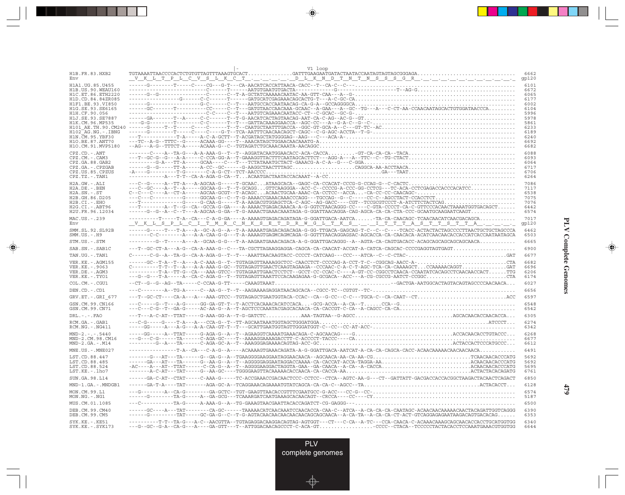| H1B.FR.83.HXB2                                                                                                              | V1 loop<br>${\tt TGTAAAATTAACCCCACTCTGTGTTAGTTTAAAGTGCACT.}\dots\dots\dots\dots\dots{\sf GATTTGAAGAATAGTACTAATACCAATAGTAGTAGTGGGGAGA\dots\dots\dots\dots\dots\dots\dots\dots\dots\dots\dots$                                                                                                                                                                                                                                                                                                                                                                                                                                                                                         | 6662                                                 |
|-----------------------------------------------------------------------------------------------------------------------------|--------------------------------------------------------------------------------------------------------------------------------------------------------------------------------------------------------------------------------------------------------------------------------------------------------------------------------------------------------------------------------------------------------------------------------------------------------------------------------------------------------------------------------------------------------------------------------------------------------------------------------------------------------------------------------------|------------------------------------------------------|
| Env<br>H1A1.UG.85.U455                                                                                                      | <u> V K L T P L C V S L K C T D L K N D T N T N S S S G R</u> 9p120                                                                                                                                                                                                                                                                                                                                                                                                                                                                                                                                                                                                                  | 6101                                                 |
| H1B. US. 90. WEAU160<br>H1C.ET.86.ETH2220<br>H1D.CD.84.84ZR085<br>H1F1.BE.93.VI850                                          |                                                                                                                                                                                                                                                                                                                                                                                                                                                                                                                                                                                                                                                                                      | 6672<br>6065<br>6177<br>6002                         |
| H1G.SE.93.SE6165<br>H1H.CF.90.056<br>H1J.SE.93.SE7887<br>H1K.CM.96.MP535<br>H101 AE.TH.90.CM240                             | $-\cdots-\mathsf{G}-\cdots-\mathsf{T}-\cdots-\mathsf{C}-\cdots-\mathsf{C}-\cdots-\mathsf{C}-\cdots-\mathsf{T}-\mathsf{T}\mathsf{C}\mathsf{A}\mathsf{A}\mathsf{T}\mathsf{G}\mathsf{C}\mathsf{T}\mathsf{A}\mathsf{A}\mathsf{T}\mathsf{T}\mathsf{T}\mathsf{G}\mathsf{A}\mathsf{C}\mathsf{C}\mathsf{A}\mathsf{A}-\mathsf{G}\mathsf{G}\mathsf{C}-\mathsf{G}\mathsf{T}-\mathsf{G}\mathsf{C}\mathsf{A}-\mathsf{A}-\mathsf{C}-\mathsf{C}\mathsf{T}-\mathsf{T}\mathsf{C}-\mathsf{$                                                                                                                                                                                                            | 6104<br>5996<br>5978<br>5861<br>6233                 |
| $H102-AG.NG. - .IBNG$<br>H1N. CM. 95. YBF30<br>H10.BE.87.ANT70<br>H1O.CM.91.MVP5180                                         | $\begin{minipage}[t]{0.99\textwidth} \begin{tabular}{l} \multicolumn{2}{l}{{\small \textbf{--0.1}}}\end{tabular} & \multicolumn{2}{l}{{\small \textbf{--0.1}}}\end{tabular} & \multicolumn{2}{l}{{\small \textbf{--0.1}}}\end{minipage}[t]{\small \textbf{--1.1}}\end{minipage}[t]{\small \textbf{--1.2}}\end{minipage}[t]{\small \textbf{--1.3}}\end{minipage}[t]{\small \textbf{--1.4}}\end{minipage}[t]{\small \textbf{--1.5}}\end{minipage}[t]{\small \textbf{--1.$                                                                                                                                                                                                              | 6189<br>6240<br>6692<br>6682                         |
| $CPZ$ . $CD$ . $-ANT$<br>CPZ.CM. - . CAM3<br>CPZ.GA.88.GAB2<br>CPZ.GA.-.CPZGAB<br>CPZ.US.85.CPZUS<br>$CPZ.TZ.-.TAN1$        | ---T--GC-G--G---A-A-----C-CCA-GG-A--T-GAAAGGTTACTTTCAATAGCACTTCT---AGG-A---A--TTC--C--TG-CTACT                                                                                                                                                                                                                                                                                                                                                                                                                                                                                                                                                                                       | 6088<br>6093<br>6064<br>6717<br>6706<br>6264         |
| H2A.GW.-.ALI<br>H2A.DE. - .BEN<br>$H2A.SN.-.ST$<br>H2B.GH.86.D205<br>$H2B.CI.-.EHO$<br>H2G.CI. - . ABT96<br>H2U.FR.96.12034 | ---C--G-----A--TT-A---A-AGCAA-G-----T-GCAACATAAGCACA--GAGC-CA-CCACAT-CCCG-G-CCAG-G--C-CACTC<br>---C--GC----A--T--A-----GGCAA-G--T--T-GCAGGGTTCAAGGGA--ACC-C--CCCCG-A-CCC-GG-CCTCG---TC-ACA-CCTCGAGACCACCACATCC<br>---C---C---------G-----GGCAA-G--C--T-G-AAAACCGAAACACACGG---TGCCAG--G--C-----CC-C--AGCCTACT-CCACCTCT<br>---T-------------G----G-CAA-G-----T-A-AAGACGTGGAGCTCA-C-AGC--AG-GACC----CGT--TCCGCGTCCCT-A-ATCTTCTACTCAG<br>---T--------A--T--G--CA--GCCA-G-GA----A-AAAACTGAGACAAACA-A-G-GGTCTAACAGGG-CC----C-GTA-CCCCT-CA-C-GTTCCCACAACTAAAATGGTGACAGCT<br>-----G--G--A--C--T---A-AGCAA-G-GA--T-G-AAAACTGAAACAAATAGA-G-GGATTAACAGGA-CAG-AGCA-CA-CTA-CCC-GCAATGCAAGAATCAAGT | 7086<br>7117<br>6538<br>7075<br>7076<br>6442<br>6574 |
| MAC.US.-.239<br>Env                                                                                                         | ---------T----T-A--CA---C-A-G-GA----A-AAAAGTGAGACAGATAGA-G-GGATTGACA-AATCA-TA-CA-CAACAGC-TCAACAACATCAACGACAGCA                                                                                                                                                                                                                                                                                                                                                                                                                                                                                                                                                                       | 7017<br>gp120                                        |
| SMM.SL.92.SL92B<br>$SMM.US.-.H9$                                                                                            | -----G----T---T-A--A--GC-A-G--A--T-A-AAAAATGAGACAGACAG-G-GG-TTGACA-GAGCAG-T-C--C--C---TCACC-ACTACTACTAGCCCCTTAACTGCTGCTAGCCCA<br>-------C-C--------A---A-CAA-G-G---T-A-AAAAGTGAGMCAGMCAGA-G-GGTTTAACAGGAGSAC-AGCACCA-CA-CAACACA-ACATCAACAACACCACCATCACCAATAATAGCA                                                                                                                                                                                                                                                                                                                                                                                                                    | 6462<br>6503                                         |
| STM.US.-.STM                                                                                                                |                                                                                                                                                                                                                                                                                                                                                                                                                                                                                                                                                                                                                                                                                      | 6665                                                 |
| SAB.SN. - . SAB1C                                                                                                           | ---T--GC-CT-A---A-G--CA-A-AAA-G--C---TA-CGCTTAGAAGGAGGA-CAGCA-CA-CAACAT-ACCAT-A-CATCA-CAGCAC-CCCCGAGGTAGTGAGT                                                                                                                                                                                                                                                                                                                                                                                                                                                                                                                                                                        | 6900                                                 |
| TAN.UG. - . TAN1<br>VER. KE. - . AGM155<br>VER.KE. - . 9063<br>VER.DE. - . AGM3                                             | C--------T-T--T--A---A-A-AAA-G-GC--TGTAGAGTTGAACTCAAGTAGAAGA--CCCAAC-C-A-C-T-AGC-TCA-CAAAAGCTCCAAAAACAGGTGAT<br>---------T-A--TT-G--CA---AAA-GTCC--TGTAGAATTGAACTCCTCT--GCCT-CC-CCAC-C----A-GT-CC-CGGCCTCAACA-CCAATATCACAGCCTCAACAACCACTTTG                                                                                                                                                                                                                                                                                                                                                                                                                                          | 6677<br>6682<br>6696<br>6206                         |
| VER.KE. - . TYO1                                                                                                            | ---G--G---T-A----A--CA-C-AGA-G--T--TGTAGAGTTAAATTCCACAAGAGAA-G-GCGACA--ACC---A-CG-CGCCG-AATCT-CCGGCCTA                                                                                                                                                                                                                                                                                                                                                                                                                                                                                                                                                                               | 6174                                                 |
| COL.CM.-.CGU1<br>DEN.CD. - . CD1                                                                                            |                                                                                                                                                                                                                                                                                                                                                                                                                                                                                                                                                                                                                                                                                      | 6027<br>6656                                         |
| GRV.ET. - .GRI 677                                                                                                          |                                                                                                                                                                                                                                                                                                                                                                                                                                                                                                                                                                                                                                                                                      | 6597                                                 |
| GSN.CM.99.CN166<br>GSN.CM.99.CN71                                                                                           |                                                                                                                                                                                                                                                                                                                                                                                                                                                                                                                                                                                                                                                                                      | 6548<br>6542                                         |
| $DRL$ . - . - . $FAO$                                                                                                       |                                                                                                                                                                                                                                                                                                                                                                                                                                                                                                                                                                                                                                                                                      | 6305                                                 |
| RCM.GA. - . GAB1<br>$RCM.NG. - . NG411$                                                                                     |                                                                                                                                                                                                                                                                                                                                                                                                                                                                                                                                                                                                                                                                                      | 6274<br>6342                                         |
| $MND-2. - - 5440$<br>MND-2.CM.98.CM16<br>$MND-2.GA.-.M14$                                                                   |                                                                                                                                                                                                                                                                                                                                                                                                                                                                                                                                                                                                                                                                                      | 6268<br>6677<br>6612                                 |
| MNE.US. - . MNE027                                                                                                          |                                                                                                                                                                                                                                                                                                                                                                                                                                                                                                                                                                                                                                                                                      | 6491                                                 |
| LST.CD.88.447<br>LST.CD.88.485<br>LST.CD.88.524<br>LST.KE.-.lho7                                                            | $\verb -AC---A---AT---TTAT---T-T-CT-CCA-G--A--T---AGGGGAGGGAGGATAGGATA-GAA--GAA-CACA--A-CA-A-CA-CA. \\\verb +CA---A-C. \\\verb +CA---A-C. \\\verb +CA---A-C. \\\verb +CA---A-C. \\\verb +CA---A-C. \\\verb +CA---A-C. \\\verb +CA---A-C. \\\verb +CA---A-C. \\\verb +CA---A-C. \\\verb +CA---A-C. \\\verb +CA---A-C. \\\verb +CA---A-C. \\\verb +CA---A-C. \\\verb +CA---A-C. \\\verb +CA---A-C$                                                                                                                                                                                                                                                                                     | 5692<br>5692<br>5695<br>6761                         |
| SUN.GA.98.L14                                                                                                               | -----GA-C-AT--CTAT-----C-AAA-G-----TC-ACCGAAACCGACAACTCCC-CCTCC--CTCA--AGTC-AA-G---CT--GATTATT-GACGACCACCACGGCTAAGACTACAACTCAGACT                                                                                                                                                                                                                                                                                                                                                                                                                                                                                                                                                    | 6850                                                 |
| MND-1.GA.-.MNDGB1                                                                                                           |                                                                                                                                                                                                                                                                                                                                                                                                                                                                                                                                                                                                                                                                                      | 6128                                                 |
| MON.CM.99.L1<br>$MON.NG. - . NG1$                                                                                           |                                                                                                                                                                                                                                                                                                                                                                                                                                                                                                                                                                                                                                                                                      | 6574<br>5187                                         |
| MUS.CM.01.1085<br>DEB.CM.99.CM40                                                                                            | ---C-----------TA-G-----A-AAA-G--A--TG-GAAAGTAACGAATTACACCAGATCT-CG-GAGGG---<br>-----GC----A---TAT--------CA-GC------TAAAACATCAACAAATCCAACACA-CA-C--ATCA--A-CA-CA-CA-CA-CATAGC-ACAACAACAACAACAACTACAGATTGGTCAGGG                                                                                                                                                                                                                                                                                                                                                                                                                                                                     | 6500<br>6390                                         |
| DEB.CM.99.CM5                                                                                                               | ------G---------TAT-----GC-GA-G--C--T-G-AGTACAACAACAACAACAACAGCAGCAACA --A-CA-TA--A-CA-CT-ACT-GTCAGGAGAGAATAAGACAGTGACACAG                                                                                                                                                                                                                                                                                                                                                                                                                                                                                                                                                           | 6353                                                 |
| $SYK.KE. - .KE51$<br>$SYK.KE. - .SYK173$                                                                                    | ---G--GC--G-A--CA-G---A----GA-GTT---T--ATTGGACAACAGCCCT-C-ACA-GTCCCC--CTACA--TCCCCCTACTACACCTCCAAATGAAACGTGGTGG                                                                                                                                                                                                                                                                                                                                                                                                                                                                                                                                                                      | 6340<br>6644                                         |

<u>a shekara ta 1989 na shekara t</u>

 $\overrightarrow{\phantom{a}}$ 

 $\frac{\displaystyle \frac{\displaystyle \mathrm{d}}{\displaystyle \mathrm{d}}}{\displaystyle \frac{\displaystyle \mathrm{d}}{\displaystyle \mathrm{d}}}{\displaystyle \mathrm{d}}$ 

٦

**PLV Complete Genomes PLV Complete Genomes**

 $\begin{picture}(20,5) \put(0,0){\line(1,0){10}} \put(15,0){\line(1,0){10}} \put(15,0){\line(1,0){10}} \put(15,0){\line(1,0){10}} \put(15,0){\line(1,0){10}} \put(15,0){\line(1,0){10}} \put(15,0){\line(1,0){10}} \put(15,0){\line(1,0){10}} \put(15,0){\line(1,0){10}} \put(15,0){\line(1,0){10}} \put(15,0){\line(1,0){10}} \put(15,0){\line(1,$ 

 $\overline{\phantom{0}}$ 

<u> a mare d</u>

 $\mathbf{I}$ 

**479**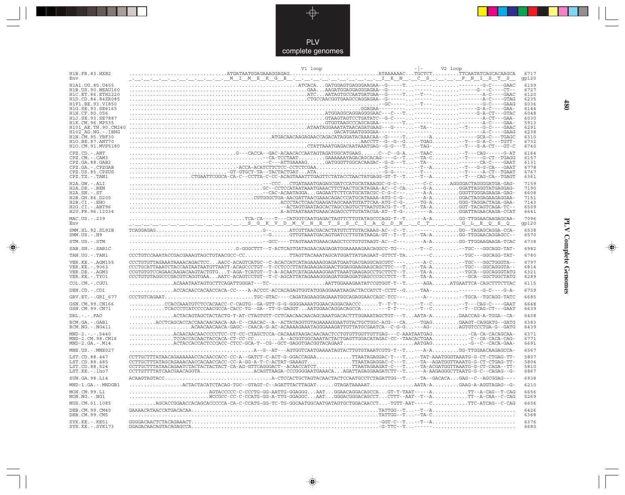

--

 $\overrightarrow{\mathbf{\P}}$ 

 $\begin{tabular}{c} \hline \quad \quad & \quad \quad \\ \hline \quad \quad & \quad \quad \\ \hline \end{tabular}$ 

|                                                                                  | V1 loop<br>V2 loop                                                                                                                                                                                                                                                                                                                                                                                                                                                                                                      |                              |
|----------------------------------------------------------------------------------|-------------------------------------------------------------------------------------------------------------------------------------------------------------------------------------------------------------------------------------------------------------------------------------------------------------------------------------------------------------------------------------------------------------------------------------------------------------------------------------------------------------------------|------------------------------|
| H1B.FR.83.HXB2<br>Env                                                            |                                                                                                                                                                                                                                                                                                                                                                                                                                                                                                                         | 6717<br>gp120                |
| H1A1. UG. 85. U455<br>H1B. US. 90. WEAU160                                       |                                                                                                                                                                                                                                                                                                                                                                                                                                                                                                                         | 6159<br>6727                 |
| H1C.ET.86.ETH2220                                                                |                                                                                                                                                                                                                                                                                                                                                                                                                                                                                                                         | 6120                         |
| H1D.CD.84.84ZR085<br>H1F1.BE.93.VI850                                            |                                                                                                                                                                                                                                                                                                                                                                                                                                                                                                                         | 6235<br>6036                 |
| H1G.SE.93.SE6165                                                                 |                                                                                                                                                                                                                                                                                                                                                                                                                                                                                                                         | 6144                         |
| H1H.CF.90.056                                                                    |                                                                                                                                                                                                                                                                                                                                                                                                                                                                                                                         | 6048                         |
| H1J.SE.93.SE7887<br>H1K.CM.96.MP535                                              |                                                                                                                                                                                                                                                                                                                                                                                                                                                                                                                         | 6030<br>5913                 |
| H101 AE.TH.90.CM240                                                              |                                                                                                                                                                                                                                                                                                                                                                                                                                                                                                                         | 6291<br>6238                 |
| H102 AG.NG. -. IBNG<br>H1N. CM. 95. YBF30                                        |                                                                                                                                                                                                                                                                                                                                                                                                                                                                                                                         | 6310                         |
| H10.BE.87.ANT70<br>H1O.CM.91.MVP5180                                             | ${\tt AACCTT-G-G-G--TGAC}\dots {\tt .} \dots {\tt .} \dots {\tt .} \dots {\tt .} \dots {\tt .} \dots {\tt .} \dots {\tt .} \dots {\tt .} \dots {\tt .} \dots {\tt .} \dots {\tt .} \dots {\tt .} \dots {\tt .} \dots {\tt .} \dots {\tt .} \dots {\tt .} \dots {\tt .} \dots {\tt .} \dots {\tt .} \dots {\tt .} \dots {\tt .} \dots {\tt .} \dots {\tt .} \dots {\tt .} \dots {\tt .} \dots {\tt .} \dots {\tt .} \dots {\tt .} \dots {\tt .} \dots {\tt .} \dots {\tt .} \dots {\tt .} \dots {\tt .} \dots {\tt .} \$ | 6732<br>6740                 |
| CPZ.CD. - . ANT                                                                  |                                                                                                                                                                                                                                                                                                                                                                                                                                                                                                                         | 6164                         |
| CPZ.CM. - . CAM3                                                                 |                                                                                                                                                                                                                                                                                                                                                                                                                                                                                                                         | 6157                         |
| CPZ.GA.88.GAB2<br>CPZ.GA. - . CPZGAB                                             |                                                                                                                                                                                                                                                                                                                                                                                                                                                                                                                         | 6131<br>6778                 |
| CPZ.US.85.CPZUS                                                                  | GT-GTGCT-TA--TACTACTGATATA-G-G-----T----T-----A-CT--TGAAT                                                                                                                                                                                                                                                                                                                                                                                                                                                               | 6767                         |
| $CPZ.TZ.-.TAN1$                                                                  | $\ldots \ldots \ldots \ldots \ldots \ldots \ldots \text{CTGAATTCGGCA-CA-C--CCTTA-C-CC-TAAGTAAATTGGAGTCTCTATACCTAACTATGAGG-GT-T--T \ldots --T--A \ldots \ldots \ldots --T--CAG-CA--TGAGT\ldots \ldots \text{CTA} \ldots \text{CTA} \ldots \text{CTA} \ldots \text{CTA} \text{CTA} \ldots \text{CTA} \text{CTA} \text{CTA} \text{CTA} \text{CTA} \text{CTA} \text{CTA} \text{CTA} \text{CTA} \text{CTA} \text{CTA} \text{CTA} \text{CTA} \text$                                                                           | 6361                         |
| $H2A.GW.-.ALI$<br>$H2A.DE. -.BEN$                                                |                                                                                                                                                                                                                                                                                                                                                                                                                                                                                                                         | 7159<br>7190                 |
| $H2A.SN.-.ST$                                                                    |                                                                                                                                                                                                                                                                                                                                                                                                                                                                                                                         | 6608                         |
| H2B.GH.86.D205<br>H2B.CI.-.EHO                                                   |                                                                                                                                                                                                                                                                                                                                                                                                                                                                                                                         | 7151<br>7143                 |
| H2G.CI.-.ABT96                                                                   |                                                                                                                                                                                                                                                                                                                                                                                                                                                                                                                         | 6509                         |
| H2U.FR.96.12034<br>MAC.US. - . 239                                               |                                                                                                                                                                                                                                                                                                                                                                                                                                                                                                                         | 6641<br>7096                 |
| Env                                                                              | <u>University in the set of a set of the set of the set of the set of the set of the set of the set of the set of the set of the set of the set of the set of the set of the set of the set of the set of the set of the set of </u>                                                                                                                                                                                                                                                                                    | gp120                        |
| SMM.SL.92.SL92B<br>$SMM.US. - . H9$                                              |                                                                                                                                                                                                                                                                                                                                                                                                                                                                                                                         | 6538<br>6570                 |
| STM.US.-.STM                                                                     |                                                                                                                                                                                                                                                                                                                                                                                                                                                                                                                         | 6738                         |
| SAB.SN. - . SAB1C                                                                |                                                                                                                                                                                                                                                                                                                                                                                                                                                                                                                         | 6982                         |
| TAN.UG. - . TAN1                                                                 | CCCTGTCCAAATACCGACGAAAGTAGCTGTAACGCC-CCTTAGTTACAAATAGCATGGATTATGAGAAT-GTTCT-TA----C-TGC--GGCAGG-TAT-                                                                                                                                                                                                                                                                                                                                                                                                                    | 6780                         |
| VER. KE. - . AGM155<br>VER. KE. - . 9063<br>VER.DE. - . AGM3<br>VER.KE. - . TYO1 | CCCTGTGTTAGAAATAAAACAGACTCCAACC-ACAGTCATGC--C-ACACCATCATAGAAAAGGAGATGAATGACGAGGCAGCGTC-------A-C-TGC---GGCTGGGTA--<br>CCCTGCATTAAATCTACCAATAATAATGTTAATT-ACAGCCCTGT--T-CCTCCCTTATAGAAGAGGGAACTGGAGGAAGAAGCAGCTTC---T--TA-A--TGC---GGCAGGGTA--<br>CCGTGTGTCCAGAACAAGACAAGTACTGTGT-AGA-TCATGT--T-A-ACAATCATAGAAAAGGAATTAAATGAAGAGCCTGCTTCT--T--TA-A-TGCA--GGCAGGGTATG<br>CCCTGTGTAGGCCCGACGTCAGGTGAAAATC-ACAGTCCTGT--T-C-AGCATTATAGAAAGGGAGATGGAGGATGAGCCCGCCTCT--T--TA-A---GCA--GGCTGGCTATG                              | 6797<br>6814<br>6321<br>6289 |
| COL.CM.-.CGU1                                                                    | ACAAATAATAGTGCTTCAGATTGGGAT---TC-AATTGGAAAGAATATCCGTGGT-T--T---AGAATGAATTCA-CAGCTTTCTTAC                                                                                                                                                                                                                                                                                                                                                                                                                                | 6115                         |
| DEN.CD. - .CD1                                                                   | ACCACAACCACACCACA-CC----A-ACCCC-ACCACAGAGTGGTATGGAGGAAATAAGACTACCATCT-CCTT--G--TAA--------G-C----G-A-                                                                                                                                                                                                                                                                                                                                                                                                                   | 6759                         |
| GRV.ET. - . GRI 677                                                              | CCCTGTCAGAATTGC-GTAC----CAGATAGAAGGAGAAATGGCAGAGCCAGC-TCC------A---TGCA-TGCAGG-TATC                                                                                                                                                                                                                                                                                                                                                                                                                                     | 6685                         |
| GSN.CM.99.CN166<br>GSN.CM.99.CN71                                                | $\ldots\ldots\ldots\ldots$ CCACCAAATGTCTCCACAACC-C-CAGTG--GA-GTT-G-G-GGGGAAAATGGAACAGCACAACCCT--T-T-----T--C-T---CAG-C----GAAT<br>$\ldots \ldots \ldots \ldots \ldots \text{TCACCTCATCCCCAACGCCA-CACC-TG-GAC-TG--GA--GAGGT.}\ldots \text{AATGGAACAGGACAGGACACCA}. \ldots \ldots \ldots \text{---T--C-.}\ldots \ldots \ldots \ldots \ldots \text{---T--CCAG-CT--GAAT}$                                                                                                                                                   | 6648<br>6639                 |
| $DRL. - . - . FAO$                                                               | ACTACAGTAGCTACTACTG-T-AT-CTAGTGTT-CCTCAACAACAACAGCAAATGACACTTTGGAAATAGCTGT---TAATA-AGAACCAG-A-TGGA--CA-                                                                                                                                                                                                                                                                                                                                                                                                                 | 6408                         |
| RCM.GA.-.GAB1<br>RCM.NG. - . NG411                                               | ACCTCAGCACCACCAACAACAACA-AA-C--CAACAC--A--ACTATAGGTGTAGAAAAGGAATGTACTGCTGGC-ACG---CA--TGAGGAAGT-CAGGATG--GATG<br>ACAACAACAACA-GAGC--CAACA-G-AC-ACAAAAGAAATAGGGAAAGATTGTTATGCGAATCA--C-G-G---AG-AGTGTCCCTGA-G--GATG                                                                                                                                                                                                                                                                                                      | 6383<br>6439                 |
| $MND-2. - - - 5440$<br>MND-2.CM.98.CM16<br>$MND-2.GA.-.M14$                      | $\ldots \ldots \ldots$ . ACAACAACAACCCCCTCC-CT-CC-CTAGCTCCA-CACAAATAAGACAACAACTCCTGTGTTGGTTGTTGAG---C-AAATAATGAGCA-CA-CACAGCAA-<br>TCCACCACAACTACCACA-CT-CC-CCA--ACGGTGGCAAATACTACTGAGTTGGACATAGAC-CC--TAACACTGAA-C--CA-CACA-CAG-<br>$\ldots\ldots\ldots\ldots$ ACTACCACCACTCCCACC - CTCC - GCA - T - - CG - - GCT - GAGGTGACGGTACAGAAT $\ldots\ldots\ldots\ldots\ldots\ldots\ldots\ldots$ AATGAG $\ldots\ldots\ldots\ldots\ldots\vdots$ G - - C - - CACA - GAA -                                                       | 6371<br>6771<br>6691         |
| MNE.US.-.MNE027                                                                  |                                                                                                                                                                                                                                                                                                                                                                                                                                                                                                                         | 6567                         |
| LST.CD.88.447<br>LST.CD.88.485<br>LST.CD.88.524<br>LST.KE.-.lho7                 | CCTTGCTTTATAACAGAAAAAACCACAACCACC-CC-A--GATCT-C-ACT-G-GGACCAGAATTAATAGAGGAC-T---T-TAT-AAATGGGTAAATG-G-CT-CTGAG-TT-<br>CCTTGCTTTATAGCAGAAACAACCACCACC-CC-A-GG-A-T-C-ACTAT-GAAAGTTTAATAGAGGAC-C---T-TA--AGATGGTTAAATG-G-CT-CTGAG-TT-<br>CCTTGCTTTATAACAGAATCTACTACTACTACTC-CA-AG-GTTCAGGGACT--ACAACCATCTTTAATAGAAGAT-C---T-TA-ACGATGGTTAAATG-G-CT-CAGA--TT-<br>CCTTGTTTTATCAACGAACAGGTAACAGTTAAGA-CCCGGGGAATGAAACAAGATTAGAGGAAGATCTT--T---A-AAGAGGGCTTAATG-G-C--CAGAG--G-                                                 | 5807<br>5804<br>5810<br>6867 |
| SUN.GA.98.L14                                                                    |                                                                                                                                                                                                                                                                                                                                                                                                                                                                                                                         | 6938                         |
| MND-1.GA.-.MNDGB1                                                                | $\ldots\ldots\ldots\ldots\ldots$ ACTACTACATCTACAG-TGC--GTAGT-C--AGATTTACTTAGAT $\ldots\ldots$ .GTAGATAAAAAT $\ldots\ldots\ldots\ldots\ldots$ AATA-A $\ldots\ldots\ldots$ .GAAG-A-AGGTAGAG--G-                                                                                                                                                                                                                                                                                                                           | 6210                         |
| MON.CM.99.L1<br>MON.NG.-.NG1                                                     | AGTACCCC-C-CCCTG-GG-AATTG-GGAGGGAATGGAACAGGACAGCCAGT-T-TAAT-----ATT--A-CAG--T-CAG                                                                                                                                                                                                                                                                                                                                                                                                                                       | 6656<br>5269                 |
| MUS.CM.01.1085                                                                   | .AGCACCGGAACCACAGCACCCCCA-CA-C-CCATG-GG-TC-TG-GGCAATGGCAATGATAGTGCTGGACAACCT-TGTT-AAT-----CTTC-ATCAG--C-CAG                                                                                                                                                                                                                                                                                                                                                                                                             | 6606                         |
| DEB. CM. 99. CM40<br>DEB.CM.99.CM5                                               |                                                                                                                                                                                                                                                                                                                                                                                                                                                                                                                         | 6426<br>6368                 |
| SYK.KE.-.KE51<br>$SYK.KE. - .SYK173$                                             |                                                                                                                                                                                                                                                                                                                                                                                                                                                                                                                         | 6376<br>6680                 |

 $\blacklozenge$ 

**PLV Complete Genomes 480 PLV Complete Genomes** 

 $\Rightarrow$ 

 $\sqrt{2}$ 

 $480$ 

 $\blacksquare$ 

<u> 1950 - 1961 - 1971 - 1971 - 1971 - 1971 - 1971 - 1971 - 1971 - 1971 - 1971 - 1971 - 19</u>

 $\overline{\phantom{a}}$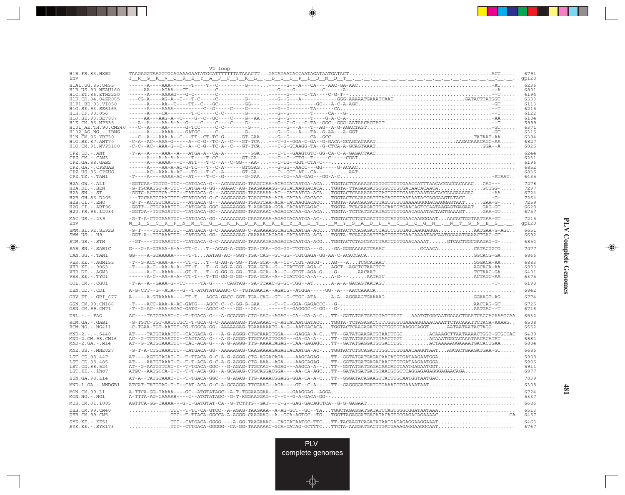|                                              | V2 loop                                                                                                                                                                                                                                            |               |
|----------------------------------------------|----------------------------------------------------------------------------------------------------------------------------------------------------------------------------------------------------------------------------------------------------|---------------|
| H1B.FR.83.HXB2<br>Env                        |                                                                                                                                                                                                                                                    | 6791<br>gp120 |
| H1A1.UG.85.U455                              |                                                                                                                                                                                                                                                    | 6236          |
| H1B. US. 90. WEAU160<br>H1C.ET.86.ETH2220    |                                                                                                                                                                                                                                                    | 6801<br>6194  |
| H1D.CD.84.84ZR085                            |                                                                                                                                                                                                                                                    | 6333          |
| H1F1.BE.93.VI850<br>H1G.SE.93.SE6165         |                                                                                                                                                                                                                                                    | 6113<br>6215  |
| H1H.CF.90.056                                |                                                                                                                                                                                                                                                    | 6122          |
| H1J.SE.93.SE7887<br>H1K.CM.96.MP535          |                                                                                                                                                                                                                                                    | 6104<br>5999  |
| H101 AE.TH.90.CM240                          |                                                                                                                                                                                                                                                    | 6371          |
| $H102-AG.NG. - . IBNG$<br>H1N. CM. 95. YBF30 |                                                                                                                                                                                                                                                    | 6315<br>6384  |
| H10.BE.87.ANT70<br>H1O.CM.91.MVP5180         |                                                                                                                                                                                                                                                    | 6827<br>6826  |
| CPZ.CD. - . ANT                              |                                                                                                                                                                                                                                                    | 6244          |
| CPZ.CM. - . CAM3                             |                                                                                                                                                                                                                                                    | 6231          |
| CPZ.GA.88.GAB2<br>CPZ.GA. - . CPZGAB         |                                                                                                                                                                                                                                                    | 6196<br>6852  |
| CPZ.US.85.CPZUS                              |                                                                                                                                                                                                                                                    | 6835          |
| CPZ.TZ.-.TAN1                                |                                                                                                                                                                                                                                                    | 6435          |
| H2A.GW.-.ALI<br>H2A.DE. - . BEN              | -GGTCAA-TGTCG-TTC--CATGACA-G---ACAGAGAG-TAAGCCAA-ACAGTATAATGA-ACATGGTACTCAAAAGATGTGGTTTGTGAACCATTTAACACCACCACAAACCAG---<br>$-G-TGCAATGT-A-TTC--TATGA-G-GG--AGAAC-AG-TAAGAAAGG-GGTATAAGGACACA.TGGTA-TTAGAAGATGTGGTTTGTGACAACACACA. GCTGG-$          | 7278<br>7297  |
| $H2A.SN.-.ST$                                | $\verb -GGTC-ACTGTCA-TTC--TATGACA-G---AGAGAGGG-TAAQAAA-AC--TATAATGA-ACA.TGTACTCAAAAGATGTAGTCTGTGAATCAAATGACCAAGAAGAGAG. - AA.$                                                                                                                     | 6724          |
| H2B.GH.86.D205<br>H2B.CI.-.EHO               | ---TGCAATGTAATTTT-GTATGACG-G-C-AAGAAGAG-TGAGCTAA-ACA-TATAA-GACACCTGGTACTCAGAAGATTTAGAGTGTAATAATACCAGGAAGTATACCG-<br>-G-T--ACTGTCAATTC---ATGACA-G---AAAAAGAG-TGAGTCAA-ACA-TATAAGGACACCTGGTA-AAACAAGATTTAGTGTGTAAAAGGGGACAAGGAGTAATGAA-G-            | 7264<br>7259  |
| $H2G.CI.-.ABT96$                             | $\verb -GGT" - \verb CTGCAAATT" - \verb CTGACA-GG'-AAAAAGGG - T-AGAGAA-GGA-TACAATGAGAC - TGGTA-TACAGATTTGCAATGGAGTCCAATAAGAGTGAGAAT GAG-GT$                                                                                                        | 6628          |
| H2U.FR.96.12034                              | $-GGTGA--TGTAGATT--TATGACA-GC--AAAAAGGG-TAAGAACA-AGAGTATAA-GA-ACA. TGGTA-TCTCATGACATAGTTTGTGAACAGAATACTAGTGAAGAT. GAA-GT.$                                                                                                                         | 6757<br>7215  |
| MAC.US.-.239<br>Env                          | -G-T-A-CTGTAAATTC--CATGACA-GG--AAAAAGAG-CAAGAAAA-AGAGTACAATGA-AC-TGGTACTCTGCAGATTTGGTATGTGAACAAGGGAATAACACTGGTAATGAA-GT<br><u> M_I_S_C_K_F_N_M_T_G_L_K_R_D_K_K_K_B_Y_N_B_T_. W_Y_S_A_D_L_V_C_B_Q_G_N_. _N_T_G_N_B_S_. __.</u>                      | qp120         |
| SMM.SL.92.SL92B<br>$SMM.US.-.H9$             | -GGT-A--TGTAAATTT--CATGACA-GG--AAAAAGAG-CAAAAAGAGAGA-TATAATGA-ACATGGTA-TCAAGAGATTTAGTGTGTGAACAAAATAGCAATGGAAATGAAACTGAC-GT                                                                                                                         | 6651<br>6692  |
| STM.US.-.STM                                 | -GT----TGTAAATTC--TATGACA-G-C-AAAAAGAG-TAAAAAGAGAGAGTACAATGA-ACGTGGTACTCTAGCGATCTAATCTGTGAACAAAATGTCACTGGCGAAGAG-G-                                                                                                                                | 6854          |
| SAB.SN.-.SAB1C                               | $\texttt{G--G-A-GTAAA-A-A--TT-C\ldots}\texttt{T--ACAG-A-GGG-TGA-CAA-GG-GG-TTGTGA---G\ldots-GA-GGGAAAAATCAAAC\ldots\ldots\texttt{.GCAACA\ldots}\ldots\texttt{.CATACTGTG\ldots}\ldots$                                                               | 7077          |
| TAN.UG. - . TAN1                             |                                                                                                                                                                                                                                                    | 6866          |
| VER. KE. - . AGM155<br>VER.KE. - . 9063      |                                                                                                                                                                                                                                                    | 6883<br>6903  |
| VER.DE. - . AGM3                             |                                                                                                                                                                                                                                                    | 6401          |
| VER.KE. - . TYO1                             |                                                                                                                                                                                                                                                    | 6375          |
| COL.CM. - . CGU1                             |                                                                                                                                                                                                                                                    | 6198          |
| DEN.CD. - .CD1                               |                                                                                                                                                                                                                                                    | 6842          |
| GRV.ET. - . GRI 677<br>GSN.CM.99.CN166       |                                                                                                                                                                                                                                                    | 6774<br>6725  |
| GSN.CM.99.CN71                               |                                                                                                                                                                                                                                                    | 6716          |
| $DRL. - . - . FAO$                           | AC----TATGTAAAT-C--T-TGACA-G---A-GCAGGG-CTG-AAG--AGAG--CA--GA-A-CTT--GGTATGATGATGTAGTTTGTAAATGTGGCAATGAAACTGAATCACCAGAAAGCAA                                                                                                                       | 6532          |
| RCM.GA. - .GAB1<br>$RCM.NG. - . NG411$       | -G-TGTC-TGT-AATTTGCT-T-GCA-G-C-AAAGAGAG-TGAGAAAC-C-AGTATAATGATACCTGGTA-TCTAGAGACCTTTGGTGTGAAAAGGAAACAAATTCTACAAATTCTACA-AAAAG<br>-C-TGAA-TGT-AATTT-CG-TGGCA-GG--AAAAAGAG-TGAAAAAATG-A-G--AATGACACATGGTACTCAAGAGATCTCTGGTGTAAGGCAGGTAATAATAATACTAGG | 6508<br>6552  |
| $MND-2. - - - 5440$<br>MND-2.CM.98.CM16      | AT----TATGTAAATTC--CACGACA-G---A-G-AGGG-CTGCAAATTGGA----GAGGA-A-CTT--GATATGAAGATGTAACTTGCACAAAGCTTAATAAAACTGGT-GTGCTAC<br>AC--G-TCTGTAAATTC--TACTACA-G---A-G-AGGG-TTGCAAATTGGAG---GA-GA-A--TT--GATATGAAGATGTAACTTGTACAAATGGCACAAATAACACATAT        | 6489<br>6884  |
| $MND-2.GA.-.M14$                             | AT--G-TATGTAAATTT--CAC-ACA-G---A-G-AGGG-TTG-AAAATAGAG--TAA-GAGAGCTT--GATATGAGGATGTGACCTGTACTAAAAAGGAAAATGACACTGAA                                                                                                                                  | 6804          |
| MNE.US. - . MNE027                           | -G-T-A-CTGTAAATTC--CATGACA-GG--AAAAAGAG-CAAGAAAAGAGAGTACAATGA-AC-TGGTACTCTGCAGATTTGGTTTGTGAACAAGGTAATAGCACTGAAGATGAA-GT                                                                                                                            | 6686          |
| LST.CD.88.447<br>LST.CD.88.485               |                                                                                                                                                                                                                                                    | 5908<br>5905  |
| LST.CD.88.524<br>LST.KE.-.lho7               |                                                                                                                                                                                                                                                    | 5911<br>6977  |
| SUN.GA.98.L14                                |                                                                                                                                                                                                                                                    | 7039          |
| MND-1.GA.-.MNDGB1                            |                                                                                                                                                                                                                                                    | 6308          |
| MON.CM.99.L1<br>$MON.NG. - . NG1$            | $A-TTCA-GG-TAAAA---GC--ATGTATAGC--A-T-TGGAAGGAA--C----GAAGGAG--AGGA.$                                                                                                                                                                              | 6724<br>5337  |
| MUS.CM.01.1085                               |                                                                                                                                                                                                                                                    | 6686          |
| DEB. CM. 99. CM40<br>DEB.CM.99.CM5           | $\ldots \ldots \ldots \ldots \ldots \texttt{TTC--T-TTACA-GGCC-A-AGGG-CAAGAAG-A--GCA-AGTGC--TG} \ldots \texttt{TGGTAGAGAGGATGAGCATACAGTGGGAGACAGAAAAC} \ldots \ldots \ldots \ldots \ldots \ldots \ldots \ldots \ldots \ldots \ldots$                | 6513<br>6457  |
| SYK.KE. - . KE51                             |                                                                                                                                                                                                                                                    | 6463          |
| SYK.KE. - . SYK173                           |                                                                                                                                                                                                                                                    | 6767          |

<u>a shekara ta 1989</u>

 $\overrightarrow{\phantom{a}}$ 

 $\overline{\mathbb{F}}$ 

 $\begin{picture}(20,5) \put(0,0){\line(1,0){10}} \put(15,0){\line(1,0){10}} \put(15,0){\line(1,0){10}} \put(15,0){\line(1,0){10}} \put(15,0){\line(1,0){10}} \put(15,0){\line(1,0){10}} \put(15,0){\line(1,0){10}} \put(15,0){\line(1,0){10}} \put(15,0){\line(1,0){10}} \put(15,0){\line(1,0){10}} \put(15,0){\line(1,0){10}} \put(15,0){\line(1,$ 

 $\overline{\phantom{0}}$ 

 $\Box$ 

▌▊▊▊

 $\overline{\phantom{a}}$ 

**481**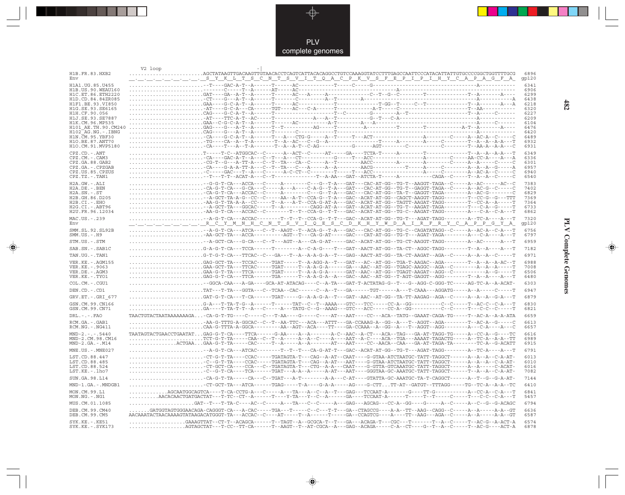

\_\_

 $\begin{picture}(20,5) \put(0,0){\line(1,0){10}} \put(15,0){\line(1,0){10}} \put(15,0){\line(1,0){10}} \put(15,0){\line(1,0){10}} \put(15,0){\line(1,0){10}} \put(15,0){\line(1,0){10}} \put(15,0){\line(1,0){10}} \put(15,0){\line(1,0){10}} \put(15,0){\line(1,0){10}} \put(15,0){\line(1,0){10}} \put(15,0){\line(1,0){10}} \put(15,0){\line(1,$ 

|                                        | V2 loop |                                                                                                                                                                                                                                                                  |                                                                       |  |               |
|----------------------------------------|---------|------------------------------------------------------------------------------------------------------------------------------------------------------------------------------------------------------------------------------------------------------------------|-----------------------------------------------------------------------|--|---------------|
| H1B.FR.83.HXB2<br>Env                  |         | $\ldots \ldots \ldots$ .AGCTATAAGTTGACAAGTTGTAACACCTCAGTCATTACACAGGCCTGTCCAAAGGTATCCTTTGAGCCAATTCCCATACATTATTGTGCCCCGGCTGGTTTTGCG.<br><u>. SYKLTSCNTSVITQACPKVSFEPIPIHYCAPAGFA</u>                                                                               |                                                                       |  | 6896<br>gp120 |
| H1A1.UG.85.U455                        |         |                                                                                                                                                                                                                                                                  |                                                                       |  | 6341          |
| H1B.US.90.WEAU160                      |         |                                                                                                                                                                                                                                                                  |                                                                       |  | 6906          |
| H1C.ET.86.ETH2220                      |         |                                                                                                                                                                                                                                                                  |                                                                       |  | 6299          |
| H1D.CD.84.84ZR085<br>H1F1 BE 93 VT850  |         |                                                                                                                                                                                                                                                                  |                                                                       |  | 6438<br>6218  |
| H1G.SE.93.SE6165                       |         |                                                                                                                                                                                                                                                                  |                                                                       |  | 6320          |
| H1H.CF.90.056                          |         |                                                                                                                                                                                                                                                                  |                                                                       |  | 6227          |
| H1J.SE.93.SE7887                       |         |                                                                                                                                                                                                                                                                  |                                                                       |  | 6209          |
| H1K.CM.96.MP535<br>H101 AE.TH.90.CM240 |         |                                                                                                                                                                                                                                                                  |                                                                       |  | 6104<br>6476  |
| $H102-AG.NG. - .IBNG$                  |         |                                                                                                                                                                                                                                                                  |                                                                       |  | 6420          |
| H1N. CM. 95. YBF30                     |         |                                                                                                                                                                                                                                                                  |                                                                       |  | 6489          |
| H1O.BE.87.ANT70<br>H1O.CM.91.MVP5180   |         |                                                                                                                                                                                                                                                                  |                                                                       |  | 6932<br>6931  |
| CPZ.CD. - . ANT                        |         |                                                                                                                                                                                                                                                                  |                                                                       |  | 6349          |
| CPZ.CM. - . CAM3                       |         |                                                                                                                                                                                                                                                                  |                                                                       |  | 6336          |
| CPZ.GA.88.GAB2                         |         |                                                                                                                                                                                                                                                                  |                                                                       |  | 6301          |
| CPZ.GA.-.CPZGAB<br>CPZ.US.85.CPZUS     |         |                                                                                                                                                                                                                                                                  |                                                                       |  | 6957<br>6940  |
| $CPZ.TZ.-.TAN1$                        |         |                                                                                                                                                                                                                                                                  |                                                                       |  | 6540          |
| $H2A.GW. - .ALI$                       |         | -G-G-T-CA---ACCA---C------A-------C---G--T-A---GAT---CAC-AT-GG--TG-T--AAGGT-TAGA--C-----A--AC------AC--C                                                                                                                                                         |                                                                       |  | 7383          |
| H2A.DE. - .BEN                         |         | -CA-G-T-CA---G-CA---C-----A---A---C-A-G--T-A---GAT---CAC-AT-GG--TG-T--GAGGT-TAGA--C-----A--AC-G--C------C-                                                                                                                                                       |                                                                       |  | 7402          |
| $H2A.SN.-.ST$<br>H2B.GH.86.D205        |         | . -CA-G-T-CA---ACCAC--C-----A---------C---G--T-A---GAC---CAC-AT-GG--TA-T--GAGGT-TAGA--------A--AC-G----<br>--A-GCT-TA-A-G--CC--C-----AA--A-T--CCA-G--T-A---GAC--ACAT-AT-GG--CAGCT-AAGGT-TAGG--------T--CC-G--G---TTT                                             |                                                                       |  | 6829<br>7369  |
| $H2B.CI.-.EHO$                         |         | . -AA-G-T-TA-A-A--CC-----T--A---A-T--CCA-G-AT-A---GAC--ACAT-AT-GG--TAGTT-AAGAT-TAGG--------T--CC-A--A-----T                                                                                                                                                      |                                                                       |  | 7364          |
| $H2G.CI.-.ABT96$                       |         | --A-GCT-TA---GGCAC-----T--A--------CAGG-AT-A---GAT--ACAT-AT-GG--TG-T--AAGAT-TAGA--------T---C-A--G------T                                                                                                                                                        |                                                                       |  | 6733          |
| H2U.FR.96.12034                        |         | -AA-G-T-CA---ACCAC--C--------T--T--CCA-G--T-T---GAC--ACAT-AT-GG--TG-C--AAGAT-TAGG---------A---C-A---T                                                                                                                                                            |                                                                       |  | 6862          |
| MAC.US.-.239<br>Env                    |         |                                                                                                                                                                                                                                                                  | R C Y M N H C N T S V I Q E S C D K H Y W D A I R F R Y C A P P G Y A |  | 7320          |
|                                        |         |                                                                                                                                                                                                                                                                  |                                                                       |  | gp120<br>6756 |
| SMM.SL.92.SL92B<br>$SMM.US. - . H9$    |         | -AA-GCT-TA---ACCA----------AGT--T---CA-G-AT-----GAC---CAT-AT-GG--TG-T---AGAT-YAGA--------A---C-A----A---T                                                                                                                                                        |                                                                       |  | 6797          |
| STM.US.-.STM                           |         | --A-GCT-CA---G-CA---C--T---AGT--A---CA-G-AT-----GAC--ACAT-AT-GG--TG-CT-AAGGT-TAGG--------A--AC------A---T                                                                                                                                                        |                                                                       |  | 6959          |
|                                        |         |                                                                                                                                                                                                                                                                  |                                                                       |  | 7182          |
| SAB.SN.-.SAB1C                         |         |                                                                                                                                                                                                                                                                  |                                                                       |  |               |
| TAN.UG. - . TAN1                       |         | G-T-G-T-CA---TTCAC--C---GA---T--A--A-A-G-A--T---GAG--AACT-AT-GG--TA-CT-AAGAT--AGA--C-----A--A--C------T                                                                                                                                                          |                                                                       |  | 6971          |
| VER.KE. - . AGM155<br>VER.KE. - .9063  |         | .GAG-GCT-TA---TCCAC-----TGAT-----T--A-AGG-A--T---GAT---AC--AT-GG--TGA-T-AAGAC--AGA-------T--A--A--A-AC--T<br>GAA-GCT-TA---TTCAC-----TGAT-----T--A-A-G-A------GA---AAC--AT-GG--TGAGC-AAGGC--AGA--C--------A--A--A-----T                                           |                                                                       |  | 6988<br>7008  |
| VER.DE. - . AGM3                       |         |                                                                                                                                                                                                                                                                  |                                                                       |  | 6506          |
| VER.KE. - . TYO1                       |         |                                                                                                                                                                                                                                                                  |                                                                       |  | 6480          |
| COL.CM.-.CGU1                          |         | -GGCA-CAA---A-GA----GCA-AT-ATACAG----C--A-TA---GAT-T-ACTATAG-G--T---G--AGG-C-GGG-TC-----AG-TC-A--A-ACAT-                                                                                                                                                         |                                                                       |  | 6303          |
| DEN.CD. - .CD1                         |         | $\ldots$ . TAT---T-TA---GGTA---C--TCAA--CAC------C--A--T---GA-------TGT------A---T-CAAA---AGGATG-----A--A--A--C-----T                                                                                                                                            |                                                                       |  | 6947          |
| GRV.ET. - . GRI 677                    |         | GAT-G-T-CA---T-CA------TGAT-----G--A-A-G-A--T---GAT--AAC--AT-GG--TA-TT-AAGAG--AGA--C-----A--A--G-A---T                                                                                                                                                           |                                                                       |  | 6879          |
| GSN.CM.99.CN166                        |         |                                                                                                                                                                                                                                                                  |                                                                       |  | 6830          |
| GSN.CM.99.CN71                         |         | GA----T-TA-T-----C-----A---TATG-C--G--AAAG---GTC-----CC-A--GG--------C--C-----T---C-C-C-----T                                                                                                                                                                    |                                                                       |  | 6821          |
| $DRL$ . - . - . $FAO$                  |         | TAACTGTACTAATAAAAAAAGA-CA-G-T-TG----C----C---T-AA----G-----C----AT---AAT----CC---ACA--TATG--GAAAT-CAGA-TG-----T--AC-A--A-ATA                                                                                                                                     |                                                                       |  | 6659          |
| RCM.GA.-.GAB1                          |         | -AA-G-TTTG-A-GGCAC--C--T--AA-TTC---ACA---ATTT---GA-CCAAAG-A--GG--A---T--AGGT--AGA--------T--AC-A--G------                                                                                                                                                        |                                                                       |  | 6613          |
| $RCM.NG. - . NG411$                    |         | CAA-G-TTTA-A-GGCA---------AA--AGT--ACA----TT----GA-CCAAA--A--GG--A---T--AGGT--AGG---------A---C-A---A---C                                                                                                                                                        |                                                                       |  | 6657          |
| $MND-2. - - - 5440$                    |         | TAATAGTACTGAACCTGAATATGAG-G-T-CA----TTCA-----G-AA----A--A------A-C--AAC--A-CT---ACA--TAG---GA-AT-TAGG-TG-----A--CC-A--G----TC                                                                                                                                    |                                                                       |  | 6616          |
| MND-2.CM.98.CM16<br>$MND-2.GA.-.M14$   |         | TCT-G-T-TA-----CAA--C--T--A-----A--C----A----A-T--A-C----ACA--TGA---AAAAT-TAGACTG-----A--TC-A--A-A--TT<br>ACTGAAGAA-G-T-TA-----CAC-----T--A------A------AT---AAT----CC--AACA--CAA---GA-AT-TAGA-TA--------TC-A--G-ACATT                                           |                                                                       |  | 6989<br>6915  |
|                                        |         |                                                                                                                                                                                                                                                                  |                                                                       |  |               |
| MNE.US. - . MNE027                     |         | -A-G-T-CA---ATCAC--------T--T--T---CA-G-AT-T---GAC--ACAT-AT-GG--TG-T---AGAT-TAGG--------A--TC-A----A                                                                                                                                                             |                                                                       |  | 6791          |
| LST.CD.88.447<br>LST.CD.88.485         |         | -CT-G-T-TA----CCAC-----TGATAGTA-T---CAG--A-AT--CAAT----G-GTAA-ATCTAATGC-TATT-TAGGCT------A--A--C-A-AT-<br>. -C - -G - T - TA - - - -CCAC - - - - TGATAGTA - T - - - CAG - -A-AT - - - AAT - - - -G-GTAA-ATCTAATGC-TATT-TAGGCT - - - - - -A - -A - -A - -C - A-AT |                                                                       |  | 6013<br>6010  |
| LST.CD.88.524                          |         | -CT-GCT-CA----CCA---C--TGATAGTA-T---CTG--A-A---CAAT----G-GTTA-GTCAAATGC-TATT-TAGGCT------A--A----C-ACAT                                                                                                                                                          |                                                                       |  | 6016          |
| LST.KE.-.lho7                          |         |                                                                                                                                                                                                                                                                  |                                                                       |  | 7082          |
| SUN.GA.98.L14                          |         | . - CA-G-T-TA-----CA---C--TGAT---A-T--------A-A---C-AT----GTATTA-GC-AAATGC-TA-T-CAGGCT------A--T--G--G-A-AT-                                                                                                                                                     |                                                                       |  | 7144          |
| MND-1.GA.-.MNDGB1                      |         | -CT-GCT-TA---ATCA------TGAG-----T-A----G-A-A----AG----G-CTTTT-AT--GATGT--TTTAGG-----TG--TC-A--A-A--TC                                                                                                                                                            |                                                                       |  | 6410          |
| MON.CM.99.L1                           |         |                                                                                                                                                                                                                                                                  |                                                                       |  | 6841          |
| $MON.NG. - . NG1$                      |         | AACACAACTGATGACTAT---T-TC--CT--A------T----Y-TA---Y-C--A------GA----TCCAAT-A-----T----T---T----C-----T---C-C-A---T                                                                                                                                               |                                                                       |  | 5457          |
| MUS.CM.01.1085                         |         | GAT--T---T-TA-C----AC--C----A---TA---C--C-----A---GAG---AGCAG---CC-A--GG----G----A--C-----A--C--G-ACAGC                                                                                                                                                          |                                                                       |  | 6794          |
| DEB.CM.99.CM40                         |         | GATGGTAGTGGGAACAGA-CAGGGT-CA---A-CAC-----TGA---T-----C--C--T-T---GA--CTAGCCG----A-A--TT--AAG--CAGG--C-----A--A-----A-A--GT                                                                                                                                       |                                                                       |  | 6636          |
| DEB.CM.99.CM5                          |         | AACAAATACTAACAAAAGTATAAGACATGGGT-TA---ACCAC--C----AT-----T--A------T-----GA--CCAGTCG----A----TT--AAG---AGA--C-----A--A-----A-A--GT                                                                                                                               |                                                                       |  | 6587          |
| SYK.KE. - . KE51                       |         | GAAAGTTAT--CT-T--ACAGCA------T--TAGT--A--GCGCA-T--T--GA---ACAGA-T---CGC---T-------T--A--C-----T--AC-G--A-ACT-A                                                                                                                                                   |                                                                       |  | 6574          |
| SYK.KE. - . SYK173                     |         | AGTAGCTAT---T-CC--TT-CA------T--AAGT--T--AT-CGCA--A---GAG--ACAGA-----C-A--CT----G--T--A--C-----T--AC-G----ACT-A                                                                                                                                                  |                                                                       |  | 6878          |

 $\blacklozenge$ 

**PLV Complete Genomes 482 PLV Complete Genomes** 

 $\Rightarrow$ 

 $\sqrt{2}$ 

 $\frac{482}{1}$ 

 $\Box$ 

<u> 1999 - 1999 - 1999 - 1999 - 1999 - 1999 - 1999 - 1999 - 1999 - 1999 - 1999 - 1999 - 1999 - 1999 - 1999 - 199</u>

 $\mathbf{I}$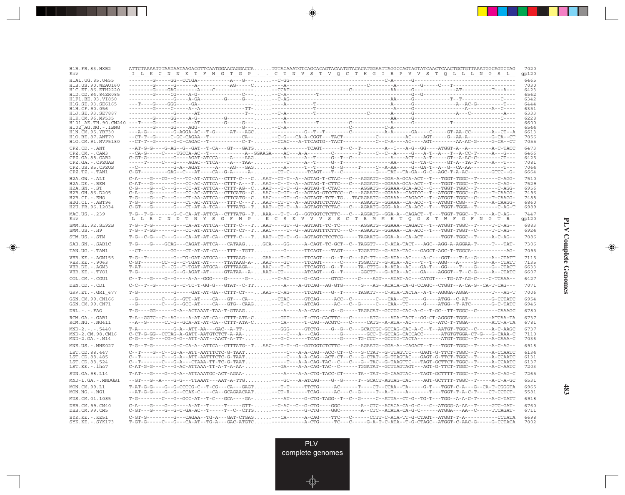| H1B.FR.83.HXB2<br>Env                     | ATTCTAAAATGTAATAATAAGACGTTCAATGGAACAGGACCA TGTACAAATGTCAGCACAGTACAATGTACACATGGAATTAGGCCAGTAGTATCAACTCAACTGCTGTTAAATGGCAGTCTAG<br>_I__L_K__C__N__N__K__T__F__N__G___P_________C__T__N__V__S__T__Q__C__T__H__G__I___R__P__V__V__S__T__Q__L__L__N_<br>_T__L__K__C__N__N__K__T_F__N__G__T_G__P_____C__T__N__V_S__T_Q_C__T__H_G_I__R__P__V_V__S__T_Q__L_L__N__G__S__L_                                                                                                                             | 7020<br>gp120 |
|-------------------------------------------|-----------------------------------------------------------------------------------------------------------------------------------------------------------------------------------------------------------------------------------------------------------------------------------------------------------------------------------------------------------------------------------------------------------------------------------------------------------------------------------------------|---------------|
| H1A1.UG.85.U455                           |                                                                                                                                                                                                                                                                                                                                                                                                                                                                                               | 6465          |
| H1B. US. 90. WEAU160<br>H1C.ET.86.ETH2220 |                                                                                                                                                                                                                                                                                                                                                                                                                                                                                               | 7030<br>6423  |
| H1D.CD.84.84ZR085                         |                                                                                                                                                                                                                                                                                                                                                                                                                                                                                               | 6562          |
| H1F1.BE.93.VI850                          |                                                                                                                                                                                                                                                                                                                                                                                                                                                                                               | 6342          |
| H1G.SE.93.SE6165<br>H1H.CF.90.056         |                                                                                                                                                                                                                                                                                                                                                                                                                                                                                               | 6444<br>6351  |
| H1J.SE.93.SE7887                          | - - -A- - -                                                                                                                                                                                                                                                                                                                                                                                                                                                                                   | 6333          |
| H1K.CM.96.MP535                           |                                                                                                                                                                                                                                                                                                                                                                                                                                                                                               | 6228<br>6600  |
| H102 AG.NG.-.IBNG                         |                                                                                                                                                                                                                                                                                                                                                                                                                                                                                               | 6544          |
| H1N.CM.95.YBF30<br>H1O.BE.87.ANT70        |                                                                                                                                                                                                                                                                                                                                                                                                                                                                                               | 6613<br>7056  |
| H1O.CM.91.MVP5180                         | --CT-T--G------G-C-CAGAC--T-----------C-T---CCAC---A-TTCAGTG--TACT----------C--C-A----AG-----AGT--------AA-AC-G-----G-CA--CT                                                                                                                                                                                                                                                                                                                                                                  | 7055          |
| CPZ.CD. - . ANT                           |                                                                                                                                                                                                                                                                                                                                                                                                                                                                                               | 6473          |
| CPZ.CM. - . CAM3                          |                                                                                                                                                                                                                                                                                                                                                                                                                                                                                               | 6466<br>6425  |
| CPZ.GA.88.GAB2<br>CPZ.GA.-.CPZGAB         |                                                                                                                                                                                                                                                                                                                                                                                                                                                                                               | 7081          |
| CPZ.US.85.CPZUS                           |                                                                                                                                                                                                                                                                                                                                                                                                                                                                                               | 7064          |
| $CPZ.TZ.-.TAN1$                           | C-GT---------GAG--C---AT----CA--G-A-----A---CT-C------TCAGT---T--C-------------G---TAT--TA-GA--G-C--AGC-T-A-AC---------GTCC--G-                                                                                                                                                                                                                                                                                                                                                               | 6664          |
| H2A.GW.-.ALI<br>$H2A.DE. - .BEN$          |                                                                                                                                                                                                                                                                                                                                                                                                                                                                                               | 7510<br>7529  |
| $H2A.SN.-.ST$                             |                                                                                                                                                                                                                                                                                                                                                                                                                                                                                               | 6956          |
| H2B.GH.86.D205<br>H2B.CI.-.EHO            | T-G----G---C---G---CT-AA-ATTCA--CTTCATG--CAAC----GT--G--AGTAGT-TCT-TGTACAGAATG--GGAAA--CAGACC--T--ATGGT-TGGC--C-----T-CAAGG-                                                                                                                                                                                                                                                                                                                                                                  | 7496<br>7488  |
| $H2G.CI.-.ABT96$                          |                                                                                                                                                                                                                                                                                                                                                                                                                                                                                               | 6860          |
| H2U.FR.96.12034                           | $C-GT---G---G---CT-AT-A-TCA---TTTATG--T\ldots AAT--CT--A--AGTGTCTCTAC---C---AGAATG-GGG-AA--CA-ACC---T---TGGT-TGGA--T---C-AG-T--CT--A-G-TA-ACC--T---T-GG-AT--T=0.$                                                                                                                                                                                                                                                                                                                             | 6989          |
| MAC.US.-.239<br>Env                       | T-G--T-G------G-C-CA-AT-ATTCA--CTTTATG--TAAA---T-T--G--GGTGGTCTCTTC---C--AGGATG--GGA-A--CAGACT--T---TGGT-TGGC--T-----A-C-AG--<br><u>LLRCND TNYSGFMP. KCSKVVVSSCTRMMET QGSTWFGFNGTR</u>                                                                                                                                                                                                                                                                                                        | 7447<br>gp120 |
| SMM.SL.92.SL92B<br>$SMM.US. - . H9$       | T-G--T-G-------G---CA-AT-ATTCA--CTTT-C---TAAT----GT--G--AGTAGT-TC--------AGGATG--GGAAA--CAGACT--T--ATGGT-TGGC--T-----T-C-AG--                                                                                                                                                                                                                                                                                                                                                                 | 6883<br>6924  |
| STM.US.-.STM                              | $\verb T-G--C-G---C--G--G--CA-AT-AT-CA--CTT-C---T. AAT-CT-T--G--AGTAGTCTCCTCG----TAGAATG--GGA-A--CA-ACT----TGGT-TGGC--T---A-C-AG---A-C-AG--A-CT-T--A-C-AG---A-CT-T--A-C-AG---A-CT-T--A-C-AG---A-CT-T--A-C-AG---A-CT-T--A-C--A-CT-T--A-C--A-CT-T--A-C--A-CT-T--A-C--A-CT-T--A-C--A-CT-T--A-C--A-CT-T--A-C--A-CT-T--A-C--A-CT-T--A-C--A-CT-T--A-C--A-CT-T--A-C--A-CT-T--A-C--A$                                                                                                                 | 7086          |
| SAB.SN.-.SAB1C                            | $\verb T-G---G---G-CAG---CAGAT-ATTCA---CATAAG: GCA---GG---A-CAGT-TC-GCT--C--TAGGTT---CATA-TACT---AGC--AGG-A-AGGAA-T---T--TAT--TAT--T-CT-.$                                                                                                                                                                                                                                                                                                                                                    | 7306          |
| TAN.UG. - . TAN1                          |                                                                                                                                                                                                                                                                                                                                                                                                                                                                                               | 7095          |
| VER. KE. - . AGM155                       |                                                                                                                                                                                                                                                                                                                                                                                                                                                                                               | 7115          |
| VER. KE. - . 9063<br>VER.DE. - . AGM3     | $\texttt{C-GT------CC--G--C-TGAT-AT---TTATAAG-A- \dots AAT---GT----TTCAGT---C----TGGACTT--G-ATA-AC---T--AGG---A---A-G---A--G---A--CTATT- \dots A.$<br>T-AT-------C--CG--T-TGAT-ATGCA--GTTTAAGA--AAC---T-T-----TTCAGTG--G--T-----TA-CTTG--A-ATA--AC---GA-T---GG----T----G---CTACT                                                                                                                                                                                                              | 7135<br>6633  |
| VER.KE. - . TYO1                          | T-G-----------G--G-AGAT-AT-----GTATAA--A-AAT--CT------ATCAGT---G--T------GGCTT---G-ATA--AC---GA----AGGGT--T--C-G-----A--CTATC                                                                                                                                                                                                                                                                                                                                                                 | 6607          |
| COL.CM. - . CGU1                          | C--T---G----G----A-A--GGG----G-------G-- -C-AC-----G-CAG----GTCC-----C----AGT---ATAT-AC----CATGT----TG-AT-AG-C----C-TCAAA-                                                                                                                                                                                                                                                                                                                                                                    | 6427          |
| DEN.CD. - .CD1                            | C-C--T--G------G--C-TC-T-GG-G---GTAT--C-TT----A----A-GTCAG--AG-GTG------G---AG--ACACA-CA-G-CCAGC--CTGGT--A-CA-G--CA-G--CA-T-CAG---                                                                                                                                                                                                                                                                                                                                                            | 7071          |
| GRV.ET. - .GRI 677                        | $\verb T-G-------------G1---GAT-AT-AT-GA--CTTT-CT---AAG--C-AG----TTCAGT---G--T---TAGATT---C-ATA-TACTA--A-T--AGGGA-AGGA-------T---AG-GA--C-AT--AGG$                                                                                                                                                                                                                                                                                                                                            | 7006          |
| GSN.CM.99.CN166<br>GSN.CM.99.CN71         | --G--------C---G--GTT-AT----CA---GT---CA-- --CTAC----GTCAG-----ACC--C--------C--CAA--CT-----G---ATGG--C-AT--------G-CCTATC<br>--G--------C---G--GCC-AT----CA---GTG--CAAG---T-C----ATCAG-----AC---C--G-----CAA--TT-----G----ATGG--T-ATC-------G-C-TATC                                                                                                                                                                                                                                         | 6954<br>6945  |
| $DRL. - . - . FAO$                        | T-G----GG------G-A--ACTAAAT-TAA-T-GTAAG----A----A-A-CAG----G--G-----TAGACAT--GCCTG-CAC-A-C--T-GC--TT-TGGC--C-------CAAAGC                                                                                                                                                                                                                                                                                                                                                                     | 6780          |
| RCM.GA.-.GAB1<br>$RCM.NG. - . NG411$      | T-A--GGTC--C--AG----A-AT-AT-CA--CTTT-ATA-C---GTT----T-CTG-CACTTC---C------ATG----ATA-TACT--GG-CT-AGGGT-TGGA--------ATCAA-TA<br>--A--G------CT-G--GCA-AT-AT-CA--CTTT-ATA-C---CA------T-CAG--ACGTC---C-----CATG--A-ATA--AC------C--ATC-T-TGGA---------ATC-A-TA                                                                                                                                                                                                                                  | 6737<br>6781  |
| $MND-2. - - - 5440$                       | $\verb T-A------------G-A--ATT-AA---GAC--A-TT- \ldots \ldots \ldots \ldots \vdots -GGG----GTCTG---G--G--G--G--C---GCACCGC-GCCAG-CAC-A-C--T--AATGT-TGGC--C--A-C-AA-C-AGC- \ldots \ldots \ldots \ldots \ldots \ldots \ldots \vdots \ldots \vdots \ldots \vdots \ldots \vdots \ldots \vdots \ldots \vdots \ldots \vdots \ldots \vdots \ldots \vdots \ldots \vdots \ldots \vdots \ldots \vdots \ldots \vdots \ldots \vdots \ldots \vdots \ldots \vdots \ldots \vdots \ldots \vdots \ldots \vdots$ | 6737          |
| MND-2.CM.98.CM16<br>$MND-2.GA.-.M14$      | C-CT-G-GG--CCTAG-A-GATT-AATGTCTCT-A-AA------C---A---CAG-------G-------GCC-T-GCCAG-CACCACC------ATGTGTGGA-CT-G---G-CAAA-C                                                                                                                                                                                                                                                                                                                                                                      | 7110<br>7036  |
| $MNE. US. - . MNE027$                     | T-G--T-G------G-C-CA-A--ATTCA--CTTTATG--TAAC---T-T--G--GGTGGTCTCTTC---C--AGAATG--GGA-A--CAGACT--T---TGGT-TGGC--T------A-C-AG--                                                                                                                                                                                                                                                                                                                                                                | 6918          |
| LST.CD.88.447                             | $C--T---G--C--CG-A--ATT-AATTTCC-G-TAAT$ ---C--A-CCAG--AC-CT--C---G-CTAT--G-TTAGTTC---GAGT-G-TTCT-TGC--T-----A-CCAATC                                                                                                                                                                                                                                                                                                                                                                          | 6134          |
| LST.CD.88.485<br>LST.CD.88.524            |                                                                                                                                                                                                                                                                                                                                                                                                                                                                                               | 6131<br>6137  |
| LST.KE.-.lho7                             |                                                                                                                                                                                                                                                                                                                                                                                                                                                                                               | 7203          |
| SUN.GA.98.L14                             | T-AT---G---G-A--ATTAAATGC-ACT-AGAA- ----A----A-A-CTG-TACC-CT-----TA--TAT--G-CAAGTAC---TAGT-GCTTTT-TGGC--T-----A-C-AG-C                                                                                                                                                                                                                                                                                                                                                                        | 7265          |
| MND-1.GA.-.MNDGB1                         | --GT---G--A----G-G---TTAAAT---AAT-A-TTG----GC---A-ATCAG----G---G----T--GCACT-AGTAG-CAC----AGT-GCTTTT-TGGC--T-----A-C-A-GC                                                                                                                                                                                                                                                                                                                                                                     | 6531          |
| MON.CM.99.L1<br>$MON.NG. - . NG1$         | $\verb T-AT-G-G---G-CCCCG-C--T-CG--CA--CGAT---T-T-T--T-TCTG---AC---T--CT--CCAA--TA---G-T---GGT--C-A---G-CA--GG-T--CAGT-C-A--G-GGTAC-CT-.$<br>--AT-G-G----G--G--CCAK-C----CA--GCAGAACAAT--CT-R-----TCAG-----AC---C--G-----T--A-T----A------T---TGGT-T-A-C-T----CT-CCTCT-                                                                                                                                                                                                                       | 6965<br>5581  |
| MUS.CM.01.1085                            | T-G--------C---G--GCC-AT--T-C---GCA----GA-----AT-----G-CTG-TAGG--T--C--G-----C--ATTA--CT-G--TG-T---TGG--A-A-C-T-----A-C-TATT                                                                                                                                                                                                                                                                                                                                                                  | 6918          |
| DEB.CM.99.CM40<br>DEB.CM.99.CM5           |                                                                                                                                                                                                                                                                                                                                                                                                                                                                                               | 6760<br>6711  |
| $SYK.KE. - .KE51$<br>$SYK.KE. - .SYK173$  |                                                                                                                                                                                                                                                                                                                                                                                                                                                                                               | 6698<br>7002  |

<u>a shekara ta 1989 na shekara t</u>

 $\overrightarrow{\phantom{a}}$ 

 $\overline{\mathbb{F}}$ 

## **PLV Complete Genomes PLV Complete Genomes**

 $\begin{picture}(20,5) \put(0,0){\line(1,0){10}} \put(15,0){\line(1,0){10}} \put(15,0){\line(1,0){10}} \put(15,0){\line(1,0){10}} \put(15,0){\line(1,0){10}} \put(15,0){\line(1,0){10}} \put(15,0){\line(1,0){10}} \put(15,0){\line(1,0){10}} \put(15,0){\line(1,0){10}} \put(15,0){\line(1,0){10}} \put(15,0){\line(1,0){10}} \put(15,0){\line(1,$ 

 $\overline{\phantom{0}}$ 

 $\Box$ 

▌▊▊▊

 $\mathbf{I}$ 

**483**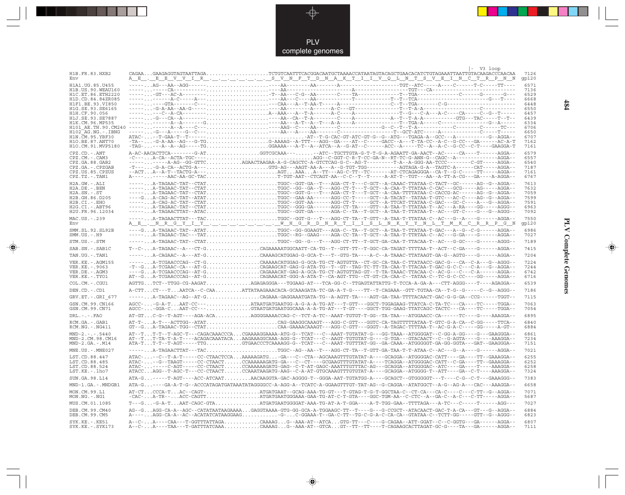

 $\Rightarrow$ 

| H1B.FR.83.HXB2                            |                                                                                                                                                                                                                                                                                                                                                                                                                                                                                              |  | -V3 loop | 7126          |
|-------------------------------------------|----------------------------------------------------------------------------------------------------------------------------------------------------------------------------------------------------------------------------------------------------------------------------------------------------------------------------------------------------------------------------------------------------------------------------------------------------------------------------------------------|--|----------|---------------|
| Env                                       | <u> A_E_, E_E_V_V_I_R_,_,_,_,_,_,_,_S_V_N_F_T_D_N_A_K_T_I_I_V_Q_L_N_T_S_V_E_I_N_C_T_R_P_N_N</u>                                                                                                                                                                                                                                                                                                                                                                                              |  |          | qp120         |
| H1A1. UG. 85. U455                        |                                                                                                                                                                                                                                                                                                                                                                                                                                                                                              |  |          | 6571<br>7136  |
| H1B. US. 90. WEAU160<br>H1C.ET.86.ETH2220 |                                                                                                                                                                                                                                                                                                                                                                                                                                                                                              |  |          | 6529          |
| H1D.CD.84.84ZR085                         |                                                                                                                                                                                                                                                                                                                                                                                                                                                                                              |  |          | 6668          |
| H1F1 BE 93 VI850<br>H1G.SE.93.SE6165      |                                                                                                                                                                                                                                                                                                                                                                                                                                                                                              |  |          | 6448<br>6550  |
| H1H.CF.90.056                             |                                                                                                                                                                                                                                                                                                                                                                                                                                                                                              |  |          | 6457          |
| H1J.SE.93.SE7887                          |                                                                                                                                                                                                                                                                                                                                                                                                                                                                                              |  |          | 6439<br>6334  |
| H1K.CM.96.MP535<br>H101 AE.TH.90.CM240    |                                                                                                                                                                                                                                                                                                                                                                                                                                                                                              |  |          | 6706          |
| $H102-AG.NG. - .IBNG$                     |                                                                                                                                                                                                                                                                                                                                                                                                                                                                                              |  |          | 6650          |
| H1N.CM.95.YBF30<br>H1O.BE.87.ANT70        |                                                                                                                                                                                                                                                                                                                                                                                                                                                                                              |  |          | 6707<br>7162  |
| H1O.CM.91.MVP5180                         | $-{\tt TAG-}\ldots--{\tt A--A--A--AG----}\texttt{TG}\ldots\ldots\ldots\ldots\ldots\ldots\ldots\texttt{GGAAA---A---}\texttt{A--ATCA--A--G-AT--C-----}\texttt{ACC--A----}\texttt{TC--A--A--C--G-}\texttt{CC--C-----}\texttt{GACGA-T}$                                                                                                                                                                                                                                                          |  |          | 7161          |
| $CPZ$ . $CD = ANT$                        | A-AC-AACACTTCA-------G-ATGGTCGCAAA----ATC--TGCTTGTA-G-T-T-G-A-AGAATT-GA-AACT--AC-----CA----T-----AGGA--                                                                                                                                                                                                                                                                                                                                                                                      |  |          | 6579          |
| CPZ.CM.-.CAM3<br>CPZ.GA.88.GAB2           | ----------A-AG--GG-GTTCAGAACTAAGAA-A-G-CAGCTC-A-GTCTCAG-G-C--AG-T--------T-A--A-GGG-AA-TCCC--------C-GT-----AGGA--                                                                                                                                                                                                                                                                                                                                                                           |  |          | 6557<br>6540  |
| CPZ.GA. - . CPZGAB                        |                                                                                                                                                                                                                                                                                                                                                                                                                                                                                              |  |          | 7187          |
| CPZ.US.85.CPZUS                           | --ACTA--A-T--TACTG-A---AGTAAAA--TT---AG-C-TT--TC-------AT-CTCAGAGGGA--CA-T--G-C-----TT-----AGGA--<br>A---------AAC-AA-GC-TACT-TGT-AAT--CTCAGT-AA--C-C--T--T-----A-AT-T--TGT---AA--A-TT-A-CG---GA----A-AGGA--                                                                                                                                                                                                                                                                                 |  |          | 7161<br>6767  |
| $CPZ.TZ.-.TAN1$<br>H2A.GW.-.ALI           | -----A-TAGAAC-TAT--CTATTGGC--GGT-GA--T---AGA-CT-T---C-GCT--A-CAAAC-TTATAA-C-TACT--GC------AG--G--AGGA--                                                                                                                                                                                                                                                                                                                                                                                      |  |          | 7613          |
| $H2A.DE. -.BEN$                           | -----A-TAGAAC-TAT--CTATTGGC--GG--GA--T---AGG-CT-T---T-GCT--A-CAA-T-TTATAA-C-CAC---GCG-----AG-----AGGA--                                                                                                                                                                                                                                                                                                                                                                                      |  |          | 7632          |
| $H2A.SN.-.ST$                             |                                                                                                                                                                                                                                                                                                                                                                                                                                                                                              |  |          | 7059          |
| H2B.GH.86.D205<br>H2B.CI.-.EHO            |                                                                                                                                                                                                                                                                                                                                                                                                                                                                                              |  |          | 7599<br>7591  |
| H2G.CI. - . ABT96                         | -----A-TAGAAC-TAT--CTATTGGC--GGG-GA------AGG-CT-TA----GTT--A-TAR-T-TTATAA-T--AC---A-RA----GG-----AGGG--                                                                                                                                                                                                                                                                                                                                                                                      |  |          | 6963          |
| H2U.FR.96.12034                           | -----A-TAGAACTTAT--ATACTGGC--GGT-GA------AGA-C--TA--T-GCT--A-TAA-T-TTATAA-T--AC---GT-C----G--AGGG--                                                                                                                                                                                                                                                                                                                                                                                          |  |          | 7092          |
| MAC.US.-.239<br>Env                       | -----A-TAGAACTTAT---TACTGGC--GGT-G---T---AGG-CT-TA--T-GTT--A-TAA-T-TTATAA-C--AC---G--A----G------AGGA--<br>A_E_._N_R_G_Y_I_Y_.__.__.__.__.__.__.____W_H_G_R_D_N_R_T_I_I_S_L_N_K_Y_Y_N_L_T_M_K_C_R_R_P_G_N                                                                                                                                                                                                                                                                                    |  |          | 7550<br>gp120 |
| SMM.SL.92.SL92B<br>$SMM. US. - . H9$      | $\verb ---GA-TAGAAC-TAT--ATAT\\\\\\ \verb +CC+GCC-G-GAAGT---AGA-C--T--GCT--A-TAAT-T-TTATA-A-T-GAC---A-C--G--C-G----AGGA--T--GCT-ATAA-T-TATA-AT-AGAC---A-CT-CT-ATAA-T-CT-ATAA-T-CT-ATAA-T-CT-ATAA-T-CT-ATAA-T-CT-ATAA-T-CT-ATAA-T-CT-ATAA-T-CT-AT-CT-AT-CT-ATAA-T-CT-AT-CT-AT-CT-AT-CT-AT-CT-AT-CT-AT-CT-CT-AT-CT-CT-AT-CT-CT-CT-CT-CT-CT-CT-CT-CT-CT-CT-CT-CT-CT-$<br>-----A-TAGAAC-TAC---TATTGGC--RG--GAAG----AGA-CC-TA--T-GCT--A-TAA-T-TTRTAA-C--AC---G-GA----G------AGGA--                |  |          | 6986<br>7027  |
| STM.US.-.STM                              |                                                                                                                                                                                                                                                                                                                                                                                                                                                                                              |  |          | 7189          |
| SAB.SN.-.SAB1C                            | T--C-A-TAGAAC--A---CT-GCAGAAAAATGGCAATT-CA-TG--T--GTT-TT--T-GGC-CA-TAGAT-TTTAA-T--ACT--C-GA----G------AGGA--                                                                                                                                                                                                                                                                                                                                                                                 |  |          | 7415          |
| TAN.UG. - . TAN1                          |                                                                                                                                                                                                                                                                                                                                                                                                                                                                                              |  |          | 7204          |
| VER.KE. - . AGM155                        | -----A-TCGAACCCAG--CT-GCAAAACATGGAG-G-GCA-TG-CT-AGTGTTA--CT-GC-CA-TAA-C-TTATAACC-GAC-G---CA--C-A---G-AGGG--                                                                                                                                                                                                                                                                                                                                                                                  |  |          | 7224          |
| VER.KE. - . 9063<br>VER.DE. - . AGM3      | -T--GA-TCGAAC-CA---AT-GCAGAAGCAT-GAG-G-ATA-TG--T--GT--TAG-TC-TT-TA-CAA-T-TTACAA-T-GAC-G-C-C---C-A---G--AGGA--<br>---G. . A-TCGAACCCAG--AT-G. CAGAAACAT-GAG-A-GCA-TG-CT-AGTGTTAG-GT--T-TA-TAAAC-TTACAA-C--AC-G---C---C-A------AGGA--                                                                                                                                                                                                                                                          |  |          | 7244<br>6742  |
| VER.KE.-.TYO1                             | AT--GA-TCGAACCCAG--AT-GCAGAAACAT-GGG-A-ATA-T--CA-AGT-TTG--CT-GT-CA-CAA-C--TATAA-C--TC-G-C-CC----GG-----AGGA--                                                                                                                                                                                                                                                                                                                                                                                |  |          | 6716          |
| COL.CM. - . CGU1                          | AGTTGTCT--TTGG-CG-AAGATAGAGAGGGA---TGGAAG-AT---TCA-GG-C--TTGAGTATTATTG-T-TCCA-A-GA-A---CTT-AGGG----T---AGAGGA--                                                                                                                                                                                                                                                                                                                                                                              |  |          | 6539          |
| DEN.CD. - .CD1                            | A-CTTCT---TAATCA--C-CAAATTATAAGAAACACA-GCAAAGATA-TC-GA-A-T-G----TT--T-CAGAAA--GTT-TGTAA-CA--T-G--G-----C--G--AGGG--                                                                                                                                                                                                                                                                                                                                                                          |  |          | 7186          |
| GRV.ET. - . GRI 677                       | -----A-TAGAAC--AG--AT-GCAGAAA-GAGGAAATGATA-TG--A-AGTT-TA----AGT-GA-TAA-TTTTACAACT-GAC-G-G-GA--CCG------TGGT--                                                                                                                                                                                                                                                                                                                                                                                |  |          | 7115          |
| GSN.CM.99.CN166<br>GSN.CM.99.CN71         | AGCC--G-A-TAAT-CC---ATAATGATGAATGG-A-G-A-A-TG-AT---T-GTT---GGCT-TGGAGAAG-TTATCA-C-TA-TC---CA----TC-----TGGA--<br>AGCC--GGA-CAAT-CC---GTAATGATGAATGCCAAA-A-A-TG-AT---T-GT---GGCT-TGG-GAAG-TTATCAGC-TACTC---CA----TC----TGGA--                                                                                                                                                                                                                                                                 |  |          | 7063<br>7054  |
| $DRL - - -$ . FAO                         | AT-GTC-G--T-AGT----AGA-ACAAGGGGAAAACCAG-C--TCT-A-TC--AAAT-TGTGT-T-GG--TA-TAA---ATGGAACC-CA------TC---G---AAAGGA--                                                                                                                                                                                                                                                                                                                                                                            |  |          | 6895          |
| RCM.GA. - . GAB1<br>RCM.NG. - . NG411     | AT-T-A-T---ACTTGG--ATATCAG-GAAGGCAAAGT---AGG-C-GTT---GGTC-CA-TAGTTTTTATAA-T-GTC-G-A-CA--C-GG-----TTCA--<br>GT--GA-TAGAAC-TGG--CTATCAA-GAAAACAAAGT---AGG-C-GTT---GGGT--A-TAGAC-TTTTAA-T--AC-G-A-C-----GG-----A-GT--                                                                                                                                                                                                                                                                           |  |          | 6840<br>6884  |
| $MND-2. - - - 5440$                       | AT--TT-T--T-AGC-T---CAGACAAACCCACGAAAAGGAAAA-ATG-G--TCAT---C--AAAT-TGTATAT-G---GG-TAAA--ATGGGGAT--C-GG-A-GG----G---GAAGGGA--                                                                                                                                                                                                                                                                                                                                                                 |  |          | 6861          |
| MND-2.CM.98.CM16<br>$MND-2.GA.-.M14$      | AT--TT-TA-T--A-T---ACAGACAAATACAAAGAAAGGCAAA-AGG-G--TCAT---C--AAGT-TGTGTAT-G---G-TGA---GTACAACT--C--G-AGTA----G---AAAGGA--<br>ATA-TT-T--T-AGT-----TTGGTGAACCCTCAAAAGG-G--TCAT---C--AAAT-TGTTTAT-GG--GA-CAAA--ATGGGGGT-GA-GG-GGTA---GAT--GAAGGGA--                                                                                                                                                                                                                                            |  |          | 7234<br>7151  |
| MNE.US.-.MNE027                           |                                                                                                                                                                                                                                                                                                                                                                                                                                                                                              |  |          | 7021          |
| LST.CD.88.447                             | ATAC--C--T-A-T----CC-CTAACTCCAAAAAAGATG-GA---C--CTA--AGCAAAGTTTGTATAT-A----GCAGGA--ATGGGGAC-CATT----GA----TT--GAAAGGA--                                                                                                                                                                                                                                                                                                                                                                      |  |          | 6255          |
| LST.CD.88.485                             | ATAC--G--TAAGT-----CC-CTAACTCCAAAAAAGATG-GA---C--CT----GCGAAGTTTGTATAT-A----TCAGGA--ATGGGGAC-CATT--C-GA----TT--GAAAGGA--                                                                                                                                                                                                                                                                                                                                                                     |  |          | 6252          |
| LST.CD.88.524<br>LST.KE.-.lho7            | ATAC------C-AGT----CC-CTAACTCCAAAAAAGATG-GAG--C-T-AT-GAGC-AAATTTGTTTAC-AG---GCAGGA--ATGGGGAC--ATC----GA----T----AAAGGA--<br>ATACCAGG--T-AGC-T---CC-CTAACTCCAAATAAGATG-AAG--C-A-AT-GTGCAAAGTTTGTGTAT-A----GCAGGA--ATGGGG-T--ATT----GA--C-T---AAAGGA--                                                                                                                                                                                                                                         |  |          | 6258<br>7324  |
| SUN.GA.98.L14                             | ATA-G-----T-AGT----ACC-ATCAATAACAAGGTA-GAC-AGGGG-T--GGGA-AAT-TGTATGG-A----GCAGCT--GTGGGGGT---T----C-G--C-T---GAAAGGG--                                                                                                                                                                                                                                                                                                                                                                       |  |          | 7383          |
| MND-1.GA.-.MNDGB1                         | ATA-G----GA-A-T-G--ACCCATAGATGATAAATATAGGGGCC-A-AGG-A--TCATC-A-GGAAGTTTGT-TAT-AG--G-CAGGA--ATATGGCT--A-G--AG-A---CAC---AAAGGA--                                                                                                                                                                                                                                                                                                                                                              |  |          | 6658          |
| MON.CM.99.L1                              | AT-CTCCCA-TAC--CAGT-ATGATGAAT--GCAG-AAA-TG-GT---T-GTAG-T-G-T-GGCTAA-C--CT-CA---CA-C----C--C-TT--G--AGGA--                                                                                                                                                                                                                                                                                                                                                                                    |  |          | 7071          |
| MON.NG.-.NG1<br>MUS.CM.01.1085            | -CAC-A-TR--ACC-CAGTTATGATGAATGGGAAA-GAA-TG-AT-C-T-GTA----GGC-TGM-AA--C-CTC--A--GA-C--A-C---C-TT-----AGGA--<br>$\verb T--G-G-A-TAAT-CAGC-GTAATGATGAATGGGGAT-AAA-TG-AT-A-T-GGA---A-T-TGG-GAA--TTTTAGA---A-TC---C---T---AGG---A-TC--C---T-TC--C---A-TC--C---A-TC--C---A-TC--C---A-TC--C---A-TC--C---A-TC--C---A-TC--C---A-TC--C---A-TC--C---A-TC--C---A-TC--C---A-TC--C---A-TC--C---A-TC--C---A-TC--C---A-TC--C---A-TC--C---A-TC--C---A-TC--C---A-TC--C---A-TC--C---A-TC--C---A-TC--C---A-TC--$ |  |          | 5687<br>7027  |
| DEB.CM.99.CM40                            | AG--GAGG-CA-A--AGC--CATATAATAAGAAAAGAGGTAAAA-GTG-GG-GCA-A-TGGAAGC-TT--T---G---G-CCGCT--ATACAACT-GAC-T-A-CA---GT---G--AGGA--                                                                                                                                                                                                                                                                                                                                                                  |  |          | 6884          |
| DEB.CM.99.CM5                             | A----AGG-CA-A--AC--ACATATCATAAGGAAGG-C-GGAAA-T--GA-C-TT--TG-C-G-A-C-CA-CA--GTATAA-C--TCTT-GG-----GTT--G--AGGG--                                                                                                                                                                                                                                                                                                                                                                              |  |          | 6823          |
| $SYK.KE. - .KE51$<br>$SYK.KE. - .SYK173$  | A--C-A----CAA---T-GGTTTATTAGACAAAAGG--AAA-AT--ATCAGTG-TT---C---G-CAGAA--ATT-GGAT--C--C-GGTG---GA------AGGA--<br>--R--C-A----TAA---T-GATTTATCAAACAAAAGG--AAA-AT--GTCAGT--TT---T--CAGAAGCACTTAGAT-GC-G----TA---GA------AGGA-                                                                                                                                                                                                                                                                   |  |          | 6807<br>7111  |

 $\begin{picture}(20,5) \put(0,0){\vector(0,1){10}} \put(15,0){\vector(0,1){10}} \put(15,0){\vector(0,1){10}} \put(15,0){\vector(0,1){10}} \put(15,0){\vector(0,1){10}} \put(15,0){\vector(0,1){10}} \put(15,0){\vector(0,1){10}} \put(15,0){\vector(0,1){10}} \put(15,0){\vector(0,1){10}} \put(15,0){\vector(0,1){10}} \put(15,0){\vector(0,1){10}} \put(15,0){\vector(0,$ 

**PLV Complete Genomes 484 PLV Complete Genomes** 

 $\begin{picture}(20,5) \put(0,0){\line(1,0){10}} \put(15,0){\line(1,0){10}} \put(15,0){\line(1,0){10}} \put(15,0){\line(1,0){10}} \put(15,0){\line(1,0){10}} \put(15,0){\line(1,0){10}} \put(15,0){\line(1,0){10}} \put(15,0){\line(1,0){10}} \put(15,0){\line(1,0){10}} \put(15,0){\line(1,0){10}} \put(15,0){\line(1,0){10}} \put(15,0){\line(1,$ 

 $184$ 

 $\blacksquare$ 

<u> 1950 - 1951 - 1951 - 1952 - 1953 - 1953 - 1953 - 1953 - 1953 - 1953 - 1954 - 1955 - 1955 - 1955 - 1955 - 195</u>

H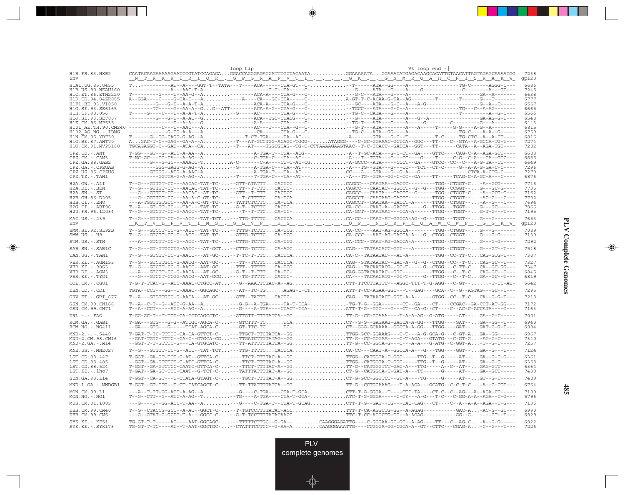|                                             |                                                                                                                                                                                                                                                                                                                                                                                                                                                                                           | loop tip | V3 loop end $-$                                                                                                    |               |
|---------------------------------------------|-------------------------------------------------------------------------------------------------------------------------------------------------------------------------------------------------------------------------------------------------------------------------------------------------------------------------------------------------------------------------------------------------------------------------------------------------------------------------------------------|----------|--------------------------------------------------------------------------------------------------------------------|---------------|
| H1B.FR.83.HXB2<br>Env                       | <u> NTRKRIRIQR.GPGRAFVTICKI.GNMRQAHCNISRAKW</u>                                                                                                                                                                                                                                                                                                                                                                                                                                           |          |                                                                                                                    | 7238<br>qp120 |
| H1A1. UG. 85. U455                          |                                                                                                                                                                                                                                                                                                                                                                                                                                                                                           |          |                                                                                                                    | 6686          |
| H1B. US. 90. WEAU160<br>H1C.ET.86.ETH2220   |                                                                                                                                                                                                                                                                                                                                                                                                                                                                                           |          |                                                                                                                    | 7245<br>6638  |
| H1D.CD.84.84ZR085                           |                                                                                                                                                                                                                                                                                                                                                                                                                                                                                           |          |                                                                                                                    | 6777          |
| H1F1.BE.93.VI850<br>H1G.SE.93.SE6165        | --------TG----G--AA-A--GG--ATT-------ACA-A-G--CTA-G---C--TGCC---ATA---G-C--A----------------TG---C--A-AG-------                                                                                                                                                                                                                                                                                                                                                                           |          |                                                                                                                    | 6557<br>6665  |
| H1H.CF.90.056                               |                                                                                                                                                                                                                                                                                                                                                                                                                                                                                           |          |                                                                                                                    | 6566          |
| H1J.SE.93.SE7887<br>H1K.CM.96.MP535         |                                                                                                                                                                                                                                                                                                                                                                                                                                                                                           |          |                                                                                                                    | 6548<br>6443  |
|                                             |                                                                                                                                                                                                                                                                                                                                                                                                                                                                                           |          |                                                                                                                    | 6815          |
| $H102-AG.NG. - .IBNG$<br>H1N. CM. 95. YBF30 | $- \texttt{---} \texttt{---} \texttt{--} \texttt{--} \texttt{--} \texttt{--} \texttt{--} \texttt{--} \texttt{--} \texttt{--} \texttt{--} \texttt{--} \texttt{--} \texttt{--} \texttt{--} \texttt{--} \texttt{--} \texttt{--} \texttt{--} \texttt{--} \texttt{--} \texttt{--} \texttt{--} \texttt{--} \texttt{--} \texttt{--} \texttt{--} \texttt{--} \texttt{--} \texttt{--} \texttt{--} \texttt{--} \texttt{--} \texttt{--} \texttt{--} \texttt{--} \texttt$                             |          |                                                                                                                    | 6759<br>6816  |
| H10.BE.87.ANT70                             |                                                                                                                                                                                                                                                                                                                                                                                                                                                                                           |          |                                                                                                                    | 7274          |
| H1O.CM.91.MVP5180                           | TGCAGAGGT-C--GAT--ATA--CA--T---AT----TGGCGCAG--TG-C-CTTAAAAGAAGTAAC--T-C-TCACC--GATCA--GGT---TT-----CATA--A--AGA-TGT----                                                                                                                                                                                                                                                                                                                                                                  |          |                                                                                                                    | 7282          |
| $CPZ$ . $CD$ . $-ANT$<br>CPZ.CM. - . CAM3   | T-GG---GT--G--ATC-A-AA--A--------A-TGA-T--CTA--ACG---A--T-GC-ACA---G-C-CT--GA----GTTC----CAG-C-A--AGA-GCT----                                                                                                                                                                                                                                                                                                                                                                             |          |                                                                                                                    | 6688<br>6666  |
| CPZ.GA.88.GAB2                              | ------G--G-C---AAACC-TA-C-------C-A----CT-C-AC-CGA-GCCC--ATA-----CCCT--GA----GTCC--CC--C---A-G-TA--CT----                                                                                                                                                                                                                                                                                                                                                                                 |          |                                                                                                                    | 6649          |
| CPZ.GA. - . CPZGAB<br>CPZ.US.85.CPZUS       | --------GGG-GAGG-G-AG--A--G-----A-TGA-C---TA--AT----A---TG--GTA---G---CC---TCT--CT-C----G--A-A-G-GA-C-C----                                                                                                                                                                                                                                                                                                                                                                               |          |                                                                                                                    | 7296<br>7270  |
| $CPZ.TZ.-.TAN1$                             | ---------GGTCA-G-A-AG--A--T-----T-TGA-C---TA--AT---A---TG--GTA--GG-C-CC--GA----TT-----TCAG-C-A-GC-A---C----                                                                                                                                                                                                                                                                                                                                                                               |          |                                                                                                                    | 6876          |
| $H2A.GW.-.ALI$                              | $T-G--GTTGT-CC---AACAC-TAT-TC---GTT-ATATTTCACTCCCAGCC---CATAT-ACCC---C---TGG---CTGGT-C--A-CGG--C---ATCCT-CC---ATCCT-CC---ATCCT-CC---ATCCT-CC---ATCCT-CC---ATCCT-CC---ATCCT-CC---ATCCT-CC---ATCCT-CC---ATCCT-CC---ATCCT-CC---ATCCT-CC---ATCCT-CC---ATCCT-CC---ATCCT-CC---ATCCT-CC---ATCCT-CC---ATCCT-CC---ATCCT-CC---ATCCT-CC---ATCCT-CC---ATCCT-CC---ATCCT-CC---ATCCT-CC---ATCCT-CC---ATCCT-CC---ATCCT-$                                                                                  |          |                                                                                                                    | 7716          |
| $H2A.DE. - .BEN$<br>$H2A$ . $SN - S$ T      | $\verb T-G--GTTTT-CC--AACAC-TAT-TC- \dots ---TT--T-TTCACTC- \dots \dots \dots \dots .CAGCC--CAACAC--GGCCT--G--GT--TGG--CGGT-- \dots G---GC-G----$<br>---G---GTTGT-CC---AACAC--AT-TC---GTT--T-TTTCACTCCCAGCC---CAATA---GACCC--G------TGG--CTGGT-C-A--GCG-G---                                                                                                                                                                                                                              |          |                                                                                                                    | 7735<br>7162  |
| H2B.GH.86.D205                              |                                                                                                                                                                                                                                                                                                                                                                                                                                                                                           |          |                                                                                                                    | 7702          |
| H2B.CI.-.EHO                                |                                                                                                                                                                                                                                                                                                                                                                                                                                                                                           |          |                                                                                                                    | 7694<br>7066  |
| H2G.CI.-.ABT96<br>H2U.FR.96.12034           |                                                                                                                                                                                                                                                                                                                                                                                                                                                                                           |          |                                                                                                                    | 7195          |
| MAC.US.-.239                                | T--G---GTTTT-CC-G--ACC--TAT-TCT---TTG-TTTTCCACTCACA-CC---CAAT-AT-GGCCA-AG--G---TGG---TGGT--G---G-------                                                                                                                                                                                                                                                                                                                                                                                   |          |                                                                                                                    | 7653          |
| Env                                         | <u> KTVLPVTIMS.GLVF.HSL.C.NDRPKQAWCWF.GGKW</u>                                                                                                                                                                                                                                                                                                                                                                                                                                            |          |                                                                                                                    | qp120         |
| SMM.SL.92.SL92B<br>$SMM.US.-.H9$            | $\verb T-G--GTCCT-CC-G--ACC--TAT-TC- \dots --TTG-TCTT1 \dots CA-TCG \dots \dots \dots \dots .\\ CA-CC---AAT-AG-GCCA------TGG--CTGGT-- \dots G--------$<br>T--G---GTCTT-CC-G--ACC--TAT-TC---GTTG-TCTTCCA-TCGCA-CCC---AAT-AG-GACCA-A---G--CTGG--CTGGT--G---G-G-G----                                                                                                                                                                                                                        |          |                                                                                                                    | 7089<br>7130  |
| STM.US.-.STM                                | ---A---GTCTT-CC-G--ACC--TAT-TC---CTTG-TCTTCCA-TCGCA-CCC--TAAT-AG-GACCA-A------TTGG--CTGGT--G---G-G-----                                                                                                                                                                                                                                                                                                                                                                                   |          |                                                                                                                    | 7292          |
| SAB.SN.-.SAB1C                              | T--G---GT-TTGCCTG-AACC---AT-GCT--CTTG-TCTTCCA-AGCCAG---TATAACACC-GGT---A------TTGG--CTGGT--G---GT--T---                                                                                                                                                                                                                                                                                                                                                                                   |          |                                                                                                                    | 7518          |
| TAN.UG. - . TAN1                            |                                                                                                                                                                                                                                                                                                                                                                                                                                                                                           |          |                                                                                                                    | 7307          |
| VER. KE. - . AGM155<br>VER.KE. - . 9063     | $\verb T-G--GTCTT-CC-G-AACC--AAT-GC- \ldots --TTT--TTTTT \ldots CA-TCG \ldots \ldots \ldots \ldots \ldots \ldots \ldots \text{CAG--TACAATACG--GC-T----G--CTGG---C-TTC \ldots \ldots \text{CAG--GG----G--CTG}$                                                                                                                                                                                                                                                                             |          |                                                                                                                    | 7327<br>7347  |
| VER.DE. - . AGM3                            | ---A---GTCTT-CC-G-AACA---AT-GC---G-T--T-TTTCA-TC-CAG-GGTACAATAC--GGC---------TTGG---C--T-CCAG-GC--C--                                                                                                                                                                                                                                                                                                                                                                                     |          |                                                                                                                    | 6845          |
| VER.KE. - . TYO1                            | ---G---GTCCT-CCGG-AACG--AAT-GCG----TG-TTTTCCACTC-CA----TACAACATG--GC-T-----G--TTGG---C--T-CGA--GC--T---                                                                                                                                                                                                                                                                                                                                                                                   |          |                                                                                                                    | 6819          |
| COL.CM. - . CGU1                            | T-G-T-TCAC-G--ATC-AAAC-CTGCC-AT---G--AAATTCTAC-A--AGCTT-TTCCTTATTC---AGGC-TTT-T-G-AGG---C-GT--T-CC-AT-                                                                                                                                                                                                                                                                                                                                                                                    |          |                                                                                                                    | 6642          |
| DEN.CD. - .CD1                              | TGTA--CCT---GG--T-AAAC--GGCAGC----AT--TC-TGAGAG-C-CTATT-T-CC-AGAA-GGC---T--GAG---GCA--C--G--AGTAG---GC--C---                                                                                                                                                                                                                                                                                                                                                                              |          |                                                                                                                    | 7295          |
| GRV.ET. - . GRI 677                         | T--A---GTGTTGCC-G-AACA---AT-GC---GTT--TATTTCACTC-CAG---TATAATACC-GGT-A-A------GTGG--CC--T-CCA--G-G-T---                                                                                                                                                                                                                                                                                                                                                                                   |          |                                                                                                                    | 7218          |
| GSN.CM.99.CN166<br>GSN.CM.99.CN71           | T--A--C-T--G--ATT-G-AA--A---G-G--A-TGA-----TA-T-CCA-TG-T-G--GGA------CT--GA----CT----CCGAC--GA-CCT-AT-GG---<br>T--A--CCT-----ATT-A-AG--A---G----A-TGA----CTACT-CCA-ATT-T-G--GGG---G---CT--GA-G--CT----C--AC-C-ACCATA----G---                                                                                                                                                                                                                                                              |          |                                                                                                                    | 7172<br>7163  |
| $DRL$ . - . - . $FAO$                       | T-GG-GC-T--T-TCT-CA-CCTCAGCCTC---GTTGTT-TTTATCA--GGTT-G--CC-GGAAA----T-A-A-AG--G-ATG-----AT--GA--G-C-----                                                                                                                                                                                                                                                                                                                                                                                 |          |                                                                                                                    | 7001          |
| RCM.GA.-.GAB1<br>$RCM.NG. - . NG411$        | $\texttt{--GA--GTG----G-TCAT-AGCA-C-}\dots\texttt{--GT-TTC-TC}\dots\texttt{--TC-}\dots\ldots\texttt{--}\dots\ldots\ldots\ldots\ldots\texttt{--GGG-CCAAAA--GGC--GCA-A-GG---}\texttt{-FG---}\texttt{-GAT--}\dots\texttt{GAT-G-G-T--}\dots\texttt{--}\dots\texttt{--}\dots\texttt{--}\dots\texttt{--}\dots\texttt{--}\dots\texttt{--}\dots\texttt{--}\dots\texttt{--}\dots\texttt{--}\dots\texttt{--}\dots\texttt{--}\dots\texttt{--}\dots\texttt{--}\dots\texttt{--}\dots\texttt{--}\dots\$ |          |                                                                                                                    | 6940<br>6984  |
| $MND-2. - - - 5440$<br>MND-2.CM.98.CM16     | T-GAT-T-TC-TTTCC-CA-CA-GTTCT-C----TTGCT-TTCTATCA--GGTTGG-GCC-GGAAAG---C-T---A-G-GCA-G---C-GT-AGA--GG------<br>--GAT-TGTG-TCTC--CA-C--GTGCA-CG---TTGATCTTTATAG--GGTT-G--CC-GGGAA----C-T-AGA---GTATG---C-GT-G-AG-G-C-----                                                                                                                                                                                                                                                                   |          |                                                                                                                    | 6967<br>7340  |
| $MND-2.GA.-.M14$                            | --GGT-T-T-GTTTC-G---CA-GTGCATC----TT-ATTTTCTATCA--GGTT-G--CC-GGCA-G---C---A-A---G-ATG--C-GGT-A-T--G-C-----                                                                                                                                                                                                                                                                                                                                                                                |          |                                                                                                                    | 7257          |
| MNE.US. - . MNE027                          | T--G---GTTTT-CC-G--ACC--TAT-TCT---TTG-TTTTCCACTCACA-CC---CAAT-A--GGCCA-A---G---TGG----GGT--GA--G---T---                                                                                                                                                                                                                                                                                                                                                                                   |          |                                                                                                                    | 7124          |
| LST.CD.88.447                               | T-GGT--GA-GT-TCT-C-AT--GTTCA-C-----TTCT-TTTTAC-A--GCTTGG--CATGGTA-C-GGC-----TTG--T--G-----AT--GA--G-C-G---                                                                                                                                                                                                                                                                                                                                                                                |          |                                                                                                                    | 6361          |
| LST.CD.88.485<br>LST.CD.88.524              | --GGT--GA-GTCTCT-C-ATC-GTTCA-C-----TTCT-TTTAC-A--GCTTGG--CATGGTA-C-GGC-----TTG--T--G-----AT--GA--G-C-----<br>T-GGT--GA-GTCTCC-CAATC-GTTCA-C-----TTCT-TTTTAC-A--GGTT-G--CATGGGTCT-GAC-A---TTG-----A--C--AT--GAG-GTC-----                                                                                                                                                                                                                                                                   |          |                                                                                                                    | 6358<br>6364  |
| LST.KE.-.lho7                               | T-GAT--GA-GT-TCC-CAAT--G-TCT-C----TATTTATTTAT-A--GCCT-G--CATGGCA-C-GAT-A---TT------G-----AT--GA--GCC----                                                                                                                                                                                                                                                                                                                                                                                  |          |                                                                                                                    | 7430          |
| SUN.GA.98.L14                               | T-GGT--CA-GT---T-CTATA-GTAGT-C-----TGCT-TTTAT-A--GGCT-G-GCC-GGTTCT--GT-A----TG-----AT--GT--G-C-----                                                                                                                                                                                                                                                                                                                                                                                       |          |                                                                                                                    | 7489          |
| MND-1.GA.-.MNDGB1                           | T-GGT--GT-GTG-T-CT-CATCAGCT-C----TT-TTATTTTATCA--GGTT-G--CCTGGAAAG---T-A-AGA---GCATG--C-C-T-C-A--G-CGT---                                                                                                                                                                                                                                                                                                                                                                                 |          |                                                                                                                    | 6764          |
| MON.CM.99.L1<br>MON.NG.-.NG1                | ---A--T-TT-GG-ATT-A-AG--A---G---C-TGA----CTA-T-GCA-CTT-T-G-GGGA--T----CTC-TA----CT-C--C--AG---A--AGA-CC----<br>T--G--CTT--G--ATT-A-AG--T-TG----A-TGA----CTA-T-GCA-ATC-T-G-GGGA-----C-CY---A-G---T-C----C-GG-A-A--AGA--C-GG---                                                                                                                                                                                                                                                             |          |                                                                                                                    | 7180<br>5796  |
| MUS.CM.01.1085                              |                                                                                                                                                                                                                                                                                                                                                                                                                                                                                           |          |                                                                                                                    | 7136          |
| DEB.CM.99.CM40<br>DEB.CM.99.CM5             | T--G--CTACCG-GCC--A-AC--GGCT-C---T-TGTCCTTTTATAC-ACCTTT-T-CA-AGGCTG-GG--A-AGAG-----------GAC-A-AC-G--GC---<br>---G--GTAT-G-GCTG-T-A---GGCC-C---G-T-TCCTTTTATACAACCTTC-T-CC-AGGCTG-GG--A-AGAG-----------GG--G----GT--T---                                                                                                                                                                                                                                                                  |          |                                                                                                                    | 6990<br>6929  |
| $SYK.KE. - .KE51$<br>$SYK.KE. - .SYK173$    | TG-GT-T-T-----AC----AAT-GGCAGC----TTTTCTTGC--G-GA--CAAGGGAGATTG----C-GGGAA-GC-GC--A-AG----TT---C--AG-C-A--G-G-----                                                                                                                                                                                                                                                                                                                                                                        |          | TG-GT-T-TC----AT--T-AAT-GGCTGC---CTATTTCCTCC--G-AA-ACAAGGGAAATTG---CCGGGA-GG-CGCA-A--GT--CTTC---CGAG-A-C--G---T--- | 6922<br>7226  |

<u>a shekara ta 1989 na shekara t</u>

 $\overrightarrow{\phantom{a}}$ 

 $\overline{\mathbb{F}}$ 

**PLV Complete Genomes PLV Complete Genomes**

 $\begin{picture}(20,5) \put(0,0){\line(1,0){10}} \put(15,0){\line(1,0){10}} \put(15,0){\line(1,0){10}} \put(15,0){\line(1,0){10}} \put(15,0){\line(1,0){10}} \put(15,0){\line(1,0){10}} \put(15,0){\line(1,0){10}} \put(15,0){\line(1,0){10}} \put(15,0){\line(1,0){10}} \put(15,0){\line(1,0){10}} \put(15,0){\line(1,0){10}} \put(15,0){\line(1,$ 

 $\equiv$ 

 $\Box$ 

<u> 1959 - 1961 - 1971 - 1971 - 1971 - 1971 - 1971 - 1971 - 1971 - 1971 - 1971 - 1971 - 19</u>

- 1

**485**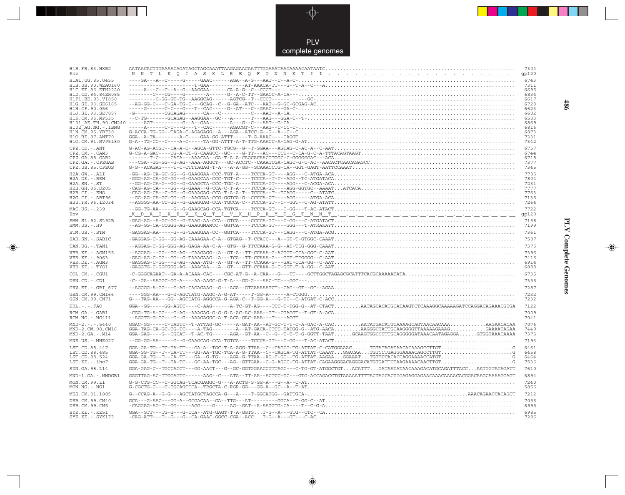

 $\overrightarrow{\mathbf{\P}}$ 

 $\overline{\mathbb{R}}$ 

| H1B.FR.83.HXB2<br>Env                                                                                                      |                                                                                                                                                                                                                                                                                                                                                                                                                                                                                                                                                                                                                                                                                                                                                                                          | 7304<br>gp120                                        |
|----------------------------------------------------------------------------------------------------------------------------|------------------------------------------------------------------------------------------------------------------------------------------------------------------------------------------------------------------------------------------------------------------------------------------------------------------------------------------------------------------------------------------------------------------------------------------------------------------------------------------------------------------------------------------------------------------------------------------------------------------------------------------------------------------------------------------------------------------------------------------------------------------------------------------|------------------------------------------------------|
| H1A1.UG.85.U455<br>H1B. US. 90. WEAU160<br>H1C.ET.86.ETH2220<br>H1D.CD.84.84ZR085<br>H1F1.BE.93.VI850                      |                                                                                                                                                                                                                                                                                                                                                                                                                                                                                                                                                                                                                                                                                                                                                                                          | 6743<br>7311<br>6695<br>6834<br>6617                 |
| H1G.SE.93.SE6165<br>H102 AG.NG.-.IBNG<br>H1N. CM. 95. YBF30                                                                |                                                                                                                                                                                                                                                                                                                                                                                                                                                                                                                                                                                                                                                                                                                                                                                          | 6728<br>6623<br>6602<br>6503<br>6869<br>6816<br>6873 |
| H10.BE.87.ANT70<br>H1O.CM.91.MVP5180                                                                                       |                                                                                                                                                                                                                                                                                                                                                                                                                                                                                                                                                                                                                                                                                                                                                                                          | 7331<br>7342<br>6757                                 |
| $CPZ$ . $CD$ . - .ANT<br>CPZ.CM.-.CAM3<br>CPZ.GA.88.GAB2<br>CPZ.GA. - . CPZGAB<br>CPZ.US.85.CPZUS                          | ${\tt G-CG-A-GAC---TG-A-CT-G-CAAGCC-GC---G-CT--AC--CCT--C-A-G-C-A-TTTACAGTAAGT.}\tag{G-CG-A-G-C-A--TTTACAGTAAGT.}\label{G-CG-A-GAC--T-G-A-CT-G-CA-G-CC-A-TTTACAGTAAGT.}\label{G-CG-A-GAC--T-G-A-CT-G-CA-G-CC-A-TTTACAGTAAGT.}\label{G-CG-A-GAC--T-G-A-CT-G-CA-G-CA-TTTACAGTAAGT.}\label{G-CG-A-GAC--T-G-A-CT-G-CA-G-CA-TTTACAGTAAGT.}\label{G-CG-A-GAC--T-G-CA-CC-A-TTTACAGTAAGT.}\label{G-CG-A-CA-CT$<br>$\verb G-G--ACAGAG---T-C-CTTTTAGAG-T-A--A-AG--GG-AGAACCTG-CA--GGT-GAGT-AATTCCAAAT}{\verb CCA-ATTCCAAAT}{\verb CCA-ATTCCAAAT}{\verb CCA-ATTCCAAAT}{\verb CCA-ATTCCAAAT}{\verb CCA-ATTCCAAAT}{\verb CCA-ATTCCAAAT}{\verb CCA-ATTCCAAAT}{\verb CCA-ATTCCAAAT}{\verb CCA-ATTCCAAAT}{\verb CCA-ATTCCAAAT}{\verb CCA-ATTCCAAAT}{\verb CCA-ATTCCAAAT}{\verb CCA-ATTCCAAAT}{\verb CCA$ | 6744<br>6718<br>7377<br>7345                         |
| H2A.GW.-.ALI<br>$H2A.DE. -.BEN$<br>$H2A.SN.-.ST$<br>H2B.GH.86.D205<br>H2B.CI.-.EHO<br>H2G.CI. - . ABT96<br>H2U.FR.96.12034 |                                                                                                                                                                                                                                                                                                                                                                                                                                                                                                                                                                                                                                                                                                                                                                                          | 7785<br>7804<br>7231<br>7777<br>7763<br>7135<br>7264 |
| MAC.US.-.239<br>Env                                                                                                        |                                                                                                                                                                                                                                                                                                                                                                                                                                                                                                                                                                                                                                                                                                                                                                                          | 7722<br>gp120                                        |
| SMM.SL.92.SL92B<br>$SMM. US. - . H9$                                                                                       |                                                                                                                                                                                                                                                                                                                                                                                                                                                                                                                                                                                                                                                                                                                                                                                          | 7158<br>7199                                         |
| STM.US.-.STM                                                                                                               | $\verb+GAGGAG-AA---G--G-TAAGGAA-CC--GGTCA---TCCCA-GT---CAGG---C-ATGA-ACG\nonumber\\ \verb+CCT+\\ \verb++\\ \verb++\\ \verb++\\ \verb++\\ \verb++\\ \verb++\\ \verb++\\ \verb++\\ \verb++\\ \verb++\\ \verb++\\ \verb++\\ \verb++\\ \verb++\\ \verb++\\ \verb++\\ \verb++\\ \verb++\\ \verb++\\ \verb++\\ \verb++\\ \verb++\\ \verb++\\ \verb++$                                                                                                                                                                                                                                                                                                                                                                                                                                          | 7361                                                 |
| SAB.SN. - . SAB1C                                                                                                          |                                                                                                                                                                                                                                                                                                                                                                                                                                                                                                                                                                                                                                                                                                                                                                                          | 7587                                                 |
| TAN.UG. - . TAN1                                                                                                           |                                                                                                                                                                                                                                                                                                                                                                                                                                                                                                                                                                                                                                                                                                                                                                                          | 7376                                                 |
| VER. KE. - . AGM155<br>VER.KE. - . 9063<br>VER.DE. - . AGM3<br>VER.KE. - . TYO1                                            |                                                                                                                                                                                                                                                                                                                                                                                                                                                                                                                                                                                                                                                                                                                                                                                          | 7396<br>7416<br>6914<br>6888                         |
| COL.CM. - . CGU1                                                                                                           |                                                                                                                                                                                                                                                                                                                                                                                                                                                                                                                                                                                                                                                                                                                                                                                          | 6735                                                 |
| DEN.CD. - .CD1                                                                                                             |                                                                                                                                                                                                                                                                                                                                                                                                                                                                                                                                                                                                                                                                                                                                                                                          | 7355                                                 |
| GRV.ET. - . GRI 677                                                                                                        |                                                                                                                                                                                                                                                                                                                                                                                                                                                                                                                                                                                                                                                                                                                                                                                          | 7287                                                 |
| GSN.CM.99.CN166<br>GSN.CM.99.CN71                                                                                          |                                                                                                                                                                                                                                                                                                                                                                                                                                                                                                                                                                                                                                                                                                                                                                                          | 7232<br>7232                                         |
| $DRL - - -$ . $FAO$                                                                                                        | GGA--GG-----GG-AGTC----C-AAG------A-TC-GT-AG----TCC-T-TGG-G--AT-CTACTAATAGCACATGCATAAGTCTCAAAGGCAAAAAGATCCAGGACAGAAACGTGA                                                                                                                                                                                                                                                                                                                                                                                                                                                                                                                                                                                                                                                                | 7122                                                 |
| RCM.GA. - . GAB1<br>RCM.NG. - . NG411                                                                                      |                                                                                                                                                                                                                                                                                                                                                                                                                                                                                                                                                                                                                                                                                                                                                                                          | 7009<br>7041                                         |
| $MND-2. - - - 5440$<br>MND-2.CM.98.CM16<br>$MND-2.GA.-.M14$                                                                | GGA-GAG----G--CGCAT--T-AC-TG------AGA--GT-AA--C--G--T-T-T-G-GGTT-TAATGCAAGTGGCCCTTGCAGGGGATAAACAATAGAGGAGTGGTAAACAAAA                                                                                                                                                                                                                                                                                                                                                                                                                                                                                                                                                                                                                                                                    | 7076<br>7449<br>7375                                 |
| $MNE. US. - . MNE027$                                                                                                      |                                                                                                                                                                                                                                                                                                                                                                                                                                                                                                                                                                                                                                                                                                                                                                                          | 7193                                                 |
| LST.CD.88.447<br>LST.CD.88.485<br>LST.CD.88.524<br>LST.KE. - . lho7                                                        | $\verb GGA-GA-TG--TC-TA-TT---GA-A--TGC-T-A-AGG-TTAA--C--CAGGG-TG-ATTAT-C-CATGGAAAC.\dots.\_TGTATAGATAACACAAGCCTTGT\dots\dots\dots\dots\dots\dots\dots\dots G$                                                                                                                                                                                                                                                                                                                                                                                                                                                                                                                                                                                                                            | 6461<br>6458<br>6464<br>7536                         |
| SUN.GA.98.L14                                                                                                              | GGA-GAG-C--TGCCACCT---GG-AACT---G--GC-GGTGGAACCTTTAGC---C-TG-GT-ATGGCTGTACATTTGATAATATAACAAAGACATGCAGATTTACCAATGGTACAGATT                                                                                                                                                                                                                                                                                                                                                                                                                                                                                                                                                                                                                                                                | 7610                                                 |
| MND-1.GA.-.MNDGB1                                                                                                          |                                                                                                                                                                                                                                                                                                                                                                                                                                                                                                                                                                                                                                                                                                                                                                                          | 6894                                                 |
| MON.CM.99.L1<br>$MON.NG. - . NG1$                                                                                          |                                                                                                                                                                                                                                                                                                                                                                                                                                                                                                                                                                                                                                                                                                                                                                                          | 7240<br>5856                                         |
| MUS.CM.01.1085                                                                                                             |                                                                                                                                                                                                                                                                                                                                                                                                                                                                                                                                                                                                                                                                                                                                                                                          | 7212                                                 |
| DEB. CM. 99. CM40<br>DEB.CM.99.CM5                                                                                         | $-CAGGAG-RG-TP-GG---AGGG---G---AG--GAT--A-AATGTG-CA----T--C-G-A.$                                                                                                                                                                                                                                                                                                                                                                                                                                                                                                                                                                                                                                                                                                                        | 7056<br>6995                                         |
| SYK.KE. - . KE51<br>SYK.KE. - . SYK173                                                                                     |                                                                                                                                                                                                                                                                                                                                                                                                                                                                                                                                                                                                                                                                                                                                                                                          | 6985<br>7286                                         |

 $\blacklozenge$ 

**PLV Complete Genomes 486 PLV Complete Genomes** 

 $\Rightarrow$ 

 $\equiv$ 

486

 $\blacksquare$ 

<u> 1999 - 1999 - 1999 - 1999 - 1999 - 1999 - 1999 - 1999 - 1999 - 1999 - 1999 - 1999 - 1999 - 1999 - 1999 - 199</u>

 $\mathbf{I}$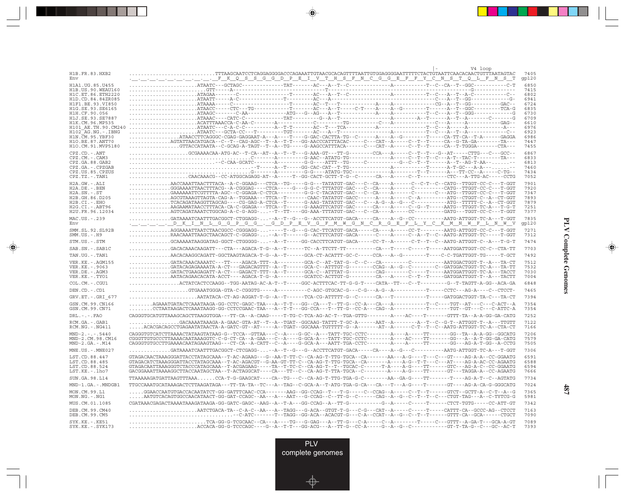|                                           | V4 loop                                                                                                                                                                                                                                                                                                                                                                                                                                                                                                             |               |
|-------------------------------------------|---------------------------------------------------------------------------------------------------------------------------------------------------------------------------------------------------------------------------------------------------------------------------------------------------------------------------------------------------------------------------------------------------------------------------------------------------------------------------------------------------------------------|---------------|
| H1B.FR.83.HXB2<br>Env                     | . <u>.</u> FKQSSGGDPEIVTHSFNCGGEFFYCNSTQLFNST                                                                                                                                                                                                                                                                                                                                                                                                                                                                       | 7405<br>gp120 |
| H1A1.UG.85.U455                           |                                                                                                                                                                                                                                                                                                                                                                                                                                                                                                                     | 6850          |
| H1B.US.90.WEAU160                         |                                                                                                                                                                                                                                                                                                                                                                                                                                                                                                                     | 7415          |
| H1C.ET.86.ETH2220                         |                                                                                                                                                                                                                                                                                                                                                                                                                                                                                                                     | 6802          |
| H1D.CD.84.84ZR085<br>H1F1.BE.93.VI850     |                                                                                                                                                                                                                                                                                                                                                                                                                                                                                                                     | 6941<br>6724  |
| H1G.SE.93.SE6165                          |                                                                                                                                                                                                                                                                                                                                                                                                                                                                                                                     | 6835          |
| H1H.CF.90.056                             |                                                                                                                                                                                                                                                                                                                                                                                                                                                                                                                     | 6730          |
| H1J.SE.93.SE7887                          |                                                                                                                                                                                                                                                                                                                                                                                                                                                                                                                     | 6709          |
| H1K.CM.96.MP535<br>H101 AE. TH. 90. CM240 |                                                                                                                                                                                                                                                                                                                                                                                                                                                                                                                     | 6610<br>6976  |
| H102 AG.NG.-.IBNG                         |                                                                                                                                                                                                                                                                                                                                                                                                                                                                                                                     | 6923          |
| H1N.CM.95.YBF30                           |                                                                                                                                                                                                                                                                                                                                                                                                                                                                                                                     | 6986          |
| H10.BE.87.ANT70<br>H1O.CM.91.MVP5180      | AGTATTAACATGACA--C--T--CAG-AGC--T--A--T-T---GG-AACCCATTTACAC-----C---CAT--A-----C--T--T----CA--G-TA-GA--------TA---<br>$\ldots \ldots \text{GTTACCATAATA--C-GCAG-A-TAGT--T--A--TG----G-AGCCATTTACA---C-A---C-AT--A---C--T--T---C-A--T--GGGA---CTA---C-A--T--GGGA---C-A--T--GGGA---C-A--T--GGGA---C-A--T--GGGA---C-A--T--GGGA---C-A--T--GGGA---C-A--T--GGGA---C-A--T--GGGA---C-A--T--GGGA---C-A--T--GGGA---C-A--T--GGGA---C-A--T--GGGA---C-A--T--GGGA---C-A--T--GGGA---C-A--T--T--T--T--T--T--GGGA---C-A--T--T--T--$ | 7447<br>7455  |
| CPZ.CD. - . ANT                           |                                                                                                                                                                                                                                                                                                                                                                                                                                                                                                                     | 6867          |
| CPZ.CM. - . CAM3                          |                                                                                                                                                                                                                                                                                                                                                                                                                                                                                                                     | 6833          |
| CPZ.GA.88.GAB2                            |                                                                                                                                                                                                                                                                                                                                                                                                                                                                                                                     | 6813          |
| CPZ.GA.-.CPZGAB                           |                                                                                                                                                                                                                                                                                                                                                                                                                                                                                                                     | 7460          |
| CPZ.US.85.CPZUS<br>$CPZ.TZ.-.TAN1$        | $\ldots \ldots \ldots \text{CARCAAACG--CC-ATGGCAGGG-AT--A----T--GG-CACT-GCTT-T-G--C----CA---A---C--T-----C--T----CTC---A-TTG-AC---CTTG-AC---CCTG$                                                                                                                                                                                                                                                                                                                                                                   | 7434<br>7052  |
| H2A.GW.-.ALI                              |                                                                                                                                                                                                                                                                                                                                                                                                                                                                                                                     | 7901          |
| $H2A.DE. - .BEN$                          |                                                                                                                                                                                                                                                                                                                                                                                                                                                                                                                     | 7920          |
| $H2A.SN.-.ST$                             |                                                                                                                                                                                                                                                                                                                                                                                                                                                                                                                     | 7347          |
| H2B.GH.86.D205                            |                                                                                                                                                                                                                                                                                                                                                                                                                                                                                                                     | 7893<br>7879  |
| $H2B.CI.-.EHO$<br>$H2G.CI.-.ABT96$        |                                                                                                                                                                                                                                                                                                                                                                                                                                                                                                                     | 7251          |
| H2U.FR.96.12034                           |                                                                                                                                                                                                                                                                                                                                                                                                                                                                                                                     | 7377          |
| MAC.US.-.239                              | GATAAAATCAATTTGACGGCT-CTGGAGG---A--T--G---G--ACCTTCATGT-GACA-----CA----A--G--CC---------AATG-ATTGGT-TC-A---T-GGT                                                                                                                                                                                                                                                                                                                                                                                                    | 7835          |
| Env                                       | ___________D__K__I__N__L_G_G__P__G__G__D__P___B__V__G__F__M__W_G__N__G___R__G___E___F__L___N___N___N__V__V__V_                                                                                                                                                                                                                                                                                                                                                                                                      | qp120         |
| SMM.SL.92.SL92B<br>$SMM.US.-.H9$          | RAACAAATTAAGCTAACAGCT-C-GGAGG---A--T-----G--ACTTTCATGT-GACA------C---A-----C--A--T--C--AATG-ATTGGT-TC-----T-GGT                                                                                                                                                                                                                                                                                                                                                                                                     | 7271<br>7312  |
| STM.US.-.STM                              |                                                                                                                                                                                                                                                                                                                                                                                                                                                                                                                     | 7474          |
| SAB.SN. - . SAB1C                         | $\ldots\ldots\ldots\ldots$ GACACAAACAAGATT---CTA---AGACA-T-G--A--T------TC--A-TTCTT-TT---------CA--T----C----T----AATGGATTGGT-CC-C--CTA-TT                                                                                                                                                                                                                                                                                                                                                                          | 7703          |
| TAN.UG. - . TAN1                          | AACACAAGGCAGATT-GGCTAAGTAGACA-T-G--A--T------GCA-CT-ACATTT-GC-C-----CCA---A--G--------T---C-C-TGATTGGT-TG-----T-GCT                                                                                                                                                                                                                                                                                                                                                                                                 | 7492          |
| VER. KE. - . AGM155                       | GATACAGAGAAAATA-A-CT---GAGACAGTTT--A--T-----GCA-C--ATTTGT-G--------CCAG--A--G--C--------C--GATGGACTGGT-TC-A---TA-TT                                                                                                                                                                                                                                                                                                                                                                                                 | 7512<br>7532  |
| VER.KE. - .9063<br>VER.DE. - . AGM3       | GATACTGAAGAGATT-A-CT---GAGACT-TTT--A--T-----GCA-C--ATTTAT-G---------CAG--------C----T-----AATGGATTGGT-TC-A---TACCT                                                                                                                                                                                                                                                                                                                                                                                                  | 7030          |
| VER.KE. - . TYO1                          |                                                                                                                                                                                                                                                                                                                                                                                                                                                                                                                     | 7004          |
| COL.CM. - . CGU1                          | ACTATCACTCCAAGG--TGG-AATAG-AC-A-T--T----GGC-ACTTTCAC-TT-G-G-T----CATA--TT---C--T--------G--T-TAGTT-A-GG--ACA-GA                                                                                                                                                                                                                                                                                                                                                                                                     | 6848          |
| DEN.CD. - .CD1                            | GTGAAATGGGA-GTA-C-CGGGTG-----A---------C-AGC-GTGCAC-G---C-G---A-G--A---------T-----CCTC---AG-A----C--CTCCT-                                                                                                                                                                                                                                                                                                                                                                                                         | 7465          |
| GRV.ET. - .GRI 677                        |                                                                                                                                                                                                                                                                                                                                                                                                                                                                                                                     | 7394          |
| GSN.CM.99.CN166<br>GSN.CM.99.CN71         |                                                                                                                                                                                                                                                                                                                                                                                                                                                                                                                     | 7354<br>7354  |
| $DRL - - -$ . $FAO$                       |                                                                                                                                                                                                                                                                                                                                                                                                                                                                                                                     | 7252          |
| RCM.GA.-.GAB1                             | GACAAAATAAAGA-A-GAAC-GTA-AT--T--A--TGAT--GGCAAG-TATTT-T-GC-A------AAT--A-------A--T--C--G-T--ATTGGT-T--A---TTGTT                                                                                                                                                                                                                                                                                                                                                                                                    | 7122          |
| $RCM.NG. - . NG411$                       | ACACGACAGCCTGAGAATATAACTA-A-GATC-GT--AT-----A--TGAT--GGCAAA-TGTTTTT-G--A-------AT--A------C-T--T--C--AATG-ATTGGT-TC-A--CTA-CT                                                                                                                                                                                                                                                                                                                                                                                       | 7166          |
| $MD-2. - - . 5440$                        |                                                                                                                                                                                                                                                                                                                                                                                                                                                                                                                     | 7206          |
| MND-2.CM.98.CM16<br>$MND-2.GA.-.M14$      | CGGGTTGTGCCCTTAAAACAATAAAGGTC-C-G-CT-CA--A-GAA---C--A----G-GCA-A---TATT-TGC-CCTC--------A---AC----TT-------GG---A--A-T-GG-GA-CATG                                                                                                                                                                                                                                                                                                                                                                                   | 7579<br>7505  |
| MNE.US.-.MNE027                           | GATAAAATCAATTTGACGGCT-CTCGAGG---A--T--G--ACCTTCATGT-GACA-----CA----A--G---C--------AATG-ATTGGT-TC-A---T-GGT                                                                                                                                                                                                                                                                                                                                                                                                         | 7306          |
| LST.CD.88.447                             |                                                                                                                                                                                                                                                                                                                                                                                                                                                                                                                     | 6591          |
| LST.CD.88.485                             |                                                                                                                                                                                                                                                                                                                                                                                                                                                                                                                     | 6588          |
| LST.CD.88.524                             |                                                                                                                                                                                                                                                                                                                                                                                                                                                                                                                     | 6594          |
| LST.KE.-.lho7                             |                                                                                                                                                                                                                                                                                                                                                                                                                                                                                                                     | 7666          |
| SUN.GA.98.L14                             | TTAAAAAGATGATTAAGTTTAAACCA-T-G-GAAGCAT----CA--TG---CA-AG-T-TTG-TGA-G-C-------AA--GA-G----TT------T----AG-A-T--C--AGTATG                                                                                                                                                                                                                                                                                                                                                                                             | 7734          |
| MND-1.GA.-.MNDGB1                         |                                                                                                                                                                                                                                                                                                                                                                                                                                                                                                                     | 7024          |
| MON.CM.99.L1<br>$MON.NG. - . NG1$         | $\ldots$ .GGAACCAATGTGACCACAATATCT-GG-GATTTCAAC-CCA-------AAG--GG-CCAG--T---T-G----C-CCAG--A-----C-T--T-----GTCT--GCTT-A--C-T--A--G<br>AATGTCACAGTGGCCAACATAACT-GG-GAT-CCAGC--AA---A---AAT---G-CCAG--C--TT-G--C------CAG--A--G--C--T--T--C---CTGT-TAG---A--C-TYTCG-G                                                                                                                                                                                                                                                | 7365<br>5981  |
| MUS.CM.01.1085                            |                                                                                                                                                                                                                                                                                                                                                                                                                                                                                                                     | 7342          |
| DEB.CM.99.CM40<br>DEB.CM.99.CM5           | AATCTGACA-TA--C-A-C--AA---A--TAGG---G-ACA--GTGT-T-G---C-G---CAT--A-----C-----T-----CATTT-CA--GCCC-AG--CTCCT<br>--C-ATC-------T--TAGG--GG-ACA--ACACGT-G---C-A--CCAT--A--G--C--T--T------GTTT-CA--GCA------CTGCT                                                                                                                                                                                                                                                                                                      | 7163<br>7090  |
| $SYK.KE. - .KE51$<br>$SYK.KE. - .SYK173$  |                                                                                                                                                                                                                                                                                                                                                                                                                                                                                                                     | 7089<br>7393  |

<u>a shekara ta 1989</u>

 $\overrightarrow{\phantom{a}}$ 

 $\overline{\hphantom{m}}$ 

 $\begin{picture}(20,5) \put(0,0){\line(1,0){10}} \put(15,0){\line(1,0){10}} \put(15,0){\line(1,0){10}} \put(15,0){\line(1,0){10}} \put(15,0){\line(1,0){10}} \put(15,0){\line(1,0){10}} \put(15,0){\line(1,0){10}} \put(15,0){\line(1,0){10}} \put(15,0){\line(1,0){10}} \put(15,0){\line(1,0){10}} \put(15,0){\line(1,0){10}} \put(15,0){\line(1,$ 

 $\overline{\phantom{0}}$ 

 $\Box$ 

▌▊▊▊

 $\overline{\phantom{a}}$ 

**487**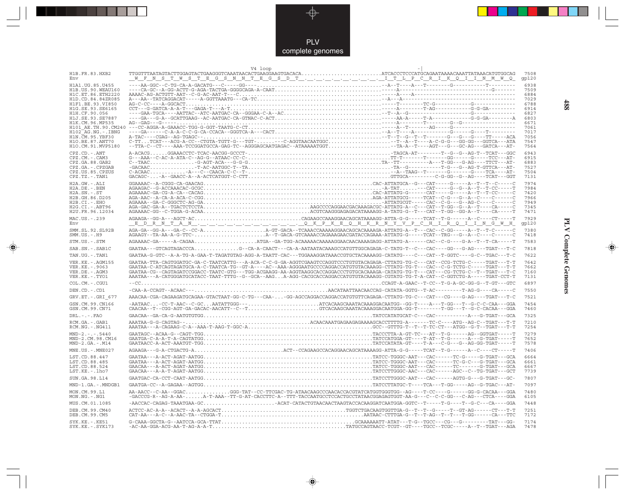

 $\overrightarrow{\mathbf{\P}}$ 

 $\mathbb{R}$ 

| H1B.FR.83.HXB2<br>Env                                                                                                                                                                          | V4 loop<br><u> 1990 - 1990 - 1990 - 1990 - 1990 - 1990 - 1990 - 1990 - 1990 - 1990 - 1990 - 1990 - 1990 - 1990 - 1990 - 1990 - 1990 - 1990 - 1990 - 1990 - 1990 - 1990 - 1990 - 1990 - 1990 - 1990 - 1990 - 1990 - 1990 - 1990 - 1990 - 199</u>                                                                                                                                                                                                                                                                                                   | 7508                                                                 |
|------------------------------------------------------------------------------------------------------------------------------------------------------------------------------------------------|---------------------------------------------------------------------------------------------------------------------------------------------------------------------------------------------------------------------------------------------------------------------------------------------------------------------------------------------------------------------------------------------------------------------------------------------------------------------------------------------------------------------------------------------------|----------------------------------------------------------------------|
| H1A1. UG. 85. U455<br>H1B. US. 90. WEAU160<br>H1C. ET. 86. ETH2220<br>H1D.CD.84.84ZR085                                                                                                        |                                                                                                                                                                                                                                                                                                                                                                                                                                                                                                                                                   | 6938<br>7509<br>6884<br>7029                                         |
| H1F1.BE.93.VI850<br>H1G.SE.93.SE6165<br>H1H.CF.90.056<br>H1J.SE.93.SE7887<br>H1K.CM.96.MP535<br>H101 AE.TH.90.CM240<br>$H102-AG.NG. - IBNG$<br>$H1N.\overline{C}M.95.YBF30$<br>H1O.BE.87.ANT70 |                                                                                                                                                                                                                                                                                                                                                                                                                                                                                                                                                   | 6788<br>6914<br>6827<br>6803<br>6671<br>7061<br>7017<br>7056<br>7547 |
| H1O.CM.91.MVP5180<br>CPZ.CD. - . ANT<br>CPZ.CM. - . CAM3<br>CPZ.GA.88.GAB2<br>CPZ.GA. - . CPZGAB<br>CPZ.US.85.CPZUS<br>CPZ.TZ.-.TAN1                                                           |                                                                                                                                                                                                                                                                                                                                                                                                                                                                                                                                                   | 7564<br>6943<br>6915<br>6883<br>7527<br>7504<br>7131                 |
| H2A.GW.-.ALI<br>H2A.DE. - . BEN<br>$H2A.SN.-.ST$<br>H2B.GH.86.D205<br>H2B.CI.-.EHO<br>$H2G.CI.-.ABT96$<br>H2U.FR.96.12034                                                                      | $\begin{minipage}[t]{0.99\textwidth} \begin{tabular}{l} \textbf{AGA} \textbf{AA} \textbf{AA} \textbf{C} - \textbf{G} \textbf{A} - \textbf{G} \textbf{A} - \textbf{G} \textbf{A} - \textbf{G} \textbf{A} - \textbf{G} \textbf{A} - \textbf{G} \textbf{A} - \textbf{G} \textbf{A} - \textbf{G} \textbf{A} - \textbf{G} \textbf{A} - \textbf{G} \textbf{A} - \textbf{G} \textbf{A} - \textbf{G} \textbf{A} - \textbf{G} \textbf{A} -$                                                                                                                | 7974<br>7984<br>7420<br>7966<br>7949<br>7345<br>7471                 |
| MAC.US. - . 239<br><b>Env</b><br>SMM.SL.92.SL92B                                                                                                                                               | AGAAGA--GG-A---AGCT-ACCAGAAGCCAAAGGAACAGCATAAAAGG-ATTA-G-G-----TCAT--T-G------A--C----CT-----T<br><u> E DRNT A N., , , , , , QKPKEQHKRNYVPCHIRQIINGWH</u>                                                                                                                                                                                                                                                                                                                                                                                         | 7929<br>gp120<br>7380                                                |
| $SMM.US.-.H9$                                                                                                                                                                                  | AGAAGY--TA-AA-A-G-TTC-A--T-GACA-GTCAAAACCAGAAAGGATACCAGAAA-ATTATG-G-----TCAT--TRG---G--A--C------C                                                                                                                                                                                                                                                                                                                                                                                                                                                | 7418                                                                 |
| STM.US.-.STM<br>SAB.SN. - . SAB1C                                                                                                                                                              | ${\bf AGAAAAC-GA---A-CAGAA.}\dots\dots\dots\dots\dots\dots\dots\dots{\bf A}T G{\bf A}-G{\bf G}-T{\bf G}G-{\bf A}{\bf C} {\bf A}{\bf A}{\bf A}{\bf A}{\bf A}{\bf C}{\bf A}{\bf A}{\bf C}{\bf A}{\bf A}{\bf A}{\bf A}{\bf C}{\bf A}{\bf A}{\bf C}{\bf A}{\bf A}{\bf C}{\bf A}{\bf A}{\bf C}{\bf A}{\bf A}{\bf C}{\bf A}{\bf A}{\bf C}{\bf A}{\bf A}{\bf C}{\bf A}{\bf A}{\bf C}{\bf A}{\bf A}{\bf C}{\bf A}{\bf A}{$<br>GAATAA---GTCAGTAGACCCAG--CA-A-CAACT---CA-A-AATAATACAAAGCCATGTTGGCAGAGA-C-TATG-T--C---CAC----GG---G-AG----TGAT---T-C         | 7583<br>7818                                                         |
| TAN.UG. - . TAN1                                                                                                                                                                               | GAATAA-G-GTC--A-A-TG-A-GAA-T-TAGATGTAG-AGG-A-TAATT-CAC---TGGAAAGGATAAACCGTGCTACAAAAGG-CATATG----C---CAT--T-GGTC----G-C--TGAC---T-C                                                                                                                                                                                                                                                                                                                                                                                                                | 7622                                                                 |
| VER. KE. - . AGM155<br>VER. KE. - . 9063<br>VER.DE. - . AGM3<br>VER.KE. - . TYO1                                                                                                               | GAATAA-TTA-CAGTGGATGC-GA-C-TAATCATTG---A-ACA-C-C-G-GA-AGGTCGAAGTCCAGGTCCCTGTGTACAGAGA-CTTATG-TG-C---CAT--CCG-TCTG-C-----TGAT---T-T<br>GAATAA-C-ATCAGTAGATGCA-A-C-TAATCA-TG--GT-A----AC--AAA-AGGGAATGCCCCAGGACCATGTGTACAAAGG-CTTATG-TG-T---CAC--C-G-TCTG-C-----TGAT---T-T<br>GAATAA-CG--CAGTAGATCCGGACC-TAATC-GTG---TGG-ACGAAGG-AA-AGGTAAGGCACCAGGACCCTGTGCACAAAGA-CATATG-TG-T---CAT---CG-TCTG-C--T--TGAT---T-C<br>AAATAA---A-CATGGGATGCATACC-TAAT-TTTG--G--GCA--AAGA-AGG-CACGCACCAGGACCATGTGTACAAAGG-CGTATG-TG-T-A-CAT--C-GGTCTG-A-----TGAT-CCT-T | 7642<br>7662<br>7160<br>7131                                         |
| COL.CM. - . CGU1                                                                                                                                                                               |                                                                                                                                                                                                                                                                                                                                                                                                                                                                                                                                                   | 6897                                                                 |
| DEN.CD. - .CD1                                                                                                                                                                                 |                                                                                                                                                                                                                                                                                                                                                                                                                                                                                                                                                   | 7550                                                                 |
| GRV.ET. -. GRI 677<br>GSN.CM.99.CN166<br>GSN.CM.99.CN71                                                                                                                                        | AAACAA-CGA-CAGAAGATGCAGAA-GTACTAAT-GG-C-TG---CAA--GG-AGCCAGGACCAGGACCATGTTCAGAGA-CTTATG-TG-C---CAT---CG----G-AG----TGAT---T-C<br>-AATAAC-CC-T-AAC--C-GCAATATTGGG---ATCACAAGCAAATACAAAGGACAATGG--GG-T----A---T-GG---T--G-C-C-CAA---GGA<br>CAACAA--T--CGG-AGT-GA-GACAC-AACATT--C--TGTCACAAGCAAATACAAAGGACAATGGA-GG-T-------T-GG---T--GC-CACAA---GGA                                                                                                                                                                                                 | 7521<br>7454<br>7460                                                 |
| $DRL$ . - . - . $FAO$                                                                                                                                                                          |                                                                                                                                                                                                                                                                                                                                                                                                                                                                                                                                                   | 7325                                                                 |
| RCM.GA.-.GAB1<br>RCM.NG. - . NG411                                                                                                                                                             |                                                                                                                                                                                                                                                                                                                                                                                                                                                                                                                                                   | 7210<br>7254                                                         |
| $MND-2. - - - 5440$<br>MND-2.CM.98.CM16<br>$MND-2.GA.-.M14$                                                                                                                                    |                                                                                                                                                                                                                                                                                                                                                                                                                                                                                                                                                   | 7279<br>7652<br>7578                                                 |
| MNE.US.-.MNE027                                                                                                                                                                                |                                                                                                                                                                                                                                                                                                                                                                                                                                                                                                                                                   | 7406                                                                 |
| LST.CD.88.447<br>LST.CD.88.485<br>LST.CD.88.524<br>LST.KE.-.lho7                                                                                                                               |                                                                                                                                                                                                                                                                                                                                                                                                                                                                                                                                                   | 6664<br>6661<br>6667<br>7739                                         |
| SUN.GA.98.L14                                                                                                                                                                                  |                                                                                                                                                                                                                                                                                                                                                                                                                                                                                                                                                   | 7807                                                                 |
| MND-1.GA.-.MNDGB1                                                                                                                                                                              |                                                                                                                                                                                                                                                                                                                                                                                                                                                                                                                                                   | 7097                                                                 |
| MON.CM.99.L1<br>MON.NG. - . NG1                                                                                                                                                                | AA-AACC--C-AA--GGACGGG-TAT--CC-TTCGAC-TG-ATAACAAGCCCAACACCACGTATCATGGTGGG--AG----T-CC----G-----GG-G-CACAA---GGA<br>$-GACCG-R--AG-A-AA-$ A-T-AAA - - TT-G-AT-CACCTTC-A - - TTT-TACCAATGCCTCCACTGCCTATAACGGAGAGTGGT-AA-G---C--C-GG---C-AG---CTCA----GGA                                                                                                                                                                                                                                                                                             | 7480<br>6105                                                         |
| MUS.CM.01.1085                                                                                                                                                                                 | -AACCAC-CAGAG-TAAATGAA-GCACAT-CATACTGTAACAACTAAGTACCACAAGGATCAATGGA-GGTC--T-----T-G----T--G-C---CA----GGA                                                                                                                                                                                                                                                                                                                                                                                                                                         | 7448<br>7251                                                         |
| DEB.CM.99.CM40<br>DEB.CM.99.CM5                                                                                                                                                                |                                                                                                                                                                                                                                                                                                                                                                                                                                                                                                                                                   | 7172                                                                 |
| SYK.KE. - . KE51<br>SYK.KE. - . SYK173                                                                                                                                                         |                                                                                                                                                                                                                                                                                                                                                                                                                                                                                                                                                   | 7174<br>7478                                                         |

 $\blacklozenge$ 

**PLV Complete Genomes 488 PLV Complete Genomes** 

 $\Rightarrow$ 

 $\equiv$ 

488

 $\Box$ 

<u> 1999 - 1999 - 1999 - 1999 - 1999 - 1999 - 1999 - 1999 - 1999 - 1999 - 1999 - 1999 - 1999 - 1999 - 1999 - 199</u>

 $\mathbf{I}$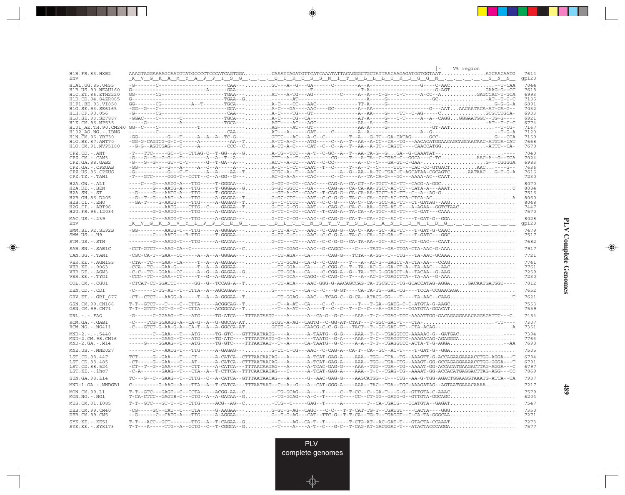|                                             |                                                                                                                                                                                                                                                                                                                                                                                                                                                                                                                                                                                                           |  |  |  | V5 region |               |
|---------------------------------------------|-----------------------------------------------------------------------------------------------------------------------------------------------------------------------------------------------------------------------------------------------------------------------------------------------------------------------------------------------------------------------------------------------------------------------------------------------------------------------------------------------------------------------------------------------------------------------------------------------------------|--|--|--|-----------|---------------|
| H1B.FR.83.HXB2<br>Env                       | ${\tt AAGTAGGAAAGCAATGTATGCCCCCTCCCATCAGTGGA CAATTAGATGTTCATCAAATATTACAGGGCTGCTATTAACAAGAGAGGATGGTGGTAÅT GCAACAATG$<br><u>KVGKAMYA PPISGQIRCSSNITGLLLTRDGGNSNN</u>                                                                                                                                                                                                                                                                                                                                                                                                                                        |  |  |  |           | 7614<br>gp120 |
| H1A1.UG.85.U455                             |                                                                                                                                                                                                                                                                                                                                                                                                                                                                                                                                                                                                           |  |  |  |           | 7044          |
| H1B.US.90.WEAU160<br>H1C.ET.86.ETH2220      |                                                                                                                                                                                                                                                                                                                                                                                                                                                                                                                                                                                                           |  |  |  |           | 7618<br>6993  |
| H1D.CD.84.84ZR085                           |                                                                                                                                                                                                                                                                                                                                                                                                                                                                                                                                                                                                           |  |  |  |           | 7135          |
| H1F1.BE.93.VI850                            |                                                                                                                                                                                                                                                                                                                                                                                                                                                                                                                                                                                                           |  |  |  |           | 6891          |
| H1G.SE.93.SE6165                            |                                                                                                                                                                                                                                                                                                                                                                                                                                                                                                                                                                                                           |  |  |  |           | 7032          |
| H1H.CF.90.056                               | -G-------CG---------------------CAA--- A-C----TG---GT-----------------A----G----TT--C-AG-----C. GCGTCTGCA-                                                                                                                                                                                                                                                                                                                                                                                                                                                                                                |  |  |  |           | 6933          |
| H1J.SE.93.SE7887<br>H1K.CM.96.MP535         |                                                                                                                                                                                                                                                                                                                                                                                                                                                                                                                                                                                                           |  |  |  |           | 6921<br>6774  |
| H101 AE.TH.90.CM240                         |                                                                                                                                                                                                                                                                                                                                                                                                                                                                                                                                                                                                           |  |  |  |           | 7167          |
| H102 AG.NG.-.IBNG                           |                                                                                                                                                                                                                                                                                                                                                                                                                                                                                                                                                                                                           |  |  |  |           | 7120          |
| H1N.CM.95.YBF30                             |                                                                                                                                                                                                                                                                                                                                                                                                                                                                                                                                                                                                           |  |  |  |           | 7159          |
| H10.BE.87.ANT70<br>H1O.CM.91.MVP5180        | -GG-G-CAGTCG-G-C-C-----A---------AA--TA-TC-A-C----ATG----C--A--T--AA--A-CC--CA--TG---AACACATGGAACAGCAACAAC-ATGTA-CAT<br>--G-G--AGTCGAG---C-----A---------CCC--CA-CT-A-C----CAT--C--C--A--T--AA--A-TC--CAGTT----CAACCATGGATTC--CA-                                                                                                                                                                                                                                                                                                                                                                         |  |  |  |           | 7668<br>7670  |
|                                             |                                                                                                                                                                                                                                                                                                                                                                                                                                                                                                                                                                                                           |  |  |  |           |               |
| $CPZ$ . $CD$ . $-ANT$<br>$CPZ.CM. - . CAM3$ | -T---TTC-----GC--T--CTTAG-C--T-GG--A--GA-TG--TCC---A-T--C-GC--A--T--AA-TA-G--GGA--G-CAAATAT--<br>-G---G--G--G-G---T---------A--R--T--A---GTT--A--T--CA-------CG----T---A-TA--C-TGAG-C--GGCA---C-TCAAC-A--G--TCA                                                                                                                                                                                                                                                                                                                                                                                           |  |  |  |           | 7040<br>7024  |
| CPZ.GA.88.GAB2                              | -G---G--G---GT--C-T------G--T-GA--A---ACT--A-CC---AAT--C-CC--------A--C--C--GA-GT-C-GAA-G---CGGGGA                                                                                                                                                                                                                                                                                                                                                                                                                                                                                                        |  |  |  |           | 6983          |
| CPZ.GA.-.CPZGAB                             |                                                                                                                                                                                                                                                                                                                                                                                                                                                                                                                                                                                                           |  |  |  |           | 7636          |
| CPZ.US.85.CPZUS                             |                                                                                                                                                                                                                                                                                                                                                                                                                                                                                                                                                                                                           |  |  |  |           | 7616          |
| CPZ.TZ.-.TAN1                               | $-{\color{red}T}-{\color{red}-GTC}\textcolor{black}{--}\textcolor{black}{--GGG}\textcolor{black}{--}\textcolor{black}{--CCTT}\textcolor{black}{--}\textcolor{black}{C}-{\color{red}C}-{\color{red}A}-{\color{red}G}\textcolor{black}{--}\textcolor{black}{-G}\textcolor{black}{--}\textcolor{black}{-G}\textcolor{black}{--}\textcolor{black}{+N}\textcolor{black}{-N}\textcolor{black}{-N}\textcolor{black}{-N}\textcolor{black}{-N}\textcolor{black}{-N}\textcolor{black}{-C}\textcolor{black}{-C}\textcolor{black}{-N}\textcolor{black}{-T}\textcolor{black}{-T}\textcolor{black}{-T}\textcolor{black$ |  |  |  |           | 7230          |
| H2A.GW.-.ALI                                | ----C---G---AATG-A---TTG-----T-GGGAA---G-GT-G-CC--CAAC----CAG-A--CA-CT--A-TGCT-AC-TT--CACG-A-GGC                                                                                                                                                                                                                                                                                                                                                                                                                                                                                                          |  |  |  |           | 8070          |
| $H2A.DE. -.BEN$                             |                                                                                                                                                                                                                                                                                                                                                                                                                                                                                                                                                                                                           |  |  |  |           | 8084          |
| $H2A.SN.-.ST$<br>H2B.GH.86.D205             | --G-----G---AATG-A---TTG-----T-GGGAA-----GT-A-CC--CAAC--T-CAG-G--CA-CA-AA-TGCT-AC-TT--C--A--AG-G                                                                                                                                                                                                                                                                                                                                                                                                                                                                                                          |  |  |  |           | 7516<br>8060  |
| $H2B.CI.-.EHO$                              | --GA-T----G-AATG-----TTG-----A-GAGAG--TG--C-CTCC---AAT--C-C-G----CA-C--CA--GCC-AC-TT--CT-GATAG--AAG                                                                                                                                                                                                                                                                                                                                                                                                                                                                                                       |  |  |  |           | 8048          |
| H2G.CI. - . ABT96                           | ------------AATG----CTTG--C----GAGAA--TG-TC-G-CG---AAT----CAG-C--CA-C--AA--GCG-AT-T---A-AGAA--GGTCTAAC                                                                                                                                                                                                                                                                                                                                                                                                                                                                                                    |  |  |  |           | 7447          |
| H2U.FR.96.12034                             | -------G-G-AATG-----TTG-----A-GAGAA---G-TC-C-CC--CAAT--T-CAG-A--TA-CA--A-TGC--AT-TT---C-GAT---CAAA                                                                                                                                                                                                                                                                                                                                                                                                                                                                                                        |  |  |  |           | 7570          |
| MAC.US.-.239                                | -------C---AATG-T---TTG-----A-GAGAG---G-CC-C-CG---AAC--C-CAG-G--CA-T--CA--GC--AC-T----T-GAT-G--GGA                                                                                                                                                                                                                                                                                                                                                                                                                                                                                                        |  |  |  |           | 8028          |
| Env                                         | <u>KVGKNVYLPPREGDLTCNSTVTSLIANIDMIDG</u>                                                                                                                                                                                                                                                                                                                                                                                                                                                                                                                                                                  |  |  |  |           | gp120         |
| SMM.SL.92.SL92B<br>$SMM.US.-.H9$            | -------C---AATG---R-TTG-----T-GGGAA---G-CC-G-C----AAC--C-C-G-A--TA-C--CA--GC-GA--T----T-GATC---GGC                                                                                                                                                                                                                                                                                                                                                                                                                                                                                                        |  |  |  |           | 7479<br>7517  |
| STM.US.-.STM                                | -------G---AATG-T---TTG-----A-GACAA---G-CC---CT---AAT--C-C-G-G--CA-TA-AA--GC--AC-TT--CT-GAC---CAAT                                                                                                                                                                                                                                                                                                                                                                                                                                                                                                        |  |  |  |           | 7682          |
| SAB.SN.-.SAB1C                              | $-CCT-GTCT---AAG-CA--C-------GAGAA--C.\n\n--CT-GGAG----CT-GGAC---AAC-G--CT-CTAG--CT---TATG---GA-TTGA-CTA-AAC-G-AA2.\n\n\n$                                                                                                                                                                                                                                                                                                                                                                                                                                                                                |  |  |  |           | 7917          |
| TAN.UG. - . TAN1                            | -CGC-CA-T--GAA--CC-----A--A--A-GGGAA-----CT-AGA---CA------CAG-G---TCTA--A-GG--T--CTG---TA-AAC-GCAAA                                                                                                                                                                                                                                                                                                                                                                                                                                                                                                       |  |  |  |           | 7721          |
| VER. KE. - . AGM155                         |                                                                                                                                                                                                                                                                                                                                                                                                                                                                                                                                                                                                           |  |  |  |           | 7741          |
| VER.KE. - . 9063                            | $-{\color{red}CCA}\texttt{-TC}\texttt{--GAA-G}\texttt{-G}\texttt{-------T}\texttt{-A}\texttt{-A-GGGAA}\texttt{---\dots}\texttt{}\texttt{---T} {\color{red}CCG}\texttt{G}\texttt{A}\texttt{---C}\texttt{A}-{\color{red}CCG}\texttt{G}-{\color{red}C}\texttt{-}-{\color{red}T}\texttt{--T}\texttt{A}-{\color{red}AC-G}\texttt{-G}\texttt{A}-{\color{red}CT}\texttt{-A}-{\color{red}T}\texttt{A}-{\color{red}AC}\texttt{--}{\color{red}T}\texttt{A}-{\color{red}AC}\texttt{}\texttt{}\$                                                                                                                      |  |  |  |           | 7761          |
| VER.DE. - . AGM3                            | -C-C--TC--GGAA--CC-----A--G--A-GAGAA--G--CT-GCA---CA----C-CGG-A--G--TA--TC-G-GGAGCT-A--TACAA--G-AAG                                                                                                                                                                                                                                                                                                                                                                                                                                                                                                       |  |  |  |           | 7259          |
| VER.KE.-.TYO1                               |                                                                                                                                                                                                                                                                                                                                                                                                                                                                                                                                                                                                           |  |  |  |           | 7230          |
| COL.CM. - . CGU1                            | -CTCAT-CC-GGATCC------GG--G--TCCAG-A--T--TC-ACA----AAC-GGG-G-AACAGCCAG-TA-TGCGTTC-TG-GCACCATAG-AGGAGACAATGATGGT----                                                                                                                                                                                                                                                                                                                                                                                                                                                                                       |  |  |  |           | 7012          |
| DEN.CD. - .CD1                              | -C------C-TG-AT--T--CTTA--A--AGCAGAA---G------C---CA-C--C---G-GT----CA-TA-TG--GAC-CG----TCCA-CCGAACAGA                                                                                                                                                                                                                                                                                                                                                                                                                                                                                                    |  |  |  |           | 7652          |
| GRV.ET. - .GRI 677                          | -CT--CTCT---AAGG-A-----T--A--A-GGGAA--T-TT-GGAG---AAC---TCAG-C--G-CA--ATACG-GG---T----TA-AAC--CAAGT                                                                                                                                                                                                                                                                                                                                                                                                                                                                                                       |  |  |  |           | 7621          |
| GSN.CM.99.CN166                             | $\verb T-T--GTCT---T---C-TTA---ACGGCAG---T---T--A-AT--CA---C---C---T---T---T--GA--GATG-C--ATGTA-G-AAGC$                                                                                                                                                                                                                                                                                                                                                                                                                                                                                                   |  |  |  |           | 7553          |
| GSN.CM.99.CN71                              |                                                                                                                                                                                                                                                                                                                                                                                                                                                                                                                                                                                                           |  |  |  |           | 7559          |
| $DRL$ . - . - . $FAO$                       | -G------C-GGAAG--T---ATG-----TG-ATCA---TTTAATAATG----A------A--CA-G--G-C----AAA--T-C--TGAG-TCC-AAAATTGG-GACAGAGGAAAACAGGAGATTC---C.                                                                                                                                                                                                                                                                                                                                                                                                                                                                       |  |  |  |           | 7454          |
| RCM.GA.-.GAB1                               | -C----TCG-GGAAGG-A--CA-G--A--G-GGCCA-ATGCGT-A-AG--CAGTG--C-GG-AT-CTAT---T-GGC-GAC-T---CTA-TT----                                                                                                                                                                                                                                                                                                                                                                                                                                                                                                          |  |  |  |           | 7307          |
| $RCM.NG. - . NG411$                         | -C---GTCT-G-AA-G-A--CA-T--A--A-GGCCA-ATGCCT-G----CAACG-C-C-G-G---TACT--T--GC-GAT-TT--CTA-ACAG--                                                                                                                                                                                                                                                                                                                                                                                                                                                                                                           |  |  |  |           | 7351          |
| $MND-2. - - - 5440$                         | -------C--GAA---T---ATG-----TG-GTC---GTTTAATAATG----A------A-TAATG--G-G----AAA--T-C--TGAGGTCC-AAAAAC-G--GATGAC----                                                                                                                                                                                                                                                                                                                                                                                                                                                                                        |  |  |  |           | 7394          |
| MND-2.CM.98.CM16                            | ----------GAAG--T---ATG-----TG-ATC----TTTAATAATG-G--A-------TAATG--G-A----AAA--T-C--TGAGGTTC-AAAGACAG-AGAGGGA                                                                                                                                                                                                                                                                                                                                                                                                                                                                                             |  |  |  |           | 7763<br>7690  |
| $MND-2.GA.-.M14$                            | -----G----GGAAG--T---ATG-----TG-GTC----TTTAATAAT--T--A----CA-TAATG--G-C----A-A--T-T--TGAGGTCC-ACTA-T-G-AGGA-AA                                                                                                                                                                                                                                                                                                                                                                                                                                                                                            |  |  |  |           |               |
| MNE.US.-.MNE027                             |                                                                                                                                                                                                                                                                                                                                                                                                                                                                                                                                                                                                           |  |  |  |           | 7505          |
| LST.CD.88.447                               | TCT-----G--GAA---T---CT------A-CATCA--CTTTAACAACAG---A------A-TCAT-GAG-A----AAA--TGG--TCA--TG--AAAGTT-G-ACCAGAAGAAAACCTGG-AGGA---T                                                                                                                                                                                                                                                                                                                                                                                                                                                                        |  |  |  |           | 6794          |
| LST.CD.88.485<br>LST.CD.88.524              | -CT-----G--GAA---C---AT------A-CATCA--CTTTAATAACAG---A------A-TCAT-GAG-A----AAA--TGG--TGA-CTG--AAAGT-GG-GCCAGAGGAAAACCTGG-GGGA---T                                                                                                                                                                                                                                                                                                                                                                                                                                                                        |  |  |  |           | 6791<br>6797  |
| LST.KE.-.lho7                               | -CT--T--G--GAA---T---CTT-----A-CATCA---TTTAACAATAG---A------A-TCAC-GAG-G----AAA--TGG--TGA--TG--AAAAT-GG-ACCACATGAAGACTTAG-AGGA---C<br>-C-A-------GAAG--T---CTA--A--T-CTTCA--TTTCAACAATAG---C------A-TCAT-GAG-A----AAA--T-C--TGAG-TG--AAAAT-GG-ACCACATGAGGACTTAG-AGG---CC                                                                                                                                                                                                                                                                                                                                  |  |  |  |           | 7869          |
|                                             |                                                                                                                                                                                                                                                                                                                                                                                                                                                                                                                                                                                                           |  |  |  |           | 7937          |
| SUN.GA.98.L14                               | TC---G--C--GAAG--T--CTTG--C--A-CATCA--GTTTAATAACAG---A------G--AAC-GAG-G----AAGCATGG--C---CTG--AA-G-TGG-AGACTGGAAGGTAAATG-ATCA--CA                                                                                                                                                                                                                                                                                                                                                                                                                                                                        |  |  |  |           | 7217          |
| MND-1.GA.-.MNDGB1                           | $C------G-AAG--A--TTA--A--T-CATCA---TTTAATAAT--C--A--G--A--CAT-GGG-A---AAA--TAC--TGA--TGC-AAAGATAG--AGTAGATGAAACAAAA.$                                                                                                                                                                                                                                                                                                                                                                                                                                                                                    |  |  |  |           |               |
| MON.CM.99.L1<br>$MON.NG. - . NG1$           | $T-T--GTC---GAGT--C--CCTA---ACGG-AA--C\ldots 25.49$                                                                                                                                                                                                                                                                                                                                                                                                                                                                                                                                                       |  |  |  |           | 7579<br>6204  |
| MUS.CM.01.1085                              | $\verb T-T--GTC---GT-T--C--CTTG----ACG--AG--C\verb TTG-C----GG---GAG--T----A-----T--CA-TGACG---CCATGTA--GAGAT\verb $                                                                                                                                                                                                                                                                                                                                                                                                                                                                                      |  |  |  |           | 7547          |
| DEB.CM.99.CM40                              |                                                                                                                                                                                                                                                                                                                                                                                                                                                                                                                                                                                                           |  |  |  |           | 7350          |
| DEB.CM.99.CM5                               | --G------C--CATG-A---TTG-----A-AGGAA---G--T-G-AG---CAT--TTC-G--T-T-CA--TG-T--TGAGGT--C-CA-TA-GGGCAA                                                                                                                                                                                                                                                                                                                                                                                                                                                                                                       |  |  |  |           | 7271          |
| SYK.KE.-.KE51<br>$SYK.KE. - .SYK173$        | $\verb T-T---ACC--GCT----TTC--A-T-CAGAA-G--C---AG--CA-T--T--T----T-CTG-AT--AC-GAT-T---GTACTACTACCAAT$                                                                                                                                                                                                                                                                                                                                                                                                                                                                                                     |  |  |  |           | 7273<br>7577  |

<u>a shekara ta 1989</u>

 $\overrightarrow{\phantom{a}}$ 

 $\overline{\hphantom{m}}$ 

## **PLV Complete Genomes PLV Complete Genomes**

 $\begin{picture}(20,5) \put(0,0){\line(1,0){10}} \put(15,0){\line(1,0){10}} \put(15,0){\line(1,0){10}} \put(15,0){\line(1,0){10}} \put(15,0){\line(1,0){10}} \put(15,0){\line(1,0){10}} \put(15,0){\line(1,0){10}} \put(15,0){\line(1,0){10}} \put(15,0){\line(1,0){10}} \put(15,0){\line(1,0){10}} \put(15,0){\line(1,0){10}} \put(15,0){\line(1,$ 

 $\equiv$ 

 $\Box$ 

▌▊▊▊

 $\overline{\phantom{a}}$ 

**489**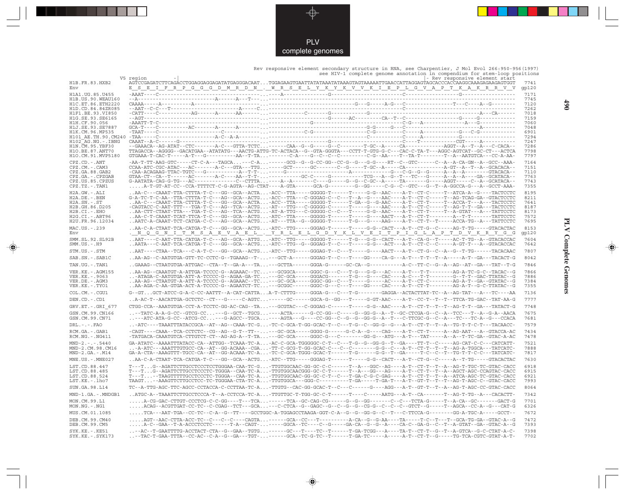

 Rev responsive element secondary structure in RNA, see Charpentier, J Mol Evol 266:950-956(1997) see HIV-1 complete genome annotation in compendium for stem-loop positions V5 region -| |- Rev responsive element start H1B.FR.83.HXB2 AGTCCGAGATCTTCAGACCTGGAGGAGGAGATATGAGGGACAAT...TGGAGAAGTGAATTATATAAATATAAAGTAGTAAAAATTGAACCATTAGGAGTAGCACCCACCAAGGCAAAGAGAAGAGTGGT 7741 Env E\_\_S\_\_E\_\_I\_\_F\_\_R\_\_P\_\_G\_\_G\_\_G\_\_D\_\_M\_\_R\_\_D\_\_N\_\_.\_\_W\_\_R\_\_S\_\_E\_\_L\_\_Y\_\_K\_\_Y\_\_K\_\_V\_\_V\_\_K\_\_I\_\_E\_\_P\_\_L\_\_G\_\_V\_\_A\_\_P\_\_T\_\_K\_\_A\_\_K\_\_R\_\_R\_\_V\_\_V gp120  $\begin{tabular}{cccccccc} \textbf{H1B. US & 90. WRAII160 & -AA-1 & -0.00000 & -0.000000 & -0.000000 & -0.000000 & -0.000000 & -0.000000 & -0.000000 & -0.000000 & -0.000000 & -0.000000 & -0.000000 & -0.000000 & -0.000000 & -0.000000 & -0.000000 & -0.000000 & -0.000000 & -0.000000 & -0.000$ CPZ.CD.-.ANT -AA-T-TT-AAG-GTC-----CT-C-A---TAGCA...---C-A...------GCG--G--G-CC-GG--CC-G--G---G-G----RT--C--GTC------C--A--A-CA-GN--A--GCC--AAA- 7164 CPZ.CM.-.CAM3 CCAA-ATC-CGC-ATAC---AC-------A-C---GTA---TTG...-----GCT------GC-------C--G-----T-GC--A-----CA-------------A-GT--A--T--A--GCACACA-- 7151 CPZ.GA.88.GAB2 -CAA-ACAGAAG-TTAC-TGTC---G-----------A--T-T-...-----G---------------------A-------------G---C-G--G--G-----A--A--A--------GTACACA-- 7110 CPZ.GA.-.CPZGAB GTAA-CT--CA--T------AC-------A-C----AA--T-T-...-----------GC-C-----G-----------TCG---A--G--T---TC---G-----A--A--A----GA--GCATACA-- 7763 CPZ.US.85.CPZUS G-AATATA-CAG-G-TG---AC--------------C--CTTTA...----A--A-------C----G-----G--G--C-GC--A-----TA-------G-----AGGT-----C--A--GCATACA-- 7743 CPZ.TZ.-.TAN1 .....A-T-GT-AT-CC--CCA-TTTTCT-C-G-AGTA--AG-CTAT----A-GTA------GCA-G---------G--GG-----C-G--C--GTC---G--T--A-GGCCA-G---A--GCCT-AAA- 7355 H2A.GW.-.ALI ..AA-C---CAAAT-TTA-CTTTA-T-C---GG--GCA--ACTA...-ACC--TTA-----GGGGG-T------T-----G-G--AAC----A-T--CT-C-----T--ATCA-A--G----TACTCCTC 8195 H2A.DE.-.BEN G-A-TC-T-C-AA--TTA-CTTTA-T-C---AG--GCA--ACTG...-ACC--TTA---C-GGGAG-C--C---T--A--G----AAC----A-T--CT-C-----T--AG-TCAG-GA--GTACTCCTC 8211 H2A.SN.-.ST ..AA-C---CAAAT-TTA-CTTTA-T-C---GG--GCA--ACTA...-ACC--TTA-----GGGGG-T------T-GA--G--G-AAC----A-T--CT-T-----T--ACCA-T---A---TACTCCTC 7641 H2B.GH.86.D205 -CAGTACC-C-AAT-TTT---TGA-T-C---AG--TCA--ACTG...-AT---TTG---C-GGGGG-C------T-----G----AAC----A-T--CT-C-----T--AG-T-T--GA---TACTCCTC 8187 H2B.CI.-.EHO ..AA-CTT-CTAAT-TTA---TGA-T-C---AG--TCA--ACTG...-AT-A-TTG---C-GGGGG-C--C---T-----G-G--AAC----A-T--CT-T-----T--A-GTAT---A---TATTCCTC 8173 H2G.CI.-.ABT96 ..AA-C-T-CAAAT-TCAT-TTCA-T-C---GG--GCA--ACTG...-ATC--TTA-----GGGGG-T------T-----G----AACT---A-T--CT-T--------A--T-T-------TATTCCTC 7572 H2U.FR.96.12034 ..AATC-A-CAAAT-TCT-CATGA-C-C---AG--GCA--ACTG...-AT---TTA--G--GGGGG-T------T-G---G----AAG----A-T--CT-T--T-----ACCA-TG--A---TATTCCTC 7695  $\begin{array}{lllllllll} \texttt{MAC:US.-.239} & \texttt{.AA-C-A-CTAAT-TCA-CATGA-T-C---GG--GCA-ACTG. ..-ATC--TTG----GGAGG-T---T----G-G--CACT--A-T--CT-G--C----AG-T-TG----GTACACTAC & 8153\\ \texttt{Env} & \texttt{.} & \texttt{.} & \texttt{.} & \texttt{.} & \texttt{.} & \texttt{.} & \texttt{.} & \texttt{.} & \texttt{.} & \texttt{.} & \texttt{.} & \texttt{.} & \texttt{.} & \texttt{.} & \texttt{.} & \texttt{$ SMM.SL.92.SL92B ..AAT----C-AAT-TTA-CATGA-T-C---AG--GCA--ATTG...-ATC--TTG-----GGGGG-T------T-G---G-G--CACT---A-T--CA-G--T-----AC-T-TG--A--GTACACCAC 7604 SMM.US.-.H9 ..AATA---C-AAT-TCA-CATGA-T-C---GG--GCA--ACTG...-ATC--TTG--G--GGGAG-T--C---T-----G-G---ACT---A-T--CT-C--C-----A-GT-T---A--GTACACCAC 7642 STM.US.-.STM ..AAT----CTAA--TCA---C-A-T-C---GG--GCA--ACTG...-ATC--TTG-----GGGAG-T--C---T-----G----AACT---A-T--CT-G--C--A--G--T-TG------TACACAAC 7807 SAB.SN.-.SAB1C ..AA-AG--C-AATGTGA-GTT-TC-CCTC-G--TGAAAG--T-...---GCT-A------GGGAG-T--C---T----GG----CA-G---A-T---T-T--T--A-----A-T--GA---TACACT-G 8042 TAN.UG.-.TAN1 ..GAAAG--CTAATGTGA-ATTGAC--CTA--T--GA-A---TA...---GCTTA------GGGA-G------GC-CA--G-----------A-C--TT-C--G--A--AG--AT--GA---TAT--T-G 7846 VER.KE.-.AGM155 ..AA-AG--CAAATGT-A-ATTGA-TCCCC-G--AGAAAC--TC...---GCGGCA-----GGGC-G---C---T-G---G-G---AC----A-T---T-T--------AG-A-TC-G-C--TACAC--G 7866 VER.KE.-.9063 ..-ATAGA-C-AATGTGA-ATT-A-TCCCC-G--AGAA-GA-TC...---GC-GCA-----GGGACG-------T-G---G----CAC----A-C---T-T--------G--T-T--GAC-TTATAC--G 7886 VER.DE.-.AGM3 ..AA-AG--CTAATGT-A-ATT-A-TCCCC-G--AGAAAC--TC...---GC-GCA-----GGGC-GG--C---T-----G-----AC----A-T--CT-C--------AG-A-T--GA--GTATAC--G 7384 VER.KE.-.TYO1 ..AA-AGA-C-AA-GTGA-ACT-A-TCCCC-G--AGAATCT-TC...---GCGGC------GGGC-G---C---T----GG----CAC----A-T--CT-T--------AG-A-T--G-C-TTATAC--G 7355 COL.CM.-.CGU1 G--GT...GCT-ATCC-G-A-C-CC-AATTT--A-CAT-CATTA...A-T-CTTTG-----GGGA-G---C---T-G--------GAGGA--ACTACTTAT-TC--A--AG-TAT---A---TC----AA 7136 DEN.CD.-.CD1 ..A-AC-T--AACATTGA-GCTCTC--CT---G-----C-AGTC...------GC------GGCA-G--GG---T-----G-GT-AAC----A-T--CC-T--T--T--TTCA-TG-GAC--TAT-AA-G 7777 GRV.ET.-.GRI\_677 CTGG-CCA--AAATGTGA-CCT-A-TCCTC-GG-AC-CAG--TA...---GCGTAC---C-GGGAG-C------T-----G-G--AAC----A-T--CT-T--T--T--AG-T-T--GA---TATACT-G 7748 GSN.CM.99.CN166 ..-TATC-A-A-G-CC--GTCG-CC...--G--GCT--TGCG...----ACTA------G-CC-GG--C----G--GG-G--A--T--GC-CTCGA-G--C--A--TCC---T--A--G-A--AACA 7675<br>GSN.CM.99.CN71 ..--ATC-ATA-G-CC--ATCG-CC...--G-AGCC--TGCA...----AGTA--G--DRL.-.-.FAO ..-ATC----TAAATTTATACCGCA--AT--AG--CAAA-TC-G...-TC-C-GCA-T-GG-GCAC-T--C---T-G--C--GG-G--G---A-T--CT-T--T--A--TG-T-T-C-T---TACAACC- 7579  $\verb|RCM.GA.-.GAB1 --CAGT---CAAA--TCA-CCTCTC--CG--AG--G-F-TT--...---GCGG-----GGGG-G-----G-GCA--G-C-A--G----AG----T-T---TAT---AG--A-FTC-GA--TTC-GAC--ATG--FTC-GAC--ATG--TATG--FTC-GAC--TATG--TATG-CAA--GTC-A-CTGTC-A-CTG-TATG--TATG--TATG--TATG--TATG-CAA--GTC-A-CTGTC-A-CTG-CT-TT-T-1.178$ MND-2.-.-.5440 GA-ATATC--AAAATTTATACC-CA--ATTGG--TCAAA-TC-A...-AC-C-GCA-TGGGGGC-C-T--C---T-G--G-GG-G--T--GA---TT-T--C----AG-CAT-C-C---CATCATT- 7521<br>MND-2.CM.98.CM16 ..-A-ATC---AAATTTATGCC-CA--AT--GG-ACAAA--CGA...-TT-C-GG-T MNE.US.-.MNE027 ..AA-C-A-CTAAT-TCA-CATGA-T-C---GG--GCA--ACTG...-ATC--TTG-----GGGAG-T------T-----G-G--CACT---A-T--CT-G--C-----A--T-TG-----GTACACTAC 7630 LST.CD.88.447 T---T...G--AGATTCTTGCCTCCCTCCTGGGAA-CAA-TC-G...-TTGTGGCAAC-GG-GC-C-C------T--A---GGC--AG----A-T--CT-T--T--A--AG-T-TGC-TC-GTAC-CACC 6918 LST.CD.88.485 T---T...G--AGATTCTTGCCTCCCTC-TGGGA--CAA-TC-A...-TTGTGGCAACGGG-GC-C-T------T--A---GG---AG----A-T--CT-T--T--A--AGCT-AGC-CCAGTAC-CACC 6915 LST.CD.88.524 T---T...--TAAGTTTTTGCCTCCCTC-TGGGA--CAA-TC-A...-TTGTGGCAAC-GG-GC-C-T--C---T-GA-C-G-C-GAG----A-T--CT-T--T--A--ATCA-AGC-TC-GTAC-CACC 6921 LST.KE.-.lho7 TAAGT...--AAAGTTCTTGCCTCC-TC-TGGGAA-CTA-TC-A...-TTGTGGCA---GGG-C----------T-GA-----T-GA-T---A-T--GT-T--T--T--AG-T-AGC-C--GTAC-CACC 7993 SUN.GA.98.L14 TC--A-TTG-AGC-TTC-AGCC-CCTACCA-C-CCTTAA-TC-A...-TTGTG--CAC-GG-GCAC-T--C---C------G----AGG---A-T--GT-T--T--A--AG-T-AGC-CC-GTAC-CACC 8064 MND-1.GA.-.MNDGB1 ..ATGC-A--TAAATTCTTGCCTCCCA-T--A-CCTCCA-TC-A...-TTGTTGC-T-TGG-GC-C-T------T----C-----AATG---A-T--CA-------T--AG-T-TG--A---CACACTT- 7342 MON.CM.99.L1 .....A-CG-GAC-CTTGT-CCCTCG-C-C-GG----T---TCA...-----TCA--GC-CAG-CG------G--G--GG------C--C---TCTA-G-----T--A-CA--GC-------GACT-G 7701<br>MON.NG.-.NG1 .....ACAG--ACGTTGAT-CC-TC--C-CGAG--TCT---GCA...--C-CTCA--G--GA MUS.CM.01.1085 .....TCA---AAT-TGA--CC-TC--C-A--G--TT----GCCTGGC-A-TGGAGCCTAAGA-GGT-C-A--G--G--GG-G--C--T---C-TTCCA-G--------GG-A-TGC-A-----GCCT-- 7672 DEB.CM.99.CM40 .....AGT--AAC-CTTA-ACC-TC--C---C--C----CAGTA...------GCA--CC---T----------A-CA--G--G-AA----TA-----T-C--T---T--GCA-TG-GA--GTAC-A--G 7472 DEB.CM.99.CM5 .....A-C--GAA--T-A-ACCCTCCTC------T-A--CAGT-...-----GGCA--TC----C--G-----GA-CA--G--G--A----CA-C--GA-G--C--T--A-GTAT--GA--GTAC-A--G 7393 SYK.KE.-.KE51 ..-AC--T-GAATTTG-ACCTACT-CTA--G--GAA--TGTG...------GC---T----TC--T-----T-GA-TCGG---A----TA-T--CT-T--G--T--A-GTCA--G-C-CTAT-A-C- 7398<br>SYK.KE.-.SYK173 ..-TAC-T-GAA-TTTA--CC-AC--C-A--G--GA---TGT-...------GCA--TC

**PLV Complete Genomes 490** PLV **Complete** Genomes

 $66$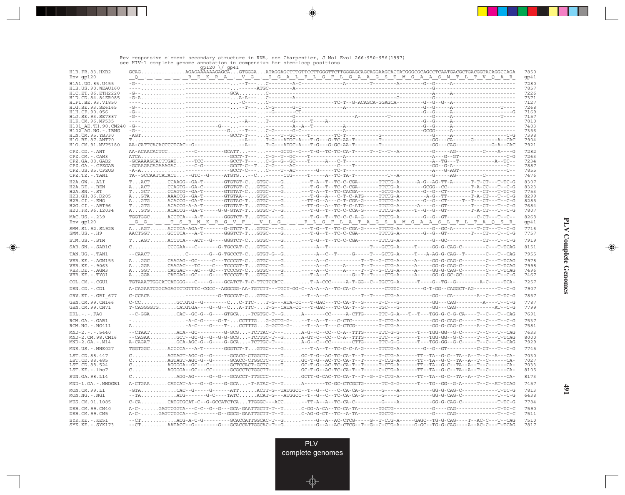|                                          |                                                                                                                                                                                                                                      | $qp120$ $\sqrt{}$ qp41 |  |  |  |              |
|------------------------------------------|--------------------------------------------------------------------------------------------------------------------------------------------------------------------------------------------------------------------------------------|------------------------|--|--|--|--------------|
| H1B.FR.83.HXB2<br>Env gp120              | GCAGAGAGAAAAAAGAGCAGTGGGAATAGGAGCTTTGTTCCTTGGGTTCTTGGGAGCAGCAGCACCATATGGGCGCAGCCTCAATGACGCTGACGGTACAGGCCAGA<br>QREKRA. VG. IGALFLGFLGAAGSTMGAASMTLTVQAR                                                                              |                        |  |  |  | 7850<br>gp41 |
| H1A1.UG.85.U455                          |                                                                                                                                                                                                                                      |                        |  |  |  | 7280         |
| H1B.US.90.WEAU160<br>H1C.ET.86.ETH2220   |                                                                                                                                                                                                                                      |                        |  |  |  | 7857<br>7226 |
| H1D.CD.84.84ZR085                        |                                                                                                                                                                                                                                      |                        |  |  |  | 7371         |
| H1F1.BE.93.VI850                         |                                                                                                                                                                                                                                      |                        |  |  |  | 7127         |
| H1G.SE.93.SE6165<br>H1H.CF.90.056        |                                                                                                                                                                                                                                      |                        |  |  |  | 7268<br>7169 |
| H1J.SE.93.SE7887                         |                                                                                                                                                                                                                                      |                        |  |  |  | 7157         |
| H1K.CM.96.MP535                          |                                                                                                                                                                                                                                      |                        |  |  |  | 7010<br>7403 |
| H101 AE.TH.90.CM240<br>H102 AG.NG.-.IBNG |                                                                                                                                                                                                                                      |                        |  |  |  | 7356         |
| H1N.CM.95.YBF30                          |                                                                                                                                                                                                                                      |                        |  |  |  | 7398         |
| H10.BE.87.ANT70<br>H1O.CM.91.MVP5180     |                                                                                                                                                                                                                                      |                        |  |  |  | 7904<br>7921 |
| CPZ.CD. - . ANT                          | AA-ACAACACTCC---C--------GCATT-------GCTG--C---T-G--TC-TC-CA-T-----T--C--T--A--------G------AG--------C----A----G                                                                                                                    |                        |  |  |  | 7282         |
| $CPZ.CM. - . CAM3$                       |                                                                                                                                                                                                                                      |                        |  |  |  | 7263         |
| CPZ.GA.88.GAB2<br>CPZ.GA. - . CPZGAB     |                                                                                                                                                                                                                                      |                        |  |  |  | 7234<br>7887 |
| CPZ.US.85.CPZUS                          |                                                                                                                                                                                                                                      |                        |  |  |  | 7855         |
| $CPZ.TZ. - . TAN1$                       |                                                                                                                                                                                                                                      |                        |  |  |  | 7476         |
| H2A.GW.-.ALI                             | $\texttt{T. } \texttt{ACT. } \texttt{CCAAGG--GA-T------GTGTGT-C. } \texttt{GTGC----G. ----T-A--T--TC--C-CGA-----TTCTG-A-----A-G--AG-TT-A-----T--T--C-----T--TC-G-A------T--C----}$                                                   |                        |  |  |  | 8307         |
| H2A.DE. - .BEN<br>$H2A.SN.-.ST$          | AACTCCAGTG--GA-C-------GTGTGT-CGTGC----G---T-G--T--TC-C-CGA-------TTCTG-A--------GCGG--CC--------T-A-CC---T--C-G<br>TGCTCCAGTG--GA-T-------GTGTAT-CGTGC----G---T-A--T--TC-CACGA--------GCTG-A-------G--G--CT--------T---CT---T-TC-G  |                        |  |  |  | 8323<br>7753 |
| H2B.GH.86.D205                           | AGTAAAACCG--GA-T-------GTGTAA--GTGC--------------T-G--A---C-T-C-ATG-----TTCTG-A---------A-G--TT---------T-A-CT---T-C-G                                                                                                               |                        |  |  |  | 8299         |
| $H2B.CI. - . EHO$                        | AGTGACACCG--GA-T-------GTGTAC-TGTGC----G--TT-G--A---C-T-CGA-G-----TTCTG-A--------G--G--CT----T--T---CT---T--C-G                                                                                                                      |                        |  |  |  | 8285         |
| $H2G.CI.-.ABT96$<br>H2U.FR.96.12034      | AGTGACACCG--GA-T-----G-G-GTAT-TGTGC-T--G---T-G--T--TC-C-CCA-G-----TTCTG-A-----T--G--GT--G--GT------T-A-CT---T--C-G                                                                                                                   |                        |  |  |  | 7684<br>7807 |
| MAC.US.-.239                             |                                                                                                                                                                                                                                      |                        |  |  |  | 8268         |
| Env gp120                                | GG. . T S R N K R G V F . V L G F L G F L A T A G S A M G A A S L T L T A Q S R                                                                                                                                                      |                        |  |  |  | gp41         |
| SMM.SL.92.SL92B<br>$SMM.US.-.H9$         | AAGTACCTCA-AGA-T------G-GTCT-TGTGC---G---T-G--T--TC-C-CGA-G-----TTCTG-A---------G--GC-A--------T-CT---T--C-G<br>AACTGGTGCCTCA---A-T-------GGGTCT-TGTGC----G---T-G--T--TC-C-CGA-------TTCTG-A--------G--GT--------T---CT---T--CG-G    |                        |  |  |  | 7716<br>7757 |
| STM.US.-.STM                             | $\texttt{T. AGT. A CCTCA--ACT--G----GGGTCT-C. GTGC----G. -- T-G--T--TC-C-CGA-----TTCTG-A-------G--GC-------CT--CT--CT--G--G--------CT----C----T--C--G------}$                                                                        |                        |  |  |  | 7919         |
| SAB.SN.-.SAB1C                           | $C.\dots\dots\dots\dots CCGBA---C---G-TGCCAT-C\text{GTGC---G}.\dots\dots---A--T---A--T---C-T---GCTG-A---T---G-G-G-CAG-C---T---C---T-TTCAG$                                                                                           |                        |  |  |  | 8151         |
| TAN.UG.-.TAN1                            | --CAACTC------G--G-TGCCCT-CGTGT-G--G-----A--C--T----G----T---GCTG-A-----T---A-AG-G-CAG--T------C---T--CAG                                                                                                                            |                        |  |  |  | 7955         |
| VER.KE. - . AGM155                       | AGGCCAAGAG--GC-----C---TCCCGT-CGTGC----G-----A--C----------T--T--G-CTG-A-----A-----GG-G-CAG-C--------C---T-TCAG                                                                                                                      |                        |  |  |  | 7978         |
| VER.KE. - . 9063                         | AGGACAAGAC---TC----C---TCCCGT-TGTGC----G-----A--C-----A----T--T----CTG-A-----A----GG-G-CAG-C--------C---T-TCAG<br>AGGTCATGAC---AC---GC---TCCCGT-CGTGC----G-----A--C----A-----T--G-CTG-A-----A-----GG-G-CAG-C--------C---T-TCAG       |                        |  |  |  | 7998<br>7496 |
| VER.DE. - . AGM3<br>VER.KE. - . TYO1     | AGGACATGAG--GC----G----TCCCGT-TGTGC----G---T-A--C--------G--T---CTG-A-----A-----GG-G-GC-GC--------C---T--C-G                                                                                                                         |                        |  |  |  | 7467         |
| COL.CM.-.CGU1                            | TGTAAATTGGCATCATGGG---C----G----GCATCT-T-C-TTCTCCATCT-A-CCC-----A-T-GG--C--TGCTG-A------T---G--TG--G--------A-C-----TCA-                                                                                                             |                        |  |  |  | 7257         |
| DEN.CD.-.CD1                             | A-CAGAATCGGCAGAGTCTGTTTC-CGCC--AGGCGG-AA-TGTCTT---TGCT-GG-C--A-A--A--TC-CA-C--------CTGTC-------G-T-GG--CAGGCT-AG-------T--C-G                                                                                                       |                        |  |  |  | 7907         |
| GRV.ET. - .GRI 677                       |                                                                                                                                                                                                                                      |                        |  |  |  | 7857         |
| GSN.CM.99.CN166                          |                                                                                                                                                                                                                                      |                        |  |  |  | 7787         |
| GSN.CM.99.CN71                           |                                                                                                                                                                                                                                      |                        |  |  |  | 7799         |
| $DRL$ . – . – . $FAO$                    | --C-GGACAC--GC-G--G----GTGCA-TCGTGC-T--GA-------CC-----A-CTTG-----TTC-G-A---T--T--T--TGG-G-C-G-CA----T--C---T--CAG                                                                                                                   |                        |  |  |  | 7691         |
| RCM.GA. - . GAB1<br>RCM.NG.-.NG411       |                                                                                                                                                                                                                                      |                        |  |  |  | 7537<br>7581 |
| $MND-2. - - - 5440$<br>MND-2.CM.98.CM16  | --CTAATACA--GC---------G-GCG-TCTTAC-T---A-G--C--CC--C-A--TTTG-----TTC-G-G------T---TGG-GG--G-C-----T--C---T--CAG<br>--CAGAAGCT--GC-G--G--G-G-GGCG-TCTTGC-T--GA-GT-C--CC--C-A--TTTG-----TTC---G-----T---TGG-GG--G-C-----T--C---T-TCAG |                        |  |  |  | 7633<br>8000 |
| $MND-2.GA.-.M14$                         |                                                                                                                                                                                                                                      |                        |  |  |  | 7929         |
| $MNE. US. - . MNE027$                    | $\mathtt{TGGTGGC}\ldots\ldots\mathtt{ACCCCA---A-T------GGGTCT-T}\ldots\mathtt{GTGC---G}\ldots\ldots\ldots\mathtt{-T-A--T--TC-C-C-A-G----TTCTG-A------G--G--G--GT--------C-CT---T--C-G$                                               |                        |  |  |  | 7745         |
| LST.CD.88.447                            | $C.\dots\dots\dots\dots$ AGTAGT-AGC-G--G------GCACC-CTGGCTC----TGC-T-G--AC-TC-CA-T--T-----T-CTG-A------TT--TA--G-C--TA--A--T--C--A---CA-                                                                                             |                        |  |  |  | 7030         |
| LST.CD.88.485                            |                                                                                                                                                                                                                                      |                        |  |  |  | 7027         |
| LST.CD.88.524<br>LST.KE.-.lho7           |                                                                                                                                                                                                                                      |                        |  |  |  | 7033<br>8105 |
| SUN.GA.98.L14                            | $C.\dots\dots\dots\dots\dots$ AGG-AG-----G--G---GCACCT-TTGCCC----- $\dots\dots$ CCTT-G-CAC-TC-CA-T--T--G--T-CTG-A------TT--TA--G-C--TA--A--T--C------CA-                                                                             |                        |  |  |  | 8173         |
| MND-1.GA.-.MNDGB1                        |                                                                                                                                                                                                                                      |                        |  |  |  | 7457         |
| MON.CM.99.L1                             |                                                                                                                                                                                                                                      |                        |  |  |  | 7813         |
| $MON.NG. - . NG1$                        |                                                                                                                                                                                                                                      |                        |  |  |  | 6438         |
| MUS.CM.01.1085                           |                                                                                                                                                                                                                                      |                        |  |  |  | 7784         |
| DEB.CM.99.CM40<br>DEB.CM.99.CM5          |                                                                                                                                                                                                                                      |                        |  |  |  | 7590<br>7511 |
| SYK.KE. - . KE51                         | --CTACG-A-C-G---------GCACCATTGGCAC-T--G-----G--A--AC-CTCG-----G--T-CTG-A-----GAGC--TG-G-CAG----T--AC-C---T--CAG                                                                                                                     |                        |  |  |  | 7510         |
| $SYK.KE. - .SYK173$                      | --CTAATACC--G--------G---GCACCATTGGCAC-T--G-----G--A--AC-CTCG--T--G--C-CTG-A-----G-GC--TG-G-CAG----A--AC-C---T-TCAG                                                                                                                  |                        |  |  |  | 7817         |

◈

#### Rev responsive element secondary structure in RNA, see Charpentier, J Mol Evol 266:950-956(1997) see HIV-1 complete genome annotation in compendium for stem-loop positions

 $\bigcirc$ 

 $\clubsuit$ 

**491**

PLV complete genomes

Œ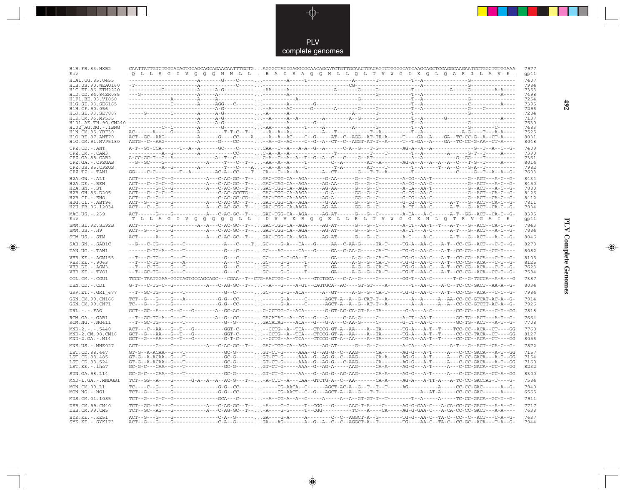

\_\_

 $\begin{picture}(20,5) \put(0,0){\line(1,0){10}} \put(15,0){\line(1,0){10}} \put(15,0){\line(1,0){10}} \put(15,0){\line(1,0){10}} \put(15,0){\line(1,0){10}} \put(15,0){\line(1,0){10}} \put(15,0){\line(1,0){10}} \put(15,0){\line(1,0){10}} \put(15,0){\line(1,0){10}} \put(15,0){\line(1,0){10}} \put(15,0){\line(1,0){10}} \put(15,0){\line(1,$ 

 $\mathbb{R}$ 

| H1B.FR.83.HXB2<br>Env                   | CAATTATTGTCTGGTATAGTGCAGCAGCAGAACAATTTGCTGAGGGCTATTGAGGCGCAACAGCATCTGTTGCAACTCACAGTCTGGGGCATCAAGCAGCTCCAGGCAAGAATCCTGGCTGTGGAAA<br><u>Q L L S G I V Q Q Q N N L L . R A I E A Q Q H L L Q L T V W G I K Q L Q A R I L A V E</u>                                                                                                                                                                                                                                        |  |  | 7977<br>gp41 |
|-----------------------------------------|------------------------------------------------------------------------------------------------------------------------------------------------------------------------------------------------------------------------------------------------------------------------------------------------------------------------------------------------------------------------------------------------------------------------------------------------------------------------|--|--|--------------|
|                                         |                                                                                                                                                                                                                                                                                                                                                                                                                                                                        |  |  | 7407         |
| H1A1. UG. 85. U455<br>H1B.US.90.WEAU160 |                                                                                                                                                                                                                                                                                                                                                                                                                                                                        |  |  | 7984         |
| H1C.ET.86.ETH2220                       |                                                                                                                                                                                                                                                                                                                                                                                                                                                                        |  |  | 7353         |
| H1D.CD.84.84ZR085                       |                                                                                                                                                                                                                                                                                                                                                                                                                                                                        |  |  | 7498         |
| H1F1.BE.93.VI850                        |                                                                                                                                                                                                                                                                                                                                                                                                                                                                        |  |  | 7254         |
| H1G.SE.93.SE6165                        |                                                                                                                                                                                                                                                                                                                                                                                                                                                                        |  |  | 7395         |
| H1H.CF.90.056<br>H1J.SE.93.SE7887       |                                                                                                                                                                                                                                                                                                                                                                                                                                                                        |  |  | 7296<br>7284 |
| H1K.CM.96.MP535                         |                                                                                                                                                                                                                                                                                                                                                                                                                                                                        |  |  | 7137         |
|                                         |                                                                                                                                                                                                                                                                                                                                                                                                                                                                        |  |  | 7530         |
| H102 AG.NG.-.IBNG                       |                                                                                                                                                                                                                                                                                                                                                                                                                                                                        |  |  | 7483         |
| H1N.CM.95.YBF30                         |                                                                                                                                                                                                                                                                                                                                                                                                                                                                        |  |  | 7525         |
| H1O.BE.87.ANT70                         | ACT--GC--AAG-----------A------G----CC----A--A--A--AC----C--G-----AT--C--AGG--AT-TR-A-----T----GA--A----GA--TC-CC-G--A--CT-A----                                                                                                                                                                                                                                                                                                                                        |  |  | 8031         |
| H1O.CM.91.MVP5180                       | AGTG--C--AAG-----------A------G----CC-------A--G--AC----C--A--CT--C--AGGT-AT-T--A-----T--GA--A----GA--TC-CC-G-AA--CT-A----                                                                                                                                                                                                                                                                                                                                             |  |  | 8048         |
| $CPZ$ . $CD$ . $-ANT$                   |                                                                                                                                                                                                                                                                                                                                                                                                                                                                        |  |  | 7409         |
| $CPZ.CM. - . CAM3$<br>CPZ.GA.88.GAB2    |                                                                                                                                                                                                                                                                                                                                                                                                                                                                        |  |  | 7390<br>7361 |
| CPZ.GA.-.CPZGAB                         |                                                                                                                                                                                                                                                                                                                                                                                                                                                                        |  |  | 8014         |
| CPZ.US.85.CPZUS                         |                                                                                                                                                                                                                                                                                                                                                                                                                                                                        |  |  | 7982         |
| $CPZ.TZ.-.TAN1$                         |                                                                                                                                                                                                                                                                                                                                                                                                                                                                        |  |  | 7603         |
| H2A.GW.-.ALI                            | $\texttt{ACT}\texttt{---}\texttt{-G-C--G--}\texttt{---}\texttt{-G-C--C-C-AC-G-C--T--}\dots\texttt{GAC-TGG-CA--AGA--}\texttt{-G-A-A-B--}\texttt{-G--G--C--}\texttt{-A-C--A-C--A-A-T---}\texttt{-G--AGT--}\texttt{-ACT--A-C--G--}\texttt{-A-C--G--}\texttt{-G-A-B-T--}\texttt{-G-A-B-T--}\texttt{-G-A-B-T--}\texttt{-G-A-B-T--}\texttt{-G-A-B-T--}\texttt{-G-A-B-T--}\texttt{-G-A-B-T--}\texttt{-G-A-B-T--}\texttt{-G-A-B-T--}\texttt{-G-A-B-T--}\texttt{-G-A-B-B-B-B-B$ |  |  | 8434         |
| $H2A.DE. -.BEN$                         |                                                                                                                                                                                                                                                                                                                                                                                                                                                                        |  |  | 8450         |
| $H2A.SN.-.ST$                           |                                                                                                                                                                                                                                                                                                                                                                                                                                                                        |  |  | 7880         |
| H2B.GH.86.D205                          |                                                                                                                                                                                                                                                                                                                                                                                                                                                                        |  |  | 8426         |
| $H2B.CI.-.EHO$<br>H2G.CI. - . ABT96     | $\verb ACT--G--G---G-----G-------A---A---C-AC--G----- \; \verb GAT-TGG-CA--AGA----G-AA----G---G--G--C-----G-GC---AA-C---A-T---G--ACT--CA-C--G--A-1 \; \verb C-AC--G---A-CT--CA-C---A-1 \; \verb C-AC--G---A-CT--CA-C---A-1 \; \verb C-AC--G---A-CT--CA-C---A-1 \; \verb C-AC--G---A-CT--CA-C---A-1 \; \verb C-AC--G---A-CT--CA-C---A-1 \; \verb C-AC--G---A-CT--CA-C---A-1 \; \verb C-AC--G---$                                                                        |  |  | 8412<br>7811 |
| H2U.FR.96.12034                         |                                                                                                                                                                                                                                                                                                                                                                                                                                                                        |  |  | 7934         |
|                                         |                                                                                                                                                                                                                                                                                                                                                                                                                                                                        |  |  | 8395         |
| MAC.US. - . 239<br>Env                  | <u>truneci vooooop und vvrroord drin vwgg k ndot kvga i e</u>                                                                                                                                                                                                                                                                                                                                                                                                          |  |  | gp41         |
|                                         |                                                                                                                                                                                                                                                                                                                                                                                                                                                                        |  |  |              |
| SMM.SL.92.SL92B<br>$SMM.US.-.H9$        |                                                                                                                                                                                                                                                                                                                                                                                                                                                                        |  |  | 7843<br>7884 |
| STM.US.-.STM                            | ACT------A----G-----------A--C-AC-GC--T--GAC-TGG-CA--AGA-----AG-AT------G---G--C--------A-C-----A-C-----A-T---G--ACT---A-C--G-                                                                                                                                                                                                                                                                                                                                         |  |  | 8046         |
| SAB.SN.-.SAB1C                          | --G---C-CG----G---C-------------A---C----TGC----G-A---CA---G-----AA--C-AA-G-----TA-T----TG-A--AA-C---A-T--CC-CG--ACT---C-T--G-                                                                                                                                                                                                                                                                                                                                         |  |  | 8278         |
| TAN.UG. - . TAN1                        | ------C-TG-A--G---T------------G---C-----. GC---AG-----CA---G----GA--G-A-----CA-T-----TG-G--AA-C---A-T--CC-CG--ACT--CC-T----                                                                                                                                                                                                                                                                                                                                           |  |  | 8082         |
| VER. KE. - . AGM155                     | --T---C-TG----G---T--------------G---C-----GC----G-G-GA--T--------GA-----A-G--G--CA-T-----TG-G--AA-C---A-T--CC-CG--ACA---C-T--G-                                                                                                                                                                                                                                                                                                                                       |  |  | 8105         |
| VER.KE. - .9063                         | --T---C-TG----G---A---------------A---C-----GC----G-G-----T---------AA-----A-G--G--CA-T-----TG-G--AA-C---A-T--CC-CG--ACA---C-T--G-                                                                                                                                                                                                                                                                                                                                     |  |  | 8125         |
| VER.DE. - . AGM3                        | --T---C-TG----G---C------------G---C-------G---C-----GC----G-G-----T---------GA-----A-G--G--CA-T-----TG-G--AA-C---A-T--CC-CG--ACA---C-T--G-                                                                                                                                                                                                                                                                                                                            |  |  | 7623         |
| VER.KE.-.TYO1                           | --T--GC-TG----G---C------------G---C-----GC----G-G-----T--------GA-----A-G--G--CA-T----TG-T--AA-C---A-T--CC-CG--ACA--CC-T--G-                                                                                                                                                                                                                                                                                                                                          |  |  | 7594         |
| COL.CM.-.CGU1                           | TCCC-TAATGGAA-GGCTAGTGCCAGCAGC---CGAA--T--CTG-AACTGG-C---A----GTCTGCA---C-A--G-----G------GG-T--AA-C-------T-C--G-TGCCA--A-A---G                                                                                                                                                                                                                                                                                                                                       |  |  | 7387         |
| DEN.CD.-.CD1                            | G-T---C-TG-C--G------------A---C-AG-GC--T----A---G-----A-GT--CAGTGCA--AC----GT-GT----A---------T--AA-C---A-C--TC-CC-GACT--AA-A--G-                                                                                                                                                                                                                                                                                                                                     |  |  | 8034         |
| GRV.ET. - .GRI 677                      | --T--GC-TG----G---T-------------G--C------GC----G-G--ACA-------A--GT-----A-G--G--CA-T-----TG-G--AA-C---A-T--CC-CG--ACA---C-C--G-                                                                                                                                                                                                                                                                                                                                       |  |  | 7984         |
| GSN.CM.99.CN166                         |                                                                                                                                                                                                                                                                                                                                                                                                                                                                        |  |  | 7914         |
| GSN.CM.99.CN71                          |                                                                                                                                                                                                                                                                                                                                                                                                                                                                        |  |  | 7926         |
| $DRL$ . - . - . $FAO$                   | GCT--GC--A----G---G---------A--GC-AC-----C-CCTGG-G--ACA-------G-GT-AC-CH-GT-A--TA--------G-A---A-C--------CC-CC--ACA---C-T--GG                                                                                                                                                                                                                                                                                                                                         |  |  | 7818         |
| RCM.GA.-.GAB1                           |                                                                                                                                                                                                                                                                                                                                                                                                                                                                        |  |  | 7664         |
| $RCM.NG. - .NG411$                      | --T--GC-TG----G---T------------G--G-------GACATAG----ACA---G---G-A---C-AA-G-----C-------G-CT--AA-C--------GC-TG--ACT---A-T--G-                                                                                                                                                                                                                                                                                                                                         |  |  | 7708         |
| $MND-2. - - - 5440$                     | ACT---C--AA---G--T---G---------GGT-C-------CCTG--A--TCA---CTCCG-GT-A--AA----A--TA------TG-A---A-T--T---TCC-CC--ACA--CT----GG                                                                                                                                                                                                                                                                                                                                           |  |  | 7760         |
| MND-2.CM.98.CM16                        | $GCT--G---AA---G--T---G-------GGT-C-----. \ldots --CCTG--A--TCA---CTCCG-GT-A--AA---A--TA---T--TG-A---A-T--T----CC-C--TACA--CT---GG$                                                                                                                                                                                                                                                                                                                                    |  |  | 8127         |
| $MND-2.GA.-.M14$                        |                                                                                                                                                                                                                                                                                                                                                                                                                                                                        |  |  | 8056         |
| MNE.US. - . MNE027                      | ACT------G---------------A--C-AC-GC--T--GAC-TGG-CA--AGA-----AG-AT------G---G--C--------A-CA---A-C-----A-T---G--ACT--CA-C--G-                                                                                                                                                                                                                                                                                                                                           |  |  | 7872         |
| LST.CD.88.447                           |                                                                                                                                                                                                                                                                                                                                                                                                                                                                        |  |  | 7157         |
| LST.CD.88.485                           |                                                                                                                                                                                                                                                                                                                                                                                                                                                                        |  |  | 7154         |
| LST.CD.88.524                           | $\verb GT-G--A-RCAA--G--T-------------GC-G------.\ \verb GT-CT-G----AAA--G--AG-G----CAA----CA-----AG-G--A-T---A--C-C-GACA--A--T--G-G--A---+}$                                                                                                                                                                                                                                                                                                                          |  |  | 7160         |
| LST.KE.-.lho7                           |                                                                                                                                                                                                                                                                                                                                                                                                                                                                        |  |  | 8232         |
| SUN.GA.98.L14                           |                                                                                                                                                                                                                                                                                                                                                                                                                                                                        |  |  | 8300         |
| MND-1.GA.-.MNDGB1                       |                                                                                                                                                                                                                                                                                                                                                                                                                                                                        |  |  | 7584         |
| MON.CM.99.L1                            |                                                                                                                                                                                                                                                                                                                                                                                                                                                                        |  |  | 7940         |
| MON.NG.-.NG1                            |                                                                                                                                                                                                                                                                                                                                                                                                                                                                        |  |  | 6565         |
| MUS.CM.01.1085<br>DEB.CM.99.CM40        |                                                                                                                                                                                                                                                                                                                                                                                                                                                                        |  |  | 7911<br>7717 |
| DEB.CM.99.CM5                           |                                                                                                                                                                                                                                                                                                                                                                                                                                                                        |  |  | 7638         |
| SYK.KE. - . KE51                        |                                                                                                                                                                                                                                                                                                                                                                                                                                                                        |  |  | 7637         |
| $SYK.KE. - .SYK173$                     | $\texttt{ACT--G--G----G----1--1--1--C--A--C--A--G----1--1--A--C--A--C--C--A--C--C--A-GGCT--A--T--------TG----AA-C--TA-C--CC-GC--ACA---T-A--G--C--C--A-A--C--C--C--A-A--C--C--C--A-A--C--C--C--A-A--C--C--C--A-A--C--C--C--A-A--C--C--C--A-A--C--C--C--A-A--C--C--C--A-A--C--C--C--A-A--C--C--C--A-A--C--C--C--A-A--C--C--C--A-A--C--C--C--A-A--C--C--C--A-A--C$                                                                                                        |  |  | 7944         |

 $\blacklozenge$ 

**PLV Complete Genomes 492 PLV Complete Genomes** 

 $\Rightarrow$ 

 $\sqrt{2}$ 

 $\blacksquare$ 

<u> 1999 - 1999 - 1999 - 1999 - 1999 - 1999 - 1999 - 1999 - 1999 - 1999 - 1999 - 1999 - 1999 - 1999 - 1999 - 199</u>

- 1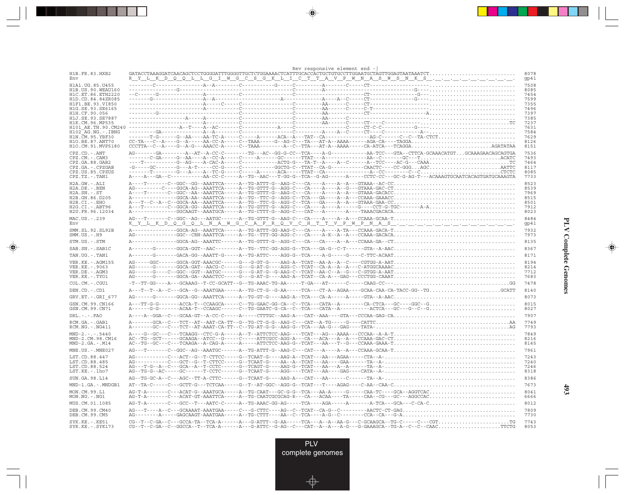|                                          |                                                                                                                                                                                                                                                                                                                                                                                                                                                                                                   | Rev responsive element end |  |  |              |
|------------------------------------------|---------------------------------------------------------------------------------------------------------------------------------------------------------------------------------------------------------------------------------------------------------------------------------------------------------------------------------------------------------------------------------------------------------------------------------------------------------------------------------------------------|----------------------------|--|--|--------------|
| H1B.FR.83.HXB2<br>Env                    | R Y L K D Q Q L L G I L M G C S G K L L L C T T A V P M M A S M S N K S                                                                                                                                                                                                                                                                                                                                                                                                                           |                            |  |  | 8078<br>gp41 |
| H1A1.UG.85.U455                          |                                                                                                                                                                                                                                                                                                                                                                                                                                                                                                   |                            |  |  | 7508         |
| H1B.US.90.WEAU160<br>H1C.ET.86.ETH2220   |                                                                                                                                                                                                                                                                                                                                                                                                                                                                                                   |                            |  |  | 8085<br>7454 |
| H1D.CD.84.84ZR085                        |                                                                                                                                                                                                                                                                                                                                                                                                                                                                                                   |                            |  |  | 7599         |
| H1F1.BE.93.VI850                         |                                                                                                                                                                                                                                                                                                                                                                                                                                                                                                   |                            |  |  | 7355         |
| H1G. SE. 93. SE6165                      |                                                                                                                                                                                                                                                                                                                                                                                                                                                                                                   |                            |  |  | 7496         |
| H1H.CF.90.056                            |                                                                                                                                                                                                                                                                                                                                                                                                                                                                                                   |                            |  |  | 7397         |
| H1J.SE.93.SE7887<br>H1K.CM.96.MP535      |                                                                                                                                                                                                                                                                                                                                                                                                                                                                                                   |                            |  |  | 7385<br>7237 |
|                                          |                                                                                                                                                                                                                                                                                                                                                                                                                                                                                                   |                            |  |  | 7631         |
| H102 AG.NG.-.IBNG                        |                                                                                                                                                                                                                                                                                                                                                                                                                                                                                                   |                            |  |  | 7584         |
| H1N. CM. 95. YBF30                       |                                                                                                                                                                                                                                                                                                                                                                                                                                                                                                   |                            |  |  | 7629         |
| H10.BE.87.ANT70                          | $CC-TA---C--A---G--A----AA-CC-A---C--TAAA----G--AG-C---TA---A---A---AAA---A-AA-CA---TAGA-CA---TAGGA.$                                                                                                                                                                                                                                                                                                                                                                                             |                            |  |  | 8126         |
| H1O.CM.91.MVP5180                        |                                                                                                                                                                                                                                                                                                                                                                                                                                                                                                   |                            |  |  | 8151         |
| $CPZ$ . $CD$ . - .ANT                    |                                                                                                                                                                                                                                                                                                                                                                                                                                                                                                   |                            |  |  | 7536         |
| CPZ.CM. - . CAM3                         |                                                                                                                                                                                                                                                                                                                                                                                                                                                                                                   |                            |  |  | 7493         |
| CPZ.GA.88.GAB2<br>CPZ.GA.-.CPZGAB        |                                                                                                                                                                                                                                                                                                                                                                                                                                                                                                   |                            |  |  | 7464<br>8117 |
| CPZ.US.85.CPZUS                          |                                                                                                                                                                                                                                                                                                                                                                                                                                                                                                   |                            |  |  | 8085         |
| $CPZ.TZ.-.TAN1$                          | A----A---GA--C------------AA-CC-C------A--TG--AAC---T-GG-G--TCA--G-AG-------A-----CCTC-CC---GC-G-AG-T---ACAAAGTGCAATCACAGTGAAGTA                                                                                                                                                                                                                                                                                                                                                                  |                            |  |  | 7733         |
| H2A.GW.-.ALI                             |                                                                                                                                                                                                                                                                                                                                                                                                                                                                                                   |                            |  |  | 8523         |
| H2A.DE. - . BEN                          |                                                                                                                                                                                                                                                                                                                                                                                                                                                                                                   |                            |  |  | 8539         |
| $H2A.SN.-.ST$                            |                                                                                                                                                                                                                                                                                                                                                                                                                                                                                                   |                            |  |  | 7969         |
| H2B.GH.86.D205                           |                                                                                                                                                                                                                                                                                                                                                                                                                                                                                                   |                            |  |  | 8515         |
| $H2B.CI.-EHO$                            |                                                                                                                                                                                                                                                                                                                                                                                                                                                                                                   |                            |  |  | 8501         |
| H2G.CI. - . ABT96<br>H2U.FR.96.12034     |                                                                                                                                                                                                                                                                                                                                                                                                                                                                                                   |                            |  |  | 7912<br>8023 |
|                                          |                                                                                                                                                                                                                                                                                                                                                                                                                                                                                                   |                            |  |  |              |
| MAC.US.-.239<br>Env                      | $\verb AG---T------C--GGC--AG---AATGC----A--TG-GTTT-G--AAG-C---CA---A--A---A---CCAAA-GCAA-.T. \label{eq:AG--T}$                                                                                                                                                                                                                                                                                                                                                                                   |                            |  |  | 8484<br>gp41 |
| SMM.SL.92.SL92B                          | A-------------GGCA-AG--AAATTCA-----A--TG-ATTT-GG-AAG-C---CA----A-TA---CCAAA-GACA-T                                                                                                                                                                                                                                                                                                                                                                                                                |                            |  |  | 7932         |
| $SMM.US.-.H9$                            |                                                                                                                                                                                                                                                                                                                                                                                                                                                                                                   |                            |  |  | 7973         |
| STM.US.-.STM                             |                                                                                                                                                                                                                                                                                                                                                                                                                                                                                                   |                            |  |  | 8135         |
| SAB.SN. - . SAB1C                        |                                                                                                                                                                                                                                                                                                                                                                                                                                                                                                   |                            |  |  | 8367         |
| TAN.UG. - . TAN1                         |                                                                                                                                                                                                                                                                                                                                                                                                                                                                                                   |                            |  |  | 8171         |
|                                          |                                                                                                                                                                                                                                                                                                                                                                                                                                                                                                   |                            |  |  |              |
| VER. KE. - . AGM155<br>VER. KE. - . 9063 |                                                                                                                                                                                                                                                                                                                                                                                                                                                                                                   |                            |  |  | 8194<br>8214 |
| VER.DE. - . AGM3                         |                                                                                                                                                                                                                                                                                                                                                                                                                                                                                                   |                            |  |  | 7712         |
| VER.KE. - . TYO1                         |                                                                                                                                                                                                                                                                                                                                                                                                                                                                                                   |                            |  |  | 7683         |
| COL.CM. - . CGU1                         | $-{\color{red}T} -{\color{red}T} - {\color{red}G} - {\color{red}-A} - {\color{red}-G} {\color{red}C} {\color{red}A}{\color{red}A} {\color{red}A} {\color{red}A} - {\color{red}-T} - {\color{red}C} {\color{red}-G} {\color{red}A} {\color{red}A} {\color{red}T} {\color{red}T} - {\color{red}-G} - {\color{red}T} {\color{red}G} - {\color{red}A} {\color{red}A} - {\color{red}-F} - {\color{red}-G} {\color{red}A} - {\color{red}-F} {\color{red}T} - {\color{red}-F} - {\color{red}-G} {\color$ |                            |  |  | 7478         |
| DEN.CD. - . CD1                          | A---T--T--A--C---GCA--G--AAATGAA------A--TG-CT-G--G-AA-----TCA---CT-A--AGAA----GCAA-CAA-CA-TACC-GG--TGGCATT                                                                                                                                                                                                                                                                                                                                                                                       |                            |  |  | 8140         |
| GRV.ET. - . GRI 677                      |                                                                                                                                                                                                                                                                                                                                                                                                                                                                                                   |                            |  |  | 8073         |
| GSN.CM.99.CN166                          |                                                                                                                                                                                                                                                                                                                                                                                                                                                                                                   |                            |  |  | 8015         |
| GSN.CM.99.CN71                           |                                                                                                                                                                                                                                                                                                                                                                                                                                                                                                   |                            |  |  | 8027         |
| $DRL$ . - . - . $FAO$                    |                                                                                                                                                                                                                                                                                                                                                                                                                                                                                                   |                            |  |  | 7907         |
| RCM.GA.-.GAB1<br>$RCM.NG. - . NG411$     |                                                                                                                                                                                                                                                                                                                                                                                                                                                                                                   |                            |  |  | 7749<br>7793 |
| $MND-2. - - - 5440$                      |                                                                                                                                                                                                                                                                                                                                                                                                                                                                                                   |                            |  |  | 7849         |
| MND-2.CM.98.CM16<br>$MND-2.GA.-.M14$     |                                                                                                                                                                                                                                                                                                                                                                                                                                                                                                   |                            |  |  | 8216<br>8145 |
| $MNE .US. - .MNE027$                     |                                                                                                                                                                                                                                                                                                                                                                                                                                                                                                   |                            |  |  | 7961         |
|                                          |                                                                                                                                                                                                                                                                                                                                                                                                                                                                                                   |                            |  |  |              |
| LST.CD.88.447<br>LST.CD.88.485           |                                                                                                                                                                                                                                                                                                                                                                                                                                                                                                   |                            |  |  | 7243<br>7240 |
| LST.CD.88.524                            |                                                                                                                                                                                                                                                                                                                                                                                                                                                                                                   |                            |  |  | 7246         |
| LST.KE.-.lho7                            | $AG--TG-G--AC----GC-----T-CCTC-----G--TCART-G----AGG---TCAT---AA---GAG---CATA--A-\ldots$                                                                                                                                                                                                                                                                                                                                                                                                          |                            |  |  | 8318         |
| SUN.GA.98.L14                            | $AG-TG-GC-A-C--AGC-TT-A-CTTC----G-TCAAT-G---AAG-A---CAT---AA---C---T-A---T-A-1$                                                                                                                                                                                                                                                                                                                                                                                                                   |                            |  |  | 8386         |
| MND-1.GA.-.MNDGB1                        |                                                                                                                                                                                                                                                                                                                                                                                                                                                                                                   |                            |  |  | 7673         |
| MON.CM.99.L1                             | $\verb AG-T-A----C---ACAT-G--AAATGCA---A--TG-CAAT---GC-G-G--TCA---AA-A----G---CAA-TC---GCA--AGTCA-\\ \label{eq:AG-T-A---C---GCA---GCT} \end{equation}$                                                                                                                                                                                                                                                                                                                                            |                            |  |  | 8041         |
| $MON.NG. -.NG1$                          |                                                                                                                                                                                                                                                                                                                                                                                                                                                                                                   |                            |  |  | 6666         |
| MUS.CM.01.1085                           |                                                                                                                                                                                                                                                                                                                                                                                                                                                                                                   |                            |  |  | 8012         |
| DEB. CM. 99. CM40                        |                                                                                                                                                                                                                                                                                                                                                                                                                                                                                                   |                            |  |  | 7809         |
| DEB.CM.99.CM5                            |                                                                                                                                                                                                                                                                                                                                                                                                                                                                                                   |                            |  |  | 7730         |
| $SYK.KE. - .KE51$<br>$SYK.KE. - .SYK173$ | $CG--T--C-GA--C--GGCCA--T--TCA-A----A--G-ATTC--G-AG--C--CAT-A---A--A--A--G---G-GAAAGCA--TG-A--C--C--CAC. TTCTG$                                                                                                                                                                                                                                                                                                                                                                                   |                            |  |  | 7743<br>8053 |

<u>a shekara ta 1989 na shekara ta 1989 na shekara ta 1989 na shekara ta 1989 na shekara ta 1989 na shekara ta 1989 na shekara ta 1989 na shekara ta 1989 na shekara ta 1989 na shekara ta 1989 na shekara ta 1989 na shekara ta</u>

 $\overrightarrow{\phantom{a}}$ 

 $\overline{\hphantom{m}}$ 

**PLV Complete Genomes PLV Complete Genomes**

 $\begin{picture}(20,5) \put(0,0){\line(1,0){10}} \put(15,0){\line(1,0){10}} \put(15,0){\line(1,0){10}} \put(15,0){\line(1,0){10}} \put(15,0){\line(1,0){10}} \put(15,0){\line(1,0){10}} \put(15,0){\line(1,0){10}} \put(15,0){\line(1,0){10}} \put(15,0){\line(1,0){10}} \put(15,0){\line(1,0){10}} \put(15,0){\line(1,0){10}} \put(15,0){\line(1,$ 

 $\overline{\phantom{0}}$ 

 $\Box$ 

▌▊▊▊

 $\mathbf{I}$ 

**493**

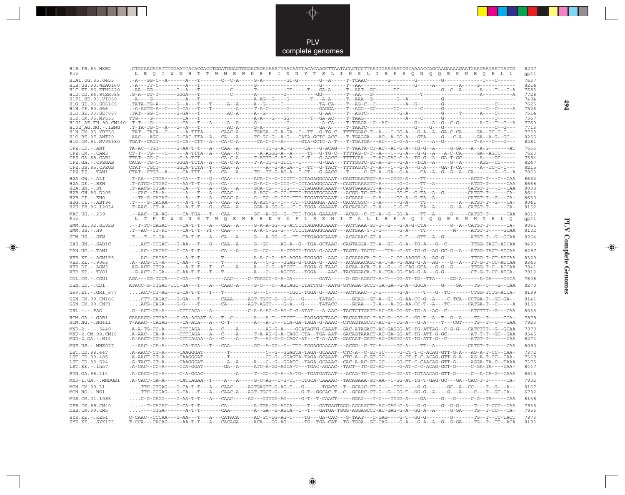PLV complete genomes

---

 $\overrightarrow{\mathbf{\P}}$ 

 $\begin{tabular}{c} \hline \quad \quad & \quad \quad \\ \hline \quad \quad & \quad \quad \\ \hline \end{tabular}$ 

| H1B.FR.83.HXB2<br>Env                     | L E Q I W N H T T W M E W D R E I N N Y T S L I H S L I E E S Q N Q Q E K N E Q E L L                                                                                                                                                                                                                                                                                                                                                                   | 8207<br>gp41 |
|-------------------------------------------|---------------------------------------------------------------------------------------------------------------------------------------------------------------------------------------------------------------------------------------------------------------------------------------------------------------------------------------------------------------------------------------------------------------------------------------------------------|--------------|
| H1A1.UG.85.U455                           | .-A---GG-C--A------A---T-------C--C-A-----G-A-------GT-G-------G--A-----T-TCAAC-------G--------G--------G---------T---C------                                                                                                                                                                                                                                                                                                                           | 7637         |
| H1B. US. 90. WEAU160<br>H1C.ET.86.ETH2220 |                                                                                                                                                                                                                                                                                                                                                                                                                                                         | 8214<br>7583 |
| H1D.CD.84.84ZR085                         |                                                                                                                                                                                                                                                                                                                                                                                                                                                         | 7728         |
| H1F1.BE.93.VI850                          |                                                                                                                                                                                                                                                                                                                                                                                                                                                         | 7484         |
| H1G.SE.93.SE6165                          |                                                                                                                                                                                                                                                                                                                                                                                                                                                         | 7625         |
| H1H.CF.90.056<br>H1J.SE.93.SE7887         |                                                                                                                                                                                                                                                                                                                                                                                                                                                         | 7526<br>7514 |
| H1K.CM.96.MP535                           |                                                                                                                                                                                                                                                                                                                                                                                                                                                         | 7367         |
|                                           |                                                                                                                                                                                                                                                                                                                                                                                                                                                         | 7760         |
| H102 AG.NG.-.IBNG<br>H1N. CM. 95. YBF30   | .TAT--TACA--C------A-TTTA------CAAC-A-----TGAGA--G-A-GA--C--TT--G-TG-C--TTTTGGAC-T--A---C-GG-A---G-A--GA-C-CA------GA--TC-C-C----                                                                                                                                                                                                                                                                                                                       | 7713<br>7758 |
| H10.BE.87.ANT70                           | .AAC---AGC------G-CAC-TTA--A---CA---A----TC-GC-G--A-G---CATA-GCTC-ACC---T-TGAGGA---AC--A-GG-A---GTA-----G---C-A----GA--A-G--GC--                                                                                                                                                                                                                                                                                                                        | 8255         |
| H1O.CM.91.MVP5180                         |                                                                                                                                                                                                                                                                                                                                                                                                                                                         | 8281         |
| $CPZ$ . $CD$ . $-ANT$                     |                                                                                                                                                                                                                                                                                                                                                                                                                                                         | 7666         |
| $CPZ.CM. - . CAM3$                        | TTAT--GG-C-------G-A-TCT-------CA-C-A-----T-AGTT-G-AG-A---C-T---G-AACC--TTTTCAA---T-AC-GAG-G-A--TG-G--A--GA-T-GC------A----GC-----                                                                                                                                                                                                                                                                                                                      | 7623<br>7594 |
| CPZ.GA.88.GAB2<br>CPZ.GA.-.CPZGAB         |                                                                                                                                                                                                                                                                                                                                                                                                                                                         | 8247         |
| CPZ.US.85.CPZUS                           |                                                                                                                                                                                                                                                                                                                                                                                                                                                         | 8215         |
| $CPZ.TZ.-.TAN1$                           | $CTAT - CTGT - A - - - - CA - TTT - - - TA - - - A - - - - - TC - TT - G - AG - A - C - T - - G - AACC - - T - - - C - GT - A - GG - G - A - - G - A - - G - A - G - A - G - A - G - A - C - G - - A - G - G - A - G - G - A - G - G - A - G - G - A - G - G - A - G - G - A - G - G - A - G - G - A - G - G - A - G - G - A - G - G - A - G - G - A - G - G - A - G - G - A - G - G - A - G - G - A - G - G - A - G - G - G - G - G - G - G - G - G -$ | 7863         |
| $H2A.GW.-.ALI$                            |                                                                                                                                                                                                                                                                                                                                                                                                                                                         | 8652         |
| H2A.DE. - .BEN<br>$H2A.SN.-.ST$           | .T-ATCG-CTGAC-----AA-T-T---A---CA--------G-A-C--G-CCG-T-CCTAGAGGCAAAT--CAGTCAAAGTT-A------G-C----TT--A---------ATGT-T------CAA                                                                                                                                                                                                                                                                                                                          | 8668<br>8098 |
| H2B.GH.86.D205                            | .--CAC--CA-A-------A---T---A---CAAC-------A-AGC--G-CC-TTTC-TGGATGCAAAT---ACGG-TC-GT-A-----GG-T--G-TA--A--G--------CATGT-T------CA-                                                                                                                                                                                                                                                                                                                      | 8644         |
| $H2B.CI.-.EHO$                            |                                                                                                                                                                                                                                                                                                                                                                                                                                                         | 8630         |
| $H2G.CI.-.ABT96$<br>H2U.FR.96.12034       | .T-AAC--CT-A----G--A-T-T---G---CAA--A-----GGA-A-GG-G---T-C-TGGA-GAAAAT--CACACAGC--T-A----C-G-T----TA--A-----G--A--CATGT-T------CA-                                                                                                                                                                                                                                                                                                                      | 8041<br>8152 |
| MAC.US.-.239                              | .--AAC--CA-AG-----CA-TGA---T---CAA-------GC--A-GG--G--TTC-TGGA-GAAAAT---ACAG--C-CC-A--G--GG-A----TT--A-----G-----CATGT-T-----CAA                                                                                                                                                                                                                                                                                                                        | 8613         |
| Env                                       | <u>L T P K W N N E T W Q E W E R K V D F L E E N I T A L L E E A Q I Q Q E K N M Y E L Q</u>                                                                                                                                                                                                                                                                                                                                                            | gp41         |
| SMM.SL.92.SL92B<br>$SMM.US.-.H9$          | .--T-TC-CAGAC-----CA-T-T---A---CAA--A-----G-A-A-GG--G-ATTCCTAGAGGCAAAT---ACTCAAA-GT-G--G--G-A-G-CTA-------G--A--CATGT-T------CA-<br>.T--AC--CT-RC-----CA-T-T---CAA--------A-A-C-GG-G---TTCCTAGAGGCAAAT---ACTSAA-Y-T-G------G-A----TT-------------ATGT-T----GCAA                                                                                                                                                                                         | 8061<br>8102 |
| STM.US.-.STM                              | . T---T--C-GA-------CA-T-T---A---CA---A-----G---A-GG--G--TT-CTTGAGGCAAAT---ACACAAC-GT-A------G-T---GTT--A--G---------ATGT-T--G--GCAA                                                                                                                                                                                                                                                                                                                    | 8264         |
| SAB.SN.-.SAB1C                            |                                                                                                                                                                                                                                                                                                                                                                                                                                                         | 8493         |
| TAN.UG. - . TAN1                          | $\ldots\text{.AC--CAGAC---G-CA--T--T----CA---GA---A---G--CC---A--CTGCC-TGGA-G-AAAT--TAGTA-TACTC---TCA--G-AT-TG-G--AG-GC-G--A--ATGG-TACT-ATCAA-$                                                                                                                                                                                                                                                                                                         | 8297         |
| VER.KE. - . AGM155                        | AC--CAGAG------A-T-T-------T---------A-A-C-G--AG-AGGA-TGGAGG--AAC---ACAAAACA-T-G---C-GG-AAGGG-A--AG-G---------TTGG-T-CT-ATCAA                                                                                                                                                                                                                                                                                                                           | 8320         |
| VER.KE. - . 9063<br>VER.DE. - . AGM3      | .AG-ACC-CTGA-------A-T-T---T---C----A----C-G--ATCGT---TGGA-G-TAAC---ACAA-ACA-T-A--G--G-CAG-GCA---G-G---G-----TTGG-T-C--ACCAA                                                                                                                                                                                                                                                                                                                            | 8343<br>7841 |
| VER.KE. - . TYO1                          | .-G-ACT-C-GA----C-AA-T-T---T---T--------A---C---AGCTG---TGGA----AAC--TACGGGACA-T-A-TGA-GG-TAG-G-A---G-G---------CT-G-T-CC-ATCA-                                                                                                                                                                                                                                                                                                                         | 7812         |
| COL.CM. - . CGU1                          | AGA---GG-TCCA---C-GA---T--------AAC-----C-TGAGCG-G-A-GA---------GATA-----G-GG-AGACT-A-T---GG-AT-TG--TTA-----GG-A-------A-GA----GGCA                                                                                                                                                                                                                                                                                                                     | 7608         |
| DEN.CD. - .CD1                            |                                                                                                                                                                                                                                                                                                                                                                                                                                                         | 8270         |
| GRV.ET. - .GRI 677                        | ACT-CT-AG---G-CA-T-T---T---T--------G---C------TGCC-TGGA-G--AAC---ACTCAAC--T-G------G-A-----T---G--TC-------CTGG-TCTG-ACCA-                                                                                                                                                                                                                                                                                                                             | 8199         |
| GSN.CM.99.CN166                           | CTT-CAGAC---G-GA---T-------CAAA-----AGT-TGTT-G--G-G---G-----TATAC------GCAG--GT-A--GC--G-AA-CC-G--A----C-TCA--CCTGA-T--GC-GA--                                                                                                                                                                                                                                                                                                                          | 8141         |
| GSN.CM.99.CN71                            |                                                                                                                                                                                                                                                                                                                                                                                                                                                         | 8153         |
| $DRL - - - FAO$                           | .G--ACT-CA-A-----CCTCAGA---A------------C-A-A-AG-G-AG-T-G-ATAT---A-AAC--TACTCTTGATT-AC-GA-GG-AT-TG-A--AG--C--------ATCTTT--G---CAA                                                                                                                                                                                                                                                                                                                      | 8036         |
| RCM.GA.-.GAB1<br>$RCM.NG. - . NG411$      | CAAAACG-CTGAG---C-GA-AGAAT-A---T--C-------A---A-T--CTCTT---TAGAGGCTAAC--TACAATAGC-T-AC-G--GG-C--GG-T--A--T--G--A----TG--T-----GGA-                                                                                                                                                                                                                                                                                                                      | 7879<br>7923 |
| $MND-2. - - - 5440$                       | .A-A-TG-CC-A-----CCTCAGA---A---C----A--------AG-G-A----GCATAGTG-CAAAT--GAC-ATAGACT-AC-GAGGG-AT-TG-ATTAG--C-G-G---CATCTTT--G--GCAA                                                                                                                                                                                                                                                                                                                       | 7978         |
| MND-2.CM.98.CM16<br>$MND-2.GA.-.M14$      | .A-AAC--CA-A-----CCTCAGA---A---C----A-----T-A-AG-G-A-CAGC-CTA--TGA-AAT--GACAGTAAACT-AC-GA-GG-AT-TG-ATT-G-GC--------AT-T-T--GC--GAA                                                                                                                                                                                                                                                                                                                      | 8345<br>8274 |
| MNE.US.-.MNE027                           | .A-AACT-CT-A-----CCTCAGAA--A---C----A-----T---AG-G-G-CAGC-AT---T-A-AAT--GACAAT-GATT-AC-GAGGG-AT-TG-ATT-G--C--------ATGT-T------CAA                                                                                                                                                                                                                                                                                                                      | 8090         |
|                                           |                                                                                                                                                                                                                                                                                                                                                                                                                                                         | 7372         |
| LST.CD.88.447<br>LST.CD.88.485            | .A-AACT-CT-A-----CAAGGGAT-------T---------CG-G--GGAGTA-TAGA-GCAAAT--CTC-A--C-GT-GC-----G-CT-T-C-ACAG-GTT-G-A---AG-A-T-CC--CAA-                                                                                                                                                                                                                                                                                                                          | 7369         |
| LST.CD.88.524                             | .G-TACT-CT-A-----CAAGGGAT--------A--A-----A---C--G--GGATC--TAGA-GCAAAC--CAC-A-AC-GT-GC----GG-TT-C-CAACAG-GTT-G-----AGGA-TA-C--TAAA                                                                                                                                                                                                                                                                                                                      | 7375         |
| LST.KE.-.lho7                             | .A-CAC--CC-A-----CCA-GGAT-------GA--A-----ATC-A-GG-AGCA-T---TGAC-AGAAC--TACT--TC-GT-AC-----G-AT-C-C-ACAG-GCT-G-----C-GA-TA----TAA-                                                                                                                                                                                                                                                                                                                      | 8447         |
| SUN.GA.98.L14                             | .A-CACG-CC-A-----C-A-GGAC-------------A-----T--GC--G-A-TG--TGATGATAAT---ACAG-TC-TC-CC-G--GG-AT-TGTAACAG-GTT-G-----C-A-CA-G--CAAA                                                                                                                                                                                                                                                                                                                        | 8515         |
| MND-1.GA.-.MNDGB1                         | .A-CACT-CA-A-----CATCAGAA--T----A---A----G-C-AG--C-G-TT--CTGCA-CAAAAC--TACAGAAA-GT-AA--C-GG-AT-TG-T-GAG-GC---GA--CAC-T-T------CA                                                                                                                                                                                                                                                                                                                        | 7802         |
| MON.CM.99.L1<br>$MON.NG. - . NG1$         | TTC-CTGAG---G-CA-T-T---A---CAAC-----AGTGAGTT-G-AG-T---G------TGACC--T--GCAGC-CT-G----CTG-----G-G-------GC--A--CC----T--G---A--<br>TTC-CCGAG---G-CA---T---A---CAAC-A---AGT-TGCT-G--G-----G-T--GGCAC-T--C--GCADC-CT-G--G--GG-T--GG-G--A----G---A----C---T--GC-CA--                                                                                                                                                                                        | 8167<br>6792 |
| MUS.CM.01.1085                            |                                                                                                                                                                                                                                                                                                                                                                                                                                                         | 8138         |
| DEB.CM.99.CM40<br>DEB.CM.99.CM5           | --T-CAGAC---G-CA-T-T-------CA--------A-TGA-GG-AGCA-----T---GATGAGTGGG-AGGAGCTT-AC-GAG-G-A---G-G-----G-G-G-----T---T-CCC--CAA<br>----CTGA-------A-T-T-------CAA--------A--GA--G-AGCA--C--T---GATGA-TGGG-AGGAGCCT-AC-GAG-G-A--GG-A--A-----G-GA----TG--T-CC---CA-                                                                                                                                                                                          | 7935<br>7856 |
| $SYK.KE. - .KE51$<br>$SYK.KE. - .SYK173$  | $\texttt{C-CAAC--CCAA---G-AA---T---A---CATACA---A-CGC-GG-AG-T---TG---GA-CAC---G-TAAT---C-GAG---G-T--GG-G------G---G---G---T---TG--T--TC-TACT$                                                                                                                                                                                                                                                                                                           | 7873<br>8183 |

 $\blacklozenge$ 

**PLV Complete Genomes 494 PLV Complete Genomes** 

 $\Rightarrow$ 

 $\sqrt{2}$ 

 $494$ 

 $\blacksquare$ 

<u> 1999 - 1999 - 1999 - 1999 - 1999 - 1999 - 1999 - 1999 - 1999 - 1999 - 1999 - 1999 - 1999 - 1999 - 1999 - 199</u>

 $\mathbf{I}$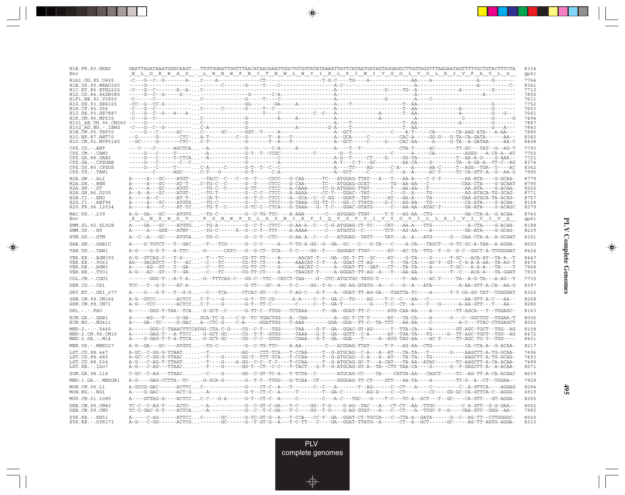| H1B.FR.83.HXB2                          | <u>_E_L_D_K_W_A_S__,_L_W_N_W_F_N_I_T_N_W_L_W_Y_I_K_L_F_I_M_I_V_G_G_L_V_G_L_R_I_V_F_A_V_L_S_</u>                                                                                                                                                                   |  |  |  | 8334<br>gp41 |
|-----------------------------------------|-------------------------------------------------------------------------------------------------------------------------------------------------------------------------------------------------------------------------------------------------------------------|--|--|--|--------------|
| H1A1. UG. 85. U455                      |                                                                                                                                                                                                                                                                   |  |  |  | 7764         |
| H1B.US.90.WEAU160<br>H1C.ET.86.ETH2220  |                                                                                                                                                                                                                                                                   |  |  |  | 8341<br>7710 |
| H1D.CD.84.84ZR085                       |                                                                                                                                                                                                                                                                   |  |  |  | 7855         |
| H1F1.BE.93.VI850                        |                                                                                                                                                                                                                                                                   |  |  |  | 7611         |
| H1G.SE.93.SE6165<br>H1H.CF.90.056       | $-c--G-c-1$                                                                                                                                                                                                                                                       |  |  |  | 7752<br>7653 |
| H1J.SE.93.SE7887                        |                                                                                                                                                                                                                                                                   |  |  |  | 7641         |
| H1K.CM.96.MP535<br>H101 AE.TH.90.CM240  |                                                                                                                                                                                                                                                                   |  |  |  | 7494<br>7887 |
| H102 AG.NG.-.IBNG                       |                                                                                                                                                                                                                                                                   |  |  |  | 7840         |
| H1N. CM. 95. YBF30<br>H10.BE.87.ANT70   |                                                                                                                                                                                                                                                                   |  |  |  | 7885<br>8382 |
| H1O.CM.91.MVP5180                       |                                                                                                                                                                                                                                                                   |  |  |  | 8408         |
| CPZ.CD. - . ANT                         |                                                                                                                                                                                                                                                                   |  |  |  | 7793         |
| $CPZ.CM. - . CAM3$<br>CPZ.GA.88.GAB2    |                                                                                                                                                                                                                                                                   |  |  |  | 7750<br>7721 |
| CPZ.GA.-.CPZGAB                         |                                                                                                                                                                                                                                                                   |  |  |  | 8374         |
| CPZ.US.85.CPZUS<br>$CPZ.TZ - TAN1$      |                                                                                                                                                                                                                                                                   |  |  |  | 8342<br>7990 |
| $H2A.GW.-.ALI$                          | A-----A---GC----ATGT---TACC--C--C--G--T----CGCC---G-CAA------TC---ATGGAG-TTAT---A---T---AA-A----C-C-T---------AA-ATA----G-GCAA-                                                                                                                                   |  |  |  | 8779         |
| $H2A.DE. - . BEN$                       |                                                                                                                                                                                                                                                                   |  |  |  | 8795         |
| $H2A.SN.-.ST$<br>H2B.GH.86.D205         |                                                                                                                                                                                                                                                                   |  |  |  | 8225<br>8771 |
| H2B.CI.-.EHO                            |                                                                                                                                                                                                                                                                   |  |  |  | 8757         |
| H2G.CI. - . ABT96<br>H2U.FR.96.12034    | A-----A----C----AT-TC--TG-T--C-----G-TC-C--CTCA---G-TAAA---G--T-C---GGAC-GTATG------C---AA-AA--ATAC-T--------GA-ATA----G-ACAGC                                                                                                                                    |  |  |  | 8168<br>8279 |
| MAC.US.-.239                            |                                                                                                                                                                                                                                                                   |  |  |  | 8740         |
| Env                                     | <u>KLNS WDV. FGNWFDLAS WIKYI QYGVYI VVGVILLLRIVIYI VO</u>                                                                                                                                                                                                         |  |  |  | gp41         |
| SMM.SL.92.SL92B<br>$SMM.US.-.H9$        |                                                                                                                                                                                                                                                                   |  |  |  | 8188<br>8229 |
| STM.US.-.STM                            | A--C--A---GC----ATGTA--TG-C--------G--C-T--CTC----G-AA-A--C---G-ATGGAG--TATT----TAT---A--A--A-G-----G---CAA-CTA-A--A-GCAAT                                                                                                                                        |  |  |  | 8391         |
| SAB.SN.-.SAB1C                          | A----G-TGTCT---T--GAC--T---TCG------G--C-C-----A---TTG-A-GG--G--GA--GC---C---G-TA---C----A-CA---TAGCT---G-TC-GC-A-TAA--A-AGGA-                                                                                                                                    |  |  |  | 8620         |
| TAN.UG. - . TAN1                        | A-G----G-G-T---A-TTC--G------CATC---G--CT--TCA---T-C---GG--T----GGGGAT-TTAT-----AT---AC-TA--TTG--T--G--G-C--GGCT-A-TTGGGGAT                                                                                                                                       |  |  |  | 8424         |
| VER. KE. - . AGM155                     | A-G--GTCAG-C---T-G-----T---TC------CG-TT-TT----A------AACAT-T----GA--GG-T-TT--GC----AT----G-TA----G------T-GC---ACA-AT--TA-A--T                                                                                                                                   |  |  |  | 8447         |
| VER.KE. - . 9063<br>VER.DE. - . AGM3    | $\verb AG--GACATCT---T---AC\ldots---C---TC-----CG-TT-CT---A---AAACAT-C-T---A--GGAT-CT-AG-----T---T--T--T-A-CA----AC-T--GT--C-G-A-AA-AT-AG-T$                                                                                                                      |  |  |  | 8470<br>7968 |
| VER.KE. - . TYO1                        | A-G---AC--GT---T--GA---C---TC------CG-TT-CT----A-----TAACAT-T-----A-GGGAT-TT-AG--A---T---AA-AA----G------T--C---ACA-A---TA-GGAT                                                                                                                                   |  |  |  | 7939         |
| COL.CM.-.CGU1                           | -------GGG-T---A-T-A--G--TTCAG-C---GG-C--TTC--CATCT-TAA----G--CTC-ATGCTGC-TATG-T--------T--AA----AC-T-----TA--A-G-TA----A-G-TA---A-AG--T                                                                                                                          |  |  |  | 7735         |
| DEN.CD. - .CD1                          |                                                                                                                                                                                                                                                                   |  |  |  | 8397         |
| GRV.ET. - .GRI 677                      | A----G---G-T---T--G-G--C---TCA-----CTCAC-GT---C----T-AG-C---G-T--A--GGAT-TT-AG-GA---TGATTA-TC----A------T-T-CA-GG-TAT--TGGGGAT                                                                                                                                    |  |  |  | 8326         |
| GSN.CM.99.CN166<br>GSN.CM.99.CN71       | A-G---TCC-------ACTCCC-T----G-------G-T--TT-C--------C--T--GA-T--------G----T-C--CT--A----C--G------A-AA-GTT---T---AA--                                                                                                                                           |  |  |  | 8268<br>8280 |
| DRL.-.-.FAO                             |                                                                                                                                                                                                                                                                   |  |  |  | 8163         |
| RCM.GA. - . GAB1<br>$RCM.NG. - . NG411$ |                                                                                                                                                                                                                                                                   |  |  |  | 8006<br>8050 |
| $MND-2. - - - 5440$                     |                                                                                                                                                                                                                                                                   |  |  |  | 8108         |
| MND-2.CM.98.CM16<br>$MND-2.GA.-.M14$    | A------GAG-T---A-TTCC-G-GCT-GC-----CG--T-T--GTGG-----TAAA---G-T--GA--GGTT--C-A------AT--TGA-TA---TG----G--TT-AGC-TGCT--TGG--AG<br>A----G-GAG-T-T-A-TTCA-G-GCT-GC-----CG--C-C--GTGG-----CAAA---G-T--GA--GGA---T-----A--ATG-TAG-AA----AC-T-----TT-AGC-TG-T--TGG---- |  |  |  | 8472<br>8401 |
| MNE.US.-.MNE027                         |                                                                                                                                                                                                                                                                   |  |  |  | 8217         |
| LST.CD.88.447                           | A-GC--C-GG-G-TCAAT--T----------AG----CTT-TCA---T-CCAA-----T--G-ATGCAG--C-A---A--AT---TA-TA--T-------G----AAGCTT-A-TG-GCAA-                                                                                                                                        |  |  |  | 7496         |
| LST.CD.88.485                           |                                                                                                                                                                                                                                                                   |  |  |  | 7493         |
| LST.CD.88.524<br>LST.KE.-.lho7          | A-G---C-AG-T-TTAAT--T----G----A-GG--C-C--T-C----T-CCAA-----T--G-ATGCAG-GC-T---A-CAT---TA-AA--ATAC-------TC-AAGCTT-A-CA-ACAA-<br>A-G---C-AG---TTAAC--T----G------GG-T--CT--C----T-TACT---G-T--G-ATGCAG-GT-A--TA--CTT-TAA-CA----G-----G--T-GAGCTT-A--A-ACAA-        |  |  |  | 7499<br>8571 |
| SUN.GA.98.L14                           |                                                                                                                                                                                                                                                                   |  |  |  | 8639         |
| MND-1.GA.-.MNDGB1                       | A-G----GAG-CCTTA--TC--G-GCA-G-------G--T-T--TTGG---G-TCAA--CT------GGGGAG-TT-CT----GTT---AA-TA-----A-------TT-G--A--CT--TGGAA--                                                                                                                                   |  |  |  | 7929         |
| MON.CM.99.L1                            | A-GCCG-GAC------ACTTCC------------G---CT-C--A---T------C--C--A-------T--AG-----C--CT---A----C-------C--A-GTTCA----AGGAG                                                                                                                                           |  |  |  | 8294         |
| MON.NG.-.NG1                            | A----G-GAC------ACT-G--A-----------G-T--CT-C--A-----T-------T--GA-C-------AG-G----C--CT-------CC----GG-GC-CA-GTTCA-C--AGGG-                                                                                                                                       |  |  |  | 6919         |
| MUS.CM.01.1085                          | A----GTTAG-G----ACTCCC-C---G-A------G-T--CT-C--A-----C--------C---A-C---TGC---G----T-C---TC-A--GCT---T--GC----CA-GTT---GT-AGGA-                                                                                                                                   |  |  |  | 8265         |
| DEB.CM.99.CM40<br>DEB.CM.99.CM5         | $\verb TC-C-GAC-G-T---ATTCA , \verb 1--A---A---A---G--C--T-C-GA---G-G--T-G---G-G--G--G-AG-GTAT---A---C---CT---A---TTC-T--G---CAA-GTT--GAG--AA---A---A--A.$                                                                                                        |  |  |  | 8062<br>7983 |
| SYK.KE. - . KE51<br>SYK.KE. - . SYK173  | A-----C-AG------ATTCCC------GC------G-TC-GT-G--A---T-CCA---CC-T--GA--GGAT-CT-TGCCA---C--CTA-A--GATA------G--C--AG-TT--CTTGGGGC-<br>A-G---C-GG------ACTCG-------GC------G--T-GT-G--A---T-C-TT---C----GA--GGAT-TTATG--A------CT--A--GCT------AG-TT-AGTG-AGGA-       |  |  |  | 8000<br>8310 |

<u>a shekara ta 1989</u>

 $\overrightarrow{\phantom{a}}$ 

 $\overline{\overline{\phantom{a}}}%$ 

 $\begin{picture}(20,5) \put(0,0){\line(1,0){10}} \put(15,0){\line(1,0){10}} \put(15,0){\line(1,0){10}} \put(15,0){\line(1,0){10}} \put(15,0){\line(1,0){10}} \put(15,0){\line(1,0){10}} \put(15,0){\line(1,0){10}} \put(15,0){\line(1,0){10}} \put(15,0){\line(1,0){10}} \put(15,0){\line(1,0){10}} \put(15,0){\line(1,0){10}} \put(15,0){\line(1,$ 

 $\equiv$ 

 $\Box$ 

▁▏▁▊▊▏

 $\mathbf{I}$ 

**495**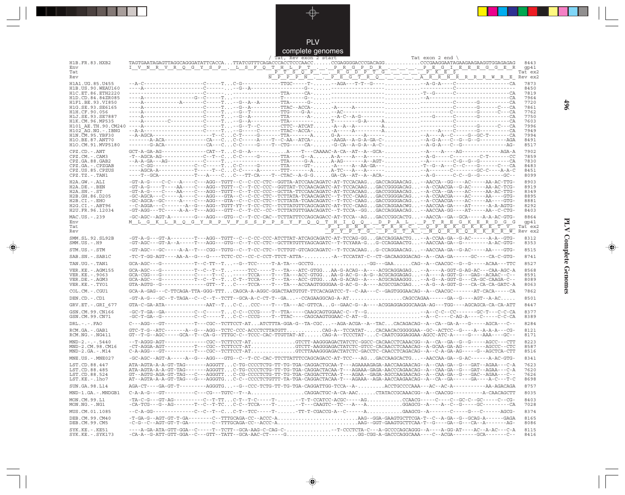

\_\_\_

 $\overrightarrow{\mathbf{\P}}$ 

 $\overline{\phantom{0}}$ 

|                                        | Tat exon 2 end $\langle$<br>Tat, Rev exon 2 start                                                                                                                                                                                                                                      |  |
|----------------------------------------|----------------------------------------------------------------------------------------------------------------------------------------------------------------------------------------------------------------------------------------------------------------------------------------|--|
| H1B.FR.83.HXB2<br>Env                  | 8443<br><u> I V N R V R Q G Y S P . L S F Q T H L P T P R G P D R P E G I E E E G G E R R</u><br>qp41                                                                                                                                                                                  |  |
| Tat<br>Rev                             | $\overline{P}$ $\overline{T}$ $\overline{S}$ $\overline{O}$ $\overline{P}$<br><u>FFFSOFF.FFGFFG-LIPKE5 — — — — — — matex2</u><br><u>NPPPN-DPEGTRO-LIPKRRRRRRMRP</u>                                                                                                                    |  |
| H1A1.UG.85.U455                        | 7873                                                                                                                                                                                                                                                                                   |  |
| H1B.US.90.WEAU160                      | 8450                                                                                                                                                                                                                                                                                   |  |
| H1C.ET.86.ETH2220<br>H1D.CD.84.84ZR085 | 7819<br>7964                                                                                                                                                                                                                                                                           |  |
| H1F1.BE.93.VI850                       | 7720                                                                                                                                                                                                                                                                                   |  |
| H1G.SE.93.SE6165<br>H1H.CF.90.056      | 7861<br>7762                                                                                                                                                                                                                                                                           |  |
| H1J.SE.93.SE7887                       | 7750                                                                                                                                                                                                                                                                                   |  |
| H1K.CM.96.MP535<br>H101 AE.TH.90.CM240 | 7603<br>7996                                                                                                                                                                                                                                                                           |  |
| H102 AG.NG.-.IBNG                      | 7949                                                                                                                                                                                                                                                                                   |  |
| H1N. CM. 95. YBF30<br>H10.BE.87.ANT70  | 7994<br>-------A-ACA--------------CA---CC-C-----A----T--C-AA--ATCA--AAGA--A-G-A-GA-C---A-G-A---C--G--G--G---------AGA<br>8491                                                                                                                                                          |  |
| H1O.CM.91.MVP5180                      | 8517                                                                                                                                                                                                                                                                                   |  |
| CPZ.CD. - . ANT<br>$CPZ.CM. - . CAM3$  | $GCT-A-GA-AG-\cdots-\cdots-CAT-T\ldots-CAT-T\ldots-C-G-A-\cdots-\ldots\ldots\ldots$<br>7902<br>7859                                                                                                                                                                                    |  |
| CPZ.GA.88.GAB2                         | 7830                                                                                                                                                                                                                                                                                   |  |
| CPZ.GA. - . CPZGAB<br>CPZ.US.85.CPZUS  | 8483<br>8451                                                                                                                                                                                                                                                                           |  |
| $CPZ.TZ.-.TAN1$                        | ----T--GCA------------T---A----CC---TT-CA----T--CTAC--A-G-GGA-CA--AT--A--ACA---A-G------C-C--G--G--------GC--<br>8099                                                                                                                                                                  |  |
| H2A.GW.-.ALI                           | -GT-A-G----C-C---A----C---AGG--TGTT--C--C-CC-CTC--GGTTA-ATCCAACAGATC-AT-TCCACAAGGACCAGGAACAG--AACCA--GG----AC-----AA-AC-TTG-<br>8903                                                                                                                                                   |  |
| H2A.DE. - .BEN<br>$H2A.SN.-.ST$        | -GT-A-G----T----AA----C---AGG--TGTT--C--T-CC-CCC--GGTTAT-TCCAACAGATC-AT-TCCACAAGGACCGGGGACAG--A-CCAACGA--G-AC-----AA-AC-TCG-<br>8919<br>-GT-A-G----C----AA----C---AGG--TGTT--C--T-CC-CCC--GCTTA-TTCCAACAGATC-AT-TCCACAAGGACCGGGAACAG--A-CCA--GA----AC-----AA-AC-TTG-<br>8349           |  |
| H2B.GH.86.D205                         | -GC-AGCA---C----A----C---AGG---GTA--C--C-CC-CTC--TCTTATA-TCAACAGATC--T-TCC-CAAGGACCGGGGACAG--A-CCAACGA----AC-----AA----GTG-<br>8895                                                                                                                                                    |  |
| H2B.CI.-.EHO<br>$H2G.CI.-.ABT96$       | -GC-AGCA--GC-----A----C---AGG---GTA--C--C-CC-CTC--TCTTATA-TCAACAGATC--T-TCC-CAAGGACCGGGGACAG--A-CCAACGA----AC-----AA----GTG-<br>8881<br>--C-AGGA---C-------A--G---AGG--TGTT-YT--T-CC-CTC--TCTTATGTTCAGCAGATC-AT-TCC-CAAGGACCAGGAACWG--AACCAA-GA----AT------A-A-AGTG-<br>8292           |  |
| H2U.FR.96.12034                        | -GT-AGG---TC-----A-A--T---AGG---GTT--C--T-CC--CC--TCTTATGTTGAACAGATC--T-TCCA--GGGACCAGGAACAG--AACCAA-GG----AT-----AA--C-CTG-<br>8403                                                                                                                                                   |  |
| MAC.US.-.239                           | -GC-AGC--AGT-A--------G---AGG---GTG--C--T-CC-CAC--TCTTATTTCCAGCAGACC-AT-TCCA--AGGACCCGGCACTG--AACCA--GA--GCA------A-A-AC-GTG-<br>8864                                                                                                                                                  |  |
| Env<br>Tat                             |                                                                                                                                                                                                                                                                                        |  |
| Rev                                    |                                                                                                                                                                                                                                                                                        |  |
| SMM.SL.92.SL92B<br>$SMM.US.-.H9$       | -GT-A-G---GT-A--------T---AGG--TGTT--C--C-CC-CCC-ATCTTAT-ATCAGCAGATC-AT-TCCAG-GGGACCAGGAACTG--A-CCAA-GA--G-AC-------A-A--GTG-<br>8312<br>-GT-AGC---GT-A--A-----T---AGG---GTG--C--T-CC-CTC--GCTTRTGTTYAGCAGATC--T-TCYARA-GG-CCAGGAACTG--AACCAA-GA--G---------A-AC-GTG-<br>8353          |  |
| STM.US.-.STM                           | -GT-AGC---GC-----A-A--T---CGG--TGTG--C--T-CC-CTC--TCTTGT-GTCAGCAGATC--T-TCCACAAGG-CCAGGAACAG--AACCAA-GA--G-AC-----AA----GTG-<br>8515                                                                                                                                                   |  |
| SAB.SN. - . SAB1C                      | -TC-T-GG-AGT----AA-A--G---G----TCTC-CC--CC-CCT-TTCT-ATTA--A--TCCATAT-C--CT-GACAAGGGACAG--A--CAA-GA------GC----CA-C-GTG-<br>8741                                                                                                                                                        |  |
| TAN.UG. - . TAN1                       | $GCA-AGC---G----------------C-TT--T---G--TCC-----T-A-TA--GCCTG+--G. GG---GAA++CAGG--A--CAACGC--G---G--A-CAACG--G---A-ACAA---TTC$<br>8527                                                                                                                                               |  |
| VER. KE. - . AGM155                    | 8568                                                                                                                                                                                                                                                                                   |  |
| VER.KE. - . 9063<br>VER.DE. - . AGM3   | GCA-CGG---G----------C-----T--C----TCCA----T---TA---ACC-GTGGAA-G-AC-G--A-G--ACGCAGGAGAG--A----A-GGT-G---GAG--ACAAC--C--<br>8591<br>$GCA-AGC---G-------------------T-. T---T. C-T--TCCA---T---T-A-C-CTGG. AA-G-ACAG---A---ACGCAGAAGGG. -- A-G--A-GG-T-G---CAGA-GC--CAGA-C---A.$<br>8089 |  |
| VER.KE.-.TYO1                          | 8063                                                                                                                                                                                                                                                                                   |  |
| COL.CM.-.CGU1                          | 7862<br>GCA-A-GAG---C-TTCAGA-TTA-GGG-TTTCAGCA-A-AGGC-GGACTAATGTGT-TTCACAGATCC-T--C-AA---C--GAGTGGGAACAG--A--CAACGC-------AT-CACA----CA                                                                                                                                                 |  |
| DEN.CD. - .CD1                         | 8501                                                                                                                                                                                                                                                                                   |  |
| GRV.ET. - .GRI 677                     | GTA-C-GA-ATA-------------AAT--TC-CCCC----T---TA--AC-GTTCAG--GAAC-G--A----ACGGAGGAGGCAAGA-AG---TGG----AGCAGCA-CA-ATT<br>8447                                                                                                                                                            |  |
| GSN.CM.99.CN166<br>GSN.CM.99.CN71      | -GC-T-GA--GA----------C--C------TC-C--CCCG----T--TTA-----CAAGCAGTGGAAC-C--T--G--A--C-C--CC-------GC-T---C-C-A-<br>8377<br>-GC-T-GA--G-----------C--C-----TC-C--CCCG----T--TTAC----CAGCAAGTGGAAC-C-AT--G--A--C----C-AG-A----C-----C-C-C-CA<br>8389                                      |  |
| $DRL$ . - . - . $FAO$                  | C---AGG---GT----------T---CGC--TCTTCCT-ATATCTTTA-GGA-G--TA-CGC--AGA-ACGA--A--TACCACAGACAG--A--CA--GA-A---G-----AGCA---C--<br>8284                                                                                                                                                      |  |
| RCM.GA.-.GAB1<br>$RCM.NG. - .NG411$    | GTC-T-G--ATC-------A--G---AGG--TCTC-CCC-ACCCTCTTATGTTCAG-A--TCCATAT-CACAACACGGGGGAA--GC--ACTCC--G----A--A-A-A---CG-<br>8121<br>GT--T-G--AGC-----GCA--T--CA-G--TTTGC-C--TCCC-CAC-TTGTTAT-ATCAG-A--TCCCTAT-C-CAATCGGGAGGAA-AGCC-ATC-A----G----AAA----GC--<br>8171                        |  |
| $MND-2. - - - 5440$                    | --T-AGGG-AGT------------CGC--TCTTCCT-ATGTCTT-AAGGGAGACTATCTC-GGCC-CACAACCTCAAACGG--A--CA--GA--G--G----AGCC---CTT<br>8223                                                                                                                                                               |  |
| MND-2.CM.98.CM16<br>$MND-2.GA.-.M14$   | -CT-AGGA-AGT---------T---CGC--TCTTCCT-ATGTCTT-AAGGGAGACTATCTC-GTCC-CACAACCTCAAACAG--A-GCAA-GA-AG--------AGCCC--CTC<br>8587<br>C-A-AGG---GT----------T---CGC--TCTTCCT-ATGTCTTAAAGGGAGACTATCTC-GACCTC-CAACCTCAGACAG--A--C-A-GA-AG-----G--AGCTCA-CTT<br>8516                              |  |
| MNE.US.-.MNE027                        | -GC-AGC--AGT-A-----A--G---AGG---GTG--C--T-CC-CAC-TTCTTATTTCCAGCAGACC-AT-TCC---AGGACCAAGCACTG--AACCAA-GA--G-AC------A-AC-GTG-<br>8341                                                                                                                                                   |  |
| LST.CD.88.447                          | 7623<br>ATA-AGTA-A-A-GT-TAG-------AGGGTTC-TG-CCCCTCTG-TT-TG-TGA-CAGGACTGCAA-T---AGAAAAGAGA-AACCAAGAACAG--A--CAA-GA--G--GAT--AGAA---C-A                                                                                                                                                 |  |
| LST.CD.88.485<br>LST.CD.88.524         | ATA-AGTA-A-A-GT-TAG-------AGGGTTC-TG-CCCCTCTG-TT-TG-TGA-CAGGACTACAA-T---AGAAA-GAGA-AACCCAGAACAG--A--CAA-GA--G---GAT--AGAA---C-A<br>7620<br>GT--AGTG-AGA-GT-TAG---C---AGGGTTC-CG-CCCCTCTG-TT-TG-TGA-CAGGACTTCAA-T---AGAA--GAGA-AGCCAAGAACAG--A--CAA-GA--G---GAC--AGAA---C--<br>7626     |  |
| LST.KE. - . lho7                       | AT--AGTA-A-A-GT-TAG---G---AGGGTGC-C--CCCCTCTGTTT-TA-TGA-CAGGACTACAA-T---AGAAA--AGA-AACCAAGAACAG--A--CA--CA------GA-----A-C---T-C<br>8698                                                                                                                                               |  |
| SUN.GA.98.L14                          | AGA-CT----GA-GT-T---------AGGGTG--G--CCC-TCTG-TT-TG-TGA-CAGGATTGG-TCCA--A-ACCTGCCCCAAA---AC--AC--A------------AA-AGACAGA<br>8757                                                                                                                                                       |  |
| MND-1.GA.-.MNDGB1                      | C-A-A-G---GT---------C---CG---TGTC--T-ACAGGACTGC-A-CA-AACCTATACCGCAAACGG--A--CAACGG----------A-CAACAGCTT<br>8035                                                                                                                                                                       |  |
| MON.CM.99.L1<br>$MON.NG. - . NG1$      | -TA-C-G---GT-AG----------C--T-TTC-T--T-C-----T---T-T-CCATCC-ACGC-----AGCCAACG----C---C--GC-C--GC-----C--CG-C--C--CG-<br>8403<br>-CA-TCG---G--AG-------T--C--T-TCC-C--TCCA----T---T---CAAGTC--TC---A---AGGAGCG--A----A--C--G-------GC---------CA<br>7028                                |  |
| MUS.CM.01.1085                         | --C-A-GG-------------C--C--T--CC-T--TCC-----T--TT-T-CGACCG-A--C------AGAAGCG--A--------C-----G---C------AGCG-<br>8374                                                                                                                                                                  |  |
| DEB. CM. 99. CM40<br>DEB.CM.99.CM5     | 8165<br>-C-G--C--AGT-GT-T-GA--------C--TTTGCAGA-CC--ACCC-AAAG--GGT-GAAGTGCTTCAA-T--G----GA--G---CA--A--------AG-<br>8086                                                                                                                                                               |  |
| SYK.KE. -. KE51<br>SYK.KE. - . SYK173  | ----A-GA-ATA-GTT-GGA--C-----T--TCTT--GCA-AAG-C-CAG-C---T-CCCTCTA-C---A-GCCCCAGCAGGG--A----A-GG-AT----AC--A-AC---C-A<br>8115<br>8416                                                                                                                                                    |  |

 $\overline{\blacklozenge}$ 

**PLV Complete Genomes 496 PLV Complete Genomes** 

 $\begin{picture}(20,5) \put(0,0){\line(1,0){10}} \put(15,0){\line(1,0){10}} \put(15,0){\line(1,0){10}} \put(15,0){\line(1,0){10}} \put(15,0){\line(1,0){10}} \put(15,0){\line(1,0){10}} \put(15,0){\line(1,0){10}} \put(15,0){\line(1,0){10}} \put(15,0){\line(1,0){10}} \put(15,0){\line(1,0){10}} \put(15,0){\line(1,0){10}} \put(15,0){\line(1,$ 

496

<u> Tan</u>

- 14 - 1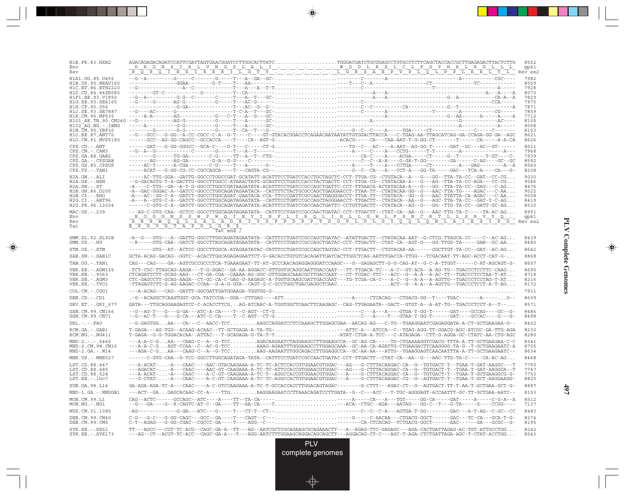| H1B.FR.83.HXB2<br>Env<br>Rev                                                                                               |                                                                                                                                                                                                                                                                                                                                                                                                                                                                                                                                                                                                                                                                                                                                                                                                               | 8552<br>gp41<br>Rev ex2                                                                                      |
|----------------------------------------------------------------------------------------------------------------------------|---------------------------------------------------------------------------------------------------------------------------------------------------------------------------------------------------------------------------------------------------------------------------------------------------------------------------------------------------------------------------------------------------------------------------------------------------------------------------------------------------------------------------------------------------------------------------------------------------------------------------------------------------------------------------------------------------------------------------------------------------------------------------------------------------------------|--------------------------------------------------------------------------------------------------------------|
| H10.BE.87.ANT70<br>H1O.CM.91.MVP5180                                                                                       | --G---GCC---G-GG--A-CC-CGCC-C-A--G-T----C---GT-GTACACGGACCTCAGAACAATAATATTGTGGACTTACCA---C-TGAG-AA-TTAGCATCAG-GA-CCAGA-GG-GA--AGC<br>-----GCC--AG-GG-CAGCC--GCCACCA----T---CA--AGT-GACACG----CA---CA-AAT-T-G-GG-CT-------T-----CA-----A-A-CA                                                                                                                                                                                                                                                                                                                                                                                                                                                                                                                                                                  | 7982<br>8559<br>7928<br>8073<br>7829<br>7970<br>7871<br>7859<br>7712<br>8105<br>8058<br>8103<br>8621<br>8626 |
| $CPZ$ . $CD$ . $-ANT$<br>CPZ.CM. - . CAM3<br>CPZ.GA.88.GAB2<br>CPZ.GA. - . CPZGAB<br>CPZ.US.85.CPZUS<br>$CPZ.TZ$ . $-TAN1$ |                                                                                                                                                                                                                                                                                                                                                                                                                                                                                                                                                                                                                                                                                                                                                                                                               | 8011<br>7968<br>7939<br>8592<br>8560<br>8208                                                                 |
| H2A.GW.-.ALI<br>H2A.DE. - .BEN<br>$H2A.SN.-.ST$<br>H2B.GH.86.D205<br>H2B.CI.-.EHO<br>$H2G.CI.-.ABT96$<br>H2U.FR.96.12034   | -----AC-TTG-GGA--GATTG-GGCCCTGGCCGAT-GCATATT-ACATTTCCTGATCCACCTGCTAGCTC-CCT-TTGA-CG--CTGTACA--A---G---GG--TTA-TA-CC--GAT--CC-CG<br>-G-GACAGTG-T-A-GACTTG-GGCCTTGGCC-ATAAACTATG-GCAGTTCCTGATCCACCTACTGACTC-CCT-TTGA-CG--CTATACAA-A---G---AG--TTA-TA-CC-AGA---CC-CG<br>-A----C-TTG--GA--A-T-G-GGCCCTGGCCGATAAGATATA-ACATTTCCTGATCCGCCAGCTGATTC-CCT-TTGAACA-ACTATACAA-A---G---GG--TTA-TA-CC--GAG---C-AG<br>-A--GAC-GGGAC-A--GATCC-GGCCCTGGCAGATAGAATACA--CATTTTCTACTGCGCCAGCTGAGGAACCT-TTAA-TT--CTATACAA-GG--G---AAC-TTA-TG----AGAC---C-AA<br>-A---AC--GG-C-A--GATCT-GGCCCTGGCAGAT-GAATACA-CCA-TTCCCGATTCGCCAACTGAGGGACCT-TTGA-TT--CTATACA--GG--G---AAC-TTATTA-CA-AGAC---C-AA<br>-A---A--GTG-C-A--GATCT-GGCCTTGGCAGATAGAATATA--CATTTCCTGMTCCGCCAGCTAGGGAACCT-TTGACTT--CTATACA--AA--G---AGC-TTA-TA-CC--GAT-Y-C-AG | 9030<br>9046<br>8476<br>9022<br>9008<br>8419<br>8530                                                         |
| MAC.US.-.239<br>Env<br>Rev<br>Tat                                                                                          | ---AG-C-GTG-CAA--GCTCC-GGCCTTGGCAGATAGAATATA--CATTTCCTGATCCGCCAACTGATAC-CCT-TTGACTT--CTAT-CA--AA--G---AAC-TTG-TA-C-----TA-AC-AG<br>$\underbrace{F\_G\_G\_N\_S\_S\_W\_P\_W\_Q\_I\_E\_Y\_I\_H\_F\_L\_I\_R\_Q\_L\_I\_R\_L\_G\_P\_T\_G\_I\_Q\_T\_Q\_N\_A\_A\_I\_E\_S\_I\_P\_R}}_{\underbrace{F\_R\_W\_Q\_Q\_L\_Q\_L\_Q\_M\_A\_I\_R\_S\_P\_R\_I\_T\_S\_F\_P\_P\_P\_P\_P\_P\_P\_T\_D\_G\_P\_I\_Q\_I\_Q\_I\_A\_I\_R}}_{\underbrace{F\_R\_W\_Q\_I\_R\_T\_T\_S\_P\_P\_P\_P\_P\_P\_P\_P\_P\_D\_C\_I\_Q\_I\_$<br>$E$ $K$ $G$ $V$ $G$ $T$ $A$ $P$ $G$ $L$ $G$ $R$ $S$                                                                                                                                                                                                                                                     | 8991                                                                                                         |
| SMM.SL.92.SL92B<br>$SMM.US.-.H9$                                                                                           | Tat end /<br>-A--G---GTG---A--GATTG-GGCCTTGGCAGATAGAATATA--CATTTCCTGATCCGCCAGCTGATAC--ATATTGACTT--CTATACAA-AAT--G-CTCG-TTAGCA-CC----C--AC-AG<br>--R-----GTG-CAA--GATCT-GGCCTTRGCAGATAGAATATA--CATTTCCTGATCCGCCAGCTGATAC-CCT-TTGACTT--CTAT-CA--AGT-G---GG-TTGG-TA-----GAN--GC-AA                                                                                                                                                                                                                                                                                                                                                                                                                                                                                                                               | 8439<br>8480                                                                                                 |
| STM.US.-.STM                                                                                                               | -------GTG--AT--ACTCC-GGCCTTGGCA-ATAGAATATAC-CATTTCCTGATCCGCCAGCTAGTAC-CCT-TTGACTT--CTGTACAA-AA------GGCTTGT-TA-CC--GAT--AC-AG                                                                                                                                                                                                                                                                                                                                                                                                                                                                                                                                                                                                                                                                                | 8642                                                                                                         |
| SAB.SN.-.SAB1C                                                                                                             | GCTA-ACAG-GACAG--GGTC--ACACTTGGCAGAGAGAATTCT-G-GACACCTGTGTCACAGATTGATCACTTGGCTCAG-AATTTGACCA-TTGG---TCGACAAT-TT-AGC-ACCT-CAT-G-                                                                                                                                                                                                                                                                                                                                                                                                                                                                                                                                                                                                                                                                               | 8868                                                                                                         |
| TAN.UG. - . TAN1                                                                                                           | CAG---CAG----GA--AGTCGCCGCCCTCA-TGAAAGAAT-TT-AT-GCCCAACAGAGGGGATCCAAGC---G--GAGAGCTT-G-G-CAG-AT--G-C-A-TTGGT------C-AT-AGCAGT-G-                                                                                                                                                                                                                                                                                                                                                                                                                                                                                                                                                                                                                                                                              | 8657                                                                                                         |
| VER.KE. - . AGM155<br>VER.KE. - . 9063<br>VER.DE. - . AGM3<br>VER.KE.-.TYO1                                                | - TCT-CGC-TTAGCAG-AAGA---T-G-GGAC--GA-AA-AGGACC-GTTGGTGCAGGCAATTGACCAAT---TT-TTGACA-TC---A-C--GT-ACA--A-AG-TG--TGACCCTCCTTC-CAAG<br>-TTAGAGTCTT-G-AG-AAGAC-CCAA--G-A-G-GTA--CAGT-G-C-GCCTGGCTGACGAGGCTCAACACT--G--A-A--A-AGTTG--TGACCCTCCT-A-T-AG                                                                                                                                                                                                                                                                                                                                                                                                                                                                                                                                                             | 8695<br>8718<br>8216<br>8172                                                                                 |
| COL.CM.-.CGU1                                                                                                              |                                                                                                                                                                                                                                                                                                                                                                                                                                                                                                                                                                                                                                                                                                                                                                                                               | 7911                                                                                                         |
| DEN.CD.-.CD1                                                                                                               | .-G--ACAGGCTCAAGTGGT-GCA-TATCCGA--GGA--CTTGAG----ATT-----A----CTCACAG---CTGACG-GG--T----TGAC-------A-----G--                                                                                                                                                                                                                                                                                                                                                                                                                                                                                                                                                                                                                                                                                                  | 8609                                                                                                         |
| GRV.ET. - .GRI 677                                                                                                         | GATA---TTGCAGGAAGAGTCC-C-ACACCTTCGAG-ATCAAC-A-TGGTGGCTCAACTTCAAGAGC--CAG-TTGAGAATA--GACT--GTGT-A--A-AT-TG--TGACCCTCCT-A--T--                                                                                                                                                                                                                                                                                                                                                                                                                                                                                                                                                                                                                                                                                  | 8571                                                                                                         |
| GSN.CM.99.CN166<br>GSN.CM.99.CN71                                                                                          | --G--AG-T---G--G-GA---ATC-A-CA----T--C-AGT--CT-GC------C--A---A---GTGA-T-GG-T------GAT---GCCAG----GC--G-<br>--G--AC-T---G---G-CA---ATC-C-CA----T--C-AGT--CT-GC------C-A---T---GTAA-T-GG-T------GAT----GCCAC---G--G-                                                                                                                                                                                                                                                                                                                                                                                                                                                                                                                                                                                           | 8486<br>8498                                                                                                 |
| $DRL - - - FAO$                                                                                                            | --G-GAGTGGAA---CA---C--AACC-TCCAAGCCAGGATCCTCCAAAGCTTGGAGCGAA--AACAG-AG---C-TG--TGAAGGAATCGAGAGGATA-A-CT-GCTGAAGAA-G--                                                                                                                                                                                                                                                                                                                                                                                                                                                                                                                                                                                                                                                                                        | 8402                                                                                                         |
| RCM.GA.-.GAB1<br>$RCM.NG. - . NG411$                                                                                       | T-GAGA---AG-TGG--ACAAG-ACAAC--TT-GCTGAGA-A-TA-TG-T-ATTC-A---ATCCA--C--TGAG-AGG-TT-GGACG-AGC-ATCGC-GA-TTG-AGA<br>T-GAGA--G-G-TGGACACAA--ATTAC---T-GCAGAGA-G-TA-T-TATAT-CTGA-A-TCC---C-ATAGAGA--CTT-G-AGGA-GC-CTATC-AA-CTG-AGC                                                                                                                                                                                                                                                                                                                                                                                                                                                                                                                                                                                  | 8230<br>8280                                                                                                 |
| $MND-2. - - - 5440$<br>MND-2.CM.98.CM16<br>$MND-2.GA.-.M14$                                                                | ---A-A-C-GAA---CAAG-C--A--G-TCCAGACAAGAATCTAGGAAGCCTTGGAAGCCA--GC-AG-CA-----TG-CTGAAAAGGTCGACG-TTTA-A-TT-GCTGAAGAA-C-C<br>---A-A-C-GAGT-CCAA--C--AC-G-TCCAAAG-AGAATTTGGGAAGCCTTGGAGCAAA--GC-AA-CA-AGATTG-CTGAAGACTTCAAGGGG-TA-G--T-GCTGAAGAATC-A<br>---AGA-C-GAA---CAAG-C--A--G-TCCAAG-AAGAATTTGGCAGACCTTGGAGGCCA--GC-AA-AA---ATTG--TGAAGGAGTCAACAATTTA-A-TT-GCTGAAGAATC--                                                                                                                                                                                                                                                                                                                                                                                                                                    | 8341<br>8705<br>8634                                                                                         |
| MNE.US.-.MNE027                                                                                                            | ------C-GTG-CAA--G-TCC-GGCCTTGGCAGATAGA-TATA--CATTTCCTGATCCGCCAACTGATAC-CCT-TTGACTT--CTAT-CA--AA--G---AAC-TTG-TA-C-----CA-AC-AG                                                                                                                                                                                                                                                                                                                                                                                                                                                                                                                                                                                                                                                                               | 8468                                                                                                         |
| LST.CD.88.447<br>LST.CD.88.485<br>LST.CD.88.524<br>LST.KE.-.lho7                                                           | ---A-ACAT--A---CAAC----AAC-GTACAAGAAA-A-TC-TC-ACTCCACCGTGGAACGTGGAC---AG---G-CTTTACAAGAC-CA--G--TGTGACT-T--TGAA-T-GAT-AAGGC---T<br>---AGACAT--A---CAAC----AAC-GT-CAAGAAA-A-TC-TC-ATTCCACCGTGGAACGTGGAC---AG---G-CTTTACAGGAC-CA--G--TGTGACT-T--TGAA-T-GAT-AAGGCA--T<br>---A-ACAT--A---CAAC----A-C-GT-CAAGAAA-A-TC-T--AGGCCACCGTGGAACGTGGAC---A----G-CTTTACAGGAC-CA--G--TGTGACT-T--TGAA-T-GCTGAAGGCG-G-<br>---G-CTAT--A---CAAC----A-C-GT-CAAGAAA-A-TC-TC-AGGCCACTGTGGAACGTGGAC---A----G-CTTTACAAGAC-CG--G--AGTGACT-T--TGAA-T-GCT-AAGGAAGG-                                                                                                                                                                                                                                                                      | 7750<br>7747<br>7753<br>8825                                                                                 |
| SUN.GA.98.L14                                                                                                              | GA-AGA-AGA-TC-A---CAAC----A-C-GTCCAAGAAA-A-TC-T-GCCACCACCTTGGACAGTAGAC-------G-CTTT---AGAC-CT--G--AGTGACT-TT-T-AA-T-GCTGAA-GCT-G-                                                                                                                                                                                                                                                                                                                                                                                                                                                                                                                                                                                                                                                                             | 8887                                                                                                         |
| MND-1.GA.-.MNDGB1                                                                                                          | ---ACT--GAGAGCACAAC-CC-A----TTGAAGGAAGAATCCTTAAACAGATCCTTGATA--G--C---ACC---T-TGC-AGGGAGT-ACCAATTT-GC-TT-GCTGAA-AATC--                                                                                                                                                                                                                                                                                                                                                                                                                                                                                                                                                                                                                                                                                        | 8153                                                                                                         |
| MON.CM.99.L1<br>MON.NG.-.NG1                                                                                               |                                                                                                                                                                                                                                                                                                                                                                                                                                                                                                                                                                                                                                                                                                                                                                                                               | 8512<br>7137                                                                                                 |
| MUS.CM.01.1085                                                                                                             |                                                                                                                                                                                                                                                                                                                                                                                                                                                                                                                                                                                                                                                                                                                                                                                                               | 8483                                                                                                         |
| DEB. CM. 99. CM40<br>DEB.CM.99.CM5                                                                                         | C-G---G-C---G-CG-CAGC---GCC--GA----T---CAGT--C---C---G----C-AACAA---CTGACG-GGCT------GAC---TC-CA---GCA-T-G-<br>C-T--AGAG---G-GG-CGAC--CGCCC-GA----T---AGG--C---C-----CA-CTCACAG--TCTGACG-GGCT------AAC------GA---GCGC--G-                                                                                                                                                                                                                                                                                                                                                                                                                                                                                                                                                                                     | 8274<br>8195                                                                                                 |
| $SYK.KE. - .KE51$<br>$SYK.KE. - .SYK173$                                                                                   | TT---AGCC---CGT-TC-ACG--CAGC-GA-A--TT---AG--AATCGCTCGCAGAAGCGCAGAAACTT---A--AGAG-TTC-GAGAGC---AGA-CACTGATTAGAG-AC-TGT-ATTGCCTGG<br>---AG--CT--ACGT-TC-ACC--CAGC-GA-A---T---AGG-AATCTTTGGAAGCAGGACAGCAGCTT---AGGACAG-CT-C---AGC-T-AGA-CTCTGATTAGA-AGC-T-CTAT-ACCTGG                                                                                                                                                                                                                                                                                                                                                                                                                                                                                                                                            | 8242<br>8543                                                                                                 |

--

 $\overrightarrow{\phantom{a}}$ 

 $\overline{\hphantom{m}}$ 

**PLV Complete Genomes PLV Complete Genomes**

 $\begin{picture}(20,5) \put(0,0){\line(1,0){10}} \put(15,0){\line(1,0){10}} \put(15,0){\line(1,0){10}} \put(15,0){\line(1,0){10}} \put(15,0){\line(1,0){10}} \put(15,0){\line(1,0){10}} \put(15,0){\line(1,0){10}} \put(15,0){\line(1,0){10}} \put(15,0){\line(1,0){10}} \put(15,0){\line(1,0){10}} \put(15,0){\line(1,0){10}} \put(15,0){\line(1,$ 

 $\overline{\phantom{0}}$ 

П

<u>a ma</u>

**497**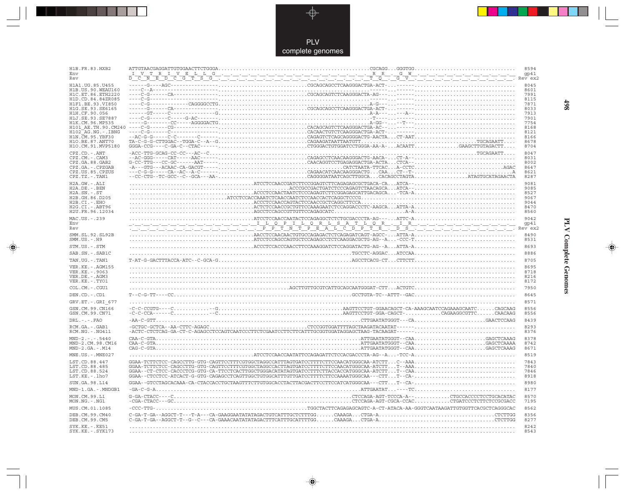

 $\begin{picture}(20,5) \put(0,0){\line(1,0){10}} \put(15,0){\line(1,0){10}} \put(15,0){\line(1,0){10}} \put(15,0){\line(1,0){10}} \put(15,0){\line(1,0){10}} \put(15,0){\line(1,0){10}} \put(15,0){\line(1,0){10}} \put(15,0){\line(1,0){10}} \put(15,0){\line(1,0){10}} \put(15,0){\line(1,0){10}} \put(15,0){\line(1,0){10}} \put(15,0){\line(1,$ 

 $\begin{tabular}{c} \hline \quad \quad & \quad \quad \\ \hline \quad \quad & \quad \quad \\ \hline \end{tabular}$ 

| H1B.FR.83.HXB2<br>Env                   |                                                                                                                                                                                                                                                                                                                                                                                                                                                                                                                        | 8594<br>gp41 |
|-----------------------------------------|------------------------------------------------------------------------------------------------------------------------------------------------------------------------------------------------------------------------------------------------------------------------------------------------------------------------------------------------------------------------------------------------------------------------------------------------------------------------------------------------------------------------|--------------|
| Rev                                     | <u>ᢧᠮᡪᢂ᠆ᢪ᠗᠆᠀᠆᠖᠆ᡀ᠖᠆᠅᠆᠅᠆᠅᠆᠅᠆᠅᠆᠅᠆᠅᠆᠅᠆᠅᠆᠅᠆᠅᠆᠅᠆᠅᠆᠃᠆ᢝ᠆ᢝ᠆᠖᠆ᢂ᠆᠅᠆᠅᠆᠅᠆᠅᠆᠅᠆᠅᠆᠅᠆᠅᠆᠅᠆᠅</u>                                                                                                                                                                                                                                                                                                                                                                                                                                          | Rev ex2      |
| H1A1.UG.85.U455<br>H1B. US. 90. WEAU160 |                                                                                                                                                                                                                                                                                                                                                                                                                                                                                                                        | 8045<br>8601 |
| H1C.ET.86.ETH2220                       |                                                                                                                                                                                                                                                                                                                                                                                                                                                                                                                        | 7991         |
| H1D.CD.84.84ZR085<br>H1F1.BE.93.VI850   |                                                                                                                                                                                                                                                                                                                                                                                                                                                                                                                        | 8115<br>7871 |
| H1G.SE.93.SE6165                        |                                                                                                                                                                                                                                                                                                                                                                                                                                                                                                                        | 8033         |
| H1H.CF.90.056                           |                                                                                                                                                                                                                                                                                                                                                                                                                                                                                                                        | 7913         |
| H1J.SE.93.SE7887<br>H1K.CM.96.MP535     |                                                                                                                                                                                                                                                                                                                                                                                                                                                                                                                        | 7901<br>7754 |
| H101 AE.TH.90.CM240                     |                                                                                                                                                                                                                                                                                                                                                                                                                                                                                                                        | 8168         |
| $H102-AG.NG. - .IBNG$                   |                                                                                                                                                                                                                                                                                                                                                                                                                                                                                                                        | 8121         |
| H1N. CM. 95. YBF30<br>H10.BE.87.ANT70   |                                                                                                                                                                                                                                                                                                                                                                                                                                                                                                                        | 8166<br>8678 |
| H1O.CM.91.MVP5180                       | $\begin{tabular}{@{}c@{}} \hline \multicolumn{3}{c}{\textbf{C-G--1--}} \multicolumn{2}{c}{\textbf{C-G--1--}} \multicolumn{2}{c}{\textbf{C-G--1--}} \multicolumn{2}{c}{\textbf{C-G--1--}} \multicolumn{2}{c}{\textbf{C-G--1--}} \multicolumn{2}{c}{\textbf{C-G--1--}} \multicolumn{2}{c}{\textbf{C-G--1--}} \multicolumn{2}{c}{\textbf{C-G--1--}} \multicolumn{2}{c}{\textbf{C-G--1--}} \multicolumn{2}{c}{\textbf{C-G--1--}} \multicolumn{2}{c}{\textbf{C-G$                                                           | 8704         |
| CPZ.CD. - . ANT                         |                                                                                                                                                                                                                                                                                                                                                                                                                                                                                                                        | 8047         |
| CPZ.CM. - . CAM3                        | $-\texttt{-AC-GGG----CAT---ZAC---2---}\texttt{AC---}\texttt{AC---}\texttt{ACA---}\texttt{ACA---}\texttt{ACA---}\texttt{ACA---}\texttt{ACA---}\texttt{ACA---}\texttt{ACA---}\texttt{ACA---}\texttt{AC---}\texttt{AC---}\texttt{AC---}\texttt{AC---}\texttt{AC---}\texttt{AC---}\texttt{AC---}\texttt{AC---}\texttt{AC---}\texttt{AC---}\texttt{AC---}\texttt{AC---}\texttt{AC---}\texttt{AC---}\texttt{AC---}\texttt{AC---}\texttt{AC---}\texttt{AC---}\texttt{AC---}\texttt{AC---}\texttt{AC---}\texttt{AC---}\texttt$ | 8031         |
| CPZ.GA.88.GAB2<br>CPZ.GA. - . CPZGAB    |                                                                                                                                                                                                                                                                                                                                                                                                                                                                                                                        | 8002<br>8647 |
| CPZ.US.85.CPZUS                         |                                                                                                                                                                                                                                                                                                                                                                                                                                                                                                                        | 8621         |
| CPZ.TZ.-.TAN1                           |                                                                                                                                                                                                                                                                                                                                                                                                                                                                                                                        | 8287         |
| H2A.GW.-.ALI                            |                                                                                                                                                                                                                                                                                                                                                                                                                                                                                                                        | 9081         |
| H2A.DE. - .BEN<br>$H2A.SN.-.ST$         |                                                                                                                                                                                                                                                                                                                                                                                                                                                                                                                        | 9085<br>8527 |
| H2B.GH.86.D205                          |                                                                                                                                                                                                                                                                                                                                                                                                                                                                                                                        | 9067         |
| H2B.CI.-.EHO                            |                                                                                                                                                                                                                                                                                                                                                                                                                                                                                                                        | 9044         |
| H2G.CI. - . ABT96<br>H2U.FR.96.12034    |                                                                                                                                                                                                                                                                                                                                                                                                                                                                                                                        | 8470<br>8560 |
| MAC.US.-.239                            |                                                                                                                                                                                                                                                                                                                                                                                                                                                                                                                        | 9042         |
| Env                                     |                                                                                                                                                                                                                                                                                                                                                                                                                                                                                                                        |              |
| Rev                                     |                                                                                                                                                                                                                                                                                                                                                                                                                                                                                                                        |              |
| SMM.SL.92.SL92B<br>$SMM.US.-.H9$        | ${\tt AACCTCACACACTCACAGACTCTCAGAGATCAGTCAGCAGTCCAG.} \label{thm:1} \begin{minipage}{0.9\textwidth} \begin{tabular}{l} \hline \textbf{1} & \textbf{1} & \textbf{1} & \textbf{1} & \textbf{1} & \textbf{1} & \textbf{1} & \textbf{1} & \textbf{1} & \textbf{1} & \textbf{1} & \textbf{1} & \textbf{1} & \textbf{1} & \textbf{1} & \textbf{1} & \textbf{1} & \textbf{1} & \textbf{1} & \textbf{1} & \textbf{1} & \textbf{1} & \textbf$                                                                                   | 8490<br>8531 |
| STM.US.-.STM                            |                                                                                                                                                                                                                                                                                                                                                                                                                                                                                                                        | 8693         |
| SAB.SN. - . SAB1C                       |                                                                                                                                                                                                                                                                                                                                                                                                                                                                                                                        | 8886         |
| TAN.UG. - . TAN1                        |                                                                                                                                                                                                                                                                                                                                                                                                                                                                                                                        | 8705         |
| VER. KE. - . AGM155                     |                                                                                                                                                                                                                                                                                                                                                                                                                                                                                                                        | 8695         |
| VER.KE. - . 9063<br>VER.DE. - . AGM3    |                                                                                                                                                                                                                                                                                                                                                                                                                                                                                                                        | 8718<br>8216 |
| VER.KE.-.TYO1                           |                                                                                                                                                                                                                                                                                                                                                                                                                                                                                                                        | 8172         |
| COL.CM. - . CGU1                        |                                                                                                                                                                                                                                                                                                                                                                                                                                                                                                                        | 7950         |
| DEN.CD. - .CD1                          |                                                                                                                                                                                                                                                                                                                                                                                                                                                                                                                        | 8645         |
| GRV.ET. -. GRI 677                      |                                                                                                                                                                                                                                                                                                                                                                                                                                                                                                                        | 8571         |
| GSN.CM.99.CN166                         |                                                                                                                                                                                                                                                                                                                                                                                                                                                                                                                        | 8556         |
| GSN.CM.99.CN71                          | $\verb -C-C-CGTG---C  \verb +  \verb +C.1  \verb +C.1  \verb +C.2  \verb +C.2  \verb +C.2  \verb +C.2  \verb +C.2  \verb +C.2  \verb +C.2  \verb +C.2  \verb +C.2  \verb +C.2  \verb +C.2  \verb +C.2  \verb +C.2  \verb +C.2  \verb +C.2  \verb +C.2  \verb +C.2  \verb +C.2  \verb +C.2  \verb +C.2  \verb $                                                                                                                                                                                                         | 8556         |
| $DRL - - -$ . $FAO$                     |                                                                                                                                                                                                                                                                                                                                                                                                                                                                                                                        | 8439         |
| RCM.GA. - . GAB1                        |                                                                                                                                                                                                                                                                                                                                                                                                                                                                                                                        | 8293         |
| RCM.NG. - . NG411                       |                                                                                                                                                                                                                                                                                                                                                                                                                                                                                                                        | 8376         |
| $MND-2. - - - 5440$<br>MND-2.CM.98.CM16 |                                                                                                                                                                                                                                                                                                                                                                                                                                                                                                                        | 8378<br>8742 |
| $MND-2.GA.-.M14$                        |                                                                                                                                                                                                                                                                                                                                                                                                                                                                                                                        | 8671         |
| MNE.US. - . MNE027                      |                                                                                                                                                                                                                                                                                                                                                                                                                                                                                                                        | 8519         |
| LST.CD.88.447                           |                                                                                                                                                                                                                                                                                                                                                                                                                                                                                                                        | 7843         |
| LST.CD.88.485                           |                                                                                                                                                                                                                                                                                                                                                                                                                                                                                                                        | 7840         |
| LST.CD.88.524<br>LST.KE.-.lho7          |                                                                                                                                                                                                                                                                                                                                                                                                                                                                                                                        | 7846<br>8918 |
|                                         |                                                                                                                                                                                                                                                                                                                                                                                                                                                                                                                        | 8980         |
| SUN.GA.98.L14                           |                                                                                                                                                                                                                                                                                                                                                                                                                                                                                                                        | 8177         |
| MND-1.GA.-.MNDGB1                       | $G\text{-}\texttt{G-A-CTACC}\texttt{---C}\texttt{1} \texttt{1} \texttt{1} \texttt{1} \texttt{1} \texttt{1} \texttt{1} \texttt{1} \texttt{1} \texttt{1} \texttt{1} \texttt{1} \texttt{1} \texttt{1} \texttt{1} \texttt{1} \texttt{1} \texttt{1} \texttt{1} \texttt{1} \texttt{1} \texttt{1} \texttt{1} \texttt{1} \texttt{1} \texttt{1} \texttt{1} \texttt{1} \texttt{1} \texttt{1} \texttt{1} \texttt{1} \texttt{1} \texttt$                                                                                           |              |
| MON.CM.99.L1<br>$MON.NG. - . NG1$       |                                                                                                                                                                                                                                                                                                                                                                                                                                                                                                                        | 8570<br>7195 |
| MUS.CM.01.1085                          | TGGCTACTTCAGAGAGCAGTC-A-CT-ATACA-AA-GGGTCAATAAGATTGTGGTTCACGCTCAGGGCAC<br>$-CCC-TTG-$                                                                                                                                                                                                                                                                                                                                                                                                                                  | 8562         |
| DEB.CM.99.CM40<br>DEB.CM.99.CM5         | C-GA-T-GA--AGGCT-T--G--C--CA-GAAACAATATATAGACTTTCATTTGCATTTGGCAAAGACTGA-ACTCTTGG                                                                                                                                                                                                                                                                                                                                                                                                                                       | 8356<br>8277 |
| SYK.KE. -. KE51                         |                                                                                                                                                                                                                                                                                                                                                                                                                                                                                                                        | 8242         |
| SYK.KE. - . SYK173                      |                                                                                                                                                                                                                                                                                                                                                                                                                                                                                                                        | 8543         |

 $\blacklozenge$ 

**PLV Complete Genomes 498 PLV Complete Genomes** 

 $\Rightarrow$ 

 $\equiv$ 

498

 $\blacksquare$ 

<u> 1999 - 1999 - 1999 - 1999 - 1999 - 1999 - 1999 - 1999 - 1999 - 1999 - 1999 - 1999 - 1999 - 1999 - 1999 - 199</u>

 $\mathbf{I}$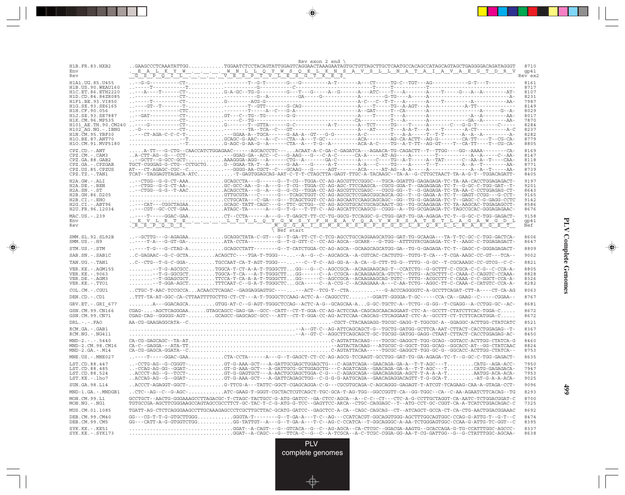| H1B.FR.83.HXB2                           | $Rev$ exon 2 end \<br>$. \,SAAGCCCTCAAATATTGG \ldots \ldots \ldots \ldots \hspace*{0.5cm} \ldots \hspace*{0.5cm} \ldots \ldots \ldots \hspace*{0.5cm} \ldots \hspace*{0.5cm} \ldots \hspace*{0.5cm} \ldots \hspace*{0.5cm} \ldots \hspace*{0.5cm} \ldots \hspace*{0.5cm} \ldots \hspace*{0.5cm} \ldots \hspace*{0.5cm} \ldots \hspace*{0.5cm} \ldots \hspace*{0.5cm} \ldots \hspace*{0.5cm} \ldots \hspace*{0.5cm} \ldots \hspace*{0$                                                                                                                   |              |
|------------------------------------------|---------------------------------------------------------------------------------------------------------------------------------------------------------------------------------------------------------------------------------------------------------------------------------------------------------------------------------------------------------------------------------------------------------------------------------------------------------------------------------------------------------------------------------------------------------|--------------|
| Env                                      |                                                                                                                                                                                                                                                                                                                                                                                                                                                                                                                                                         | gp41         |
| Rev                                      |                                                                                                                                                                                                                                                                                                                                                                                                                                                                                                                                                         | Rev ex2      |
| H1A1.UG.85.U455<br>H1B.US.90.WEAU160     |                                                                                                                                                                                                                                                                                                                                                                                                                                                                                                                                                         | 8161<br>8717 |
| H1C.ET.86.ETH2220                        | $\ldots - A \cdot \ldots - T \cdot \ldots - C T \cdot \ldots \ldots \ldots \ldots G - A \cdot G C \cdot - T G \cdot G \cdot \ldots - G \cdot \ldots - T \cdot - G \cdot \ldots - A \cdot G \cdot \ldots - A \cdot G \cdot \ldots - A \cdot \ldots - T \cdot \ldots - A \cdot \ldots - A \cdot \ldots - A \cdot \ldots - A \cdot \ldots - A \cdot \ldots - G \cdot \ldots - A \cdot \ldots - A \cdot \ldots - A \cdot \ldots - A \cdot \ldots - A \cdot \ldots - A \cdot \ldots - A \cdot \ldots - A \cdot \ldots - A \cdot \ldots - A \cdot \ldots - A$ | 8107         |
| H1D.CD.84.84ZR085<br>H1F1.BE.93.VI850    |                                                                                                                                                                                                                                                                                                                                                                                                                                                                                                                                                         | 8231<br>7987 |
| H1G.SE.93.SE6165                         |                                                                                                                                                                                                                                                                                                                                                                                                                                                                                                                                                         | 8149         |
| H1H.CF.90.056<br>H1J.SE.93.SE7887        |                                                                                                                                                                                                                                                                                                                                                                                                                                                                                                                                                         | 8029<br>8017 |
| H1K.CM.96.MP535                          |                                                                                                                                                                                                                                                                                                                                                                                                                                                                                                                                                         | 7870         |
| H101 AE.TH.90.CM240<br>H102 AG.NG.-.IBNG |                                                                                                                                                                                                                                                                                                                                                                                                                                                                                                                                                         | 8284<br>8237 |
| H1N. CM. 95. YBF30                       |                                                                                                                                                                                                                                                                                                                                                                                                                                                                                                                                                         | 8282         |
| H1O.BE.87.ANT70<br>H1O.CM.91.MVP5180     | -TGCAGC-G-AAC---A--C---CTA--A---T-GC---------ACA-------AG-CA-ACTT--AG-G--------CA-TT----T--CG-CA-                                                                                                                                                                                                                                                                                                                                                                                                                                                       | 8779<br>8805 |
| CPZ.CD. - . ANT                          | A-TT---G-CTG--CAACCATCTGGAGAAC------AGCACCCTC---ACAAT-A-C-GA-C-GAGATCA---AGAACA-TG-CAGACTT--T--TTGG----GG--AAAA--------CA-                                                                                                                                                                                                                                                                                                                                                                                                                              | 8169         |
| CPZ.CM. - . CAM3                         |                                                                                                                                                                                                                                                                                                                                                                                                                                                                                                                                                         | 8147         |
| CPZ.GA.88.GAB2<br>CPZ.GA.-.CPZGAB        | .--GCTT--G-GCC-GCT-AAAGGGA-AGG---A------CTG--A-------GA-C-------A-----C----TG--A-T-----A--TAT------C--AA-A--T----CAA-                                                                                                                                                                                                                                                                                                                                                                                                                                   | 8118<br>8771 |
| CPZ.US.85.CPZUS                          |                                                                                                                                                                                                                                                                                                                                                                                                                                                                                                                                                         | 8739         |
| CPZ.TZ.-.TAN1                            | TCAT--TAGGAGTTAGACA-ATC-T-GAGTGGAGCAG-AAT-C-T-T-CTAGCTTA-GAGT-TTGC-A-TACAAGC--TA-A--G-CTTGCTAACT-TA-A-G-T--TGGACAGATT-                                                                                                                                                                                                                                                                                                                                                                                                                                  | 8405         |
| H2A.GW.-.ALI<br>$H2A.DE. - .BEN$         | -CTGG--G-G-CT-AAAGCAGCCTA---G-----G--T-CG--TGGA-CC-AG-AGCGTTCCGGGC---TGCA-GGATTG-GAGAGAGA-TC-TA-AA-CACCTGGAGAGACT-<br>--CTGG--G-G-CT-AA-GC-GCC-AA--G--A--G--T-CG--TGGA-CC-AG-AGC-TTCCAAGCA--CGCG-GGA-T--GAGAGAGA-TC-T--G-GC-C-TGG-GAT--T                                                                                                                                                                                                                                                                                                                | 9197<br>9201 |
| $H2A.SN.-.ST$                            | -CTGG--G-G-T-AACACAGCCTA---G--A---G--G-CG--TGGA-CC-AG-AGCGTTCCGAGC---CGCG-GG--T--G-GAGAGA-TC-TA-AA-C-CCTGGAGAG-CT-                                                                                                                                                                                                                                                                                                                                                                                                                                      | 8643         |
| H2B.GH.86.D205<br>H2B.CI.-.EHO           | CCTGCATA---C-GA---G---TCAGCTGGT-CC-AG-AGCAATCCAAGCAGCAGC--GG--TG-G-GAGAGA-TC-T--GAGC-C-G-GAGG-CCTC                                                                                                                                                                                                                                                                                                                                                                                                                                                      | 9165<br>9142 |
| H2G.CI.-.ABT96                           | --CAT---CGGCTAGAAGCAGC-TATT-CAGC---G--TTC-GCTGG--CC-AG-AGCGTGCACCGCAGCAACT-GG--TG-GCAAGAGA-TC-TA-AAGCAC-TGGAGAGCCT-                                                                                                                                                                                                                                                                                                                                                                                                                                     | 8586         |
| H2U.FR.96.12034                          | ---CGT--GC-CCT-GAAATAGC-TA------A---G--T-G---T-TT-C--AG-AGCATTCCAAGCG--CGGG--A--TG-GCGAGAGA-TC-TAGCCGCAC-GGGAGAGAAC-                                                                                                                                                                                                                                                                                                                                                                                                                                    | 8676         |
| MAC.US. - . 239<br>Env                   | ----T-----GGAC-GAACT--CCTA------A---G--T-GAGCT-TT-CC-TG-GGCG-TCCAGGC-G-CTGG-GAT-TG-GA-AGAGA-TC-T--G-GC-C-TGG-GAGACT-                                                                                                                                                                                                                                                                                                                                                                                                                                    | 9158<br>gp41 |
| Rev                                      | <u> MGGATSMRRSRPSGDLRORLLRARGET</u><br>$\overline{R}$ $\overline{S}$ $\overline{P}$ $\overline{Q}$ $\overline{D}$ $\overline{S}$                                                                                                                                                                                                                                                                                                                                                                                                                        | Nef          |
|                                          | $\overline{\wedge}$ $\overline{\text{Nef}}$ start                                                                                                                                                                                                                                                                                                                                                                                                                                                                                                       |              |
| SMM.SL.92.SL92B<br>$SMM.US.-.H9$         | -GCTTG---G-AGAGAAGCAGGCTATA-C-GT---G--T-GA-TT-CT-C-TCG-AGCCTGCCAGGAAGCATGG-GAT-TG-GCAAGA---TA-T-TC-GC-C-TGG-GACTCA-                                                                                                                                                                                                                                                                                                                                                                                                                                     | 8606<br>8647 |
| STM.US.-.STM                             | ---T-G---G-CTAG-AGCAGCCTATT-------G--T-CATCTGGA-CC-AG-AGCA--GCAAGCAGCATGG-GA--TG-G-GAGAGA-TC-T--GAGC-C-GGGAGAGACT-                                                                                                                                                                                                                                                                                                                                                                                                                                      | 8809         |
| SAB.SN.-.SAB1C                           | C-GAGAAC--G-C-GCTAACAGCTC----TGA-T-TGGG-----A--G--C--AGCAGCA--A-CGTCAC-CACTGTG--TGTG-T-CA---T-CGA-AAGC-CC-GT---TCA--                                                                                                                                                                                                                                                                                                                                                                                                                                    | 9002         |
| TAN.UG. - . TAN1                         | .C--CTG--T-G-C-GGA-TGCCAAT-CA-T-AGT-TGGG-----C--T-C--AG-GG-A--A-CA--G-CTT-TG-G--TTTG--G-GC--T-CGCAAAGC-CC-GTCG--C-C-                                                                                                                                                                                                                                                                                                                                                                                                                                    | 8821         |
| VER.KE. - . AGM155                       | .--T-G-AGCGCCTGGCA-T-CT-A-A-T-TGGGCTTGG---G--C--AGCCGCA--ACAAGAAGCAG-T--CCATCTG--G-GCTTT-C-CGCA-C-C-G--C-CCA-A-                                                                                                                                                                                                                                                                                                                                                                                                                                         | 8805         |
| VER. KE. - . 9063<br>VER.DE. - . AGM3    | $\ldots \ldots \ldots \ldots \vdash$ $-$ T-G-GGCGCT $\ldots \ldots \ldots$ TGGCA-T-CA---A-T-TGGGCTT $\ldots$ GG------C--A-CCGCA--ACAAGAAGCA-GTCTC--TGTG--ACGCTTT-C-CAAA-C-CAGGTC-CCAAA-                                                                                                                                                                                                                                                                                                                                                                 | 8828<br>8326 |
| VER.KE.-.TYO1                            | $\ldots\ldots\ldots$ -T-GGAGCGCT $\ldots\ldots\ldots$ TTCCA-T-CA-A-A-T-TGGGCTT $\ldots$ GG------C--AGCCGCA--ACAAGAAGCAG-TGTC--TTTG--ACGCCTT-C-CAAA-C-C-GGCT-CCA-A-<br>-T-GGA-AGCTTTTCAAT-C--G-A-T-TGGGCTCGCA-----C--A-CCG-C--ACAAGAAA-A---C-AA-TCTG--AGGC-TT-C-CAAA-C-CATGTC-CCA-A-                                                                                                                                                                                                                                                                     | 8282         |
| COL.CM. - . CGU1                         | CTGC-T-AAC-TCCGCCAACAACCTCAGAC--GAGGAGGAGTGC------ACT--TCG-T--CTA--G-ACCCAGGGGTC-A-GCCTTCAGAT-CTT-A----CT-CA-AG                                                                                                                                                                                                                                                                                                                                                                                                                                         | 8063         |
| DEN.CD. - .CD1                           | . TTT-TA-AT-GGC-CA-CTTAATTTTGCTTG-CT---A-T-TGGGCTCCAAG-ACTC-A--CAGGCCTC-GGATT-GGGGA-T-GC-----CCA-CA-GAAG--C-----CGGAA--                                                                                                                                                                                                                                                                                                                                                                                                                                 | 8767         |
| GRV.ET. - . GRI 677                      | A---GGACAGCAGTGG-AT-C--G-AGT-TGGGCTCCAG--ACTC-A-G--GCAGCAA-AG-GC-TGCTC-A--TCTG--G-GG--T-CGAGG--A-CCTGG-GC--AC-                                                                                                                                                                                                                                                                                                                                                                                                                                          | 8681         |
| GSN.CM.99.CN166                          | CGAG--AGCTCAGGGAAGTAGCAGCC-GAG-GA--GCC--CATT--CT-T-GGA-CC-AG-ACTCCAA-CAGCAGCAACAGGAAT-CTC-A--GCCTT-CTATCTTCAC-TGGA-C                                                                                                                                                                                                                                                                                                                                                                                                                                    | 8672         |
| GSN.CM.99.CN71                           | CGAG-CAG--GGGGG-AGT-GCAGCC-GAGCAGC-GCC---ATT--CT-T-GGA-CC-AG-ACTCCAA-CAGCAG-CTCAGGAAT-CTC-A--GCCTT-CT-TCTTCACATGGA-C                                                                                                                                                                                                                                                                                                                                                                                                                                    | 8672         |
| $DRL - - - FAO$                          |                                                                                                                                                                                                                                                                                                                                                                                                                                                                                                                                                         | 8521         |
| RCM.GA.-.GAB1<br>RCM.NG. - . NG411       |                                                                                                                                                                                                                                                                                                                                                                                                                                                                                                                                                         | 8367<br>8450 |
| $MND-2. - - - 5440$                      |                                                                                                                                                                                                                                                                                                                                                                                                                                                                                                                                                         | 8460         |
| MND-2.CM.98.CM16<br>$MND-2.GA.-.M14$     |                                                                                                                                                                                                                                                                                                                                                                                                                                                                                                                                                         | 8824<br>8753 |
| $MNE. US. - . MNE027$                    | $\ldots$ ---T----GGAC-GAA $\ldots \ldots \ldots \ldots$ CTA-CCTA------A---G--T-GAGCT-CT-CC-AG-AGCG-TCCAAGT-GCCTGG-GAT-TG-GA-AGAGA-TC-T--G-GC-C-TGG-GAGACT-                                                                                                                                                                                                                                                                                                                                                                                              | 8635         |
| LST.CD.88.447                            | CCTG-AG--G-CGGGT-GT-G-AAA-GCT---A-GATTGCGAGCTGGAGCTG--C-AGATCAGA--GAACAGA-GA-A--T-T-AGC---TCATG--AGA-ACC-                                                                                                                                                                                                                                                                                                                                                                                                                                               | 7950         |
| LST.CD.88.485                            | CCAG-AG-GG--GGAT-GT-G-AAA-GCT---A-GATTGCG-GCTGGAGCTG---C-AGATCAGA--GAACAGA-GA-A--T-T-AGC---TCATG-GAGAGACA-                                                                                                                                                                                                                                                                                                                                                                                                                                              | 7947         |
| LST.CD.88.524<br>LST.KE.-.lho7           | .ACCCT-AG--G--TCCT-GT-G-GAGTGCT---A-AACTGCGAGCTGGA-C-G---C-AGAGCAGA--GAACAGAGGA-AGCT-T-A-A-A-TAATGG-ACA-ACA-ACA-                                                                                                                                                                                                                                                                                                                                                                                                                                        | 7953<br>9025 |
| SUN.GA.98.L14                            |                                                                                                                                                                                                                                                                                                                                                                                                                                                                                                                                                         | 9096         |
| MND-1.GA.-.MNDGB1                        | CTC--AG--C--G-AGC-ATC-GAAG-T-GGGT-CGCTACTCGTCAGCT-TGC-GCA-T-AG-TGG--GGCCGGTT-CA--GG-TGGC--CA--C-AA-AGAATCTTCACAG--TG                                                                                                                                                                                                                                                                                                                                                                                                                                    | 8293         |
| MON.CM.99.L1<br>$MON.NG. - . NG1$        | GCCTGCT--AACTG-GGGAAAGCCTTAGACGC-T-CTAGC-TACTGCC-G-ATG-GATCC--GA-CTCC-AGCA--A--C-C--CT---CTC-A-G-CCTTGCTAGGT-CA-AATC-TCTGGACGGAT-C<br>TGTGCCGA-AGCTTCGGGAAGCCAGTAGCCGCCTTCT-GC-TAC-T-C-G-ATG-G-TCC--GAGYTCC-ARCA--CTGC-CAGGAGC--T--ATG-CCT-GC-CGGT-CA-A-TCATCTGGACAGAC-C                                                                                                                                                                                                                                                                                | 8700<br>7325 |
| MUS.CM.01.1085                           |                                                                                                                                                                                                                                                                                                                                                                                                                                                                                                                                                         | 8692         |
| DEB. CM. 99. CM40                        |                                                                                                                                                                                                                                                                                                                                                                                                                                                                                                                                                         | 8474         |
| DEB.CM.99.CM5                            | GG---CATT-A-G-GTGGTCTGGGG-TATTGT--A---G--T-GA-A---T-C--AG-C-CCATCA--T-GGCAGGGC-A-AA-TCTGGGAGTGGC-CCAA-G-ATTG-TC-GGT--C                                                                                                                                                                                                                                                                                                                                                                                                                                  | 8395         |
| $SYK.KE. - .KE51$<br>$SYK.KE. - .SYK173$ | GGAT--A-CAGT---G--GTCACA--G--C--AG-AGCA--CA-CTCGC--GGACGA-AAGTG--GCACCAGA-G-TG-CCATTTGGC-AGCCC-<br>GGAT--A-CAGC---G--TTCA-C--G--A-TCGCA--A-C-TCGC-CGGA-GG-AA-T-CG-GATTGG--G--G-CTATTTGGC-AGCAA-                                                                                                                                                                                                                                                                                                                                                         | 8337<br>8638 |

<u>a shekara ta 1989</u>

 $\overrightarrow{\phantom{a}}$ 

 $\overline{\hphantom{m}}$ 

**PLV Complete Genomes PLV Complete Genomes**

 $\begin{picture}(20,5) \put(0,0){\line(1,0){10}} \put(15,0){\line(1,0){10}} \put(15,0){\line(1,0){10}} \put(15,0){\line(1,0){10}} \put(15,0){\line(1,0){10}} \put(15,0){\line(1,0){10}} \put(15,0){\line(1,0){10}} \put(15,0){\line(1,0){10}} \put(15,0){\line(1,0){10}} \put(15,0){\line(1,0){10}} \put(15,0){\line(1,0){10}} \put(15,0){\line(1,$ 

 $\overline{\phantom{0}}$ 

 $\Box$ 

▌▊▊▊

 $\overline{\phantom{a}}$ 

**499**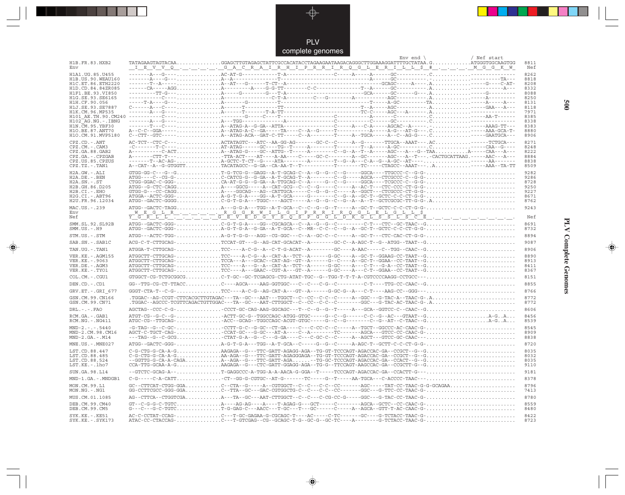

 $\begin{picture}(20,5) \put(0,0){\line(1,0){10}} \put(15,0){\line(1,0){10}} \put(15,0){\line(1,0){10}} \put(15,0){\line(1,0){10}} \put(15,0){\line(1,0){10}} \put(15,0){\line(1,0){10}} \put(15,0){\line(1,0){10}} \put(15,0){\line(1,0){10}} \put(15,0){\line(1,0){10}} \put(15,0){\line(1,0){10}} \put(15,0){\line(1,0){10}} \put(15,0){\line(1,$ 

 $\overline{\mathbb{R}}$ 

|                                              | ,,,,,<br>,,,,,,,                                                                                                                                                                                                                                                                                                                                                                                                                                     |              |
|----------------------------------------------|------------------------------------------------------------------------------------------------------------------------------------------------------------------------------------------------------------------------------------------------------------------------------------------------------------------------------------------------------------------------------------------------------------------------------------------------------|--------------|
| H1B.FR.83.HXB2                               | Env end $\langle$<br>/ Nef start                                                                                                                                                                                                                                                                                                                                                                                                                     | 8811         |
| Env                                          |                                                                                                                                                                                                                                                                                                                                                                                                                                                      | Nef          |
| H1A1.UG.85.U455                              | $\frac{1-\frac{1}{2}-\frac{1}{2}-\frac{1}{2}-\frac{1}{2}-\frac{1}{2}-\frac{1}{2}-\frac{1}{2}-\frac{1}{2}-\frac{1}{2}-\frac{1}{2}-\frac{1}{2}-\frac{1}{2}-\frac{1}{2}-\frac{1}{2}-\frac{1}{2}-\frac{1}{2}-\frac{1}{2}-\frac{1}{2}-\frac{1}{2}-\frac{1}{2}-\frac{1}{2}-\frac{1}{2}-\frac{1}{2}-\frac{1}{2}-\frac{1}{2}-\frac{1}{2}-\frac{1}{2}-\frac{1}{2}-\frac{1}{2}-\frac{1}{2}-\frac{1}{2$                                                         | 8262         |
| H1B. US. 90. WEAU160                         |                                                                                                                                                                                                                                                                                                                                                                                                                                                      | 8818         |
| H1C. ET. 86. ETH2220                         |                                                                                                                                                                                                                                                                                                                                                                                                                                                      | 8208         |
| H1D.CD.84.84ZR085                            |                                                                                                                                                                                                                                                                                                                                                                                                                                                      | 8332         |
| H1F1.BE.93.VT850<br>H1G.SE.93.SE6165         |                                                                                                                                                                                                                                                                                                                                                                                                                                                      | 8088<br>8250 |
| H1H.CF.90.056                                |                                                                                                                                                                                                                                                                                                                                                                                                                                                      | 8131         |
| H1J.SE.93.SE7887                             |                                                                                                                                                                                                                                                                                                                                                                                                                                                      | 8118         |
| H1K.CM.96.MP535                              |                                                                                                                                                                                                                                                                                                                                                                                                                                                      | 7971         |
| H101 AE.TH.90.CM240<br>$H102-AG.NG. - .IBNG$ |                                                                                                                                                                                                                                                                                                                                                                                                                                                      | 8385<br>8338 |
| H1N. CM. 95. YBF30                           |                                                                                                                                                                                                                                                                                                                                                                                                                                                      | 8383         |
| H10.BE.87.ANT70                              |                                                                                                                                                                                                                                                                                                                                                                                                                                                      | 8880         |
| H1O.CM.91.MVP5180                            |                                                                                                                                                                                                                                                                                                                                                                                                                                                      | 8906         |
| $\texttt{CPZ}$ . $\texttt{CD}$ .<br>- . ANT  | AC-TCT--CTC-C---ACTATAGTC---ATC--AA-GG-AG------GC-C--C-----A--G-------TTGCA--AAAT---.AC------TCTGCA---                                                                                                                                                                                                                                                                                                                                               | 8271         |
| CPZ.CM. - . CAM3                             | $-c$ -------T-C----AT-ATAG------GC----TG--T-----A-------T-------T--A-----A-GC---------C-----CAA--G----                                                                                                                                                                                                                                                                                                                                               | 8248         |
| CPZ.GA.88.GAB2                               | A---------C-ACTA--ATAG-G----GC--ATTG--T-----A-------C--G--A--T--A-----AGC---A---G--TAAA-----CAA---A---                                                                                                                                                                                                                                                                                                                                               | 8222<br>8884 |
| CPZ.GA.-.CPZGAB<br>CPZ.US.85.CPZUS           |                                                                                                                                                                                                                                                                                                                                                                                                                                                      | 8838         |
| CPZ.TZ.-.TAN1                                |                                                                                                                                                                                                                                                                                                                                                                                                                                                      | 8509         |
| H2A.GW.-.ALI                                 | $G TGG - GG - C - - - G - \ldots \ldots \ldots \ldots \ldots \ldots \ldots \ldots \ldots$                                                                                                                                                                                                                                                                                                                                                            | 9282         |
| H2A.DE.-.BEN                                 |                                                                                                                                                                                                                                                                                                                                                                                                                                                      | 9286         |
| $H2A.SN.-.ST$                                |                                                                                                                                                                                                                                                                                                                                                                                                                                                      | 8728         |
| H2B.GH.86.D205                               |                                                                                                                                                                                                                                                                                                                                                                                                                                                      | 9250         |
| H2B.CI.-.EHO<br>H2G.CI.-.ABT96               |                                                                                                                                                                                                                                                                                                                                                                                                                                                      | 9227<br>8671 |
| H2U.FR.96.12034                              |                                                                                                                                                                                                                                                                                                                                                                                                                                                      | 8762         |
| MAC.US.-.239                                 |                                                                                                                                                                                                                                                                                                                                                                                                                                                      | 9243         |
| Env                                          |                                                                                                                                                                                                                                                                                                                                                                                                                                                      |              |
| Nef                                          |                                                                                                                                                                                                                                                                                                                                                                                                                                                      | Nef          |
| SMM. SL. 92. SL92B                           |                                                                                                                                                                                                                                                                                                                                                                                                                                                      | 8691         |
| $SMM. US. - . H9$                            |                                                                                                                                                                                                                                                                                                                                                                                                                                                      | 8732         |
| STM.US.-.STM                                 | ATGG---ACTC-TGG-A-G-T-G-G---AGG--CG-GGC---C--A--GC-C------A--GC-T---CTC-CAC-CT-G-G-                                                                                                                                                                                                                                                                                                                                                                  | 8894         |
| SAB.SN. - . SAB1C                            |                                                                                                                                                                                                                                                                                                                                                                                                                                                      | 9087         |
| TAN.UG. - . TAN1                             |                                                                                                                                                                                                                                                                                                                                                                                                                                                      | 8906         |
| VER. KE. - . AGM155                          |                                                                                                                                                                                                                                                                                                                                                                                                                                                      | 8890         |
| VER.KE. - . 9063                             | $\texttt{ATGGCTT-CTTGCAG-}\dots\dots\dots\dots\dots\texttt{TCCA--A--G-CA--GCA--CH--AG--GT--A-----G--C----A--GC-T--GGAA--CC-TAAT--G\dots\dots\dots\dots\dots\dots\dots\dots\dots\dots\,.$                                                                                                                                                                                                                                                             | 8913         |
| VER.DE. - . AGM3                             |                                                                                                                                                                                                                                                                                                                                                                                                                                                      | 8411         |
| VER.KE. - . TYO1                             |                                                                                                                                                                                                                                                                                                                                                                                                                                                      | 8367         |
| COL.CM. - . CGU1                             | GTGGCT-CG-TCTGCGGCGC-T-GC--GC-TCGAGCG-CTG-ATAT-TGC--G--TGG-T-T-T-A-CGTCCCCAAGG-CCTGCC---                                                                                                                                                                                                                                                                                                                                                             | 8151         |
| DEN.CD. - .CD1                               |                                                                                                                                                                                                                                                                                                                                                                                                                                                      | 8855         |
| GRV.ET. - . GRI 677                          |                                                                                                                                                                                                                                                                                                                                                                                                                                                      | 8766         |
| GSN.CM.99.CN166                              | .TGGAC--AG-CCGT-CTTCACGCTTGTAGAC---TA--GC---AAT---TGGCT--C--CC--C--C------A--GGC---G-TAC-A--TAAC-G-.A                                                                                                                                                                                                                                                                                                                                                | 8772         |
| GSN.CM.99.CN71                               | .TGGAC--AGCCC-TCGTTCAGACTGTTGGAC---TA--GC---AAT-CTTGGCT--C--CC--C--C-------GGC---G-TAC-AC-TAAC-G-.A                                                                                                                                                                                                                                                                                                                                                  | 8772         |
| $DRL. - . - . FAO$                           | AGCTAG--CCC-C-G-CCCT-GC-CAG-AAG-GGCAGC---T--C--G--G--T-----A---GCA--GGTCC-C--CAAC--G                                                                                                                                                                                                                                                                                                                                                                 | 8606         |
|                                              |                                                                                                                                                                                                                                                                                                                                                                                                                                                      | 8456         |
| RCM.GA.-.GAB1<br>$RCM.NG. - . NG411$         | ATGC-CG--TTGCAG-ACC--GCAG--TGGCCAGC-ACGT-GTGC----G--C--G------C--G--AT--C-TAAC--GA-GA                                                                                                                                                                                                                                                                                                                                                                | 8539         |
| $MND-2. - - - 5440$                          |                                                                                                                                                                                                                                                                                                                                                                                                                                                      | 8545         |
| MND-2.CM.98.CM16                             | AGCT-C-TGCT-CAG-CCAT-GC---G-GC---AT-A----C--A-------TC------AGCA---GTCC-CC-CAAC-G-                                                                                                                                                                                                                                                                                                                                                                   | 8909         |
| $MND-2.GA.-.M14$                             | ---TAG--G--C-GCGCTAT-G-A--G--C---G-GA----C---C-GC-C--C-----A--AGCT---GTCC-GC-CAAC---                                                                                                                                                                                                                                                                                                                                                                 | 8838         |
| MNE.US. - . MNE027                           |                                                                                                                                                                                                                                                                                                                                                                                                                                                      | 8720         |
| LST.CD.88.447                                | C-G-CTG-G-CA-A-GAAGAGA--G---TTC-GATT-AGAGG-AGA--TG-GT-TCCCAGT-AGACCAC-GA--CCGCT--G--G                                                                                                                                                                                                                                                                                                                                                                | 8035         |
| LST.CD.88.485                                |                                                                                                                                                                                                                                                                                                                                                                                                                                                      | 8032         |
| LST.CD.88.524                                | --GGTTG-G-CA-A-CAGAA--AGA--G---TTC-GATT-AGA--TG-GC-TCCCAGT-AGACCAC-GA--CCACT--G--G                                                                                                                                                                                                                                                                                                                                                                   | 8035         |
| LST.KE.-.lho7                                | CCA-TTG-GCAA-A-GAAGAGA--G---CTC-GATT-GGAGG-AGA--TG-G--TTCCAGT-AAGCCAC-GA--CCGCTT-G--G                                                                                                                                                                                                                                                                                                                                                                | 9110         |
| SUN.GA.98.L14                                | --GTCTC-GCAG-A--T-GAGGCCC-A-TGG-A-A-AACA-G-GGA--T-----TCCCAGT-AGACCAC-GA--CCACTT-G---                                                                                                                                                                                                                                                                                                                                                                | 9181         |
| MND-1.GA.-.MNDGB1                            | $\verb C-G----C-A-CATT  \ldots \verb   \ldots \verb   \ldots \verb +CCG-T-G-CGTGC--AT-G---T-G---TC----CA-T-G---AA-TGCA---C-ACCCC-TAAC--- \ldots \verb   \ldots \verb   \ldots \verb   \ldots \verb +  \ldots \verb +  \ldots \verb +  \ldots \verb +  \ldots \verb +  \ldots \verb +  \ldots \verb +  \ldots \verb +  \ldots \verb +  \ldots \verb +  \ldots \verb +  \ldots \verb +  \ldots \verb +  \ldots \verb +  \ldots \verb +  \ldots \verb $ | 8378         |
| MON.CM.99.L1                                 |                                                                                                                                                                                                                                                                                                                                                                                                                                                      | 8796         |
| MON.NG.-.NG1                                 | GG-CCTTCGCC-GGG-GGAC--TTA--GC---GAC-CGTGGCTG-C--C---C-C--CC-------GGC---G-TTC-CC-TAAC-G-                                                                                                                                                                                                                                                                                                                                                             | 7413         |
| MUS.CM.01.1085                               | AG--CTTCA--CTGGTCGAA---TA--GC---AAT-CTTGGCT--C--C--C-CC-G-----GGC---G-TAC-CC-TAAC-G-                                                                                                                                                                                                                                                                                                                                                                 | 8780         |
| DEB.CM.99.CM40                               |                                                                                                                                                                                                                                                                                                                                                                                                                                                      | 8559         |
| DEB.CM.99.CM5                                |                                                                                                                                                                                                                                                                                                                                                                                                                                                      | 8480         |
| $SYK.KE. - .KE51$                            | AC-C-CCTAT-CCAG-C---T-GC-GAGAA-G-CGCAGC-T----AC------C-TC-------GC----G-TCTACC-TAAC-G-                                                                                                                                                                                                                                                                                                                                                               | 8422         |
| SYK.KE. - . SYK173                           | ATAC-CC-CTACCAG-C---T-GTCGAG--CG--GCAGC-T-G--GC-G--TC-----A-------G-TCTACC-TAAC-G-                                                                                                                                                                                                                                                                                                                                                                   | 8723         |
|                                              |                                                                                                                                                                                                                                                                                                                                                                                                                                                      |              |

 $\overline{\blacklozenge}$ 

**PLV Complete Genomes 500 PLV Complete Genomes** 

 $\begin{picture}(20,5) \put(0,0){\line(1,0){10}} \put(15,0){\line(1,0){10}} \put(15,0){\line(1,0){10}} \put(15,0){\line(1,0){10}} \put(15,0){\line(1,0){10}} \put(15,0){\line(1,0){10}} \put(15,0){\line(1,0){10}} \put(15,0){\line(1,0){10}} \put(15,0){\line(1,0){10}} \put(15,0){\line(1,0){10}} \put(15,0){\line(1,0){10}} \put(15,0){\line(1,$ 

 $\sqrt{2}$ 

**900** 

 $\Box$ 

 $\blacksquare$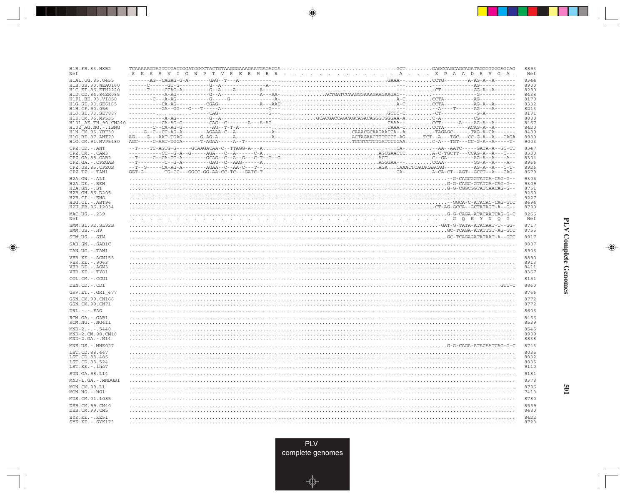| H1B.FR.83.HXB2<br>Nef                    |                                                                                                                                                                                                                                                                                                                                                                                                                          | 8893<br>Nef  |
|------------------------------------------|--------------------------------------------------------------------------------------------------------------------------------------------------------------------------------------------------------------------------------------------------------------------------------------------------------------------------------------------------------------------------------------------------------------------------|--------------|
| H1A1.UG.85.U455<br>H1B. US. 90. WEAU160  |                                                                                                                                                                                                                                                                                                                                                                                                                          | 8344<br>8900 |
| H1C.ET.86.ETH2220<br>H1D.CD.84.84ZR085   |                                                                                                                                                                                                                                                                                                                                                                                                                          | 8290<br>8438 |
| H1F1.BE.93.VI850<br>H1G.SE.93.SE6165     |                                                                                                                                                                                                                                                                                                                                                                                                                          | 8170<br>8332 |
| H1H.CF.90.056<br>H1J.SE.93.SE7887        |                                                                                                                                                                                                                                                                                                                                                                                                                          | 8213<br>8191 |
| H1K.CM.96.MP535                          | $\texttt{AGG}--\texttt{AG}-\texttt{GG}-\texttt{G}-\texttt{G}-\texttt{G}-\texttt{G}-\texttt{G}-\texttt{G}-\texttt{G}-\texttt{G}-\texttt{G}-\texttt{G}-\texttt{G}-\texttt{G}-\texttt{G}-\texttt{G}-\texttt{G}-\texttt{G}-\texttt{G}-\texttt{G}-\texttt{G}-\texttt{G}-\texttt{G}-\texttt{G}-\texttt{G}-\texttt{G}-\texttt{G}-\texttt{G}-\texttt{G}-\texttt{G}-\texttt{G}-\texttt{G}-\texttt{G}-\texttt{G}-\texttt{G}-\text$ | 8080         |
| H101 AE.TH.90.CM240<br>H102 AG.NG.-.IBNG |                                                                                                                                                                                                                                                                                                                                                                                                                          | 8467<br>8420 |
| H1N. CM. 95. YBF30<br>H10.BE.87.ANT70    |                                                                                                                                                                                                                                                                                                                                                                                                                          | 8480<br>8980 |
| H1O.CM.91.MVP5180                        |                                                                                                                                                                                                                                                                                                                                                                                                                          | 9003         |
| CPZ.CD. - . ANT<br>CPZ.CM. - . CAM3      |                                                                                                                                                                                                                                                                                                                                                                                                                          | 8347<br>8330 |
| CPZ.GA.88.GAB2<br>CPZ.GA. - . CPZGAB     |                                                                                                                                                                                                                                                                                                                                                                                                                          | 8304<br>8966 |
| CPZ.US.85.CPZUS                          |                                                                                                                                                                                                                                                                                                                                                                                                                          | 8926         |
| $CPZ.TZ.-.TAN1$<br>$H2A.GW.-.ALI$        |                                                                                                                                                                                                                                                                                                                                                                                                                          | 8579<br>9305 |
| H2A.DE. - .BEN<br>$H2A.SN.-.ST$          |                                                                                                                                                                                                                                                                                                                                                                                                                          | 9309<br>8751 |
| H2B.GH.86.D205                           |                                                                                                                                                                                                                                                                                                                                                                                                                          | 9250         |
| H2B.CI.-.EHO<br>H2G.CI. - . ABT96        |                                                                                                                                                                                                                                                                                                                                                                                                                          | 9227<br>8694 |
| H2U.FR.96.12034                          |                                                                                                                                                                                                                                                                                                                                                                                                                          | 8790         |
| MAC.US. - . 239<br>Nef                   |                                                                                                                                                                                                                                                                                                                                                                                                                          | 9266<br>Nef  |
| SMM.SL.92.SL92B<br>$SMM.US.-.H9$         |                                                                                                                                                                                                                                                                                                                                                                                                                          | 8717<br>8755 |
| STM.US.-.STM                             |                                                                                                                                                                                                                                                                                                                                                                                                                          | 8917         |
| SAB.SN. - . SAB1C                        |                                                                                                                                                                                                                                                                                                                                                                                                                          | 9087         |
| TAN.UG. - . TAN1<br>VER. KE. - . AGM155  |                                                                                                                                                                                                                                                                                                                                                                                                                          | 8906<br>8890 |
| VER. KE. - . 9063                        |                                                                                                                                                                                                                                                                                                                                                                                                                          | 8913         |
| VER.DE. - . AGM3<br>VER.KE. - . TYO1     |                                                                                                                                                                                                                                                                                                                                                                                                                          | 8411<br>8367 |
| COL.CM. - . CGU1                         |                                                                                                                                                                                                                                                                                                                                                                                                                          | 8151         |
| DEN.CD. - .CD1                           | . GTT-C                                                                                                                                                                                                                                                                                                                                                                                                                  | 8860         |
| GRV.ET. - . GRI 677<br>GSN.CM.99.CN166   |                                                                                                                                                                                                                                                                                                                                                                                                                          | 8766<br>8772 |
| GSN.CM.99.CN71                           |                                                                                                                                                                                                                                                                                                                                                                                                                          | 8772         |
| $DRL$ . - . - . $FAO$                    |                                                                                                                                                                                                                                                                                                                                                                                                                          | 8606         |
| RCM.GA. - . GAB1<br>RCM.NG. - . NG411    |                                                                                                                                                                                                                                                                                                                                                                                                                          | 8456<br>8539 |
| $MND-2. - - - 5440$<br>MND-2.CM.98.CM16  |                                                                                                                                                                                                                                                                                                                                                                                                                          | 8545<br>8909 |
| $MND-2.GA.-.M14$                         |                                                                                                                                                                                                                                                                                                                                                                                                                          | 8838         |
| MNE.US. - . MNE027                       |                                                                                                                                                                                                                                                                                                                                                                                                                          | 8743         |
| LST.CD.88.447<br>LST.CD.88.485           |                                                                                                                                                                                                                                                                                                                                                                                                                          | 8035<br>8032 |
| LST.CD.88.524<br>LST.KE. - . lho7        |                                                                                                                                                                                                                                                                                                                                                                                                                          | 8035<br>9110 |
| SUN.GA.98.L14                            |                                                                                                                                                                                                                                                                                                                                                                                                                          | 9181         |
| MND-1.GA.-.MNDGB1                        |                                                                                                                                                                                                                                                                                                                                                                                                                          | 8378         |
| MON.CM.99.L1<br>MON.NG.-.NG1             |                                                                                                                                                                                                                                                                                                                                                                                                                          | 8796<br>7413 |
| MUS.CM.01.1085                           |                                                                                                                                                                                                                                                                                                                                                                                                                          | 8780         |
| DEB.CM.99.CM40<br>DEB.CM.99.CM5          |                                                                                                                                                                                                                                                                                                                                                                                                                          | 8559<br>8480 |
| SYK.KE. - . KE51<br>$SYK.KE. - .SYK173$  |                                                                                                                                                                                                                                                                                                                                                                                                                          | 8422<br>8723 |
|                                          |                                                                                                                                                                                                                                                                                                                                                                                                                          |              |

<u>ra ma</u>

 $\overrightarrow{\phantom{a}}$ 

 $\overline{\hphantom{m}}$ 

**PLV Complete Genomes** 

 $\begin{picture}(20,5) \put(0,0){\line(1,0){10}} \put(15,0){\line(1,0){10}} \put(15,0){\line(1,0){10}} \put(15,0){\line(1,0){10}} \put(15,0){\line(1,0){10}} \put(15,0){\line(1,0){10}} \put(15,0){\line(1,0){10}} \put(15,0){\line(1,0){10}} \put(15,0){\line(1,0){10}} \put(15,0){\line(1,0){10}} \put(15,0){\line(1,0){10}} \put(15,0){\line(1,$ 

 $\equiv$ 

<u> a mare d</u>

 $\mathbf{I}$ 

109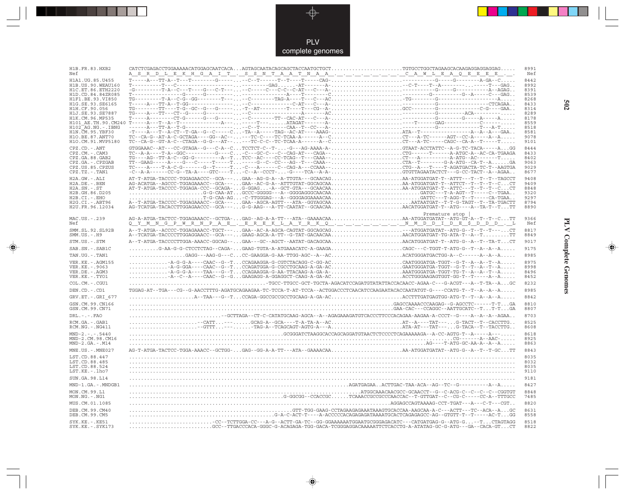PLV complete genomes

---

 $\Rightarrow$ 

| H1B.FR.83.HXB2<br>Nef              | <u>A S R D L E K H G A I T . S S N T A A T N A A C A W L E A Q E E E E E</u>                                                                                                                                                                                                                                                                                                                                                                                                         | 8991<br>Nef  |
|------------------------------------|--------------------------------------------------------------------------------------------------------------------------------------------------------------------------------------------------------------------------------------------------------------------------------------------------------------------------------------------------------------------------------------------------------------------------------------------------------------------------------------|--------------|
| H1A1.UG.85.U455                    |                                                                                                                                                                                                                                                                                                                                                                                                                                                                                      | 8442         |
| H1B. US. 90. WEAU160               |                                                                                                                                                                                                                                                                                                                                                                                                                                                                                      | 8992         |
|                                    |                                                                                                                                                                                                                                                                                                                                                                                                                                                                                      | 8391         |
|                                    |                                                                                                                                                                                                                                                                                                                                                                                                                                                                                      | 8539         |
|                                    |                                                                                                                                                                                                                                                                                                                                                                                                                                                                                      | 8268         |
|                                    |                                                                                                                                                                                                                                                                                                                                                                                                                                                                                      | 8433<br>8314 |
|                                    |                                                                                                                                                                                                                                                                                                                                                                                                                                                                                      | 8289         |
|                                    |                                                                                                                                                                                                                                                                                                                                                                                                                                                                                      | 8178         |
|                                    |                                                                                                                                                                                                                                                                                                                                                                                                                                                                                      | 8559         |
|                                    |                                                                                                                                                                                                                                                                                                                                                                                                                                                                                      | 8518         |
|                                    |                                                                                                                                                                                                                                                                                                                                                                                                                                                                                      | 8581         |
|                                    |                                                                                                                                                                                                                                                                                                                                                                                                                                                                                      | 9078         |
|                                    |                                                                                                                                                                                                                                                                                                                                                                                                                                                                                      | 9101         |
| $CPZ$ . $CD$ . - .ANT              |                                                                                                                                                                                                                                                                                                                                                                                                                                                                                      | 8444         |
| CPZ.CM.-.CAM3                      |                                                                                                                                                                                                                                                                                                                                                                                                                                                                                      | 8433         |
| CPZ.GA.88.GAB2<br>CPZ.GA.-.CPZGAB  |                                                                                                                                                                                                                                                                                                                                                                                                                                                                                      | 8402<br>9063 |
| CPZ.US.85.CPZUS                    |                                                                                                                                                                                                                                                                                                                                                                                                                                                                                      | 9029         |
| CPZ.TZ.-.TAN1                      |                                                                                                                                                                                                                                                                                                                                                                                                                                                                                      | 8677         |
| H2A.GW.-.ALI                       |                                                                                                                                                                                                                                                                                                                                                                                                                                                                                      | 9408         |
| H2A.DE. - .BEN                     |                                                                                                                                                                                                                                                                                                                                                                                                                                                                                      | 9409         |
| $H2A.SN.-.ST$                      |                                                                                                                                                                                                                                                                                                                                                                                                                                                                                      | 8848         |
| H2B.GH.86.D205                     |                                                                                                                                                                                                                                                                                                                                                                                                                                                                                      | 9320         |
| H2B.CI.-.EHO                       |                                                                                                                                                                                                                                                                                                                                                                                                                                                                                      | 9297         |
| H2G.CI.-.ABT96                     |                                                                                                                                                                                                                                                                                                                                                                                                                                                                                      | 8794         |
| H2U.FR.96.12034                    | $\begin{array}{lllllllll} \texttt{A1} & \texttt{A2} & \texttt{A3} & \texttt{A4} & \texttt{A5} & \texttt{A6} & \texttt{A8} & \texttt{A8} & \texttt{A8} & \texttt{A8} & \texttt{A8} & \texttt{A8} & \texttt{A8} & \texttt{A8} & \texttt{A8} & \texttt{A8} & \texttt{A8} & \texttt{A8} & \texttt{A8} & \texttt{A8} & \texttt{A8} & \texttt{A8} & \texttt{A8} & \texttt{A8} & \texttt{A8} & \texttt{A8} & \$                                                                             | 8890         |
|                                    | Premature stop                                                                                                                                                                                                                                                                                                                                                                                                                                                                       |              |
| MAC.US.-.239                       | AG-A-ATGA-TACTCC-TGGAGAAACC--GCTGA-GAG--AG-A-A-TT---ATA--GAAAACAAAA-ATGGATGATAT--ATG-GT-A--T--T--CTT                                                                                                                                                                                                                                                                                                                                                                                 | 9366         |
| Nef                                | <u>Q Y M N G P W R N P A E . E R E K L A Y R K Q N M D D I D E \$ D D D . L</u>                                                                                                                                                                                                                                                                                                                                                                                                      | Nef          |
| SMM.SL.92.SL92B                    | A--T-ATGA--ACCCC-TGGAGAAACC-TGCT---GAA--AC-A-AGCA-CAGTAT-GGCAGCAG--ATGGATGATAT--ATG-G--T--T--T---CT                                                                                                                                                                                                                                                                                                                                                                                  | 8817         |
| $SMM.US.-.H9$                      | A--TCATGA-TACCCCTTGGAGGAACC--GCA---GAAG-AGCA-A-TT--G-TAT-GACAACAAAACATGGATGAT-TG-ATA-T--A--TTT                                                                                                                                                                                                                                                                                                                                                                                       | 8849         |
| STM.US.-.STM                       | A--T-ATGA-TACCCCTTGGA-AAACC-GGCAG--GAA---GC--AGCT--AATAT-GACAGCAAAACATGGATGAT-T--ATG-G--A--T--TA-TCT                                                                                                                                                                                                                                                                                                                                                                                 | 9017         |
| SAB.SN.-.SAB1C                     | G-AA-G-G-CTCCTCTAG--CAGA-GAAG-TGTA-A-ATGAAACATC-A-GAAGACAGC---C-TGGT-T-ATG-G--T--A--A                                                                                                                                                                                                                                                                                                                                                                                                | 9175         |
| TAN.UG. - . TAN1                   | $\ldots \ldots \ldots \ldots \ldots \ldots \ldots \ldots \ldots$                                                                                                                                                                                                                                                                                                                                                                                                                     | 8985         |
| VER. KE. - . AGM155                | $\begin{minipage}[t]{.001\textwidth} \begin{minipage}[t]{0.99\textwidth} \begin{minipage}[t]{0.99\textwidth} \begin{minipage}[t]{0.99\textwidth} \begin{minipage}[t]{0.99\textwidth} \begin{minipage}[t]{0.99\textwidth} \begin{minipage}[t]{0.99\textwidth} \begin{minipage}[t]{0.99\textwidth} \begin{minipage}[t]{0.99\textwidth} \begin{minipage}[t]{0.99\textwidth} \begin{minipage}[t]{0.99\textwidth} \begin{minipage}[t]{0.99\textwidth} \begin{minipage}[t]{0.99\textwidth$ | 8975         |
| VER.KE. - . 9063                   |                                                                                                                                                                                                                                                                                                                                                                                                                                                                                      | 8998         |
| VER.DE. - . AGM3                   |                                                                                                                                                                                                                                                                                                                                                                                                                                                                                      | 8496         |
| VER.KE. - . TYO1                   |                                                                                                                                                                                                                                                                                                                                                                                                                                                                                      | 8452         |
| COL.CM. - . CGU1                   |                                                                                                                                                                                                                                                                                                                                                                                                                                                                                      | 8232         |
| DEN.CD. - .CD1                     | TGGAG-AT--TGA---CG--G-AACCTTTG-AGATGCAGAAGAA-TC-TCCA-T-AT-TCCA--ACTGGACCCTCAACATCCAAGAATACACCAATATGT-G----CCATG-T--T--A--A--A                                                                                                                                                                                                                                                                                                                                                        | 8985         |
| GRV.ET. - . GRI 677                |                                                                                                                                                                                                                                                                                                                                                                                                                                                                                      | 8842         |
| GSN.CM.99.CN166                    |                                                                                                                                                                                                                                                                                                                                                                                                                                                                                      | 8810         |
| GSN.CM.99.CN71                     |                                                                                                                                                                                                                                                                                                                                                                                                                                                                                      | 8807         |
| $DRL$ . - . - . $FAO$              | -GCTTAGA--CT-C-CATATGCAAG-AGCA--A--AGAGAAAGATGTCACCCTTCCCACAGAA-AAGAA-A-CCCT--G----A--A--A--AGAA                                                                                                                                                                                                                                                                                                                                                                                     | 8703         |
| RCM.GA.-.GAB1                      |                                                                                                                                                                                                                                                                                                                                                                                                                                                                                      | 8525         |
| $RCM.NG. - . NG411$                |                                                                                                                                                                                                                                                                                                                                                                                                                                                                                      | 8608         |
| $MND-2. - - - 5440$                |                                                                                                                                                                                                                                                                                                                                                                                                                                                                                      | 8618         |
| MND-2.CM.98.CM16                   |                                                                                                                                                                                                                                                                                                                                                                                                                                                                                      | 8925         |
| $MND-2.GA.-.M14$                   |                                                                                                                                                                                                                                                                                                                                                                                                                                                                                      | 8863         |
| MNE.US.-.MNE027                    | AG-T-ATGA-TACTCC-TGGA-AAACC--GCTGG-GAG--GG-A-A-TT---ATA--GAAAACAAAA-ATGGATGATAT--ATG-G--A--T--T-GCTT                                                                                                                                                                                                                                                                                                                                                                                 | 8843         |
| LST.CD.88.447                      |                                                                                                                                                                                                                                                                                                                                                                                                                                                                                      | 8035         |
| LST.CD.88.485                      |                                                                                                                                                                                                                                                                                                                                                                                                                                                                                      | 8032         |
| LST.CD.88.524                      |                                                                                                                                                                                                                                                                                                                                                                                                                                                                                      | 8035         |
| LST.KE. - . lho7                   |                                                                                                                                                                                                                                                                                                                                                                                                                                                                                      | 9110         |
| SUN.GA.98.L14                      |                                                                                                                                                                                                                                                                                                                                                                                                                                                                                      | 9181         |
| MND-1.GA.-.MNDGB1                  |                                                                                                                                                                                                                                                                                                                                                                                                                                                                                      | 8427         |
| MON.CM.99.L1                       |                                                                                                                                                                                                                                                                                                                                                                                                                                                                                      | 8848         |
| $MON.NG. - . NG1$                  |                                                                                                                                                                                                                                                                                                                                                                                                                                                                                      | 7485         |
| MUS.CM.01.1085                     |                                                                                                                                                                                                                                                                                                                                                                                                                                                                                      | 8820         |
|                                    |                                                                                                                                                                                                                                                                                                                                                                                                                                                                                      |              |
| DEB. CM. 99. CM40<br>DEB.CM.99.CM5 | GC - GAAG-CCTAGAAGAGAAATAAAGTGCACCAA-AAGCAA-A-C---ACTT---TC--ACA--AGC                                                                                                                                                                                                                                                                                                                                                                                                                | 8631<br>8558 |
| SYK.KE. - . KE51                   |                                                                                                                                                                                                                                                                                                                                                                                                                                                                                      | 8518         |
| SYK.KE. - . SYK173                 |                                                                                                                                                                                                                                                                                                                                                                                                                                                                                      | 8822         |
|                                    |                                                                                                                                                                                                                                                                                                                                                                                                                                                                                      |              |

 $\begin{picture}(20,5) \put(0,0){\vector(0,1){10}} \put(15,0){\vector(0,1){10}} \put(15,0){\vector(0,1){10}} \put(15,0){\vector(0,1){10}} \put(15,0){\vector(0,1){10}} \put(15,0){\vector(0,1){10}} \put(15,0){\vector(0,1){10}} \put(15,0){\vector(0,1){10}} \put(15,0){\vector(0,1){10}} \put(15,0){\vector(0,1){10}} \put(15,0){\vector(0,1){10}} \put(15,0){\vector(0,$ 

**PLV Complete Genomes 502 PLV Complete Genomes** 

 $\begin{picture}(20,5) \put(0,0){\line(1,0){10}} \put(15,0){\line(1,0){10}} \put(15,0){\line(1,0){10}} \put(15,0){\line(1,0){10}} \put(15,0){\line(1,0){10}} \put(15,0){\line(1,0){10}} \put(15,0){\line(1,0){10}} \put(15,0){\line(1,0){10}} \put(15,0){\line(1,0){10}} \put(15,0){\line(1,0){10}} \put(15,0){\line(1,0){10}} \put(15,0){\line(1,$ 

 $\Box$ 

 $502$ 

**Si** si

<u> 1991 - 1991 - 1991 - 1991 - 1991 - 1991 - 1991 - 1991 - 1991 - 1991 - 1991 - 1991 - 1991 - 1991 - 1991 - 199</u>

- II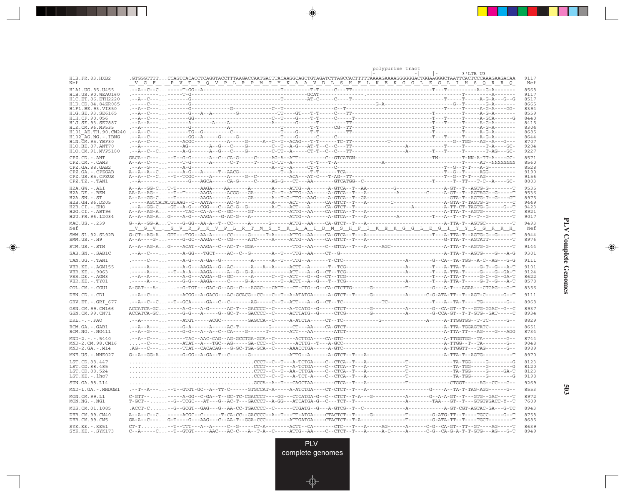|                                            | polypurine tract                                                                                                                                                                                                                   |              |
|--------------------------------------------|------------------------------------------------------------------------------------------------------------------------------------------------------------------------------------------------------------------------------------|--------------|
| H1B.FR.83.HXB2<br>Nef                      | 3'LTR U3<br>.GTGGGTTTTCCAGTCACACTCAGGTACCTTTAAGACCAATGACTTACAAGGCAGCTGTAGATCTTAGCCACTTTTTÄAAAGAAAAGGGGGACTGGAÀGGGCTAATTCACTCCCAAAGAAGACAA<br>V G F . P V T P Q V P L R P M T Y K A A V D L S H F L K E K G G L E G L I H S Q R R Q | 9117<br>Nef  |
| H1A1. UG. 85. U455<br>H1B. US. 90. WEAU160 |                                                                                                                                                                                                                                    | 8568<br>9117 |
| H1C.ET.86.ETH2220<br>H1D.CD.84.84ZR085     |                                                                                                                                                                                                                                    | 8517<br>8665 |
| H1F1 BE 93 VI850                           |                                                                                                                                                                                                                                    | 8394         |
| H1G.SE.93.SE6165                           |                                                                                                                                                                                                                                    | 8559         |
| H1H.CF.90.056<br>H1J.SE.93.SE7887          |                                                                                                                                                                                                                                    | 8440<br>8415 |
| H1K.CM.96.MP535                            |                                                                                                                                                                                                                                    | 8304         |
| H101 AE.TH.90.CM240                        |                                                                                                                                                                                                                                    | 8685         |
| $H102 AG.NG.-IBNG$<br>H1N.CM.95.YBF30      |                                                                                                                                                                                                                                    | 8644<br>8707 |
| H1O.BE.87.ANT70                            |                                                                                                                                                                                                                                    | 9204         |
| H1O.CM.91.MVP5180                          |                                                                                                                                                                                                                                    | 9227         |
| CPZ.CD. - . ANT                            | $\texttt{GACA--C---}\dots\cdot\texttt{-T--G-G----A--C--CA-G----C----AG-A--ATT-----C--GTCATGN---\dots\cdot\texttt{-GTCAT-M--C---T-NN--A-TT-A----GC--C--CT-MT-AC-A--ATT--C--GTCATGN---\dots\cdot\texttt{-GTCAT}$                     | 8571         |
| CPZ.CM. - . CAM3<br>CPZ.GA.88.GAB2         |                                                                                                                                                                                                                                    | 8560<br>8528 |
| CPZ.GA. - . CPZGAB                         |                                                                                                                                                                                                                                    | 9190         |
| CPZ.US.85.CPZUS                            |                                                                                                                                                                                                                                    | 9156         |
| $CPZ.TZ.-.TAN1$                            |                                                                                                                                                                                                                                    | 8803         |
| H2A.GW.-.ALI                               |                                                                                                                                                                                                                                    | 9535         |
| H2A.DE. - . BEN<br>$H2A.SN.-.ST$           |                                                                                                                                                                                                                                    | 9536<br>8975 |
| H2B.GH.86.D205                             |                                                                                                                                                                                                                                    | 9449         |
| $H2B.CI.-EHO$                              |                                                                                                                                                                                                                                    | 9423         |
| H2G.CI.-.ABT96<br>H2U.FR.96.12034          |                                                                                                                                                                                                                                    | 8921<br>9017 |
|                                            |                                                                                                                                                                                                                                    | 9493         |
| MAC.US.-.239<br>Nef                        | V G V . S V R P K V P L R T M S Y K L A I D M S H F I K E K G G L E G I Y Y S G R R H                                                                                                                                              | Nef          |
| SMM.SL.92.SL92B                            |                                                                                                                                                                                                                                    | 8944         |
| $SMM.US. - . H9$                           |                                                                                                                                                                                                                                    | 8976         |
| STM.US.-.STM                               |                                                                                                                                                                                                                                    | 9144         |
| SAB.SN. - . SAB1C                          |                                                                                                                                                                                                                                    | 9301         |
| TAN.UG. - . TAN1                           |                                                                                                                                                                                                                                    | 9111         |
| VER. KE. - . AGM155                        |                                                                                                                                                                                                                                    | 9101         |
| VER.KE. - . 9063                           |                                                                                                                                                                                                                                    | 9124         |
| VER.DE. - . AGM3<br>VER.KE. - . TYO1       |                                                                                                                                                                                                                                    | 8622<br>8578 |
| COL.CM. - . CGU1                           | $\verb A-GAT--A- \ldots .-G-TGT---GAC-G--AG--C---AGGC---CATT--CT--CT-G--G--CA-CTCTTG----G---G----G---T---T-----T---G---A-T---AGAA---CTGAG---G-T$                                                                                   | 8356         |
| DEN.CD. - .CD1                             |                                                                                                                                                                                                                                    | 9111         |
| GRV.ET. - .GRI 677                         |                                                                                                                                                                                                                                    | 8968         |
| GSN.CM.99.CN166                            |                                                                                                                                                                                                                                    | 8937         |
| GSN.CM.99.CN71                             |                                                                                                                                                                                                                                    | 8934         |
| DRL.-.-.FAO                                |                                                                                                                                                                                                                                    | 8829<br>8651 |
| RCM.GA.-.GAB1<br>RCM.NG. - . NG411         |                                                                                                                                                                                                                                    | 8734         |
| $MND-2. - - - 5440$                        |                                                                                                                                                                                                                                    | 8744         |
| MND-2.CM.98.CM16                           |                                                                                                                                                                                                                                    | 9048         |
| $MND-2.GA.-.M14$                           |                                                                                                                                                                                                                                    | 8989         |
| MNE.US. - . MNE027                         |                                                                                                                                                                                                                                    | 8970         |
| LST.CD.88.447                              |                                                                                                                                                                                                                                    | 8123         |
| LST.CD.88.485<br>LST.CD.88.524             |                                                                                                                                                                                                                                    | 8120<br>8123 |
| LST.KE. - . lho7                           |                                                                                                                                                                                                                                    | 9198         |
| SUN.GA.98.L14                              |                                                                                                                                                                                                                                    | 9269         |
| MND-1.GA.-.MNDGB1                          |                                                                                                                                                                                                                                    | 8553         |
| MON.CM.99.L1                               |                                                                                                                                                                                                                                    | 8972         |
| $MON.NG. -.NG1$                            |                                                                                                                                                                                                                                    | 7609         |
| MUS.CM.01.1085                             |                                                                                                                                                                                                                                    | 8943         |
| DEB.CM.99.CM40<br>DEB.CM.99.CM5            | A--A--C--C-----ACGC--C------T-CA-CC--GACCCC--A--T---TT-ATGA----CTACTCT--T-----G---------T------G-ATG-TT--T----TGCC-----G--T                                                                                                        | 8758<br>8685 |
| SYK.KE. - . KE51                           |                                                                                                                                                                                                                                    | 8639         |
| SYK.KE. - . SYK173                         | C--A-----C--T--GTGT-----AAC---AC-C---A--T-A--C-----ATTG--AA----C--CTCT--T---A-----A-C----A-----C-G--CA-G-A-T-T-GTG---AG---G-T                                                                                                      | 8949         |

an an Tar

 $\overrightarrow{\phantom{a}}$ 

 $\frac{\displaystyle \rule{1.2cm}{0.15cm}}{\displaystyle \rule{1.2cm}{0.15cm}}$ 

**PLV Complete Genomes PLV Complete Genomes**

 $\begin{array}{c} \hline \end{array}$ 

 $\begin{picture}(20,5) \put(0,0){\line(1,0){10}} \put(15,0){\line(1,0){10}} \put(15,0){\line(1,0){10}} \put(15,0){\line(1,0){10}} \put(15,0){\line(1,0){10}} \put(15,0){\line(1,0){10}} \put(15,0){\line(1,0){10}} \put(15,0){\line(1,0){10}} \put(15,0){\line(1,0){10}} \put(15,0){\line(1,0){10}} \put(15,0){\line(1,0){10}} \put(15,0){\line(1,$ 

 $\equiv$ 

<u> a mare d</u>

 $\mathbf{I}$ 

**503**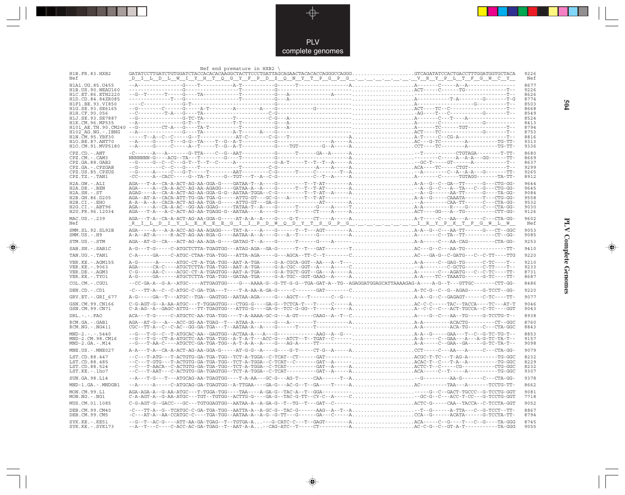

 $\Rightarrow$ 

|                                         | Nef end premature in $HXB2$                                                                                                                                                                                                                                                                                                                       |  |              |
|-----------------------------------------|---------------------------------------------------------------------------------------------------------------------------------------------------------------------------------------------------------------------------------------------------------------------------------------------------------------------------------------------------|--|--------------|
| H1B.FR.83.HXB2<br>Nef                   |                                                                                                                                                                                                                                                                                                                                                   |  | 9226<br>Nef  |
|                                         |                                                                                                                                                                                                                                                                                                                                                   |  | 8677         |
|                                         |                                                                                                                                                                                                                                                                                                                                                   |  | 9226<br>8626 |
|                                         |                                                                                                                                                                                                                                                                                                                                                   |  | 8774         |
|                                         |                                                                                                                                                                                                                                                                                                                                                   |  | 8503<br>8668 |
|                                         |                                                                                                                                                                                                                                                                                                                                                   |  | 8549         |
|                                         |                                                                                                                                                                                                                                                                                                                                                   |  | 8524<br>8413 |
|                                         |                                                                                                                                                                                                                                                                                                                                                   |  | 8794         |
|                                         |                                                                                                                                                                                                                                                                                                                                                   |  | 8753<br>8816 |
|                                         |                                                                                                                                                                                                                                                                                                                                                   |  | 9313<br>9336 |
| CPZ.CD. - . ANT                         |                                                                                                                                                                                                                                                                                                                                                   |  | 8680         |
| CPZ.CM. - . CAM3                        |                                                                                                                                                                                                                                                                                                                                                   |  | 8669         |
| CPZ.GA.88.GAB2<br>CPZ.GA. - . CPZGAB    |                                                                                                                                                                                                                                                                                                                                                   |  | 8637<br>9299 |
| CPZ.US.85.CPZUS                         |                                                                                                                                                                                                                                                                                                                                                   |  | 9265         |
| $CPZ.TZ. - . TAN1$<br>H2A.GW.-.ALI      | $\texttt{AGA--T-A--CA-A-ACT-AG-AA-GGA-G---GATAA-T--A----G---G---T-T-T-AT---A.\dots\dots\dots\dots\dots\dots\dots A-A--G--C--GA--TT---G---GG--CTG-GG--T$                                                                                                                                                                                           |  | 8912<br>9644 |
| H2A.DE. - . BEN                         |                                                                                                                                                                                                                                                                                                                                                   |  | 9645         |
| $H2A.SN.-.ST$<br>H2B.GH.86.D205         |                                                                                                                                                                                                                                                                                                                                                   |  | 9084<br>9558 |
| $H2B.CI.-.EHO$                          |                                                                                                                                                                                                                                                                                                                                                   |  | 9532         |
| H2G.CI. - . ABT96<br>H2U.FR.96.12034    |                                                                                                                                                                                                                                                                                                                                                   |  | 9030<br>9126 |
| MAC.US.-.239                            |                                                                                                                                                                                                                                                                                                                                                   |  | 9602         |
| Nef                                     |                                                                                                                                                                                                                                                                                                                                                   |  | Nef          |
| SMM. SL. 92. SL92B<br>$SMM.US.-.H9$     |                                                                                                                                                                                                                                                                                                                                                   |  | 9053<br>9085 |
| STM.US.-.STM                            |                                                                                                                                                                                                                                                                                                                                                   |  | 9253         |
| SAB.SN. - . SAB1C                       |                                                                                                                                                                                                                                                                                                                                                   |  | 9410         |
| TAN.UG. - . TAN1                        |                                                                                                                                                                                                                                                                                                                                                   |  | 9220         |
| VER. KE. - . AGM155                     |                                                                                                                                                                                                                                                                                                                                                   |  | 9210         |
| VER. KE. - . 9063<br>VER.DE. - . AGM3   |                                                                                                                                                                                                                                                                                                                                                   |  | 9233<br>8731 |
| VER.KE. - . TYO1                        | $\verb A-G----GA----ATGCTCTTA-TGA-TGG--GATAA-TGA----G-A-TGC--GGT-GAAG--A----A.\dots\dots\dots\dots\dots\dots A-A---TC--TAATG----G-TC----T-T-A.$                                                                                                                                                                                                   |  | 8687         |
| COL.CM.-.CGU1                           | -CC-GA-A--G-A--ATGC----ATTGAGTGG----G---AAAA-G--G-TT-G-G--TGA-GAT-A--TG--AGAGGATGGAGCATTAAAAGAG-A----A-G--T---GTTGC-------CTT-GG-                                                                                                                                                                                                                 |  | 8486         |
| DEN.CD. - . CD1                         | -C---TT-A--C--C-ATGC-C-GA-TGA---T----T-A-AA-A-GA-G-----C-------GAT-------CA-TC-G--C--G--AGAG-----G-TCCT--GG-                                                                                                                                                                                                                                      |  | 9220         |
| GRV.ET. - . GRI 677                     |                                                                                                                                                                                                                                                                                                                                                   |  | 9077<br>9046 |
| GSN.CM.99.CN166<br>GSN.CM.99.CN71       |                                                                                                                                                                                                                                                                                                                                                   |  | 9043         |
| $DRL - - - FAO$                         | ACA---T-G-----C-ATGCTC-AA-TGA-TGG----T-A-AAAA-GC-G---A-GT-----CAAG--A--T--CA----G--C---AA--TG-----G-TCCTG-T--                                                                                                                                                                                                                                     |  | 8938         |
| RCM.GA.-.GAB1<br>$RCM.NG. - . NG411$    |                                                                                                                                                                                                                                                                                                                                                   |  | 8760<br>8843 |
| $MND-2. - - - 5440$<br>MND-2.CM.98.CM16 |                                                                                                                                                                                                                                                                                                                                                   |  | 8853<br>9157 |
| $MND-2.GA.-.M14$                        |                                                                                                                                                                                                                                                                                                                                                   |  | 9098         |
| MNE.US. - . MNE027                      |                                                                                                                                                                                                                                                                                                                                                   |  | 9079         |
| LST.CD.88.447                           |                                                                                                                                                                                                                                                                                                                                                   |  | 8232         |
| LST.CD.88.485<br>LST.CD.88.524          |                                                                                                                                                                                                                                                                                                                                                   |  | 8229<br>8232 |
| LST.KE.-.lho7                           |                                                                                                                                                                                                                                                                                                                                                   |  | 9307         |
| SUN.GA.98.L14                           |                                                                                                                                                                                                                                                                                                                                                   |  | 9378         |
| MND-1.GA.-.MNDGB1                       |                                                                                                                                                                                                                                                                                                                                                   |  | 8662         |
| MON.CM.99.L1<br>$MON.NG. - . NG1$       | C-A-AGT-A--G-AA-ATGC---TGT--TGTGG--ACTTG-G----GA-G--TAC-G-TT--CY-C--A-----C-GC-G--C---ACC-T-CC---G-TCCTG-GGT                                                                                                                                                                                                                                      |  | 9081<br>7718 |
| MUS.CM.01.1085                          |                                                                                                                                                                                                                                                                                                                                                   |  | 9052         |
| DEB.CM.99.CM40<br>DEB.CM.99.CM5         | $-C---TT-A\\-G---TCATGC\\-C-GA\\-TGA\\-TGG---AATTA\\-A--AC\\-G---TAC\\-G---AAG\\-A--T-A\\-T-A\\-\\\\\\\\\\\\\\-T--G---A-TT-A\\-T--G---A-TTA\\-C--G-TCCT---TTA\\-C--G---A-CTA\\-C--G---A-CTA\\-C--G---A-CTA\\-C--G---A-CTA\\-C--G---A-CTA\\-C--G---A-CTA\\-C--G---A-CTA\\-C--G---A-CTA\\-C--G---A-CTA\\-C--G---A-CTA\\-C--G---A-CTA\\-C--G---A-CT$ |  | 8867<br>8794 |
| $SYK.KE. - KE51$<br>$SYK.KE. - .SYK173$ | --G--T--AC-G----ATT-AA-GA-TGAG--T--TGTGA-A---G-CATC-C---T--GAGT--------AACA-----C--G----T---C--G----TA-GGG                                                                                                                                                                                                                                        |  | 8745<br>9055 |

 $\begin{picture}(20,5) \put(0,0){\vector(0,1){10}} \put(15,0){\vector(0,1){10}} \put(15,0){\vector(0,1){10}} \put(15,0){\vector(0,1){10}} \put(15,0){\vector(0,1){10}} \put(15,0){\vector(0,1){10}} \put(15,0){\vector(0,1){10}} \put(15,0){\vector(0,1){10}} \put(15,0){\vector(0,1){10}} \put(15,0){\vector(0,1){10}} \put(15,0){\vector(0,1){10}} \put(15,0){\vector(0,$ 

**PLV Complete Genomes 504 PLV Complete Genomes** 

 $\begin{picture}(20,5) \put(0,0){\line(1,0){10}} \put(15,0){\line(1,0){10}} \put(15,0){\line(1,0){10}} \put(15,0){\line(1,0){10}} \put(15,0){\line(1,0){10}} \put(15,0){\line(1,0){10}} \put(15,0){\line(1,0){10}} \put(15,0){\line(1,0){10}} \put(15,0){\line(1,0){10}} \put(15,0){\line(1,0){10}} \put(15,0){\line(1,0){10}} \put(15,0){\line(1,$ 

 $\overline{\phantom{0}}$ 

 $\blacksquare$ 

<u> 1991 - 1991 - 1991 - 1991 - 1991 - 1991 - 1991 - 1991 - 1991 - 1991 - 1991 - 1991 - 1991 - 1991 - 1991 - 199</u>

- 1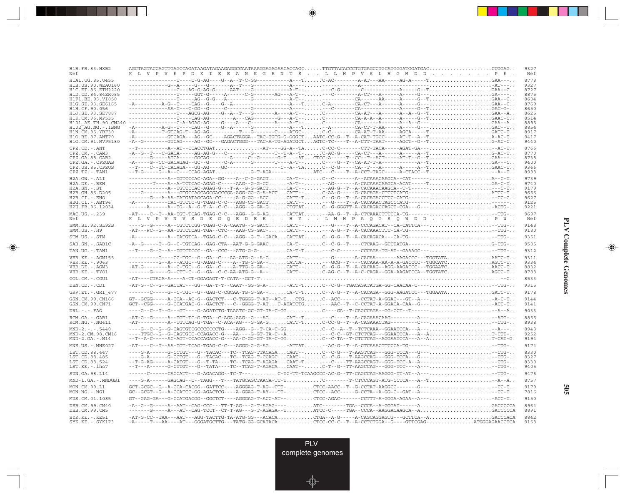| H1B. FR. 83. HXB2<br>Nef                  | $AGCTAGTACCAGTTGAGCCAGATAAGAAGAGGGCCAATAAAGGAGAGAACACCCCAGC TTGTTACACCCCTGTGAGCCTGCATGGGATGGATGGATGAC CGGAG. .$<br><u>K L V P V E P D K I E E A N K G E N T S L L H P V S L H G M D D P E .</u>                                                                                                                                                                                                                                                                                                                                                       | 9327<br>Nef  |
|-------------------------------------------|-------------------------------------------------------------------------------------------------------------------------------------------------------------------------------------------------------------------------------------------------------------------------------------------------------------------------------------------------------------------------------------------------------------------------------------------------------------------------------------------------------------------------------------------------------|--------------|
| H1A1.UG.85.U455                           |                                                                                                                                                                                                                                                                                                                                                                                                                                                                                                                                                       | 8778         |
| H1B. US. 90. WEAU160                      |                                                                                                                                                                                                                                                                                                                                                                                                                                                                                                                                                       | 9327         |
| H1C.ET.86.ETH2220                         | ---------------T----GGT-G-----A------C-G-------AG---A-T-----C---------A-CT---A-----A-----G---GA----                                                                                                                                                                                                                                                                                                                                                                                                                                                   | 8727<br>8875 |
| H1D.CD.84.84ZR085<br>H1F1.BE.93.VI850     |                                                                                                                                                                                                                                                                                                                                                                                                                                                                                                                                                       | 8604         |
| H1G.SE.93.SE6165                          |                                                                                                                                                                                                                                                                                                                                                                                                                                                                                                                                                       | 8769         |
| H1H.CF.90.056                             |                                                                                                                                                                                                                                                                                                                                                                                                                                                                                                                                                       | 8650         |
| H1J.SE.93.SE7887                          |                                                                                                                                                                                                                                                                                                                                                                                                                                                                                                                                                       | 8625         |
| H1K.CM.96.MP535<br>H101 AE.TH.90.CM240    |                                                                                                                                                                                                                                                                                                                                                                                                                                                                                                                                                       | 8514<br>8895 |
| H102 AG.NG.-.IBNG                         | $-{\bf A}\hbox{-}\cdots\hbox{-}\cdots\hbox{-}\cdots\hbox{-}\cdots\hbox{-}\rm C\hbox{-}\rm T\hbox{-}\cdots\hbox{-}\rm C\hbox{-}\rm C\hbox{-}\rm T\hbox{-}\cdots\hbox{-}\rm C\hbox{-}\rm C\hbox{-}\rm T\hbox{-}\cdots\hbox{-}\rm P\hbox{-}\rm C\hbox{-}\rm T\hbox{-}\cdots\hbox{-}\rm P\hbox{-}\cdots\hbox{-}\rm C\hbox{-}\rm C\hbox{-}\rm T\hbox{-}\rm P\hbox{-}\rm A\hbox{-}\rm 2\hbox{-}\cdots\hbox{-}\rm C\hbox{-}\rm T\hbox{-}\$                                                                                                                   | 8854         |
| H1N. CM. 95. YBF30                        | -A--------T-GTCAG-T--AG-AG----------T---G-------C----ATGC-C-C--------CA-AT-T-AA-----AGCA-----TGATC-T                                                                                                                                                                                                                                                                                                                                                                                                                                                  | 8917         |
| H10.BE.87.ANT70                           | -A---------GTCAGA---AG--GC----AGACTAGGA--TAC-TGTG-G-GGGCTAATC-CC-G--T--A-CAT-TGCC-----AT-T--A--TA-AC-T                                                                                                                                                                                                                                                                                                                                                                                                                                                | 9417         |
| H1O.CM.91.MVP5180                         | -A--G--------GTCAG----AG--GC---GAGACTGGG---TAC-A-TG-AGATGCTAGTC-TC----T--A-CTT-TAAT-----AGCT--G--TG-AC-C                                                                                                                                                                                                                                                                                                                                                                                                                                              | 9440         |
| CPZ.CD. - . ANT                           | --T----------A--AT--CCACCTGATAT----GG-A--TAC-CC-C-------CTT-TACA-----AGAT-GA----AC-T                                                                                                                                                                                                                                                                                                                                                                                                                                                                  | 8766<br>8770 |
| CPZ.CM. - . CAM3<br>CPZ.GA.88.GAB2        | $\verb+A--G--T---CGACA-----AG-AG-G---C-------G------T-A--T-.}\qquad \verb+CA-CT--A--C--A----A----A----A--T-}\dots \qquad \verb+CA-CT--A--T--C--A----A--T-}\qquad \verb+CA-CT--A--T--A--T-}\qquad \verb+CA-CT--A--T--A--T-}\qquad \verb+CA-CT--A--T--A--T-}\qquad \verb+CA-CT--A--T--A--T-}\qquad \verb+CA-CT--A--T-}\qquad \verb+CA-CT--A--T-}\qquad \verb+CA-CT--A--T-}\qquad \verb+CA-CT--A--T-}\qquad \verb+$                                                                                                                                      | 8738         |
| CPZ.GA. - . CPZGAB                        |                                                                                                                                                                                                                                                                                                                                                                                                                                                                                                                                                       | 9400         |
| CPZ.US.85.CPZUS                           | $\begin{minipage}{0.9\textwidth} \begin{minipage}{0.9\textwidth} \begin{minipage}{0.9\textwidth} \begin{minipage}{0.9\textwidth} \begin{minipage}{0.9\textwidth} \begin{minipage}{0.9\textwidth} \begin{minipage}{0.9\textwidth} \begin{minipage}{0.9\textwidth} \begin{minipage}{0.9\textwidth} \begin{minipage}{0.9\textwidth} \begin{minipage}{0.9\textwidth} \begin{minipage}{0.9\textwidth} \begin{minipage}{0.9\textwidth} \begin{minipage}{0.9\textwidth} \begin{minipage}{0.9\textwidth} \begin{minipage}{0.9$                                | 9366         |
| $CPZ.TZ.-.TAN1$                           | $-$ -T-G-----G--A--C---CCAG-AGATG-T-AGA----- ATC---C----T--A-CCT-TAGC-----A-CTACC--T--A--T                                                                                                                                                                                                                                                                                                                                                                                                                                                            | 8998         |
| $H2A.GW.-.ALI$                            | ------------A--TGTCCCAC-AGA--GG----A--C-G-GACTCA-T--C--C-------A--ACAAACAAGCA--CAT------A--C-T                                                                                                                                                                                                                                                                                                                                                                                                                                                        | 9739         |
| $H2A.DE. - .BEN$<br>$H2A.SN.-.ST$         | $\verb -----T---A--A-TCTCAC-AGAG-C----AAG--G-G-CC. \ldots -A-T---A-G---AG---A-CACAAACAAGCA-ACAT---T. \ldots \ldots \ldots \ldots \ldots \ldots \ldots \ldots \ldots \ldots$<br>------------A--TGTCCCAC-AGAG-G---T-A--G-G-GACTCA-T---AG-G--T--A-CACAAACAAGCA--T-T--------C-T                                                                                                                                                                                                                                                                           | 9740<br>9179 |
| H2B.GH.86.D205                            | ---G--------A---GTGCCAGCAGCGACCGA-AGG-GG-G-A-ACCCATT--C-AA-G-----G-CACAGA-CTCCTCATG-------ATCC-T                                                                                                                                                                                                                                                                                                                                                                                                                                                      | 9656         |
| $H2B.CI.-.EHO$                            | ------G---A-AA-TATGATAGCAGA-CC-----A-G-GG--ACCCATT-TC--G-G--T--A-CACAGACCTCC-CATG--------CC-C                                                                                                                                                                                                                                                                                                                                                                                                                                                         | 9627         |
| H2G.CI. - . ABT96                         |                                                                                                                                                                                                                                                                                                                                                                                                                                                                                                                                                       | 9125         |
| H2U.FR.96.12034                           |                                                                                                                                                                                                                                                                                                                                                                                                                                                                                                                                                       | 9221         |
| MAC.US. - . 239<br>Nef                    | $\verb -AT---C--T--AA-TGT-TCAG-TGAG-C-C---AGG-G-G-AGCATTAT--AA-G--T--A-CTCAAACTTCCCA-TG---\verb +--TTG-$<br><u>K_L_V_P_V_N_V_S_D_E_G_Q_E_D_E_E_._._H_Y_._._L_M_H_P_A_Q_G_S_Q_W_D_D_._._._._._._._.P_W_</u> .                                                                                                                                                                                                                                                                                                                                          | 9697<br>Nef  |
| SMM.SL.92.SL92B                           |                                                                                                                                                                                                                                                                                                                                                                                                                                                                                                                                                       | 9148         |
| $SMM.US.-.H9$                             |                                                                                                                                                                                                                                                                                                                                                                                                                                                                                                                                                       | 9180         |
| STM.US.-.STM                              | $\verb --A----------TATGTCA--TGAG-C-C---AGG--G-T--GACACATTATC--G-G--T--A-CACAGACA---CA-TG----\verb --TTG- $                                                                                                                                                                                                                                                                                                                                                                                                                                           | 9351         |
| SAB.SN.-.SAB1C                            | -A--G-----T--G--C-TGTCAG--GAG-CTA--AAT-G-G-GAACCA-T--C--C-G--T----CTCAAG--GCCTATGA-------G-CTG-                                                                                                                                                                                                                                                                                                                                                                                                                                                       | 9505         |
| TAN.UG. - . TAN1                          | --T----G--G--A--TGTCTCCC--GA--CCC---ATG-G-G-CA-T-T---C-C-------CCCAGA-TG-AT--GAAAGC----TTG-                                                                                                                                                                                                                                                                                                                                                                                                                                                           | 9312         |
| VER. KE. - . AGM155<br>VER. KE. - . 9063  | ---------G---CC-TGC--G--GA--C---AA-ATG-G--A-GCATT-----G-------A-CACAA-------AAGACCC---TGGTATAAATC-T<br>---------G--A---ATGC--G-AGAG-C----A--TG-G-GA--CATTA---GCG--T----CACAAA-AA-A-A-GACCCC--TGGCATCAGTC-T                                                                                                                                                                                                                                                                                                                                            | 9311<br>9334 |
| VER.DE. - . AGM3                          | $\verb -AT-G-----A--C-TGC--G--GA-C---A-TTG-G-GA---CATT---C--G-G--T--A-CACAAG--AGG-AGGCC---TGGAATCAACC-T$                                                                                                                                                                                                                                                                                                                                                                                                                                              | 8832         |
| VER.KE. - . TYO1                          | ------G----G--CTT-C--G--GA--C-C-AA-ATG-G--A--CATT--C-AG-C--T--A-C-CAGA--GGA-AAGATCCA--TGGTATCAGCC-T                                                                                                                                                                                                                                                                                                                                                                                                                                                   | 8788         |
| COL.CM.-.CGU1                             |                                                                                                                                                                                                                                                                                                                                                                                                                                                                                                                                                       | 8533         |
| DEN.CD. - .CD1                            | -AT-G--C--G--GACTAT---GG--GA-T-T--CAAT--GG-G-A--ATT-TC--C-G--TGACAGATATGA-GG-CAACAA-C-----TTG-                                                                                                                                                                                                                                                                                                                                                                                                                                                        | 9315         |
| GRV.ET. - . GRI 677                       | -------C----G--C-TGC--G--GAG-C-CGCAA-TG-G-GA--CA-T-TC--A-G--T--A-CACAGA--GGG-AAGATCC---TGGAATAGATC-T                                                                                                                                                                                                                                                                                                                                                                                                                                                  | 9178         |
| GSN.CM.99.CN166                           | $GT--GGGG---A-CCA--AC-G--GACTCT---C-TGGGG-T-AT--AT-TCTGC--ACC-----CCTAT-A-GGAC---GT--A---A-C-T$                                                                                                                                                                                                                                                                                                                                                                                                                                                       | 9144         |
| GSN.CM.99.CN71                            | GCT--CGG-----G-CCATGAC-G--GACTCT---C--GGGG-T-ATC-ATATCTG---AAC--T--C-CCTAT-A-GGACA-CAA--G---ACC-T                                                                                                                                                                                                                                                                                                                                                                                                                                                     | 9141         |
| $DRL - - - FAO$                           | $-\texttt{---G--C--T--G---GT---G-AGATCTG-TAAATC-GC-GT-TA-C-GG\n  \, \ldots \, \, \ldots \, \, \ldots \, \, \ldots \, \, \ldots \, \, \ldots \, \, \ldots \, \, \ldots \, \, \ldots \, \, \ldots \, \, \ldots \, \, \ldots \, \, \ldots \, \, \ldots \, \, \ldots \, \, \ldots \, \, \ldots \, \, \ldots \, \, \ldots \, \, \ldots \, \, \ldots \, \, \ldots \, \, \ldots \, \, \ldots \, \, \ldots \, \, \ldots \$                                                                                                                                    | 9033         |
| RCM.GA. - . GAB1<br>RCM.NG. - . NG411     | $\verb -AT-G--G----A--TGT-TC-G-TGA--C-AGA-AAG--G---AG.}\verb CAT--T--C---T--A-CAGAAACAAG--------A--.\verb --ATG-.$<br>$\verb -AT------------A--TGTCAG-G-TGA-C-ACA-AG---G-GA-G.}\hspace{1.0cm}\nonumber\\ \verb CATT-T.}\hspace{1.0cm}\nonumber\\ \verb CCC-G--T-A-CAGAACTAG------C---}\hspace{1.0cm}\nonumber\\ \verb CCTG--T.}\hspace{1.0cm}\nonumber\\ \verb CCTG--T.}\hspace{1.0cm}\nonumber\\ \verb CCTG--T.}\hspace{1.0cm}\nonumber\\ \verb CCTG--T.}\hspace{1.0cm}\nonumber\\ \verb CCTG--T.}\hspace{1.0cm}\nonumber\\ \verb CCTG--T.}\hspace{$ | 8855<br>8938 |
| $MND-2. - - - 5440$                       | ----G--C--G--G-CAGTGTCGCCCCCCCTG----AGG--G--T-CA-C-GGC--C--A--T--TCTCAAA--GGAATCCA---A-----A---                                                                                                                                                                                                                                                                                                                                                                                                                                                       | 8948         |
| MND-2.CM.98.CM16                          | ----TTGC--G--G-CAGTGCC-CCAGACC-G---AA----G-GT-TA-C--A---C-C--GT-CTCTCAG---GGAATCCA---A--AT-CTT-                                                                                                                                                                                                                                                                                                                                                                                                                                                       | 9252         |
| $MND-2.GA.-.M14$                          | --T--A-C-----AC-AGT-CCACCAGACC-G---AA-C-GG-GT-TA-C-GGC--C-TA--T-CTCTCAG--AGGAATCCA---A--AT-CAT-G.                                                                                                                                                                                                                                                                                                                                                                                                                                                     | 9194         |
| MNE.US.-.MNE027                           | -AT----C--T--AA-TGT-TCAG-TGAG-C-C---AGGG-G-G-AG-ATTAT-AC-G--T--A-CTCAAACTTCCCA-TG---------TTG-                                                                                                                                                                                                                                                                                                                                                                                                                                                        | 9174         |
| LST.CD.88.447                             | -----G-CCTGT---G--TACAC---TC--TCAG-TTACAGACAGT--C--C-G---T-AAGTCAG---GGG-TCCA---G-----CTG-                                                                                                                                                                                                                                                                                                                                                                                                                                                            | 8330         |
| LST.CD.88.485                             |                                                                                                                                                                                                                                                                                                                                                                                                                                                                                                                                                       | 8327         |
| LST.CD.88.524<br>LST.KE.-.lho7            | $-\texttt{-T-G-AG----A-CATGT---G--T-TA---TC--TCAG-T-AGAGA. CART-T. --C---TT-AGCCAGT--GGG-TCCA--A---. --CTG-.$                                                                                                                                                                                                                                                                                                                                                                                                                                         | 8330<br>9405 |
| SUN.GA.98.L14                             | ------C------CACCATT---G-AGACAGG--TC-T---C-TC-TT-TCAAGCCC-AC-G--TT-CAGCCAG-AAGGG-TT-AT--A----TTG-                                                                                                                                                                                                                                                                                                                                                                                                                                                     | 9476         |
| MND-1.GA.-.MNDGB1                         | ---G-A-----GAGCAG--C--TAGG---T---TATGCAGCTAACA-TC-TC-------T-CTCCCAGT-ATG-CCTCA---A--T--A--A                                                                                                                                                                                                                                                                                                                                                                                                                                                          | 8757         |
| MON.CM.99.L1                              | GCT-GCGC--G--A-CCA-CACGG--GATTCC----AGGGAG-T-AG--CTT-CTCC-AACC--T--G-CCTAT-AAGGCC-------G---CC-T                                                                                                                                                                                                                                                                                                                                                                                                                                                      | 9179         |
| MON.NG. - . NG1                           | $\verb+GC--GCGT--G--A-CCATCC-GG-AGACTCG---A-GGAG-T-AY---TT-.$                                                                                                                                                                                                                                                                                                                                                                                                                                                                                         | 7816         |
| MUS.CM.01.1085                            | GT--GAG-GA---G-CCATGACGG--GGCTCT----AGGGAG-T-ACC-AT--CTCC-AGAC------CCTTT-A-GGGA-AGAA--A---ACC-T                                                                                                                                                                                                                                                                                                                                                                                                                                                      | 9150         |
| DEB.CM.99.CM40<br>DEB.CM.99.CM5           | $\begin{minipage}[c]{0.9\textwidth} \begin{minipage}[c]{0.9\textwidth} \begin{minipage}[c]{0.9\textwidth} \begin{minipage}[c]{0.9\textwidth} \begin{minipage}[c]{0.9\textwidth} \begin{minipage}[c]{0.9\textwidth} \begin{minipage}[c]{0.9\textwidth} \begin{minipage}[c]{0.9\textwidth} \begin{minipage}[c]{0.9\textwidth} \begin{minipage}[c]{0.9\textwidth} \begin{minipage}[c]{0.9\textwidth} \begin{minipage}[c]{0.9\textwidth} \begin{minipage}[c]{0.9\textwidth} \begin{minipage}[c]{0.9$                                                      | 8964<br>8891 |
| $SYK.KE. - . KE51$<br>$SYK.KE. - .SYK173$ | -AT-G-CC--TAA---AAT---AGG-TACTTG-TA-ATG-GG---ACACACTGA--A-G-----A-CAGCAGGAGTG---GCTTCA--AGACCCACA<br>-A-----T---AA----AT---GGGATGCTTG---TATG-GG-GCATACACTCC-CC-C--T--A-CCTCTGGA--G----GTTCGAG-ATGGGAGAACCTCA                                                                                                                                                                                                                                                                                                                                          | 8842<br>9158 |

an an Tar

 $\overrightarrow{\phantom{a}}$ 

 $\overline{\overline{\phantom{a}}}%$ 

 $\begin{picture}(20,5) \put(0,0){\line(1,0){10}} \put(15,0){\line(1,0){10}} \put(15,0){\line(1,0){10}} \put(15,0){\line(1,0){10}} \put(15,0){\line(1,0){10}} \put(15,0){\line(1,0){10}} \put(15,0){\line(1,0){10}} \put(15,0){\line(1,0){10}} \put(15,0){\line(1,0){10}} \put(15,0){\line(1,0){10}} \put(15,0){\line(1,0){10}} \put(15,0){\line(1,$ 

 $\overline{\phantom{0}}$ 

<u> a mare d</u>

 $\mathbf{I}$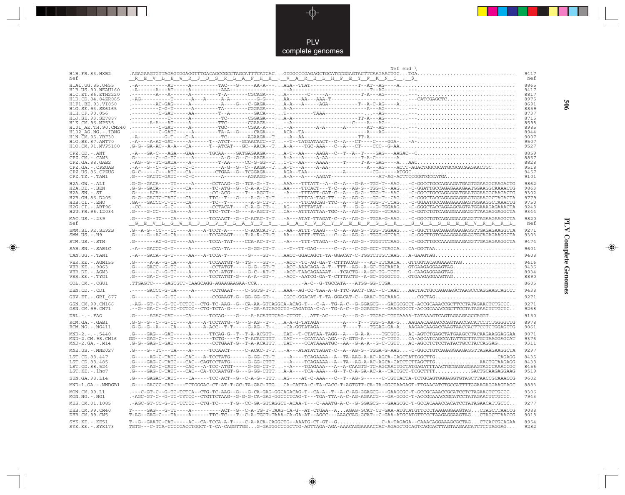

 $\Rightarrow$ 

|                                           | Nef end $\langle$                                                                                                                                                                                                                                                                                                                                                                              |              |
|-------------------------------------------|------------------------------------------------------------------------------------------------------------------------------------------------------------------------------------------------------------------------------------------------------------------------------------------------------------------------------------------------------------------------------------------------|--------------|
| H1B.FR.83.HXB2<br>Nef                     | $0.500$ . AGAGAAGTGTTAGAGTGGAGGTTTGACAGCCGCCTAGCATTTCATCAC $0.5000$ . GTGGCCCGAGAGCTGCATCCGGAGTACTTCAAGAACTGC $0.5000$ . TGA $0.50000$ . TGA $0.500000$ . TGA $0.5000000$ . TGA $0.5000000$ . TGA $0.50000000$ . TGA $0.50000$                                                                                                                                                                 | 9417<br>Nef  |
| H1A1. UG. 85. U455                        |                                                                                                                                                                                                                                                                                                                                                                                                | 8865         |
| H1B. US. 90. WEAU160<br>H1C.ET.86.ETH2220 |                                                                                                                                                                                                                                                                                                                                                                                                | 9417<br>8817 |
| H <sub>1</sub> D.CD.84.84ZR085            |                                                                                                                                                                                                                                                                                                                                                                                                | 8975         |
| H1F1.BE.93.VI850                          |                                                                                                                                                                                                                                                                                                                                                                                                | 8691         |
| H1G.SE.93.SE6165<br>H1H.CF.90.056         |                                                                                                                                                                                                                                                                                                                                                                                                | 8859<br>8737 |
| H1J.SE.93.SE7887                          |                                                                                                                                                                                                                                                                                                                                                                                                | 8715         |
| H1K.CM.96.MP535                           |                                                                                                                                                                                                                                                                                                                                                                                                | 8598         |
| H101 AE.TH.90.CM240<br>H102 AG.NG.-.IBNG  |                                                                                                                                                                                                                                                                                                                                                                                                | 8985<br>8944 |
| H1N. CM. 95. YBF30                        |                                                                                                                                                                                                                                                                                                                                                                                                | 9007         |
| H10.BE.87.ANT70<br>H1O.CM.91.MVP5180      |                                                                                                                                                                                                                                                                                                                                                                                                | 9507<br>9527 |
| $CPZ$ . $CD$ . $-ANT$                     |                                                                                                                                                                                                                                                                                                                                                                                                | 8859         |
| $CPZ.CM. - . CAM3$                        |                                                                                                                                                                                                                                                                                                                                                                                                | 8857         |
| CPZ.GA.88.GAB2                            | $\verb -AG--GC-GATA---A-----T-AA---CC-G-GG--TC-T--AA---AAAA---T---T-A-GAG---A AAC\verb  $                                                                                                                                                                                                                                                                                                      | 8828         |
| CPZ.GA. - . CPZGAB<br>CPZ.US.85.CPZUS     | $\texttt{-.-4--G--G--G--C----C---------A-G--G--C---AAGA--T-.} \texttt{-.-1} \texttt{-.-1} \texttt{-.-1} \texttt{-.-1} \texttt{-.-1} \texttt{-.-1} \texttt{-.-1} \texttt{-.-1} \texttt{-.-1} \texttt{-.-1} \texttt{-.-1} \texttt{-.-1} \texttt{-.-1} \texttt{-.-1} \texttt{-.-1} \texttt{-.-1} \texttt{-.-1} \texttt{-.-1} \texttt{-.-1} \texttt{-.-1} \texttt{-.-1} \texttt{-.-1} \texttt{-.-$ | 9518<br>9457 |
| CPZ.TZ.-.TAN1                             |                                                                                                                                                                                                                                                                                                                                                                                                | 9101         |
| $H2A.GW.-.ALI$                            | .G-G--GACA----TT-----A------CCTAAG--G--TCA-G--T--AAA---TTTATT--A--C--A---G-A--TGG-T--AAG-C-GGCCTGCCAGAAGATGAGTGGAAGGCAAGACTG                                                                                                                                                                                                                                                                   | 9862         |
| H2A.DE. - . BEN                           | .G-G--GACA----T---CA------TC-ATG--G--C-A-A-CT--AA----TTCACT---T-C--A--AG-G--TGG-C--AAG-C-GGATTGCCAGAGAAAGAATGGAAGGCAAAACTG                                                                                                                                                                                                                                                                     | 9863         |
| $H2A$ . $SN. - . ST$<br>H2B.GH.86.D205    | .G-----ACA----TT-----------CC-ACG-----T---AGCT---A----TTATT-GAT-C--A---G-G--TGG-T--AAG-C-GGCCTGCCAGAGGATGAATGGAAGGCAAGACTG<br>.G-G--GACTC-TATC---CA------TTC--T---G----A-G--T-T-----TTTCA-TAG-TT---A--AG-G---GG-T--CAG-C-GGGCTACCAGAGGAGGAGGGCTAGACTAGACTA                                                                                                                                     | 9302<br>9779 |
| $H2B.CI.-.EHO$                            | .GA---GACCC-T-TC---CA-------TC--T-------A-G-CT-T-----TTCAGCAG-TTC--A---G-G--TGG-T-TCAG-C-GGAATGCCAGAGAAGAGTGGAAGGCTAAACTG                                                                                                                                                                                                                                                                      | 9750         |
| $H2G.CI.-.ABT96$                          | .-CC-------G-C-----A-------CCTACAT----C-A-G-CT--AG---ATTTATAT------T---G-G----G-TGGAAG-C-GGGCTACCAGAAGCAGTATGGAAAGGAAACTA                                                                                                                                                                                                                                                                      | 9248         |
| H2U.FR.96.12034                           | .G---G-CC----TA----A-----TTC-TCT--G----A-AGCT-TCA---ATTTATTAA-TGC--A--AG-G--TGG--GTAAG-C-GGTCTGTCAGAGGAAGAGGTTAAGAGGAGGCTA                                                                                                                                                                                                                                                                     | 9344         |
| MAC.US.-.239<br>Nef                       | .G---G--TC---CA----A------TCCAACT--G--C-ACAC-T-T-A---ATAT-TTAGAT-C--A--AG-G--TGGA-G-AAG-C-GGCCTGTCAGAGGAAGGGTTAGAAGAAGGCTA<br><u>GEVLGWKFDPTLAYTY.EAYVRYPEEFGSK.SGLSEEEVRRRL</u>                                                                                                                                                                                                               | 9820<br>Nef  |
| SMM.SL.92.SL92B<br>$SMM. US. - . H9$      | .G--A-G--CC---CC----A----A-TCCT-A------C-ACACAT-T-AA--ATTT-TAAG---C--A--AG-G--TGG-AGGAAG-C-GGCTTGACAGAGGGAAGAGGTTGAGAGAAGGTTA<br>.G---G--AC-G-CA----A-----TCCARAGT----T-A-R-CT-TAA---ATTT-TTGA---C--A--AG-G--TGGT-GTCAG-C-GGCTTGTCAAAGGAAGAGGTGCAGAAGGCTA                                                                                                                                      | 9271<br>9303 |
| STM.US.-.STM                              | .G-------AC-G-TT----AA-----TCCA-TAT----CCA-AC-T-T-A----TTT-TTAGA--C--A--AG-G--TGGTTCTAAG-C-GGCTTGCCAAAGGAAGGGTTGAGAAGGCTA.                                                                                                                                                                                                                                                                     | 9474         |
| SAB.SN.-.SAB1C                            | .-A---GACCC-G-T-----A-------CCA-TA------G-GG-CT-T--T--TT-GAG------C--A---C-GG-GCC-TCAGCACA-GGCTAA                                                                                                                                                                                                                                                                                              | 9601         |
| TAN.UG. - TAN1                            |                                                                                                                                                                                                                                                                                                                                                                                                | 9408         |
| VER. KE. - . AGM155                       | $\verb G---A-A--G-CA---A---A---TCCAATGT-G--TG---GT---GTC--AC-TC-AG-GA-T-CTTTACAG---AT-TTCAACA \ldots \texttt{ GTTGGTACAGAAACTAG} \ldots \ldots \ldots \ldots \ldots \ldots \ldots$                                                                                                                                                                                                             | 9416         |
| VER.KE. - . 9063<br>VER.DE. - . AGM3      | .G-------C--G-TC----A------TCC-ATGT----G-C--AT-T-ACC-TAACAGAAAAT---TCACTG--A-GC-TG-TCTTG-CAAGAGGAAGTAG                                                                                                                                                                                                                                                                                         | 9436<br>8934 |
| VER.KE. - . TYO1                          |                                                                                                                                                                                                                                                                                                                                                                                                | 8890         |
| COL.CM.-.CGU1                             | .TTGAGTC----GAGCGTT-CAAGCAGG-AGAAGAAGAA-CCA-A-C--G-TGCCATA---ATGG-GG-CTGA                                                                                                                                                                                                                                                                                                                      | 8605         |
| DEN.CD. - .CD1                            | .-----GACCC-G-TA-----A------CCTGAAT----C-GGTG-T-TAAA--AG-CC-TAA-A-G-TTC-AACT-CAC--C-TAATAACTACTGCCAGAGGGTAAGCCCAGGAAGTAGCCT                                                                                                                                                                                                                                                                    | 9438         |
| GRV.ET. - . GRI 677                       |                                                                                                                                                                                                                                                                                                                                                                                                | 9271         |
| GSN.CM.99.CN166<br>GSN.CM.99.CN71         | . - AG - -GT - C - -G-TC - TCTCC - -CTG - TC - AAG - -G - -CA - AA -GTCAGGCA - ACAG - T - - - C - A - -TG - A - -G - GGAGCG - - -GATGCGCCT - ACCGCAAACCGCTTCCTATAGAACTCTGCCC. .<br>. - -G - -GA - C - -G - TC - TCTCC - - CTG - TCTA -G - - - - -C - -GA - ATCAGGCTG - CAGATGA - C - A - -TG -A - C - -G - GGAGCG - - -GAAGCGCCT - ACCGCAAACCGCTTCCTATAGAACTCTGCTC. .                          | 9271<br>9268 |
| $DRL$ . - . - . $FAO$                     |                                                                                                                                                                                                                                                                                                                                                                                                | 9150         |
| RCM.GA. - . GAB1                          | .G-G--G--C--G-CC----A----A-TCCTATG--G---G-AG--T--A-A-G-TATAGA--------A----T---TGG-G-AA-GAAGAACAAGACCAGTAACCACATCCTCTGGGGTTG                                                                                                                                                                                                                                                                    | 8978         |
| $RCM.NG. - . NG411$                       | .G-G--G--A----CA----A----A-ACC--T-T----G-AG--T---CA-GGTATAGA-------T----T---TGGAG-GA-AAAGAACAAGACCAAGTAACCACTTCCTCTGGAGTTG                                                                                                                                                                                                                                                                     | 9061         |
| $MND-2. - - - 5440$<br>MND-2.CM.98.CM16   | .G----GAG---GAT------A------TTCAG-G--T--T-A-ACGTT-TAT--T-CTATAA-TAGG--A---G-A-A----TGTGTGAC-AGTCTGAGCTATGAAGCCTACAAGGAAGGAA<br>GG----GAG-C---T-----A-------TCTG----T-ACACCTTTTAT----CCATAAA-AGA--A-GTG-A------C-TGTGCA-AGCATCAGCCATATTGCTTATGCTAAGGAGCAT                                                                                                                                       | 9071<br>9376 |
| $MND-2.GA.-.M14$                          | .G-G--GAG-C-GAT-----A-----CCTGAAT-G--T-A-ACATTTTAT----CCATAAAATGC--AA--G-A-A--G-C-TGTTAC-AGCCTCTCCTATACTGCCTACCAGGAG                                                                                                                                                                                                                                                                           | 9311         |
| MNE.US.-.MNE027                           | .G----G--TC---TA----A-----TCCAACT-----C-ACAC-T-T-A---ATATATTAGAT-C--A--AG-G--TGGA-G-AAG-C-GGCCTGTCAGAGGAGGGTTAGAAGGAGGCTA                                                                                                                                                                                                                                                                      | 9297         |
| LST.CD.88.447                             | .G-----AG-C-TATC---CAC---A-TCCTATG------G-GG-CT-T--A----TCAGAAAA--A--TA-AAG-A-AC-AGCA-CAGCTATTGGCTTG                                                                                                                                                                                                                                                                                           | 8435         |
| LST.CD.88.485                             | .G---GAG-C-TATC---CAC--CAGTCCTATG------G-GG-CTTT--A----TCAGAAAA--A--TA--AG-A-AC-AGCA-CATCTCTTAGCTTGAACTGTAAGAGG                                                                                                                                                                                                                                                                                | 8438         |
| LST.CD.88.524<br>LST.KE.-.lho7            | .G-----AG-C-CATC---CAC---A-TCC-ATGT-----G-GG-CT-T--A----TGAGAAA---A--A-CAAGTG-TC-AGCAACTGCTATGAGATTTAACTGCGAGAGGAAGTAGCCAAACCGC<br>.G----GAG-C-TATC---CAC--CA-TCCAATGT-G---G-GG-CTTTA-A----TCA-AAA---G--T-C-A-GA-AC-A--TACTGCT-TCGCTTTTGACTGCAAGAGGAAG                                                                                                                                         | 8456<br>9519 |
| SUN.GA.98.L14                             | .G----GAGAC-TATC----CA-----TCC-ACT--G--C-A-G--TTTAG----AT-C-AAA---C--T--AG-G------C-TGTTACTA-TCTGCAGTGGGAGGTGTAGCTTAACCGCAAACCG                                                                                                                                                                                                                                                                | 9602         |
| MND-1.GA.-.MNDGB1                         |                                                                                                                                                                                                                                                                                                                                                                                                | 8883         |
| MON.CM.99.L1                              | .G----GACCC-CAT----TCTGGGAC-CT-AT-T-GC-TA-GAC-TTGCA-CATTA-C-TA-CACC-T-AGTGTT-CA-TA-GGCTAAGAGT-TTGAACATCTGCCATTTTGGAAGAGGAAGTAGC<br>.---C-GT-C--G-TC-TCTCA--CTG-TC-AAG--G---G-CA-GAG-GGCAGACAG-T--CA-A--T--A-C-AG-GGAGCG---GAAGCGC-T-GCCGCAAACCGCATCCTCTAGAACTCTGCCC                                                                                                                            | 9306         |
| MON.NG. - . NG1                           | . - AGC-GT-C--G-TC-TYTCC--CTGTTCTAAG--G-G-G-CA-GAG-GGCCCTCAG-T---TGA-TTA-A-C-AG-AGAACG---GA-GCGC-T-ACCGCAAACCGCATCCTATAGAACTCTGCCC. .                                                                                                                                                                                                                                                          | 7943         |
| MUS.CM.01.1085                            | .-AGC-GT-CC-G-TC-TCTCC--CTG-TC----T-G--CC-GA-GTCAGGCT-ACAA-T---C-AAATG-A-C--G-GGAGCG---GAAGCGC-T-GCCACAAACCACATCCTATAGAACAATGCCC                                                                                                                                                                                                                                                               | 9277         |
| DEB. CM. 99. CM40<br>DEB.CM.99.CM5        | T----GAG---G-TT----A---------ACT--G--C-A-TG-T-TAAG-CA-G--AT-CTGAA--AAGAG-GCAT-CT-GAA-ATGTATGTTCCCTAAGAGGAAGTAGCTAGCTTAACCG<br>T-AG--GAG-C---TA-----A-----TTC-TC---T--C-A-TGCT-TAAA-CA-GA-AT--AGCC---AAACCAG-GCAT--C-GAA-ATGCATGTTCCCTAAGAGGAAGTAGCTAGCTTAACCG                                                                                                                                  | 9088<br>9018 |
| SYK.KE. - . KE51                          | T--G--GAATC-CAT-----AC--CA-TCCA-A-T----C-A-ACA-CAGGCTG--AAATG-CT-GT--GC-A-TAGAGA--CAAACAGGAAAGCGCTAGCTCACCGCAGAA                                                                                                                                                                                                                                                                               | 8954         |
| $SYK.KE. - .SYK173$                       | TGTG---C-TCA-CCCCCACCTGGCT-T-CA-CAGGTTGGG-GATGGCCCGCTTG-AGTTAGA-AGA-AAACAGGAAAACCAC-AGAGCTGCAGTCAGCACTTAGTAAGAACATCTCCTAGGAG                                                                                                                                                                                                                                                                   | 9282         |

 $\begin{picture}(20,5) \put(0,0){\vector(0,1){10}} \put(15,0){\vector(0,1){10}} \put(15,0){\vector(0,1){10}} \put(15,0){\vector(0,1){10}} \put(15,0){\vector(0,1){10}} \put(15,0){\vector(0,1){10}} \put(15,0){\vector(0,1){10}} \put(15,0){\vector(0,1){10}} \put(15,0){\vector(0,1){10}} \put(15,0){\vector(0,1){10}} \put(15,0){\vector(0,1){10}} \put(15,0){\vector(0,$ 

**PLV Complete Genomes 506 PLV Complete Genomes** 

 $\begin{picture}(20,5) \put(0,0){\line(1,0){10}} \put(15,0){\line(1,0){10}} \put(15,0){\line(1,0){10}} \put(15,0){\line(1,0){10}} \put(15,0){\line(1,0){10}} \put(15,0){\line(1,0){10}} \put(15,0){\line(1,0){10}} \put(15,0){\line(1,0){10}} \put(15,0){\line(1,0){10}} \put(15,0){\line(1,0){10}} \put(15,0){\line(1,0){10}} \put(15,0){\line(1,$ 

 $\overline{\phantom{0}}$ 

909

 $\blacksquare$ 

<u> 1900 - 1911 - 1911 - 1911 - 1911 - 1911 - 1911 - 1911 - 1911 - 1911 - 1911 - 1911 - 1911 - 1911 - 1911 - 191</u>

- 1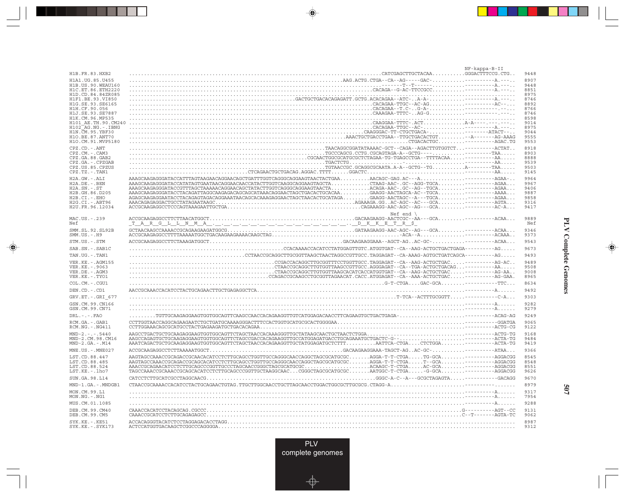|                                         |                                                                                                                                                                                                                                                                                                                                                                                                                                                                                 | NF-kappa-B-II |              |
|-----------------------------------------|---------------------------------------------------------------------------------------------------------------------------------------------------------------------------------------------------------------------------------------------------------------------------------------------------------------------------------------------------------------------------------------------------------------------------------------------------------------------------------|---------------|--------------|
| H1B.FR.83.HXB2                          |                                                                                                                                                                                                                                                                                                                                                                                                                                                                                 |               | 9448         |
| H1A1.UG.85.U455                         |                                                                                                                                                                                                                                                                                                                                                                                                                                                                                 |               | 8907         |
| H1B.US.90.WEAU160<br>H1C.ET.86.ETH2220  |                                                                                                                                                                                                                                                                                                                                                                                                                                                                                 |               | 9448<br>8851 |
| H1D.CD.84.84ZR085                       |                                                                                                                                                                                                                                                                                                                                                                                                                                                                                 |               | 8975         |
| H1F1.BE.93.VI850                        |                                                                                                                                                                                                                                                                                                                                                                                                                                                                                 |               | 8746         |
| H1G.SE.93.SE6165                        |                                                                                                                                                                                                                                                                                                                                                                                                                                                                                 |               | 8892         |
| H1H.CF.90.056<br>H1J.SE.93.SE7887       |                                                                                                                                                                                                                                                                                                                                                                                                                                                                                 |               | 8766<br>8746 |
| H1K.CM.96.MP535                         |                                                                                                                                                                                                                                                                                                                                                                                                                                                                                 |               | 8598         |
| H101 AE.TH.90.CM240                     |                                                                                                                                                                                                                                                                                                                                                                                                                                                                                 |               | 9014         |
| H102 AG.NG.-.IBNG                       |                                                                                                                                                                                                                                                                                                                                                                                                                                                                                 |               | 8975         |
| H1N. CM. 95. YBF30<br>H10.BE.87.ANT70   |                                                                                                                                                                                                                                                                                                                                                                                                                                                                                 |               | 9044<br>9555 |
| H1O.CM.91.MVP5180                       |                                                                                                                                                                                                                                                                                                                                                                                                                                                                                 |               | 9553         |
| $CPZ$ . $CD$ . - .ANT                   |                                                                                                                                                                                                                                                                                                                                                                                                                                                                                 |               | 8918         |
| CPZ.CM. - . CAM3                        |                                                                                                                                                                                                                                                                                                                                                                                                                                                                                 |               | 8903         |
| CPZ.GA.88.GAB2                          |                                                                                                                                                                                                                                                                                                                                                                                                                                                                                 |               | 8888         |
| CPZ.GA. - . CPZGAB<br>CPZ.US.85.CPZUS   |                                                                                                                                                                                                                                                                                                                                                                                                                                                                                 |               | 9539<br>9503 |
| CPZ.TZ.-.TAN1                           |                                                                                                                                                                                                                                                                                                                                                                                                                                                                                 |               | 9145         |
| H2A.GW.-.ALI                            |                                                                                                                                                                                                                                                                                                                                                                                                                                                                                 |               | 9964         |
| $H2A.DE. - .BEN$                        |                                                                                                                                                                                                                                                                                                                                                                                                                                                                                 |               | 9967         |
| $H2A.SN.-.ST$                           |                                                                                                                                                                                                                                                                                                                                                                                                                                                                                 |               | 9406         |
| H2B.GH.86.D205                          |                                                                                                                                                                                                                                                                                                                                                                                                                                                                                 |               | 9887         |
| H2B.CI.-.EHO<br>H2G.CI. - . ABT96       |                                                                                                                                                                                                                                                                                                                                                                                                                                                                                 |               | 9858<br>9316 |
| H2U.FR.96.12034                         |                                                                                                                                                                                                                                                                                                                                                                                                                                                                                 |               | 9417         |
|                                         | Nef end $\langle$                                                                                                                                                                                                                                                                                                                                                                                                                                                               |               |              |
| MAC.US.-.239                            |                                                                                                                                                                                                                                                                                                                                                                                                                                                                                 |               | 9889         |
| Nef                                     |                                                                                                                                                                                                                                                                                                                                                                                                                                                                                 |               | Nef          |
| SMM.SL.92.SL92B                         |                                                                                                                                                                                                                                                                                                                                                                                                                                                                                 |               | 9346         |
| $SMM.US. - . H9$                        |                                                                                                                                                                                                                                                                                                                                                                                                                                                                                 |               | 9373         |
| STM.US.-.STM                            |                                                                                                                                                                                                                                                                                                                                                                                                                                                                                 |               | 9543         |
| SAB.SN. - . SAB1C                       |                                                                                                                                                                                                                                                                                                                                                                                                                                                                                 |               | 9673         |
| TAN.UG. - . TAN1                        |                                                                                                                                                                                                                                                                                                                                                                                                                                                                                 |               | 9493         |
| VER. KE. - . AGM155                     |                                                                                                                                                                                                                                                                                                                                                                                                                                                                                 |               | 9489         |
| VER.KE. - . 9063                        |                                                                                                                                                                                                                                                                                                                                                                                                                                                                                 |               | 9508         |
| VER.DE. - . AGM3<br>VER.KE. - . TYO1    |                                                                                                                                                                                                                                                                                                                                                                                                                                                                                 |               | 9008<br>8965 |
| COL.CM. - . CGU1                        | $\texttt{G-T-CTG}\texttt{G} \texttt{C} \texttt{C} \texttt{C} \texttt{C} \texttt{C} \texttt{C} \texttt{C} \texttt{C} \texttt{C} \texttt{C} \texttt{C} \texttt{C} \texttt{C} \texttt{C} \texttt{C} \texttt{C} \texttt{C} \texttt{C} \texttt{C} \texttt{C} \texttt{C} \texttt{C} \texttt{C} \texttt{C} \texttt{C} \texttt{C} \texttt{C} \texttt{C} \texttt{C} \texttt{C} \texttt{C} \texttt{C} \texttt{C} \texttt{C} \$                                                            |               | 8634         |
|                                         |                                                                                                                                                                                                                                                                                                                                                                                                                                                                                 |               |              |
| DEN.CD. - .CD1                          |                                                                                                                                                                                                                                                                                                                                                                                                                                                                                 |               | 9492         |
| GRV.ET. - . GRI 677                     |                                                                                                                                                                                                                                                                                                                                                                                                                                                                                 |               | 9303         |
| GSN.CM.99.CN166<br>GSN.CM.99.CN71       |                                                                                                                                                                                                                                                                                                                                                                                                                                                                                 |               | 9282<br>9279 |
| $DRL$ . - . - . $FAO$                   |                                                                                                                                                                                                                                                                                                                                                                                                                                                                                 |               | 9249         |
|                                         |                                                                                                                                                                                                                                                                                                                                                                                                                                                                                 |               | 9065         |
| RCM.GA. - . GAB1<br>$RCM.NG. - . NG411$ |                                                                                                                                                                                                                                                                                                                                                                                                                                                                                 |               | 9122         |
| $MND-2. - - - 5440$                     |                                                                                                                                                                                                                                                                                                                                                                                                                                                                                 |               | 9168         |
| MND-2.CM.98.CM16                        |                                                                                                                                                                                                                                                                                                                                                                                                                                                                                 |               | 9484         |
| $MND-2.GA.-.M14$                        | AAATCAGACTGCTGCAAGAGGAAGTGGTGGCAGTTCTAGCTAACCACAGAAGGTTGCTATGGAGATGCTCTTTAATTCA-CTGACTCTGGA---------ACTA-TG                                                                                                                                                                                                                                                                                                                                                                     |               | 9419         |
| MNE.US. - . MNE027                      |                                                                                                                                                                                                                                                                                                                                                                                                                                                                                 |               | 9366         |
| LST.CD.88.447                           | AAGTAGCCAAACCGCAACACACACATCCTCTTGCAGCCTGGTTGCCAGGGCAACCAGGCTAGCGCATGCGCAGGA-T-T-CTGATG-GCA---------AGGACGG                                                                                                                                                                                                                                                                                                                                                                      |               | 8545         |
| LST.CD.88.485                           | ${\bf AAGTAGCCAAACCGCAGACGGCAGCACATCCTTTCCAGGCTGGTTGCCAGGGCAACCAGGCTAGGGCATGCGC.}\dots.\dots.\nonumber\\ {\bf AGGA-T-T-CTGA.}\dots.\nonumber\\ {\bf T-GCA.}\dots.\dots\longleftarrow{\bf AGGACGGCAGGCTGCTTGCAGGCAGGCTGGTCGGCATGCGC.}\dots.\nonumber\\ {\bf AGGA-T-T-CTGA.}\dots.\nonumber\\ {\bf AGGA\longleftarrow{\bf AGGACGGCTGCTTGCAGGCTGGTCGGCAGGCTGGGCATGCGC.}\dots.\nonumber\\ {\bf AGGA-T-T-CTGA.}\dots.\nonumber\\ {\bf AGGA\longleftarrow{\bf AGGACGGCTG$             |               | 8548         |
| LST.CD.88.524                           |                                                                                                                                                                                                                                                                                                                                                                                                                                                                                 |               | 8551         |
| $LST.KE. - Lh07$                        | ${\tt TAGCCAAACCGCAAACCGCAGACACCTCTTGCAGCCCGGTTGCTAAGGCAAC\ldots CGGGTAGCGCATGCGC\ldots\ldots\ldots\newline AGTGC-T-CTGA\ldots\ldots\newline-G-GCA\ldots\ldots\ldots\newline-G-CAC\ldots\ldots\newline-G-GCA\ldots\ldots\newline-G-GCA\ldots\ldots\newline-G-GCA\ldots\ldots\newline-G-GCA\ldots\ldots\newline-G-GCA\ldots\ldots\ldots\newline-G-GCA\ldots\ldots\ldots\newline-G-GCA\ldots\ldots\ldots\newline-G-GCA\ldots\ldots\ldots\newline-G-GCA\ldots\ldots\ldots\newline$ |               | 9626         |
| SUN.GA.98.L14                           |                                                                                                                                                                                                                                                                                                                                                                                                                                                                                 |               | 9670         |
| MND-1.GA.-.MNDGB1                       |                                                                                                                                                                                                                                                                                                                                                                                                                                                                                 |               | 8979         |
| MON.CM.99.L1                            |                                                                                                                                                                                                                                                                                                                                                                                                                                                                                 |               | 9317         |
| MON.NG.-.NG1                            |                                                                                                                                                                                                                                                                                                                                                                                                                                                                                 |               | 7954         |
| MUS.CM.01.1085                          |                                                                                                                                                                                                                                                                                                                                                                                                                                                                                 |               | 9288         |
| DEB.CM.99.CM40                          |                                                                                                                                                                                                                                                                                                                                                                                                                                                                                 |               | 9131         |
| DEB.CM.99.CM5                           |                                                                                                                                                                                                                                                                                                                                                                                                                                                                                 |               | 9062         |
| SYK.KE. - . KE51<br>SYK.KE. - . SYK173  |                                                                                                                                                                                                                                                                                                                                                                                                                                                                                 |               | 8987<br>9312 |
|                                         |                                                                                                                                                                                                                                                                                                                                                                                                                                                                                 |               |              |

an an Tar

 $\overrightarrow{\phantom{a}}$ 

 $\frac{\displaystyle \rule{1.2cm}{0.15cm}}{\displaystyle \rule{1.2cm}{0.15cm}}$ 

**PLV Complete Genomes PLV Complete Genomes**

 $\begin{array}{c} \hline \end{array}$ 

 $\begin{picture}(20,5) \put(0,0){\line(1,0){10}} \put(15,0){\line(1,0){10}} \put(15,0){\line(1,0){10}} \put(15,0){\line(1,0){10}} \put(15,0){\line(1,0){10}} \put(15,0){\line(1,0){10}} \put(15,0){\line(1,0){10}} \put(15,0){\line(1,0){10}} \put(15,0){\line(1,0){10}} \put(15,0){\line(1,0){10}} \put(15,0){\line(1,0){10}} \put(15,0){\line(1,$ 

 $\overline{\phantom{0}}$ 

<u> Tan din sa</u>

 $\overline{\phantom{a}}$ 

**507**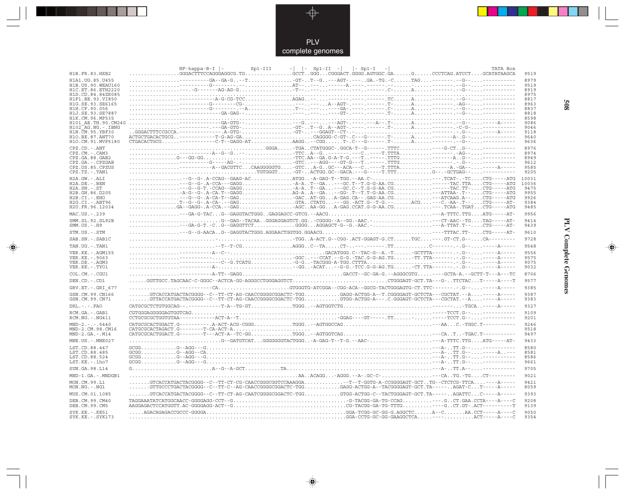

 $\Rightarrow$ 

| H1B.FR.83.HXB2                              | $-1$ $-1$<br>$\vert$ - Sp1-I<br>$Sp1-II -$<br>TATA Box<br>$NF-kappa-B-I$  -<br>Sp1-III                                                                                                                                                                                                                                           | 9519         |
|---------------------------------------------|----------------------------------------------------------------------------------------------------------------------------------------------------------------------------------------------------------------------------------------------------------------------------------------------------------------------------------|--------------|
| H1A1.UG.85.U455                             |                                                                                                                                                                                                                                                                                                                                  | 8979         |
| H1B. US. 90. WEAU160                        |                                                                                                                                                                                                                                                                                                                                  | 9519<br>8919 |
| H1C.ET.86.ETH2220<br>H1D.CD.84.84ZR085      | $\overline{AB} = 0.25 - 0.25 - 0.25 - 0.25 - 0.25 - 0.25 - 0.25 - 0.25 - 0.25 - 0.25 - 0.25 - 0.25 - 0.25 - 0.25 - 0.25 - 0.25 - 0.25 - 0.25 - 0.25 - 0.25 - 0.25 - 0.25 - 0.25 - 0.25 - 0.25 - 0.25 - 0.25 - 0.25 - 0.25 - 0.25 - 0.25 - 0.25 - 0.25 - 0.25 - 0.25 - 0.$                                                        | 8975         |
| H1F1.BE.93.VI850                            |                                                                                                                                                                                                                                                                                                                                  | 8817         |
| H1G.SE.93.SE6165<br>H1H.CF.90.056           |                                                                                                                                                                                                                                                                                                                                  | 8963<br>8837 |
| H1J.SE.93.SE7887                            |                                                                                                                                                                                                                                                                                                                                  | 8818         |
| H1K.CM.96.MP535                             |                                                                                                                                                                                                                                                                                                                                  | 8598         |
| H101 AE.TH.90.CM240<br>H102 AG.NG.-.IBNG    |                                                                                                                                                                                                                                                                                                                                  | 9086<br>9046 |
| H1N. CM. 95. YBF30                          |                                                                                                                                                                                                                                                                                                                                  | 9118         |
| H1O.BE.87.ANT70                             |                                                                                                                                                                                                                                                                                                                                  | 9640         |
| H1O.CM.91.MVP5180                           |                                                                                                                                                                                                                                                                                                                                  | 9636         |
| $CPZ$ . $CD$ . $-ANT$<br>$CPZ.CM. - . CAM3$ | $\dots\dots\dots\dots\dots\dots\cdot\texttt{GGGA}\dots\cdot\texttt{TTGA}\cdot\texttt{CTATGGGC}\cdot\texttt{GGCA-T--G------}. \texttt{TTTC}\dots\dots\dots\dots\dots\cdot\texttt{-G--G--}.\ \texttt{G--}\dots\dots\texttt{-----------}$                                                                                           | 8976<br>8974 |
| CPZ.GA.88.GAB2                              |                                                                                                                                                                                                                                                                                                                                  | 8949         |
| CPZ.GA.-.CPZGAB                             |                                                                                                                                                                                                                                                                                                                                  | 9612         |
| CPZ.US.85.CPZUS<br>CPZ.TZ.-.TAN1            |                                                                                                                                                                                                                                                                                                                                  | 9585<br>9205 |
| H2A.GW.-.ALI                                |                                                                                                                                                                                                                                                                                                                                  | 10031        |
| H2A.DE. - .BEN                              |                                                                                                                                                                                                                                                                                                                                  | 10036        |
| $H2A.SN.-.ST$                               | --G--G-T.-CCAG--GAGGA-AT--GA---GC.C--T.G-G-AA.CG-----TAC.TT-CTG-----ATG                                                                                                                                                                                                                                                          | 9475         |
| H2B.GH.86.D205<br>H2B.CI.-.EHO              | --TA-G--G-.A-CA.T--GAGGAG-AA--GA--GG-.T--T.T-G-AA.CG---ATTAA-.T--CTG-----ATG<br>---G--G-.A-CA-T--GAGGACAT-GGA-GAG.CA--.GAG-AA.CG---ATCAAG.A--CTG-----ATG                                                                                                                                                                         | 9955<br>9926 |
| H2G.CI. - . ABT96                           |                                                                                                                                                                                                                                                                                                                                  | 9384         |
| H2U.FR.96.12034                             |                                                                                                                                                                                                                                                                                                                                  | 9485         |
| MAC.US.-.239                                | ---GA-G-TACG--GAGGTACTGGGGAGGAGCC-GTCG.--AACG---A-TTTC.TTGATG-----AT                                                                                                                                                                                                                                                             | 9956         |
| SMM.SL.92.SL92B<br>$SMM.US. - .H9$          | --GA-G-T.-CG--GAGGTTCTGGGGAGGAGCT-G--G.-AAC.----A-TTAT.T--CTG-----AT                                                                                                                                                                                                                                                             | 9414<br>9439 |
| STM.US.-.STM                                |                                                                                                                                                                                                                                                                                                                                  | 9610         |
| SAB.SN.-.SAB1C                              | $\ldots \ldots \ldots \ldots \ldots \ldots \ldots \ldots$ - TGG A-ACT . G--CGG- . ACT-GGAGT-G . CT $\ldots \ldots$ . TGC --- . GT-CT . G-- CA-----                                                                                                                                                                               | 9728         |
| TAN.UG. - . TAN1                            |                                                                                                                                                                                                                                                                                                                                  | 9548         |
| VER. KE. - . AGM155                         |                                                                                                                                                                                                                                                                                                                                  | 9556         |
| VER. KE. - . 9063                           |                                                                                                                                                                                                                                                                                                                                  | 9575         |
| VER.DE. - . AGM3<br>VER.KE. - . TYO1        |                                                                                                                                                                                                                                                                                                                                  | 9075<br>9032 |
| COL.CM. - . CGU1                            |                                                                                                                                                                                                                                                                                                                                  | 8706         |
| DEN.CD. - .CD1                              |                                                                                                                                                                                                                                                                                                                                  | 9577         |
|                                             | $\ldots \ldots \ldots \ldots \ldots \ldots$ .grgggrg-ATCGGA--CGG-ACA--GGCG-TACTGGGAGTG-CT.TTC-------.-.G-------A-                                                                                                                                                                                                                | 9385         |
| GRV.ET. - . GRI 677                         |                                                                                                                                                                                                                                                                                                                                  |              |
| GSN.CM.99.CN166<br>GSN.CM.99.CN71           | $\ldots \ldots$ .GTCACCATGACTACGGGG--C--TT-CT-AG-CAACCGGGGCGGACTC-TGGGAGG-ACTGG-A--T.CGGGGAGT-GCTCTA---CGCTAT.--A----<br>$\ldots \ldots \ldots \text{GTTACCATGACTACGGGGG-C--TT-CT-AG-CAACCGGGCGGGCTC-TGG \ldots \ldots \ldots \ldots \text{GTGG-ACTGG-A--C. CGGAGT-GCTCTA--CCGCTAT.--A.}\ldots \ldots \text{--A----C--A----C--}$ | 9387<br>9383 |
| $DRL - - - FAO$                             |                                                                                                                                                                                                                                                                                                                                  | 9327         |
| RCM.GA.-.GAB1<br>RCM.NG. - . NG411          | CGTGGGAGGGGGAGTGGTCAG                                                                                                                                                                                                                                                                                                            | 9109<br>9201 |
| $MND-2. - - - 5440$                         | CATGCGCACTGGACT.G----------. A-ACT-ACG-CGGGTGGG--AGTGGCCAG---AAC.-TGGC.T-----------                                                                                                                                                                                                                                              | 9246         |
| MND-2.CM.98.CM16<br>$MND-2.GA.-.M14$        |                                                                                                                                                                                                                                                                                                                                  | 9518<br>9497 |
| MNE.US.-.MNE027                             | G--GATGTCATGGGGGGGTACTGGG-A-GAG-T--T-G.--AAC----A-TTTC.TTGATG-----AT                                                                                                                                                                                                                                                             | 9433         |
| LST.CD.88.447                               |                                                                                                                                                                                                                                                                                                                                  | 8580         |
| LST.CD.88.485                               |                                                                                                                                                                                                                                                                                                                                  | 8581         |
| LST.CD.88.524                               |                                                                                                                                                                                                                                                                                                                                  | 8586         |
| LST.KE.-.lho7                               |                                                                                                                                                                                                                                                                                                                                  | 9661         |
| SUN.GA.98.L14                               |                                                                                                                                                                                                                                                                                                                                  | 9705         |
| MND-1.GA.-.MNDGB1                           |                                                                                                                                                                                                                                                                                                                                  | 9021         |
| MON.CM.99.L1<br>MON.NG.-.NG1                | GTCACCATGACTACGGGG--C--TT-CT-CG-CAACCGGGCGGTCCAAAGGA-T--T-GGTG-A-CCGGGGAGT-GCTTG--CTCTCG-TTCA----A----<br>GTTGCCCTGACTACGGGG--C--TT-C--AG-CAACCGGGGCGGACTC-TGGGAGG-ACTGG-A--TACGGGGAGT-GCT.TA-----AGAT-CT-----A----                                                                                                              | 9421<br>8059 |
| MUS.CM.01.1085                              | $\ldots \ldots$ .GTCACCATGACTACGGGG--C--TT-CT-AG-CAATCGGGGCGGACTC-TGGGTGG-ACTGG-C--TACTGGGAGT-GCT.TA-----AGATTCC----                                                                                                                                                                                                             | 9393         |
| DEB.CM.99.CM40<br>DEB.CM.99.CM5             |                                                                                                                                                                                                                                                                                                                                  | 9208<br>9139 |
| $SYK.KE. - .KE51$<br>SYK.KE. - . SYK173     |                                                                                                                                                                                                                                                                                                                                  | 9050<br>9354 |
|                                             |                                                                                                                                                                                                                                                                                                                                  |              |

 $\begin{picture}(20,5) \put(0,0){\vector(0,1){10}} \put(15,0){\vector(0,1){10}} \put(15,0){\vector(0,1){10}} \put(15,0){\vector(0,1){10}} \put(15,0){\vector(0,1){10}} \put(15,0){\vector(0,1){10}} \put(15,0){\vector(0,1){10}} \put(15,0){\vector(0,1){10}} \put(15,0){\vector(0,1){10}} \put(15,0){\vector(0,1){10}} \put(15,0){\vector(0,1){10}} \put(15,0){\vector(0,$ 

**PLV Complete Genomes 508 PLV Complete Genomes** 

 $\Rightarrow$ 

 $\overline{\phantom{0}}$ 

**808** 

 $\blacksquare$ 

<u> 1900 - 1911 - 1911 - 1911 - 1911 - 1911 - 1911 - 1911 - 1911 - 1911 - 1911 - 1911 - 1911 - 1911 - 1911 - 191</u>

- 1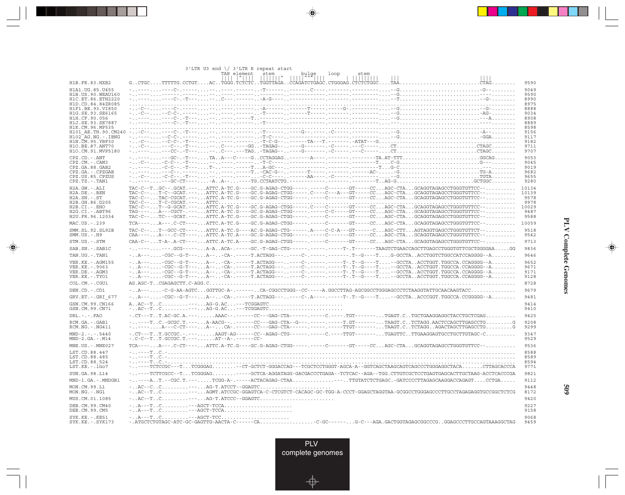|                                           | $3'$ LTR U3 end $\setminus$ 3'LTR R repeat start<br>TAR element<br>stem<br>bulge<br>loop<br>stem<br>$\frac{1}{2}$ $\frac{1}{2}$ $\frac{1}{2}$ $\frac{1}{2}$ $\frac{1}{2}$                                                                                                                                                                                                                                                                                                                                                                                           |               |
|-------------------------------------------|---------------------------------------------------------------------------------------------------------------------------------------------------------------------------------------------------------------------------------------------------------------------------------------------------------------------------------------------------------------------------------------------------------------------------------------------------------------------------------------------------------------------------------------------------------------------|---------------|
| H1B.FR.83.HXB2                            | $\begin{array}{c c c c c c} \hline \text{I} & \text{I} & \text{I} & \text{I} & \text{I} & \text{I} & \text{I} & \text{I} & \text{I} & \text{I} & \text{I} & \text{I} & \text{I} & \text{I} & \text{I} & \text{I} & \text{I} & \text{I} & \text{I} & \text{I} & \text{I} & \text{I} & \text{I} & \text{I} & \text{I} & \text{I} & \text{I} & \text{I} & \text{I} & \text{I} & \text{I} & \text{I} & \text{I} & \text$<br>.                                                                                                                                           | 9590          |
| H1A1. UG. 85. U455                        |                                                                                                                                                                                                                                                                                                                                                                                                                                                                                                                                                                     | 9049          |
| H1B. US. 90. WEAU160<br>H1C.ET.86.ETH2220 |                                                                                                                                                                                                                                                                                                                                                                                                                                                                                                                                                                     | 9590<br>8990  |
| H1D.CD.84.84ZR085                         |                                                                                                                                                                                                                                                                                                                                                                                                                                                                                                                                                                     | 8975          |
| H1F1.BE.93.VI850<br>H1G.SE.93.SE6165      |                                                                                                                                                                                                                                                                                                                                                                                                                                                                                                                                                                     | 8888<br>9034  |
| H1H.CF.90.056                             |                                                                                                                                                                                                                                                                                                                                                                                                                                                                                                                                                                     | 8908          |
| H1J.SE.93.SE7887<br>H1K.CM.96.MP535       |                                                                                                                                                                                                                                                                                                                                                                                                                                                                                                                                                                     | 8889<br>8598  |
| H101 AE.TH.90.CM240                       |                                                                                                                                                                                                                                                                                                                                                                                                                                                                                                                                                                     | 9156          |
| H102 AG.NG.-.IBNG<br>H1N. CM. 95. YBF30   |                                                                                                                                                                                                                                                                                                                                                                                                                                                                                                                                                                     | 9117<br>9182  |
| H1O.BE.87.ANT70                           |                                                                                                                                                                                                                                                                                                                                                                                                                                                                                                                                                                     | 9711          |
| H1O.CM.91.MVP5180                         |                                                                                                                                                                                                                                                                                                                                                                                                                                                                                                                                                                     | 9707          |
| CPZ.CD. - . ANT<br>CPZ.CM. - . CAM3       |                                                                                                                                                                                                                                                                                                                                                                                                                                                                                                                                                                     | 9053<br>9045  |
| CPZ.GA.88.GAB2                            |                                                                                                                                                                                                                                                                                                                                                                                                                                                                                                                                                                     | 9019          |
| CPZ.GA. - . CPZGAB<br>CPZ.US.85.CPZUS     |                                                                                                                                                                                                                                                                                                                                                                                                                                                                                                                                                                     | 9682<br>9655  |
| CPZ.TZ.-.TAN1                             |                                                                                                                                                                                                                                                                                                                                                                                                                                                                                                                                                                     | 9280          |
| H2A.GW.-.ALI                              | TAC-C--TGC--.GCAT.---ATTC.A-TC.G----GC.G-AGAG-CTGG-----.----C------GT----CCAGC-CTAGCAGGTAGAGCCTGGGTGTTCC--                                                                                                                                                                                                                                                                                                                                                                                                                                                          | 10134         |
| H2A.DE. - . BEN<br>$H2A.SN.-.ST$          | TAC-C--T-C--GCAT.---ATTC.A-TC.G----GC.G-AGAG-CTGG-----.C---C---A---GT-----CCAGC-CTAGCAGGTAGAGCCTGGGTGTTCC--<br>TAC-C--TAC-CGCAT.---ATTC.A-TC.G----GC.G-AGAG-CTGG-----.----C------GT----CCAGC-CTAGCAGGTAGAGCCTGGGTGTTCC--                                                                                                                                                                                                                                                                                                                                            | 10139<br>9578 |
| H2B.GH.86.D205                            |                                                                                                                                                                                                                                                                                                                                                                                                                                                                                                                                                                     | 9978          |
| H2B.CI.-.EHO<br>$H2G.CI.-.ABT96$          | TAG----A---CGCT-.---ATTC.A-TC.G----GC.G-AGAG-CTGG-----.----C-C-----GT-----CCAGC-CTAGCAGGTAGAGCCTGGGTGTTCC--                                                                                                                                                                                                                                                                                                                                                                                                                                                         | 10029<br>9487 |
| H2U.FR.96.12034                           | TAC-C--TC---GCAT.---ATTC.A-TC.G----GC.G-AGAG-CTGG-----.----C------GT----CCAGC-CTAGCAGGTAGAGCCTGGGTGTTCC--                                                                                                                                                                                                                                                                                                                                                                                                                                                           | 9588          |
| MAC.US. - . 239                           | TCA----A---.C-CT----ATTC.A-TC.G----GC.G-AGAG-CTGG-----.-----C------GT-----CCAGC-CTAGCAGGTAGAGCCTGGGTGTTCC--                                                                                                                                                                                                                                                                                                                                                                                                                                                         | 10059         |
| SMM.SL.92.SL92B                           | TAC-C--T--GCC-CT----ATTC.A-TC.G----AC.G-AGAG-CTG------.A----C-C-A---GT------CAGC-CTTAGTAGGTGAGCCTGGGTGTTCT--                                                                                                                                                                                                                                                                                                                                                                                                                                                        | 9518          |
| $SMM.US.-.H9$                             | CAA----A---.C-CT----ATTC.A-TC.A----GC.G-AGAG-CTGG-----.-----C------GT-----CCAGC-CTAGCAGGTAGAGCCTGGGTGTTCC--                                                                                                                                                                                                                                                                                                                                                                                                                                                         | 9542          |
| STM.US.-.STM                              | CAA-C--T-A-.A-CT----ATTC.A-TC.A----GC.G-AGAG-CTGG-----.-----C------GT-----CCAGC-CTAGCAGGTAGAGCCTGGGTGTTCC--                                                                                                                                                                                                                                                                                                                                                                                                                                                         | 9713          |
| SAB.SN.-.SAB1C                            | --------.GCG-----A-AACA-.-----GC.-T-GAG-CTG------.-----------T-.T------TAAGTCTGAACCAGCTTGAGCCTGGGTGTTCGCTGGGAAGG                                                                                                                                                                                                                                                                                                                                                                                                                                                    | 9836          |
| TAN.UG. - . TAN1                          | -A----CGC--G-T---A---CA-.-----T.ACTAGG-------C-.-------T-.T--G----T--GCCTAACCTGGT.TGGCCA.CCAGGGG--A                                                                                                                                                                                                                                                                                                                                                                                                                                                                 | 9646<br>9652  |
| VER.KE. - . AGM155<br>VER.KE. - . 9063    | -A----CGC--G-T---A---CA-.-----T.ACTAGG-------C-.---------T-.T--G---T--GCCTAACCTGGT.TGGCCA.CCAGGGG--A                                                                                                                                                                                                                                                                                                                                                                                                                                                                | 9671          |
| VER.DE. - . AGM3                          | $\hbox{\tt \dots} A--\hbox{\dots} \hbox{\dots} CGC-G-T--\hbox{\dots} \hbox{\dots} A--\hbox{\dots} C-A--\hbox{\dots} C-A--\hbox{\dots} C-A--\hbox{\dots} C--\hbox{\dots} C--\hbox{\dots} C--\hbox{\dots} C--\hbox{\dots} C--\hbox{\dots} C--\hbox{\dots} C--\hbox{\dots} C--\hbox{\dots} C--\hbox{\dots} C--\hbox{\dots} C--\hbox{\dots} C--\hbox{\dots} C--\hbox{\dots} C--\hbox{\dots} C--\hbox{\dots} C--\hbox{\dots} C--\hbox{\dots} C--\hbox{\dots} C--$<br>-A----CGC--G-T---A---CA-.-----T.ACTAGG-------C-.-------T-.T--G----T--GCCTAACCTGGT.TGGCCA.CCAGGGG--A | 9171          |
| VER.KE. - . TYO1<br>COL.CM.-.CGU1         |                                                                                                                                                                                                                                                                                                                                                                                                                                                                                                                                                                     | 9128<br>8728  |
| DEN.CD. - .CD1                            |                                                                                                                                                                                                                                                                                                                                                                                                                                                                                                                                                                     | 9679          |
| GRV.ET. - .GRI 677                        | -A----CGC--G-T---A---CA-.-----T.ACTAGG-------C-.A----.---T-.T--G---T--GCCTAACCCGGT.TGGCCA.CCGGGG--A                                                                                                                                                                                                                                                                                                                                                                                                                                                                 | 9481          |
| GSN.CM.99.CN166                           | $A \ldots AC - T \ldots C \ldots \ldots \ldots - - - \ldots AG - G \ldots C \ldots - - TCGGAGTC \ldots \ldots \ldots \ldots \ldots \ldots \ldots \ldots$                                                                                                                                                                                                                                                                                                                                                                                                            | 9414          |
| GSN.CM.99.CN71                            |                                                                                                                                                                                                                                                                                                                                                                                                                                                                                                                                                                     | 9410          |
| $DRL - - - FAO$                           | -.CT---TT.AC-GC.A.---AAAC--.-----CC---GAG-CTA------.---C.---- TGT-------TGAGT.CTGCTGAAGGAGGCTACCTGCTCGAG                                                                                                                                                                                                                                                                                                                                                                                                                                                            | 9425          |
| RCM.GA.-.GAB1                             | -----TC.-GCGC.T.---A-AACG--------CC---GAG-CTA--G---.----------T.GT-------TAAGT.CTCTAGG.AACTCCAGCTTGAGCCTGG                                                                                                                                                                                                                                                                                                                                                                                                                                                          | 9208          |
| RCM.NG.-.NG411                            | -----A---C-CT----A--CA-.------CC---GAG-CTA------.----------TTGT-------TAAGT.CTCTAGGAGACTAGCTTGAGCCTGG                                                                                                                                                                                                                                                                                                                                                                                                                                                               | 9299          |
| $MND-2. - - - 5440$<br>$MND-2.GA.-.M14$   | $-.$ CT---TT.GCCGC.-.---AAGT-AG------CC--AGAG-CTG------.-----C.---TTGT-------TGAGTTCTTGAAGGAGTGCCTTGTAGC-C<br>$-$ .C-C--TT.GCCGC.T.---AT--A-.------CC-                                                                                                                                                                                                                                                                                                                                                                                                              | 9347<br>9529  |
| $MNE. US. - . MNE027$                     | TCA----A---.C-CT----ATTC.A-TC.G---GC.G-AGAG-CTGG-----.-----C------GT----CCAGC-CTAGCAGGTAGAGCCTGGGTGTTCC--                                                                                                                                                                                                                                                                                                                                                                                                                                                           | 9536          |
| LST.CD.88.447<br>LST.CD.88.485            |                                                                                                                                                                                                                                                                                                                                                                                                                                                                                                                                                                     | 8588<br>8589  |
| LST.CD.88.524                             |                                                                                                                                                                                                                                                                                                                                                                                                                                                                                                                                                                     | 8594          |
| $LST.KE. - Lh07$                          | -----TCTCCGC---TTCGGGAG--CT-GCTCT-GGGACCAG---TCGCTCCTGGGT-AGCA-A--GGTCAGCTAAGCAGTCAGCCCTGGGAGGCTACACTTAGCACCCA                                                                                                                                                                                                                                                                                                                                                                                                                                                      | 9771          |
| SUN.GA.98.L14                             | -----TCTTCGCC--T.TCGGGAG. -----GCTCA-AGGATAGG-GACGACCCTGAGA--TCTCAC--AGA--TGG.CTTGTCGCTCCTGAGTGAGCACTTGCTAAG-ACCTCACCCGA                                                                                                                                                                                                                                                                                                                                                                                                                                            | 9821          |
| MND-1.GA.-.MNDGB1                         | $\verb -. --AT.--CGC.T.---TCGG-A----ACTACAGAG-CTAA--.TTGTATCTCTGAGC.-GATCCCCTTAGAGGACCAGGTCAGGATCCTGA$                                                                                                                                                                                                                                                                                                                                                                                                                                                              | 9112          |
| MON.CM.99.L1<br>MON.NG. - . NG1           | -AC--TC---AGMT.ATCCGC-GGAGTCA-C-CTCGTCT-CACAGC-GC-TGG-A-CCCT-GGAGCTAGGTAA-GCGGCCTGGGAGCCCTTGCCTAGAGAGGTGCCGGCTCTCG                                                                                                                                                                                                                                                                                                                                                                                                                                                  | 9448<br>8172  |
| MUS.CM.01.1085                            |                                                                                                                                                                                                                                                                                                                                                                                                                                                                                                                                                                     | 9420          |
| DEB. CM. 99. CM40<br>DEB.CM.99.CM5        | -A---TC---AGCT-TCCA                                                                                                                                                                                                                                                                                                                                                                                                                                                                                                                                                 | 9227<br>9158  |
| $SYK.KE. - .KE51$<br>$SYK.KE. - .SYK173$  | $- \ldots A$ ---T $\ldots C$ ---AGCT-TCC<br>-.ATGCTCTGTAGC-ATC-GC-GAGTTG-AACTA-C------CAC-GC------G-C--AGA.GACTGGTAGAGCGGCCCGGGAGCCCTTGCCAGTAAAGGCTAG                                                                                                                                                                                                                                                                                                                                                                                                               | 9068<br>9459  |

<u>a shekara ta 1989</u>

 $\overrightarrow{\phantom{a}}$ 

 $\frac{\displaystyle \rule{1.2cm}{0.15cm}}{\displaystyle \rule{1.2cm}{0.15cm}}$ 

**PLV Complete Genomes PLV Complete Genomes**

 $\begin{array}{c} \hline \end{array}$ 

 $\begin{picture}(20,5) \put(0,0){\line(1,0){10}} \put(15,0){\line(1,0){10}} \put(15,0){\line(1,0){10}} \put(15,0){\line(1,0){10}} \put(15,0){\line(1,0){10}} \put(15,0){\line(1,0){10}} \put(15,0){\line(1,0){10}} \put(15,0){\line(1,0){10}} \put(15,0){\line(1,0){10}} \put(15,0){\line(1,0){10}} \put(15,0){\line(1,0){10}} \put(15,0){\line(1,$ 

 $\overline{\phantom{0}}$ 

<u> a mare d</u>

 $\overline{\phantom{a}}$ 

**509**

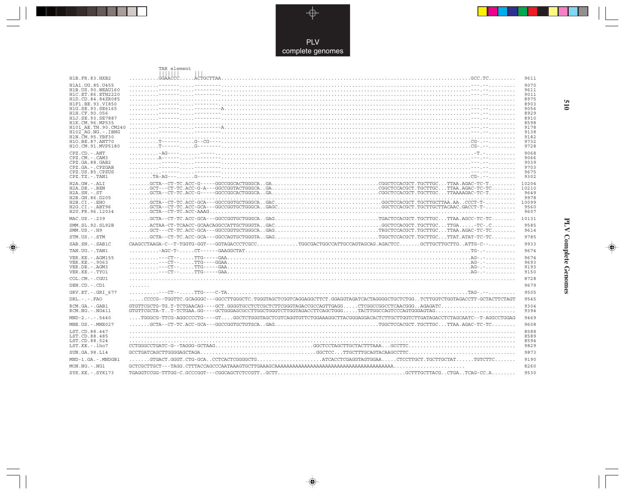

### TAR element ||||||| |||

. . .

 $\Rightarrow$ 

| H1B.FR.83.HXB2                         |                                                                                                                                                                                                                                                                                                                                                                                                                             | 9611          |
|----------------------------------------|-----------------------------------------------------------------------------------------------------------------------------------------------------------------------------------------------------------------------------------------------------------------------------------------------------------------------------------------------------------------------------------------------------------------------------|---------------|
| H1A1. UG. 85. U455                     |                                                                                                                                                                                                                                                                                                                                                                                                                             | 9070          |
| H1B. US. 90. WEAU160                   |                                                                                                                                                                                                                                                                                                                                                                                                                             | 9611          |
| H1C.ET.86.ETH2220<br>H1D.CD.84.84ZR085 |                                                                                                                                                                                                                                                                                                                                                                                                                             | 9011<br>8975  |
| H1F1.BE.93.VI850                       |                                                                                                                                                                                                                                                                                                                                                                                                                             | 8903          |
| H1G.SE.93.SE6165                       |                                                                                                                                                                                                                                                                                                                                                                                                                             | 9056          |
| H1H.CF.90.056<br>H1J.SE.93.SE7887      |                                                                                                                                                                                                                                                                                                                                                                                                                             | 8929<br>8910  |
| H1K.CM.96.MP535                        |                                                                                                                                                                                                                                                                                                                                                                                                                             | 8598          |
| H101 AE.TH.90.CM240                    |                                                                                                                                                                                                                                                                                                                                                                                                                             | 9178          |
| $H102-AG.NG. -.IBNG$                   |                                                                                                                                                                                                                                                                                                                                                                                                                             | 9138          |
| H1N. CM. 95. YBF30<br>H10.BE.87.ANT70  |                                                                                                                                                                                                                                                                                                                                                                                                                             | 9182<br>9732  |
| H1O.CM.91.MVP5180                      |                                                                                                                                                                                                                                                                                                                                                                                                                             | 9728          |
| $CPZ$ . $CD$ . - .ANT                  |                                                                                                                                                                                                                                                                                                                                                                                                                             | 9068          |
| $CPZ$ . $CM -$ . $CAM3$                |                                                                                                                                                                                                                                                                                                                                                                                                                             | 9066          |
| CPZ.GA.88.GAB2                         |                                                                                                                                                                                                                                                                                                                                                                                                                             | 9039          |
| CPZ.GA. - . CPZGAB<br>CPZ.US.85.CPZUS  |                                                                                                                                                                                                                                                                                                                                                                                                                             | 9703<br>9675  |
| $CPZ.TZ.-.TAN1$                        |                                                                                                                                                                                                                                                                                                                                                                                                                             | 9302          |
| $H2A.GW.-.ALI$                         | $\ldots \ldots \ldots \text{GCTA--CT-TC}.\text{ACC-G-----GGCCGGCCACGGCACGGCACGGC}.\text{GAC}.\text{GAC}.\text{GAC}.\text{GAC}.\text{GAC}.\text{GAC}.\text{GAC}.\text{GAC}.\text{GAC}.\text{GAC}.\text{GAC}.\text{GAC}.\text{GAC}.\text{GAC}.\text{GAC}.\text{GAC}.\text{GAC}.\text{GAC}.\text{GAC}.\text{GAC}.\text{GAC}.\text{GAC}.\text{GAC}.\text{GAC}.\text{GAC}.\text{GAC}.\text{GAC}.\text{GAC}.\text{GAC}.\text{GAC$ | 10204         |
| $H2A.DE. - .BEN$                       |                                                                                                                                                                                                                                                                                                                                                                                                                             | 10210         |
| $H2A.SN.-.ST$                          |                                                                                                                                                                                                                                                                                                                                                                                                                             | 9649          |
| H2B.GH.86.D205<br>$H2B.CI.-EHO$        |                                                                                                                                                                                                                                                                                                                                                                                                                             | 9978<br>10099 |
| H2G.CI.-.ABT96                         |                                                                                                                                                                                                                                                                                                                                                                                                                             | 9560          |
| H2U.FR.96.12034                        |                                                                                                                                                                                                                                                                                                                                                                                                                             | 9607          |
| MAC.US. - . 239                        |                                                                                                                                                                                                                                                                                                                                                                                                                             | 10131         |
| SMM.SL.92.SL92B                        |                                                                                                                                                                                                                                                                                                                                                                                                                             | 9585          |
| $SMM. US. - . H9$                      |                                                                                                                                                                                                                                                                                                                                                                                                                             | 9614          |
| STM.US.-.STM                           |                                                                                                                                                                                                                                                                                                                                                                                                                             | 9785          |
| SAB.SN. - . SAB1C                      | CAAGCCTAAGA-C--T-TGGTG-GGT---GGTAGACCCTCGCCTGGCGACTGGCCATTGCCAGTAGCAG.AGACTCCGCTTGCTTGCTTGATTG-C--                                                                                                                                                                                                                                                                                                                          | 9933          |
| TAN.UG. - . TAN1                       |                                                                                                                                                                                                                                                                                                                                                                                                                             | 9674          |
| VER. KE. - . AGM155                    |                                                                                                                                                                                                                                                                                                                                                                                                                             | 9674          |
| VER. KE. - . 9063                      |                                                                                                                                                                                                                                                                                                                                                                                                                             | 9693<br>9193  |
| VER.DE. - . AGM3<br>VER.KE. - . TYO1   |                                                                                                                                                                                                                                                                                                                                                                                                                             | 9150          |
| COL.CM. - . CGU1                       |                                                                                                                                                                                                                                                                                                                                                                                                                             | 8728          |
|                                        |                                                                                                                                                                                                                                                                                                                                                                                                                             | 9679          |
| DEN.CD. - .CD1                         | .                                                                                                                                                                                                                                                                                                                                                                                                                           |               |
| GRV.ET. - . GRI 677                    |                                                                                                                                                                                                                                                                                                                                                                                                                             | 9505          |
| $DRL - - -$ . FAO                      | CCCCG--TGGTTC.GCAGGGC---GGCCTTGGGCTC.TGGGTAGCTCGGTCAGGAGGCTTCT.GGAGGTAGATCACTAGGGGCTGCTCTGGTCTTGGTCTGGTAGACCTT-GCTACTTCTAGT                                                                                                                                                                                                                                                                                                 | 9545          |
| RCM.GA. - . GAB1<br>RCM.NG. - . NG411  |                                                                                                                                                                                                                                                                                                                                                                                                                             | 9304<br>9394  |
| $MND-2. - - 5440$                      |                                                                                                                                                                                                                                                                                                                                                                                                                             | 9469          |
| MNE.US.-.MNE027                        |                                                                                                                                                                                                                                                                                                                                                                                                                             | 9608          |
| LST.CD.88.447                          |                                                                                                                                                                                                                                                                                                                                                                                                                             | 8588          |
| LST.CD.88.485                          |                                                                                                                                                                                                                                                                                                                                                                                                                             | 8589          |
| LST.CD.88.524                          |                                                                                                                                                                                                                                                                                                                                                                                                                             | 8594          |
| LST.KE. - . lho7                       |                                                                                                                                                                                                                                                                                                                                                                                                                             | 9829          |
| SUN.GA.98.L14                          |                                                                                                                                                                                                                                                                                                                                                                                                                             | 9873          |
| MND-1.GA.-.MNDGB1                      |                                                                                                                                                                                                                                                                                                                                                                                                                             | 9190          |
| $MON.NG. - . NG1$                      | $GCTCGCTTGCT---TAGG. CTTTACCAGCCCAATAAAGTGCTTGAAAGCAAAAAAAAAAAAAAAAAAAAAAAAAAAAAAAAAAAAAAAAA.\n$                                                                                                                                                                                                                                                                                                                            | 8260          |
| SYK.KE. - . SYK173                     |                                                                                                                                                                                                                                                                                                                                                                                                                             | 9530          |

 $\Rightarrow$ 

# **PLV Complete Genomes 510 PLV Complete Genomes**

 $\begin{picture}(20,5) \put(0,0){\line(1,0){10}} \put(15,0){\line(1,0){10}} \put(15,0){\line(1,0){10}} \put(15,0){\line(1,0){10}} \put(15,0){\line(1,0){10}} \put(15,0){\line(1,0){10}} \put(15,0){\line(1,0){10}} \put(15,0){\line(1,0){10}} \put(15,0){\line(1,0){10}} \put(15,0){\line(1,0){10}} \put(15,0){\line(1,0){10}} \put(15,0){\line(1,$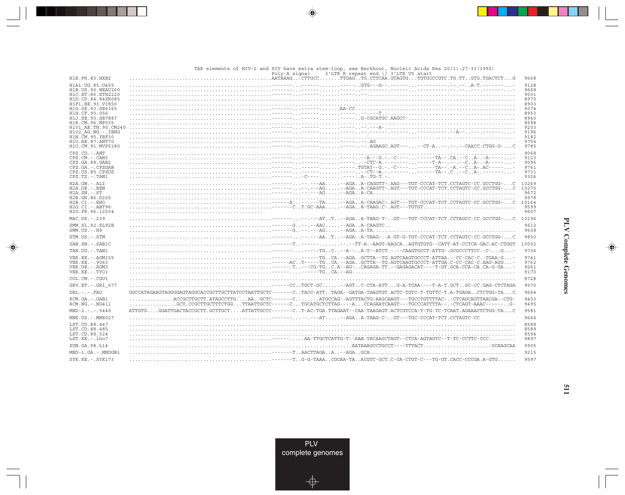|                                           | (1992) TAR elements of HIV-2 and SIV have extra stem-loop, see Berkhout, Nucleic Acids Res 20(1):27-31<br>$3'$ LTR R repeat end $\sqrt{3'$ LTR U5 start<br>Poly-A signal |               |
|-------------------------------------------|--------------------------------------------------------------------------------------------------------------------------------------------------------------------------|---------------|
| H1B.FR.83.HXB2                            | $\ldots \ldots \ldots$ . AATĀAAG. CTTGCC . $\ldots \ldots$ . TTGAG TG . CTTCAA . GTAGTG TGTGCCCGTC . TG . TT GTG . TGACTCT G                                             | 9668          |
| H1A1. UG. 85. U455                        |                                                                                                                                                                          | 9128          |
| H1B. US. 90. WEAU160<br>H1C.ET.86.ETH2220 |                                                                                                                                                                          | 9668<br>9031  |
| H1D.CD.84.84ZR085                         |                                                                                                                                                                          | 8975          |
| H1F1.BE.93.VI850                          |                                                                                                                                                                          | 8903          |
| H1G.SE.93.SE6165                          |                                                                                                                                                                          | 9074          |
| H1H.CF.90.056<br>H1J.SE.93.SE7887         |                                                                                                                                                                          | 8953<br>8943  |
| H1K.CM.96.MP535                           |                                                                                                                                                                          | 8598          |
| H101 AE.TH.90.CM240                       |                                                                                                                                                                          | 9203          |
| $H102-AG.NG. - .IBNG$                     |                                                                                                                                                                          | 9196          |
| H1N. CM. 95. YBF30                        |                                                                                                                                                                          | 9182          |
| H10.BE.87.ANT70<br>H10.CM.91.MVP5180      |                                                                                                                                                                          | 9754<br>9785  |
|                                           |                                                                                                                                                                          | 9068          |
| CPZ.CD. - . ANT<br>CPZ.CM. - . CAM3       |                                                                                                                                                                          | 9123          |
| CPZ.GA.88.GAB2                            |                                                                                                                                                                          | 9096          |
| CPZ.GA. - . CPZGAB                        |                                                                                                                                                                          | 9761          |
| CPZ.US.85.CPZUS                           |                                                                                                                                                                          | 9731          |
| CPZ.TZ. - . TAN1                          |                                                                                                                                                                          | 9326          |
| H2A.GW.-.ALI                              |                                                                                                                                                                          | 10269         |
| H2A.DE. - . BEN<br>$H2A.SN.-.ST$          |                                                                                                                                                                          | 10275<br>9672 |
| H2B.GH.86.D205                            |                                                                                                                                                                          | 9978          |
| $H2B.CI.-.EHO$                            |                                                                                                                                                                          | 10164         |
| H2G.CI.-.ABT96                            |                                                                                                                                                                          | 9599          |
| H2U.FR.96.12034                           |                                                                                                                                                                          | 9607          |
| MAC.US.-.239                              |                                                                                                                                                                          |               |
| SMM. SL. 92. SL92B<br>$SMM.US. - .H9$     |                                                                                                                                                                          | 9613<br>9638  |
| STM.US.-.STM                              |                                                                                                                                                                          | 9850          |
| SAB.SN. - . SAB1C                         |                                                                                                                                                                          | 10002         |
| TAN.UG. - . TAN1                          |                                                                                                                                                                          | 9736          |
| VER. KE. - . AGM155<br>VER. KE. - . 9063  |                                                                                                                                                                          | 9741<br>9762  |
| VER.DE. - . AGM3                          |                                                                                                                                                                          | 9261          |
| VER.KE. - . TYO1                          |                                                                                                                                                                          | 9170          |
| COL.CM. - . CGU1                          |                                                                                                                                                                          | 8728          |
| GRV.ET. - . GRI 677                       | -----CCTGCT-GC--AGTC-CTA-ATTG-A-TCAA----T-A-T.GCTGC-CC.GAG-CTCTAGA                                                                                                       | 9570          |
| $DRL - - -$ . $FAO$                       | GGCCATAGAAGTAGGGGAGTAGGCACCGCTTGCTTATCCTAATTGCTC------CTACC-ATTTAGA--GATGA-TAAGTGT.ACTC-TGTC-T-TGTTC-T.A-TGAGACTCTGG-TAC                                                 | 9664          |
| RCM.GA. - . GAB1                          | ACCGCTTGCTT.ATAGCCTTGAAGCTC------CATGCCAG--AGTTTACTG-AAGCAAGT---TGCCTGTTTTAC-.-CTCAGCAGTTAACGA--CTG-                                                                     | 9403          |
| $RCM.NG. - . NG411$                       | $\ldots \ldots \ldots \ldots$ .GCT.CCGCTTGCTTTCTGGTTAATTGCTC------CTGCATGCTCTTAG----ACCAGAATCAAGT---TGCCCATTTTA--.-CTCAGT-AAAC------G-                                   | 9495          |
| $MND-2. - - - 5440$                       | ATTGTGGGATTGACTACCGCTT.GCTTGCTATTATTGCCC------CT-AC-TGA.TTAGAAT--CAA-TAAGAGT.ACTCGTCCA-T-TG.TC-TCAAT.AGAAACTCTGG-TAC                                                     | 9581          |
| MNE.US. - . MNE027                        |                                                                                                                                                                          | 9664          |
| LST.CD.88.447                             |                                                                                                                                                                          | 8588          |
| LST.CD.88.485<br>LST.CD.88.524            |                                                                                                                                                                          | 8589<br>8594  |
| $LST.KE. - Lh07$                          | .----AA-TTGCTCATTG-T--AAA-TACAAGCTAGT--CTCA-AGTAGTC--T-TC-CCTTC-CCC                                                                                                      | 9897          |
| SUN. GA. 98. L14                          | $\ldots \ldots \ldots \ldots \ldots \ldots \ldots \ldots \ldots$ . AATAAAGCCTGCCT----TTTACT $\ldots \ldots \ldots \ldots \ldots \ldots \ldots$ . GCAAGCAA                | 9905          |
| MND-1.GA.-.MNDGB1                         |                                                                                                                                                                          | 9215          |
| SYK.KE. - . SYK173                        |                                                                                                                                                                          | 9597          |



 $\Rightarrow$ 

. . .

 $\clubsuit$ 

 $\color{red} \blacklozenge$ 



 $\overline{511}$